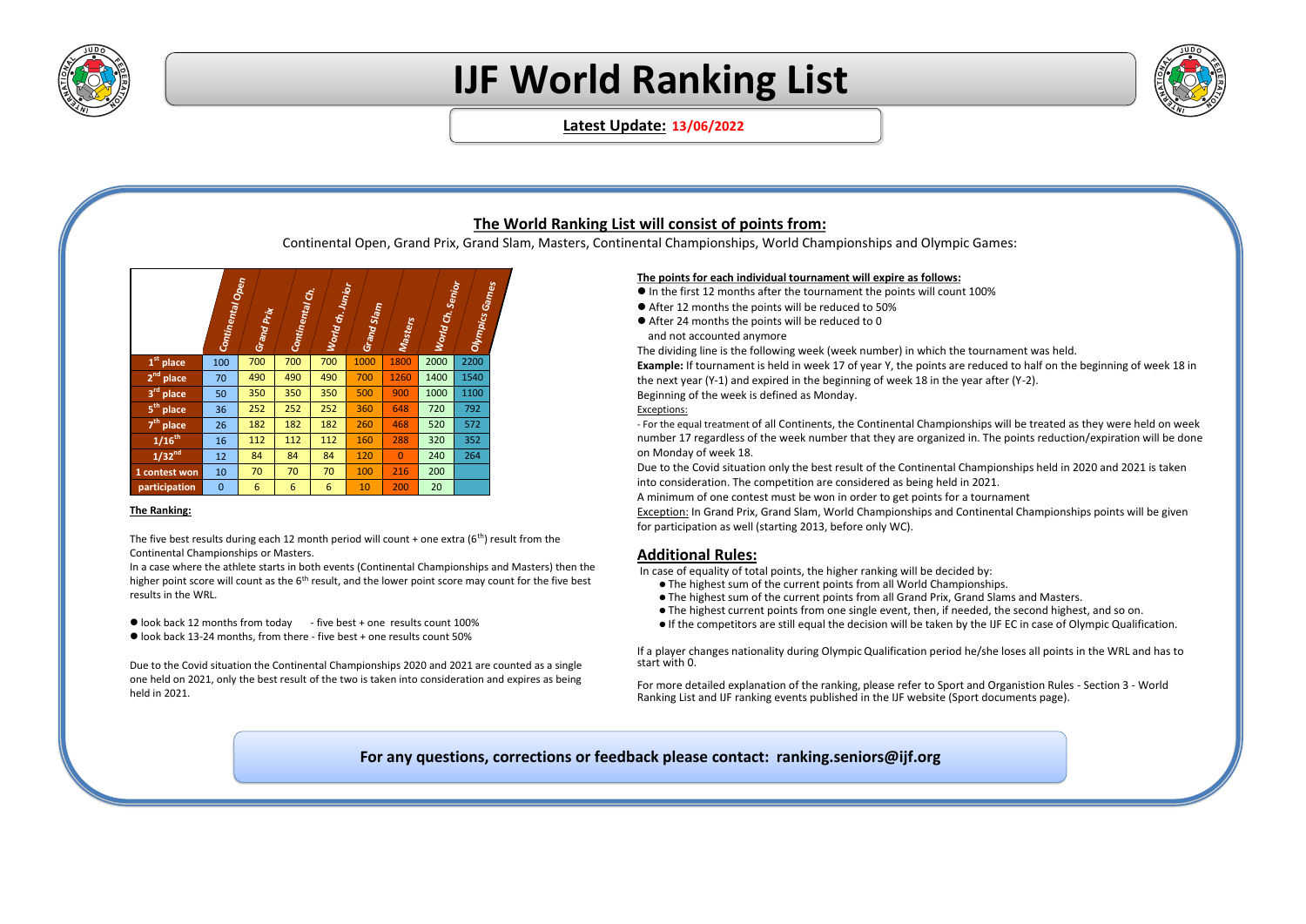

## **IJF World Ranking List**



**Latest Update: 13/06/2022**

#### **The World Ranking List will consist of points from:**

Continental Open, Grand Prix, Grand Slam, Masters, Continental Championships, World Championships and Olympic Games:



#### **The Ranking:**

The five best results during each 12 month period will count + one extra (6th) result from the Continental Championships or Masters.

In a case where the athlete starts in both events (Continental Championships and Masters) then the higher point score will count as the  $6<sup>th</sup>$  result, and the lower point score may count for the five best results in the WRL.

● look back 12 months from today – five best + one results count 100% ● look back 13-24 months, from there - five best + one results count 50%

Due to the Covid situation the Continental Championships 2020 and 2021 are counted as a single one held on 2021, only the best result of the two is taken into consideration and expires as being held in 2021.

#### **The points for each individual tournament will expire as follows:**

- ⚫ In the first 12 months after the tournament the points will count 100%
- After 12 months the points will be reduced to 50%
- ⚫ After 24 months the points will be reduced to 0
- and not accounted anymore

The dividing line is the following week (week number) in which the tournament was held.

**Example:** If tournament is held in week 17 of year Y, the points are reduced to half on the beginning of week 18 in

the next year (Y-1) and expired in the beginning of week 18 in the year after (Y-2). Beginning of the week is defined as Monday.

Exceptions:

- For the equal treatment of all Continents, the Continental Championships will be treated as they were held on week number 17 regardless of the week number that they are organized in. The points reduction/expiration will be done on Monday of week 18.

Due to the Covid situation only the best result of the Continental Championships held in 2020 and 2021 is taken into consideration. The competition are considered as being held in 2021.

A minimum of one contest must be won in order to get points for a tournament

Exception: In Grand Prix, Grand Slam, World Championships and Continental Championships points will be given for participation as well (starting 2013, before only WC).

#### **Additional Rules:**

In case of equality of total points, the higher ranking will be decided by:

- ⚫ The highest sum of the current points from all World Championships.
- ⚫ The highest sum of the current points from all Grand Prix, Grand Slams and Masters.
- ⚫ The highest current points from one single event, then, if needed, the second highest, and so on.
- ⚫ If the competitors are still equal the decision will be taken by the IJF EC in case of Olympic Qualification.

If a player changes nationality during Olympic Qualification period he/she loses all points in the WRL and has to start with 0.

For more detailed explanation of the ranking, please refer to Sport and Organistion Rules - Section 3 - World Ranking List and IJF ranking events published in the IJF website (Sport documents page).

#### **For any questions, corrections or feedback please contact: ranking.seniors@ijf.org**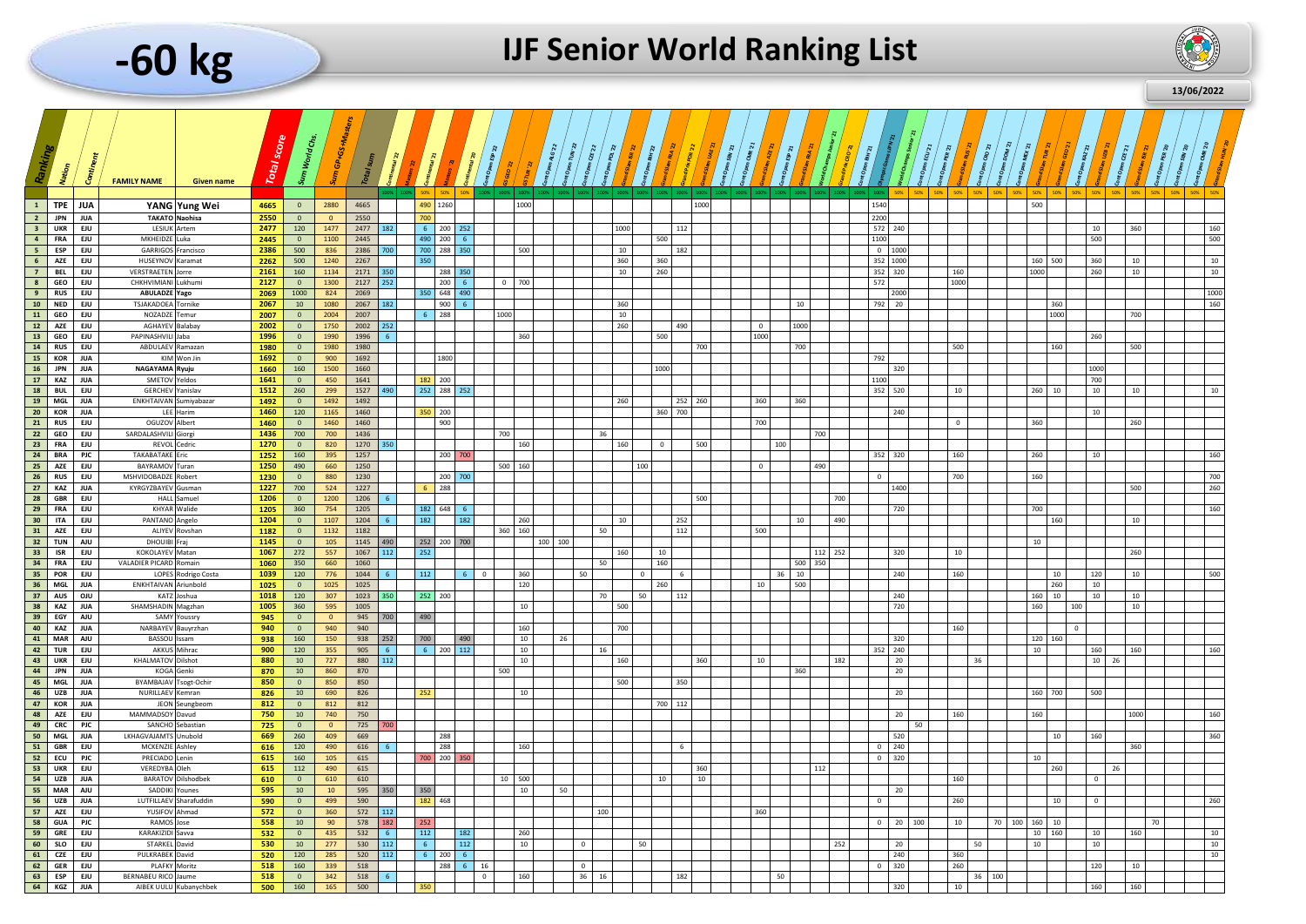# **-60 kg**

### **IJF Senior World Ranking List**



| Ranking                            | <b>Nation</b>            | δ                        | <b>FAMILY NAME</b>                              | <b>Given name</b>         | <b>Rap</b>   | Sum World Chs                    | Sum <sub>GP</sub>     |              |                |                                  |                         |                |               | $n_{WZ}$<br>$\frac{1}{2}$<br>as | $\frac{1}{\alpha}$ | $2$ Miguugh |               | <b>E. NBS use</b> | $C_{\text{MRT}}$ | Pen Esp <sub>21</sub> |         |         |                        | $\vec{\kappa}$ | <b>DOM</b> <sub>21</sub><br>CRO <sub>21</sub> | Open MBX'21           | <b>RANU</b>   | $O_{\text{Den}}$ $C_{\overline{K}^*21}$ | $\mathcal{R}_1$ |            |
|------------------------------------|--------------------------|--------------------------|-------------------------------------------------|---------------------------|--------------|----------------------------------|-----------------------|--------------|----------------|----------------------------------|-------------------------|----------------|---------------|---------------------------------|--------------------|-------------|---------------|-------------------|------------------|-----------------------|---------|---------|------------------------|----------------|-----------------------------------------------|-----------------------|---------------|-----------------------------------------|-----------------|------------|
| 1                                  | <b>TPE</b>               | <b>JUA</b>               |                                                 | YANG Yung Wei             | 4665         | $\overline{0}$                   | 2880                  | 4665         |                | 50%<br>490 1260                  |                         |                | 1000          |                                 |                    |             |               | 1000              |                  |                       |         |         | 1540                   |                | 50%                                           | 50%<br>50% 50%<br>500 | 50% 50% 50%   |                                         |                 |            |
| $\overline{2}$                     | <b>JPN</b>               | <b>JUA</b>               | <b>TAKATO Naohisa</b>                           |                           | 2550         | $\overline{0}$                   | $\overline{0}$        | 2550         |                | 700                              |                         |                |               |                                 |                    |             |               |                   |                  |                       |         |         | 2200                   |                |                                               |                       |               |                                         |                 |            |
| 3 <sup>1</sup><br>4                | <b>UKR</b><br>FRA        | EJU<br>EJU               | LESIUK Artem<br>MKHEIDZE Luka                   |                           | 2477<br>2445 | 120<br>$\overline{0}$            | 1477<br>1100          | 2477<br>2445 | 182            | $6 \mid 200 \mid 252$<br>490 200 | 6                       |                |               |                                 | 1000               |             | 112<br>500    |                   |                  |                       |         |         | 572 240<br>1100        |                |                                               |                       | 10<br>500     | 360                                     |                 | 160<br>500 |
| 5 <sub>1</sub>                     | ESP                      | EJU                      | GARRIGOS Francisco                              |                           | 2386         | 500                              | 836                   | 2386         | 700            | 700 288                          | 350                     |                | 500           |                                 | 10                 |             | 182           |                   |                  |                       |         |         | $0 - 1000$             |                |                                               |                       |               |                                         |                 |            |
| $6\overline{6}$                    | AZE                      | EJU                      | HUSEYNOV Karamat                                |                           | 2262         | 500                              | 1240                  | 2267         |                | 350                              |                         |                |               |                                 | 360                |             | 360           |                   |                  |                       |         |         | 352 1000               |                |                                               | 160 500               | 360           | 10                                      |                 | 10         |
| $\overline{7}$<br>$\boldsymbol{8}$ | <b>BEL</b><br>GEO        | EJU<br>EJU               | <b>VERSTRAETEN</b> Jorre<br>CHKHVIMIANI Lukhumi |                           | 2161<br>2127 | 160<br>$\overline{0}$            | 1134<br>1300          | 2171<br>2127 | 350<br>252     | 288<br>200                       | 350<br>6 <sup>1</sup>   | $\overline{0}$ | 700           |                                 | 10                 |             | 260           |                   |                  |                       |         |         | 352 320<br>572         | 160<br>1000    |                                               | 1000                  | 260           | 10                                      |                 | 10         |
| 9                                  | <b>RUS</b>               | EJU                      | ABULADZE Yago                                   |                           | 2069         | 1000                             | 824                   | 2069         |                | 350 648                          | 490                     |                |               |                                 |                    |             |               |                   |                  |                       |         |         | 2000                   |                |                                               |                       |               |                                         |                 | 1000       |
| 10<br>11                           | <b>NED</b><br>GEO        | <b>EJU</b><br>EJU        | <b>TSJAKADOEA</b> Tornike<br>NOZADZE Temur      |                           | 2067<br>2007 | 10<br>$\overline{0}$             | 1080<br>2004          | 2067<br>2007 | 182            | 900<br>$6 \mid 288$              | 6                       | 1000           |               |                                 | 360<br>10          |             |               |                   |                  |                       | 10      |         | 792 20                 |                |                                               | 360<br>1000           |               | 700                                     |                 | 160        |
| 12                                 | AZE                      | EJU                      | <b>AGHAYEV Balabay</b>                          |                           | 2002         | $\overline{0}$                   | 1750                  | 2002         | 252            |                                  |                         |                |               |                                 | 260                |             | 490           |                   | $\mathbf{0}$     |                       | 1000    |         |                        |                |                                               |                       |               |                                         |                 |            |
| 13<br>14                           | GEO<br><b>RUS</b>        | EJU<br>EJU               | PAPINASHVILI Jaba<br>ABDULAEV Ramazan           |                           | 1996<br>1980 | $\overline{0}$<br>$\overline{0}$ | 1990<br>1980          | 1996<br>1980 | $6-1$          |                                  |                         |                | 360           |                                 |                    |             | 500           | 700               | 1000             |                       | 700     |         |                        | 500            |                                               | 160                   | 260           | 500                                     |                 |            |
| 15                                 | KOR                      | <b>JUA</b>               |                                                 | KIM Won Jin               | 1692         | $\overline{0}$                   | 900                   | 1692         |                | 1800                             |                         |                |               |                                 |                    |             |               |                   |                  |                       |         |         | 792                    |                |                                               |                       |               |                                         |                 |            |
| 16<br>17                           | <b>JPN</b><br>KAZ        | <b>JUA</b><br><b>JUA</b> | NAGAYAMA Ryuju<br>SMETOV Yeldos                 |                           | 1660<br>1641 | 160<br>$\overline{0}$            | 1500<br>450           | 1660<br>1641 |                | 182 200                          |                         |                |               |                                 |                    |             | 1000          |                   |                  |                       |         |         | 320<br>1100            |                |                                               |                       | 1000<br>700   |                                         |                 |            |
| 18                                 | <b>BUL</b>               | EJU                      | <b>GERCHEV</b> Yanislav                         |                           | 1512         | 260                              | 299                   | 1527         | 490            | 252 288                          | 252                     |                |               |                                 |                    |             |               |                   |                  |                       |         |         | 352 520                | 10             |                                               | 260 10                | $10\,$        | 10                                      |                 | 10         |
| 19                                 | <b>MGL</b>               | JUA                      | ENKHTAIVAN Sumiyabazar                          |                           | 1492         | $\overline{0}$                   | 1492                  | 1492         |                |                                  |                         |                |               |                                 | 260                |             | 252 260       |                   | 360              |                       | 360     |         |                        |                |                                               |                       |               |                                         |                 |            |
| 20<br>21                           | KOR<br><b>RUS</b>        | <b>JUA</b><br>EJU        | OGUZOV Albert                                   | LEE Harim                 | 1460<br>1460 | 120<br>$\overline{0}$            | 1165<br>1460          | 1460<br>1460 |                | 350 200<br>900                   |                         |                |               |                                 |                    |             | 360<br>700    |                   | 700              |                       |         |         | 240                    | $\overline{0}$ |                                               | 360                   | 10            | 260                                     |                 |            |
| 22                                 | GEO                      | EJU                      | SARDALASHVILI Giorgi                            |                           | 1436         | 700                              | 700                   | 1436         |                |                                  |                         | 700            |               |                                 | 36                 |             |               |                   |                  |                       |         | 700     |                        |                |                                               |                       |               |                                         |                 |            |
| 23<br>24                           | <b>FRA</b><br><b>BRA</b> | EJU<br><b>PJC</b>        | REVOL Cedric<br><b>TAKABATAKE</b> Eric          |                           | 1270<br>1252 | $\overline{0}$<br>160            | 820<br>395            | 1270<br>1257 | 350            | 200                              | 700                     |                | 160           |                                 | 160                |             | $\mathbf 0$   | 500               |                  | 100                   |         |         | 352 320                | 160            |                                               | 260                   | 10            |                                         |                 | 160        |
| 25                                 | AZE                      | EJU                      | BAYRAMOV Turan                                  |                           | 1250         | 490                              | 660                   | 1250         |                |                                  |                         | 500            | 160           |                                 |                    | 100         |               |                   | $\mathbf{0}$     |                       | 490     |         |                        |                |                                               |                       |               |                                         |                 |            |
| 26<br>27                           | <b>RUS</b><br><b>KAZ</b> | EJU<br><b>JUA</b>        | MSHVIDOBADZE Robert<br>KYRGYZBAYEV Gusman       |                           | 1230         | $\overline{0}$                   | 880<br>524            | 1230<br>1227 |                | 200 700<br>288                   |                         |                |               |                                 |                    |             |               |                   |                  |                       |         |         | $\overline{0}$<br>1400 | 700            |                                               | 160                   |               | 500                                     |                 | 700<br>260 |
| 28                                 | ${\sf GBR}$              | EJU                      |                                                 | <b>HALL</b> Samuel        | 1227<br>1206 | 700<br>$\overline{0}$            | 1200                  | 1206         |                | 6                                |                         |                |               |                                 |                    |             |               | 500               |                  |                       |         | 700     |                        |                |                                               |                       |               |                                         |                 |            |
| 29                                 | FRA                      | EJU                      | <b>KHYAR</b> Walide                             |                           | 1205         | 360                              | 754                   | 1205         |                | 182 648                          | 6 <sup>5</sup>          |                |               |                                 |                    |             |               |                   |                  |                       |         |         | 720                    |                |                                               | 700                   |               |                                         |                 | 160        |
| 30<br>31                           | <b>ITA</b><br>AZE        | EJU<br>EJU               | PANTANO Angelo                                  | ALIYEV Rovshan            | 1204<br>1182 | $\Omega$<br>$\overline{0}$       | 1107<br>1132          | 1204<br>1182 | 6.             | 182                              | 182                     | 360 160        | 260           |                                 | 10<br>50           |             | 252<br>112    |                   | 500              |                       | 10      | 490     |                        |                |                                               | 160                   |               | 10                                      |                 |            |
| 32                                 | <b>TUN</b>               | <b>AJU</b>               | DHOUIBI Fraj                                    |                           | 1145         | $\overline{0}$                   | 105                   | 1145         | 490            | 252 200 700                      |                         |                |               | 100 100                         |                    |             |               |                   |                  |                       |         |         |                        |                |                                               | 10                    |               |                                         |                 |            |
| 33<br>34                           | <b>ISR</b><br><b>FRA</b> | EJU<br>EJU               | KOKOLAYEV Matan<br>VALADIER PICARD Romain       |                           | 1067<br>1060 | 272<br>350                       | 557<br>660            | 1067<br>1060 | 112            | 252                              |                         |                |               |                                 | 160<br>50          |             | $10\,$<br>160 |                   |                  |                       | 500 350 | 112 252 | 320                    | 10             |                                               |                       |               | 260                                     |                 |            |
| 35                                 | POR                      | EJU                      |                                                 | LOPES Rodrigo Costa       | 1039         | 120                              | 776                   | 1044         |                | 112                              | $6-1$<br>$\overline{0}$ |                | 360           | 50                              |                    | $\Omega$    | 6             |                   |                  | 36                    | $10\,$  |         | 240                    | 160            |                                               | 10                    | 120           | $10\,$                                  |                 | 500        |
| 36<br>37                           | MGL<br><b>AUS</b>        | <b>JUA</b><br>OIU        | ENKHTAIVAN Ariunbold                            | KATZ Joshua               | 1025<br>1018 | $\overline{0}$<br>120            | 1025<br>307           | 1025<br>1023 |                | 252 200                          |                         |                | 120           |                                 | 70                 | 50          | 260<br>112    |                   | 10               |                       | 500     |         | 240                    |                |                                               | 260<br>160<br>10      | 10<br>10      | 10                                      |                 |            |
| 38                                 | KAZ                      | <b>JUA</b>               | SHAMSHADIN Magzhan                              |                           | 1005         | 360                              | 595                   | 1005         |                |                                  |                         |                | 10            |                                 | 500                |             |               |                   |                  |                       |         |         | 720                    |                |                                               | 160                   | 100           | 10                                      |                 |            |
| 39<br>40                           | EGY<br><b>KAZ</b>        | <b>AJU</b><br><b>JUA</b> | NARBAYEV Bauyrzhan                              | SAMY Youssry              | 945          | $\overline{0}$<br>$\overline{0}$ | $\Omega$<br>940       | 945<br>940   | 700            | 490                              |                         |                | 160           |                                 | 700                |             |               |                   |                  |                       |         |         |                        | 160            |                                               |                       | $\Omega$      |                                         |                 |            |
| 41                                 | <b>MAR</b>               | <b>AJU</b>               | BASSOU Issam                                    |                           | 940<br>938   | 160                              | 150                   | 938          | 252            | 700                              | 490                     |                | 10            | 26                              |                    |             |               |                   |                  |                       |         |         | 320                    |                |                                               | 120 160               |               |                                         |                 |            |
| 42                                 | <b>TUR</b>               | EJU                      | AKKUS Mihrac                                    |                           | 900          | 120                              | 355                   | 905          | 6 <sup>1</sup> | 200 112<br>$6-1$                 |                         |                | 10            |                                 | 16                 |             |               |                   |                  |                       |         |         | 352 240                |                |                                               | 10                    | 160           | 160                                     |                 | 160        |
| 43<br>44                           | <b>UKR</b><br><b>JPN</b> | EJU<br><b>JUA</b>        | <b>KHALMATOV</b> Dilshot<br><b>KOGA</b> Genki   |                           | 880<br>870   | 10<br>10                         | 727<br>860            | 880<br>870   | 112            |                                  |                         | 500            | 10            |                                 | 160                |             |               | 360               | $10\,$           |                       | 360     | 182     | 20<br>20               |                | 36                                            |                       | 10<br>26      |                                         |                 |            |
| 45                                 | <b>MGL</b>               | <b>JUA</b>               | BYAMBAJAV Tsogt-Ochir                           |                           | 850          | $\overline{0}$                   | 850                   | 850          |                |                                  |                         |                |               |                                 | 500                |             | 350           |                   |                  |                       |         |         |                        |                |                                               |                       |               |                                         |                 |            |
| 46<br>47                           | <b>UZB</b><br>KOR        | <b>JUA</b><br><b>JUA</b> | NURILLAEV Kemran                                | JEON Seungbeom            | 826<br>812   | 10<br>$\overline{0}$             | 690<br>812            | 826<br>812   |                | 252                              |                         |                | 10            |                                 |                    |             | 700 112       |                   |                  |                       |         |         | 20                     |                |                                               | 160 700               | 500           |                                         |                 |            |
| 48                                 | AZE                      | EJU                      | MAMMADSOY Davud                                 |                           | 750          | 10                               | 740                   | 750          |                |                                  |                         |                |               |                                 |                    |             |               |                   |                  |                       |         |         | 20                     | 160            |                                               | 160                   |               | 1000                                    |                 | 160        |
| 49<br>50                           | CRC<br>MGL               | PJC<br><b>JUA</b>        | LKHAGVAJAMTS Unubold                            | SANCHO Sebastian          | 725<br>669   | $\overline{0}$<br>260            | $\overline{0}$<br>409 | 725<br>669   | 700 I          | 288                              |                         |                |               |                                 |                    |             |               |                   |                  |                       |         |         | 50<br>520              |                |                                               | 10                    | 160           |                                         |                 | 360        |
| 51                                 | <b>GBR</b>               | <b>EJU</b>               | MCKENZIE Ashley                                 |                           | 616          | 120                              | 490                   | 616          | 6              | 288                              |                         |                | 160           |                                 |                    |             | -6            |                   |                  |                       |         |         | $0$ 240                |                |                                               |                       |               | 360                                     |                 |            |
| 52                                 | ECU                      | PJC                      | PRECIADO Lenin                                  |                           | 615          | 160                              | 105                   | 615          |                | 700 200                          | 350                     |                |               |                                 |                    |             |               |                   |                  |                       |         |         | $0 \quad 320$          |                |                                               | 10                    |               |                                         |                 |            |
| 53<br>54                           | <b>UKR</b><br><b>UZB</b> | EJU<br><b>JUA</b>        | VEREDYBA Oleh                                   | <b>BARATOV</b> Dilshodbek | 615<br>610   | 112<br>$\overline{0}$            | 490<br>610            | 615<br>610   |                |                                  |                         | 10             | 500           |                                 |                    |             | 10            | 360<br>10         |                  |                       |         | 112     |                        | 160            |                                               | 260                   | 26<br>$\circ$ |                                         |                 |            |
| 55                                 | <b>MAR</b>               | <b>AJU</b>               | SADDIKI Younes                                  |                           | 595          | 10                               | $10\,$                | 595          | 350            | 350                              |                         |                | 10            | 50                              |                    |             |               |                   |                  |                       |         |         | 20                     |                |                                               |                       |               |                                         |                 |            |
| 56<br>57                           | <b>UZB</b><br>AZE        | <b>JUA</b><br>EJU        | YUSIFOV Ahmad                                   | LUTFILLAEV Sharafuddin    | 590<br>572   | $\overline{0}$<br>$\overline{0}$ | 499<br>360            | 590<br>572   | 112            | 182 468                          |                         |                |               |                                 | 100                |             |               |                   | 360              |                       |         |         | $\circ$                | 260            |                                               | $10\,$                | $\circ$       |                                         |                 | 260        |
| 58                                 | <b>GUA</b>               | PJC                      | RAMOS Jose                                      |                           | 558          | 10                               | $90^{\circ}$          | 578          | 182            | 252                              |                         |                |               |                                 |                    |             |               |                   |                  |                       |         |         | $0 \quad 20$<br>100    | 10             |                                               | 70 100 160 10         |               | 70                                      |                 |            |
| 59<br>60                           | <b>GRE</b><br>SLO        | EJU<br>EJU               | KARAKIZIDI Savva<br>STARKEL David               |                           | 532<br>530   | $\overline{0}$<br>10             | 435<br>277            | 532<br>530   | $6-1$<br>112   | 112<br>6 <sup>1</sup>            | 182<br>112              |                | 260<br>$10\,$ | $\overline{0}$                  |                    | 50          |               |                   |                  |                       |         | 252     | 20                     |                | 50                                            | 10 160<br>10          | 10<br>10      | 160                                     |                 | 10<br>10   |
| 61                                 | <b>CZE</b>               | EJU                      | PULKRABEK David                                 |                           | 520          | 120                              | 285                   | 520          | 112            | $6 \mid 200 \mid$                | 6 <sup>6</sup>          |                |               |                                 |                    |             |               |                   |                  |                       |         |         | 240                    | 360            |                                               |                       |               |                                         |                 | 10         |
| 62                                 | <b>GER</b>               | EJU<br>EJU               | PLAFKY Moritz                                   |                           | 518          | 160                              | 339                   | 518          |                | 288                              | 6 <sup>1</sup><br>16    |                | 160           | $\overline{0}$                  | 16                 |             | 182           |                   |                  | 50                    |         |         | $0 \quad 320$          | 260            | 100                                           |                       | 120           | 10                                      |                 |            |
| 63<br>64                           | ESP<br>KGZ               | <b>JUA</b>               | BERNABEU RICO Jaume                             | AIBEK UULU Kubanychbek    | 518<br>500   | $\overline{0}$<br>160            | 342<br>165            | 518<br>500   |                | 350                              | $\mathbf{0}$            |                |               | 36                              |                    |             |               |                   |                  |                       |         |         | 320                    | 10             | 36                                            |                       | 160           | 160                                     |                 |            |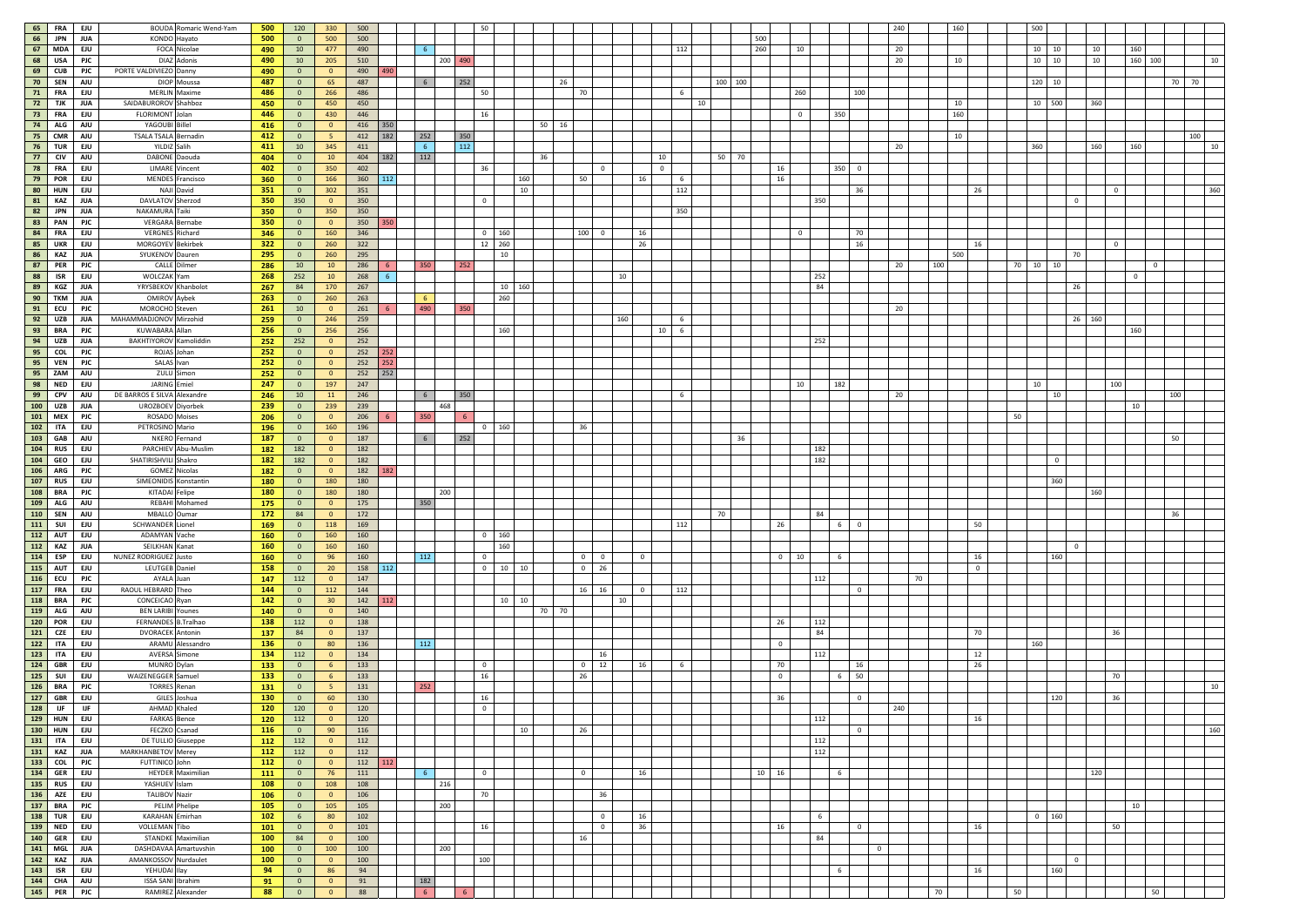| 65<br><b>FRA</b><br><b>EJU</b>  | <b>BOUDA</b> Romaric Wend-Yam | 500 | 120                     | 330                     | 500 |     |                 |     | 50             |              |    |                       |     |              |     |         |     |                |                 |                | 240 | 160 |              |    | 500            |                |                |         |          |        |
|---------------------------------|-------------------------------|-----|-------------------------|-------------------------|-----|-----|-----------------|-----|----------------|--------------|----|-----------------------|-----|--------------|-----|---------|-----|----------------|-----------------|----------------|-----|-----|--------------|----|----------------|----------------|----------------|---------|----------|--------|
| 66<br><b>JPN</b><br><b>JUA</b>  | KONDO Hayato                  | 500 | $\overline{0}$          | 500                     | 500 |     |                 |     |                |              |    |                       |     |              |     |         | 500 |                |                 |                |     |     |              |    |                |                |                |         |          |        |
| 67<br><b>MDA</b><br>EJU         | FOCA Nicolae                  | 490 | $10\,$                  | 477                     | 490 |     | 6               |     |                |              |    |                       |     |              | 112 |         | 260 | 10             |                 |                | 20  |     |              |    | 10 10          | 10             | 160            |         |          |        |
| 68<br><b>USA</b><br>PJC         | <b>DIAZ Adonis</b>            | 490 | 10                      | 205                     | 510 |     | 200             | 490 |                |              |    |                       |     |              |     |         |     |                |                 |                | 20  | 10  |              |    | 10<br>10       | 10             |                | 160 100 |          | 10     |
| 69<br><b>CUB</b><br>PJC         | PORTE VALDIVIEZO Danny        | 490 | $\overline{0}$          | $\overline{0}$          | 490 | 490 |                 |     |                |              |    |                       |     |              |     |         |     |                |                 |                |     |     |              |    |                |                |                |         |          |        |
| 70<br><b>SEN</b><br>AJU         | DIOP Moussa                   | 487 | $\overline{0}$          | 65                      | 487 |     | 6               | 252 |                |              | 26 |                       |     |              |     | 100 100 |     |                |                 |                |     |     |              |    | 120 10         |                |                |         | 70<br>70 |        |
| 71<br><b>FRA</b><br>EJU         | <b>MERLIN</b> Maxime          | 486 | $\overline{0}$          | 266                     | 486 |     |                 |     | 50             |              |    | 70                    |     |              | 6   |         |     | 260            |                 | 100            |     |     |              |    |                |                |                |         |          |        |
| 72<br><b>TJK</b><br><b>JUA</b>  | SAIDABUROROV Shahboz          | 450 | $\overline{0}$          | 450                     | 450 |     |                 |     |                |              |    |                       |     |              |     |         |     |                |                 |                |     | 10  |              |    | 10 500         | 360            |                |         |          |        |
|                                 |                               |     |                         |                         |     |     |                 |     |                |              |    |                       |     |              | 10  |         |     |                |                 |                |     |     |              |    |                |                |                |         |          |        |
| 73<br><b>FRA</b><br><b>EJU</b>  | FLORIMONT Jolan               | 446 | $\overline{0}$          | 430                     | 446 |     |                 |     | 16             |              |    |                       |     |              |     |         |     | $\circ$        | 350             |                |     | 160 |              |    |                |                |                |         |          |        |
| 74<br><b>ALG</b><br>AJU         | YAGOUBI Billel                | 416 | $\overline{0}$          | $\mathbf{0}$            | 416 | 350 |                 |     |                | 50           | 16 |                       |     |              |     |         |     |                |                 |                |     |     |              |    |                |                |                |         |          |        |
| 75<br><b>CMR</b><br><b>AJU</b>  | TSALA TSALA Bernadin          | 412 | $\overline{0}$          | 5                       | 412 | 182 | 252             | 350 |                |              |    |                       |     |              |     |         |     |                |                 |                |     | 10  |              |    |                |                |                |         | 100      |        |
| 76<br><b>TUR</b><br><b>EJU</b>  | YILDIZ Salih                  | 411 | 10                      | 345                     | 411 |     | 6 <sup>1</sup>  | 112 |                |              |    |                       |     |              |     |         |     |                |                 |                | 20  |     |              |    | 360            | 160            | 160            |         |          | $10\,$ |
| 77<br><b>CIV</b><br>AJU         | DABONE Daouda                 | 404 | $\overline{0}$          | 10                      | 404 | 182 | 112             |     |                | 36           |    |                       |     | 10           |     | 50      | 70  |                |                 |                |     |     |              |    |                |                |                |         |          |        |
| 78<br><b>FRA</b><br>EJU         | <b>LIMARE</b> Vincent         | 402 | $\overline{0}$          | 350                     | 402 |     |                 |     | 36             |              |    | $\overline{0}$        |     | $\circ$      |     |         |     | 16             | 350             | $\overline{0}$ |     |     |              |    |                |                |                |         |          |        |
| 79<br>POR<br>EJU                | MENDES Francisco              | 360 | $\overline{0}$          | 166                     | 360 | 112 |                 |     |                | 160          |    | 50                    |     | 16           | 6   |         |     | 16             |                 |                |     |     |              |    |                |                |                |         |          |        |
|                                 | NAJI David                    |     |                         |                         |     |     |                 |     |                |              |    |                       |     |              |     |         |     |                |                 |                |     |     |              |    |                |                |                |         |          | 360    |
| 80<br><b>HUN</b><br>EJU         |                               | 351 | $\overline{0}$          | 302                     | 351 |     |                 |     |                | 10           |    |                       |     |              | 112 |         |     |                |                 | 36             |     |     | 26           |    |                |                | $\overline{0}$ |         |          |        |
| 81<br><b>KAZ</b><br><b>JUA</b>  | DAVLATOV Sherzod              | 350 | 350                     | $\mathbf{0}$            | 350 |     |                 |     | $\circ$        |              |    |                       |     |              |     |         |     |                | 350             |                |     |     |              |    |                | $^{\circ}$     |                |         |          |        |
| 82<br><b>JPN</b><br><b>JUA</b>  | NAKAMURA Taiki                | 350 | $\overline{0}$          | 350                     | 350 |     |                 |     |                |              |    |                       |     |              | 350 |         |     |                |                 |                |     |     |              |    |                |                |                |         |          |        |
| 83<br>PAN<br>PJC                | VERGARA Bernabe               | 350 | $\overline{0}$          | $\overline{0}$          | 350 | 350 |                 |     |                |              |    |                       |     |              |     |         |     |                |                 |                |     |     |              |    |                |                |                |         |          |        |
| 84<br><b>FRA</b><br>EJU         | <b>VERGNES</b> Richard        | 346 | $\overline{0}$          | 160                     | 346 |     |                 |     | $\circ$<br>160 |              |    | 100<br>$\overline{0}$ |     | 16           |     |         |     | $\mathbf{0}$   |                 | 70             |     |     |              |    |                |                |                |         |          |        |
| 85<br><b>UKR</b><br>EJU         | MORGOYEV Bekirbek             | 322 | $\overline{0}$          | 260                     | 322 |     |                 |     | 12 260         |              |    |                       |     | 26           |     |         |     |                |                 | 16             |     |     | 16           |    |                |                | $\circ$        |         |          |        |
| 86<br><b>KAZ</b><br><b>JUA</b>  | SYUKENOV Dauren               | 295 | $\overline{0}$          | 260                     | 295 |     |                 |     | $10\,$         |              |    |                       |     |              |     |         |     |                |                 |                |     | 500 |              |    |                | 70             |                |         |          |        |
| 87<br>PER<br>PJC                | CALLE Dilmer                  | 286 | 10                      | 10                      | 286 |     | 350             | 252 |                |              |    |                       |     |              |     |         |     |                |                 |                | 20  | 100 |              |    | 70 10 10       |                |                | $\circ$ |          |        |
|                                 |                               |     |                         |                         |     |     |                 |     |                |              |    |                       |     |              |     |         |     |                |                 |                |     |     |              |    |                |                |                |         |          |        |
| 88<br><b>ISR</b><br>EJU         | WOLCZAK Yam                   | 268 | 252                     | 10                      | 268 | 6   |                 |     |                |              |    |                       | 10  |              |     |         |     |                | 252             |                |     |     |              |    |                |                | $\circ$        |         |          |        |
| 89<br>KGZ<br><b>JUA</b>         | YRYSBEKOV Khanbolot           | 267 | 84                      | 170                     | 267 |     |                 |     |                | 10 160       |    |                       |     |              |     |         |     |                | 84              |                |     |     |              |    |                | 26             |                |         |          |        |
| 90<br><b>TKM</b><br><b>JUA</b>  | OMIROV Aybek                  | 263 | $\overline{0}$          | 260                     | 263 |     | 6 <sup>5</sup>  |     | 260            |              |    |                       |     |              |     |         |     |                |                 |                |     |     |              |    |                |                |                |         |          |        |
| ECU<br>91<br>PJC                | MOROCHO Steven                | 261 | 10                      | $\overline{0}$          | 261 |     | 490             | 350 |                |              |    |                       |     |              |     |         |     |                |                 |                | 20  |     |              |    |                |                |                |         |          |        |
| 92<br>UZB<br><b>JUA</b>         | MAHAMMADJONOV Mirzohid        | 259 | $\circ$                 | 246                     | 259 |     |                 |     |                |              |    |                       | 160 |              | 6   |         |     |                |                 |                |     |     |              |    |                | 160<br>26      |                |         |          |        |
| 93<br><b>BRA</b><br>PJC         | KUWABARA Allan                | 256 | $\overline{0}$          | 256                     | 256 |     |                 |     | 160            |              |    |                       |     | 10           | 6   |         |     |                |                 |                |     |     |              |    |                |                | 160            |         |          |        |
| 94<br><b>UZB</b><br><b>JUA</b>  | BAKHTIYOROV Kamoliddin        | 252 | 252                     | $\overline{0}$          | 252 |     |                 |     |                |              |    |                       |     |              |     |         |     |                | 252             |                |     |     |              |    |                |                |                |         |          |        |
| 95<br><b>COL</b><br>PJC         | ROJAS Johan                   | 252 | $\overline{0}$          | $\overline{0}$          | 252 | 252 |                 |     |                |              |    |                       |     |              |     |         |     |                |                 |                |     |     |              |    |                |                |                |         |          |        |
| 95<br><b>VEN</b><br>PJC         | SALAS Ivan                    | 252 | $\overline{0}$          | $\overline{0}$          | 252 | 252 |                 |     |                |              |    |                       |     |              |     |         |     |                |                 |                |     |     |              |    |                |                |                |         |          |        |
|                                 |                               |     |                         |                         |     |     |                 |     |                |              |    |                       |     |              |     |         |     |                |                 |                |     |     |              |    |                |                |                |         |          |        |
| 95<br>ZAM<br>AJU                | ZULU Simon                    | 252 | $\overline{0}$          | $\overline{0}$          | 252 | 252 |                 |     |                |              |    |                       |     |              |     |         |     |                |                 |                |     |     |              |    |                |                |                |         |          |        |
| 98<br><b>NED</b><br>EJU         | JARING Emiel                  | 247 | $\overline{0}$          | 197                     | 247 |     |                 |     |                |              |    |                       |     |              |     |         |     | 10             | 182             |                |     |     |              |    | 10             |                | 100            |         |          |        |
| 99<br><b>CPV</b><br>AJU         | DE BARROS E SILVA Alexandre   | 246 | 10                      | 11                      | 246 |     | $6\overline{6}$ | 350 |                |              |    |                       |     |              | 6   |         |     |                |                 |                | 20  |     |              |    | 10             |                |                |         | 100      |        |
| 100<br><b>UZB</b><br><b>JUA</b> | UROZBOEV Diyorbek             | 239 | $\overline{0}$          | 239                     | 239 |     | 468             |     |                |              |    |                       |     |              |     |         |     |                |                 |                |     |     |              |    |                |                | 10             |         |          |        |
| 101<br><b>MEX</b><br>PJC        | ROSADO Moises                 | 206 | $\overline{0}$          | $\overline{0}$          | 206 |     | 350             | 6   |                |              |    |                       |     |              |     |         |     |                |                 |                |     |     |              | 50 |                |                |                |         |          |        |
| 102<br><b>ITA</b><br>EJU        | PETROSINO Mario               | 196 | $\overline{0}$          | 160                     | 196 |     |                 |     | $0 \quad 160$  |              |    | 36                    |     |              |     |         |     |                |                 |                |     |     |              |    |                |                |                |         |          |        |
| 103<br>GAB<br>AJU               | NKERO Fernand                 | 187 | $\overline{0}$          | $\overline{0}$          | 187 |     | $6\overline{6}$ | 252 |                |              |    |                       |     |              |     |         | 36  |                |                 |                |     |     |              |    |                |                |                |         | 50       |        |
| 104<br><b>RUS</b><br>EJU        | PARCHIEV Abu-Muslim           | 182 | 182                     | $\overline{0}$          | 182 |     |                 |     |                |              |    |                       |     |              |     |         |     |                | 182             |                |     |     |              |    |                |                |                |         |          |        |
| 104 GEO<br>EJU                  | SHATIRISHVILI Shakro          | 182 | 182                     | $\overline{0}$          | 182 |     |                 |     |                |              |    |                       |     |              |     |         |     |                | 182             |                |     |     |              |    | $\overline{0}$ |                |                |         |          |        |
|                                 |                               |     |                         |                         |     |     |                 |     |                |              |    |                       |     |              |     |         |     |                |                 |                |     |     |              |    |                |                |                |         |          |        |
| 106<br><b>ARG</b><br>PJC        | <b>GOMEZ Nicolas</b>          | 182 | $\overline{0}$          | $\mathbf{0}$            | 182 | 182 |                 |     |                |              |    |                       |     |              |     |         |     |                |                 |                |     |     |              |    |                |                |                |         |          |        |
| 107<br><b>RUS</b><br>EJU        | SIMEONIDIS Konstantin         | 180 | $\overline{0}$          | 180                     | 180 |     |                 |     |                |              |    |                       |     |              |     |         |     |                |                 |                |     |     |              |    | 360            |                |                |         |          |        |
| 108<br><b>BRA</b><br>PJC        | <b>KITADAI</b> Felipe         | 180 | $\overline{0}$          | 180                     | 180 |     | 200             |     |                |              |    |                       |     |              |     |         |     |                |                 |                |     |     |              |    |                | 160            |                |         |          |        |
| 109<br><b>ALG</b><br><b>AJU</b> | REBAHI Mohamed                | 175 | $\overline{0}$          | $\overline{0}$          | 175 |     | 350             |     |                |              |    |                       |     |              |     |         |     |                |                 |                |     |     |              |    |                |                |                |         |          |        |
| 110<br><b>SEN</b><br>AJU        | MBALLO Oumar                  | 172 | 84                      | $\overline{0}$          | 172 |     |                 |     |                |              |    |                       |     |              |     | 70      |     |                | 84              |                |     |     |              |    |                |                |                |         | 36       |        |
| $111$<br><b>SUI</b><br>EJU      | SCHWANDER Lionel              | 169 | $\mathbf 0$             | $118\,$                 | 169 |     |                 |     |                |              |    |                       |     |              | 112 |         |     | 26             |                 | $6 \quad 0$    |     |     | 50           |    |                |                |                |         |          |        |
| 112 AUT<br><b>EJU</b>           | ADAMYAN Vache                 | 160 | $\overline{0}$          | 160                     | 160 |     |                 |     | $0 \mid 160$   |              |    |                       |     |              |     |         |     |                |                 |                |     |     |              |    |                |                |                |         |          |        |
| 112<br><b>KAZ</b><br><b>JUA</b> | SEILKHAN Kanat                | 160 | $\overline{0}$          | 160                     | 160 |     |                 |     | 160            |              |    |                       |     |              |     |         |     |                |                 |                |     |     |              |    |                | $\overline{0}$ |                |         |          |        |
| 114<br>ESP<br><b>EJU</b>        | NUNEZ RODRIGUEZ Justo         | 160 | $\overline{0}$          | 96                      | 160 |     | 112             |     | $\overline{0}$ |              |    | $\overline{0}$ 0      |     | $\mathbf{0}$ |     |         |     | $\circ$<br>10  | 6               |                |     |     | 16           |    | 160            |                |                |         |          |        |
| 115<br><b>AUT</b><br><b>EJU</b> | LEUTGEB Daniel                |     | $\overline{0}$          | 20                      | 158 | 112 |                 |     | $\overline{0}$ | 10 10        |    | $0 \mid 26$           |     |              |     |         |     |                |                 |                |     |     | $\mathbf{0}$ |    |                |                |                |         |          |        |
|                                 |                               | 158 |                         |                         |     |     |                 |     |                |              |    |                       |     |              |     |         |     |                |                 |                |     |     |              |    |                |                |                |         |          |        |
| 116<br>ECU<br>PJC               | AYALA Juan                    | 147 | 112                     | $\overline{0}$          | 147 |     |                 |     |                |              |    |                       |     |              |     |         |     |                | 112             |                | 70  |     |              |    |                |                |                |         |          |        |
| 117<br><b>FRA</b><br>EJU        | RAOUL HEBRARD Theo            | 144 | $\overline{0}$          | $112\,$                 | 144 |     |                 |     |                |              |    | 16 16                 |     | $\circ$      | 112 |         |     |                |                 | $\circ$        |     |     |              |    |                |                |                |         |          |        |
| 118<br><b>BRA</b><br>PJC        | CONCEICAO Ryan                | 142 | $\overline{0}$          | 30 <sub>2</sub>         | 142 |     |                 |     |                | $10 \mid 10$ |    |                       | 10  |              |     |         |     |                |                 |                |     |     |              |    |                |                |                |         |          |        |
| 119<br><b>ALG</b><br>AJU        | <b>BEN LARIBI Younes</b>      | 140 | $\overline{0}$          | $\overline{0}$          | 140 |     |                 |     |                | 70           | 70 |                       |     |              |     |         |     |                |                 |                |     |     |              |    |                |                |                |         |          |        |
| 120<br>POR<br><b>EJU</b>        | FERNANDES B.Tralhao           | 138 | 112                     | $\overline{0}$          | 138 |     |                 |     |                |              |    |                       |     |              |     |         |     | 26             | 112             |                |     |     |              |    |                |                |                |         |          |        |
| 121<br>CZE<br>EJU               | <b>DVORACEK</b> Antonin       | 137 | 84                      | $\overline{0}$          | 137 |     |                 |     |                |              |    |                       |     |              |     |         |     |                | 84              |                |     |     | 70           |    |                |                | 36             |         |          |        |
| 122<br><b>ITA</b><br>EJU        | ARAMU Alessandro              | 136 | $\overline{0}$          | 80                      | 136 |     | 112             |     |                |              |    |                       |     |              |     |         |     | $\overline{0}$ |                 |                |     |     |              |    | 160            |                |                |         |          |        |
| 123<br><b>ITA</b><br>EJU        | AVERSA Simone                 | 134 | 112                     | $\overline{0}$          | 134 |     |                 |     |                |              |    | 16                    |     |              |     |         |     |                | 112             |                |     |     | 12           |    |                |                |                |         |          |        |
| 124<br>GBR<br>EJU               | MUNRO Dylan                   | 133 | $\overline{0}$          | 6                       | 133 |     |                 |     | $\mathbf{0}$   |              |    | $\overline{0}$<br>12  |     | 16           | 6   |         |     | 70             |                 | 16             |     |     | 26           |    |                |                |                |         |          |        |
| 125<br>SUI<br>EJU               | WAIZENEGGER Samuel            | 133 | $\overline{0}$          | $6\phantom{1}$          | 133 |     |                 |     | 16             |              |    | 26                    |     |              |     |         |     | $\circ$        | $6\overline{6}$ | 50             |     |     |              |    |                |                | 70             |         |          |        |
| 126<br><b>BRA</b><br>PJC        | <b>TORRES</b> Renan           | 131 | $\overline{0}$          | 5 <sub>1</sub>          | 131 |     | 252             |     |                |              |    |                       |     |              |     |         |     |                |                 |                |     |     |              |    |                |                |                |         |          | 10     |
|                                 |                               |     |                         |                         |     |     |                 |     |                |              |    |                       |     |              |     |         |     |                |                 |                |     |     |              |    |                |                |                |         |          |        |
| 127<br>GBR<br>EJU               | GILES Joshua                  | 130 | $\overline{0}$          | 60                      | 130 |     |                 |     | 16             |              |    |                       |     |              |     |         |     | 36             |                 | $\overline{0}$ |     |     |              |    | 120            |                | 36             |         |          |        |
| 128<br><b>IJF</b><br>IJF        | AHMAD Khaled                  | 120 | 120                     | $\overline{0}$          | 120 |     |                 |     | $\overline{0}$ |              |    |                       |     |              |     |         |     |                |                 |                | 240 |     |              |    |                |                |                |         |          |        |
| 129 HUN<br>EJU                  | <b>FARKAS</b> Bence           | 120 | 112                     | $\mathbf{0}$            | 120 |     |                 |     |                |              |    |                       |     |              |     |         |     |                | 112             |                |     |     | 16           |    |                |                |                |         |          |        |
| 130 HUN<br>EJU                  | FECZKO Csanad                 | 116 | $\overline{0}$          | 90                      | 116 |     |                 |     |                | 10           |    | 26                    |     |              |     |         |     |                |                 | $\overline{0}$ |     |     |              |    |                |                |                |         |          | 160    |
| 131 ITA<br>EJU                  | DE TULLIO Giuseppe            | 112 | 112                     | $\overline{\mathbf{0}}$ | 112 |     |                 |     |                |              |    |                       |     |              |     |         |     |                | 112             |                |     |     |              |    |                |                |                |         |          |        |
| 131 KAZ<br><b>JUA</b>           | MARKHANBETOV Merey            | 112 | 112                     | $\bullet$               | 112 |     |                 |     |                |              |    |                       |     |              |     |         |     |                | 112             |                |     |     |              |    |                |                |                |         |          |        |
| 133 COL<br>PJC                  | FUTTINICO John                | 112 | $\overline{\mathbf{0}}$ | $\bullet$               | 112 | 112 |                 |     |                |              |    |                       |     |              |     |         |     |                |                 |                |     |     |              |    |                |                |                |         |          |        |
| 134 GER<br>EJU                  | <b>HEYDER</b> Maximilian      | 111 | $\overline{\mathbf{0}}$ | 76                      | 111 |     | 6 <sup>1</sup>  |     | $\circ$        |              |    | $\overline{0}$        |     | 16           |     |         |     | $10 \mid 16$   | 6               |                |     |     |              |    |                | 120            |                |         |          |        |
|                                 |                               |     |                         |                         |     |     |                 |     |                |              |    |                       |     |              |     |         |     |                |                 |                |     |     |              |    |                |                |                |         |          |        |
| 135 RUS<br>EJU                  | YASHUEV Islam                 | 108 | $\overline{\mathbf{0}}$ | 108                     | 108 |     | 216             |     |                |              |    |                       |     |              |     |         |     |                |                 |                |     |     |              |    |                |                |                |         |          |        |
| 136 AZE<br>EJU                  | <b>TALIBOV</b> Nazir          | 106 | $\overline{0}$          | $\overline{0}$          | 106 |     |                 |     | 70             |              |    | 36                    |     |              |     |         |     |                |                 |                |     |     |              |    |                |                |                |         |          |        |
| 137 BRA<br>PJC                  | PELIM Phelipe                 | 105 | $\overline{\mathbf{0}}$ | 105                     | 105 |     | 200             |     |                |              |    |                       |     |              |     |         |     |                |                 |                |     |     |              |    |                |                | 10             |         |          |        |
| 138 TUR<br>EJU                  | KARAHAN Emirhan               | 102 | 6 <sup>6</sup>          | 80                      | 102 |     |                 |     |                |              |    | $\overline{0}$        |     | 16           |     |         |     |                | 6               |                |     |     |              |    | $0\quad 160$   |                |                |         |          |        |
| 139 NED<br>EJU                  | <b>VOLLEMAN</b> Tibo          | 101 | $\overline{\mathbf{0}}$ | $\bullet$               | 101 |     |                 |     | 16             |              |    | $\circ$               |     | 36           |     |         |     | 16             |                 | $\overline{0}$ |     |     | 16           |    |                |                | 50             |         |          |        |
| 140 GER<br>EJU                  | STANDKE Maximilian            | 100 | 84                      | $\overline{0}$          | 100 |     |                 |     |                |              |    | 16                    |     |              |     |         |     |                | 84              |                |     |     |              |    |                |                |                |         |          |        |
| 141 MGL<br><b>JUA</b>           | DASHDAVAA Amartuvshin         | 100 | $\overline{0}$          | 100                     | 100 |     | 200             |     |                |              |    |                       |     |              |     |         |     |                |                 | $\overline{0}$ |     |     |              |    |                |                |                |         |          |        |
| 142 KAZ<br>JUA                  | AMANKOSSOV Nurdaulet          | 100 | $\overline{0}$          | $\overline{0}$          | 100 |     |                 |     | 100            |              |    |                       |     |              |     |         |     |                |                 |                |     |     |              |    |                | $\overline{0}$ |                |         |          |        |
| 143 ISR                         | YEHUDAI Ilay                  |     |                         |                         |     |     |                 |     |                |              |    |                       |     |              |     |         |     |                | 6 <sup>1</sup>  |                |     |     |              |    | 160            |                |                |         |          |        |
| EJU                             |                               | 94  | $\overline{0}$          | 86                      | 94  |     |                 |     |                |              |    |                       |     |              |     |         |     |                |                 |                |     |     | 16           |    |                |                |                |         |          |        |
| 144 CHA<br><b>AJU</b>           | ISSA SANI Ibrahim             | 91  | $\overline{0}$          | $\overline{0}$          | 91  |     | 182             |     |                |              |    |                       |     |              |     |         |     |                |                 |                |     |     |              |    |                |                |                |         |          |        |
| 145 PER<br><b>PJC</b>           | RAMIREZ Alexander             | 88  | $\overline{0}$          | $\overline{0}$          | 88  |     | 6 <sup>1</sup>  | 6   |                |              |    |                       |     |              |     |         |     |                |                 |                |     | 70  |              | 50 |                |                |                | 50      |          |        |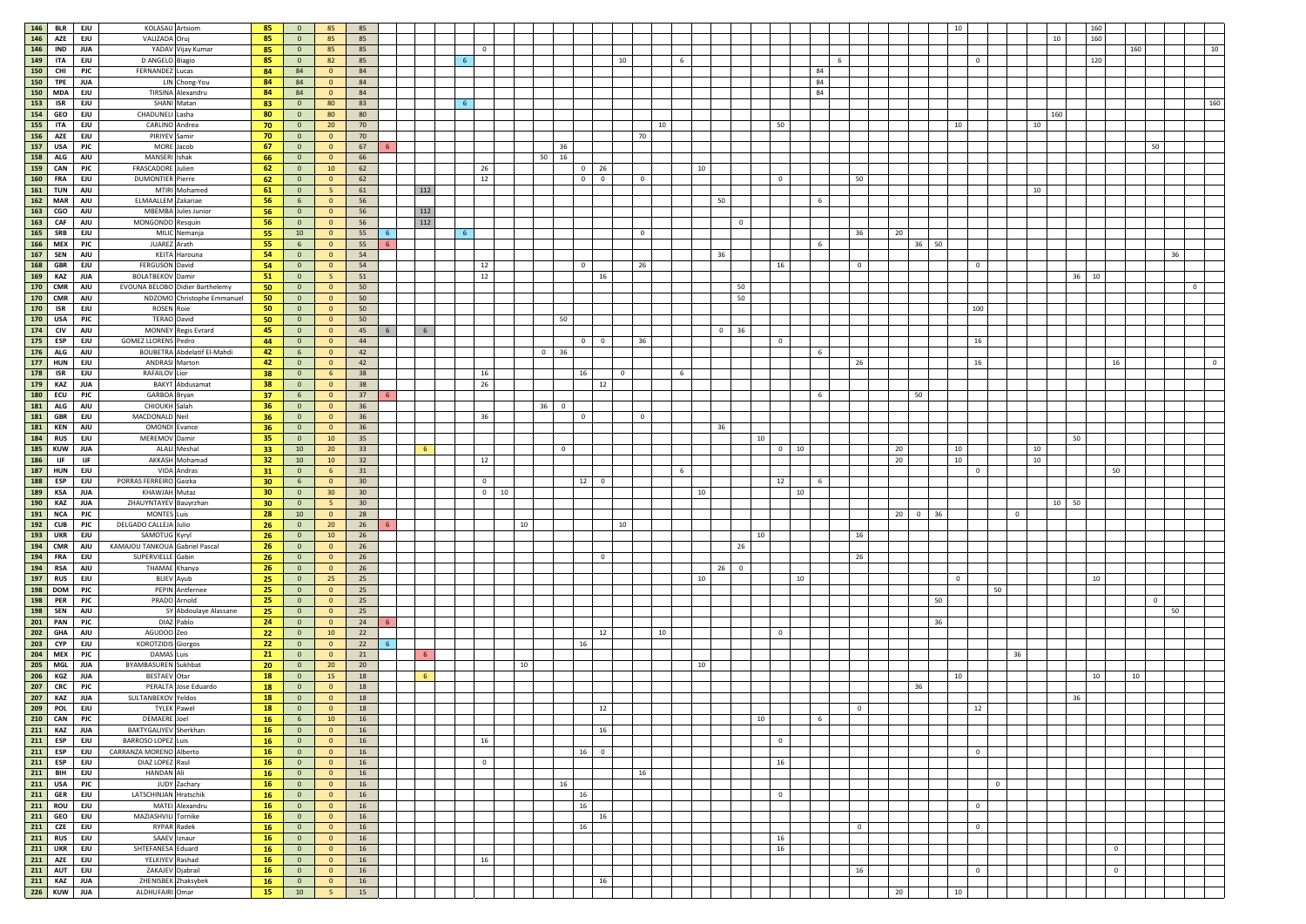| 146<br><b>BLR</b><br><b>EJU</b>                              | KOLASAU Artsiom                        | 85        | $\overline{0}$          | 85                               | 85              |    |             |                |                      |                |                |                |                |   |    |                         |                |    |                |         |       | 10             |                |        |     |       | 160            |     |         |         |
|--------------------------------------------------------------|----------------------------------------|-----------|-------------------------|----------------------------------|-----------------|----|-------------|----------------|----------------------|----------------|----------------|----------------|----------------|---|----|-------------------------|----------------|----|----------------|---------|-------|----------------|----------------|--------|-----|-------|----------------|-----|---------|---------|
| 146<br>AZE<br>EJU                                            | VALIZADA Oruj                          | 85        | $\overline{0}$          | 85                               | 85              |    |             |                |                      |                |                |                |                |   |    |                         |                |    |                |         |       |                |                |        | 10  |       | 160            |     |         |         |
| 146<br><b>IND</b><br><b>JUA</b>                              | YADAV Vijay Kumar                      | 85        | $\overline{0}$          | 85                               | 85              |    |             |                | $\circ$              |                |                |                |                |   |    |                         |                |    |                |         |       |                |                |        |     |       |                | 160 |         | $10\,$  |
|                                                              |                                        |           |                         |                                  |                 |    |             |                |                      |                |                |                |                |   |    |                         |                |    |                |         |       |                |                |        |     |       |                |     |         |         |
| 149<br><b>ITA</b><br>EJU                                     | D ANGELO Biagio                        | 85        | $\overline{0}$          | 82                               | 85              |    |             | 6 <sup>1</sup> |                      |                |                | 10             |                | 6 |    |                         |                |    | 6              |         |       | $\mathbf{0}$   |                |        |     |       | 120            |     |         |         |
| 150<br>CHI<br>PJC                                            | FERNANDEZ Lucas                        | 84        | 84                      | $\overline{0}$                   | 84              |    |             |                |                      |                |                |                |                |   |    |                         |                | 84 |                |         |       |                |                |        |     |       |                |     |         |         |
| 150<br><b>TPE</b><br><b>JUA</b>                              | LIN Chong-You                          | 84        | 84                      | $\overline{0}$                   | 84              |    |             |                |                      |                |                |                |                |   |    |                         |                | 84 |                |         |       |                |                |        |     |       |                |     |         |         |
| 150<br><b>MDA</b><br>EJU                                     | TIRSINA Alexandru                      | 84        | 84                      | $\circ$                          | 84              |    |             |                |                      |                |                |                |                |   |    |                         |                | 84 |                |         |       |                |                |        |     |       |                |     |         |         |
| 153<br><b>ISR</b><br>EJU                                     | SHANI Matan                            | 83        | $\overline{0}$          | 80                               | 83              |    |             | $6^{\circ}$    |                      |                |                |                |                |   |    |                         |                |    |                |         |       |                |                |        |     |       |                |     |         | 160     |
|                                                              |                                        |           |                         |                                  |                 |    |             |                |                      |                |                |                |                |   |    |                         |                |    |                |         |       |                |                |        |     |       |                |     |         |         |
| 154<br>GEO<br>EJU                                            | CHADUNELI Lasha                        | 80        | $\overline{0}$          | 80                               | 80              |    |             |                |                      |                |                |                |                |   |    |                         |                |    |                |         |       |                |                |        | 160 |       |                |     |         |         |
| 155<br><b>ITA</b><br>EJU                                     | CARLINO Andrea                         | 70        | $\overline{0}$          | 20 <sub>2</sub>                  | 70              |    |             |                |                      |                |                |                | 10             |   |    |                         | 50             |    |                |         |       | 10             |                | 10     |     |       |                |     |         |         |
| 156<br>AZE<br>EJU                                            | PIRIYEV Samir                          | 70        | $\overline{0}$          | $\mathbf{0}$                     | 70              |    |             |                |                      |                |                |                | 70             |   |    |                         |                |    |                |         |       |                |                |        |     |       |                |     |         |         |
| 157<br><b>USA</b><br>PJC                                     | MORE Jacob                             | 67        | $\overline{0}$          | $\overline{0}$                   | 67              |    |             |                |                      |                | 36             |                |                |   |    |                         |                |    |                |         |       |                |                |        |     |       |                | 50  |         |         |
|                                                              |                                        |           |                         |                                  |                 |    |             |                |                      |                |                |                |                |   |    |                         |                |    |                |         |       |                |                |        |     |       |                |     |         |         |
| 158<br><b>ALG</b><br>AJU                                     | MANSERI Ishak                          | 66        | $\overline{0}$          | $\overline{0}$                   | 66              |    |             |                |                      | 50             | 16             |                |                |   |    |                         |                |    |                |         |       |                |                |        |     |       |                |     |         |         |
| 159<br>CAN<br>PJC                                            | FRASCADORE Julien                      | 62        | $\overline{0}$          | $10$                             | 62              |    |             |                | 26                   |                | $\overline{0}$ | 26             |                |   | 10 |                         |                |    |                |         |       |                |                |        |     |       |                |     |         |         |
| 160<br><b>FRA</b><br>EJU                                     | <b>DUMONTIER Pierre</b>                | 62        | $\overline{0}$          | $\circ$                          | 62              |    |             |                | 12                   |                | $\overline{0}$ | $\circ$        | $\overline{0}$ |   |    |                         | $\circ$        |    | 50             |         |       |                |                |        |     |       |                |     |         |         |
| 161<br><b>TUN</b><br>AJU                                     | MTIRI Mohamed                          | 61        | $\mathbf 0$             | 5                                | 61              |    | 112         |                |                      |                |                |                |                |   |    |                         |                |    |                |         |       |                |                | 10     |     |       |                |     |         |         |
| <b>AJU</b>                                                   | ELMAALLEM Zakariae                     | 56        | 6                       |                                  |                 |    |             |                |                      |                |                |                |                |   |    |                         |                |    |                |         |       |                |                |        |     |       |                |     |         |         |
| 162 MAR                                                      |                                        |           |                         | $\mathbf{0}$                     | 56              |    |             |                |                      |                |                |                |                |   | 50 |                         |                | 6  |                |         |       |                |                |        |     |       |                |     |         |         |
| 163<br>CGO<br>AJU                                            | MBEMBA Jules Junior                    | 56        | $\overline{0}$          | $\circ$                          | 56              |    | 112         |                |                      |                |                |                |                |   |    |                         |                |    |                |         |       |                |                |        |     |       |                |     |         |         |
| 163<br>CAF<br><b>AJU</b>                                     | MONGONDO Resquin                       | 56        | $\overline{0}$          | $\overline{0}$                   | 56              |    | 112         |                |                      |                |                |                |                |   |    | $\overline{\mathbf{0}}$ |                |    |                |         |       |                |                |        |     |       |                |     |         |         |
| 165<br><b>SRB</b><br>EJU                                     | MILIC Nemanja                          | 55        | 10                      | $\overline{0}$                   | 55              | 6. |             | $6^{\circ}$    |                      |                |                |                | $\circ$        |   |    |                         |                |    | 36             | 20      |       |                |                |        |     |       |                |     |         |         |
| 166<br><b>MEX</b><br>PJC                                     | JUAREZ Arath                           | 55        | $6\overline{6}$         | $\circ$                          | 55              |    |             |                |                      |                |                |                |                |   |    |                         |                | 6  |                |         | 36 50 |                |                |        |     |       |                |     |         |         |
|                                                              |                                        |           |                         |                                  |                 |    |             |                |                      |                |                |                |                |   |    |                         |                |    |                |         |       |                |                |        |     |       |                |     |         |         |
| 167<br><b>SEN</b><br>AJU                                     | KEITA Harouna                          | 54        | $\overline{0}$          | $\circ$                          | 54              |    |             |                |                      |                |                |                |                |   | 36 |                         |                |    |                |         |       |                |                |        |     |       |                |     | 36      |         |
| 168 GBR<br><b>EJU</b>                                        | FERGUSON David                         | 54        | $\overline{0}$          | $\overline{0}$                   | 54              |    |             |                | 12                   |                | $\mathbf 0$    |                | 26             |   |    |                         | 16             |    | $\circ$        |         |       | $\mathbf{0}$   |                |        |     |       |                |     |         |         |
| 169<br><b>KAZ</b><br><b>JUA</b>                              | <b>BOLATBEKOV</b> Damir                | 51        | $\overline{0}$          | 5 <sub>1</sub>                   | 51              |    |             |                | 12                   |                |                | 16             |                |   |    |                         |                |    |                |         |       |                |                |        |     | 36 10 |                |     |         |         |
| 170<br><b>CMR</b><br>AJU                                     | EVOUNA BELOBO Didier Barthelemy        | 50        | $\overline{0}$          | $\overline{0}$                   | 50              |    |             |                |                      |                |                |                |                |   |    | 50                      |                |    |                |         |       |                |                |        |     |       |                |     | $\circ$ |         |
| 170<br><b>CMR</b><br><b>AJU</b>                              | NDZOMO Christophe Emmanuel             | 50        | $\overline{0}$          | $\overline{0}$                   | 50              |    |             |                |                      |                |                |                |                |   |    | 50                      |                |    |                |         |       |                |                |        |     |       |                |     |         |         |
|                                                              |                                        |           |                         |                                  |                 |    |             |                |                      |                |                |                |                |   |    |                         |                |    |                |         |       |                |                |        |     |       |                |     |         |         |
| 170<br><b>ISR</b><br>EJU                                     | ROSEN Roie                             | 50        | $\overline{0}$          | $\overline{0}$                   | 50              |    |             |                |                      |                |                |                |                |   |    |                         |                |    |                |         |       | 100            |                |        |     |       |                |     |         |         |
| 170<br><b>USA</b><br>PJC                                     | <b>TERAO</b> David                     | 50        | $\mathbf 0$             | $\mathbf{0}$                     | 50              |    |             |                |                      |                | 50             |                |                |   |    |                         |                |    |                |         |       |                |                |        |     |       |                |     |         |         |
| 174<br><b>CIV</b><br>AJU                                     | <b>MONNEY Regis Evrard</b>             | 45        | $\overline{0}$          | $\mathbf{0}$                     | 45              |    | 6           |                |                      |                |                |                |                |   |    | $0 \quad 36$            |                |    |                |         |       |                |                |        |     |       |                |     |         |         |
| 175<br><b>ESP</b><br>EJU                                     | GOMEZ LLORENS Pedro                    | 44        | $\overline{0}$          | $\overline{0}$                   | 44              |    |             |                |                      |                | $\mathbf{0}$   | $\circ$        | 36             |   |    |                         | $\overline{0}$ |    |                |         |       | 16             |                |        |     |       |                |     |         |         |
|                                                              |                                        |           |                         |                                  |                 |    |             |                |                      |                |                |                |                |   |    |                         |                |    |                |         |       |                |                |        |     |       |                |     |         |         |
| 176<br><b>ALG</b><br>AJU                                     | BOUBETRA Abdelatif El-Mahdi            | 42        | $6\overline{6}$         | $\overline{0}$                   | 42              |    |             |                |                      | $\overline{0}$ | 36             |                |                |   |    |                         |                | 6  |                |         |       |                |                |        |     |       |                |     |         |         |
| 177<br><b>HUN</b><br>EJU                                     | ANDRASI Marton                         | 42        | $\overline{0}$          | $\circ$                          | 42              |    |             |                |                      |                |                |                |                |   |    |                         |                |    | 26             |         |       | 16             |                |        |     |       | 16             |     |         | $\circ$ |
| 178<br><b>ISR</b><br>EJU                                     | RAFAILOV Lior                          | 38        | $\overline{0}$          | $6\overline{6}$                  | 38              |    |             |                | 16                   |                | 16             | $^{\circ}$     |                | 6 |    |                         |                |    |                |         |       |                |                |        |     |       |                |     |         |         |
| 179<br><b>KAZ</b><br><b>JUA</b>                              | <b>BAKYT</b> Abdusamat                 | 38        | $\overline{0}$          | $\overline{0}$                   | 38              |    |             |                | 26                   |                |                | 12             |                |   |    |                         |                |    |                |         |       |                |                |        |     |       |                |     |         |         |
| 180<br>ECU<br>PJC                                            | GARBOA Bryan                           | 37        | 6 <sup>5</sup>          | $\mathbf 0$                      | 37              |    |             |                |                      |                |                |                |                |   |    |                         |                | 6  |                | 50      |       |                |                |        |     |       |                |     |         |         |
|                                                              |                                        |           |                         |                                  |                 |    |             |                |                      |                |                |                |                |   |    |                         |                |    |                |         |       |                |                |        |     |       |                |     |         |         |
| 181<br><b>ALG</b><br><b>AJU</b>                              | CHIOUKH Salah                          | 36        | $\overline{0}$          | $\mathbf{0}$                     | 36              |    |             |                |                      | 36             | $\overline{0}$ |                |                |   |    |                         |                |    |                |         |       |                |                |        |     |       |                |     |         |         |
| 181<br><b>GBR</b><br><b>EJU</b>                              | MACDONALD Neil                         | 36        | $\overline{0}$          | $\overline{0}$                   | 36              |    |             |                | 36                   |                | $\mathbf{0}$   |                | $\mathbf 0$    |   |    |                         |                |    |                |         |       |                |                |        |     |       |                |     |         |         |
| 181<br><b>KEN</b><br>AJU                                     | OMONDI Evance                          | 36        | $\overline{0}$          | $\circ$                          | 36              |    |             |                |                      |                |                |                |                |   | 36 |                         |                |    |                |         |       |                |                |        |     |       |                |     |         |         |
| 184<br><b>RUS</b><br>EJU                                     | MEREMOV Damir                          | 35        | $\overline{0}$          | 10                               | 35              |    |             |                |                      |                |                |                |                |   |    | 10                      |                |    |                |         |       |                |                |        |     | 50    |                |     |         |         |
|                                                              |                                        |           |                         |                                  |                 |    | 6           |                |                      |                |                |                |                |   |    |                         |                |    |                |         |       |                |                |        |     |       |                |     |         |         |
| 185<br><b>KUW</b><br><b>JUA</b>                              | ALALI Meshal                           | 33        | 10                      | 20                               | 33              |    |             |                |                      |                | $\mathbf 0$    |                |                |   |    |                         | $\circ$<br>10  |    |                | 20      |       | 10             |                | $10\,$ |     |       |                |     |         |         |
| 186<br><b>IJF</b><br>IJF                                     | AKKASH Mohamad                         | 32        | 10                      | 10                               | 32              |    |             |                | 12                   |                |                |                |                |   |    |                         |                |    |                | 20      |       | 10             |                | 10     |     |       |                |     |         |         |
| 187<br><b>HUN</b><br>EJU                                     | VIDA Andras                            | 31        | $\overline{0}$          | 6                                | 31              |    |             |                |                      |                |                |                |                | 6 |    |                         |                |    |                |         |       | $^{\circ}$     |                |        |     |       | 50             |     |         |         |
|                                                              |                                        |           |                         |                                  |                 |    |             |                |                      |                |                |                |                |   |    |                         |                |    |                |         |       |                |                |        |     |       |                |     |         |         |
|                                                              |                                        |           |                         |                                  |                 |    |             |                |                      |                |                |                |                |   |    |                         |                |    |                |         |       |                |                |        |     |       |                |     |         |         |
| 188<br>ESP<br>EJU                                            | PORRAS FERREIRO Gaizka                 | 30        | 6 <sup>5</sup>          | $\circ$                          | 30              |    |             |                | $\circ$              |                | 12             | $\mathbf{0}$   |                |   |    |                         | 12             | 6  |                |         |       |                |                |        |     |       |                |     |         |         |
| 189<br><b>KSA</b><br><b>JUA</b>                              | KHAWJAH Mutaz                          | 30        | $\overline{0}$          | 30 <sup>°</sup>                  | 30              |    |             |                | $\overline{0}$<br>10 |                |                |                |                |   | 10 |                         | $10\,$         |    |                |         |       |                |                |        |     |       |                |     |         |         |
| 190<br><b>KAZ</b><br><b>JUA</b>                              | ZHAUYNTAYEV Bauyrzhan                  | 30        | $\overline{0}$          | 5 <sub>1</sub>                   | 30 <sup>2</sup> |    |             |                |                      |                |                |                |                |   |    |                         |                |    |                |         |       |                |                |        |     | 10 50 |                |     |         |         |
| 191<br><b>NCA</b><br>PJC                                     | <b>MONTES</b> Luis                     | 28        | 10                      | $\overline{0}$                   | 28              |    |             |                |                      |                |                |                |                |   |    |                         |                |    |                | 20 0 36 |       |                | $\mathbf{0}$   |        |     |       |                |     |         |         |
|                                                              | DELGADO CALLEJA Julio                  | 26        | $\overline{0}$          | 20 <sub>2</sub>                  | $26\,$          |    |             |                |                      | 10             |                | 10             |                |   |    |                         |                |    |                |         |       |                |                |        |     |       |                |     |         |         |
| 192<br><b>CUB</b><br>PJC                                     |                                        |           |                         |                                  |                 |    |             |                |                      |                |                |                |                |   |    |                         |                |    |                |         |       |                |                |        |     |       |                |     |         |         |
| 193<br><b>UKR</b><br>EJU                                     | SAMOTUG Kyryl                          | 26        | $\overline{0}$          | 10 <sup>°</sup>                  | 26              |    |             |                |                      |                |                |                |                |   |    | 10                      |                |    | 16             |         |       |                |                |        |     |       |                |     |         |         |
| 194<br><b>CMR</b><br>AJU                                     | KAMAJOU TANKOUA Gabriel Pascal         | 26        | $\overline{0}$          | $\circ$                          | 26              |    |             |                |                      |                |                |                |                |   |    | 26                      |                |    |                |         |       |                |                |        |     |       |                |     |         |         |
| 194<br><b>FRA</b><br><b>EJU</b>                              | SUPERVIELLE Gabin                      | 26        | $\overline{0}$          | $\overline{0}$                   | 26              |    |             |                |                      |                |                | $\mathbf{0}$   |                |   |    |                         |                |    | 26             |         |       |                |                |        |     |       |                |     |         |         |
| 194<br><b>RSA</b><br><b>AJU</b>                              | THAMAE Khanya                          | 26        | $\overline{0}$          | $\overline{0}$                   | 26              |    |             |                |                      |                |                |                |                |   | 26 | $\overline{\mathbf{0}}$ |                |    |                |         |       |                |                |        |     |       |                |     |         |         |
|                                                              |                                        |           |                         |                                  |                 |    |             |                |                      |                |                |                |                |   | 10 |                         | 10             |    |                |         |       | $\mathbf{0}$   |                |        |     |       | 10             |     |         |         |
| 197<br><b>RUS</b><br>EJU                                     | <b>BLIEV Ayub</b>                      | 25        | $\overline{0}$          | 25                               | 25              |    |             |                |                      |                |                |                |                |   |    |                         |                |    |                |         |       |                |                |        |     |       |                |     |         |         |
| 198 DOM<br>PJC                                               | PEPIN Antfernee                        | 25        | $\overline{0}$          | $\overline{0}$                   | 25              |    |             |                |                      |                |                |                |                |   |    |                         |                |    |                |         |       |                | 50             |        |     |       |                |     |         |         |
| 198<br>PER<br>PJC                                            | PRADO Arnold                           | 25        | $\overline{0}$          | $\overline{0}$                   | 25              |    |             |                |                      |                |                |                |                |   |    |                         |                |    |                |         | 50    |                |                |        |     |       |                | 0   |         |         |
| 198<br><b>SEN</b><br><b>AJU</b>                              | SY Abdoulaye Alassane                  | 25        | $\overline{0}$          | $\overline{0}$                   | 25              |    |             |                |                      |                |                |                |                |   |    |                         |                |    |                |         |       |                |                |        |     |       |                |     | 50      |         |
| 201<br>PAN<br>PJC                                            | DIAZ Pablo                             | 24        | $\overline{0}$          | $\overline{0}$                   | 24              |    |             |                |                      |                |                |                |                |   |    |                         |                |    |                |         | 36    |                |                |        |     |       |                |     |         |         |
| 202<br><b>GHA</b><br><b>AJU</b>                              | AGUDOO Zeo                             | 22        | $\overline{0}$          | 10                               | 22              |    |             |                |                      |                |                | 12             | 10             |   |    |                         | $\circ$        |    |                |         |       |                |                |        |     |       |                |     |         |         |
|                                                              |                                        |           |                         |                                  |                 |    |             |                |                      |                |                |                |                |   |    |                         |                |    |                |         |       |                |                |        |     |       |                |     |         |         |
| 203<br><b>CYP</b><br>EJU                                     | <b>KOROTZIDIS</b> Giorgos              | 22        | $\overline{0}$          | $\overline{0}$                   | 22              |    |             |                |                      |                | 16             |                |                |   |    |                         |                |    |                |         |       |                |                |        |     |       |                |     |         |         |
| 204 MEX<br>PJC                                               | DAMAS Luis                             | 21        | $\overline{0}$          | $\overline{0}$                   | 21              |    | 6           |                |                      |                |                |                |                |   |    |                         |                |    |                |         |       |                | 36             |        |     |       |                |     |         |         |
| 205<br><b>MGL</b><br><b>JUA</b>                              | <b>BYAMBASUREN</b> Sukhbat             | 20        | $\overline{0}$          | 20 <sub>2</sub>                  | 20              |    |             |                |                      | 10             |                |                |                |   | 10 |                         |                |    |                |         |       |                |                |        |     |       |                |     |         |         |
| 206<br><b>KGZ</b><br><b>JUA</b>                              | BESTAEV Otar                           | 18        | $\overline{0}$          | 15                               | 18              |    | $6^{\circ}$ |                |                      |                |                |                |                |   |    |                         |                |    |                |         |       | 10             |                |        |     |       | 10             | 10  |         |         |
| 207<br><b>CRC</b><br>PJC                                     | PERALTA Jose Eduardo                   | 18        | $\overline{0}$          | $\overline{0}$                   | 18              |    |             |                |                      |                |                |                |                |   |    |                         |                |    |                | 36      |       |                |                |        |     |       |                |     |         |         |
|                                                              |                                        |           |                         |                                  |                 |    |             |                |                      |                |                |                |                |   |    |                         |                |    |                |         |       |                |                |        |     |       |                |     |         |         |
| 207<br><b>KAZ</b><br><b>JUA</b>                              | SULTANBEKOV Yeldos                     | 18        | $\overline{0}$          | $\mathbf 0$                      | 18              |    |             |                |                      |                |                |                |                |   |    |                         |                |    |                |         |       |                |                |        |     | 36    |                |     |         |         |
| 209<br>POL<br>EJU                                            | <b>TYLEK Pawel</b>                     | 18        | $\overline{0}$          | $\overline{0}$                   | 18              |    |             |                |                      |                |                | 12             |                |   |    |                         |                |    | $\circ$        |         |       | 12             |                |        |     |       |                |     |         |         |
| 210 CAN<br>PJC                                               | DEMAERE Joel                           | 16        | $6\overline{6}$         | 10                               | 16              |    |             |                |                      |                |                |                |                |   |    | 10                      |                | 6  |                |         |       |                |                |        |     |       |                |     |         |         |
| 211 KAZ<br><b>JUA</b>                                        | <b>BAKTYGALIYEV Sherkhan</b>           | 16        | $\overline{0}$          | $\circ$                          | 16              |    |             |                |                      |                |                | 16             |                |   |    |                         |                |    |                |         |       |                |                |        |     |       |                |     |         |         |
|                                                              |                                        |           |                         |                                  |                 |    |             |                |                      |                |                |                |                |   |    |                         |                |    |                |         |       |                |                |        |     |       |                |     |         |         |
| 211 ESP<br>EJU                                               | BARROSO LOPEZ Luis                     | 16        | $\overline{\mathbf{0}}$ | $\overline{0}$                   | 16              |    |             |                | 16                   |                |                |                |                |   |    |                         | $\circ$        |    |                |         |       |                |                |        |     |       |                |     |         |         |
| 211 ESP<br>EJU                                               | CARRANZA MORENO Alberto                | 16        | $\overline{0}$          | $\bullet$                        | 16              |    |             |                |                      |                | 16             | $\overline{0}$ |                |   |    |                         |                |    |                |         |       | $\overline{0}$ |                |        |     |       |                |     |         |         |
| 211 ESP<br>EJU                                               | DIAZ LOPEZ Raul                        | 16        | $\overline{0}$          | $\bullet$                        | 16              |    |             |                | $\circ$              |                |                |                |                |   |    |                         | 16             |    |                |         |       |                |                |        |     |       |                |     |         |         |
|                                                              | HANDAN Ali                             |           |                         |                                  |                 |    |             |                |                      |                |                |                | 16             |   |    |                         |                |    |                |         |       |                |                |        |     |       |                |     |         |         |
| 211 BIH<br>EJU                                               |                                        | <b>16</b> | $\bullet$               | $\bullet$                        | 16              |    |             |                |                      |                |                |                |                |   |    |                         |                |    |                |         |       |                |                |        |     |       |                |     |         |         |
| 211 USA<br>PJC                                               | JUDY Zachary                           | 16        | $\overline{\mathbf{0}}$ | $\bullet$                        | 16              |    |             |                |                      |                | 16             |                |                |   |    |                         |                |    |                |         |       |                | $\overline{0}$ |        |     |       |                |     |         |         |
| <b>211</b> GER<br>EJU                                        | LATSCHINJAN Hratschik                  | 16        | $\overline{0}$          | $\circ$                          | $16\,$          |    |             |                |                      |                | 16             |                |                |   |    |                         | $\circ$        |    |                |         |       |                |                |        |     |       |                |     |         |         |
| <b>211 ROU</b><br>EJU                                        | MATEI Alexandru                        | 16        | $\overline{0}$          | $\overline{0}$                   | 16              |    |             |                |                      |                | 16             |                |                |   |    |                         |                |    |                |         |       | $\overline{0}$ |                |        |     |       |                |     |         |         |
| 211 GEO<br>EJU                                               | MAZIASHVILI Tornike                    | 16        | $\overline{\mathbf{0}}$ | $\overline{0}$                   | 16              |    |             |                |                      |                |                | 16             |                |   |    |                         |                |    |                |         |       |                |                |        |     |       |                |     |         |         |
|                                                              |                                        |           |                         |                                  |                 |    |             |                |                      |                |                |                |                |   |    |                         |                |    |                |         |       |                |                |        |     |       |                |     |         |         |
| 211 CZE<br>EJU                                               | RYPAR Radek                            | 16        | $\overline{0}$          | $\bullet$                        | $16\,$          |    |             |                |                      |                | 16             |                |                |   |    |                         |                |    | $\overline{0}$ |         |       | $\overline{0}$ |                |        |     |       |                |     |         |         |
| 211 RUS<br>EJU                                               | SAAEV Iznaur                           | 16        | $\overline{0}$          | $\overline{0}$                   | 16              |    |             |                |                      |                |                |                |                |   |    |                         | 16             |    |                |         |       |                |                |        |     |       |                |     |         |         |
| <b>211 UKR</b><br>EJU                                        | SHTEFANESA Eduard                      | 16        | $\overline{0}$          | $\overline{0}$                   | 16              |    |             |                |                      |                |                |                |                |   |    |                         | 16             |    |                |         |       |                |                |        |     |       | $\overline{0}$ |     |         |         |
| $211$ $\overline{A}$ $\overline{A}$ $\overline{E}$<br>EJU    | YELKIYEV Rashad                        | <b>16</b> | $\overline{\mathbf{0}}$ | $\circ$                          | 16              |    |             |                | 16                   |                |                |                |                |   |    |                         |                |    |                |         |       |                |                |        |     |       |                |     |         |         |
|                                                              |                                        |           |                         |                                  |                 |    |             |                |                      |                |                |                |                |   |    |                         |                |    |                |         |       |                |                |        |     |       |                |     |         |         |
| $211$ AUT<br>EJU                                             | ZAKAJEV Djabrail                       | 16        | $\overline{0}$          | $\overline{0}$                   | 16              |    |             |                |                      |                |                |                |                |   |    |                         |                |    | 16             |         |       | $\circ$        |                |        |     |       | $\bullet$      |     |         |         |
| <b>211</b> KAZ<br><b>JUA</b><br><b>226 KUW</b><br><b>JUA</b> | ZHENISBEK Zhaksybek<br>ALDHUFAIRI Omar | 16<br>15  | $\overline{0}$<br>10    | $\overline{0}$<br>5 <sub>1</sub> | 16<br>15        |    |             |                |                      |                |                | 16             |                |   |    |                         |                |    |                | 20      |       | 10             |                |        |     |       |                |     |         |         |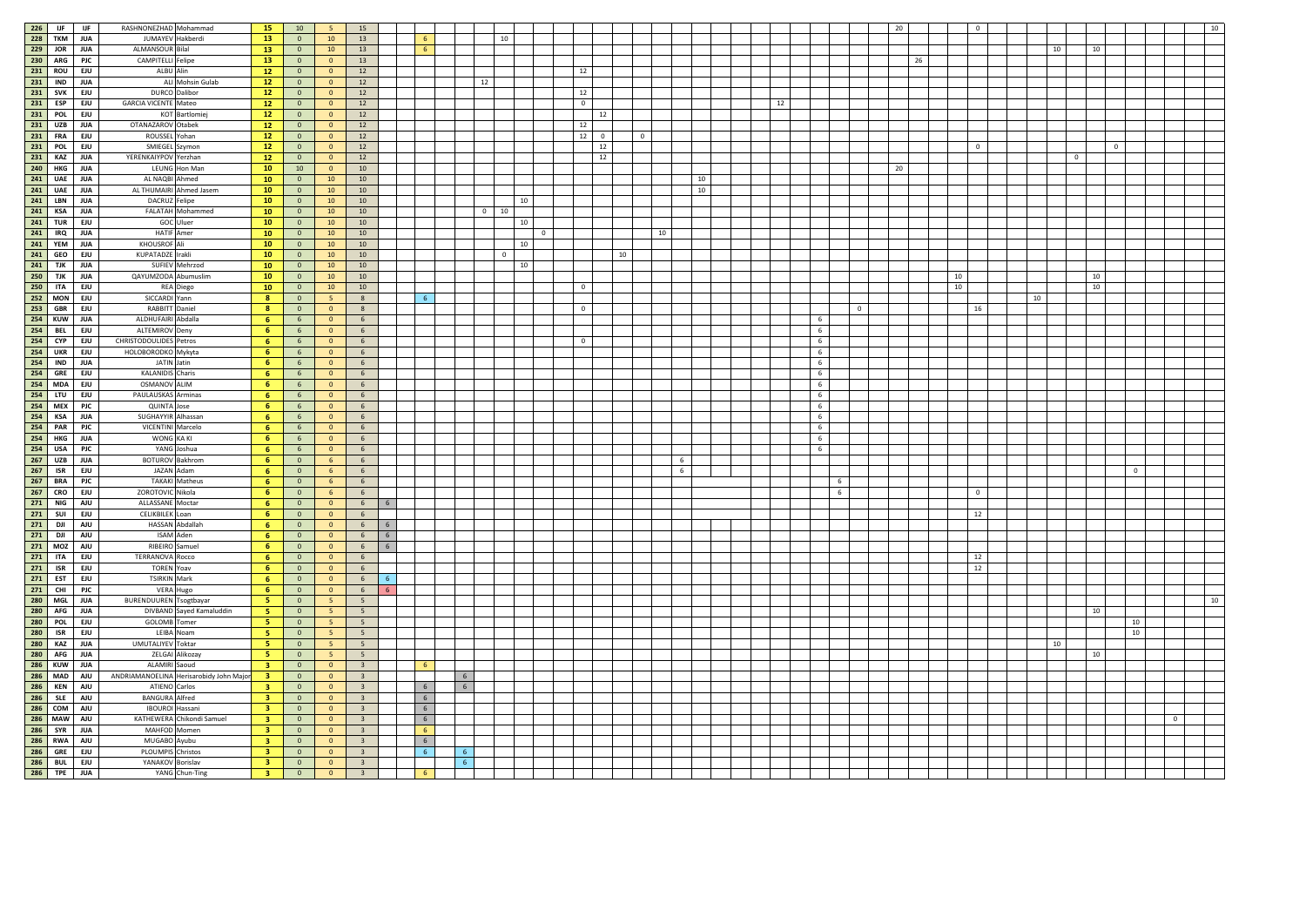| 226 | IJF        | IJF        | RASHNONEZHAD Mohammad                   | 15                      | 10               | 5               | 15                      |                 |                 |                 |              |    |   |                |              |         |    |                 |  |    |    |         | 20 |        |                |        |         |             |         |         | 10     |
|-----|------------|------------|-----------------------------------------|-------------------------|------------------|-----------------|-------------------------|-----------------|-----------------|-----------------|--------------|----|---|----------------|--------------|---------|----|-----------------|--|----|----|---------|----|--------|----------------|--------|---------|-------------|---------|---------|--------|
| 228 | <b>TKM</b> | <b>JUA</b> | JUMAYEV Hakberdi                        | 13                      | $\overline{0}$   | $10-10$         | 13                      |                 | 6               |                 | 10           |    |   |                |              |         |    |                 |  |    |    |         |    |        |                |        |         |             |         |         |        |
| 229 | <b>JOR</b> | <b>JUA</b> | <b>ALMANSOUR</b> Bilal                  | 13                      | $\overline{0}$   | 10              | 13                      |                 | 6 <sup>1</sup>  |                 |              |    |   |                |              |         |    |                 |  |    |    |         |    |        |                | 10     |         | 10          |         |         |        |
| 230 | <b>ARG</b> | PJC        | CAMPITELLI Felipe                       | 13                      | $\overline{0}$   | $\overline{0}$  | 13                      |                 |                 |                 |              |    |   |                |              |         |    |                 |  |    |    |         | 26 |        |                |        |         |             |         |         |        |
|     |            |            |                                         |                         |                  |                 |                         |                 |                 |                 |              |    |   |                |              |         |    |                 |  |    |    |         |    |        |                |        |         |             |         |         |        |
| 231 | ROU        | EJU        | ALBU Alin                               | 12                      | $\overline{0}$   | $\mathbf 0$     | 12                      |                 |                 |                 |              |    |   | 12             |              |         |    |                 |  |    |    |         |    |        |                |        |         |             |         |         |        |
| 231 | IND        | <b>JUA</b> | ALI Mohsin Gulab                        | 12                      | $\overline{0}$   | $\overline{0}$  | 12                      |                 |                 | 12              |              |    |   |                |              |         |    |                 |  |    |    |         |    |        |                |        |         |             |         |         |        |
| 231 | <b>SVK</b> | EJU        | DURCO Dalibor                           | 12                      | $\overline{0}$   | $\overline{0}$  | 12                      |                 |                 |                 |              |    |   | 12             |              |         |    |                 |  |    |    |         |    |        |                |        |         |             |         |         |        |
| 231 | ESP        | EJU        | <b>GARCIA VICENTE Mateo</b>             | 12                      | $\overline{0}$   | $\overline{0}$  | 12                      |                 |                 |                 |              |    |   | $\circ$        |              |         |    |                 |  | 12 |    |         |    |        |                |        |         |             |         |         |        |
|     |            |            |                                         |                         |                  |                 |                         |                 |                 |                 |              |    |   |                |              |         |    |                 |  |    |    |         |    |        |                |        |         |             |         |         |        |
| 231 | POL        | EJU        | KOT Bartlomiej                          | 12                      | $\overline{0}$   | $\overline{0}$  | 12                      |                 |                 |                 |              |    |   |                | $12\,$       |         |    |                 |  |    |    |         |    |        |                |        |         |             |         |         |        |
| 231 | <b>UZB</b> | <b>JUA</b> | OTANAZAROV Otabek                       | 12                      | $\overline{0}$   | $\overline{0}$  | 12                      |                 |                 |                 |              |    |   | 12             |              |         |    |                 |  |    |    |         |    |        |                |        |         |             |         |         |        |
| 231 | <b>FRA</b> | EJU        | ROUSSEL Yohan                           | $12$                    | $\overline{0}$   | $\overline{0}$  | 12                      |                 |                 |                 |              |    |   |                | $12 \quad 0$ | $\circ$ |    |                 |  |    |    |         |    |        |                |        |         |             |         |         |        |
| 231 | POL        | EJU        | SMIEGEL Szymon                          | 12                      | $\overline{0}$   | $\mathbf 0$     | 12                      |                 |                 |                 |              |    |   |                | $12\,$       |         |    |                 |  |    |    |         |    |        | $\mathbf 0$    |        |         | $\mathbf 0$ |         |         |        |
|     |            |            |                                         |                         |                  |                 |                         |                 |                 |                 |              |    |   |                |              |         |    |                 |  |    |    |         |    |        |                |        |         |             |         |         |        |
| 231 | KAZ        | <b>JUA</b> | YERENKAIYPOV Yerzhan                    | 12                      | $\overline{0}$   | $\mathbf{0}$    | 12                      |                 |                 |                 |              |    |   |                | 12           |         |    |                 |  |    |    |         |    |        |                |        | $\circ$ |             |         |         |        |
| 240 | HKG        | <b>JUA</b> | LEUNG Hon Man                           | 10                      | 10               | $\mathbf{0}$    | 10                      |                 |                 |                 |              |    |   |                |              |         |    |                 |  |    |    |         | 20 |        |                |        |         |             |         |         |        |
| 241 | <b>UAE</b> | <b>JUA</b> | AL NAQBI Ahmed                          | 10                      | $\overline{0}$   | 10 <sup>°</sup> | 10                      |                 |                 |                 |              |    |   |                |              |         |    | 10              |  |    |    |         |    |        |                |        |         |             |         |         |        |
| 241 | <b>UAE</b> | <b>JUA</b> | AL THUMAIRI Ahmed Jasem                 | 10                      | $\overline{0}$   | $10-10$         | 10                      |                 |                 |                 |              |    |   |                |              |         |    | 10              |  |    |    |         |    |        |                |        |         |             |         |         |        |
|     |            |            |                                         |                         |                  |                 |                         |                 |                 |                 |              |    |   |                |              |         |    |                 |  |    |    |         |    |        |                |        |         |             |         |         |        |
| 241 | LBN        | <b>JUA</b> | DACRUZ Felipe                           | 10                      | $\overline{0}$   | $10-10$         | 10                      |                 |                 |                 |              | 10 |   |                |              |         |    |                 |  |    |    |         |    |        |                |        |         |             |         |         |        |
| 241 | KSA        | <b>JUA</b> | <b>FALATAH</b> Mohammed                 | 10                      | $\overline{0}$   | 10              | 10                      |                 |                 |                 | $0 \quad 10$ |    |   |                |              |         |    |                 |  |    |    |         |    |        |                |        |         |             |         |         |        |
| 241 | <b>TUR</b> | EJU        | GOC Uluer                               | 10                      | $\overline{0}$   | $10-10$         | 10                      |                 |                 |                 |              | 10 |   |                |              |         |    |                 |  |    |    |         |    |        |                |        |         |             |         |         |        |
| 241 | IRQ        | <b>JUA</b> | <b>HATIF</b> Amer                       | 10                      | $\overline{0}$   | $10$            | 10                      |                 |                 |                 |              |    | 0 |                |              |         | 10 |                 |  |    |    |         |    |        |                |        |         |             |         |         |        |
|     | <b>YEM</b> | <b>JUA</b> | KHOUSROF Ali                            |                         |                  |                 | 10                      |                 |                 |                 |              |    |   |                |              |         |    |                 |  |    |    |         |    |        |                |        |         |             |         |         |        |
| 241 |            |            |                                         | 10                      | $\overline{0}$   | $10-10$         |                         |                 |                 |                 |              | 10 |   |                |              |         |    |                 |  |    |    |         |    |        |                |        |         |             |         |         |        |
| 241 | GEO        | EJU        | KUPATADZE Irakli                        | 10                      | $\overline{0}$   | 10 <sub>1</sub> | 10                      |                 |                 |                 | $\circ$      |    |   |                |              | 10      |    |                 |  |    |    |         |    |        |                |        |         |             |         |         |        |
| 241 | TJK        | <b>JUA</b> | SUFIEV Mehrzod                          | 10                      | $\overline{0}$   | $10-10$         | $10\,$                  |                 |                 |                 |              | 10 |   |                |              |         |    |                 |  |    |    |         |    |        |                |        |         |             |         |         |        |
| 250 | <b>TJK</b> | <b>JUA</b> | QAYUMZODA Abumuslim                     | 10                      | $\overline{0}$   | 10 <sup>°</sup> | 10                      |                 |                 |                 |              |    |   |                |              |         |    |                 |  |    |    |         |    | 10     |                |        |         | 10          |         |         |        |
| 250 | <b>ITA</b> | EJU        | REA Diego                               | 10                      | $\overline{0}$   | $10$            | $10\,$                  |                 |                 |                 |              |    |   | $\circ$        |              |         |    |                 |  |    |    |         |    | $10\,$ |                |        |         | 10          |         |         |        |
|     |            |            |                                         |                         |                  |                 |                         |                 |                 |                 |              |    |   |                |              |         |    |                 |  |    |    |         |    |        |                |        |         |             |         |         |        |
| 252 | <b>MON</b> | EJU        | SICCARDI Yann                           | 8 <sup>2</sup>          | $\mathbf 0$      | 5 <sup>1</sup>  | 8                       |                 | 6 <sup>1</sup>  |                 |              |    |   |                |              |         |    |                 |  |    |    |         |    |        |                | $10\,$ |         |             |         |         |        |
| 253 | <b>GBR</b> | EJU        | RABBITT Daniel                          | 8 <sup>2</sup>          | $\overline{0}$   | $\mathbf{0}$    | 8                       |                 |                 |                 |              |    |   | $\overline{0}$ |              |         |    |                 |  |    |    | $\circ$ |    |        | 16             |        |         |             |         |         |        |
| 254 | KUW        | <b>JUA</b> | ALDHUFAIRI Abdalla                      | $6\overline{6}$         | 6                | $\mathbf{0}$    | 6                       |                 |                 |                 |              |    |   |                |              |         |    |                 |  |    | 6  |         |    |        |                |        |         |             |         |         |        |
| 254 | <b>BEL</b> | EJU        | ALTEMIROV Deny                          | -6                      | 6                | $\Omega$        | 6                       |                 |                 |                 |              |    |   |                |              |         |    |                 |  |    | 6  |         |    |        |                |        |         |             |         |         |        |
| 254 | <b>CYP</b> | EJU        | CHRISTODOULIDES Petros                  | 6                       | $6\overline{6}$  | $\overline{0}$  | $6\overline{6}$         |                 |                 |                 |              |    |   | $\circ$        |              |         |    |                 |  |    | 6  |         |    |        |                |        |         |             |         |         |        |
|     |            |            |                                         |                         |                  |                 |                         |                 |                 |                 |              |    |   |                |              |         |    |                 |  |    |    |         |    |        |                |        |         |             |         |         |        |
| 254 | <b>UKR</b> | <b>EJU</b> | HOLOBORODKO Mykyta                      | 6                       | $6\overline{6}$  | $\overline{0}$  | 6                       |                 |                 |                 |              |    |   |                |              |         |    |                 |  |    | 6  |         |    |        |                |        |         |             |         |         |        |
| 254 | <b>IND</b> | <b>JUA</b> | JATIN Jatin                             | 6 <sup>°</sup>          | 6 <sup>5</sup>   | $\mathbf{0}$    | $6\overline{6}$         |                 |                 |                 |              |    |   |                |              |         |    |                 |  |    | 6  |         |    |        |                |        |         |             |         |         |        |
| 254 | GRE        | EJU        | KALANIDIS Charis                        | 6 <sup>6</sup>          | $6\overline{6}$  | $\circ$         | 6 <sup>1</sup>          |                 |                 |                 |              |    |   |                |              |         |    |                 |  |    | 6  |         |    |        |                |        |         |             |         |         |        |
| 254 | <b>MDA</b> | EJU        | OSMANOV ALIM                            | 6 <sup>1</sup>          | 6 <sup>1</sup>   | $\mathbf 0$     | 6 <sup>1</sup>          |                 |                 |                 |              |    |   |                |              |         |    |                 |  |    | 6  |         |    |        |                |        |         |             |         |         |        |
| 254 | <b>LTU</b> | <b>EJU</b> | PAULAUSKAS Arminas                      |                         |                  |                 |                         |                 |                 |                 |              |    |   |                |              |         |    |                 |  |    |    |         |    |        |                |        |         |             |         |         |        |
|     |            |            |                                         | 6 <sup>°</sup>          | $6\overline{6}$  | $\overline{0}$  | 6                       |                 |                 |                 |              |    |   |                |              |         |    |                 |  |    | -6 |         |    |        |                |        |         |             |         |         |        |
| 254 | <b>MEX</b> | PJC        | <b>QUINTA</b> Jose                      | 6 <sup>1</sup>          | 6                | $\overline{0}$  | 6                       |                 |                 |                 |              |    |   |                |              |         |    |                 |  |    | 6  |         |    |        |                |        |         |             |         |         |        |
| 254 | KSA        | <b>JUA</b> | SUGHAYYIR Alhassan                      | 6 <sup>1</sup>          | 6 <sup>1</sup>   | $\overline{0}$  | $6\overline{6}$         |                 |                 |                 |              |    |   |                |              |         |    |                 |  |    | 6  |         |    |        |                |        |         |             |         |         |        |
| 254 | PAR        | PJC        | VICENTINI Marcelo                       | 6                       | $6\overline{6}$  | $\overline{0}$  | 6                       |                 |                 |                 |              |    |   |                |              |         |    |                 |  |    | 6  |         |    |        |                |        |         |             |         |         |        |
| 254 | HKG        | <b>JUA</b> | WONG KA KI                              | $6\overline{6}$         | $6\overline{6}$  | $\overline{0}$  | $6\overline{6}$         |                 |                 |                 |              |    |   |                |              |         |    |                 |  |    | 6  |         |    |        |                |        |         |             |         |         |        |
|     |            |            |                                         |                         |                  |                 |                         |                 |                 |                 |              |    |   |                |              |         |    |                 |  |    |    |         |    |        |                |        |         |             |         |         |        |
| 254 | <b>USA</b> | PJC        | YANG Joshua                             | 6 <sup>°</sup>          | $\boldsymbol{6}$ | $\mathbf 0$     | $6\overline{6}$         |                 |                 |                 |              |    |   |                |              |         |    |                 |  |    | 6  |         |    |        |                |        |         |             |         |         |        |
| 267 | <b>UZB</b> | <b>JUA</b> | <b>BOTUROV</b> Bakhrom                  | 6 <sup>1</sup>          | $\mathbf 0$      | 6               | $\sqrt{6}$              |                 |                 |                 |              |    |   |                |              |         |    | 6               |  |    |    |         |    |        |                |        |         |             |         |         |        |
| 267 | <b>ISR</b> | <b>EJU</b> | JAZAN Adam                              | 6 <sup>1</sup>          | $\overline{0}$   | 6 <sup>1</sup>  | 6                       |                 |                 |                 |              |    |   |                |              |         |    | $6\overline{6}$ |  |    |    |         |    |        |                |        |         |             | $\circ$ |         |        |
| 267 | <b>BRA</b> | PJC        | <b>TAKAKI Matheus</b>                   | 6                       | $\mathbf{0}$     | 6               | 6                       |                 |                 |                 |              |    |   |                |              |         |    |                 |  |    | 6  |         |    |        |                |        |         |             |         |         |        |
| 267 | CRO        |            | ZOROTOVIC Nikola                        |                         |                  | 6               | 6 <sup>5</sup>          |                 |                 |                 |              |    |   |                |              |         |    |                 |  |    | 6  |         |    |        | $\overline{0}$ |        |         |             |         |         |        |
|     |            | EJU        |                                         | 6                       | $\overline{0}$   |                 |                         |                 |                 |                 |              |    |   |                |              |         |    |                 |  |    |    |         |    |        |                |        |         |             |         |         |        |
| 271 | <b>NIG</b> | <b>AJU</b> | ALLASSANE Moctar                        | 6                       | $\overline{0}$   | $\overline{0}$  | $6\overline{6}$         | 6               |                 |                 |              |    |   |                |              |         |    |                 |  |    |    |         |    |        |                |        |         |             |         |         |        |
| 271 | SUI        | <b>EJU</b> | CELIKBILEK Loan                         | 6 <sup>°</sup>          | $\overline{0}$   | $\overline{0}$  | 6 <sup>5</sup>          |                 |                 |                 |              |    |   |                |              |         |    |                 |  |    |    |         |    |        | 12             |        |         |             |         |         |        |
| 271 | <b>DJI</b> | AJU        | HASSAN Abdallah                         | 6 <sup>°</sup>          | $\overline{0}$   | $\overline{0}$  | 6                       | 6 <sup>1</sup>  |                 |                 |              |    |   |                |              |         |    |                 |  |    |    |         |    |        |                |        |         |             |         |         |        |
| 271 | <b>DJI</b> | <b>AJU</b> | ISAM Aden                               | 6 <sup>1</sup>          | $\overline{0}$   | $\overline{0}$  | 6 <sup>1</sup>          | $6-1$           |                 |                 |              |    |   |                |              |         |    |                 |  |    |    |         |    |        |                |        |         |             |         |         |        |
|     | MOZ        |            | RIBEIRO Samuel                          |                         |                  |                 |                         |                 |                 |                 |              |    |   |                |              |         |    |                 |  |    |    |         |    |        |                |        |         |             |         |         |        |
| 271 |            | AJU        |                                         | 6                       | $\overline{0}$   | $\overline{0}$  | $6\overline{6}$         | $6\overline{6}$ |                 |                 |              |    |   |                |              |         |    |                 |  |    |    |         |    |        |                |        |         |             |         |         |        |
| 271 | <b>ITA</b> | EIU        | TERRANOVA Rocco                         | 6                       | $\overline{0}$   | $\overline{0}$  | 6                       |                 |                 |                 |              |    |   |                |              |         |    |                 |  |    |    |         |    |        | 12             |        |         |             |         |         |        |
| 271 | <b>ISR</b> | EJU        | <b>TOREN</b> Yoav                       | 6                       | $\overline{0}$   | $\overline{0}$  | 6 <sup>5</sup>          |                 |                 |                 |              |    |   |                |              |         |    |                 |  |    |    |         |    |        | 12             |        |         |             |         |         |        |
| 271 | EST        | <b>EJU</b> | <b>TSIRKIN</b> Mark                     | 6                       | $\overline{0}$   | $\overline{0}$  | 6 <sup>5</sup>          | 6               |                 |                 |              |    |   |                |              |         |    |                 |  |    |    |         |    |        |                |        |         |             |         |         |        |
| 271 | CHI        | PJC        | VERA Hugo                               | 6                       | $\overline{0}$   | $\overline{0}$  | 6 <sup>1</sup>          | 6 <sup>1</sup>  |                 |                 |              |    |   |                |              |         |    |                 |  |    |    |         |    |        |                |        |         |             |         |         |        |
|     |            |            |                                         |                         |                  |                 |                         |                 |                 |                 |              |    |   |                |              |         |    |                 |  |    |    |         |    |        |                |        |         |             |         |         |        |
| 280 | <b>MGL</b> | <b>JUA</b> | <b>BURENDUUREN</b> Tsogtbayar           | -5                      | $\overline{0}$   | 5               | 5 <sup>5</sup>          |                 |                 |                 |              |    |   |                |              |         |    |                 |  |    |    |         |    |        |                |        |         |             |         |         | $10\,$ |
| 280 | AFG        | <b>JUA</b> | DIVBAND Sayed Kamaluddin                | 5                       | $\mathbf 0$      | 5               | 5                       |                 |                 |                 |              |    |   |                |              |         |    |                 |  |    |    |         |    |        |                |        |         | 10          |         |         |        |
| 280 | POL        | <b>EJU</b> | GOLOMB Tomer                            | 5                       | $\mathbf{0}$     | 5               | 5 <sup>5</sup>          |                 |                 |                 |              |    |   |                |              |         |    |                 |  |    |    |         |    |        |                |        |         |             | 10      |         |        |
| 280 | ISR        | <b>EJU</b> | LEIBA Noam                              | 5                       | $\overline{0}$   | -5              | 5                       |                 |                 |                 |              |    |   |                |              |         |    |                 |  |    |    |         |    |        |                |        |         |             | 10      |         |        |
| 280 | KAZ        | <b>JUA</b> | UMUTALIYEV Toktar                       | 5                       | $\overline{0}$   | 5 <sub>1</sub>  | 5 <sup>5</sup>          |                 |                 |                 |              |    |   |                |              |         |    |                 |  |    |    |         |    |        |                | 10     |         |             |         |         |        |
|     |            |            |                                         |                         |                  |                 |                         |                 |                 |                 |              |    |   |                |              |         |    |                 |  |    |    |         |    |        |                |        |         |             |         |         |        |
| 280 | AFG        | <b>JUA</b> | ZELGAI Alikozay                         | 5                       | $\overline{0}$   | 5 <sup>7</sup>  | 5 <sup>5</sup>          |                 |                 |                 |              |    |   |                |              |         |    |                 |  |    |    |         |    |        |                |        |         | 10          |         |         |        |
| 286 | <b>KUW</b> | <b>JUA</b> | ALAMIRI Saoud                           | $\overline{\mathbf{3}}$ | $\overline{0}$   | $\overline{0}$  | $\overline{\mathbf{3}}$ |                 | 6 <sup>1</sup>  |                 |              |    |   |                |              |         |    |                 |  |    |    |         |    |        |                |        |         |             |         |         |        |
| 286 | <b>MAD</b> | <b>AJU</b> | ANDRIAMANOELINA Herisarobidy John Major | $\overline{\mathbf{3}}$ | $\overline{0}$   | $\overline{0}$  | 3 <sup>1</sup>          |                 |                 | 6               |              |    |   |                |              |         |    |                 |  |    |    |         |    |        |                |        |         |             |         |         |        |
| 286 | <b>KEN</b> | AJU        | ATIENO Carlos                           | 3 <sup>7</sup>          | $\overline{0}$   | $\overline{0}$  | $\overline{\mathbf{3}}$ |                 | 6 <sup>1</sup>  | 6               |              |    |   |                |              |         |    |                 |  |    |    |         |    |        |                |        |         |             |         |         |        |
|     |            |            |                                         |                         |                  |                 |                         |                 |                 |                 |              |    |   |                |              |         |    |                 |  |    |    |         |    |        |                |        |         |             |         |         |        |
| 286 | SLE        | <b>AJU</b> | <b>BANGURA</b> Alfred                   | $\overline{\mathbf{3}}$ | $\circ$          | $\mathbf{0}$    | $\overline{\mathbf{3}}$ |                 | $6\overline{6}$ |                 |              |    |   |                |              |         |    |                 |  |    |    |         |    |        |                |        |         |             |         |         |        |
| 286 | COM        | <b>AJU</b> | <b>IBOUROI</b> Hassani                  | $\mathbf{3}$            | $\circ$          | $\circ$         | $\overline{\mathbf{3}}$ |                 | $6\overline{6}$ |                 |              |    |   |                |              |         |    |                 |  |    |    |         |    |        |                |        |         |             |         |         |        |
| 286 | <b>MAW</b> | <b>AJU</b> | KATHEWERA Chikondi Samuel               | $\mathbf{3}$            | $\overline{0}$   | $\overline{0}$  | $\overline{\mathbf{3}}$ |                 | 6 <sup>1</sup>  |                 |              |    |   |                |              |         |    |                 |  |    |    |         |    |        |                |        |         |             |         | $\circ$ |        |
| 286 | <b>SYR</b> | <b>JUA</b> | MAHFOD Momen                            | 3 <sup>7</sup>          | $\overline{0}$   | $\overline{0}$  | 3                       |                 | 6 <sup>1</sup>  |                 |              |    |   |                |              |         |    |                 |  |    |    |         |    |        |                |        |         |             |         |         |        |
| 286 | <b>RWA</b> | <b>AJU</b> | MUGABO Ayubu                            | 3 <sup>°</sup>          | $\mathbf{0}$     | $\mathbf{0}$    | $\overline{\mathbf{3}}$ |                 | $\,$ 6 $\,$     |                 |              |    |   |                |              |         |    |                 |  |    |    |         |    |        |                |        |         |             |         |         |        |
|     |            |            |                                         |                         |                  |                 |                         |                 |                 |                 |              |    |   |                |              |         |    |                 |  |    |    |         |    |        |                |        |         |             |         |         |        |
| 286 | GRE        | EJU        | PLOUMPIS Christos                       | $\overline{\mathbf{3}}$ | $\mathbf 0$      | $\overline{0}$  | $\overline{\mathbf{3}}$ |                 | 6 <sup>2</sup>  | 6               |              |    |   |                |              |         |    |                 |  |    |    |         |    |        |                |        |         |             |         |         |        |
| 286 | <b>BUL</b> | EJU        | YANAKOV Borislav                        | $\mathbf{3}$            | $\circ$          | $\mathbf 0$     | $\overline{\mathbf{3}}$ |                 |                 | $6\overline{6}$ |              |    |   |                |              |         |    |                 |  |    |    |         |    |        |                |        |         |             |         |         |        |
| 286 | <b>TPE</b> | <b>JUA</b> | YANG Chun-Ting                          | 3 <sup>7</sup>          | $\mathbf 0$      | $\mathbf{0}$    | $\overline{\mathbf{3}}$ |                 | 6 <sup>1</sup>  |                 |              |    |   |                |              |         |    |                 |  |    |    |         |    |        |                |        |         |             |         |         |        |
|     |            |            |                                         |                         |                  |                 |                         |                 |                 |                 |              |    |   |                |              |         |    |                 |  |    |    |         |    |        |                |        |         |             |         |         |        |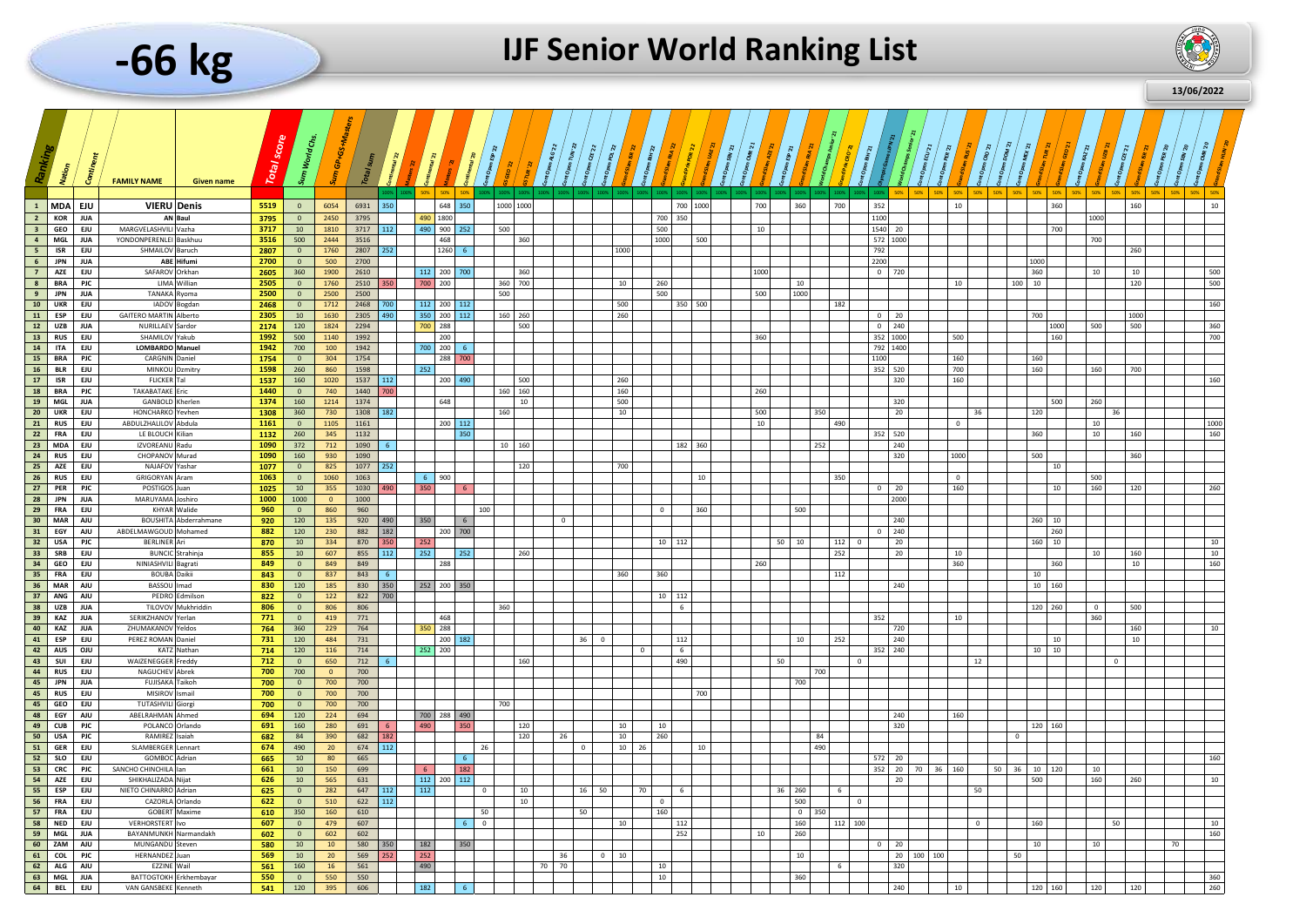# **-66 kg**

### **IJF Senior World Ranking List**



| Ranking                                   | Nation                   | Contin                   | <b>FAMILY NAME</b>                             | <b>Given name</b>            | <b>Otal score</b> | ්රි                              | Sum <sub>GP+GS</sub>   |              |            |         |                               |         |                | Ñ<br>$rac{z}{\sqrt{2}}$<br>š | $z_{\alpha}$ | Deen Blit 22       |            | <b>River</b> | CMR    |       |               |                   |                          |             | 57             | DOM <sub>21</sub> |           | 50%     | <b>KAZ</b> 21<br>50%                 | $n \times n$<br>50% | Ŗ. |             |
|-------------------------------------------|--------------------------|--------------------------|------------------------------------------------|------------------------------|-------------------|----------------------------------|------------------------|--------------|------------|---------|-------------------------------|---------|----------------|------------------------------|--------------|--------------------|------------|--------------|--------|-------|---------------|-------------------|--------------------------|-------------|----------------|-------------------|-----------|---------|--------------------------------------|---------------------|----|-------------|
| $\mathbf{1}$                              | MDA EJU                  |                          | <b>VIERU</b> Denis                             |                              | 5519              | $\overline{0}$                   | 6054                   | 6931         | 350        |         | 648<br>350                    |         | 1000 1000      |                              |              |                    |            | 700 1000     | 700    |       | 360           | 700               | 352                      |             | $10\,$         |                   |           | 360     |                                      | 160                 |    | $10\,$      |
| $\overline{2}$                            | KOR                      | <b>JUA</b>               |                                                | AN Baul                      | 3795              | $\overline{0}$                   | 2450                   | 3795         |            | 490     | 1800                          |         |                |                              |              | 700                | 350        |              |        |       |               |                   | 1100                     |             |                |                   |           |         | 1000                                 |                     |    |             |
| $\overline{\mathbf{3}}$<br>$\overline{4}$ | GEO<br><b>MGL</b>        | EIU<br><b>JUA</b>        | MARGVELASHVILI Vazha<br>YONDONPERENLEI Baskhuu |                              | 3717<br>3516      | 10<br>500                        | 1810<br>2444           | 3717<br>3516 | 112        |         | 490 900 252<br>468            | 500     | 360            |                              |              | 500<br>1000        |            | 500          | 10     |       |               |                   | 1540 20<br>572 1000      |             |                |                   |           | 700     | 700                                  |                     |    |             |
| $\overline{\phantom{a}}$                  | <b>ISR</b>               | EJU                      | SHMAILOV Baruch                                |                              | 2807              | $\overline{0}$                   | 1760                   | 2807         | 252        |         | 1260                          |         |                |                              | 1000         |                    |            |              |        |       |               |                   | 792                      |             |                |                   |           |         |                                      | 260                 |    |             |
| 6 <sup>1</sup>                            | <b>JPN</b>               | <b>JUA</b>               |                                                | ABE Hifumi                   | 2700              | $\overline{0}$                   | 500                    | 2700         |            |         |                               |         |                |                              |              |                    |            |              |        |       |               |                   | 2200                     |             |                |                   | 1000      |         |                                      |                     |    |             |
| 7 <sup>7</sup><br>8                       | AZE<br><b>BRA</b>        | <b>EJU</b><br>PJC        | SAFAROV Orkhan                                 | LIMA Willian                 | 2605<br>2505      | 360<br>$\overline{0}$            | 1900<br>1760           | 2610<br>2510 | 350        |         | 112 200<br>700<br>700 200     |         | 360<br>360 700 |                              | $10\,$       | 260                |            |              | 1000   |       | 10            |                   | $\circ$                  | 720         | 10             | 100               | 360<br>10 |         | 10 <sub>10</sub>                     | 10<br>120           |    | 500<br>500  |
| 9                                         | <b>JPN</b>               | <b>JUA</b>               | <b>TANAKA</b> Ryoma                            |                              | 2500              | $\overline{0}$                   | 2500                   | 2500         |            |         |                               | 500     |                |                              |              | 500                |            |              | 500    |       | 1000          |                   |                          |             |                |                   |           |         |                                      |                     |    |             |
| 10<br>11                                  | <b>UKR</b><br>ESP        | EJU<br>EJU               | IADOV Bogdan<br><b>GAITERO MARTIN Alberto</b>  |                              | 2468<br>2305      | $\overline{0}$                   | 1712<br>1630           | 2468<br>2305 | 700<br>490 |         | 112 200 112<br>350 200<br>112 |         |                |                              | 500<br>260   |                    | 350 500    |              |        |       |               | 182               |                          |             |                |                   |           |         |                                      | 1000                |    | 160         |
| 12                                        | <b>UZB</b>               | <b>JUA</b>               | NURILLAEV Sardor                               |                              | 2174              | 10<br>120                        | 1824                   | 2294         |            |         | 700 288                       |         | 160 260<br>500 |                              |              |                    |            |              |        |       |               |                   | $\circ$<br>$0 \quad 240$ | 20          |                |                   | 700       | 1000    | 500                                  | 500                 |    | 360         |
| 13                                        | <b>RUS</b>               | EJU                      | SHAMILOV Yakub                                 |                              | 1992              | 500                              | 1140                   | 1992         |            |         | 200                           |         |                |                              |              |                    |            |              | 360    |       |               |                   | 352 1000                 |             | 500            |                   |           | 160     |                                      |                     |    | 700         |
| 14<br>15                                  | <b>ITA</b><br><b>BRA</b> | <b>EJU</b><br>PJC        | LOMBARDO Manuel<br>CARGNIN Daniel              |                              | 1942<br>1754      | 700<br>$\overline{0}$            | 100<br>304             | 1942<br>1754 |            | 700     | 200<br>288<br>700             |         |                |                              |              |                    |            |              |        |       |               |                   | 792 1400<br>1100         |             | 160            |                   | 160       |         |                                      |                     |    |             |
| 16                                        | <b>BLR</b>               | EJU                      | MINKOU Dzmitry                                 |                              | 1598              | 260                              | 860                    | 1598         |            | 252     |                               |         |                |                              |              |                    |            |              |        |       |               |                   | 352 520                  |             | 700            |                   | 160       |         | 160                                  | 700                 |    |             |
| 17                                        | <b>ISR</b>               | EJU                      | FLICKER Tal                                    |                              | 1537              | 160                              | 1020                   | 1537         | 112        |         | 200 490                       |         | 500            |                              | 260          |                    |            |              |        |       |               |                   |                          | 320         | 160            |                   |           |         |                                      |                     |    | 160         |
| 18<br>19                                  | <b>BRA</b><br><b>MGL</b> | PJC<br><b>JUA</b>        | TAKABATAKE Eric<br>GANBOLD Kherlen             |                              | 1440<br>1374      | $\overline{0}$<br>160            | 740<br>1214            | 1440<br>1374 | 700        |         | 648                           |         | 160 160<br>10  |                              | 160<br>500   |                    |            |              | 260    |       |               |                   |                          | 320         |                |                   |           | 500     | 260                                  |                     |    |             |
| 20                                        | <b>UKR</b>               | EJU                      | HONCHARKO Yevhen                               |                              | 1308              | 360                              | 730                    | 1308         | 182        |         |                               | 160     |                |                              | 10           |                    |            |              | 500    |       | 350           |                   |                          | 20          | 36             |                   | 120       |         | 36                                   |                     |    |             |
| 21<br>22                                  | <b>RUS</b><br>FRA        | <b>EJU</b><br><b>EJU</b> | ABDULZHALILOV Abdula<br>LE BLOUCH Kilian       |                              | 1161<br>1132      | $\overline{0}$<br>260            | 1105<br>345            | 1161<br>1132 |            |         | $200$ 112<br>350              |         |                |                              |              |                    |            |              | $10\,$ |       |               | 490               | 352 520                  |             | $\circ$        |                   | 360       |         | 10 <sub>10</sub><br>10 <sub>10</sub> | 160                 |    | 1000<br>160 |
| 23                                        | <b>MDA</b>               | <b>EJU</b>               | IZVOREANU Radu                                 |                              | 1090              | 372                              | 712                    | 1090         |            |         |                               |         | 10 160         |                              |              |                    | 182 360    |              |        |       | 252           |                   |                          | 240         |                |                   |           |         |                                      |                     |    |             |
| 24                                        | <b>RUS</b>               | <b>EJU</b>               | CHOPANOV Murad                                 |                              | 1090              | 160                              | 930                    | 1090         |            |         |                               |         |                |                              |              |                    |            |              |        |       |               |                   |                          | 320         | 1000           |                   | 500       |         |                                      | 360                 |    |             |
| 25<br>26                                  | AZE<br><b>RUS</b>        | EJU<br>EJU               | NAJAFOV Yashar<br><b>GRIGORYAN</b> Aram        |                              | 1077<br>1063      | $\overline{0}$<br>$\overline{0}$ | 825<br>1060            | 1077<br>1063 | 252        |         | $6 \mid 900$                  |         | 120            |                              | 700          |                    |            | 10           |        |       |               | 350               |                          |             | $\circ$        |                   |           | 10      | 500                                  |                     |    |             |
| 27                                        | PER                      | PJC                      | POSTIGOS Juan                                  |                              | 1025              | 10                               | 355                    | 1030         | 490        | 350     |                               |         |                |                              |              |                    |            |              |        |       |               |                   | $\overline{0}$           | 20          | 160            |                   |           | 10      | 160                                  | 120                 |    | 260         |
| 28                                        | <b>JPN</b>               | <b>JUA</b>               | MARUYAMA Joshiro                               |                              | 1000              | 1000                             | $\overline{0}$         | 1000         |            |         |                               |         |                |                              |              |                    |            |              |        |       |               |                   |                          | 2000        |                |                   |           |         |                                      |                     |    |             |
| 29                                        | <b>FRA</b><br>30 MAR     | <b>EJU</b><br><b>AJU</b> | <b>KHYAR</b> Walide                            | <b>BOUSHITA</b> Abderrahmane | 960<br>920        | $\overline{0}$<br>120            | 860<br>135             | 960<br>920   | 490        | 350     | -6                            | 100     |                | $\Omega$                     |              | $\circ$            |            | 360          |        |       | 500           |                   |                          | 240         |                |                   | 260 10    |         |                                      |                     |    |             |
| 31                                        | EGY                      | AJU                      | ABDELMAWGOUD Mohamed                           |                              | 882               | 120                              | 230                    | 882          | 182        |         | 200 700                       |         |                |                              |              |                    |            |              |        |       |               |                   | $\circ$                  | 240         |                |                   |           | 260     |                                      |                     |    |             |
| 32                                        | <b>USA</b>               | PJC                      | <b>BERLINER</b> Ari                            |                              | 870               | 10                               | 334                    | 870          | 350        | 252     |                               |         |                |                              |              |                    | 10 112     |              |        | 50 10 |               | 112<br>$^{\circ}$ |                          | 20          |                |                   | 160       | 10      |                                      |                     |    | 10          |
| 33<br>34                                  | SRB<br>GEO               | EJU<br>EJU               | NINIASHVILI Bagrati                            | <b>BUNCIC</b> Strahinja      | 855<br>849        | 10<br>$\mathbf 0$                | 607<br>849             | 855<br>849   | 112        | 252     | 252<br>288                    |         | 260            |                              |              |                    |            |              | 260    |       |               | 252               |                          | 20          | 10<br>360      |                   |           | 360     | 10                                   | 160<br>10           |    | 10<br>160   |
| 35                                        | <b>FRA</b>               | EJU                      | <b>BOUBA Daikii</b>                            |                              | 843               | $\overline{0}$                   | 837                    | 843          | 6          |         |                               |         |                |                              | 360          | 360                |            |              |        |       |               | 112               |                          |             |                |                   | 10        |         |                                      |                     |    |             |
| 36<br>37                                  | <b>MAR</b><br>ANG        | <b>AJU</b><br><b>AJU</b> | BASSOU Imad                                    | PEDRO Edmilson               | 830<br>822        | 120<br>$\overline{0}$            | 185<br>122             | 830<br>822   | 350<br>700 |         | 252 200 350                   |         |                |                              |              | 10                 | 112        |              |        |       |               |                   |                          | 240         |                |                   | 10        | 160     |                                      |                     |    |             |
| 38                                        | UZB                      | <b>JUA</b>               |                                                | TILOVOV Mukhriddin           | 806               | $\overline{0}$                   | 806                    | 806          |            |         |                               | 360     |                |                              |              |                    | 6          |              |        |       |               |                   |                          |             |                |                   |           | 120 260 | $^{\circ}$                           | 500                 |    |             |
| 39                                        | KAZ                      | <b>JUA</b>               | SERIKZHANOV Yerlan                             |                              | 771               | $\overline{0}$                   | 419                    | 771          |            |         | 468                           |         |                |                              |              |                    |            |              |        |       |               |                   | 352                      |             | 10             |                   |           |         | 360                                  |                     |    |             |
| 40<br>41                                  | <b>KAZ</b><br>ESP        | <b>JUA</b><br>EJU        | ZHUMAKANOV Yeldos<br>PEREZ ROMAN Daniel        |                              | 764<br>731        | 360<br>120                       | 229<br>484             | 764<br>731   |            | 350     | 288<br>200<br>182             |         |                |                              | $36$ 0       |                    | 112        |              |        |       | 10            | 252               |                          | 720<br>240  |                |                   |           | 10      |                                      | 160<br>10           |    | 10          |
| 42                                        | AUS                      | OJU                      |                                                | KATZ Nathan                  | 714               | 120                              | 116                    | 714          |            | 252 200 |                               |         |                |                              |              | $\Omega$           | 6          |              |        |       |               |                   | 352 240                  |             |                |                   | 10        | 10      |                                      |                     |    |             |
| 43                                        | SUI                      | <b>EJU</b><br><b>EJU</b> | WAIZENEGGER Freddy<br>NAGUCHEV Abrek           |                              | 712<br>700        | $\overline{0}$<br>700            | 650<br>$\overline{0}$  | 712<br>700   |            |         |                               |         | 160            |                              |              |                    | 490        |              |        | 50    | 700           | $\circ$           |                          |             | 12             |                   |           |         | $\Omega$                             |                     |    |             |
| 44<br>45                                  | <b>RUS</b><br><b>JPN</b> | <b>JUA</b>               | FUJISAKA Taikoh                                |                              | 700               | $\mathbf{0}$                     | 700                    | 700          |            |         |                               |         |                |                              |              |                    |            |              |        |       | 700           |                   |                          |             |                |                   |           |         |                                      |                     |    |             |
| 45                                        | <b>RUS</b>               | EJU                      | MISIROV Ismail                                 |                              | 700               | $\overline{0}$                   | 700                    | 700          |            |         |                               |         |                |                              |              |                    |            | 700          |        |       |               |                   |                          |             |                |                   |           |         |                                      |                     |    |             |
| 45<br>48                                  | GEO<br>EGY               | EJU<br><b>AJU</b>        | <b>TUTASHVILI</b> Giorgi<br>ABELRAHMAN Ahmed   |                              | 700<br>694        | $\overline{0}$<br>120            | 700<br>224             | 700<br>694   |            |         | 700 288<br>490                | 700     |                |                              |              |                    |            |              |        |       |               |                   |                          | 240         | 160            |                   |           |         |                                      |                     |    |             |
| 49                                        | <b>CUB</b>               | PJC                      | POLANCO Orlando                                |                              | 691               | 160                              | 280                    | 691          |            | 490     |                               |         | 120            |                              | $10\,$       | 10                 |            |              |        |       |               |                   |                          | 320         |                |                   |           | 120 160 |                                      |                     |    |             |
| 50                                        | <b>USA</b>               | PJC                      | RAMIREZ Isaiah                                 |                              | 682               | 84                               | 390                    | 682          | 182        |         |                               |         | 120            | 26                           | $10\,$       | 260                |            |              |        |       | 84            |                   |                          |             |                | $^{\circ}$        |           |         |                                      |                     |    |             |
| 51<br>52                                  | GER<br>SLO               | EJU<br>EJU               | SLAMBERGER Lennart<br>GOMBOC Adrian            |                              | 674<br>665        | 490<br>10                        | 20 <sup>°</sup><br>80  | 674<br>665   | 112        |         |                               | 26      |                | $\mathbf{0}$                 | 10           | 26                 |            | 10           |        |       | 490           |                   | 572                      | 20          |                |                   |           |         |                                      |                     |    | 160         |
| 53                                        | CRC                      | PJC                      | SANCHO CHINCHILA lan                           |                              | 661               | 10                               | 150                    | 699          |            | 6       | 182                           |         |                |                              |              |                    |            |              |        |       |               |                   | 352                      | 20<br>70 36 | 160            | 50<br>36          | 10        | 120     | 10                                   |                     |    |             |
| 54                                        | AZE                      | EJU                      | SHIKHALIZADA Nijat                             |                              | 626               | 10                               | 565                    | 631          |            |         | 112 200 112                   |         |                |                              |              |                    |            |              |        |       |               |                   |                          | 20          |                |                   | 500       |         | 160                                  | 260                 |    | 10          |
| 55<br>56                                  | ESP<br><b>FRA</b>        | EJU<br>EJU               | NIETO CHINARRO Adrian<br>CAZORLA Orlando       |                              | 625<br>622        | $\overline{0}$<br>$\overline{0}$ | 282<br>510             | 647<br>622   | 112<br>112 | 112     |                               | $\circ$ | 10<br>10       |                              | 16 50        | 70<br>$\mathbf{0}$ | 6          |              |        |       | 36 260<br>500 | 6<br>$\circ$      |                          |             | 50             |                   |           |         |                                      |                     |    |             |
| 57                                        | FRA                      | <b>EJU</b>               | <b>GOBERT</b> Maxime                           |                              | 610               | 350                              | 160                    | 610          |            |         |                               | 50      |                | 50                           |              | 160                |            |              |        |       | 0 350         |                   |                          |             |                |                   |           |         |                                      |                     |    |             |
| 58<br>$\frac{1}{59}$                      | <b>NED</b><br><b>MGL</b> | <b>EJU</b><br><b>JUA</b> | VERHORSTERT Ivo<br>BAYANMUNKH Narmandakh       |                              | 607<br>602        | $\Omega$<br>$\overline{0}$       | 479<br>602             | 607<br>602   |            |         |                               | $\circ$ |                |                              | 10           |                    | 112<br>252 |              | 10     |       | 160<br>260    | 112 100           |                          |             | $\overline{0}$ |                   | 160       |         | 50                                   |                     |    | 10<br>160   |
| 60                                        | ZAM                      | AJU                      | MUNGANDU Steven                                |                              | 580               | 10                               | $10$                   | 580          | 350        | 182     | 350                           |         |                |                              |              |                    |            |              |        |       |               |                   | $\Omega$                 | 20          |                |                   | 10        |         | 10                                   |                     | 70 |             |
| 61                                        | <b>COL</b>               | PJC                      | HERNANDEZ Juan                                 |                              | 569               | 10                               | 20 <sub>2</sub>        | 569          | 252        | 252     |                               |         |                | 36                           | $0 \quad 10$ |                    |            |              |        |       | 10            |                   |                          | 20 100 100  |                | 50                |           |         |                                      |                     |    |             |
| 62<br>63                                  | <b>ALG</b><br><b>MGL</b> | <b>AJU</b><br><b>JUA</b> | <b>EZZINE</b> Wail<br>BATTOGTOKH Erkhembayar   |                              | 561<br>550        | 160<br>$\circ$                   | 16 <sup>°</sup><br>550 | 561<br>550   |            | 490     |                               |         |                | 70<br>70                     |              | 10<br>10           |            |              |        |       | 360           | 6                 |                          | 320         |                |                   |           |         |                                      |                     |    | 360         |
| 64                                        | <b>BEL</b>               | <b>EJU</b>               | VAN GANSBEKE Kenneth                           |                              | 541               | 120                              | 395                    | 606          |            | 182     |                               |         |                |                              |              |                    |            |              |        |       |               |                   |                          | 240         | 10             |                   | 120       | 160     | 120                                  | 120                 |    | 260         |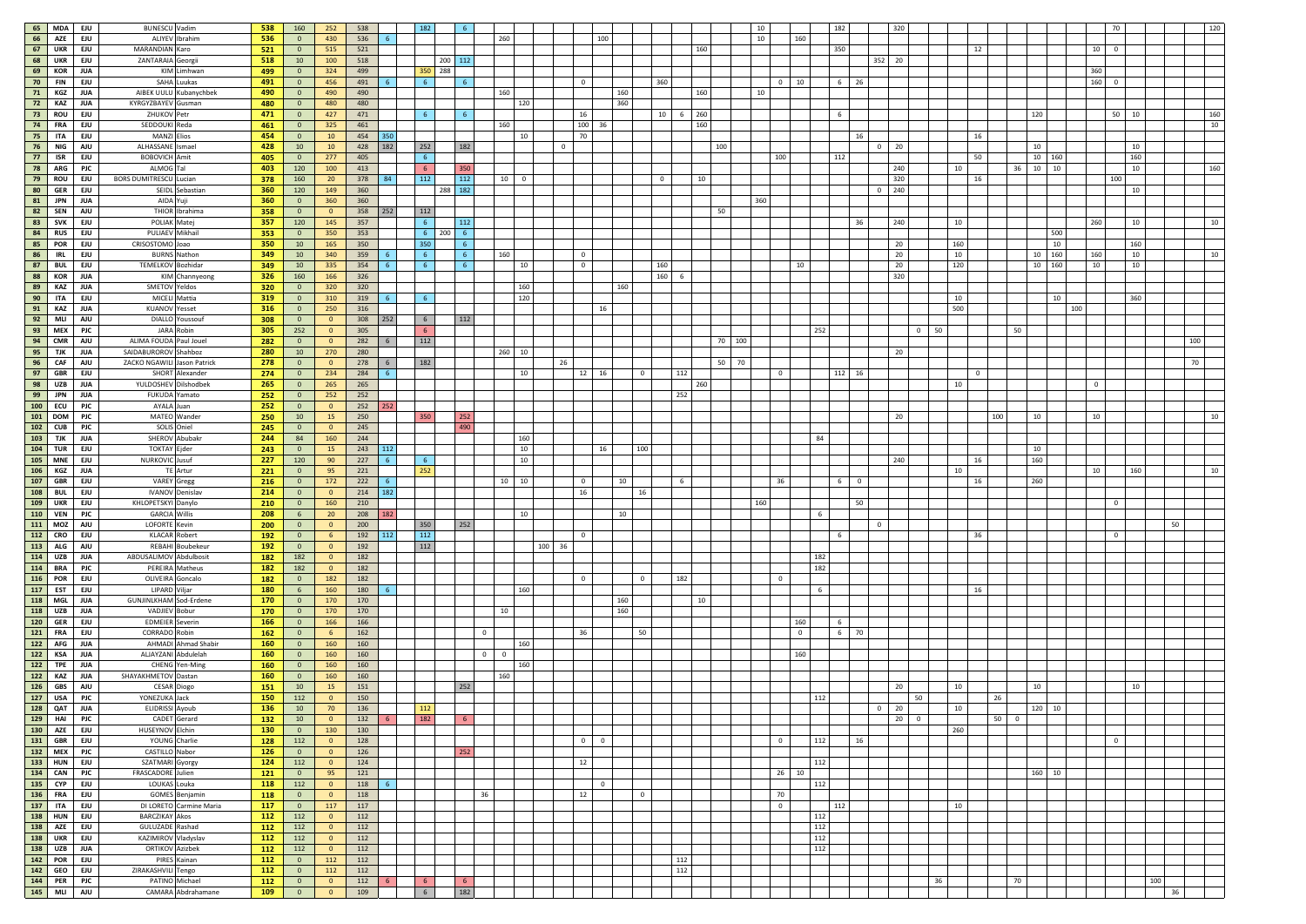| 65 MDA<br>EJU                           | <b>BUNESCU</b> Vadim                 | 538        | 160                              | 252                              | 538        | 182                              | -6                          |         |        |                |                |                |          |     |           | 10             |         | 182             | 320                   |         |     |         |      |           |         | 70             |     |     | 120 |
|-----------------------------------------|--------------------------------------|------------|----------------------------------|----------------------------------|------------|----------------------------------|-----------------------------|---------|--------|----------------|----------------|----------------|----------|-----|-----------|----------------|---------|-----------------|-----------------------|---------|-----|---------|------|-----------|---------|----------------|-----|-----|-----|
| 66<br>AZE<br>EJU                        | ALIYEV Ibrahim                       | 536        | $\overline{0}$                   | 430                              | 536        |                                  |                             | 260     |        |                | 100            |                |          |     |           | 10             | 160     |                 |                       |         |     |         |      |           |         |                |     |     |     |
| 67<br><b>UKR</b><br>EJU                 | MARANDIAN Karo                       | 521        | $\overline{0}$                   | 515                              | 521        |                                  |                             |         |        |                |                |                |          | 160 |           |                |         | 350             |                       |         |     | 12      |      |           | 10      | $\circ$        |     |     |     |
| 68<br><b>UKR</b><br>EJU                 | ZANTARAIA Georgii                    | 518        | 10                               | 100                              | 518        |                                  | 200<br>112                  |         |        |                |                |                |          |     |           |                |         |                 | 352<br>20             |         |     |         |      |           |         |                |     |     |     |
|                                         |                                      |            |                                  |                                  |            |                                  |                             |         |        |                |                |                |          |     |           |                |         |                 |                       |         |     |         |      |           |         |                |     |     |     |
| 69<br>KOR<br><b>JUA</b>                 | KIM Limhwan                          | 499        | $\overline{0}$                   | 324                              | 499        | 350                              | 288                         |         |        |                |                |                |          |     |           |                |         |                 |                       |         |     |         |      |           | 360     |                |     |     |     |
| 70<br><b>FIN</b><br><b>EJU</b>          | SAHA Luukas                          | 491        | $\overline{0}$                   | 456                              | 491        | $6\overline{6}$<br>6.            | $6^{\circ}$                 |         |        | $\mathbf{0}$   |                |                | 360      |     |           | $\circ$        | 10      | $6\overline{6}$ | 26                    |         |     |         |      |           | 160     | $\circ$        |     |     |     |
| 71<br>KGZ<br><b>JUA</b>                 | AIBEK UULU Kubanychbek               | 490        | $\overline{0}$                   | 490                              | 490        |                                  |                             | 160     |        |                |                | 160            |          | 160 |           | 10             |         |                 |                       |         |     |         |      |           |         |                |     |     |     |
| 72<br><b>KAZ</b><br><b>JUA</b>          | KYRGYZBAYEV Gusman                   | 480        | $\overline{0}$                   | 480                              | 480        |                                  |                             |         | 120    |                |                | 360            |          |     |           |                |         |                 |                       |         |     |         |      |           |         |                |     |     |     |
|                                         |                                      |            |                                  |                                  |            |                                  |                             |         |        |                |                |                |          |     |           |                |         |                 |                       |         |     |         |      |           |         |                |     |     |     |
| 73<br><b>ROU</b><br>EJU                 | ZHUKOV Petr                          | 471        | $\mathbf 0$                      | 427                              | 471        | 6                                | 6                           |         |        | 16             |                |                | 10<br>6  | 260 |           |                |         | -6              |                       |         |     |         |      | 120       |         | 50<br>10       |     |     | 160 |
| 74<br><b>FRA</b><br><b>EJU</b>          | SEDDOUKI Reda                        | 461        | $\overline{0}$                   | 325                              | 461        |                                  |                             | 160     |        |                | 100 36         |                |          | 160 |           |                |         |                 |                       |         |     |         |      |           |         |                |     |     | 10  |
| 75<br><b>ITA</b><br>EJU                 | <b>MANZI Elios</b>                   | 454        | $\overline{0}$                   | 10                               | 454        | 350                              |                             |         | 10     | 70             |                |                |          |     |           |                |         |                 | 16                    |         |     | 16      |      |           |         |                |     |     |     |
| 76<br><b>NIG</b><br><b>AJU</b>          | ALHASSANE Ismael                     | 428        | 10                               | 10                               | 428        | 182<br>252                       | 182                         |         |        | $\overline{0}$ |                |                |          |     | 100       |                |         |                 | $\circ$<br>20         |         |     |         |      | 10        |         | 10             |     |     |     |
|                                         |                                      |            |                                  |                                  |            |                                  |                             |         |        |                |                |                |          |     |           |                |         |                 |                       |         |     |         |      |           |         |                |     |     |     |
| 77<br><b>ISR</b><br>EJU                 | <b>BOBOVICH Amit</b>                 | 405        | $\overline{0}$                   | 277                              | 405        | 6                                |                             |         |        |                |                |                |          |     |           | 100            |         | 112             |                       |         |     | 50      |      | 10<br>160 |         | 160            |     |     |     |
| 78<br><b>ARG</b><br>PJC                 | ALMOG <sup>Tal</sup>                 | 403        | 120                              | 100                              | 413        | 6                                | 350                         |         |        |                |                |                |          |     |           |                |         |                 | 240                   |         | 10  |         | 36   | 10<br>10  |         | 10             |     |     | 160 |
| 79<br><b>ROU</b><br>EJU                 | <b>BORS DUMITRESCU</b> Lucian        | 378        | 160                              | 20                               | 378        | 112<br>84                        | 112                         |         | 10 0   |                |                |                | $\circ$  | 10  |           |                |         |                 | 320                   |         |     | 16      |      |           |         | 100            |     |     |     |
| 80<br>GER<br>EJU                        | SEIDL Sebastian                      | 360        | 120                              | 149                              | 360        |                                  | 182<br>288                  |         |        |                |                |                |          |     |           |                |         |                 | 240<br>$\overline{0}$ |         |     |         |      |           |         | 10             |     |     |     |
|                                         |                                      |            |                                  |                                  |            |                                  |                             |         |        |                |                |                |          |     |           |                |         |                 |                       |         |     |         |      |           |         |                |     |     |     |
| 81<br><b>JPN</b><br><b>JUA</b>          | AIDA Yuji                            | 360        | $\overline{0}$                   | 360                              | 360        |                                  |                             |         |        |                |                |                |          |     |           | 360            |         |                 |                       |         |     |         |      |           |         |                |     |     |     |
| 82<br><b>SEN</b><br><b>AJU</b>          | THIOR Ibrahima                       | 358        | $\overline{0}$                   | $\overline{\mathbf{0}}$          | 358        | 112<br>252                       |                             |         |        |                |                |                |          |     | 50        |                |         |                 |                       |         |     |         |      |           |         |                |     |     |     |
| 83<br><b>SVK</b><br>EJU                 | POLIAK Matej                         | 357        | 120                              | 145                              | 357        | $6\overline{6}$                  | 112                         |         |        |                |                |                |          |     |           |                |         |                 | 36<br>240             |         | 10  |         |      |           | 260     | 10             |     |     | 10  |
| 84<br><b>RUS</b><br>EJU                 | <b>PULIAEV Mikhail</b>               | 353        | $\overline{0}$                   | 350                              | 353        |                                  | $6 \mid 200$<br>$6^{\circ}$ |         |        |                |                |                |          |     |           |                |         |                 |                       |         |     |         |      | 500       |         |                |     |     |     |
|                                         |                                      |            |                                  |                                  |            |                                  |                             |         |        |                |                |                |          |     |           |                |         |                 |                       |         |     |         |      |           |         |                |     |     |     |
| 85<br>POR<br>EJU                        | CRISOSTOMO Joao                      | 350        | $10\,$                           | 165                              | 350        | 350                              | 6                           |         |        |                |                |                |          |     |           |                |         |                 | 20                    |         | 160 |         |      | 10        |         | 160            |     |     |     |
| 86<br><b>IRL</b><br>EJU                 | <b>BURNS Nathon</b>                  | 349        | 10                               | 340                              | 359        | 6                                | 6                           | 160     |        | $\circ$        |                |                |          |     |           |                |         |                 | 20                    |         | 10  |         |      | 10<br>160 | 160     | 10             |     |     | 10  |
| 87<br><b>BUL</b><br>EJU                 | <b>TEMELKOV Bozhidar</b>             | 349        | 10                               | 335                              | 354        | 6<br>6.                          | $6^{\circ}$                 |         | 10     | $\mathbf{0}$   |                |                | 160      |     |           |                | 10      |                 | 20                    |         | 120 |         |      | 10<br>160 | 10      | 10             |     |     |     |
| 88<br><b>KOR</b><br><b>JUA</b>          | KIM Channyeong                       | 326        | 160                              | 166                              | 326        |                                  |                             |         |        |                |                |                | 160<br>6 |     |           |                |         |                 | 320                   |         |     |         |      |           |         |                |     |     |     |
|                                         |                                      |            |                                  |                                  |            |                                  |                             |         |        |                |                |                |          |     |           |                |         |                 |                       |         |     |         |      |           |         |                |     |     |     |
| 89<br>KAZ<br><b>JUA</b>                 | SMETOV Yeldos                        | 320        | $\overline{0}$                   | 320                              | 320        |                                  |                             |         | 160    |                |                | 160            |          |     |           |                |         |                 |                       |         |     |         |      |           |         |                |     |     |     |
| 90<br><b>ITA</b><br><b>EJU</b>          | MICELI Mattia                        | 319        | $\overline{0}$                   | 310                              | 319        | 6<br>6.                          |                             |         | 120    |                |                |                |          |     |           |                |         |                 |                       |         | 10  |         |      | 10        |         | 360            |     |     |     |
| 91<br>KAZ<br><b>JUA</b>                 | <b>KUANOV Yesset</b>                 | 316        | $\overline{0}$                   | 250                              | 316        |                                  |                             |         |        |                | 16             |                |          |     |           |                |         |                 |                       |         | 500 |         |      |           | 100     |                |     |     |     |
| 92                                      |                                      |            |                                  |                                  |            |                                  | 112                         |         |        |                |                |                |          |     |           |                |         |                 |                       |         |     |         |      |           |         |                |     |     |     |
| <b>MLI</b><br><b>AJU</b>                | DIALLO Youssouf                      | 308        | $\circ$                          | $\circ$                          | 308        | 6<br>252                         |                             |         |        |                |                |                |          |     |           |                |         |                 |                       |         |     |         |      |           |         |                |     |     |     |
| 93<br><b>MEX</b><br>PJC                 | JARA Robin                           | 305        | 252                              | $\overline{0}$                   | 305        | 6                                |                             |         |        |                |                |                |          |     |           |                |         | 252             |                       | $\circ$ | 50  |         | 50   |           |         |                |     |     |     |
| 94<br><b>CMR</b><br><b>AJU</b>          | ALIMA FOUDA Paul Jouel               | 282        | $\overline{0}$                   | $\overline{0}$                   | 282        | 112<br>6                         |                             |         |        |                |                |                |          |     | 70<br>100 |                |         |                 |                       |         |     |         |      |           |         |                |     | 100 |     |
| 95<br>TJK<br><b>JUA</b>                 | SAIDABUROROV Shahboz                 | 280        | 10                               | 270                              | 280        |                                  |                             |         | 260 10 |                |                |                |          |     |           |                |         |                 | 20                    |         |     |         |      |           |         |                |     |     |     |
| 96<br>CAF<br><b>AJU</b>                 | ZACKO NGAWILI Jason Patrick          | 278        | $\overline{0}$                   | $\overline{0}$                   | 278        | 182                              |                             |         |        | 26             |                |                |          |     | 50<br>70  |                |         |                 |                       |         |     |         |      |           |         |                |     | 70  |     |
|                                         |                                      |            |                                  |                                  |            |                                  |                             |         |        |                |                |                |          |     |           |                |         |                 |                       |         |     |         |      |           |         |                |     |     |     |
| 97<br><b>GBR</b><br>EJU                 | SHORT Alexander                      | 274        | $\overline{0}$                   | 234                              | 284        | 6 <sup>1</sup>                   |                             |         | 10     |                | 12 16          | $\circ$        | 112      |     |           | $\overline{0}$ |         | 112             | 16                    |         |     | $\circ$ |      |           |         |                |     |     |     |
| 98<br><b>UZB</b><br><b>JUA</b>          | YULDOSHEV Dilshodbek                 | 265        | $\overline{0}$                   | 265                              | 265        |                                  |                             |         |        |                |                |                |          | 260 |           |                |         |                 |                       |         | 10  |         |      |           | $\circ$ |                |     |     |     |
| 99<br><b>JPN</b><br><b>JUA</b>          | FUKUDA Yamato                        | 252        | $\overline{0}$                   | 252                              | 252        |                                  |                             |         |        |                |                |                | 252      |     |           |                |         |                 |                       |         |     |         |      |           |         |                |     |     |     |
| 100<br>ECU<br>PJC                       | AYALA Juan                           | 252        | $\overline{0}$                   | $\overline{0}$                   | 252        | 252                              |                             |         |        |                |                |                |          |     |           |                |         |                 |                       |         |     |         |      |           |         |                |     |     |     |
| 101<br><b>DOM</b><br>PJC                | MATEO Wander                         | 250        | 10                               | 15                               | 250        | 350                              | 252                         |         |        |                |                |                |          |     |           |                |         |                 | 20                    |         |     | 100     |      | 10        | 10      |                |     |     | 10  |
|                                         |                                      |            |                                  |                                  |            |                                  |                             |         |        |                |                |                |          |     |           |                |         |                 |                       |         |     |         |      |           |         |                |     |     |     |
| 102<br><b>CUB</b><br>PJC                | SOLIS Oniel                          | 245        | $\mathbf{0}$                     | $\overline{0}$                   | 245        |                                  | 490                         |         |        |                |                |                |          |     |           |                |         |                 |                       |         |     |         |      |           |         |                |     |     |     |
| 103<br><b>TJK</b><br>JUA                | SHEROV Abubakı                       | 244        | 84                               | 160                              | 244        |                                  |                             |         | 160    |                |                |                |          |     |           |                |         | 84              |                       |         |     |         |      |           |         |                |     |     |     |
| 104<br><b>TUR</b><br>EJU                | <b>TOKTAY</b> Ejder                  | 243        | $\overline{0}$                   | 15                               | 243        | 112                              |                             |         | 10     |                | 16             | 100            |          |     |           |                |         |                 |                       |         |     |         |      | 10        |         |                |     |     |     |
| 105<br><b>MNE</b><br>EJU                | NURKOVIC Jusuf                       | 227        | 120                              | 90                               | 227        | 6 <sup>1</sup><br>6              |                             |         | 10     |                |                |                |          |     |           |                |         |                 | 240                   |         |     | 16      |      | 160       |         |                |     |     |     |
| 106<br><b>KGZ</b><br><b>JUA</b>         |                                      | 221        |                                  | 95                               | 221        |                                  |                             |         |        |                |                |                |          |     |           |                |         |                 |                       |         |     |         |      |           |         |                |     |     | 10  |
|                                         | <b>TE</b> Artur                      |            | $\overline{0}$                   |                                  |            | 252                              |                             |         |        |                |                |                |          |     |           |                |         |                 |                       |         | 10  |         |      |           | 10      | 160            |     |     |     |
| 107<br><b>GBR</b><br>EJU                | <b>VAREY</b> Gregg                   | 216        | $\overline{0}$                   | 172                              | 222        | 6                                |                             |         | 10 10  | $\mathbf{0}$   |                | 10             | 6        |     |           | 36             |         | 6               | $\circ$               |         |     | 16      |      | 260       |         |                |     |     |     |
| 108<br><b>BUL</b><br>EJU                | <b>IVANOV</b> Denislav               | 214        | $\overline{0}$                   | $\overline{0}$                   | 214        | 182                              |                             |         |        | 16             |                | 16             |          |     |           |                |         |                 |                       |         |     |         |      |           |         |                |     |     |     |
| 109<br><b>UKR</b><br>EJU                | KHLOPETSKYI Danylo                   | 210        | $\overline{0}$                   | 160                              | 210        |                                  |                             |         |        |                |                |                |          |     |           | 160            |         |                 | 50                    |         |     |         |      |           |         | $\mathbf{0}$   |     |     |     |
| 110<br><b>VEN</b><br>PJC                | <b>GARCIA Willis</b>                 | 208        | 6 <sup>1</sup>                   | 20                               | 208        | 182                              |                             |         | 10     |                |                | 10             |          |     |           |                |         | 6               |                       |         |     |         |      |           |         |                |     |     |     |
| 111 MOZ                                 |                                      | 200        |                                  |                                  |            |                                  |                             |         |        |                |                |                |          |     |           |                |         |                 | $\circ$               |         |     |         |      |           |         |                |     |     |     |
| <b>AJU</b>                              | LOFORTE Kevin                        |            | $\overline{0}$                   | $\overline{0}$                   | 200        | 350                              | 252                         |         |        |                |                |                |          |     |           |                |         |                 |                       |         |     |         |      |           |         |                |     | 50  |     |
| 112 CRO<br>EJU                          | <b>KLACAR</b> Robert                 | 192        | $\overline{0}$                   | $6\overline{6}$                  | 192        | 112<br>112                       |                             |         |        | $\mathbf{0}$   |                |                |          |     |           |                |         | - 6             |                       |         |     | 36      |      |           |         | $^{\circ}$     |     |     |     |
| 113<br><b>ALG</b><br><b>AJU</b>         | REBAHI Boubekeur                     | 192        | $\overline{0}$                   | $\overline{0}$                   | 192        | 112                              |                             |         |        | 100 36         |                |                |          |     |           |                |         |                 |                       |         |     |         |      |           |         |                |     |     |     |
| 114<br><b>UZB</b><br>JUA                | ABDUSALIMOV Abdulbosit               | 182        | 182                              | $\overline{0}$                   | 182        |                                  |                             |         |        |                |                |                |          |     |           |                | 182     |                 |                       |         |     |         |      |           |         |                |     |     |     |
| 114<br><b>BRA</b><br>PJC                | PEREIRA Matheus                      | 182        | 182                              | $\overline{0}$                   | 182        |                                  |                             |         |        |                |                |                |          |     |           |                |         | 182             |                       |         |     |         |      |           |         |                |     |     |     |
|                                         |                                      |            |                                  |                                  |            |                                  |                             |         |        |                |                |                |          |     |           |                |         |                 |                       |         |     |         |      |           |         |                |     |     |     |
| 116<br>POR<br>EJU                       | OLIVEIRA Goncalo                     | 182        | $\overline{0}$                   | 182                              | 182        |                                  |                             |         |        | $\mathbf{0}$   |                | $\circ$        | 182      |     |           | $\overline{0}$ |         |                 |                       |         |     |         |      |           |         |                |     |     |     |
| 117<br>EST<br>EJU                       | LIPARD Viljar                        | 180        | 6 <sub>5</sub>                   | 160                              | 180        | -6                               |                             |         | 160    |                |                |                |          |     |           |                | 6       |                 |                       |         |     | 16      |      |           |         |                |     |     |     |
| 118 MGL<br><b>JUA</b>                   | <b>GUNJINLKHAM</b> Sod-Erdene        | 170        | $\overline{0}$                   | 170                              | 170        |                                  |                             |         |        |                |                | 160            |          | 10  |           |                |         |                 |                       |         |     |         |      |           |         |                |     |     |     |
| 118<br><b>UZB</b><br><b>JUA</b>         | VADJIEV Bobur                        | 170        | $\overline{0}$                   | 170                              | 170        |                                  |                             | 10      |        |                |                | 160            |          |     |           |                |         |                 |                       |         |     |         |      |           |         |                |     |     |     |
| 120<br><b>GER</b>                       | <b>EDMEIER</b> Severin               |            | $\overline{0}$                   | 166                              |            |                                  |                             |         |        |                |                |                |          |     |           |                | 160     | 6               |                       |         |     |         |      |           |         |                |     |     |     |
| EJU                                     |                                      | 166        |                                  |                                  | 166        |                                  |                             |         |        |                |                |                |          |     |           |                |         |                 |                       |         |     |         |      |           |         |                |     |     |     |
| 121<br><b>FRA</b><br>EJU                | CORRADO Robin                        | 162        | $\overline{0}$                   | 6                                | 162        |                                  |                             | $\circ$ |        | 36             |                | 50             |          |     |           |                | $\circ$ | 6               | 70                    |         |     |         |      |           |         |                |     |     |     |
| 122<br><b>AFG</b><br><b>JUA</b>         | AHMADI Ahmad Shabir                  | 160        | $\overline{0}$                   | 160                              | 160        |                                  |                             |         | 160    |                |                |                |          |     |           |                |         |                 |                       |         |     |         |      |           |         |                |     |     |     |
| 122<br><b>KSA</b><br><b>JUA</b>         | ALJAYZANI Abdulelah                  | 160        | $\overline{0}$                   | 160                              | 160        |                                  |                             | $0$ 0   |        |                |                |                |          |     |           |                | 160     |                 |                       |         |     |         |      |           |         |                |     |     |     |
| 122<br><b>TPE</b><br><b>JUA</b>         | CHENG Yen-Ming                       | 160        | $\overline{0}$                   | 160                              | 160        |                                  |                             |         | 160    |                |                |                |          |     |           |                |         |                 |                       |         |     |         |      |           |         |                |     |     |     |
|                                         |                                      |            |                                  |                                  |            |                                  |                             |         |        |                |                |                |          |     |           |                |         |                 |                       |         |     |         |      |           |         |                |     |     |     |
| 122<br>KAZ<br><b>JUA</b>                | SHAYAKHMETOV Dastan                  | 160        | $\overline{0}$                   | 160                              | 160        |                                  |                             | 160     |        |                |                |                |          |     |           |                |         |                 |                       |         |     |         |      |           |         |                |     |     |     |
| 126<br>GBS<br><b>AJU</b>                | <b>CESAR</b> Diogo                   | 151        | 10                               | 15                               | 151        |                                  | 252                         |         |        |                |                |                |          |     |           |                |         |                 | 20                    |         | 10  |         |      | 10        |         | 10             |     |     |     |
| 127<br><b>USA</b><br>PJC                | YONEZUKA Jack                        | 150        | 112                              | $\overline{0}$                   | 150        |                                  |                             |         |        |                |                |                |          |     |           |                |         | 112             |                       | 50      |     | 26      |      |           |         |                |     |     |     |
| 128<br>QAT<br><b>JUA</b>                | <b>ELIDRISSI</b> Ayoub               | 136        | $10\,$                           | 70                               | 136        | 112                              |                             |         |        |                |                |                |          |     |           |                |         |                 | $\overline{0}$<br>20  |         | 10  |         |      | 120<br>10 |         |                |     |     |     |
|                                         |                                      |            |                                  |                                  |            |                                  |                             |         |        |                |                |                |          |     |           |                |         |                 |                       |         |     |         |      |           |         |                |     |     |     |
| 129 HAI<br>PJC                          | CADET Gerard                         | 132        | 10                               | $\overline{\mathbf{0}}$          | 132        | 182<br>6                         | 6 <sup>1</sup>              |         |        |                |                |                |          |     |           |                |         |                 |                       | 2000    |     |         | 50 0 |           |         |                |     |     |     |
| 130 AZE<br>EJU                          | HUSEYNOV Elchin                      | 130        | $\overline{0}$                   | 130                              | 130        |                                  |                             |         |        |                |                |                |          |     |           |                |         |                 |                       |         | 260 |         |      |           |         |                |     |     |     |
| 131 GBR<br>EJU                          | YOUNG Charlie                        | 128        | 112                              | $\bullet$                        | 128        |                                  |                             |         |        |                | $0 \quad 0$    |                |          |     |           | $\circ$        |         | 112             | 16                    |         |     |         |      |           |         | $\overline{0}$ |     |     |     |
| 132 MEX<br>PJC                          | CASTILLO Nabor                       | 126        | $\overline{\mathbf{0}}$          | $\bullet$                        | 126        |                                  | 252                         |         |        |                |                |                |          |     |           |                |         |                 |                       |         |     |         |      |           |         |                |     |     |     |
| 133 HUN<br>EJU                          | SZATMARI Gyorgy                      | 124        | 112                              | $\overline{\mathbf{0}}$          | 124        |                                  |                             |         |        | 12             |                |                |          |     |           |                | 112     |                 |                       |         |     |         |      |           |         |                |     |     |     |
|                                         |                                      |            |                                  |                                  |            |                                  |                             |         |        |                |                |                |          |     |           |                |         |                 |                       |         |     |         |      |           |         |                |     |     |     |
| 134 CAN<br>PJC                          | FRASCADORE Julien                    | 121        | $\overline{\mathbf{0}}$          | 95                               | 121        |                                  |                             |         |        |                |                |                |          |     |           | 26             | 10      |                 |                       |         |     |         |      | 160 10    |         |                |     |     |     |
| 135 CYP<br>EJU                          | LOUKAS Louka                         | 118        | 112                              | $\overline{\mathbf{0}}$          | 118        | 6                                |                             |         |        |                | $\overline{0}$ |                |          |     |           |                |         | 112             |                       |         |     |         |      |           |         |                |     |     |     |
| 136 FRA<br>EJU                          | GOMES Benjamin                       | 118        | $\overline{0}$                   | $\bullet$                        | 118        |                                  |                             | 36      |        | 12             |                | $\overline{0}$ |          |     |           | 70             |         |                 |                       |         |     |         |      |           |         |                |     |     |     |
|                                         |                                      |            |                                  |                                  |            |                                  |                             |         |        |                |                |                |          |     |           |                |         |                 |                       |         |     |         |      |           |         |                |     |     |     |
| 137 ITA<br>EJU                          | DI LORETO Carmine Maria              | 117        | $\overline{0}$                   | 117                              | 117        |                                  |                             |         |        |                |                |                |          |     |           | $\circ$        |         | 112             |                       |         | 10  |         |      |           |         |                |     |     |     |
| 138 HUN<br>EJU                          | <b>BARCZIKAY</b> Akos                | 112        | 112                              | $\overline{\mathbf{0}}$          | 112        |                                  |                             |         |        |                |                |                |          |     |           |                | 112     |                 |                       |         |     |         |      |           |         |                |     |     |     |
|                                         |                                      | 112        | 112                              | $\overline{\mathbf{0}}$          | 112        |                                  |                             |         |        |                |                |                |          |     |           |                | 112     |                 |                       |         |     |         |      |           |         |                |     |     |     |
| 138 AZE<br>EJU                          | GULUZADE Rashad                      |            |                                  |                                  |            |                                  |                             |         |        |                |                |                |          |     |           |                |         |                 |                       |         |     |         |      |           |         |                |     |     |     |
|                                         |                                      |            |                                  |                                  | 112        |                                  |                             |         |        |                |                |                |          |     |           |                |         |                 |                       |         |     |         |      |           |         |                |     |     |     |
| <b>138 UKR</b><br>EJU                   | KAZIMIROV Vladyslav                  | 112        | 112                              | $\bullet$                        |            |                                  |                             |         |        |                |                |                |          |     |           |                | 112     |                 |                       |         |     |         |      |           |         |                |     |     |     |
| 138 UZB<br><b>JUA</b>                   | <b>ORTIKOV</b> Azizbek               | 112        | 112                              | $\overline{\mathbf{0}}$          | 112        |                                  |                             |         |        |                |                |                |          |     |           |                |         | 112             |                       |         |     |         |      |           |         |                |     |     |     |
| 142 POR<br>EJU                          | PIRES Kainan                         | 112        | $\overline{0}$                   | 112                              | 112        |                                  |                             |         |        |                |                |                | 112      |     |           |                |         |                 |                       |         |     |         |      |           |         |                |     |     |     |
| 142 GEO<br>EJU                          | ZIRAKASHVILI Tengo                   | 112        | $\overline{0}$                   | 112                              | 112        |                                  |                             |         |        |                |                |                | $112\,$  |     |           |                |         |                 |                       |         |     |         |      |           |         |                |     |     |     |
| 144 PER<br>PJC<br>145 MLI<br><b>AJU</b> | PATINO Michael<br>CAMARA Abdrahamane | 112<br>109 | $\overline{0}$<br>$\overline{0}$ | $\overline{0}$<br>$\overline{0}$ | 112<br>109 | 6 <sup>5</sup><br>6 <sup>1</sup> | 6<br>182                    |         |        |                |                |                |          |     |           |                |         |                 |                       |         | 36  |         | 70   |           |         |                | 100 |     |     |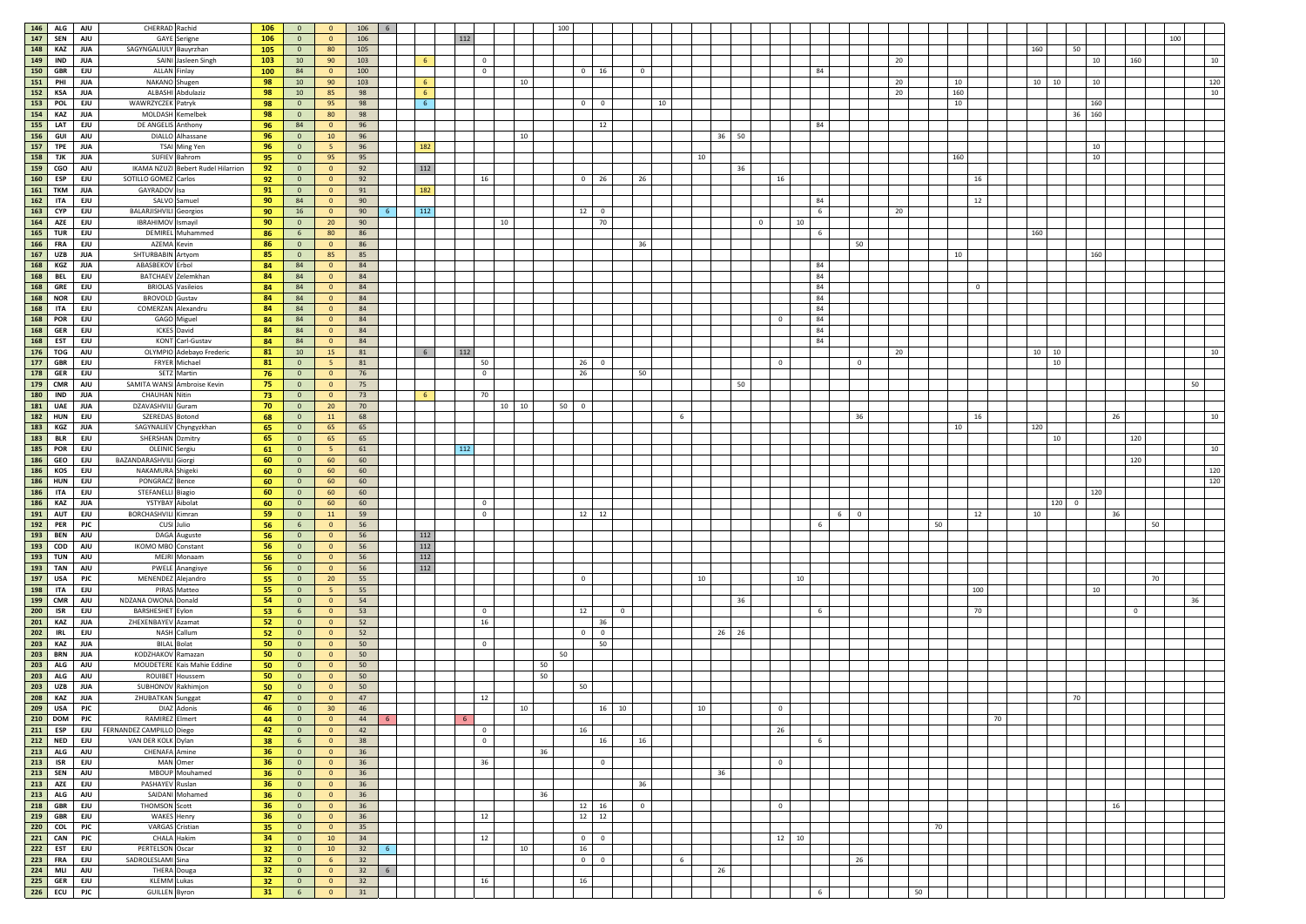| 146 ALG<br><b>AJU</b>                   | CHERRAD Rachid                             | 106      | $\overline{0}$                   | $\Omega$                  | 106      |                |                 |     |                |    | 100            |                         |         |                 |    |                |                |    |             |    |    |                |    |     |                       |     |                |     |        |
|-----------------------------------------|--------------------------------------------|----------|----------------------------------|---------------------------|----------|----------------|-----------------|-----|----------------|----|----------------|-------------------------|---------|-----------------|----|----------------|----------------|----|-------------|----|----|----------------|----|-----|-----------------------|-----|----------------|-----|--------|
| 147 SEN<br>AJU                          | <b>GAYE</b> Serigne                        | 106      | $\overline{0}$                   | $\overline{0}$            | 106      |                |                 | 112 |                |    |                |                         |         |                 |    |                |                |    |             |    |    |                |    |     |                       |     |                | 100 |        |
| 148 KAZ                                 | SAGYNGALIULY Bauyrzhan                     | 105      |                                  |                           |          |                |                 |     |                |    |                |                         |         |                 |    |                |                |    |             |    |    |                |    | 160 | 50                    |     |                |     |        |
| <b>JUA</b>                              |                                            |          | $\overline{0}$                   | 80                        | 105      |                |                 |     |                |    |                |                         |         |                 |    |                |                |    |             |    |    |                |    |     |                       |     |                |     |        |
| 149<br><b>IND</b><br><b>JUA</b>         | SAINI Jasleen Singh                        | 103      | 10                               | 90                        | 103      |                | 6               |     | $\circ$        |    |                |                         |         |                 |    |                |                |    |             | 20 |    |                |    |     |                       | 10  | 160            |     | $10\,$ |
| 150<br><b>GBR</b><br>EJU                | <b>ALLAN Finlay</b>                        | 100      | 84                               | $\circ$                   | 100      |                |                 |     | $\circ$        |    | $\overline{0}$ | 16                      | $\circ$ |                 |    |                |                | 84 |             |    |    |                |    |     |                       |     |                |     |        |
| <b>JUA</b>                              | NAKANO Shugen                              |          | 10                               |                           | 103      |                |                 |     |                | 10 |                |                         |         |                 |    |                |                |    |             | 20 |    |                |    | 10  | 10                    |     |                |     | 120    |
| 151<br>PHI                              |                                            | 98       |                                  | 90                        |          |                | 6 <sup>1</sup>  |     |                |    |                |                         |         |                 |    |                |                |    |             |    |    | 10             |    |     |                       | 10  |                |     |        |
| 152<br><b>KSA</b><br><b>JUA</b>         | ALBASHI Abdulaziz                          | 98       | 10                               | 85                        | 98       |                | 6 <sup>6</sup>  |     |                |    |                |                         |         |                 |    |                |                |    |             | 20 |    | 160            |    |     |                       |     |                |     | $10\,$ |
| 153<br><b>POL</b><br>EJU                | WAWRZYCZEK Patryk                          | 98       | $\overline{0}$                   | 95                        | 98       |                | 6 <sup>1</sup>  |     |                |    | $\circ$        | $\mathbf{0}$            | 10      |                 |    |                |                |    |             |    |    | 10             |    |     |                       | 160 |                |     |        |
|                                         |                                            |          |                                  |                           |          |                |                 |     |                |    |                |                         |         |                 |    |                |                |    |             |    |    |                |    |     |                       |     |                |     |        |
| 154<br><b>KAZ</b><br><b>JUA</b>         | MOLDASH Kemelbek                           | 98       | $\overline{0}$                   | 80                        | 98       |                |                 |     |                |    |                |                         |         |                 |    |                |                |    |             |    |    |                |    |     | 36                    | 160 |                |     |        |
| 155<br>LAT<br><b>EJU</b>                | DE ANGELIS Anthony                         | 96       | 84                               | $\mathbf{0}$              | 96       |                |                 |     |                |    |                | 12                      |         |                 |    |                |                | 84 |             |    |    |                |    |     |                       |     |                |     |        |
| 156<br>GUI<br>AJU                       | DIALLO Alhassane                           | 96       | $\overline{0}$                   | 10 <sup>°</sup>           | 96       |                |                 |     |                | 10 |                |                         |         |                 | 36 | 50             |                |    |             |    |    |                |    |     |                       |     |                |     |        |
|                                         |                                            |          |                                  |                           |          |                |                 |     |                |    |                |                         |         |                 |    |                |                |    |             |    |    |                |    |     |                       |     |                |     |        |
| 157<br><b>TPE</b><br><b>JUA</b>         | <b>TSAI</b> Ming Yen                       | 96       | $\overline{0}$                   | -5                        | 96       |                | 182             |     |                |    |                |                         |         |                 |    |                |                |    |             |    |    |                |    |     |                       | 10  |                |     |        |
| 158<br>TJK<br><b>JUA</b>                | SUFIEV Bahrom                              | 95       | $\overline{0}$                   | 95                        | 95       |                |                 |     |                |    |                |                         |         | 10              |    |                |                |    |             |    |    | 160            |    |     |                       | 10  |                |     |        |
| 159<br>CGO<br><b>AJU</b>                | IKAMA NZUZI Bebert Rudel Hilarrion         |          |                                  |                           |          |                | 112             |     |                |    |                |                         |         |                 |    |                |                |    |             |    |    |                |    |     |                       |     |                |     |        |
|                                         |                                            | 92       | $\overline{0}$                   | $\overline{0}$            | 92       |                |                 |     |                |    |                |                         |         |                 |    | 36             |                |    |             |    |    |                |    |     |                       |     |                |     |        |
| 160<br><b>ESP</b><br>EJU                | SOTILLO GOMEZ Carlos                       | 92       | $\overline{0}$                   | $\overline{0}$            | 92       |                |                 |     | 16             |    | $\overline{0}$ | 26                      | 26      |                 |    |                | 16             |    |             |    |    | 16             |    |     |                       |     |                |     |        |
| 161<br><b>TKM</b><br><b>JUA</b>         | GAYRADOV Isa                               | 91       | $\overline{0}$                   | $\mathbf 0$               | 91       |                | 182             |     |                |    |                |                         |         |                 |    |                |                |    |             |    |    |                |    |     |                       |     |                |     |        |
|                                         |                                            |          |                                  |                           |          |                |                 |     |                |    |                |                         |         |                 |    |                |                |    |             |    |    |                |    |     |                       |     |                |     |        |
| 162<br><b>ITA</b><br>EJU                | SALVO Samuel                               | 90       | 84                               | $\overline{0}$            | 90       |                |                 |     |                |    |                |                         |         |                 |    |                |                | 84 |             |    |    | 12             |    |     |                       |     |                |     |        |
| 163<br><b>CYP</b><br>EJU                | <b>BALARJISHVILI Georgios</b>              | 90       | 16                               | $\overline{0}$            | 90       |                | 112             |     |                |    | 12             | $\mathbf{0}$            |         |                 |    |                |                | 6  |             | 20 |    |                |    |     |                       |     |                |     |        |
| 164<br>AZE<br>EJU                       | <b>IBRAHIMOV</b> Ismayil                   | 90       | $\overline{0}$                   | 20                        | 90       |                |                 |     | 10             |    |                | 70                      |         |                 |    | $\overline{0}$ | 10             |    |             |    |    |                |    |     |                       |     |                |     |        |
|                                         |                                            |          |                                  |                           |          |                |                 |     |                |    |                |                         |         |                 |    |                |                |    |             |    |    |                |    |     |                       |     |                |     |        |
| 165<br><b>TUR</b><br>EJU                | DEMIREL Muhammed                           | 86       | 6 <sub>5</sub>                   | 80                        | 86       |                |                 |     |                |    |                |                         |         |                 |    |                |                | 6  |             |    |    |                |    | 160 |                       |     |                |     |        |
| 166<br><b>FRA</b><br><b>EJU</b>         | AZEMA Kevin                                | 86       | $\overline{0}$                   | $\overline{0}$            | 86       |                |                 |     |                |    |                |                         | 36      |                 |    |                |                |    | 50          |    |    |                |    |     |                       |     |                |     |        |
| 167                                     | SHTURBABIN Artyom                          | 85       |                                  |                           |          |                |                 |     |                |    |                |                         |         |                 |    |                |                |    |             |    |    | 10             |    |     |                       | 160 |                |     |        |
| <b>UZB</b><br><b>JUA</b>                |                                            |          | $\overline{0}$                   | 85                        | 85       |                |                 |     |                |    |                |                         |         |                 |    |                |                |    |             |    |    |                |    |     |                       |     |                |     |        |
| 168<br><b>KGZ</b><br><b>JUA</b>         | ABASBEKOV Erbol                            | 84       | 84                               | $\overline{0}$            | 84       |                |                 |     |                |    |                |                         |         |                 |    |                |                | 84 |             |    |    |                |    |     |                       |     |                |     |        |
| 168<br><b>BEL</b><br><b>EJU</b>         | <b>BATCHAEV</b> Zelemkhan                  | 84       | 84                               | $\overline{0}$            | 84       |                |                 |     |                |    |                |                         |         |                 |    |                |                | 84 |             |    |    |                |    |     |                       |     |                |     |        |
|                                         |                                            |          |                                  |                           |          |                |                 |     |                |    |                |                         |         |                 |    |                |                |    |             |    |    |                |    |     |                       |     |                |     |        |
| 168<br><b>GRE</b><br>EJU                | <b>BRIOLAS Vasileios</b>                   | 84       | 84                               | $\circ$                   | 84       |                |                 |     |                |    |                |                         |         |                 |    |                |                | 84 |             |    |    | $\overline{0}$ |    |     |                       |     |                |     |        |
| 168<br><b>NOR</b><br>EJU                | <b>BROVOLD</b> Gustav                      | 84       | 84                               | $\overline{0}$            | 84       |                |                 |     |                |    |                |                         |         |                 |    |                |                | 84 |             |    |    |                |    |     |                       |     |                |     |        |
| 168<br><b>ITA</b><br>EJU                | COMERZAN Alexandru                         | 84       | 84                               | $\circ$                   | 84       |                |                 |     |                |    |                |                         |         |                 |    |                |                | 84 |             |    |    |                |    |     |                       |     |                |     |        |
|                                         |                                            |          |                                  |                           |          |                |                 |     |                |    |                |                         |         |                 |    |                |                |    |             |    |    |                |    |     |                       |     |                |     |        |
| 168<br>POR<br>EJU                       | GAGO Miguel                                | 84       | 84                               | $\overline{0}$            | 84       |                |                 |     |                |    |                |                         |         |                 |    |                | $\circ$        | 84 |             |    |    |                |    |     |                       |     |                |     |        |
| 168<br><b>GER</b><br>EJU                | <b>ICKES</b> David                         | 84       | 84                               | $\mathbf{0}$              | 84       |                |                 |     |                |    |                |                         |         |                 |    |                |                | 84 |             |    |    |                |    |     |                       |     |                |     |        |
| 168<br>EST<br>EJU                       | KONT Carl-Gustav                           | 84       | 84                               | $\circ$                   | 84       |                |                 |     |                |    |                |                         |         |                 |    |                |                | 84 |             |    |    |                |    |     |                       |     |                |     |        |
|                                         |                                            |          |                                  |                           |          |                |                 |     |                |    |                |                         |         |                 |    |                |                |    |             |    |    |                |    |     |                       |     |                |     |        |
| 176<br><b>TOG</b><br><b>AJU</b>         | OLYMPIO Adebayo Frederic                   | 81       | $10\,$                           | 15                        | 81       |                | $6\overline{6}$ | 112 |                |    |                |                         |         |                 |    |                |                |    |             | 20 |    |                |    | 10  | 10                    |     |                |     | $10\,$ |
| 177<br><b>GBR</b><br>EJU                | FRYER Michael                              | 81       | $\overline{0}$                   | 5 <sub>1</sub>            | 81       |                |                 |     | 50             |    | 26             | $\mathbf{0}$            |         |                 |    |                | $\circ$        |    | $\circ$     |    |    |                |    |     | 10                    |     |                |     |        |
|                                         |                                            |          |                                  |                           |          |                |                 |     |                |    |                |                         |         |                 |    |                |                |    |             |    |    |                |    |     |                       |     |                |     |        |
| 178<br><b>GER</b><br>EJU                | SETZ Martin                                | 76       | $\overline{0}$                   | $\circ$                   | 76       |                |                 |     | $\mathbf{0}$   |    | 26             |                         | 50      |                 |    |                |                |    |             |    |    |                |    |     |                       |     |                |     |        |
| 179<br><b>CMR</b><br><b>AJU</b>         | SAMITA WANSI Ambroise Kevin                | 75       | $\overline{0}$                   | $\overline{0}$            | 75       |                |                 |     |                |    |                |                         |         |                 |    | 50             |                |    |             |    |    |                |    |     |                       |     |                |     | 50     |
| 180<br><b>IND</b><br><b>JUA</b>         | <b>CHAUHAN</b> Nitin                       | 73       | $\overline{0}$                   | $\mathbf{0}$              | 73       |                | 6 <sup>1</sup>  |     | 70             |    |                |                         |         |                 |    |                |                |    |             |    |    |                |    |     |                       |     |                |     |        |
|                                         |                                            |          |                                  |                           |          |                |                 |     |                |    |                |                         |         |                 |    |                |                |    |             |    |    |                |    |     |                       |     |                |     |        |
| 181<br><b>UAE</b><br><b>JUA</b>         | DZAVASHVILI Guram                          | 70       | $\overline{0}$                   | 20 <sub>2</sub>           | 70       |                |                 |     | 10             | 10 | 50 0           |                         |         |                 |    |                |                |    |             |    |    |                |    |     |                       |     |                |     |        |
| 182<br><b>HUN</b><br>EJU                | SZEREDAS Botond                            | 68       | $\overline{0}$                   | 11                        | 68       |                |                 |     |                |    |                |                         |         | 6               |    |                |                |    | 36          |    |    | 16             |    |     |                       |     | 26             |     | $10\,$ |
| 183<br>KGZ<br><b>JUA</b>                | SAGYNALIEV Chyngyzkhan                     | 65       | $\overline{0}$                   | 65                        | 65       |                |                 |     |                |    |                |                         |         |                 |    |                |                |    |             |    |    | 10             |    | 120 |                       |     |                |     |        |
|                                         |                                            |          |                                  |                           |          |                |                 |     |                |    |                |                         |         |                 |    |                |                |    |             |    |    |                |    |     |                       |     |                |     |        |
| 183<br><b>BLR</b><br>EJU                | SHERSHAN Dzmitry                           | 65       | $\overline{0}$                   | 65                        | 65       |                |                 |     |                |    |                |                         |         |                 |    |                |                |    |             |    |    |                |    |     | 10                    |     | 120            |     |        |
| 185<br>POR<br>EJU                       | OLEINIC Sergiu                             | 61       | $\overline{0}$                   | -5                        | 61       |                |                 | 112 |                |    |                |                         |         |                 |    |                |                |    |             |    |    |                |    |     |                       |     |                |     | $10\,$ |
| 186<br>GEO<br>EJU                       | BAZANDARASHVILI Giorgi                     |          |                                  |                           |          |                |                 |     |                |    |                |                         |         |                 |    |                |                |    |             |    |    |                |    |     |                       |     | 120            |     |        |
|                                         |                                            | 60       | $\overline{0}$                   | 60                        | 60       |                |                 |     |                |    |                |                         |         |                 |    |                |                |    |             |    |    |                |    |     |                       |     |                |     |        |
|                                         |                                            |          |                                  |                           |          |                |                 |     |                |    |                |                         |         |                 |    |                |                |    |             |    |    |                |    |     |                       |     |                |     |        |
|                                         |                                            |          |                                  |                           |          |                |                 |     |                |    |                |                         |         |                 |    |                |                |    |             |    |    |                |    |     |                       |     |                |     |        |
| 186<br>KOS<br>EJU                       | NAKAMURA Shigeki                           | 60       | $\overline{0}$                   | 60                        | 60       |                |                 |     |                |    |                |                         |         |                 |    |                |                |    |             |    |    |                |    |     |                       |     |                |     | 120    |
| 186<br><b>HUN</b><br>EJU                | PONGRACZ Bence                             | 60       | $\overline{0}$                   | 60                        | 60       |                |                 |     |                |    |                |                         |         |                 |    |                |                |    |             |    |    |                |    |     |                       |     |                |     | 120    |
| 186<br><b>ITA</b><br>EJU                | STEFANELLI Biagio                          | 60       | $\overline{0}$                   | 60                        | 60       |                |                 |     |                |    |                |                         |         |                 |    |                |                |    |             |    |    |                |    |     |                       | 120 |                |     |        |
|                                         |                                            |          |                                  |                           |          |                |                 |     |                |    |                |                         |         |                 |    |                |                |    |             |    |    |                |    |     |                       |     |                |     |        |
| 186<br><b>KAZ</b><br><b>JUA</b>         | YSTYBAY Aibolat                            | 60       | $\overline{0}$                   | 60                        | 60       |                |                 |     | $\mathbf{0}$   |    |                |                         |         |                 |    |                |                |    |             |    |    |                |    |     | 120<br>$\overline{0}$ |     |                |     |        |
| 191<br><b>AUT</b><br>EJU                | <b>BORCHASHVILI Kimran</b>                 | 59       | $\overline{0}$                   | 11                        | 59       |                |                 |     | $\circ$        |    |                | 12 12                   |         |                 |    |                |                |    | $6 \quad 0$ |    |    | 12             |    | 10  |                       |     | 36             |     |        |
| 192<br>PER<br>PJC                       | CUSI Julio                                 | 56       | 6 <sup>5</sup>                   | $\mathbf{0}$              | 56       |                |                 |     |                |    |                |                         |         |                 |    |                |                | 6  |             |    | 50 |                |    |     |                       |     |                | 50  |        |
|                                         |                                            |          |                                  |                           |          |                |                 |     |                |    |                |                         |         |                 |    |                |                |    |             |    |    |                |    |     |                       |     |                |     |        |
| 193<br><b>BEN</b><br><b>AJU</b>         | DAGA Auguste                               | 56       | $\overline{0}$                   | $\mathbf{0}$              | 56       |                | 112             |     |                |    |                |                         |         |                 |    |                |                |    |             |    |    |                |    |     |                       |     |                |     |        |
| 193<br>COD<br><b>AJU</b>                | IKOMO MBO Constant                         | 56       | $\overline{0}$                   | $\overline{0}$            | 56       |                | 112             |     |                |    |                |                         |         |                 |    |                |                |    |             |    |    |                |    |     |                       |     |                |     |        |
| AJU                                     | MEJRI Monaam                               |          | $\overline{0}$                   | $\overline{0}$            | 56       |                |                 |     |                |    |                |                         |         |                 |    |                |                |    |             |    |    |                |    |     |                       |     |                |     |        |
| 193<br><b>TUN</b>                       |                                            | 56       |                                  |                           |          |                | 112             |     |                |    |                |                         |         |                 |    |                |                |    |             |    |    |                |    |     |                       |     |                |     |        |
| 193<br><b>TAN</b><br>AJU                | <b>PWELE</b> Anangisye                     | 56       | $\overline{0}$                   | $\mathbf{0}$              | 56       |                | 112             |     |                |    |                |                         |         |                 |    |                |                |    |             |    |    |                |    |     |                       |     |                |     |        |
| 197<br><b>USA</b><br>PJC                | MENENDEZ Alejandro                         | 55       | $\overline{0}$                   | 20                        | 55       |                |                 |     |                |    | $\mathbf{0}$   |                         |         | 10              |    |                | 10             |    |             |    |    |                |    |     |                       |     |                | 70  |        |
| 198<br><b>ITA</b><br>EJU                | PIRAS Matteo                               | 55       | $\overline{0}$                   | 5                         | 55       |                |                 |     |                |    |                |                         |         |                 |    |                |                |    |             |    |    | 100            |    |     |                       | 10  |                |     |        |
|                                         |                                            |          |                                  |                           |          |                |                 |     |                |    |                |                         |         |                 |    |                |                |    |             |    |    |                |    |     |                       |     |                |     |        |
| 199<br><b>CMR</b><br><b>AJU</b>         | NDZANA OWONA Donald                        | 54       | $\overline{0}$                   | $\mathbf{0}$              | 54       |                |                 |     |                |    |                |                         |         |                 |    | 36             |                |    |             |    |    |                |    |     |                       |     |                |     | 36     |
| 200<br><b>ISR</b><br>EJU                | <b>BARSHESHET</b> Eylon                    | 53       | 6 <sup>5</sup>                   | $\circ$                   | 53       |                |                 |     | $\circ$        |    | 12             | $\circ$                 |         |                 |    |                |                | 6  |             |    |    | 70             |    |     |                       |     | $\overline{0}$ |     |        |
| 201<br>KAZ<br><b>JUA</b>                | ZHEXENBAYEV Azamat                         | 52       | $\overline{0}$                   | $\circ$                   | 52       |                |                 |     | 16             |    |                | 36                      |         |                 |    |                |                |    |             |    |    |                |    |     |                       |     |                |     |        |
|                                         |                                            |          |                                  |                           |          |                |                 |     |                |    |                |                         |         |                 |    |                |                |    |             |    |    |                |    |     |                       |     |                |     |        |
| 202<br><b>IRL</b><br><b>EJU</b>         | NASH Callum                                | 52       | $\overline{0}$                   | $\overline{0}$            | 52       |                |                 |     |                |    | $\overline{0}$ | $\mathbf{0}$            |         |                 |    | 26 26          |                |    |             |    |    |                |    |     |                       |     |                |     |        |
| 203<br><b>KAZ</b><br><b>JUA</b>         | <b>BILAL Bolat</b>                         | 50       | $\overline{0}$                   | $\circ$                   | 50       |                |                 |     | $\circ$        |    |                | 50                      |         |                 |    |                |                |    |             |    |    |                |    |     |                       |     |                |     |        |
| 203<br><b>BRN</b><br><b>JUA</b>         | KODZHAKOV Ramazan                          | 50       | $\circ$                          | $\mathbf{0}$              | 50       |                |                 |     |                |    | 50             |                         |         |                 |    |                |                |    |             |    |    |                |    |     |                       |     |                |     |        |
|                                         |                                            |          |                                  |                           |          |                |                 |     |                |    |                |                         |         |                 |    |                |                |    |             |    |    |                |    |     |                       |     |                |     |        |
| 203<br><b>ALG</b><br>AJU                | MOUDETERE Kais Mahie Eddine                | 50       | $\overline{0}$                   | $\overline{0}$            | 50       |                |                 |     |                | 50 |                |                         |         |                 |    |                |                |    |             |    |    |                |    |     |                       |     |                |     |        |
| 203<br><b>ALG</b><br>AJU                | ROUIBET Houssem                            | 50       | $\overline{0}$                   | $\overline{0}$            | 50       |                |                 |     |                | 50 |                |                         |         |                 |    |                |                |    |             |    |    |                |    |     |                       |     |                |     |        |
| 203<br>UZB<br><b>JUA</b>                | SUBHONOV Rakhimjon                         | 50       | $\mathbf 0$                      | $\overline{0}$            | $50\,$   |                |                 |     |                |    | 50             |                         |         |                 |    |                |                |    |             |    |    |                |    |     |                       |     |                |     |        |
|                                         |                                            |          |                                  |                           |          |                |                 |     |                |    |                |                         |         |                 |    |                |                |    |             |    |    |                |    |     |                       |     |                |     |        |
| 208<br><b>KAZ</b><br><b>JUA</b>         | ZHUBATKAN Sunggat                          | 47       | $\mathbf{0}$                     | $\overline{0}$            | 47       |                |                 |     | 12             |    |                |                         |         |                 |    |                |                |    |             |    |    |                |    |     | 70                    |     |                |     |        |
| 209<br><b>USA</b><br>PJC                | DIAZ Adonis                                | 46       | $\overline{0}$                   | 30 <sup>°</sup>           | 46       |                |                 |     |                | 10 |                | 16 10                   |         | 10              |    |                | $\overline{0}$ |    |             |    |    |                |    |     |                       |     |                |     |        |
|                                         |                                            |          |                                  |                           |          | $6\phantom{1}$ |                 | 6   |                |    |                |                         |         |                 |    |                |                |    |             |    |    |                |    |     |                       |     |                |     |        |
| 210 DOM<br>PJC                          | RAMIREZ Elmert                             | 44       | $\overline{\mathbf{0}}$          | $\overline{0}$            | 44       |                |                 |     |                |    |                |                         |         |                 |    |                |                |    |             |    |    |                | 70 |     |                       |     |                |     |        |
| 211 ESP                                 | EJU FERNANDEZ CAMPILLO Diego               | 42       | $\overline{0}$                   | $\overline{0}$            | 42       |                |                 |     | $\circ$        |    | 16             |                         |         |                 |    |                | 26             |    |             |    |    |                |    |     |                       |     |                |     |        |
| 212 NED<br>EJU                          | VAN DER KOLK Dylan                         | 38       | $6\overline{6}$                  | $\overline{0}$            | 38       |                |                 |     | $\overline{0}$ |    |                | 16                      | 16      |                 |    |                |                | 6  |             |    |    |                |    |     |                       |     |                |     |        |
|                                         |                                            |          |                                  |                           |          |                |                 |     |                |    |                |                         |         |                 |    |                |                |    |             |    |    |                |    |     |                       |     |                |     |        |
| 213 ALG<br><b>AJU</b>                   | CHENAFA Amine                              | 36       | $\overline{0}$                   | $\overline{\mathbf{0}}$   | 36       |                |                 |     |                | 36 |                |                         |         |                 |    |                |                |    |             |    |    |                |    |     |                       |     |                |     |        |
| 213 ISR<br>EJU                          | MAN Omer                                   | 36       | $\overline{0}$                   | $\bullet$                 | 36       |                |                 |     | 36             |    |                | $\overline{0}$          |         |                 |    |                | $\circ$        |    |             |    |    |                |    |     |                       |     |                |     |        |
|                                         |                                            | 36       |                                  |                           |          |                |                 |     |                |    |                |                         |         |                 | 36 |                |                |    |             |    |    |                |    |     |                       |     |                |     |        |
| 213 SEN<br><b>AJU</b>                   | MBOUP Mouhamed                             |          | $\overline{0}$                   | $\bullet$                 | 36       |                |                 |     |                |    |                |                         |         |                 |    |                |                |    |             |    |    |                |    |     |                       |     |                |     |        |
| 213 AZE<br>EJU                          | PASHAYEV Ruslan                            | 36       | $\overline{0}$                   | $\overline{0}$            | 36       |                |                 |     |                |    |                |                         | 36      |                 |    |                |                |    |             |    |    |                |    |     |                       |     |                |     |        |
| 213 ALG<br><b>AJU</b>                   | SAIDANI Mohamed                            | 36       | $\overline{0}$                   | $\overline{0}$            | 36       |                |                 |     |                | 36 |                |                         |         |                 |    |                |                |    |             |    |    |                |    |     |                       |     |                |     |        |
|                                         |                                            |          |                                  |                           |          |                |                 |     |                |    |                |                         |         |                 |    |                |                |    |             |    |    |                |    |     |                       |     |                |     |        |
| 218 GBR<br>EJU                          | THOMSON Scott                              | 36       | $\overline{0}$                   | $\overline{0}$            | 36       |                |                 |     |                |    |                | 12 16                   | $\circ$ |                 |    |                | $\circ$        |    |             |    |    |                |    |     |                       |     | 16             |     |        |
| 219 GBR<br>EJU                          | WAKES Henry                                | 36       | $\overline{0}$                   | $\overline{0}$            | 36       |                |                 |     | 12             |    |                | 12  12                  |         |                 |    |                |                |    |             |    |    |                |    |     |                       |     |                |     |        |
| 220 COL<br>PJC                          | VARGAS Cristian                            | 35       | $\overline{0}$                   | $\overline{0}$            | 35       |                |                 |     |                |    |                |                         |         |                 |    |                |                |    |             |    | 70 |                |    |     |                       |     |                |     |        |
|                                         |                                            |          |                                  |                           |          |                |                 |     |                |    |                |                         |         |                 |    |                |                |    |             |    |    |                |    |     |                       |     |                |     |        |
| <b>221</b> CAN<br>PJC                   | CHALA Hakim                                | 34       | $\overline{0}$                   | 10                        | 34       |                |                 |     | 12             |    | $\overline{0}$ | $\circ$                 |         |                 |    |                | 12 10          |    |             |    |    |                |    |     |                       |     |                |     |        |
| 222 EST<br>EJU                          | PERTELSON Oscar                            | 32       | $\overline{0}$                   | 10                        | 32       | 6.             |                 |     |                | 10 | 16             |                         |         |                 |    |                |                |    |             |    |    |                |    |     |                       |     |                |     |        |
| 223 FRA<br>EJU                          |                                            | 32       | $\overline{0}$                   | 6 <sub>5</sub>            | 32       |                |                 |     |                |    | $\circ$        | $\overline{\mathbf{0}}$ |         | $6\overline{6}$ |    |                |                |    | 26          |    |    |                |    |     |                       |     |                |     |        |
|                                         | SADROLESLAMI Sina                          |          |                                  |                           |          |                |                 |     |                |    |                |                         |         |                 |    |                |                |    |             |    |    |                |    |     |                       |     |                |     |        |
| 224 MLI<br><b>AJU</b>                   | THERA Douga                                | 32       | $\overline{0}$                   | $\overline{0}$            | 32       | 6              |                 |     |                |    |                |                         |         |                 | 26 |                |                |    |             |    |    |                |    |     |                       |     |                |     |        |
| 225 GER<br>EJU<br>226 ECU<br><b>PJC</b> | <b>KLEMM</b> Lukas<br><b>GUILLEN</b> Byron | 32<br>31 | $\overline{0}$<br>6 <sup>1</sup> | $\circ$<br>$\overline{0}$ | 32<br>31 |                |                 |     | 16             |    | 16             |                         |         |                 |    |                |                |    |             | 50 |    |                |    |     |                       |     |                |     |        |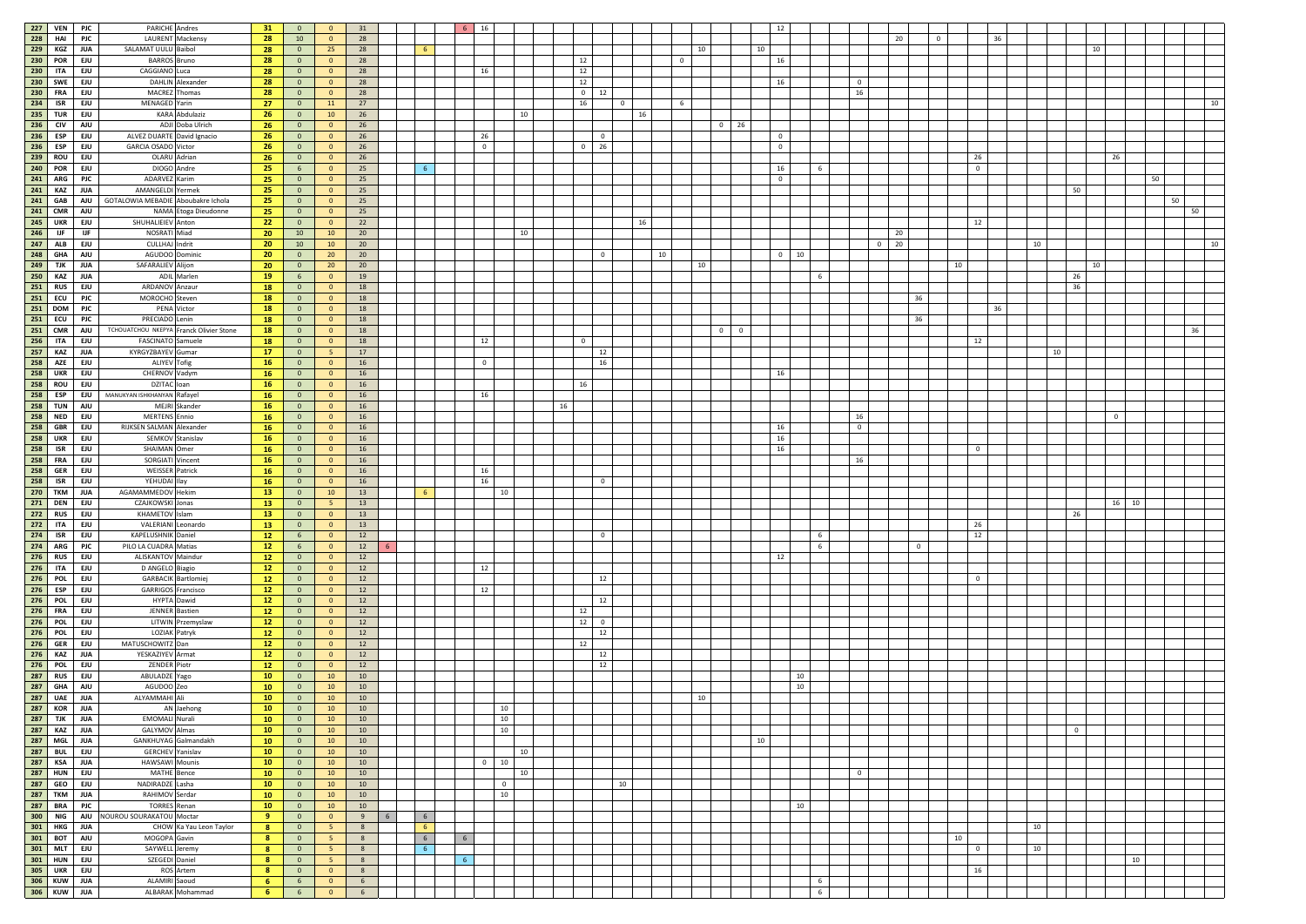|     | 227 VEN            | <b>PJC</b> | <b>PARICHE</b> Andres                   |                         | 31               | $\mathbf{0}$            |                 |                 |   |                 |             |                |                |    |                      |                |    |         |                           |        |                    |   |                |                |              |                |    |    |                |         |       |    |        |
|-----|--------------------|------------|-----------------------------------------|-------------------------|------------------|-------------------------|-----------------|-----------------|---|-----------------|-------------|----------------|----------------|----|----------------------|----------------|----|---------|---------------------------|--------|--------------------|---|----------------|----------------|--------------|----------------|----|----|----------------|---------|-------|----|--------|
|     |                    |            |                                         |                         |                  |                         | $\overline{0}$  | 31              |   |                 |             | 16             |                |    |                      |                |    |         |                           |        | 12                 |   |                |                |              |                |    |    |                |         |       |    |        |
| 228 | HAI                | PJC        |                                         | LAURENT Mackensy        | 28               | 10                      | $\overline{0}$  | 28              |   |                 |             |                |                |    |                      |                |    |         |                           |        |                    |   |                | 20             | $\mathbf{0}$ |                | 36 |    |                |         |       |    |        |
| 229 | KGZ                | <b>JUA</b> | SALAMAT UULU Baibol                     |                         | 28               | $\overline{0}$          | 25              | 28              |   | 6 <sup>1</sup>  |             |                |                |    |                      |                |    | 10      |                           | $10\,$ |                    |   |                |                |              |                |    |    |                | 10      |       |    |        |
| 230 |                    |            |                                         |                         |                  |                         |                 |                 |   |                 |             |                |                |    |                      |                |    |         |                           |        |                    |   |                |                |              |                |    |    |                |         |       |    |        |
|     | POR                | EJU        | <b>BARROS Bruno</b>                     |                         | 28               | $\overline{0}$          | $\circ$         | 28              |   |                 |             |                |                |    | 12                   |                |    | $\circ$ |                           |        | 16                 |   |                |                |              |                |    |    |                |         |       |    |        |
| 230 | <b>ITA</b>         | EJU        | CAGGIANO Luca                           |                         | 28               | $\overline{0}$          | $\overline{0}$  | 28              |   |                 |             | 16             |                |    | 12                   |                |    |         |                           |        |                    |   |                |                |              |                |    |    |                |         |       |    |        |
| 230 | SWE                | EJU        |                                         | DAHLIN Alexander        | 28               | $\overline{0}$          | $\overline{0}$  | 28              |   |                 |             |                |                |    | 12                   |                |    |         |                           |        | 16                 |   | $\circ$        |                |              |                |    |    |                |         |       |    |        |
| 230 | <b>FRA</b>         | EJU        | MACREZ Thomas                           |                         | 28               | $\overline{0}$          | $\circ$         | 28              |   |                 |             |                |                |    | $\overline{0}$<br>12 |                |    |         |                           |        |                    |   | 16             |                |              |                |    |    |                |         |       |    |        |
|     |                    |            |                                         |                         |                  |                         |                 |                 |   |                 |             |                |                |    |                      |                |    |         |                           |        |                    |   |                |                |              |                |    |    |                |         |       |    |        |
| 234 | <b>ISR</b>         | EJU        | MENAGED Yarin                           |                         | 27               | $\overline{0}$          | 11              | 27              |   |                 |             |                |                |    | 16                   | $\overline{0}$ |    | 6       |                           |        |                    |   |                |                |              |                |    |    |                |         |       |    | $10\,$ |
| 235 | <b>TUR</b>         | EJU        |                                         | KARA Abdulaziz          | 26               | $\overline{0}$          | 10 <sup>°</sup> | 26              |   |                 |             |                | 10             |    |                      |                | 16 |         |                           |        |                    |   |                |                |              |                |    |    |                |         |       |    |        |
| 236 | CIV                | <b>AJU</b> |                                         | ADJI Doba Ulrich        | 26               | $\overline{0}$          | $\mathbf 0$     | 26              |   |                 |             |                |                |    |                      |                |    |         | 26<br>$\overline{0}$      |        |                    |   |                |                |              |                |    |    |                |         |       |    |        |
|     |                    |            |                                         |                         |                  |                         |                 |                 |   |                 |             |                |                |    |                      |                |    |         |                           |        |                    |   |                |                |              |                |    |    |                |         |       |    |        |
| 236 | ESP                | EJU        | ALVEZ DUARTE David Ignacio              |                         | 26               | $\overline{0}$          | $\overline{0}$  | $26\,$          |   |                 |             | 26             |                |    | $\mathbf{0}$         |                |    |         |                           |        | $\overline{0}$     |   |                |                |              |                |    |    |                |         |       |    |        |
| 236 | ESP                | <b>EJU</b> | <b>GARCIA OSADO</b> Victor              |                         | 26               | $\overline{0}$          | $\overline{0}$  | 26              |   |                 |             | $\overline{0}$ |                |    | 26<br>$\circ$        |                |    |         |                           |        | $\circ$            |   |                |                |              |                |    |    |                |         |       |    |        |
| 239 | ROU                | EJU        | OLARU Adrian                            |                         | 26               | $\overline{0}$          | $\overline{0}$  | 26              |   |                 |             |                |                |    |                      |                |    |         |                           |        |                    |   |                |                |              | 26             |    |    |                | 26      |       |    |        |
|     |                    |            |                                         |                         |                  |                         |                 |                 |   |                 |             |                |                |    |                      |                |    |         |                           |        |                    |   |                |                |              |                |    |    |                |         |       |    |        |
| 240 | POR                | EJU        | DIOGO Andre                             |                         | 25               | 6 <sup>5</sup>          | $\overline{0}$  | 25              |   | 6 <sup>1</sup>  |             |                |                |    |                      |                |    |         |                           |        | 16                 | 6 |                |                |              | $^{\circ}$     |    |    |                |         |       |    |        |
| 241 | <b>ARG</b>         | PJC        | ADARVEZ Karim                           |                         | 25               | $\overline{0}$          | $\bullet$       | 25              |   |                 |             |                |                |    |                      |                |    |         |                           |        | $\overline{0}$     |   |                |                |              |                |    |    |                |         | 50    |    |        |
| 241 | <b>KAZ</b>         | <b>JUA</b> | AMANGELDI Yermek                        |                         | 25               | $\overline{0}$          | $\circ$         | 25              |   |                 |             |                |                |    |                      |                |    |         |                           |        |                    |   |                |                |              |                |    |    | 50             |         |       |    |        |
|     |                    |            |                                         |                         |                  |                         |                 |                 |   |                 |             |                |                |    |                      |                |    |         |                           |        |                    |   |                |                |              |                |    |    |                |         |       |    |        |
| 241 | GAB                | <b>AJU</b> | GOTALOWIA MEBADIE Aboubakre Ichola      |                         | 25               | $\overline{0}$          | $\overline{0}$  | 25              |   |                 |             |                |                |    |                      |                |    |         |                           |        |                    |   |                |                |              |                |    |    |                |         |       | 50 |        |
| 241 | <b>CMR</b>         | AJU        |                                         | NAMA Etoga Dieudonne    | 25               | $\overline{0}$          | $\overline{0}$  | 25              |   |                 |             |                |                |    |                      |                |    |         |                           |        |                    |   |                |                |              |                |    |    |                |         |       | 50 |        |
| 245 | <b>UKR</b>         | EJU        | SHUHALIEIEV Anton                       |                         | 22               | $\overline{0}$          | $\bullet$       | 22              |   |                 |             |                |                |    |                      |                | 16 |         |                           |        |                    |   |                |                |              | 12             |    |    |                |         |       |    |        |
|     |                    |            |                                         |                         |                  |                         |                 |                 |   |                 |             |                |                |    |                      |                |    |         |                           |        |                    |   |                |                |              |                |    |    |                |         |       |    |        |
| 246 | IJF                | IJF        | NOSRATI Miad                            |                         | 20               | 10                      | 10 <sup>°</sup> | 20              |   |                 |             |                | 10             |    |                      |                |    |         |                           |        |                    |   |                | 20             |              |                |    |    |                |         |       |    |        |
| 247 | <b>ALB</b>         | EJU        | CULLHAJ Indrit                          |                         | 20               | 10                      | 10 <sup>°</sup> | 20              |   |                 |             |                |                |    |                      |                |    |         |                           |        |                    |   | $\overline{0}$ | 20             |              |                |    | 10 |                |         |       |    | 10     |
| 248 | <b>GHA</b>         | <b>AJU</b> | AGUDOO Dominic                          |                         | 20               | $\overline{0}$          | 20              | 20              |   |                 |             |                |                |    | $\overline{0}$       |                | 10 |         |                           |        | $\mathbf{0}$<br>10 |   |                |                |              |                |    |    |                |         |       |    |        |
| 249 | TJK                | <b>JUA</b> | SAFARALIEV Alijon                       |                         | 20               | $\overline{0}$          | 20 <sup>°</sup> | 20              |   |                 |             |                |                |    |                      |                |    | 10      |                           |        |                    |   |                |                | 10           |                |    |    |                | 10      |       |    |        |
|     |                    |            |                                         |                         |                  |                         |                 |                 |   |                 |             |                |                |    |                      |                |    |         |                           |        |                    |   |                |                |              |                |    |    |                |         |       |    |        |
| 250 | KAZ                | <b>JUA</b> |                                         | ADIL Marlen             | 19               | 6 <sup>5</sup>          | $\overline{0}$  | 19              |   |                 |             |                |                |    |                      |                |    |         |                           |        |                    | 6 |                |                |              |                |    |    | 26             |         |       |    |        |
| 251 | <b>RUS</b>         | EJU        | ARDANOV Anzaur                          |                         | 18               | $\overline{0}$          | $\overline{0}$  | 18              |   |                 |             |                |                |    |                      |                |    |         |                           |        |                    |   |                |                |              |                |    |    | 36             |         |       |    |        |
| 251 | ECU                | PJC        | MOROCHO Steven                          |                         | 18               | $\overline{0}$          | $\overline{0}$  | 18              |   |                 |             |                |                |    |                      |                |    |         |                           |        |                    |   |                | 36             |              |                |    |    |                |         |       |    |        |
|     |                    |            |                                         |                         |                  |                         |                 |                 |   |                 |             |                |                |    |                      |                |    |         |                           |        |                    |   |                |                |              |                |    |    |                |         |       |    |        |
| 251 | <b>DOM</b>         | PJC        |                                         | PENA Victor             | 18               | $\overline{0}$          | $\overline{0}$  | 18              |   |                 |             |                |                |    |                      |                |    |         |                           |        |                    |   |                |                |              |                | 36 |    |                |         |       |    |        |
| 251 | ECU                | PJC        | PRECIADO Lenin                          |                         | 18               | $\overline{0}$          | $\circ$         | 18              |   |                 |             |                |                |    |                      |                |    |         |                           |        |                    |   |                | 36             |              |                |    |    |                |         |       |    |        |
| 251 | <b>CMR</b>         | <b>AJU</b> | TCHOUATCHOU NKEPYA Franck Olivier Stone |                         | 18               | $\overline{0}$          | $\mathbf 0$     | 18              |   |                 |             |                |                |    |                      |                |    |         | $\circ$<br>$\overline{0}$ |        |                    |   |                |                |              |                |    |    |                |         |       | 36 |        |
|     |                    |            |                                         |                         |                  |                         |                 |                 |   |                 |             |                |                |    |                      |                |    |         |                           |        |                    |   |                |                |              |                |    |    |                |         |       |    |        |
| 256 | <b>ITA</b>         | EJU        | FASCINATO Samuele                       |                         | 18               | $\overline{0}$          | $\overline{0}$  | 18              |   |                 |             | 12             |                |    | $\overline{0}$       |                |    |         |                           |        |                    |   |                |                |              | 12             |    |    |                |         |       |    |        |
| 257 | KAZ                | <b>JUA</b> | KYRGYZBAYEV Gumar                       |                         | 17               | $\overline{0}$          | 5 <sub>1</sub>  | 17              |   |                 |             |                |                |    | 12                   |                |    |         |                           |        |                    |   |                |                |              |                |    | 10 |                |         |       |    |        |
| 258 | AZE                | EJU        | ALIYEV Tofig                            |                         | 16               | $\overline{0}$          | $\circ$         | 16              |   |                 |             | $\overline{0}$ |                |    | 16                   |                |    |         |                           |        |                    |   |                |                |              |                |    |    |                |         |       |    |        |
|     |                    |            |                                         |                         |                  |                         |                 |                 |   |                 |             |                |                |    |                      |                |    |         |                           |        |                    |   |                |                |              |                |    |    |                |         |       |    |        |
| 258 | <b>UKR</b>         | EJU        | CHERNOV Vadym                           |                         | 16               | $\overline{0}$          | $\overline{0}$  | 16              |   |                 |             |                |                |    |                      |                |    |         |                           |        | 16                 |   |                |                |              |                |    |    |                |         |       |    |        |
| 258 | ROU                | <b>EJU</b> | DZITAC loan                             |                         | 16               | $\overline{0}$          | $\overline{0}$  | 16              |   |                 |             |                |                |    | 16                   |                |    |         |                           |        |                    |   |                |                |              |                |    |    |                |         |       |    |        |
| 258 | ESP                | EJU        | MANUKYAN ISHKHANYAN Rafayel             |                         | 16               | $\overline{0}$          | $\mathbf 0$     | 16              |   |                 |             | 16             |                |    |                      |                |    |         |                           |        |                    |   |                |                |              |                |    |    |                |         |       |    |        |
|     |                    | <b>AJU</b> |                                         | MEJRI Skander           |                  |                         |                 | 16              |   |                 |             |                |                |    |                      |                |    |         |                           |        |                    |   |                |                |              |                |    |    |                |         |       |    |        |
| 258 | <b>TUN</b>         |            |                                         |                         | 16               | $\overline{0}$          | $\bullet$       |                 |   |                 |             |                |                | 16 |                      |                |    |         |                           |        |                    |   |                |                |              |                |    |    |                |         |       |    |        |
| 258 | <b>NED</b>         | EJU        | MERTENS Ennio                           |                         | 16               | $\overline{0}$          | $\overline{0}$  | $16\,$          |   |                 |             |                |                |    |                      |                |    |         |                           |        |                    |   | 16             |                |              |                |    |    |                | $\circ$ |       |    |        |
| 258 | <b>GBR</b>         | EJU        | RIJKSEN SALMAN Alexander                |                         | 16               | $\overline{0}$          | $\circ$         | 16              |   |                 |             |                |                |    |                      |                |    |         |                           |        | 16                 |   | $\mathbf{0}$   |                |              |                |    |    |                |         |       |    |        |
| 258 | <b>UKR</b>         | EJU        |                                         | SEMKOV Stanislav        |                  | $\overline{0}$          |                 | 16              |   |                 |             |                |                |    |                      |                |    |         |                           |        | 16                 |   |                |                |              |                |    |    |                |         |       |    |        |
|     |                    |            |                                         |                         | 16               |                         | $\overline{0}$  |                 |   |                 |             |                |                |    |                      |                |    |         |                           |        |                    |   |                |                |              |                |    |    |                |         |       |    |        |
| 258 | <b>ISR</b>         | EJU        | SHAIMAN Omer                            |                         | 16               | $\overline{0}$          | $\overline{0}$  | 16              |   |                 |             |                |                |    |                      |                |    |         |                           |        | 16                 |   |                |                |              | $\mathbf 0$    |    |    |                |         |       |    |        |
| 258 | <b>FRA</b>         | EJU        | SORGIATI Vincent                        |                         | 16               | $\overline{0}$          | $\mathbf{0}$    | 16              |   |                 |             |                |                |    |                      |                |    |         |                           |        |                    |   | 16             |                |              |                |    |    |                |         |       |    |        |
|     | <b>GER</b>         | EJU        | WEISSER Patrick                         |                         |                  |                         |                 |                 |   |                 |             |                |                |    |                      |                |    |         |                           |        |                    |   |                |                |              |                |    |    |                |         |       |    |        |
| 258 |                    |            |                                         |                         | 16               | $\overline{0}$          | $\overline{0}$  | 16              |   |                 |             | 16             |                |    |                      |                |    |         |                           |        |                    |   |                |                |              |                |    |    |                |         |       |    |        |
| 258 | <b>ISR</b>         | EJU        | YEHUDAI Ilay                            |                         | 16               | $\overline{0}$          | $\overline{0}$  | 16              |   |                 |             | 16             |                |    | $\overline{0}$       |                |    |         |                           |        |                    |   |                |                |              |                |    |    |                |         |       |    |        |
| 270 | <b>TKM</b>         | <b>JUA</b> | AGAMAMMEDOV Hekim                       |                         | 13               | $\overline{0}$          | 10              | 13              |   | 6 <sup>1</sup>  |             |                | 10             |    |                      |                |    |         |                           |        |                    |   |                |                |              |                |    |    |                |         |       |    |        |
| 271 | <b>DEN</b>         | EJU        | CZAJKOWSKI Jonas                        |                         | 13               |                         |                 | 13              |   |                 |             |                |                |    |                      |                |    |         |                           |        |                    |   |                |                |              |                |    |    |                |         |       |    |        |
|     |                    |            |                                         |                         |                  | $\overline{0}$          | - 5 -           |                 |   |                 |             |                |                |    |                      |                |    |         |                           |        |                    |   |                |                |              |                |    |    |                |         | 16 10 |    |        |
| 272 | <b>RUS</b>         | EJU        | KHAMETOV Islam                          |                         | 13               | $\overline{0}$          | $\overline{0}$  | 13              |   |                 |             |                |                |    |                      |                |    |         |                           |        |                    |   |                |                |              |                |    |    | 26             |         |       |    |        |
| 272 | <b>ITA</b>         | EJU        | VALERIANI Leonardo                      |                         | 13               | $\overline{0}$          | $\circ$         | 13              |   |                 |             |                |                |    |                      |                |    |         |                           |        |                    |   |                |                |              | 26             |    |    |                |         |       |    |        |
| 274 | <b>ISR</b>         | <b>EJU</b> | KAPELUSHNIK Daniel                      |                         | 12               | 6 <sup>5</sup>          | $\overline{0}$  | 12              |   |                 |             |                |                |    | $\mathbf 0$          |                |    |         |                           |        |                    | 6 |                |                |              | 12             |    |    |                |         |       |    |        |
|     |                    |            |                                         |                         |                  |                         |                 |                 |   |                 |             |                |                |    |                      |                |    |         |                           |        |                    |   |                |                |              |                |    |    |                |         |       |    |        |
| 274 | <b>ARG</b>         | PJC        | PILO LA CUADRA Matias                   |                         | 12               | $6\overline{6}$         | $\circ$         | 12              |   |                 |             |                |                |    |                      |                |    |         |                           |        |                    | 6 |                | $\overline{0}$ |              |                |    |    |                |         |       |    |        |
| 276 | <b>RUS</b>         | EJU        | ALISKANTOV Maindur                      |                         | 12               | $\overline{0}$          | $\bullet$       | $12$            |   |                 |             |                |                |    |                      |                |    |         |                           |        | 12                 |   |                |                |              |                |    |    |                |         |       |    |        |
| 276 | <b>ITA</b>         | EJU        | D ANGELO Biagio                         |                         | 12               | $\overline{0}$          | $\overline{0}$  | 12              |   |                 |             | 12             |                |    |                      |                |    |         |                           |        |                    |   |                |                |              |                |    |    |                |         |       |    |        |
|     |                    |            |                                         |                         |                  |                         |                 |                 |   |                 |             |                |                |    |                      |                |    |         |                           |        |                    |   |                |                |              |                |    |    |                |         |       |    |        |
| 276 | POL                | EJU        |                                         | GARBACIK Bartlomiej     | 12               | $\overline{0}$          | $\overline{0}$  | 12              |   |                 |             |                |                |    | 12                   |                |    |         |                           |        |                    |   |                |                |              | $\mathbf{0}$   |    |    |                |         |       |    |        |
| 276 | ESP                | EJU        | GARRIGOS Francisco                      |                         | $12\,$           | $\overline{0}$          | $\overline{0}$  | $12\,$          |   |                 |             | 12             |                |    |                      |                |    |         |                           |        |                    |   |                |                |              |                |    |    |                |         |       |    |        |
| 276 | POL                | <b>EJU</b> |                                         | HYPTA Dawid             | 12               | $\overline{0}$          | $\overline{0}$  | $12$            |   |                 |             |                |                |    | 12                   |                |    |         |                           |        |                    |   |                |                |              |                |    |    |                |         |       |    |        |
| 276 | <b>FRA</b>         | EJU        | JENNER Bastien                          |                         | 12               | $\overline{0}$          | $\overline{0}$  | 12              |   |                 |             |                |                |    | 12                   |                |    |         |                           |        |                    |   |                |                |              |                |    |    |                |         |       |    |        |
|     |                    |            |                                         |                         |                  |                         |                 |                 |   |                 |             |                |                |    |                      |                |    |         |                           |        |                    |   |                |                |              |                |    |    |                |         |       |    |        |
| 276 | POL                | EJU        |                                         | LITWIN Przemyslaw       | 12               | $\overline{0}$          | $\bullet$       | $12\,$          |   |                 |             |                |                |    | 12<br>$\overline{0}$ |                |    |         |                           |        |                    |   |                |                |              |                |    |    |                |         |       |    |        |
| 276 | POL                | EJU        | LOZIAK Patryk                           |                         | 12               | $\circ$                 | $\overline{0}$  | 12              |   |                 |             |                |                |    | 12                   |                |    |         |                           |        |                    |   |                |                |              |                |    |    |                |         |       |    |        |
| 276 | <b>GER</b>         | EJU        | MATUSCHOWITZ Dan                        |                         | 12               | $\overline{0}$          | $\overline{0}$  | $12$            |   |                 |             |                |                |    | 12                   |                |    |         |                           |        |                    |   |                |                |              |                |    |    |                |         |       |    |        |
| 276 | <b>KAZ</b>         | <b>JUA</b> | YESKAZIYEV Armat                        |                         | 12               | $\overline{0}$          | $\circ$         | $12$            |   |                 |             |                |                |    | 12                   |                |    |         |                           |        |                    |   |                |                |              |                |    |    |                |         |       |    |        |
|     |                    |            |                                         |                         |                  |                         |                 |                 |   |                 |             |                |                |    |                      |                |    |         |                           |        |                    |   |                |                |              |                |    |    |                |         |       |    |        |
| 276 | POL                | EJU        | <b>ZENDER</b> Piotr                     |                         | 12               | $\circ$                 | $\circ$         | 12              |   |                 |             |                |                |    | 12                   |                |    |         |                           |        |                    |   |                |                |              |                |    |    |                |         |       |    |        |
| 287 | <b>RUS</b>         | EJU        | ABULADZE Yago                           |                         | 10               | $\overline{0}$          | 10 <sup>°</sup> | $10\,$          |   |                 |             |                |                |    |                      |                |    |         |                           |        | 10                 |   |                |                |              |                |    |    |                |         |       |    |        |
| 287 | <b>GHA</b>         | <b>AJU</b> | AGUDOO Zeo                              |                         | 10               | $\overline{0}$          | 10              | $10\,$          |   |                 |             |                |                |    |                      |                |    |         |                           |        | 10                 |   |                |                |              |                |    |    |                |         |       |    |        |
|     |                    |            |                                         |                         |                  |                         |                 |                 |   |                 |             |                |                |    |                      |                |    |         |                           |        |                    |   |                |                |              |                |    |    |                |         |       |    |        |
| 287 | <b>UAE</b>         | <b>JUA</b> | ALYAMMAHI Ali                           |                         | 10               | $\mathbf 0$             | 10              | 10 <sub>1</sub> |   |                 |             |                |                |    |                      |                |    | 10      |                           |        |                    |   |                |                |              |                |    |    |                |         |       |    |        |
| 287 | <b>KOR</b>         | <b>JUA</b> |                                         | AN Jaehong              | 10               | $\overline{0}$          | $10-10$         | 10              |   |                 |             |                | 10             |    |                      |                |    |         |                           |        |                    |   |                |                |              |                |    |    |                |         |       |    |        |
|     | <b>287 TJK JUA</b> |            | <b>EMOMALI Nurali</b>                   |                         | 10               | $\overline{0}$          | 10              | $10\,$          |   |                 |             |                | 10             |    |                      |                |    |         |                           |        |                    |   |                |                |              |                |    |    |                |         |       |    |        |
|     | 287 KAZ JUA        |            |                                         |                         |                  |                         |                 |                 |   |                 |             |                |                |    |                      |                |    |         |                           |        |                    |   |                |                |              |                |    |    |                |         |       |    |        |
|     |                    |            | GALYMOV Almas                           |                         | 10               | $\overline{0}$          | 10 <sup>°</sup> | 10              |   |                 |             |                | 10             |    |                      |                |    |         |                           |        |                    |   |                |                |              |                |    |    | $\overline{0}$ |         |       |    |        |
|     | 287 MGL JUA        |            | GANKHUYAG Galmandakh                    |                         | 10               | $\overline{\mathbf{0}}$ | 10              | 10              |   |                 |             |                |                |    |                      |                |    |         |                           | 10     |                    |   |                |                |              |                |    |    |                |         |       |    |        |
|     | 287 BUL            | EJU        | <b>GERCHEV</b> Yanislav                 |                         | 10               | $\overline{0}$          | 10              | 10              |   |                 |             |                | 10             |    |                      |                |    |         |                           |        |                    |   |                |                |              |                |    |    |                |         |       |    |        |
|     | 287 KSA            | <b>JUA</b> | HAWSAWI Mounis                          |                         | 10               | $\overline{\mathbf{0}}$ | 10 <sub>1</sub> | $10\,$          |   |                 |             |                | $0 \quad 10$   |    |                      |                |    |         |                           |        |                    |   |                |                |              |                |    |    |                |         |       |    |        |
|     |                    |            |                                         |                         |                  |                         |                 |                 |   |                 |             |                |                |    |                      |                |    |         |                           |        |                    |   |                |                |              |                |    |    |                |         |       |    |        |
|     | 287 HUN EJU        |            | MATHE Bence                             |                         | 10               | $\overline{0}$          | 10              | 10              |   |                 |             |                | 10             |    |                      |                |    |         |                           |        |                    |   | $\overline{0}$ |                |              |                |    |    |                |         |       |    |        |
|     | 287 GEO EJU        |            | NADIRADZE Lasha                         |                         | 10               | $\overline{0}$          | 10              | 10              |   |                 |             |                | $\overline{0}$ |    |                      | 10             |    |         |                           |        |                    |   |                |                |              |                |    |    |                |         |       |    |        |
|     | <b>287 TKM</b> JUA |            | RAHIMOV Serdar                          |                         | 10               | $\overline{0}$          | 10 <sub>1</sub> | $10\,$          |   |                 |             |                | 10             |    |                      |                |    |         |                           |        |                    |   |                |                |              |                |    |    |                |         |       |    |        |
|     |                    |            |                                         |                         |                  |                         |                 |                 |   |                 |             |                |                |    |                      |                |    |         |                           |        |                    |   |                |                |              |                |    |    |                |         |       |    |        |
|     | 287 BRA            | <b>PJC</b> | <b>TORRES</b> Renan                     |                         | 10               | $\overline{0}$          | 10              | 10              |   |                 |             |                |                |    |                      |                |    |         |                           |        | 10                 |   |                |                |              |                |    |    |                |         |       |    |        |
|     | 300 NIG            |            | AJU NOUROU SOURAKATOU Moctar            |                         | 9                | $\overline{0}$          | $\bullet$       | 9               | 6 | $6\overline{6}$ |             |                |                |    |                      |                |    |         |                           |        |                    |   |                |                |              |                |    |    |                |         |       |    |        |
|     | 301 HKG            | <b>JUA</b> |                                         | CHOW Ka Yau Leon Taylor | 8 <sup>2</sup>   | $\overline{0}$          | 5 <sub>1</sub>  | 8               |   | 6 <sup>1</sup>  |             |                |                |    |                      |                |    |         |                           |        |                    |   |                |                |              |                |    | 10 |                |         |       |    |        |
|     |                    |            |                                         |                         |                  |                         |                 |                 |   |                 |             |                |                |    |                      |                |    |         |                           |        |                    |   |                |                |              |                |    |    |                |         |       |    |        |
|     | 301 BOT            | <b>AJU</b> | MOGOPA Gavin                            |                         | 8 <sup>2</sup>   | $\overline{0}$          | 5 <sub>1</sub>  | 8               |   | $6\overline{6}$ | 6           |                |                |    |                      |                |    |         |                           |        |                    |   |                |                | 10           |                |    |    |                |         |       |    |        |
|     | 301 MLT EJU        |            | SAYWELL Jeremy                          |                         | 8 <sup>2</sup>   | $\overline{0}$          | 5 <sub>1</sub>  | 8               |   | 6 <sup>1</sup>  |             |                |                |    |                      |                |    |         |                           |        |                    |   |                |                |              | $\overline{0}$ |    | 10 |                |         |       |    |        |
|     | 301 HUN EJU        |            | SZEGEDI Daniel                          |                         | 8 <sup>2</sup>   | $\overline{0}$          | 5 <sub>1</sub>  | 8               |   |                 | $6^{\circ}$ |                |                |    |                      |                |    |         |                           |        |                    |   |                |                |              |                |    |    |                |         | 10    |    |        |
|     |                    |            |                                         |                         |                  |                         |                 |                 |   |                 |             |                |                |    |                      |                |    |         |                           |        |                    |   |                |                |              |                |    |    |                |         |       |    |        |
|     | 305 UKR            | EJU        |                                         | ROS Artem               | $\boldsymbol{8}$ | $\overline{0}$          | $\overline{0}$  | 8               |   |                 |             |                |                |    |                      |                |    |         |                           |        |                    |   |                |                |              | 16             |    |    |                |         |       |    |        |
|     | 306 KUW JUA        |            | ALAMIRI Saoud                           |                         | 6                | $6\overline{6}$         | $\bullet$       | $6\overline{6}$ |   |                 |             |                |                |    |                      |                |    |         |                           |        |                    | 6 |                |                |              |                |    |    |                |         |       |    |        |
|     | 306 KUW JUA        |            |                                         | ALBARAK Mohammad        | 6 <sup>7</sup>   | $6\overline{6}$         | $\bullet$       | $6\overline{6}$ |   |                 |             |                |                |    |                      |                |    |         |                           |        |                    | 6 |                |                |              |                |    |    |                |         |       |    |        |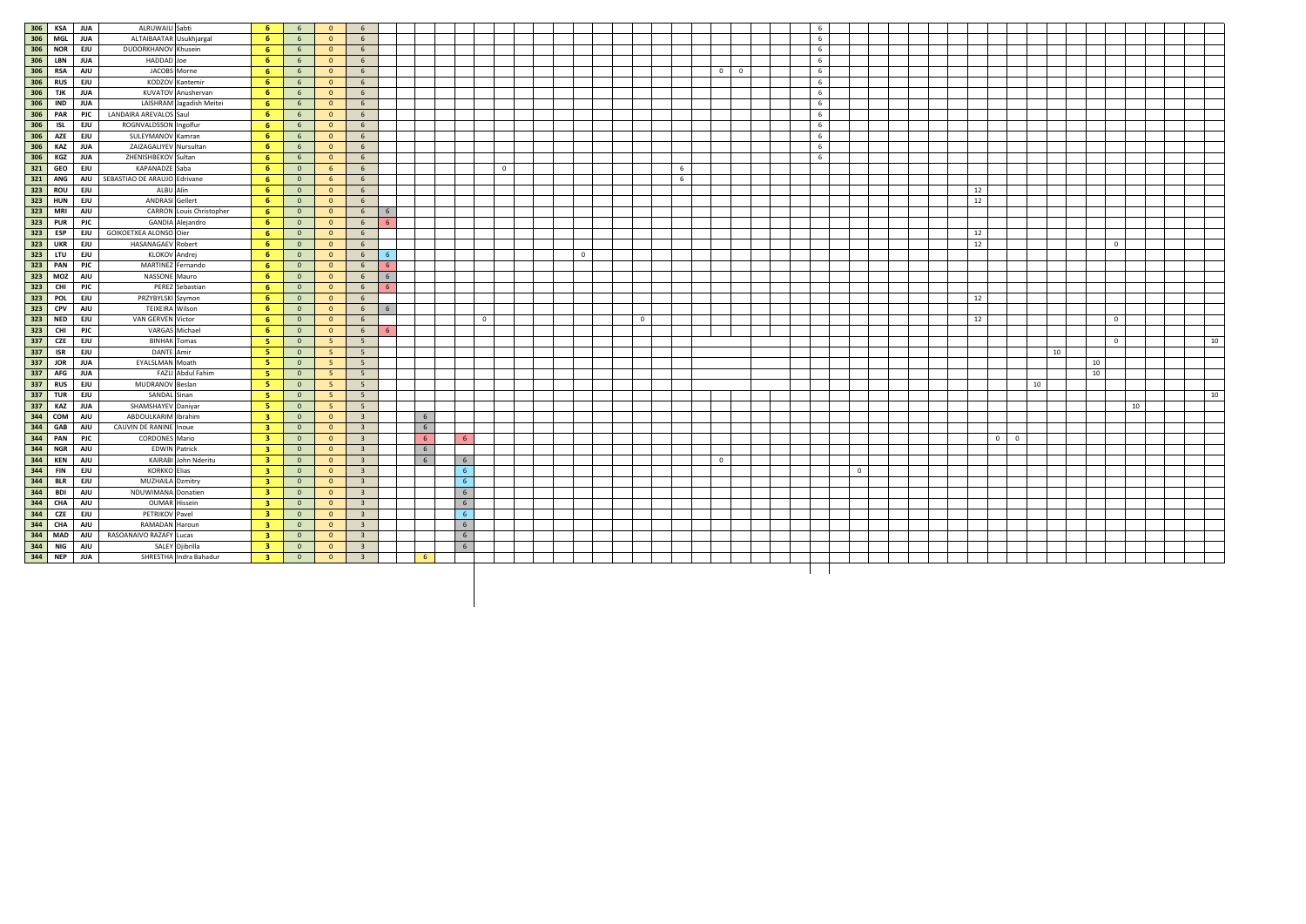| 306        | <b>KSA</b>        | <b>JUA</b><br>ALRUWAILI Sabti                                  | -6                      | 6                                | $\Omega$                         | 6                                         |    |                |                |                |              |              |   |                |             | 6 |         |  |              |                |    |    |                |  |        |
|------------|-------------------|----------------------------------------------------------------|-------------------------|----------------------------------|----------------------------------|-------------------------------------------|----|----------------|----------------|----------------|--------------|--------------|---|----------------|-------------|---|---------|--|--------------|----------------|----|----|----------------|--|--------|
| 306        | <b>MGL</b>        | ALTAIBAATAR Usukhjargal<br><b>JUA</b>                          | -6                      | 6                                | $\overline{0}$                   | 6                                         |    |                |                |                |              |              |   |                |             | 6 |         |  |              |                |    |    |                |  |        |
| 306        | <b>NOR</b>        | DUDORKHANOV Khusein<br>EJU                                     | 6                       | 6                                | $\overline{0}$                   | 6                                         |    |                |                |                |              |              |   |                |             | 6 |         |  |              |                |    |    |                |  |        |
| 306        | LBN               | HADDAD Joe<br><b>JUA</b>                                       | -6                      | $6\overline{6}$                  | $\overline{0}$                   | 6                                         |    |                |                |                |              |              |   |                |             | 6 |         |  |              |                |    |    |                |  |        |
| 306        | RSA               | JACOBS Morne<br><b>AJU</b>                                     | 6                       | 6                                | $\overline{0}$                   | $6\overline{6}$                           |    |                |                |                |              |              |   | $\overline{0}$ | $\mathbf 0$ | 6 |         |  |              |                |    |    |                |  |        |
| 306        | <b>RUS</b>        | EJU<br>KODZOV Kantemir                                         | 6                       | 6                                | $\overline{0}$                   | 6                                         |    |                |                |                |              |              |   |                |             | 6 |         |  |              |                |    |    |                |  |        |
| 306        | TJK               | <b>JUA</b><br>KUVATOV Anushervan                               | 6 <sup>1</sup>          | $6\overline{6}$                  | $\overline{0}$                   | 6                                         |    |                |                |                |              |              |   |                |             | 6 |         |  |              |                |    |    |                |  |        |
| 306        | <b>IND</b>        | <b>JUA</b><br>LAISHRAM Jagadish Meitei                         | 6 <sup>1</sup>          | $6\overline{6}$                  | $\overline{0}$                   | $6\overline{6}$                           |    |                |                |                |              |              |   |                |             | 6 |         |  |              |                |    |    |                |  |        |
| 306        | PAR               | LANDAIRA AREVALOS Saul<br>PJC                                  | 6                       | $6\overline{6}$                  | $\overline{0}$                   | $6\overline{6}$                           |    |                |                |                |              |              |   |                |             | 6 |         |  |              |                |    |    |                |  |        |
| 306        | ISL               | <b>EJU</b><br>ROGNVALDSSON Ingolfur                            | 6                       | 6                                | $\Omega$                         | 6                                         |    |                |                |                |              |              |   |                |             | 6 |         |  |              |                |    |    |                |  |        |
| 306        | AZE               | EJU<br>SULEYMANOV Kamran                                       | -6                      | $6\overline{6}$                  | $\overline{0}$                   | 6                                         |    |                |                |                |              |              |   |                |             | 6 |         |  |              |                |    |    |                |  |        |
| 306        | KAZ               | <b>JUA</b><br>ZAIZAGALIYEV Nursultan                           | 6                       | $6\overline{6}$                  | $\overline{0}$                   | 6                                         |    |                |                |                |              |              |   |                |             | 6 |         |  |              |                |    |    |                |  |        |
| 306        | KGZ               | <b>JUA</b><br>ZHENISHBEKOV Sultan                              | 6                       | $6\overline{6}$                  | $\overline{0}$                   | $6\overline{6}$                           |    |                |                |                |              |              |   |                |             | 6 |         |  |              |                |    |    |                |  |        |
| 321        | GEO               | EJU<br>KAPANADZE Saba                                          | 6                       | $\overline{0}$                   | 6                                | 6                                         |    |                |                | $\overline{0}$ |              |              | 6 |                |             |   |         |  |              |                |    |    |                |  |        |
| 321        | ANG               | SEBASTIAO DE ARAUJO Edrivane<br>AJU                            | 6                       | $\mathbf{0}$                     | 6                                | 6                                         |    |                |                |                |              |              | 6 |                |             |   |         |  |              |                |    |    |                |  |        |
| 323        | ROU               | EJU<br>ALBU Alin                                               | -6                      | $\overline{0}$                   | $\overline{0}$                   | $6\overline{6}$                           |    |                |                |                |              |              |   |                |             |   |         |  | 12           |                |    |    |                |  |        |
| 323        | <b>HUN</b>        | EJU<br>ANDRASI Gellert                                         | 6                       | $\overline{0}$                   | $\circ$                          | 6 <sup>6</sup>                            |    |                |                |                |              |              |   |                |             |   |         |  | 12           |                |    |    |                |  |        |
| 323        | MRI               | AJU<br><b>CARRON</b> Louis Christopher                         | 6                       | $\overline{0}$                   | $\overline{0}$                   | $6\overline{6}$                           | 6  |                |                |                |              |              |   |                |             |   |         |  |              |                |    |    |                |  |        |
| 323        | <b>PUR</b>        | GANDIA Alejandro<br>PJC                                        | 6                       | $\overline{0}$                   | $\overline{0}$                   | 6                                         | 6  |                |                |                |              |              |   |                |             |   |         |  |              |                |    |    |                |  |        |
| 323        | ESP               | GOIKOETXEA ALONSO Oier<br>EJU                                  | 6                       | $\overline{0}$                   | $\overline{0}$                   | 6                                         |    |                |                |                |              |              |   |                |             |   |         |  | 12           |                |    |    |                |  |        |
| 323        | <b>UKR</b>        | EJU<br>HASANAGAEV Robert                                       | 6                       | $\overline{0}$                   | $\overline{0}$                   | 6                                         |    |                |                |                |              |              |   |                |             |   |         |  | 12           |                |    |    | $\circ$        |  |        |
| 323        | LTU               | EJU<br>KLOKOV Andrej                                           | 6                       | $\overline{0}$                   | $\overline{0}$                   | 6 <sup>5</sup>                            | 6  |                |                |                | $\mathbf{0}$ |              |   |                |             |   |         |  |              |                |    |    |                |  |        |
| 323        | PAN               | MARTINEZ Fernando<br>PJC                                       | 6                       | $\overline{0}$                   | $\overline{0}$                   | 6                                         | -6 |                |                |                |              |              |   |                |             |   |         |  |              |                |    |    |                |  |        |
| 323        | MOZ               | AJU<br>NASSONE Mauro                                           | 6                       | $\overline{0}$                   | $\overline{0}$                   | 6                                         | 6  |                |                |                |              |              |   |                |             |   |         |  |              |                |    |    |                |  |        |
| 323        | CHI               | PEREZ Sebastian<br>PJC                                         | 6                       | $\overline{0}$                   | $\overline{0}$                   | 6                                         | 6  |                |                |                |              |              |   |                |             |   |         |  |              |                |    |    |                |  |        |
| 323        | POL               | EJU<br>PRZYBYLSKI Szymon                                       | 6                       | $\overline{0}$                   | $\overline{0}$                   | 6                                         |    |                |                |                |              |              |   |                |             |   |         |  | 12           |                |    |    |                |  |        |
| 323        | CPV               | TEIXEIRA Wilson<br><b>AJU</b>                                  | 6                       | $\overline{0}$                   | $\Omega$                         | 6                                         | 6  |                |                |                |              |              |   |                |             |   |         |  |              |                |    |    |                |  |        |
| 323        | <b>NED</b>        | EJU<br>VAN GERVEN Victor                                       | -6                      | $\overline{0}$                   | $\overline{0}$                   | 6                                         |    |                |                | $\overline{0}$ |              | $\mathbf{0}$ |   |                |             |   |         |  | 12           |                |    |    | $\overline{0}$ |  |        |
| 323        | CHI               | VARGAS Michael<br>PJC                                          | 6                       | $\overline{0}$                   | $\overline{0}$                   | 6                                         | 6  |                |                |                |              |              |   |                |             |   |         |  |              |                |    |    |                |  |        |
| 337        | CZE               | EJU<br><b>BINHAK</b> Tomas                                     | 5.                      | $\overline{0}$                   | 5                                | 5                                         |    |                |                |                |              |              |   |                |             |   |         |  |              |                |    |    | $\mathbf{0}$   |  | $10\,$ |
| 337        | <b>ISR</b>        | DANTE Amir<br>EJU                                              | 5                       | $\mathbf{0}$                     | 5 <sup>2</sup>                   | 5                                         |    |                |                |                |              |              |   |                |             |   |         |  |              |                | 10 |    |                |  |        |
| 337        | <b>JOR</b>        | <b>EYALSLMAN</b> Moath<br><b>JUA</b>                           | 5                       | $\overline{0}$                   | 5 <sup>7</sup>                   | 5                                         |    |                |                |                |              |              |   |                |             |   |         |  |              |                |    | 10 |                |  |        |
| 337        | AFG               | FAZLI Abdul Fahim<br><b>JUA</b>                                | -5                      | $\overline{0}$                   | 5 <sup>7</sup>                   | 5                                         |    |                |                |                |              |              |   |                |             |   |         |  |              |                |    | 10 |                |  |        |
| 337        | <b>RUS</b>        | MUDRANOV Beslan<br>EJU                                         | 5.                      | $\overline{0}$                   | 5 <sub>1</sub>                   | 5 <sup>5</sup>                            |    |                |                |                |              |              |   |                |             |   |         |  |              | 10             |    |    |                |  |        |
| 337        | <b>TUR</b>        | EJU<br>SANDAL Sinan                                            | 5.                      | $\mathbf{0}$                     | 5 <sub>1</sub>                   | 5                                         |    |                |                |                |              |              |   |                |             |   |         |  |              |                |    |    |                |  | 10     |
| 337        | KAZ               | <b>JUA</b><br>SHAMSHAYEV Daniyar                               | 5                       | $\overline{0}$                   | 5 <sup>1</sup>                   | 5                                         |    |                |                |                |              |              |   |                |             |   |         |  |              |                |    |    | 10             |  |        |
| 344        | COM               | ABDOULKARIM Ibrahim<br>AJU                                     | $\overline{\mathbf{3}}$ | $\overline{0}$                   | $\overline{0}$                   | $\overline{\mathbf{3}}$                   |    | 6              |                |                |              |              |   |                |             |   |         |  |              |                |    |    |                |  |        |
| 344        | <b>GAB</b>        | CAUVIN DE RANINE Inoue<br><b>AJU</b>                           | 3 <sup>1</sup>          | $\overline{0}$                   | $\circ$                          | $\overline{3}$                            |    | 6              |                |                |              |              |   |                |             |   |         |  |              |                |    |    |                |  |        |
| 344        | PAN               | <b>PJC</b><br><b>CORDONES</b> Mario                            | $\overline{\mathbf{3}}$ | $\overline{0}$                   | $\overline{0}$                   | $\overline{\mathbf{3}}$                   |    | 6 <sup>1</sup> | 6              |                |              |              |   |                |             |   |         |  | $\mathbf{0}$ | $\overline{0}$ |    |    |                |  |        |
| 344        | <b>NGR</b>        | <b>AJU</b><br><b>EDWIN</b> Patrick                             | $\mathbf{3}$            | $\mathbf{0}$                     | $\overline{0}$                   | $\overline{\mathbf{3}}$                   |    | 6 <sup>6</sup> |                |                |              |              |   |                |             |   |         |  |              |                |    |    |                |  |        |
| 344        | <b>KEN</b>        | <b>AJU</b><br>KAIRABI John Nderitu                             | 3 <sup>7</sup>          | $\mathbf{0}$                     | $\circ$                          | $\overline{\mathbf{3}}$                   |    | 6 <sup>1</sup> | 6              |                |              |              |   | $\overline{0}$ |             |   |         |  |              |                |    |    |                |  |        |
| 344        | <b>FIN</b>        | <b>KORKKO</b> Elias<br>EJU                                     | $\overline{\mathbf{3}}$ | $\overline{0}$                   | $\overline{0}$                   | $\overline{\mathbf{3}}$                   |    |                | 6              |                |              |              |   |                |             |   | $\circ$ |  |              |                |    |    |                |  |        |
| 344        | <b>BLR</b>        | MUZHAILA Dzmitry<br><b>EJU</b>                                 | 3 <sup>7</sup>          | $\overline{0}$                   | $\circ$                          | $\overline{\mathbf{3}}$                   |    |                | 6 <sup>5</sup> |                |              |              |   |                |             |   |         |  |              |                |    |    |                |  |        |
| 344        | <b>BDI</b>        | AJU<br>NDUWIMANA Donatien                                      | 3 <sup>7</sup>          | $\overline{0}$                   | $\overline{0}$                   | $\overline{\mathbf{3}}$                   |    |                | 6              |                |              |              |   |                |             |   |         |  |              |                |    |    |                |  |        |
|            |                   | OUMAR Hissein                                                  | -3                      |                                  | $\overline{0}$                   | $\overline{\mathbf{3}}$                   |    |                | 6              |                |              |              |   |                |             |   |         |  |              |                |    |    |                |  |        |
| 344<br>344 | CHA<br>CZE        | <b>AJU</b><br>PETRIKOV Pavel<br>EJU                            | $\overline{\mathbf{3}}$ | $\overline{0}$<br>$\overline{0}$ | $\overline{0}$                   |                                           |    |                | 6              |                |              |              |   |                |             |   |         |  |              |                |    |    |                |  |        |
| 344        | CHA               | RAMADAN Haroun                                                 | $\overline{\mathbf{3}}$ | $\overline{0}$                   | $\overline{0}$                   | $\overline{\mathbf{3}}$<br>$\overline{3}$ |    |                | 6              |                |              |              |   |                |             |   |         |  |              |                |    |    |                |  |        |
| 344        | MAD               | <b>AJU</b><br>AJU<br>RASOANAIVO RAZAFY Lucas                   | 3 <sup>7</sup>          | $\overline{0}$                   |                                  |                                           |    |                | 6              |                |              |              |   |                |             |   |         |  |              |                |    |    |                |  |        |
|            |                   |                                                                | $\overline{\mathbf{3}}$ |                                  | $\overline{0}$                   | $\overline{\mathbf{3}}$                   |    |                |                |                |              |              |   |                |             |   |         |  |              |                |    |    |                |  |        |
| 344<br>344 | NIG<br><b>NEP</b> | AJU<br>SALEY Djibrilla<br><b>JUA</b><br>SHRESTHA Indra Bahadur |                         | $\overline{0}$<br>$\overline{0}$ | $\overline{0}$<br>$\overline{0}$ | $\overline{\mathbf{3}}$                   |    | 6              | 6              |                |              |              |   |                |             |   |         |  |              |                |    |    |                |  |        |
|            |                   |                                                                | $\overline{\mathbf{3}}$ |                                  |                                  | $\overline{\mathbf{3}}$                   |    |                |                |                |              |              |   |                |             |   |         |  |              |                |    |    |                |  |        |
|            |                   |                                                                |                         |                                  |                                  |                                           |    |                |                |                |              |              |   |                |             |   |         |  |              |                |    |    |                |  |        |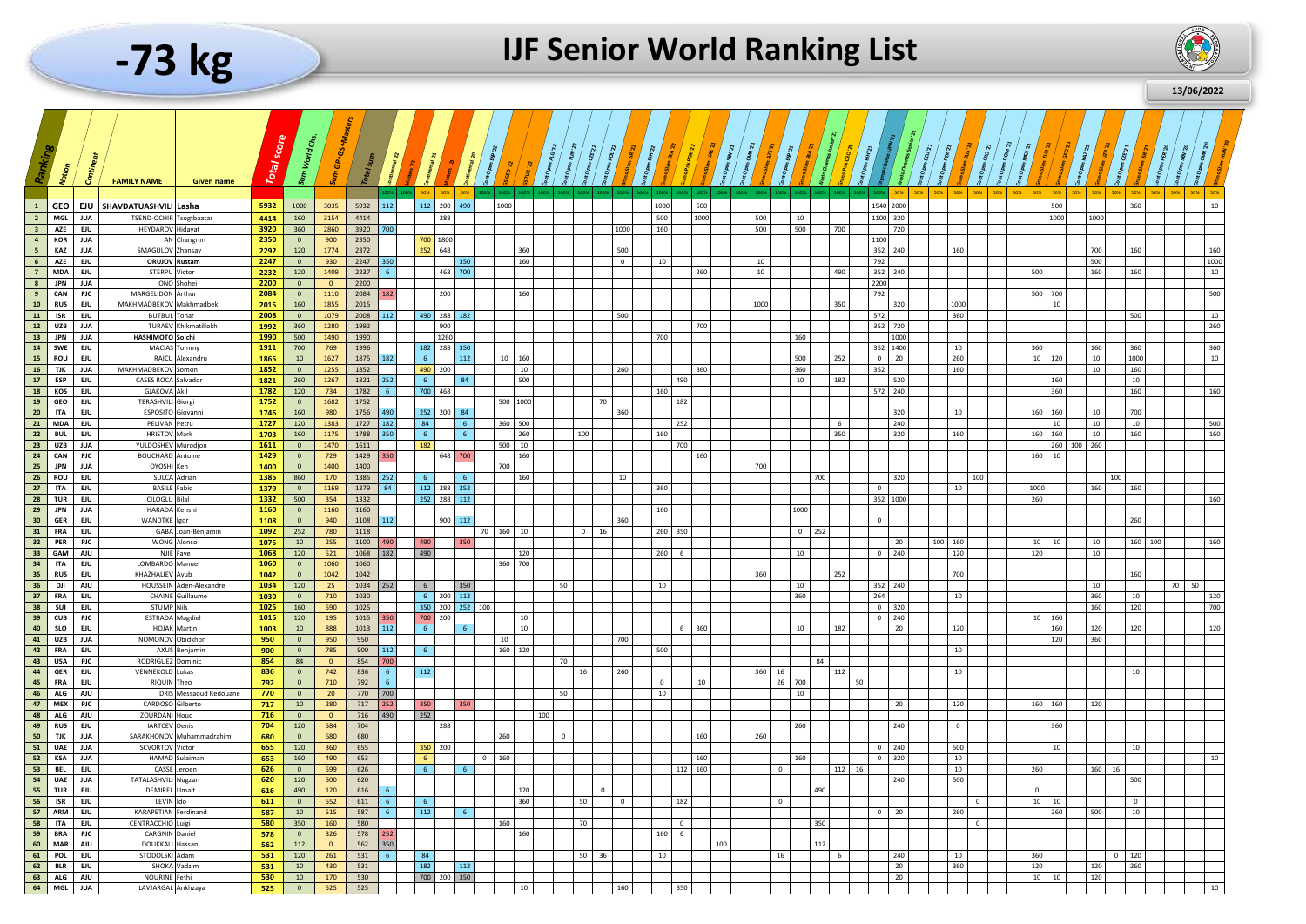# **-73 kg**

#### **IJF Senior World Ranking List**



**13/06/2022**

**Ranking Nation Continent FAMILY NAME Given name** *To***<sub>s</sub>** *To***<sub>n</sub>** *S***<sub>S</sub></del> Sum World Chs. Sum GP+GS+Masters Total sum Continental '22 Masters '22 Continental '21 Masters '21 Continental '20 Cont Open ESP '22 GS GEO '22 GS TUR '22** Cont Open ALG '22 **Cont Open TUN '22 Cont Open CZE '22 Cont Open POL '22 Grand Slam ISR '22 Cont Open BIH '22 Grand Slam FRA '22 Grand Prix POR '22 Grand Slam UAE '21 Cont Open SEN '21 Cont Open CMR '21 Grand Slam AZE '21 Cont Open ESP '21 Grand Slam FRA '21 World Champs Junior '21 Grand Prix CRO '21 Cont Open BIH '21** Olympic Games *PW*<sub>21</sub> **World Champs Senior '21 Cont Open ECU '21 Cont Open PER '21 Grand Slam RUS '21 Cont Open CRO '21 Cont Open DOM '21 Cont Open MEX '21 Grand Slam TUR '21 Grand Slam GEO '21 Cont Open KAZ '21 Grand Slam UZB '21 Cont Open CZE '21 Grand Slam ISR '21 Cont Open PER '20 Cont Open SEN '20 Cont Open CMR '20 Grand Slam HUN '20 0%** 100% 100% 50% 50% 50% 100% 100% 100% 100% 100% 100% 100% 100% 100% 100% 100% 100% 100% 100% 100% 100% 100% 100% 100% 100% 100% 50% 50% 50% 50% 50% 50% 50% 50% 50% 50% 50% 50% 50% 50% 50% 50% 50% **1 GEO EJU SHAVDATUASHVILI Lasha 5932** 1000 3035 5932 112 112 200 490 1000 1000 500 1540 2000 500 360 10 **2 MGL JUA** TSEND-OCHIR Tsogtbaatar **4414** 160 3154 4414 288 500 1000 500 10 1100 320 1000 1000 **3 AZE EJU** HEYDAROV Hidayat **3920** 360 2860 3920 700 1000 160 500 500 700 720 **4 KOR JUA** AN Changrim **2350** 0 900 2350 700 1800 1100 **5 KAZ JUA** SMAGULOV Zhansay **2292** 120 1774 2372 252 648 360 500 352 240 160 700 160 160 **6 AZE EJU ORUJOV Rustam 2247** 0 930 2247 350 350 160 0 10 10 792 500 1000 **7 MDA EJU** STERPU Victor **2232** 120 1409 2237 6 468 700 260 10 490 352 240 500 160 160 10 **8 JPN JUA** ONO Shohei **2200** 0 0 2200 2200 **9 CAN PJC** MARGELIDON Arthur **2084** 0 1110 2084 182 200 160 792 500 700 500 **10 RUS EJU** MAKHMADBEKOV Makhmadbek **2015** 160 1855 2015 1000 350 320 1000 10 **11 ISR EJU** BUTBUL Tohar **2008** 0 1079 2008 112 490 288 182 500 572 360 500 10 **12 UZB JUA** TURAEV Khikmatillokh **1992** 360 1280 1992 900 700 352 720 260 **13 JPN JUA HASHIMOTO Soichi 1990** 500 1490 1990 1260 700 160 1000 **14 SWE EJU** MACIAS Tommy **1911** 700 769 1996 182 288 350 352 1400 10 360 160 360 360 **15 ROU EJU** RAICU Alexandru **1865** 10 1627 1875 182 6 112 10 160 500 252 0 20 260 10 120 10 1000 10 **16 TJK JUA** MAKHMADBEKOV Somon **1852** 0 1255 1852 490 200 10 260 360 360 352 160 10 160 <mark>17</mark> ESP|EJU| CASES ROCA Salvador <mark>| 1821 |</mark> 260 | 1267 | 1821 | 252 | | 6 | 84 | | | 500 | | | | | | | | | 490 | | | | | | | | | | | | 520 | | | | | | | | | | | | | | 160 | | | | 10 <mark>18 KOS EJU GJAKOVA Akil <mark>1782 120 734 1782 6 700</mark> 468 1 1 1 1 1 1 160 1 1 1 1 1 572 240 1 1 1 1 360 1 360 1 160 1</mark> **19 GEO EJU** TERASHVILI Giorgi **1752** 0 1682 1752 500 1000 70 182 <mark>20</mark> | TTA | EJU | ESPOSITO |Giovanni | 1746 | 160 | 980 | 1756 | 490 | 252 | 200 | 84 | | | | | | 360 | | | 360 | | | | | | | | | | | | | | | | | | 320 | | |10 | | | | | | | 160 | 160 | |10 | | | 700 **21 MDA EJU** PELIVAN Petru **1727** 120 1383 1727 182 84 6 360 500 252 6 240 10 10 10 500 **22 BUL EJU** HRISTOV Mark **1703** 160 1175 1788 350 6 6 260 100 160 350 320 160 160 160 10 160 160 **23 UZB JUA** YULDOSHEV Murodjon **1611** 0 1470 1611 182 500 10 700 260 100 260 **24 CAN PJC** BOUCHARD Antoine **1429** 0 729 1429 350 648 700 160 160 160 10 **25 JPN JUA** OYOSHI Ken **1400** 0 1400 1400 700 700 **26 ROU EJU** SULCA Adrian **1385** 860 170 1385 252 6 6 160 10 700 320 100 100 **27 ITA EJU** BASILE Fabio **1379** 0 1169 1379 84 112 288 252 360 0 10 1000 160 160 **28 TUR EJU** CILOGLU Bilal **1332** 500 354 1332 252 288 112 352 1000 260 160 **29 JPN JUA** HARADA Kenshi **1160** 0 1160 1160 160 1000 **30 GER EJU** WANDTKE Igor **1108** 0 940 1108 112 900 112 360 0 260 **31 FRA EJU** GABA Joan-Benjamin **1092** 252 780 1118 70 160 10 0 16 260 350 0 252 **32 PER PJC** WONG Alonso **1075** 10 255 1100 490 490 350 20 100 160 10 10 10 160 100 160 **33 GAM AJU** NJIE Faye **1068** 120 521 1068 182 490 120 260 6 10 0 240 120 120 10 **34 ITA EJU** LOMBARDO Manuel **1060** 0 1060 1060 360 700 **35 RUS EJU** KHAZHALIEV Ayub **1042** 0 1042 1042 360 252 700 160 **36 DJI AJU** HOUSSEIN Aden-Alexandre **1034** 120 25 1034 252 6 350 50 10 10 352 240 10 70 50 **37 FRA EJU** CHAINE Guillaume **1030** 0 710 1030 6 200 112 360 264 10 360 10 120 **38 SUI EJU** STUMP Nils **1025** 160 590 1025 350 200 252 100 0 320 160 120 700 **39 CUB PJC** ESTRADA Magdiel **1015** 120 195 1015 350 700 200 10 0 240 10 160 **40 SLO EJU** HOJAK Martin **1003** 10 888 1013 112 6 6 10 6 360 10 182 20 120 160 120 120 120 **41 UZB JUA** NOMONOV Obidkhon **950** 0 950 950 10 700 120 360 **42 FRA EJU** AXUS Benjamin **900** 0 785 900 112 6 160 120 500 10 **43 USA PJC** RODRIGUEZ Dominic **854** 84 0 854 700 70 84 **44 GER EJU** VENNEKOLD Lukas **836** 0 742 836 6 112 16 260 360 16 112 10 10 <mark>45</mark> FRA EJU RIQUIN Theo 1992 0 710 792 6 0 10 10 10 10 10 10 10 10 10 26 700 10 50 **46 ALG AJU** DRIS Messaoud Redouane **770** 0 20 770 700 50 10 10 **47 MEX PJC** CARDOSO Gilberto **717** 10 280 717 252 350 350 20 120 160 160 120 **48 ALG AJU** ZOURDANI Houd **716** 0 0 716 490 252 100 **49 RUS EJU** IARTCEV Denis **704** 120 584 704 288 260 240 0 360 **50 TJK JUA** SARAKHONOV Muhammadrahim **680** 0 680 680 260 0 160 260 **51 UAE JUA** SCVORTOV Victor **655** 120 360 655 350 200 0 240 500 10 10 **52 KSA JUA** HAMAD Sulaiman **653** 160 490 653 6 0 160 160 160 0 320 10 10 **53 BEL EJU** CASSE Jeroen **626** 0 599 626 6 6 112 160 0 112 16 10 260 160 16 **54 UAE JUA** TATALASHVILI Nugzari **620** 120 500 620 240 500 500 **55 TUR EJU** DEMIREL Umalt **616** 490 120 616 6 120 0 490 0 **56 ISR EJU** LEVIN Ido **611** 0 552 611 6 6 360 50 0 182 0 0 10 10 0 **57 ARM EJU** KARAPETIAN Ferdinand **587** 10 515 587 6 112 6 0 20 260 260 500 10 **58 ITA EJU** CENTRACCHIO Luigi **580** 350 160 580 160 70 0 350 0 **59 BRA PJC** CARGNIN Daniel **578** 0 326 578 252 160 160 6 **60 MAR AJU** DOUKKALI Hassan **562** 112 0 562 350 100 112 **61 POL EJU** STODOLSKI Adam **531** 120 261 531 6 84 50 36 10 16 6 240 10 360 0 120 **62 BLR EJU** SHOKA Vadzim **531** 10 430 531 182 112 20 360 120 120 260 **63 ALG AJU** NOURINE Fethi **530** 10 170 530 700 200 350 20 10 10 120 **64 MGL JUA** LAVJARGAL Ankhzaya **525** 0 525 525 10 160 350 10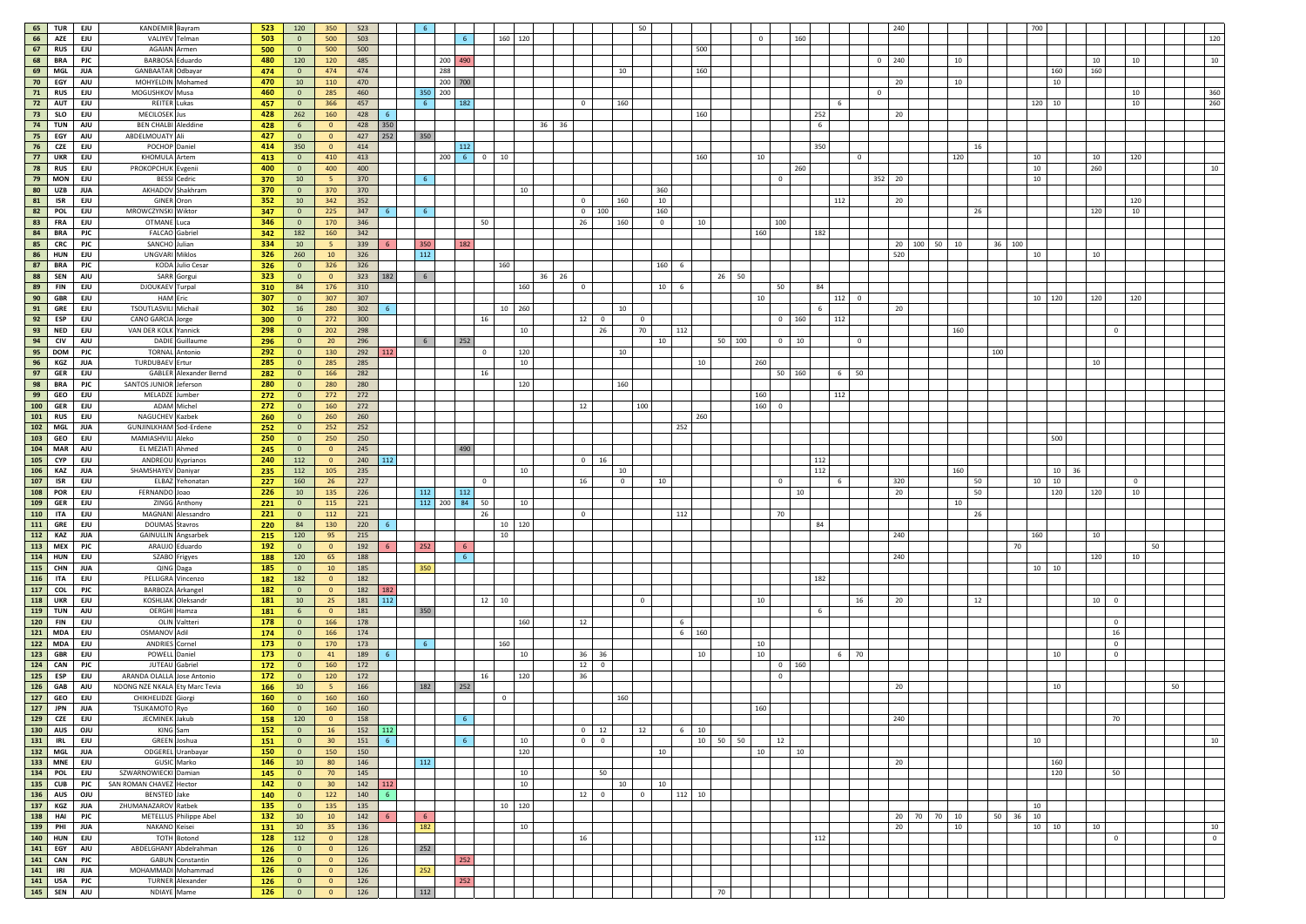| 65  | <b>TUR</b> | EJU         | KANDEMIR Bayram                | 523 | 120                     | 350             | 523 |                |             |                       |            |              |          |                               | 50             |              |          |     |                       |              |              | 240            |          |     |       |     | 700               |          |                      |                |    |                |
|-----|------------|-------------|--------------------------------|-----|-------------------------|-----------------|-----|----------------|-------------|-----------------------|------------|--------------|----------|-------------------------------|----------------|--------------|----------|-----|-----------------------|--------------|--------------|----------------|----------|-----|-------|-----|-------------------|----------|----------------------|----------------|----|----------------|
| 66  | AZE        | EJU         | VALIYEV Telman                 |     | $\overline{0}$          | 500             | 503 |                |             |                       |            | 160 120      |          |                               |                |              |          |     |                       | 160          |              |                |          |     |       |     |                   |          |                      |                |    | 120            |
|     |            |             |                                | 503 |                         |                 |     |                |             | - 6                   |            |              |          |                               |                |              |          |     | $\circ$               |              |              |                |          |     |       |     |                   |          |                      |                |    |                |
| 67  | <b>RUS</b> | EJU         | <b>AGAIAN</b> Armen            | 500 | $\overline{0}$          | 500             | 500 |                |             |                       |            |              |          |                               |                |              | 500      |     |                       |              |              |                |          |     |       |     |                   |          |                      |                |    |                |
| 68  | <b>BRA</b> | PJC         | BARBOSA Eduardo                | 480 | 120                     | 120             | 485 |                |             | 200<br>490            |            |              |          |                               |                |              |          |     |                       |              |              | $0$ 240        |          | 10  |       |     |                   |          | 10                   | 10             |    | $10\,$         |
| 69  | <b>MGL</b> | <b>JUA</b>  | GANBAATAR Odbayar              | 474 | $\overline{0}$          | 474             | 474 |                |             | 288                   |            |              |          |                               | 10             |              | 160      |     |                       |              |              |                |          |     |       |     |                   | 160      | 160                  |                |    |                |
| 70  | EGY        | <b>AJU</b>  | MOHYELDIN Mohamed              | 470 | 10                      | 110             | 470 |                |             | 200<br>700            |            |              |          |                               |                |              |          |     |                       |              |              | 20             |          | 10  |       |     |                   | 10       |                      |                |    |                |
| 71  | <b>RUS</b> | EJU         | MOGUSHKOV Musa                 | 460 | $\overline{0}$          | 285             | 460 |                | 350         | 200                   |            |              |          |                               |                |              |          |     |                       |              |              | $\overline{0}$ |          |     |       |     |                   |          |                      | 10             |    | 360            |
| 72  | <b>AUT</b> | EJU         | REITER Lukas                   | 457 | $\overline{0}$          | 366             | 457 |                | 6           | 182                   |            |              |          | $\mathbf{0}$                  | 160            |              |          |     |                       |              | 6            |                |          |     |       |     | 120 10            |          |                      | 10             |    | 260            |
| 73  | SLO        | EJU         | MECILOSEK Jus                  | 428 | 262                     | 160             | 428 | 6              |             |                       |            |              |          |                               |                |              | 160      |     |                       | 252          |              | 20             |          |     |       |     |                   |          |                      |                |    |                |
| 74  | <b>TUN</b> | <b>AJU</b>  | <b>BEN CHALBI</b> Aleddine     | 428 | 6                       | $\mathbf{0}$    | 428 | 350            |             |                       |            |              | 36<br>36 |                               |                |              |          |     |                       | 6            |              |                |          |     |       |     |                   |          |                      |                |    |                |
|     |            |             |                                |     |                         |                 |     |                |             |                       |            |              |          |                               |                |              |          |     |                       |              |              |                |          |     |       |     |                   |          |                      |                |    |                |
| 75  | EGY        | <b>AJU</b>  | ABDELMOUATY Ali                | 427 | $\overline{0}$          | $\mathbf{0}$    | 427 | 252            | 350         |                       |            |              |          |                               |                |              |          |     |                       |              |              |                |          |     |       |     |                   |          |                      |                |    |                |
| 76  | CZE        | EJU         | POCHOP Daniel                  | 414 | 350                     | $\overline{0}$  | 414 |                |             | 112                   |            |              |          |                               |                |              |          |     |                       | 350          |              |                |          | 16  |       |     |                   |          |                      |                |    |                |
| 77  | <b>UKR</b> | EJU         | KHOMULA Artem                  | 413 | $\overline{0}$          | 410             | 413 |                |             | 200<br>6 <sup>1</sup> |            | $0 \mid 10$  |          |                               |                |              | 160      |     | 10                    |              | $\circ$      |                |          | 120 |       |     | $10\,$            |          | 10                   | 120            |    |                |
| 78  | <b>RUS</b> | <b>EJU</b>  | PROKOPCHUK Evgenii             | 400 | $\overline{0}$          | 400             | 400 |                |             |                       |            |              |          |                               |                |              |          |     |                       | 260          |              |                |          |     |       |     | 10                |          | 260                  |                |    | $10\,$         |
| 79  | <b>MON</b> | EJU         | <b>BESSI</b> Cedric            | 370 | 10                      | 5 <sub>1</sub>  | 370 |                | - 6         |                       |            |              |          |                               |                |              |          |     | $\mathbf{0}$          |              |              | 352 20         |          |     |       |     | 10                |          |                      |                |    |                |
| 80  | <b>UZB</b> | <b>JUA</b>  | AKHADOV Shakhram               | 370 | $\overline{0}$          | 370             | 370 |                |             |                       |            | 10           |          |                               |                | 360          |          |     |                       |              |              |                |          |     |       |     |                   |          |                      |                |    |                |
| 81  | <b>ISR</b> | <b>EJU</b>  | GINER Oron                     | 352 | 10                      | 342             | 352 |                |             |                       |            |              |          | $\mathbf{0}$                  | 160            | 10           |          |     |                       |              | 112          | 20             |          |     |       |     |                   |          |                      | 120            |    |                |
| 82  | POL        | EJU         | MROWCZYNSKI Wiktor             | 347 | $\overline{0}$          | 225             | 347 |                | 6           |                       |            |              |          | 0<br>100                      |                | 160          |          |     |                       |              |              |                |          | 26  |       |     |                   |          | 120                  | 10             |    |                |
|     | FRA        | EJU         | OTMANE Luca                    | 346 | $\mathbf{0}$            | 170             | 346 |                |             |                       | 50         |              |          | 26                            | 160            | $\mathbf{0}$ | 10       |     | 100                   |              |              |                |          |     |       |     |                   |          |                      |                |    |                |
| 83  |            |             |                                |     |                         |                 |     |                |             |                       |            |              |          |                               |                |              |          |     |                       |              |              |                |          |     |       |     |                   |          |                      |                |    |                |
| 84  | <b>BRA</b> | PJC         | FALCAO Gabriel                 | 342 | 182                     | 160             | 342 |                |             |                       |            |              |          |                               |                |              |          |     | 160                   | 182          |              |                |          |     |       |     |                   |          |                      |                |    |                |
| 85  | <b>CRC</b> | PJC         | SANCHO Julian                  | 334 | 10                      | 5 <sub>1</sub>  | 339 |                | 350         | 182                   |            |              |          |                               |                |              |          |     |                       |              |              | 20             | 100 50   | 10  | 36    | 100 |                   |          |                      |                |    |                |
| 86  | <b>HUN</b> | EJU         | <b>UNGVARI Miklos</b>          | 326 | 260                     | 10              | 326 |                | 112         |                       |            |              |          |                               |                |              |          |     |                       |              |              | 520            |          |     |       |     | 10                |          | 10                   |                |    |                |
| 87  | <b>BRA</b> | PJC         | KODA Julio Cesar               | 326 | $\overline{0}$          | 326             | 326 |                |             |                       |            | 160          |          |                               |                | 160<br>6     |          |     |                       |              |              |                |          |     |       |     |                   |          |                      |                |    |                |
| 88  | SEN        | <b>AJU</b>  | SARR Gorgui                    | 323 | $\overline{0}$          | $\mathbf{0}$    | 323 | 182            | 6           |                       |            |              | 26<br>36 |                               |                |              | 26       | 50  |                       |              |              |                |          |     |       |     |                   |          |                      |                |    |                |
| 89  | <b>FIN</b> | EJU         | DJOUKAEV Turpal                | 310 | 84                      | 176             | 310 |                |             |                       |            | 160          |          | $\mathbf{0}$                  |                | 10<br>6      |          |     | 50                    | 84           |              |                |          |     |       |     |                   |          |                      |                |    |                |
| 90  | <b>GBR</b> | EJU         | <b>HAM</b> Eric                | 307 | $\circ$                 | 307             | 307 |                |             |                       |            |              |          |                               |                |              |          |     | 10                    |              | 112 0        |                |          |     |       |     | 10 120            |          | 120                  | 120            |    |                |
| 91  | GRE        | EJU         | <b>TSOUTLASVILI</b> Michail    | 302 | 16                      | 280             | 302 |                |             |                       |            | 10 260       |          |                               | 10             |              |          |     |                       | -6           |              | 20             |          |     |       |     |                   |          |                      |                |    |                |
| 92  | <b>ESP</b> | EJU         | CANO GARCIA Jorge              |     | $\overline{0}$          | 272             | 300 |                |             |                       | 16         |              |          | 12<br>$\overline{0}$          | $\circ$        |              |          |     |                       | $0 \mid 160$ | 112          |                |          |     |       |     |                   |          |                      |                |    |                |
|     |            |             |                                | 300 |                         |                 |     |                |             |                       |            |              |          |                               |                |              |          |     |                       |              |              |                |          |     |       |     |                   |          |                      |                |    |                |
| 93  | <b>NED</b> | EJU         | VAN DER KOLK Yannick           | 298 | $\overline{0}$          | 202             | 298 |                |             |                       |            | 10           |          | 26                            | 70             | 112          |          |     |                       |              |              |                |          | 160 |       |     |                   |          | $\circ$              |                |    |                |
| 94  | <b>CIV</b> | <b>AJU</b>  | DADIE Guillaume                | 296 | $\overline{0}$          | 20 <sub>2</sub> | 296 |                | 6           | 252                   |            |              |          |                               |                | 10           | 50       | 100 | $\overline{0}$        | 10           | $\mathbf{0}$ |                |          |     |       |     |                   |          |                      |                |    |                |
| 95  | <b>DOM</b> | PJC         | <b>TORNAL</b> Antonio          | 292 | $\overline{0}$          | 130             | 292 | 112            |             |                       | $\circ$    | 120          |          |                               | 10             |              |          |     |                       |              |              |                |          |     | 100   |     |                   |          |                      |                |    |                |
| 96  | KGZ        | <b>JUA</b>  | <b>TURDUBAEV Ertur</b>         | 285 | $\overline{0}$          | 285             | 285 |                |             |                       |            | 10           |          |                               |                |              | 10       |     | 260                   |              |              |                |          |     |       |     |                   |          | 10                   |                |    |                |
| 97  | <b>GER</b> | EJU         | <b>GABLER</b> Alexander Bernd  | 282 | $\overline{0}$          | 166             | 282 |                |             |                       | 16         |              |          |                               |                |              |          |     | 50                    | 160          | 50<br>6      |                |          |     |       |     |                   |          |                      |                |    |                |
| 98  | <b>BRA</b> | PJC         | SANTOS JUNIOR Jeferson         | 280 | $\overline{0}$          | 280             | 280 |                |             |                       |            | 120          |          |                               | 160            |              |          |     |                       |              |              |                |          |     |       |     |                   |          |                      |                |    |                |
| 99  | GEO        | EJU         | MELADZE Jumber                 | 272 | $\overline{0}$          | 272             | 272 |                |             |                       |            |              |          |                               |                |              |          |     | 160                   |              | 112          |                |          |     |       |     |                   |          |                      |                |    |                |
| 100 | <b>GER</b> | EJU         | <b>ADAM Michel</b>             | 272 | $\overline{0}$          | 160             | 272 |                |             |                       |            |              |          | 12                            | 100            |              |          |     | 160<br>$\overline{0}$ |              |              |                |          |     |       |     |                   |          |                      |                |    |                |
| 101 | <b>RUS</b> | EJU         | NAGUCHEV Kazbek                | 260 | $\overline{0}$          | 260             | 260 |                |             |                       |            |              |          |                               |                |              | 260      |     |                       |              |              |                |          |     |       |     |                   |          |                      |                |    |                |
| 102 | <b>MGL</b> |             | GUNJINLKHAM Sod-Erdene         | 252 | $\overline{0}$          | 252             | 252 |                |             |                       |            |              |          |                               |                | 252          |          |     |                       |              |              |                |          |     |       |     |                   |          |                      |                |    |                |
|     |            | <b>JUA</b>  |                                |     |                         |                 |     |                |             |                       |            |              |          |                               |                |              |          |     |                       |              |              |                |          |     |       |     |                   |          |                      |                |    |                |
| 103 | GEO        | <b>EJU</b>  | MAMIASHVILI Aleko              | 250 | $\overline{0}$          | 250             | 250 |                |             |                       |            |              |          |                               |                |              |          |     |                       |              |              |                |          |     |       |     |                   | 500      |                      |                |    |                |
| 104 | <b>MAR</b> | <b>AJU</b>  | EL MEZIATI Ahmed               | 245 | $\overline{0}$          | $\overline{0}$  | 245 |                |             | 490                   |            |              |          |                               |                |              |          |     |                       |              |              |                |          |     |       |     |                   |          |                      |                |    |                |
| 105 | <b>CYP</b> | EJU         | ANDREOU Kyprianos              | 240 | 112                     | $\overline{0}$  | 240 | 112            |             |                       |            |              |          | $\boxed{0}$ 16                |                |              |          |     |                       | 112          |              |                |          |     |       |     |                   |          |                      |                |    |                |
|     |            | <b>JUA</b>  | SHAMSHAYEV Daniyar             | 235 | 112                     | 105             | 235 |                |             |                       |            | 10           |          |                               | 10             |              |          |     |                       | 112          |              |                |          | 160 |       |     |                   |          |                      |                |    |                |
| 106 | KAZ        |             |                                |     |                         |                 |     |                |             |                       |            |              |          |                               |                |              |          |     |                       |              |              |                |          |     |       |     |                   | 10<br>36 |                      |                |    |                |
| 107 | <b>ISR</b> | EJU         | ELBAZ Yehonatan                | 227 | 160                     | 26              | 227 |                |             |                       | $^{\circ}$ |              |          | 16                            | $\mathbf{0}$   | 10           |          |     | $\circ$               |              | 6            | 320            |          | 50  |       |     | 10                | 10       |                      | $\overline{0}$ |    |                |
| 108 | POR        | EJU         | FERNANDO Joao                  | 226 | $10\,$                  | 135             | 226 |                | 112         | 112                   |            |              |          |                               |                |              |          |     |                       | 10           |              | 20             |          | 50  |       |     |                   | 120      | 120                  | 10             |    |                |
|     | <b>GER</b> | <b>EJU</b>  | ZINGG Anthony                  | 221 | $\overline{0}$          | 115             | 221 |                |             | 112 200 84            | 50         | 10           |          |                               |                |              |          |     |                       |              |              |                |          | 10  |       |     |                   |          |                      |                |    |                |
| 109 |            |             |                                |     |                         |                 |     |                |             |                       |            |              |          |                               |                |              |          |     |                       |              |              |                |          |     |       |     |                   |          |                      |                |    |                |
| 110 | <b>ITA</b> | EJU         | MAGNANI Alessandro             | 221 | $\overline{0}$          | 112             | 221 |                |             |                       | 26         |              |          | $\mathbf{0}$                  |                | 112          |          |     | 70                    |              |              |                |          | 26  |       |     |                   |          |                      |                |    |                |
| 111 | <b>GRE</b> | EJU         | DOUMAS Stavros                 | 220 | 84                      | 130             | 220 |                |             |                       |            | 10 120       |          |                               |                |              |          |     |                       | 84           |              |                |          |     |       |     |                   |          |                      |                |    |                |
| 112 | KAZ        | <b>JUA</b>  | <b>GAINULLIN</b> Angsarbek     | 215 | 120                     | 95              | 215 |                |             |                       |            | 10           |          |                               |                |              |          |     |                       |              |              | 240            |          |     |       |     | 160               |          | 10                   |                |    |                |
| 113 | <b>MEX</b> | PJC         | ARAUJO Eduardo                 | 192 | $\overline{0}$          | $\overline{0}$  | 192 |                | 252         | 6                     |            |              |          |                               |                |              |          |     |                       |              |              |                |          |     |       | 70  |                   |          |                      | 50             |    |                |
| 114 | <b>HUN</b> | EJU         | SZABO Frigyes                  | 188 | 120                     | 65              | 188 |                |             | 6                     |            |              |          |                               |                |              |          |     |                       |              |              | 240            |          |     |       |     |                   |          | 120                  | 10             |    |                |
| 115 | CHN        | <b>JUA</b>  | QING Daga                      | 185 | $\overline{0}$          | 10 <sup>°</sup> | 185 |                | 350         |                       |            |              |          |                               |                |              |          |     |                       |              |              |                |          |     |       |     | 10                | 10       |                      |                |    |                |
| 116 | <b>ITA</b> | EJU         | PELLIGRA Vincenzo              | 182 | 182                     | $\overline{0}$  | 182 |                |             |                       |            |              |          |                               |                |              |          |     |                       | 182          |              |                |          |     |       |     |                   |          |                      |                |    |                |
| 117 | COL        | PJC         | BARBOZA Arkangel               | 182 | $\overline{0}$          | $\overline{0}$  | 182 | 182            |             |                       |            |              |          |                               |                |              |          |     |                       |              |              |                |          |     |       |     |                   |          |                      |                |    |                |
| 118 | <b>UKR</b> | EJU         | KOSHLIAK Oleksandr             | 181 | 10                      | 25              | 181 | 112            |             |                       |            | $12 \mid 10$ |          |                               | $\circ$        |              |          |     | 10                    |              | 16           | 20             |          | 12  |       |     |                   |          | 10<br>$\overline{0}$ |                |    |                |
|     | 119 TUN    | <b>AJU</b>  | OERGHI Hamza                   | 181 | 6                       | $\Omega$        | 181 |                | 350         |                       |            |              |          |                               |                |              |          |     |                       | - 6          |              |                |          |     |       |     |                   |          |                      |                |    |                |
| 120 | <b>FIN</b> | EJU         | OLIN Valtteri                  | 178 | $\overline{0}$          | 166             | 178 |                |             |                       |            | 160          |          | 12                            |                | 6            |          |     |                       |              |              |                |          |     |       |     |                   |          | $\circ$              |                |    |                |
|     | 121 MDA    | EJU         | OSMANOV Adil                   | 174 | $\overline{0}$          | 166             | 174 |                |             |                       |            |              |          |                               |                |              | 6 160    |     |                       |              |              |                |          |     |       |     |                   |          | 16                   |                |    |                |
|     | 122 MDA    | EJU         | ANDRIES Cornel                 | 173 | $\overline{0}$          | 170             | 173 |                | - 6         |                       |            | 160          |          |                               |                |              |          |     | 10                    |              |              |                |          |     |       |     |                   |          | $\circ$              |                |    |                |
|     |            |             |                                |     |                         |                 |     |                |             |                       |            |              |          |                               |                |              |          |     |                       |              |              |                |          |     |       |     |                   |          |                      |                |    |                |
| 123 | <b>GBR</b> | EJU         | POWELL Daniel                  | 173 | $\overline{0}$          | 41              | 189 |                |             |                       |            | 10           |          | 36 36                         |                |              | 10       |     | 10                    |              | 6 70         |                |          |     |       |     |                   | 10       | $\circ$              |                |    |                |
| 124 | CAN        | PJC         | JUTEAU Gabriel                 | 172 | $\overline{0}$          | 160             | 172 |                |             |                       |            |              |          | 12<br>$\overline{\mathbf{0}}$ |                |              |          |     |                       | $0$ 160      |              |                |          |     |       |     |                   |          |                      |                |    |                |
| 125 | ESP        | EJU         | ARANDA OLALLA Jose Antonio     | 172 | $\mathbf{0}$            | 120             | 172 |                |             |                       | 16         | 120          |          | 36                            |                |              |          |     | $\circ$               |              |              |                |          |     |       |     |                   |          |                      |                |    |                |
| 126 | GAB        | <b>AJU</b>  | NDONG NZE NKALA Ety Marc Tevia | 166 | 10                      | 5 <sub>1</sub>  | 166 |                | 182         | 252                   |            |              |          |                               |                |              |          |     |                       |              |              | 20             |          |     |       |     |                   | 10       |                      |                | 50 |                |
| 127 | GEO        | EJU         | CHIKHELIDZE Giorgi             | 160 | $\overline{0}$          | 160             | 160 |                |             |                       |            | $\circ$      |          |                               | 160            |              |          |     |                       |              |              |                |          |     |       |     |                   |          |                      |                |    |                |
| 127 | <b>JPN</b> | <b>JUA</b>  | TSUKAMOTO Ryo                  | 160 | $\overline{0}$          | 160             | 160 |                |             |                       |            |              |          |                               |                |              |          |     | 160                   |              |              |                |          |     |       |     |                   |          |                      |                |    |                |
|     |            | 129 CZE EJU | JECMINEK Jakub                 | 158 | 120                     | $\overline{0}$  | 158 |                |             | $6^{\circ}$           |            |              |          |                               |                |              |          |     |                       |              |              | 240            |          |     |       |     |                   |          | 70                   |                |    |                |
|     | 130 AUS    | OIU         | KING Sam                       | 152 | $\overline{0}$          | 16              | 152 | 112            |             |                       |            |              |          | $0$ 12                        | 12             | 6            | 10       |     |                       |              |              |                |          |     |       |     |                   |          |                      |                |    |                |
|     | 131 IRL    | EJU         | GREEN Joshua                   | 151 | $\overline{0}$          | 30 <sup>2</sup> | 151 | 6 <sup>1</sup> |             | 6 <sub>1</sub>        |            | 10           |          | $0$ 0                         |                |              | 10 50 50 |     | 12                    |              |              |                |          |     |       |     | 10                |          |                      |                |    | 10             |
|     | 132 MGL    | <b>JUA</b>  | ODGEREL Uranbayar              | 150 | $\overline{0}$          | 150             | 150 |                |             |                       |            | 120          |          |                               |                | 10           |          |     | 10                    | 10           |              |                |          |     |       |     |                   |          |                      |                |    |                |
|     | 133 MNE    | EJU         | GUSIC Marko                    | 146 | 10                      | 80              | 146 |                | 112         |                       |            |              |          |                               |                |              |          |     |                       |              |              | 20             |          |     |       |     |                   | 160      |                      |                |    |                |
|     |            | EJU         | SZWARNOWIECKI Damian           | 145 |                         | 70              | 145 |                |             |                       |            | 10           |          | 50                            |                |              |          |     |                       |              |              |                |          |     |       |     |                   | 120      |                      |                |    |                |
|     | 134 POL    |             |                                |     | $\overline{0}$          |                 |     |                |             |                       |            |              |          |                               |                |              |          |     |                       |              |              |                |          |     |       |     |                   |          | 50                   |                |    |                |
|     | 135 CUB    | <b>PJC</b>  | SAN ROMAN CHAVEZ Hector        | 142 | $\overline{\mathbf{0}}$ | 30              | 142 | 112            |             |                       |            | 10           |          |                               | 10             | 10           |          |     |                       |              |              |                |          |     |       |     |                   |          |                      |                |    |                |
|     | 136 AUS    | OIU         | BENSTED Jake                   | 140 | $\overline{0}$          | 122             | 140 |                |             |                       |            |              |          | $12 0$                        | $\overline{0}$ | 112 10       |          |     |                       |              |              |                |          |     |       |     |                   |          |                      |                |    |                |
|     | 137 KGZ    | <b>JUA</b>  | ZHUMANAZAROV Ratbek            | 135 | $\overline{0}$          | 135             | 135 |                |             |                       |            | 10 120       |          |                               |                |              |          |     |                       |              |              |                |          |     |       |     | 10                |          |                      |                |    |                |
|     | 138 HAI    | PJC         | METELLUS Philippe Abel         | 132 | 10                      | 10              | 142 |                | $6^{\circ}$ |                       |            |              |          |                               |                |              |          |     |                       |              |              |                | 20 70 70 | 10  | 50 36 |     | 10                |          |                      |                |    |                |
|     | 139 PHI    | <b>JUA</b>  | NAKANO Keisei                  | 131 | $10\,$                  | 35              | 136 |                | 182         |                       |            | 10           |          |                               |                |              |          |     |                       |              |              | 20             |          | 10  |       |     | $10 \mid 10 \mid$ |          | 10                   |                |    | 10             |
|     | 140 HUN    | EJU         | <b>TOTH</b> Botond             | 128 | 112                     | $\overline{0}$  | 128 |                |             |                       |            |              |          | 16                            |                |              |          |     |                       | 112          |              |                |          |     |       |     |                   |          | $\circ$              |                |    | $\overline{0}$ |
|     | 141 EGY    | <b>AJU</b>  | ABDELGHANY Abdelrahman         | 126 | $\overline{0}$          | $\overline{0}$  | 126 |                | 252         |                       |            |              |          |                               |                |              |          |     |                       |              |              |                |          |     |       |     |                   |          |                      |                |    |                |
|     | 141 CAN    | <b>PJC</b>  | <b>GABUN</b> Constantin        | 126 | $\overline{0}$          | $\overline{0}$  | 126 |                |             | 252                   |            |              |          |                               |                |              |          |     |                       |              |              |                |          |     |       |     |                   |          |                      |                |    |                |
|     | 141 IRI    | <b>JUA</b>  | MOHAMMADI Mohammad             | 126 | $\overline{0}$          | $\overline{0}$  | 126 |                | 252         |                       |            |              |          |                               |                |              |          |     |                       |              |              |                |          |     |       |     |                   |          |                      |                |    |                |
|     | 141 USA    | <b>PJC</b>  | <b>TURNER</b> Alexander        | 126 | $\overline{0}$          | $\mathbf{0}$    | 126 |                |             | 252                   |            |              |          |                               |                |              |          |     |                       |              |              |                |          |     |       |     |                   |          |                      |                |    |                |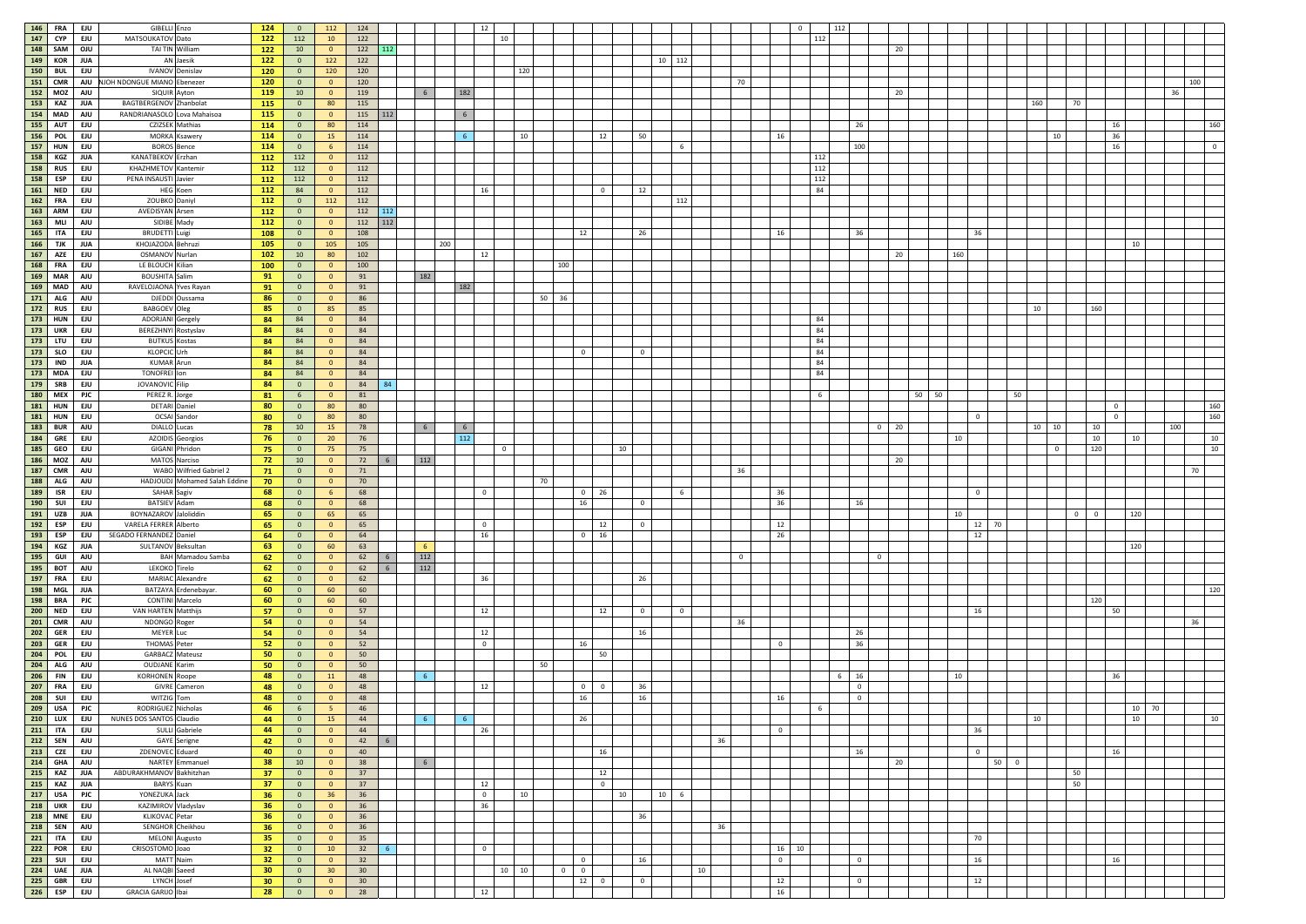|     | 146 FRA                    | EJU        | GIBELLI Enzo                      |                               | 124             | $\overline{0}$                   | 112                                       | 124                   |                |                                  | 12             |       |         |                                  |    |                 |                 |    |              |                |             | 112                  |              |       |                         |      |     |    |                |                         |          |     |         |
|-----|----------------------------|------------|-----------------------------------|-------------------------------|-----------------|----------------------------------|-------------------------------------------|-----------------------|----------------|----------------------------------|----------------|-------|---------|----------------------------------|----|-----------------|-----------------|----|--------------|----------------|-------------|----------------------|--------------|-------|-------------------------|------|-----|----|----------------|-------------------------|----------|-----|---------|
| 147 | <b>CYP</b>                 | EJU        | MATSOUKATOV Dato                  |                               | 122             | 112                              | 10                                        | 122                   |                |                                  | 10             |       |         |                                  |    |                 |                 |    |              |                | 112         |                      |              |       |                         |      |     |    |                |                         |          |     |         |
|     | 148 SAM                    | OIU        |                                   | TAI TIN William               | 122             | 10                               | $\overline{0}$                            | 122                   | 112            |                                  |                |       |         |                                  |    |                 |                 |    |              |                |             |                      |              | 20    |                         |      |     |    |                |                         |          |     |         |
|     | 149 KOR                    | <b>JUA</b> |                                   | AN Jaesik                     |                 | $\overline{0}$                   | 122                                       | 122                   |                |                                  |                |       |         |                                  |    |                 | 10 112          |    |              |                |             |                      |              |       |                         |      |     |    |                |                         |          |     |         |
|     |                            |            |                                   |                               | 122             |                                  |                                           |                       |                |                                  |                |       |         |                                  |    |                 |                 |    |              |                |             |                      |              |       |                         |      |     |    |                |                         |          |     |         |
| 150 | <b>BUL</b>                 | EJU        |                                   | <b>IVANOV</b> Denislav        | 120             | $\overline{0}$                   | 120                                       | 120                   |                |                                  |                | 120   |         |                                  |    |                 |                 |    |              |                |             |                      |              |       |                         |      |     |    |                |                         |          |     |         |
| 151 | <b>CMR</b>                 | <b>AJU</b> | NJOH NDONGUE MIANO Ebenezer       |                               | 120             | $\overline{0}$                   | $\overline{\mathbf{0}}$                   | 120                   |                |                                  |                |       |         |                                  |    |                 |                 |    | 70           |                |             |                      |              |       |                         |      |     |    |                |                         |          |     | 100     |
|     | 152 MOZ                    | <b>AJU</b> | SIQUIR Ayton                      |                               | 119             | 10                               | $\bullet$                                 | 119                   |                | 182<br>$6\overline{6}$           |                |       |         |                                  |    |                 |                 |    |              |                |             |                      |              | 20    |                         |      |     |    |                |                         |          | 36  |         |
|     |                            |            |                                   |                               |                 |                                  |                                           |                       |                |                                  |                |       |         |                                  |    |                 |                 |    |              |                |             |                      |              |       |                         |      |     |    |                |                         |          |     |         |
|     | 153 KAZ                    | <b>JUA</b> | <b>BAGTBERGENOV</b> Zhanbolat     |                               | 115             | $\overline{0}$                   | 80                                        | 115                   |                |                                  |                |       |         |                                  |    |                 |                 |    |              |                |             |                      |              |       |                         |      | 160 |    | 70             |                         |          |     |         |
|     | 154 MAD                    | <b>AJU</b> | RANDRIANASOLO Lova Mahaisoa       |                               | 115             | $\overline{0}$                   | $\overline{0}$                            | 115                   | 112            | 6                                |                |       |         |                                  |    |                 |                 |    |              |                |             |                      |              |       |                         |      |     |    |                |                         |          |     |         |
| 155 | <b>AUT</b>                 | EJU        |                                   | <b>CZIZSEK</b> Mathias        | 114             | $\overline{0}$                   | 80                                        | 114                   |                |                                  |                |       |         |                                  |    |                 |                 |    |              |                |             | 26                   |              |       |                         |      |     |    |                | 16                      |          |     | 160     |
|     | 156 POL                    | <b>EJU</b> |                                   | MORKA Ksawery                 | 114             | $\overline{0}$                   | 15                                        | 114                   |                | $6^{\circ}$                      |                | 10    |         | 12                               |    | 50              |                 |    |              | 16             |             |                      |              |       |                         |      |     |    | 10             | 36                      |          |     |         |
|     |                            |            |                                   |                               |                 |                                  |                                           |                       |                |                                  |                |       |         |                                  |    |                 |                 |    |              |                |             |                      |              |       |                         |      |     |    |                |                         |          |     |         |
| 157 | <b>HUN</b>                 | EJU        | <b>BOROS</b> Bence                |                               | 114             | $\overline{0}$                   | 6 <sup>6</sup>                            | 114                   |                |                                  |                |       |         |                                  |    |                 | 6               |    |              |                |             | 100                  |              |       |                         |      |     |    |                | 16                      |          |     | $\circ$ |
| 158 | <b>KGZ</b>                 | <b>JUA</b> | KANATBEKOV Erzhan                 |                               | 112             | 112                              | $\overline{0}$                            | 112                   |                |                                  |                |       |         |                                  |    |                 |                 |    |              |                | 112         |                      |              |       |                         |      |     |    |                |                         |          |     |         |
| 158 | <b>RUS</b>                 | <b>EJU</b> | KHAZHMETOV Kantemir               |                               | 112             | 112                              | $\bullet$                                 | 112                   |                |                                  |                |       |         |                                  |    |                 |                 |    |              |                | 112         |                      |              |       |                         |      |     |    |                |                         |          |     |         |
| 158 | <b>ESP</b>                 | EJU        | PENA INSAUSTI Javier              |                               | 112             | 112                              | $\bullet$                                 | 112                   |                |                                  |                |       |         |                                  |    |                 |                 |    |              |                | 112         |                      |              |       |                         |      |     |    |                |                         |          |     |         |
|     |                            |            |                                   |                               |                 |                                  |                                           |                       |                |                                  |                |       |         |                                  |    |                 |                 |    |              |                |             |                      |              |       |                         |      |     |    |                |                         |          |     |         |
| 161 | <b>NED</b>                 | EJU        |                                   | HEG Koen                      | 112             | 84                               | $\circ$                                   | 112                   |                |                                  | 16             |       |         | $\mathbf{0}$                     |    | 12              |                 |    |              |                | $\bf 84$    |                      |              |       |                         |      |     |    |                |                         |          |     |         |
| 162 | <b>FRA</b>                 | EJU        | ZOUBKO Daniyl                     |                               | 112             | $\mathbf{0}$                     | 112                                       | 112                   |                |                                  |                |       |         |                                  |    |                 | 112             |    |              |                |             |                      |              |       |                         |      |     |    |                |                         |          |     |         |
| 163 | <b>ARM</b>                 | EJU        | AVEDISYAN Arsen                   |                               | 112             | $\overline{0}$                   | $\overline{0}$                            | 112                   | 112            |                                  |                |       |         |                                  |    |                 |                 |    |              |                |             |                      |              |       |                         |      |     |    |                |                         |          |     |         |
| 163 | <b>MLI</b>                 | <b>AJU</b> | SIDIBE Mady                       |                               | 112             | $\overline{0}$                   | $\overline{\mathbf{0}}$                   | 112                   | 112            |                                  |                |       |         |                                  |    |                 |                 |    |              |                |             |                      |              |       |                         |      |     |    |                |                         |          |     |         |
|     |                            |            |                                   |                               |                 |                                  |                                           |                       |                |                                  |                |       |         |                                  |    |                 |                 |    |              |                |             |                      |              |       |                         |      |     |    |                |                         |          |     |         |
| 165 | <b>ITA</b>                 | EJU        | <b>BRUDETTI</b> Luigi             |                               | 108             | $\overline{0}$                   | $\overline{0}$                            | 108                   |                |                                  |                |       |         | $12\,$                           |    | $26\phantom{.}$ |                 |    |              | 16             |             | 36                   |              |       | 36                      |      |     |    |                |                         |          |     |         |
| 166 | TJK                        | <b>JUA</b> | KHOJAZODA Behruzi                 |                               | 105             | $\overline{0}$                   | 105                                       | 105                   |                | 200                              |                |       |         |                                  |    |                 |                 |    |              |                |             |                      |              |       |                         |      |     |    |                |                         | 10       |     |         |
| 167 | AZE                        | EJU        | OSMANOV Nurlan                    |                               | 102             | $10\,$                           | 80                                        | 102                   |                |                                  | 12             |       |         |                                  |    |                 |                 |    |              |                |             |                      |              | 20    | 160                     |      |     |    |                |                         |          |     |         |
| 168 | <b>FRA</b>                 | EJU        | LE BLOUCH Kilian                  |                               | 100             | $\overline{0}$                   | $\overline{0}$                            | 100                   |                |                                  |                |       | 100     |                                  |    |                 |                 |    |              |                |             |                      |              |       |                         |      |     |    |                |                         |          |     |         |
|     |                            |            |                                   |                               |                 |                                  |                                           |                       |                |                                  |                |       |         |                                  |    |                 |                 |    |              |                |             |                      |              |       |                         |      |     |    |                |                         |          |     |         |
| 169 | <b>MAR</b>                 | <b>AJU</b> | <b>BOUSHITA</b> Salim             |                               | 91              | $\overline{0}$                   | $\circ$                                   | 91                    |                | 182                              |                |       |         |                                  |    |                 |                 |    |              |                |             |                      |              |       |                         |      |     |    |                |                         |          |     |         |
|     | 169 MAD                    | <b>AJU</b> | RAVELOJAONA Yves Rayan            |                               | 91              | $\overline{0}$                   | $\overline{0}$                            | 91                    |                | 182                              |                |       |         |                                  |    |                 |                 |    |              |                |             |                      |              |       |                         |      |     |    |                |                         |          |     |         |
| 171 | <b>ALG</b>                 | <b>AJU</b> |                                   | DJEDDI Oussama                | 86              | $\overline{0}$                   | $\overline{0}$                            | 86                    |                |                                  |                |       | 50 36   |                                  |    |                 |                 |    |              |                |             |                      |              |       |                         |      |     |    |                |                         |          |     |         |
|     | 172 RUS                    | EJU        | <b>BABGOEV</b> Oleg               |                               |                 |                                  |                                           |                       |                |                                  |                |       |         |                                  |    |                 |                 |    |              |                |             |                      |              |       |                         |      |     |    |                |                         |          |     |         |
|     |                            |            |                                   |                               | 85              | $\overline{0}$                   | 85                                        | 85                    |                |                                  |                |       |         |                                  |    |                 |                 |    |              |                |             |                      |              |       |                         |      | 10  |    |                | 160                     |          |     |         |
|     | 173 HUN                    | EJU        | <b>ADORJANI</b> Gergely           |                               | 84              | 84                               | $\overline{0}$                            | 84                    |                |                                  |                |       |         |                                  |    |                 |                 |    |              |                | 84          |                      |              |       |                         |      |     |    |                |                         |          |     |         |
|     | 173 UKR                    | EJU        | <b>BEREZHNYI Rostyslav</b>        |                               | 84              | 84                               | $\circ$                                   | 84                    |                |                                  |                |       |         |                                  |    |                 |                 |    |              |                | 84          |                      |              |       |                         |      |     |    |                |                         |          |     |         |
| 173 | LTU                        | EJU        | <b>BUTKUS Kostas</b>              |                               | 84              | 84                               | $\overline{0}$                            | 84                    |                |                                  |                |       |         |                                  |    |                 |                 |    |              |                | $\bf 84$    |                      |              |       |                         |      |     |    |                |                         |          |     |         |
|     |                            |            |                                   |                               |                 |                                  |                                           |                       |                |                                  |                |       |         |                                  |    |                 |                 |    |              |                |             |                      |              |       |                         |      |     |    |                |                         |          |     |         |
| 173 | <b>SLO</b>                 | EJU        | KLOPCIC Urh                       |                               | 84              | 84                               | $\overline{0}$                            | 84                    |                |                                  |                |       |         | $\overline{0}$                   |    | $\circ$         |                 |    |              |                | 84          |                      |              |       |                         |      |     |    |                |                         |          |     |         |
| 173 | <b>IND</b>                 | <b>JUA</b> | KUMAR Arun                        |                               | 84              | 84                               | $\bullet$                                 | 84                    |                |                                  |                |       |         |                                  |    |                 |                 |    |              |                | 84          |                      |              |       |                         |      |     |    |                |                         |          |     |         |
|     | 173 MDA                    | EJU        | TONOFREI Ion                      |                               | 84              | 84                               | $\bullet$                                 | 84                    |                |                                  |                |       |         |                                  |    |                 |                 |    |              |                | $^{\rm 84}$ |                      |              |       |                         |      |     |    |                |                         |          |     |         |
|     | 179 SRB                    | EJU        | JOVANOVIC Filip                   |                               | 84              | $\overline{0}$                   | $\overline{0}$                            | 84                    | 84             |                                  |                |       |         |                                  |    |                 |                 |    |              |                |             |                      |              |       |                         |      |     |    |                |                         |          |     |         |
|     | 180 MEX                    | PJC        | PEREZ R. Jorge                    |                               | 81              |                                  | $\circ$                                   | 81                    |                |                                  |                |       |         |                                  |    |                 |                 |    |              |                | 6           |                      |              | 50 50 |                         | 50   |     |    |                |                         |          |     |         |
|     |                            |            |                                   |                               |                 | 6 <sup>5</sup>                   |                                           |                       |                |                                  |                |       |         |                                  |    |                 |                 |    |              |                |             |                      |              |       |                         |      |     |    |                |                         |          |     |         |
|     | <b>181 HUN</b>             | <b>EJU</b> | <b>DETARI</b> Daniel              |                               | 80              | $\overline{0}$                   | 80                                        | 80                    |                |                                  |                |       |         |                                  |    |                 |                 |    |              |                |             |                      |              |       |                         |      |     |    |                | $\mathbf{0}$            |          |     | 160     |
| 181 | <b>HUN</b>                 | EJU        |                                   | OCSAI Sandor                  | 80              | $\overline{0}$                   | 80                                        | 80                    |                |                                  |                |       |         |                                  |    |                 |                 |    |              |                |             |                      |              |       | $\overline{\mathbf{0}}$ |      |     |    |                | $\circ$                 |          |     | 160     |
| 183 | <b>BUR</b>                 | <b>AJU</b> | DIALLO Lucas                      |                               | 78              | 10                               | 15                                        | 78                    |                | 6 <sup>5</sup><br>6              |                |       |         |                                  |    |                 |                 |    |              |                |             |                      | $\circ$      | 20    |                         |      | 10  | 10 |                | 10                      |          | 100 |         |
| 184 | GRE                        | EJU        |                                   | AZOIDIS Georgios              | 76              | $\overline{0}$                   | 20                                        | 76                    |                | 112                              |                |       |         |                                  |    |                 |                 |    |              |                |             |                      |              |       | 10                      |      |     |    |                | 10                      | 10       |     | $10\,$  |
| 185 | GEO                        | EJU        |                                   | GIGANI Phridon                | 75              | $\overline{0}$                   | 75                                        | 75                    |                |                                  | $\circ$        |       |         |                                  | 10 |                 |                 |    |              |                |             |                      |              |       |                         |      |     |    | $\mathbf{0}$   | 120                     |          |     | $10\,$  |
|     |                            |            |                                   |                               |                 |                                  |                                           |                       |                |                                  |                |       |         |                                  |    |                 |                 |    |              |                |             |                      |              |       |                         |      |     |    |                |                         |          |     |         |
|     | 186 MOZ                    | <b>AJU</b> |                                   | MATOS Narciso                 | 72              | 10                               | $\overline{0}$                            | 72                    | 6              | 112                              |                |       |         |                                  |    |                 |                 |    |              |                |             |                      |              | 20    |                         |      |     |    |                |                         |          |     |         |
| 187 | <b>CMR</b>                 | <b>AJU</b> |                                   | WABO Wilfried Gabriel 2       | 71              | $\overline{0}$                   | $\mathbf{0}$                              | 71                    |                |                                  |                |       |         |                                  |    |                 |                 |    | 36           |                |             |                      |              |       |                         |      |     |    |                |                         |          |     | 70      |
|     |                            |            |                                   |                               | 70              | $\overline{0}$                   | $\overline{0}$                            | 70                    |                |                                  |                |       | 70      |                                  |    |                 |                 |    |              |                |             |                      |              |       |                         |      |     |    |                |                         |          |     |         |
| 188 | <b>ALG</b>                 | <b>AJU</b> |                                   | HADJOUDJ Mohamed Salah Eddine |                 |                                  |                                           |                       |                |                                  |                |       |         |                                  |    |                 |                 |    |              |                |             |                      |              |       |                         |      |     |    |                |                         |          |     |         |
|     |                            |            |                                   |                               |                 |                                  |                                           |                       |                |                                  |                |       |         |                                  |    |                 |                 |    |              |                |             |                      |              |       |                         |      |     |    |                |                         |          |     |         |
| 189 | $\sf{ISR}$                 | EJU        | SAHAR Sagiv                       |                               | 68              | $\overline{0}$                   | 6 <sup>5</sup>                            | 68                    |                |                                  | $\circ$        |       |         | $\overline{0}$<br>26             |    |                 | $6\overline{6}$ |    |              | 36             |             |                      |              |       | $\circ$                 |      |     |    |                |                         |          |     |         |
| 190 | SUI                        | EJU        | BATSIEV Adam                      |                               | 68              | $\overline{0}$                   | $\overline{0}$                            | 68                    |                |                                  |                |       |         | 16                               |    | $\overline{0}$  |                 |    |              | 36             |             | 16                   |              |       |                         |      |     |    |                |                         |          |     |         |
| 191 | <b>UZB</b>                 | <b>JUA</b> | BOYNAZAROV Jaloliddin             |                               | 65              | $\overline{0}$                   | 65                                        | 65                    |                |                                  |                |       |         |                                  |    |                 |                 |    |              |                |             |                      |              |       | 10                      |      |     |    | $\overline{0}$ | $\overline{\mathbf{0}}$ | 120      |     |         |
| 192 | <b>ESP</b>                 | EJU        | VARELA FERRER Alberto             |                               | 65              | $\overline{0}$                   | $\circ$                                   | 65                    |                |                                  | $\overline{0}$ |       |         | 12                               |    | $\circ$         |                 |    |              | 12             |             |                      |              |       | 12                      | 70   |     |    |                |                         |          |     |         |
|     |                            |            |                                   |                               |                 |                                  |                                           |                       |                |                                  |                |       |         |                                  |    |                 |                 |    |              |                |             |                      |              |       |                         |      |     |    |                |                         |          |     |         |
| 193 | ESP                        | EJU        | SEGADO FERNANDEZ Daniel           |                               | 64              | $\overline{0}$                   | $\overline{0}$                            | 64                    |                |                                  | 16             |       |         | 16<br>$\overline{0}$             |    |                 |                 |    |              | 26             |             |                      |              |       | 12                      |      |     |    |                |                         |          |     |         |
| 194 | KGZ                        | <b>JUA</b> | SULTANOV Beksultan                |                               | 63              | $\overline{0}$                   | 60                                        | 63                    |                | 6                                |                |       |         |                                  |    |                 |                 |    |              |                |             |                      |              |       |                         |      |     |    |                |                         | 120      |     |         |
| 195 | GUI                        | <b>AJU</b> |                                   | <b>BAH</b> Mamadou Samba      | 62              | $\overline{0}$                   | $\overline{0}$                            | 62                    | 6 <sub>1</sub> | 112                              |                |       |         |                                  |    |                 |                 |    | $\mathbf{0}$ |                |             |                      | $\mathbf{0}$ |       |                         |      |     |    |                |                         |          |     |         |
| 195 | <b>BOT</b>                 | <b>AJU</b> | LEKOKO Tirelo                     |                               | 62              | $\overline{0}$                   | $\overline{0}$                            | 62                    | 6              | 112                              |                |       |         |                                  |    |                 |                 |    |              |                |             |                      |              |       |                         |      |     |    |                |                         |          |     |         |
|     |                            |            |                                   |                               |                 |                                  |                                           | 62                    |                |                                  |                |       |         |                                  |    |                 |                 |    |              |                |             |                      |              |       |                         |      |     |    |                |                         |          |     |         |
| 197 | <b>FRA</b>                 | EJU        |                                   | MARIAC Alexandre              | 62              | $\overline{0}$                   | $\bullet$                                 |                       |                |                                  | 36             |       |         |                                  |    | 26              |                 |    |              |                |             |                      |              |       |                         |      |     |    |                |                         |          |     |         |
| 198 | <b>MGL</b>                 | <b>JUA</b> |                                   | BATZAYA Erdenebayar           | 60              | $\overline{0}$                   | 60                                        | 60                    |                |                                  |                |       |         |                                  |    |                 |                 |    |              |                |             |                      |              |       |                         |      |     |    |                |                         |          |     | 120     |
| 198 | <b>BRA</b>                 | PJC        |                                   | CONTINI Marcelo               | 60              | $\overline{0}$                   | 60                                        | 60                    |                |                                  |                |       |         |                                  |    |                 |                 |    |              |                |             |                      |              |       |                         |      |     |    |                | 120                     |          |     |         |
| 200 | <b>NED</b>                 | EJU        | VAN HARTEN Matthijs               |                               | 57              | $\overline{0}$                   | $\overline{0}$                            | 57                    |                |                                  | 12             |       |         | 12                               |    | $\circ$         | $\circ$         |    |              |                |             |                      |              |       | 16                      |      |     |    |                | 50                      |          |     |         |
| 201 | <b>CMR</b>                 | <b>AJU</b> | NDONGO Roger                      |                               | 54              | $\overline{0}$                   | $\overline{0}$                            | 54                    |                |                                  |                |       |         |                                  |    |                 |                 |    | 36           |                |             |                      |              |       |                         |      |     |    |                |                         |          |     | 36      |
|     |                            |            |                                   |                               |                 |                                  |                                           |                       |                |                                  |                |       |         |                                  |    |                 |                 |    |              |                |             |                      |              |       |                         |      |     |    |                |                         |          |     |         |
| 202 | <b>GER</b>                 | EJU        | MEYER Luc                         |                               | 54              | $\overline{0}$                   | $\circ$                                   | 54                    |                |                                  | 12             |       |         |                                  |    | 16              |                 |    |              |                |             | 26                   |              |       |                         |      |     |    |                |                         |          |     |         |
| 203 | <b>GER</b>                 | EJU        | THOMAS Peter                      |                               | 52              | $\overline{0}$                   | $\overline{0}$                            | 52                    |                |                                  | $\overline{0}$ |       |         | 16                               |    |                 |                 |    |              | $\overline{0}$ |             | 36                   |              |       |                         |      |     |    |                |                         |          |     |         |
| 204 | <b>POL</b>                 | EJU        | <b>GARBACZ Mateusz</b>            |                               | 50              | $\overline{0}$                   | $\overline{0}$                            | 50                    |                |                                  |                |       |         | 50                               |    |                 |                 |    |              |                |             |                      |              |       |                         |      |     |    |                |                         |          |     |         |
| 204 | <b>ALG</b>                 | <b>AJU</b> | <b>OUDJANE</b> Karim              |                               | 50              | $\overline{0}$                   | $\overline{0}$                            | 50                    |                |                                  |                |       | 50      |                                  |    |                 |                 |    |              |                |             |                      |              |       |                         |      |     |    |                |                         |          |     |         |
|     |                            |            |                                   |                               |                 |                                  |                                           |                       |                |                                  |                |       |         |                                  |    |                 |                 |    |              |                |             |                      |              |       |                         |      |     |    |                |                         |          |     |         |
| 206 | <b>FIN</b>                 | EJU        | <b>KORHONEN</b> Roope             |                               | 48              | $\overline{0}$                   | 11                                        | 48                    |                | 6                                |                |       |         |                                  |    |                 |                 |    |              |                |             | 6 <sup>1</sup><br>16 |              |       | 10                      |      |     |    |                | 36                      |          |     |         |
| 207 | <b>FRA</b>                 | EJU        |                                   | GIVRE Cameron                 | 48              | $\overline{0}$                   | $\overline{0}$                            | 48                    |                |                                  | 12             |       |         | $\overline{0}$<br>$\overline{0}$ |    | 36              |                 |    |              |                |             | $\circ$              |              |       |                         |      |     |    |                |                         |          |     |         |
| 208 | SUI                        | EJU        | WITZIG Tom                        |                               | 48              | $\overline{0}$                   | $\circ$                                   | 48                    |                |                                  |                |       |         | 16                               |    | 16              |                 |    |              | 16             |             | $\circ$              |              |       |                         |      |     |    |                |                         |          |     |         |
| 209 | <b>USA</b>                 | PJC        | RODRIGUEZ Nicholas                |                               | 46              | $6\overline{6}$                  | 5 <sub>1</sub>                            | 46                    |                |                                  |                |       |         |                                  |    |                 |                 |    |              |                | 6           |                      |              |       |                         |      |     |    |                |                         | 10<br>70 |     |         |
|     | <b>210 LUX EJU</b>         |            | NUNES DOS SANTOS Claudio          |                               | 44              | $\overline{0}$                   | 15                                        | 44                    |                | 6 <sup>5</sup><br>6 <sup>5</sup> |                |       |         | 26                               |    |                 |                 |    |              |                |             |                      |              |       |                         |      | 10  |    |                |                         | 10       |     |         |
|     |                            |            |                                   |                               |                 |                                  |                                           |                       |                |                                  |                |       |         |                                  |    |                 |                 |    |              |                |             |                      |              |       |                         |      |     |    |                |                         |          |     | 10      |
|     | 211 ITA EJU                |            |                                   | SULLI Gabriele                | 44              | $\overline{0}$                   | $\bullet$                                 | 44                    |                |                                  | 26             |       |         |                                  |    |                 |                 |    |              | $\circ$        |             |                      |              |       | 36                      |      |     |    |                |                         |          |     |         |
|     | <b>212</b> SEN AJU         |            |                                   | <b>GAYE</b> Serigne           | 42              | $\overline{0}$                   | $\overline{\mathbf{0}}$                   | 42                    | 6              |                                  |                |       |         |                                  |    |                 |                 | 36 |              |                |             |                      |              |       |                         |      |     |    |                |                         |          |     |         |
|     | <b>213</b> CZE EJU         |            | ZDENOVEC Eduard                   |                               | 40              | $\overline{0}$                   | $\overline{\mathbf{0}}$                   | 40                    |                |                                  |                |       |         | 16                               |    |                 |                 |    |              |                |             | 16                   |              |       | $\overline{0}$          |      |     |    |                | 16                      |          |     |         |
|     | <b>214</b> GHA AJU         |            |                                   | NARTEY Emmanuel               | 38              | 10                               | $\bullet$                                 | 38                    |                | 6 <sup>1</sup>                   |                |       |         |                                  |    |                 |                 |    |              |                |             |                      |              | 20    |                         | 50 0 |     |    |                |                         |          |     |         |
|     |                            |            |                                   |                               |                 |                                  |                                           |                       |                |                                  |                |       |         |                                  |    |                 |                 |    |              |                |             |                      |              |       |                         |      |     |    |                |                         |          |     |         |
|     | 215 KAZ JUA                |            | ABDURAKHMANOV Bakhitzhan          |                               | 37              | $\overline{0}$                   | $\bullet$                                 | 37                    |                |                                  |                |       |         | 12                               |    |                 |                 |    |              |                |             |                      |              |       |                         |      |     |    | 50             |                         |          |     |         |
|     | 215 KAZ JUA                |            | <b>BARYS Kuan</b>                 |                               | 37              | $\overline{0}$                   | $\overline{\mathbf{0}}$                   | 37                    |                |                                  | 12             |       |         | $\overline{0}$                   |    |                 |                 |    |              |                |             |                      |              |       |                         |      |     |    | 50             |                         |          |     |         |
|     | 217 USA                    | <b>PJC</b> | YONEZUKA Jack                     |                               | 36              | $\overline{0}$                   | 36                                        | 36                    |                |                                  | $\overline{0}$ | 10    |         |                                  | 10 |                 | 10 6            |    |              |                |             |                      |              |       |                         |      |     |    |                |                         |          |     |         |
|     | 218 UKR EJU                |            | KAZIMIROV Vladyslav               |                               | 36              | $\overline{0}$                   | $\circ$                                   | 36                    |                |                                  | 36             |       |         |                                  |    |                 |                 |    |              |                |             |                      |              |       |                         |      |     |    |                |                         |          |     |         |
|     | <b>218</b> MNE EJU         |            | KLIKOVAC Petar                    |                               | 36              | $\overline{0}$                   | $\overline{\mathbf{0}}$                   | 36                    |                |                                  |                |       |         |                                  |    | 36              |                 |    |              |                |             |                      |              |       |                         |      |     |    |                |                         |          |     |         |
|     |                            |            |                                   |                               |                 |                                  |                                           |                       |                |                                  |                |       |         |                                  |    |                 |                 |    |              |                |             |                      |              |       |                         |      |     |    |                |                         |          |     |         |
|     | 218 SEN AJU                |            |                                   | SENGHOR Cheikhou              | 36              | $\overline{0}$                   | $\overline{0}$                            | 36                    |                |                                  |                |       |         |                                  |    |                 |                 | 36 |              |                |             |                      |              |       |                         |      |     |    |                |                         |          |     |         |
|     | 221 ITA                    | EJU        |                                   | MELONI Augusto                | 35              | $\overline{0}$                   | $\overline{0}$                            | 35                    |                |                                  |                |       |         |                                  |    |                 |                 |    |              |                |             |                      |              |       | 70                      |      |     |    |                |                         |          |     |         |
|     | 222 POR EJU                |            | CRISOSTOMO Joao                   |                               | 32              | $\overline{0}$                   | 10                                        | 32                    | 6 <sup>1</sup> |                                  | $\circ$        |       |         |                                  |    |                 |                 |    |              | 16 10          |             |                      |              |       |                         |      |     |    |                |                         |          |     |         |
|     | <b>223</b> SUI EJU         |            | MATT Naim                         |                               | 32              | $\overline{0}$                   | $\overline{0}$                            | 32                    |                |                                  |                |       |         | $\overline{0}$                   |    | 16              |                 |    |              | $\overline{0}$ |             | $\mathbf{0}$         |              |       | 16                      |      |     |    |                | 16                      |          |     |         |
|     |                            | <b>JUA</b> | AL NAQBI Saeed                    |                               | 30 <sub>2</sub> | $\overline{0}$                   | 30 <sub>2</sub>                           | 30                    |                |                                  |                | 10 10 | $\circ$ | $\overline{0}$                   |    |                 |                 | 10 |              |                |             |                      |              |       |                         |      |     |    |                |                         |          |     |         |
|     | 224 UAE                    |            |                                   |                               |                 |                                  |                                           |                       |                |                                  |                |       |         |                                  |    |                 |                 |    |              |                |             |                      |              |       |                         |      |     |    |                |                         |          |     |         |
|     | 225 GBR EJU<br>226 ESP EJU |            | LYNCH Josef<br>GRACIA GARIJO Ibai |                               | 30<br>28        | $\overline{0}$<br>$\overline{0}$ | $\overline{0}$<br>$\overline{\mathbf{0}}$ | 30 <sub>o</sub><br>28 |                |                                  | 12             |       |         | 12<br>$\overline{\mathbf{0}}$    |    | $\circ$         |                 |    |              | 12<br>16       |             | $\overline{0}$       |              |       | 12                      |      |     |    |                |                         |          |     |         |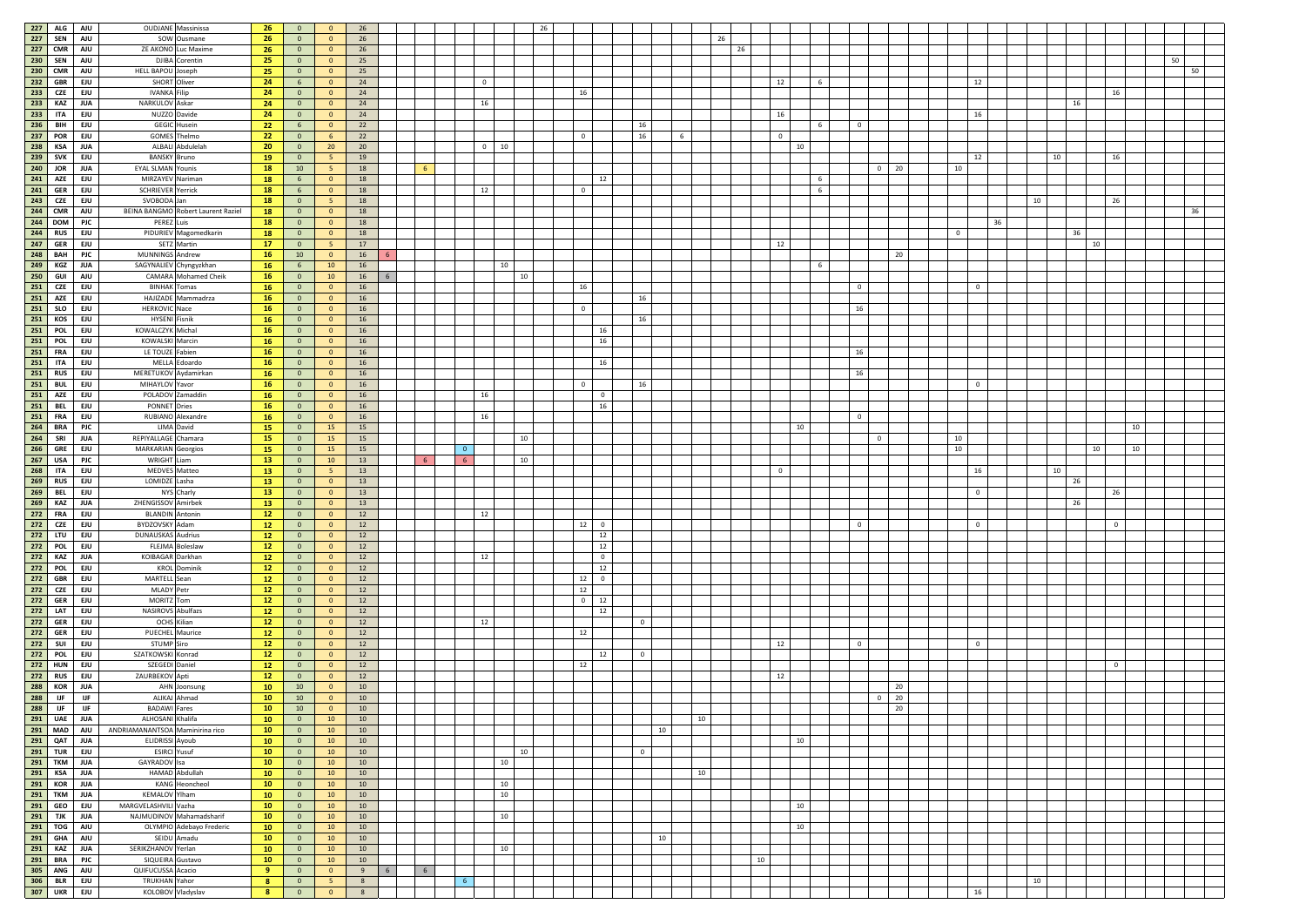|            | 227 ALG                    | <b>AJU</b> |                                     | <b>OUDJANE</b> Massinissa                 | 26                  | $\overline{0}$                   | $\Omega$                         | 26     |                     |                |                | 26 |                |                |                |    |    |    |                |    |              |          |    |                         |    |    |    |    |         |    |    |  |
|------------|----------------------------|------------|-------------------------------------|-------------------------------------------|---------------------|----------------------------------|----------------------------------|--------|---------------------|----------------|----------------|----|----------------|----------------|----------------|----|----|----|----------------|----|--------------|----------|----|-------------------------|----|----|----|----|---------|----|----|--|
| 227        | <b>SEN</b>                 | AJU        |                                     | SOW Ousmane                               | 26                  | $\overline{0}$                   | $\bullet$                        | 26     |                     |                |                |    |                |                |                |    | 26 |    |                |    |              |          |    |                         |    |    |    |    |         |    |    |  |
|            |                            |            |                                     |                                           |                     |                                  |                                  |        |                     |                |                |    |                |                |                |    |    |    |                |    |              |          |    |                         |    |    |    |    |         |    |    |  |
|            | 227 CMR                    | <b>AJU</b> |                                     | ZE AKONO Luc Maxime                       | 26                  | $\overline{0}$                   | $\overline{0}$                   | 26     |                     |                |                |    |                |                |                |    |    | 26 |                |    |              |          |    |                         |    |    |    |    |         |    |    |  |
| 230        | <b>SEN</b>                 | <b>AJU</b> |                                     | DJIBA Corentin                            | 25                  | $\overline{0}$                   | $\overline{0}$                   | 25     |                     |                |                |    |                |                |                |    |    |    |                |    |              |          |    |                         |    |    |    |    |         |    | 50 |  |
| 230        | <b>CMR</b>                 | <b>AJU</b> | <b>HELL BAPOU</b>                   | Joseph                                    | 25                  | $\overline{0}$                   | $\overline{0}$                   | 25     |                     |                |                |    |                |                |                |    |    |    |                |    |              |          |    |                         |    |    |    |    |         |    | 50 |  |
| 232        | <b>GBR</b>                 | EJU        | SHORT Oliver                        |                                           | 24                  | 6 <sup>1</sup>                   | $\overline{0}$                   | 24     |                     |                | $\overline{0}$ |    |                |                |                |    |    |    | 12             | 6  |              |          |    | 12                      |    |    |    |    |         |    |    |  |
| 233        | <b>CZE</b>                 | EJU        | <b>IVANKA</b> Filip                 |                                           | 24                  | $\overline{0}$                   | $\overline{0}$                   | 24     |                     |                |                |    | 16             |                |                |    |    |    |                |    |              |          |    |                         |    |    |    |    | 16      |    |    |  |
| 233        | <b>KAZ</b>                 | <b>JUA</b> | NARKULOV Askar                      |                                           | 24                  | $\overline{0}$                   | $\bullet$                        | 24     |                     |                | 16             |    |                |                |                |    |    |    |                |    |              |          |    |                         |    |    |    | 16 |         |    |    |  |
| 233        | <b>ITA</b>                 | EJU        |                                     | NUZZO Davide                              | 24                  | $\overline{0}$                   | $\overline{0}$                   | 24     |                     |                |                |    |                |                |                |    |    |    | 16             |    |              |          |    | 16                      |    |    |    |    |         |    |    |  |
| 236        | BIH                        | <b>EJU</b> |                                     | GEGIC Husein                              | 22                  | 6                                | $\overline{0}$                   | 22     |                     |                |                |    |                |                | 16             |    |    |    |                | 6  | $\circ$      |          |    |                         |    |    |    |    |         |    |    |  |
| 237        | POR                        | EJU        |                                     | GOMES Thelmo                              | 22                  | $\overline{0}$                   | $6\overline{6}$                  | 22     |                     |                |                |    | $\overline{0}$ |                | 16             | 6  |    |    | $\overline{0}$ |    |              |          |    |                         |    |    |    |    |         |    |    |  |
| 238        | <b>KSA</b>                 | <b>JUA</b> |                                     | ALBALI Abdulelah                          | 20                  | $\overline{0}$                   | 20                               | 20     |                     |                | $0 \mid 10$    |    |                |                |                |    |    |    |                | 10 |              |          |    |                         |    |    |    |    |         |    |    |  |
| 239        | <b>SVK</b>                 | EJU        | <b>BANSKY</b>                       | Bruno                                     | 19                  | $\overline{0}$                   | 5 <sub>1</sub>                   | 19     |                     |                |                |    |                |                |                |    |    |    |                |    |              |          |    | 12                      |    |    | 10 |    | 16      |    |    |  |
| 240        | <b>JOR</b>                 | <b>JUA</b> | <b>EYAL SLMAN Younis</b>            |                                           | 18                  | 10                               |                                  | 18     | 6                   |                |                |    |                |                |                |    |    |    |                |    |              | $\circ$  | 20 | 10                      |    |    |    |    |         |    |    |  |
|            |                            |            | MIRZAYEV Nariman                    |                                           |                     | 6                                | 5 <sub>1</sub><br>$\overline{0}$ | 18     |                     |                |                |    |                | 12             |                |    |    |    |                | 6  |              |          |    |                         |    |    |    |    |         |    |    |  |
| 241        | AZE                        | EJU        |                                     |                                           | 18                  |                                  |                                  |        |                     |                |                |    |                |                |                |    |    |    |                |    |              |          |    |                         |    |    |    |    |         |    |    |  |
| 241        | <b>GER</b>                 | EJU        | <b>SCHRIEVER</b> Yerrick            |                                           | 18                  | 6 <sup>5</sup>                   | $\circ$                          | 18     |                     |                | 12             |    | $\overline{0}$ |                |                |    |    |    |                | 6  |              |          |    |                         |    |    |    |    |         |    |    |  |
| 243        | CZE                        | EJU        | SVOBODA Jan                         |                                           | 18                  | $\overline{0}$                   | 5 <sub>1</sub>                   | 18     |                     |                |                |    |                |                |                |    |    |    |                |    |              |          |    |                         |    | 10 |    |    | 26      |    |    |  |
| 244        | <b>CMR</b>                 | <b>AJU</b> |                                     | <b>BEINA BANGMO Robert Laurent Raziel</b> | 18                  | $\overline{0}$                   | $\overline{\mathbf{0}}$          | 18     |                     |                |                |    |                |                |                |    |    |    |                |    |              |          |    |                         |    |    |    |    |         |    | 36 |  |
| 244        | <b>DOM</b>                 | PJC        | PEREZ Luis                          |                                           | 18                  | $\overline{0}$                   | $\circ$                          | 18     |                     |                |                |    |                |                |                |    |    |    |                |    |              |          |    |                         | 36 |    |    |    |         |    |    |  |
| 244        | <b>RUS</b>                 | EJU        |                                     | PIDURIEV Magomedkarin                     | 18                  | $\overline{0}$                   | $\overline{0}$                   | 18     |                     |                |                |    |                |                |                |    |    |    |                |    |              |          |    | $\circ$                 |    |    |    | 36 |         |    |    |  |
| 247        | GER                        | EJU        |                                     | SETZ Martin                               | 17                  | $\overline{0}$                   | 5 <sup>7</sup>                   | 17     |                     |                |                |    |                |                |                |    |    |    | 12             |    |              |          |    |                         |    |    |    |    | 10      |    |    |  |
| 248        | <b>BAH</b>                 | PJC        | MUNNINGS Andrew                     |                                           | 16                  | 10                               | $\circ$                          | 16     |                     |                |                |    |                |                |                |    |    |    |                |    |              |          | 20 |                         |    |    |    |    |         |    |    |  |
| 249        | <b>KGZ</b>                 | <b>JUA</b> |                                     | SAGYNALIEV Chyngyzkhan                    | 16                  | 6 <sub>5</sub>                   | 10 <sup>°</sup>                  | 16     |                     |                | 10             |    |                |                |                |    |    |    |                | 6  |              |          |    |                         |    |    |    |    |         |    |    |  |
| 250        | GUI                        | <b>AJU</b> |                                     | CAMARA Mohamed Cheik                      | 16                  | $\overline{0}$                   | 10                               | $16\,$ | 6 <sup>1</sup>      |                |                | 10 |                |                |                |    |    |    |                |    |              |          |    |                         |    |    |    |    |         |    |    |  |
| 251        | CZE                        | EJU        | <b>BINHAK</b> Tomas                 |                                           | 16                  | $\overline{0}$                   | $\circ$                          | 16     |                     |                |                |    | 16             |                |                |    |    |    |                |    | $\mathbf{0}$ |          |    | $\circ$                 |    |    |    |    |         |    |    |  |
| 251        | AZE                        | EJU        |                                     | HAJIZADE Mammadrza                        | 16                  | $\overline{0}$                   | $\overline{0}$                   | 16     |                     |                |                |    |                |                | 16             |    |    |    |                |    |              |          |    |                         |    |    |    |    |         |    |    |  |
| 251        | <b>SLO</b>                 | EJU        | <b>HERKOVIC</b> Nace                |                                           | 16                  | $\overline{0}$                   | $\bullet$                        | 16     |                     |                |                |    | $\overline{0}$ |                |                |    |    |    |                |    | 16           |          |    |                         |    |    |    |    |         |    |    |  |
| 251        | <b>KOS</b>                 | EJU        | <b>HYSENI</b> Fisnik                |                                           | 16                  | $\overline{0}$                   | $\circ$                          | 16     |                     |                |                |    |                |                | 16             |    |    |    |                |    |              |          |    |                         |    |    |    |    |         |    |    |  |
|            | 251 POL                    | EJU        | KOWALCZYK Michal                    |                                           | 16                  | $\overline{0}$                   | $\overline{0}$                   | 16     |                     |                |                |    |                | 16             |                |    |    |    |                |    |              |          |    |                         |    |    |    |    |         |    |    |  |
| 251        | POL                        | EJU        | KOWALSKI Marcin                     |                                           | 16                  | $\overline{0}$                   | $\overline{0}$                   | 16     |                     |                |                |    |                | 16             |                |    |    |    |                |    |              |          |    |                         |    |    |    |    |         |    |    |  |
|            |                            |            |                                     |                                           |                     |                                  |                                  |        |                     |                |                |    |                |                |                |    |    |    |                |    |              |          |    |                         |    |    |    |    |         |    |    |  |
| 251        | <b>FRA</b>                 | EJU        | LE TOUZE Fabien                     |                                           | 16                  | $\overline{0}$                   | $\overline{0}$                   | $16\,$ |                     |                |                |    |                |                |                |    |    |    |                |    | 16           |          |    |                         |    |    |    |    |         |    |    |  |
| 251        | <b>ITA</b>                 | EJU        |                                     | MELLA Edoardo                             | 16                  | $\overline{0}$                   | $\overline{0}$                   | 16     |                     |                |                |    |                | 16             |                |    |    |    |                |    |              |          |    |                         |    |    |    |    |         |    |    |  |
| 251        | <b>RUS</b>                 | EJU        | MERETUKOV Aydamirkan                |                                           | 16                  | $\overline{0}$                   | $\overline{0}$                   | 16     |                     |                |                |    |                |                |                |    |    |    |                |    | 16           |          |    |                         |    |    |    |    |         |    |    |  |
| 251        | <b>BUL</b>                 | EJU        | MIHAYLOV Yavor                      |                                           | 16                  | $\overline{0}$                   | $\circ$                          | 16     |                     |                |                |    | $\overline{0}$ |                | 16             |    |    |    |                |    |              |          |    | $\overline{\mathbf{0}}$ |    |    |    |    |         |    |    |  |
| 251        | AZE                        | EJU        |                                     | POLADOV Zamaddin                          | 16                  | $\overline{0}$                   | $\mathbf{0}$                     | 16     |                     |                | 16             |    |                | $\overline{0}$ |                |    |    |    |                |    |              |          |    |                         |    |    |    |    |         |    |    |  |
| 251        | <b>BEL</b>                 | EJU        | PONNET Dries                        |                                           | 16                  | $\bullet$                        | $\overline{0}$                   | 16     |                     |                |                |    |                | 16             |                |    |    |    |                |    |              |          |    |                         |    |    |    |    |         |    |    |  |
| 251        | <b>FRA</b>                 | EJU        |                                     | RUBIANO Alexandre                         | 16                  | $\overline{0}$                   | $\overline{0}$                   | $16\,$ |                     |                | 16             |    |                |                |                |    |    |    |                |    | $\circ$      |          |    |                         |    |    |    |    |         |    |    |  |
| 264        | <b>BRA</b>                 | <b>PJC</b> |                                     | LIMA David                                | 15                  | $\overline{0}$                   | 15                               | 15     |                     |                |                |    |                |                |                |    |    |    |                | 10 |              |          |    |                         |    |    |    |    |         | 10 |    |  |
| 264        | SRI                        | <b>JUA</b> | REPIYALLAGE Chamara                 |                                           | 15                  | $\overline{0}$                   | 15                               | 15     |                     |                |                | 10 |                |                |                |    |    |    |                |    |              | $\circ$  |    | 10                      |    |    |    |    |         |    |    |  |
| 266        | GRE                        | EJU        | MARKARIAN Georgios                  |                                           | 15                  | $\overline{0}$                   | 15                               | 15     |                     | $\overline{0}$ |                |    |                |                |                |    |    |    |                |    |              |          |    | 10                      |    |    |    |    | 10      | 10 |    |  |
| 267        | <b>USA</b>                 | PJC        | WRIGHT Liam                         |                                           | 13                  | $\overline{0}$                   | 10                               | 13     | 6                   | 6              |                | 10 |                |                |                |    |    |    |                |    |              |          |    |                         |    |    |    |    |         |    |    |  |
| 268        | <b>ITA</b>                 | EJU        | MEDVES Matteo                       |                                           | 13                  | $\overline{0}$                   | 5 <sub>1</sub>                   | 13     |                     |                |                |    |                |                |                |    |    |    | $\circ$        |    |              |          |    | 16                      |    |    | 10 |    |         |    |    |  |
| 269        | <b>RUS</b>                 | EJU        | LOMIDZE Lasha                       |                                           | 13                  | $\overline{0}$                   | $\overline{0}$                   | 13     |                     |                |                |    |                |                |                |    |    |    |                |    |              |          |    |                         |    |    |    | 26 |         |    |    |  |
| 269        | <b>BEL</b>                 | EJU        |                                     | NYS Charly                                | 13                  | $\overline{0}$                   | $\circ$                          | 13     |                     |                |                |    |                |                |                |    |    |    |                |    |              |          |    | $\circ$                 |    |    |    |    | 26      |    |    |  |
| 269        | <b>KAZ</b>                 | <b>JUA</b> |                                     |                                           |                     | $\overline{0}$                   |                                  | 13     |                     |                |                |    |                |                |                |    |    |    |                |    |              |          |    |                         |    |    |    |    |         |    |    |  |
| 272        | <b>FRA</b>                 |            |                                     |                                           |                     |                                  |                                  |        |                     |                |                |    |                |                |                |    |    |    |                |    |              |          |    |                         |    |    |    |    |         |    |    |  |
| 272        |                            |            | ZHENGISSOV Amirbek                  |                                           | 13                  |                                  | $\bullet$                        |        |                     |                |                |    |                |                |                |    |    |    |                |    |              |          |    |                         |    |    |    | 26 |         |    |    |  |
|            |                            | EJU        | <b>BLANDIN</b> Antonin              |                                           | 12                  | $\overline{0}$                   | $\overline{0}$                   | 12     |                     |                | 12             |    |                |                |                |    |    |    |                |    |              |          |    |                         |    |    |    |    |         |    |    |  |
| 272        | CZE                        | EJU        | BYDZOVSKY Adam                      |                                           | 12                  | $\overline{0}$                   | $\circ$                          | 12     |                     |                |                |    | 12             | $\overline{0}$ |                |    |    |    |                |    | $\circ$      |          |    | $\mathbf{0}$            |    |    |    |    | $\circ$ |    |    |  |
| 272        | LTU                        | <b>EJU</b> | <b>DUNAUSKAS</b> Audrius            |                                           | ${\bf 12}$          | $\overline{0}$                   | $\overline{0}$                   | 12     |                     |                |                |    |                | $12\,$         |                |    |    |    |                |    |              |          |    |                         |    |    |    |    |         |    |    |  |
|            | POL                        | EJU        |                                     | FLEJMA Boleslaw                           | 12                  | $\overline{0}$                   | $\overline{0}$                   | $12$   |                     |                |                |    |                | 12             |                |    |    |    |                |    |              |          |    |                         |    |    |    |    |         |    |    |  |
| 272        | <b>KAZ</b>                 | <b>JUA</b> | KOIBAGAR Darkhan                    |                                           | 12                  | $\overline{0}$                   | $\bullet$                        | 12     |                     |                | 12             |    |                | $\overline{0}$ |                |    |    |    |                |    |              |          |    |                         |    |    |    |    |         |    |    |  |
| 272        | <b>POL</b>                 | EJU        |                                     | <b>KROL</b> Dominik                       | 12                  | $\overline{0}$                   | $\overline{0}$                   | 12     |                     |                |                |    |                | 12             |                |    |    |    |                |    |              |          |    |                         |    |    |    |    |         |    |    |  |
| 272        | <b>GBR</b>                 | EJU        | MARTELL Sean                        |                                           | 12                  | $\overline{0}$                   | $\overline{0}$                   | 12     |                     |                |                |    | 12             | $\overline{0}$ |                |    |    |    |                |    |              |          |    |                         |    |    |    |    |         |    |    |  |
| 272        | <b>CZE</b>                 | EJU        | MLADY Petr                          |                                           | 12                  | $\overline{0}$                   | $\circ$                          | 12     |                     |                |                |    | 12             |                |                |    |    |    |                |    |              |          |    |                         |    |    |    |    |         |    |    |  |
| 272        | <b>GER</b>                 | <b>EJU</b> | MORITZ Tom                          |                                           | 12                  | $\mathbf{0}$                     | $\overline{0}$                   | 12     |                     |                |                |    | $\circ$        | 12             |                |    |    |    |                |    |              |          |    |                         |    |    |    |    |         |    |    |  |
| 272        | LAT                        | EJU        | NASIROVS Abulfazs                   |                                           | 12                  | $\overline{0}$                   | $\overline{0}$                   | 12     |                     |                |                |    |                | 12             |                |    |    |    |                |    |              |          |    |                         |    |    |    |    |         |    |    |  |
| 272        | <b>GER</b>                 | EJU        |                                     | OCHS Kilian                               | ${\bf 12}$          | $\overline{0}$                   | $\overline{0}$                   | $12$   |                     |                | 12             |    |                |                | $\circ$        |    |    |    |                |    |              |          |    |                         |    |    |    |    |         |    |    |  |
| 272        | <b>GER</b>                 | EJU        | PUECHEL Maurice                     |                                           | $12$                | $\overline{0}$                   | $\overline{0}$                   | 12     |                     |                |                |    | 12             |                |                |    |    |    |                |    |              |          |    |                         |    |    |    |    |         |    |    |  |
| 272        | SUI                        | EJU        | STUMP <sup>Siro</sup>               |                                           | 12                  | $\overline{0}$                   | $\overline{0}$                   | 12     |                     |                |                |    |                |                |                |    |    |    | 12             |    | $\circ$      |          |    | $\mathbf 0$             |    |    |    |    |         |    |    |  |
|            |                            | EJU        |                                     |                                           | 12                  | $\overline{0}$                   | $\overline{0}$                   | 12     |                     |                |                |    |                | 12             | $\overline{0}$ |    |    |    |                |    |              |          |    |                         |    |    |    |    |         |    |    |  |
| 272<br>272 | <b>POL</b><br><b>HUN</b>   | EJU        | SZATKOWSKI Konrad<br>SZEGEDI Daniel |                                           |                     | $\overline{0}$                   | $\overline{0}$                   | 12     |                     |                |                |    | 12             |                |                |    |    |    |                |    |              |          |    |                         |    |    |    |    | $\circ$ |    |    |  |
|            |                            |            |                                     |                                           | 12                  |                                  |                                  |        |                     |                |                |    |                |                |                |    |    |    |                |    |              |          |    |                         |    |    |    |    |         |    |    |  |
| 272        | <b>RUS</b>                 | EJU        | ZAURBEKOV Apti                      |                                           | 12                  | $\overline{0}$                   | $\circ$                          | 12     |                     |                |                |    |                |                |                |    |    |    | 12             |    |              |          |    |                         |    |    |    |    |         |    |    |  |
| 288        | <b>KOR</b>                 | <b>JUA</b> |                                     | AHN Joonsung                              | 10                  | $10\,$                           | $\overline{0}$                   | $10\,$ |                     |                |                |    |                |                |                |    |    |    |                |    |              |          | 20 |                         |    |    |    |    |         |    |    |  |
| 288        | IJF                        | IJF        |                                     | ALIKAJ Ahmad                              | 10                  | 10 <sup>°</sup>                  | $\overline{0}$                   | 10     |                     |                |                |    |                |                |                |    |    |    |                |    |              | $\Omega$ | 20 |                         |    |    |    |    |         |    |    |  |
| 288        | IJF                        | IJF        | <b>BADAWI</b> Fares                 |                                           | 10                  | 10                               | $\overline{0}$                   | $10$   |                     |                |                |    |                |                |                |    |    |    |                |    |              |          | 20 |                         |    |    |    |    |         |    |    |  |
|            | <b>291 UAE JUA</b>         |            | ALHOSANI Khalifa                    |                                           | 10                  | $\overline{0}$                   | 10                               | $10\,$ |                     |                |                |    |                |                |                |    | 10 |    |                |    |              |          |    |                         |    |    |    |    |         |    |    |  |
|            | <b>291 MAD AJU</b>         |            | ANDRIAMANANTSOA Maminirina rico     |                                           | 10 <sub>1</sub>     | $\overline{0}$                   | 10                               | 10     |                     |                |                |    |                |                |                | 10 |    |    |                |    |              |          |    |                         |    |    |    |    |         |    |    |  |
|            | <b>291 QAT JUA</b>         |            | ELIDRISSI Ayoub                     |                                           | 10                  | $\overline{0}$                   | 10                               | 10     |                     |                |                |    |                |                |                |    |    |    |                | 10 |              |          |    |                         |    |    |    |    |         |    |    |  |
|            | <b>291</b> TUR EJU         |            | <b>ESIRCI Yusuf</b>                 |                                           | 10                  | $\bullet$                        | 10                               | 10     |                     |                |                | 10 |                |                | $\circ$        |    |    |    |                |    |              |          |    |                         |    |    |    |    |         |    |    |  |
|            | <b>291 TKM JUA</b>         |            | GAYRADOV Isa                        |                                           | 10                  | $\bullet$                        | 10                               | 10     |                     |                | 10             |    |                |                |                |    |    |    |                |    |              |          |    |                         |    |    |    |    |         |    |    |  |
|            | 291 KSA JUA                |            |                                     | HAMAD Abdullah                            | 10                  | $\overline{0}$                   | 10                               | $10\,$ |                     |                |                |    |                |                |                |    | 10 |    |                |    |              |          |    |                         |    |    |    |    |         |    |    |  |
|            | 291 KOR JUA                |            |                                     | KANG Heoncheol                            | 10                  | $\overline{0}$                   | 10                               | 10     |                     |                | $10\,$         |    |                |                |                |    |    |    |                |    |              |          |    |                         |    |    |    |    |         |    |    |  |
|            | <b>291 TKM JUA</b>         |            | <b>KEMALOV</b> Ylham                |                                           | 10                  | $\overline{0}$                   | 10                               | 10     |                     |                | $10\,$         |    |                |                |                |    |    |    |                |    |              |          |    |                         |    |    |    |    |         |    |    |  |
|            | <b>291</b> GEO EJU         |            | MARGVELASHVILI Vazha                |                                           | 10                  | $\overline{0}$                   | 10                               | $10$   |                     |                |                |    |                |                |                |    |    |    |                | 10 |              |          |    |                         |    |    |    |    |         |    |    |  |
|            | <b>291 TJK JUA</b>         |            |                                     | NAJMUDINOV Mahamadsharif                  | 10                  | $\overline{0}$                   | $10\,$                           | $10\,$ |                     |                | 10             |    |                |                |                |    |    |    |                |    |              |          |    |                         |    |    |    |    |         |    |    |  |
|            | <b>291 TOG AJU</b>         |            |                                     |                                           | 10                  | $\overline{0}$                   | 10                               | 10     |                     |                |                |    |                |                |                |    |    |    |                | 10 |              |          |    |                         |    |    |    |    |         |    |    |  |
|            |                            |            |                                     | OLYMPIO Adebayo Frederic                  |                     |                                  |                                  |        |                     |                |                |    |                |                |                | 10 |    |    |                |    |              |          |    |                         |    |    |    |    |         |    |    |  |
|            | 291 GHA AJU                |            |                                     | SEIDU Amadu                               | 10                  | $\overline{0}$                   | $10\,$                           | $10\,$ |                     |                |                |    |                |                |                |    |    |    |                |    |              |          |    |                         |    |    |    |    |         |    |    |  |
|            | 291 KAZ JUA                |            | SERIKZHANOV Yerlan                  |                                           | 10                  | $\overline{0}$                   | 10                               | $10\,$ |                     |                | 10             |    |                |                |                |    |    |    |                |    |              |          |    |                         |    |    |    |    |         |    |    |  |
|            | 291 BRA PJC                |            | SIQUEIRA Gustavo                    |                                           | 10                  | $\overline{0}$                   | 10                               | $10$   |                     |                |                |    |                |                |                |    |    | 10 |                |    |              |          |    |                         |    |    |    |    |         |    |    |  |
|            | 305 ANG AJU                |            | QUIFUCUSSA Acacio                   |                                           | 9                   | $\overline{0}$                   | $\overline{0}$                   | 9      | 6<br>6 <sup>1</sup> |                |                |    |                |                |                |    |    |    |                |    |              |          |    |                         |    |    |    |    |         |    |    |  |
|            | 306 BLR EJU<br>307 UKR EJU |            | TRUKHAN Yahor                       | KOLOBOV Vladyslav                         | 8<br>8 <sup>1</sup> | $\overline{0}$<br>$\overline{0}$ | 5 <sub>1</sub><br>$\overline{0}$ | 8<br>8 |                     | $6^{\circ}$    |                |    |                |                |                |    |    |    |                |    |              |          |    | 16                      |    | 10 |    |    |         |    |    |  |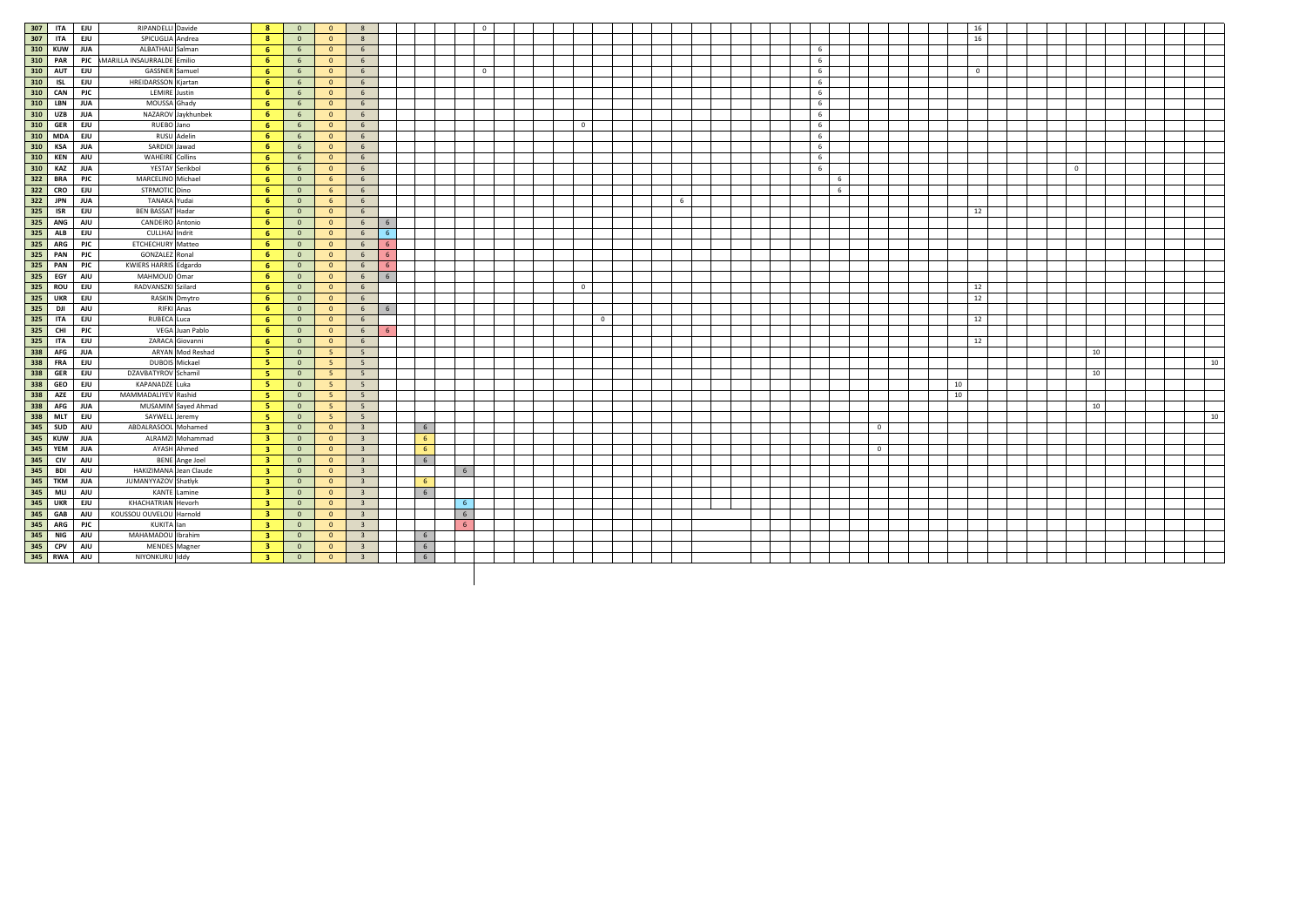| 307        | <b>ITA</b> | EJU        | RIPANDELLI Davide          |                       | 8              | $\overline{0}$  | $\overline{0}$ | 8                       |                  |   | $\overline{\mathbf{0}}$ |  |                |   |  |  |                 |    | 16             |  |                |    |  |    |
|------------|------------|------------|----------------------------|-----------------------|----------------|-----------------|----------------|-------------------------|------------------|---|-------------------------|--|----------------|---|--|--|-----------------|----|----------------|--|----------------|----|--|----|
| 307        | <b>ITA</b> | EJU        | SPICUGLIA Andrea           |                       | 8              | $\overline{0}$  | $\overline{0}$ | 8                       |                  |   |                         |  |                |   |  |  |                 |    | 16             |  |                |    |  |    |
| 310 KUW    |            | <b>JUA</b> | ALBATHALI Salman           |                       | 6 <sup>1</sup> | 6 <sup>5</sup>  | $\overline{0}$ | 6                       |                  |   |                         |  |                |   |  |  | 6               |    |                |  |                |    |  |    |
| 310        | PAR        | PJC        | MARILLA INSAURRALDE Emilio |                       | 6 <sup>1</sup> | 6 <sup>1</sup>  | $\overline{0}$ | $6\overline{6}$         |                  |   |                         |  |                |   |  |  | 6               |    |                |  |                |    |  |    |
| 310        | <b>AUT</b> | <b>EJU</b> | GASSNER Samuel             |                       | 6              | $6\overline{6}$ | $\overline{0}$ | $6\overline{6}$         |                  |   | $\overline{\mathbf{0}}$ |  |                |   |  |  | 6               |    | $\overline{0}$ |  |                |    |  |    |
| 310        | <b>ISL</b> | EJU        | <b>HREIDARSSON</b> Kjartan |                       | 6 <sup>7</sup> | 6 <sup>6</sup>  | $\overline{0}$ | 6                       |                  |   |                         |  |                |   |  |  | 6               |    |                |  |                |    |  |    |
| 310        | CAN        | <b>PJC</b> | LEMIRE Justin              |                       | -6             | 6               | $\overline{0}$ | 6                       |                  |   |                         |  |                |   |  |  | 6               |    |                |  |                |    |  |    |
| 310        | LBN        | <b>JUA</b> | MOUSSA Ghady               |                       | 6              | 6               | $\overline{0}$ | 6                       |                  |   |                         |  |                |   |  |  | 6               |    |                |  |                |    |  |    |
| 310        | <b>UZB</b> | <b>JUA</b> |                            | NAZAROV Jaykhunbek    | 6              | 6 <sup>1</sup>  | $\overline{0}$ | 6                       |                  |   |                         |  |                |   |  |  | 6               |    |                |  |                |    |  |    |
| 310        | GER        | <b>EJU</b> | RUEBO Jano                 |                       | 6 <sup>1</sup> | 6 <sup>5</sup>  | $\overline{0}$ | 6                       |                  |   |                         |  | $\mathbf{0}$   |   |  |  | 6               |    |                |  |                |    |  |    |
| 310        | <b>MDA</b> | EJU        | RUSU Adelin                |                       | 6 <sup>1</sup> | 6 <sup>1</sup>  | $\overline{0}$ | $6\overline{6}$         |                  |   |                         |  |                |   |  |  | $6\phantom{.0}$ |    |                |  |                |    |  |    |
| 310        | KSA        | <b>JUA</b> | SARDIDI Jawad              |                       | 6              | 6 <sup>5</sup>  | $\overline{0}$ | $6\overline{6}$         |                  |   |                         |  |                |   |  |  | 6               |    |                |  |                |    |  |    |
| 310        | <b>KEN</b> | AJU        | WAHEIRE Collins            |                       | -6             | 6               | $\overline{0}$ | 6                       |                  |   |                         |  |                |   |  |  | 6               |    |                |  |                |    |  |    |
| 310        | KAZ        | <b>JUA</b> | YESTAY Serikbol            |                       | 6 <sup>1</sup> | 6               | $\overline{0}$ | 6                       |                  |   |                         |  |                |   |  |  | 6               |    |                |  | $\overline{0}$ |    |  |    |
| 322        | <b>BRA</b> | PJC        | MARCELINO Michael          |                       | 6              | $\overline{0}$  | 6 <sup>5</sup> | 6                       |                  |   |                         |  |                |   |  |  | $6^{\circ}$     |    |                |  |                |    |  |    |
| 322        | CRO        | <b>EJU</b> | STRMOTIC Dino              |                       | 6              | $\overline{0}$  | 6              | 6                       |                  |   |                         |  |                |   |  |  | 6               |    |                |  |                |    |  |    |
| 322        | <b>JPN</b> | <b>JUA</b> | TANAKA Yudai               |                       | 6 <sup>1</sup> | $\circ$         | 6 <sup>1</sup> | 6                       |                  |   |                         |  |                | 6 |  |  |                 |    |                |  |                |    |  |    |
| 325        | ISR        | EJU        | <b>BEN BASSAT Hadar</b>    |                       |                | $\overline{0}$  | $\overline{0}$ | 6                       |                  |   |                         |  |                |   |  |  |                 |    | 12             |  |                |    |  |    |
|            |            |            |                            |                       | 6              |                 |                |                         |                  |   |                         |  |                |   |  |  |                 |    |                |  |                |    |  |    |
| 325<br>325 | ANG        | AJU<br>EJU | CANDEIRO Antonio           |                       | -6             | $\overline{0}$  | $\overline{0}$ | 6                       | 6                |   |                         |  |                |   |  |  |                 |    |                |  |                |    |  |    |
|            | <b>ALB</b> |            | CULLHAJ Indrit             |                       | -6             | $\overline{0}$  | $\overline{0}$ | 6                       | 6                |   |                         |  |                |   |  |  |                 |    |                |  |                |    |  |    |
| 325        | ARG        | PJC        | <b>ETCHECHURY</b> Matteo   |                       | 6 <sup>°</sup> | $\overline{0}$  | $\overline{0}$ | 6                       | 6                |   |                         |  |                |   |  |  |                 |    |                |  |                |    |  |    |
| 325        | PAN        | PJC        | GONZALEZ Ronal             |                       | 6              | $\overline{0}$  | $\overline{0}$ | 6                       | 6                |   |                         |  |                |   |  |  |                 |    |                |  |                |    |  |    |
| 325        | PAN        | <b>PJC</b> | KWIERS HARRIS Edgardo      |                       | 6              | $\overline{0}$  | $\overline{0}$ | 6                       | $6 \overline{6}$ |   |                         |  |                |   |  |  |                 |    |                |  |                |    |  |    |
| 325        | EGY        | AJU        | MAHMOUD Omar               |                       | 6 <sup>1</sup> | $\overline{0}$  | $\overline{0}$ | $6\overline{6}$         | 6                |   |                         |  |                |   |  |  |                 |    |                |  |                |    |  |    |
| 325        | <b>ROU</b> | EJU        | RADVANSZKI Szilard         |                       | 6              | $\overline{0}$  | $\overline{0}$ | 6                       |                  |   |                         |  | $\overline{0}$ |   |  |  |                 |    | 12             |  |                |    |  |    |
| 325        | <b>UKR</b> | EJU        | RASKIN Dmytro              |                       | -6             | $\overline{0}$  | $\overline{0}$ | 6                       |                  |   |                         |  |                |   |  |  |                 |    | 12             |  |                |    |  |    |
| 325        | DJI        | AJU        | <b>RIFKI</b> Anas          |                       | 6 <sup>1</sup> | $\overline{0}$  | $\overline{0}$ | 6 <sup>6</sup>          | 6                |   |                         |  |                |   |  |  |                 |    |                |  |                |    |  |    |
| 325        | <b>ITA</b> | EJU        | RUBECA Luca                |                       | 6 <sup>°</sup> | $\overline{0}$  | $\overline{0}$ | 6                       |                  |   |                         |  | $\circ$        |   |  |  |                 |    | 12             |  |                |    |  |    |
| 325        | CHI        | PJC        |                            | VEGA Juan Pablo       | 6 <sup>1</sup> | $\overline{0}$  | $\overline{0}$ | 6 <sup>6</sup>          |                  |   |                         |  |                |   |  |  |                 |    |                |  |                |    |  |    |
| 325        | <b>ITA</b> | EJU        | ZARACA Giovanni            |                       | 6 <sup>1</sup> | $\overline{0}$  | $\overline{0}$ | 6                       |                  |   |                         |  |                |   |  |  |                 |    | 12             |  |                |    |  |    |
| 338        | <b>AFG</b> | <b>JUA</b> |                            | ARYAN Mod Reshad      | -5             | $\overline{0}$  | 5 <sup>7</sup> | 5 <sup>5</sup>          |                  |   |                         |  |                |   |  |  |                 |    |                |  |                | 10 |  |    |
| 338        | <b>FRA</b> | EJU        | DUBOIS Mickael             |                       | 5              | $\overline{0}$  | 5 <sup>1</sup> | 5 <sup>5</sup>          |                  |   |                         |  |                |   |  |  |                 |    |                |  |                |    |  | 10 |
| 338        | GER        | EJU        | DZAVBATYROV Schamil        |                       | -5             | $\overline{0}$  | 5 <sub>1</sub> | 5 <sup>5</sup>          |                  |   |                         |  |                |   |  |  |                 |    |                |  |                | 10 |  |    |
| 338        | GEO        | EJU        | KAPANADZE Luka             |                       | -5             | $\overline{0}$  | 5 <sub>1</sub> | 5 <sup>5</sup>          |                  |   |                         |  |                |   |  |  |                 | 10 |                |  |                |    |  |    |
| 338        | AZE        | EJU        | MAMMADALIYEV Rashid        |                       | -5             | $\overline{0}$  | 5 <sub>1</sub> | 5 <sup>5</sup>          |                  |   |                         |  |                |   |  |  |                 | 10 |                |  |                |    |  |    |
| 338        | AFG        | <b>JUA</b> |                            | MUSAMIM Sayed Ahmad   | 5 <sub>1</sub> | $\overline{0}$  | 5 <sub>1</sub> | 5 <sup>5</sup>          |                  |   |                         |  |                |   |  |  |                 |    |                |  |                | 10 |  |    |
| 338        | <b>MLT</b> | EJU        | SAYWELL Jeremy             |                       | 5 <sub>1</sub> | $\overline{0}$  | 5 <sub>1</sub> | 5                       |                  |   |                         |  |                |   |  |  |                 |    |                |  |                |    |  | 10 |
| 345        | SUD        | AJU        | ABDALRASOOL Mohamed        |                       | 3 <sup>7</sup> | $\overline{0}$  | $\overline{0}$ | $\overline{3}$          | 6                |   |                         |  |                |   |  |  | $\overline{0}$  |    |                |  |                |    |  |    |
| 345        | <b>KUW</b> | <b>JUA</b> |                            | ALRAMZI Mohammad      | 3 <sup>1</sup> | $\overline{0}$  | $\overline{0}$ | $\overline{\mathbf{3}}$ | 6 <sup>1</sup>   |   |                         |  |                |   |  |  |                 |    |                |  |                |    |  |    |
| 345        | YEM        | <b>JUA</b> | AYASH Ahmed                |                       | 3 <sup>°</sup> | $\overline{0}$  | $\overline{0}$ | $\overline{\mathbf{3}}$ | $-6$             |   |                         |  |                |   |  |  | $\overline{0}$  |    |                |  |                |    |  |    |
| 345        | CIV        | AJU        |                            | <b>BENE</b> Ange Joel | 3 <sup>1</sup> | $\overline{0}$  | $\overline{0}$ | $\overline{\mathbf{3}}$ | 6                |   |                         |  |                |   |  |  |                 |    |                |  |                |    |  |    |
| 345        | <b>BDI</b> | AJU        | HAKIZIMANA Jean Claude     |                       | 3 <sup>7</sup> | $\overline{0}$  | $\overline{0}$ | $\overline{\mathbf{3}}$ |                  | 6 |                         |  |                |   |  |  |                 |    |                |  |                |    |  |    |
| 345        | TKM        | <b>JUA</b> | JUMANYYAZOV Shatlyk        |                       | 3 <sup>7</sup> | $\overline{0}$  | $\overline{0}$ | $\overline{\mathbf{3}}$ | 6 <sup>6</sup>   |   |                         |  |                |   |  |  |                 |    |                |  |                |    |  |    |
| 345        | MLI        | AJU        | KANTE Lamine               |                       | 3 <sup>1</sup> | $\overline{0}$  | $\overline{0}$ | $\overline{\mathbf{3}}$ | $6\overline{6}$  |   |                         |  |                |   |  |  |                 |    |                |  |                |    |  |    |
| 345        | <b>UKR</b> | <b>EJU</b> | KHACHATRIAN Hevorh         |                       | 3 <sup>1</sup> | $\overline{0}$  | $\overline{0}$ | $\overline{3}$          |                  | 6 |                         |  |                |   |  |  |                 |    |                |  |                |    |  |    |
| 345        | GAB        | AJU        | KOUSSOU OUVELOU Harnold    |                       | 3 <sup>1</sup> | $\overline{0}$  | $\overline{0}$ | $\overline{\mathbf{3}}$ |                  | 6 |                         |  |                |   |  |  |                 |    |                |  |                |    |  |    |
| 345        | ARG        | <b>PJC</b> | KUKITA lan                 |                       | 3 <sup>2</sup> | $\overline{0}$  | $\overline{0}$ | $\overline{\mathbf{3}}$ |                  | 6 |                         |  |                |   |  |  |                 |    |                |  |                |    |  |    |
| 345        | NIG        | AJU        | MAHAMADOU Ibrahim          |                       | 3 <sup>1</sup> | $\overline{0}$  | $\overline{0}$ | $\overline{\mathbf{3}}$ | $6\overline{6}$  |   |                         |  |                |   |  |  |                 |    |                |  |                |    |  |    |
| 345        | <b>CPV</b> | AJU        | <b>MENDES</b> Magner       |                       | 3 <sup>7</sup> | $\overline{0}$  | $\overline{0}$ | $\overline{\mathbf{3}}$ | 6 <sup>1</sup>   |   |                         |  |                |   |  |  |                 |    |                |  |                |    |  |    |
| 345 RWA    |            | AJU        | NIYONKURU Iddy             |                       | 3 <sup>1</sup> | $\mathbf{0}$    | $\overline{0}$ | $\overline{\mathbf{3}}$ | $6\overline{6}$  |   |                         |  |                |   |  |  |                 |    |                |  |                |    |  |    |
|            |            |            |                            |                       |                |                 |                |                         |                  |   |                         |  |                |   |  |  |                 |    |                |  |                |    |  |    |
|            |            |            |                            |                       |                |                 |                |                         |                  |   |                         |  |                |   |  |  |                 |    |                |  |                |    |  |    |
|            |            |            |                            |                       |                |                 |                |                         |                  |   |                         |  |                |   |  |  |                 |    |                |  |                |    |  |    |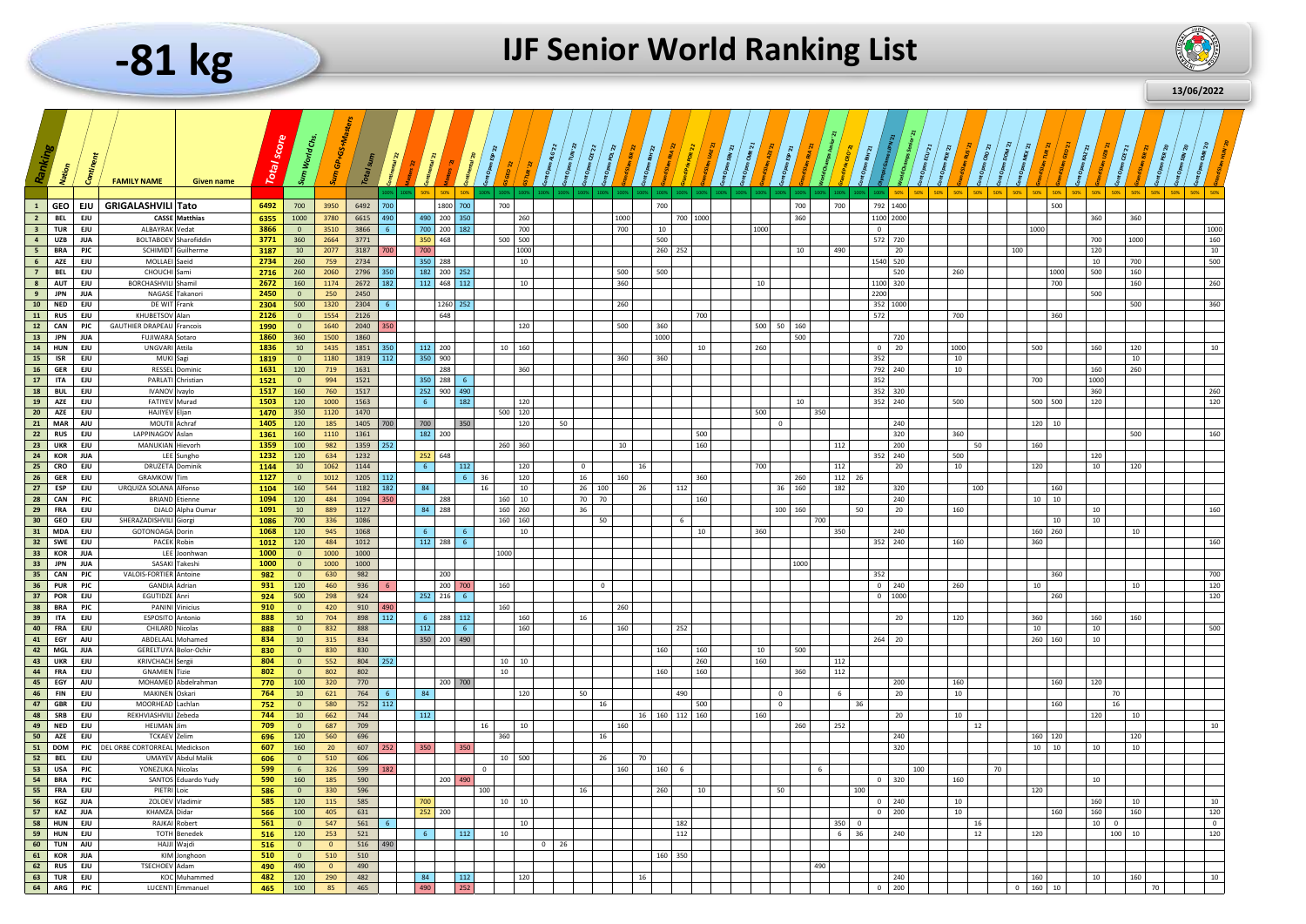# **-81 kg**

### **IJF Senior World Ranking List**



|                                            | Ranking<br><b>Nation</b> | ر<br>وي                  | <b>FAMILY NAME</b><br><b>Given name</b>            | <b>g</b><br>Total | World Ch                          |                       |              |                  |                           | 50%                        |                    | š<br>100%      | N<br>$\mathbf{e}_n$ CE' <sub>22</sub><br>$\tilde{e}$ | <b>Z</b>       |             |              |               |                | 50%                       |     | PER <sub>21</sub> | $CRO \frac{1}{2}$ | en DOM 21<br><sup>COpen MBX</sup> 21 |                | Open KAZ 21 | $\alpha$                | 虜<br>50% |            |
|--------------------------------------------|--------------------------|--------------------------|----------------------------------------------------|-------------------|-----------------------------------|-----------------------|--------------|------------------|---------------------------|----------------------------|--------------------|----------------|------------------------------------------------------|----------------|-------------|--------------|---------------|----------------|---------------------------|-----|-------------------|-------------------|--------------------------------------|----------------|-------------|-------------------------|----------|------------|
| $\mathbf{1}$                               | <b>GEO</b>               | EJU                      | <b>GRIGALASHVILI Tato</b>                          | 6492              | 700                               | 3950                  | 6492         | 700              | 1800 700                  |                            | 700                |                |                                                      | 100%<br>700    |             |              | 700           | 700            | 792 1400                  |     |                   |                   | 50% 50% 50%                          | 50% 50%<br>500 |             | 50%<br>50%              | 50%      |            |
| $\overline{\mathbf{2}}$                    | <b>BEL</b>               | EJU                      | <b>CASSE</b> Matthias                              | 6355              | 1000                              | 3780                  | 6615         | 490              | 490 200 350               |                            | 260                |                | 1000                                                 |                | 700 1000    |              | 360           |                | 1100 2000                 |     |                   |                   |                                      |                | 360         | 360                     |          |            |
| 3 <sup>1</sup>                             | TUR                      | EIU                      | <b>ALBAYRAK</b> Vedat                              | 3866              | $\overline{0}$                    | 3510                  | 3866         | $-6$             | 700<br>$200$ 182          |                            | 700                |                | 700                                                  | $10\,$         |             | 1000         |               |                | $\overline{0}$            |     |                   |                   | 1000                                 |                |             |                         |          | 1000       |
| $\overline{4}$<br>$\overline{\phantom{0}}$ | UZB<br><b>BRA</b>        | <b>JUA</b><br>PJC        | <b>BOLTABOEV</b> Sharofiddin<br>SCHIMIDT Guilherme | 3771<br>3187      | 360<br>10                         | 2664<br>2077          | 3771<br>3187 | 700 <sub>1</sub> | 350<br>468<br>700         |                            | 500<br>500<br>1000 |                |                                                      | 500<br>260 252 |             |              | 10            | 490            | 572 720<br>20             |     |                   |                   | 100                                  |                | 700<br>120  | 1000                    |          | 160<br>10  |
| $6\overline{6}$                            | AZE                      | EJU                      | MOLLAEI Saeid                                      | 2734              | 260                               | 759                   | 2734         |                  | 350 288                   |                            | $10\,$             |                |                                                      |                |             |              |               |                | 1540 520                  |     |                   |                   |                                      |                | $10\,$      | 700                     |          | 500        |
| $\overline{7}$                             | <b>BEL</b>               | EJU                      | CHOUCHI Sami                                       | 2716              | 260                               | 2060                  | 2796         | 350              | 182 200 252               |                            |                    |                | 500                                                  | 500            |             |              |               |                | 520                       |     | 260               |                   |                                      | 1000           | 500         | 160                     |          |            |
| $\overline{\mathbf{8}}$                    | <b>AUT</b>               | EJU                      | BORCHASHVILI Shamil                                | 2672              | 160                               | 1174                  | 2672         | 182              | 112 468 112               |                            | 10                 |                | 360                                                  |                |             | $10\,$       |               |                | 1100 320                  |     |                   |                   |                                      | 700            |             | 160                     |          | 260        |
| 9<br>10                                    | <b>JPN</b><br><b>NED</b> | <b>JUA</b><br><b>EJU</b> | NAGASE Takanori<br>DE WIT Frank                    | 2450<br>2304      | $\overline{0}$<br>500             | 250<br>1320           | 2450<br>2304 |                  | 1260 252                  |                            |                    |                | 260                                                  |                |             |              |               |                | 2200<br>352 1000          |     |                   |                   |                                      |                | 500         | 500                     |          | 360        |
| 11                                         | <b>RUS</b>               | <b>EJU</b>               | KHUBETSOV Alan                                     | 2126              | $\Omega$                          | 1554                  | 2126         |                  | 648                       |                            |                    |                |                                                      |                | 700         |              |               |                | 572                       |     | 700               |                   |                                      | 360            |             |                         |          |            |
| 12                                         | CAN                      | PIC                      | <b>GAUTHIER DRAPEAU Francois</b>                   | 1990              | $\overline{0}$                    | 1640                  | 2040         |                  |                           |                            | 120                |                | 500                                                  | 360            |             | 500 50 160   |               |                |                           |     |                   |                   |                                      |                |             |                         |          |            |
| 13<br>14                                   | <b>JPN</b><br><b>HUN</b> | <b>JUA</b><br><b>EJU</b> | FUJIWARA Sotaro<br>UNGVARI Attila                  | 1860<br>1836      | 360<br>10                         | 1500<br>1435          | 1860<br>1851 | 350              | 112 200                   |                            | 10<br>160          |                |                                                      | 1000           | $10\,$      | 260          | 500           |                | 720<br>$\circ$<br>20      |     | 1000              |                   | 500                                  |                | 160         | 120                     |          | 10         |
| 15                                         | <b>ISR</b>               | <b>EJU</b>               | MUKI Sagi                                          | 1819              | $\overline{0}$                    | 1180                  | 1819         | 112              | 350<br>900                |                            |                    |                | 360                                                  | 360            |             |              |               |                | 352                       |     | 10                |                   |                                      |                |             | 10 <sub>10</sub>        |          |            |
| 16                                         | GER                      | <b>EJU</b>               | <b>RESSEL Dominic</b>                              | 1631              | 120                               | 719                   | 1631         |                  | 288                       |                            | 360                |                |                                                      |                |             |              |               |                | 792<br>240                |     | 10                |                   |                                      |                | 160         | 260                     |          |            |
| 17<br>18                                   | <b>ITA</b>               | <b>EJU</b><br><b>EJU</b> | PARLATI Christian<br><b>IVANOV</b> Ivaylo          | 1521              | $\overline{0}$                    | 994<br>760            | 1521<br>1517 |                  | 350 288<br>252<br>900 490 | -6                         |                    |                |                                                      |                |             |              |               |                | 352<br>352 320            |     |                   |                   | 700                                  |                | 1000<br>360 |                         |          | 260        |
| 19                                         | <b>BUL</b><br>AZE        | <b>EJU</b>               | FATIYEV Murad                                      | 1517<br>1503      | 160<br>120                        | 1000                  | 1563         |                  | 6 <sup>2</sup>            | 182                        | 120                |                |                                                      |                |             |              | 10            |                | 352 240                   |     | 500               |                   | 500                                  | 500            | 120         |                         |          | 120        |
| 20                                         | AZE                      | EJU                      | HAJIYEV Eljan                                      | 1470              | 350                               | 1120                  | 1470         |                  |                           |                            | 500<br>120         |                |                                                      |                |             | 500          | 350           |                |                           |     |                   |                   |                                      |                |             |                         |          |            |
| 21                                         | <b>MAR</b>               | <b>AJU</b>               | MOUTII Achraf                                      | 1405              | 120                               | 185                   | 1405         | 700              | 700                       | 350                        | 120                | 50             |                                                      |                |             | $\mathbf{0}$ |               |                | 240                       |     |                   |                   | 120                                  | 10             |             |                         |          |            |
| 22<br>23                                   | <b>RUS</b><br><b>UKR</b> | EJU<br><b>EJU</b>        | LAPPINAGOV<br>Aslan<br>MANUKIAN Hievorh            | 1361<br>1359      | 160<br>100                        | 1110<br>982           | 1361<br>1359 | 252              | 182 200                   |                            | 260<br>360         |                | 10                                                   |                | 500<br>160  |              |               | 112            | 320<br>200                |     | 360               | 50                | 160                                  |                |             | 500                     |          | 160        |
| 24                                         | <b>KOR</b>               | <b>JUA</b>               | LEE Sungho                                         | 1232              | 120                               | 634                   | 1232         |                  | 252 648                   |                            |                    |                |                                                      |                |             |              |               |                | 240<br>352                |     | 500               |                   |                                      |                | 120         |                         |          |            |
| 25                                         | CRO                      | <b>EJU</b>               | <b>DRUZETA</b> Dominik                             | 1144              | 10                                | 1062                  | 1144         |                  | $6-1$                     | 112                        | 120                | $\overline{0}$ |                                                      | 16             |             | 700          |               | 112            | $20\degree$               |     | $10\,$            |                   | 120                                  |                | 10          | 120                     |          |            |
| 26<br>27                                   | <b>GER</b><br>ESP        | EJU<br>EJU               | <b>GRAMKOW</b> Tim<br>URQUIZA SOLANA Alfonso       | 1127<br>1104      | $\overline{0}$<br>160             | 1012<br>544           | 1205<br>1182 | 112<br>182       | 84                        | 36<br>6 <sup>1</sup><br>16 | 120<br>10          | 16             | 160<br>26 100                                        | 26             | 360<br>112  |              | 260<br>36 160 | 112<br>182     | 26<br>320                 |     |                   | 100               |                                      | 160            |             |                         |          |            |
| 28                                         | CAN                      | PJC                      | <b>BRIAND</b> Etienne                              | 1094              | 120                               | 484                   | 1094         | 350              | 288                       |                            | 160<br>10          | 70             | 70                                                   |                | 160         |              |               |                | 240                       |     |                   |                   | 10                                   | 10             |             |                         |          |            |
| 29                                         | <b>FRA</b>               | EJU                      | DJALO Alpha Oumar                                  | 1091              | 10                                | 889                   | 1127         |                  | 84 288                    |                            | 160<br>260         | 36             |                                                      |                |             |              | 100 160       |                | 50<br>20                  |     | 160               |                   |                                      |                | $10\,$      |                         |          | 160        |
| 30                                         | GEO                      | <b>EJU</b><br><b>EJU</b> | SHERAZADISHVILI Giorgi<br>GOTONOAGA Dorin          | 1086<br>1068      | 700                               | 336<br>945            | 1086<br>1068 |                  | 6 <sup>1</sup>            | 6                          | 160<br>160<br>10   |                | 50                                                   |                | 6<br>10     | 360          | 700           | 350            | 240                       |     |                   |                   | 160                                  | 10<br>260      | $10\,$      | 10 <sub>10</sub>        |          |            |
| 31<br>32                                   | <b>MDA</b><br>SWE        | EJU                      | PACEK Robin                                        | 1012              | 120<br>120                        | 484                   | 1012         |                  | 112 288                   | 6 <sup>6</sup>             |                    |                |                                                      |                |             |              |               |                | 352 240                   |     | 160               |                   | 360                                  |                |             |                         |          | 160        |
| 33                                         | <b>KOR</b>               | <b>JUA</b>               | LEE Joonhwan                                       | 1000              | $\overline{0}$                    | 1000                  | 1000         |                  |                           |                            | 1000               |                |                                                      |                |             |              |               |                |                           |     |                   |                   |                                      |                |             |                         |          |            |
| 33                                         | <b>JPN</b>               | <b>JUA</b>               | SASAKI Takeshi                                     | 1000              | $\overline{0}$                    | 1000                  | 1000         |                  |                           |                            |                    |                |                                                      |                |             |              | 1000          |                |                           |     |                   |                   |                                      |                |             |                         |          |            |
| 35<br>36                                   | CAN<br><b>PUR</b>        | PJC<br>PJC               | VALOIS-FORTIER Antoine<br>GANDIA Adrian            | 982<br>931        | $\overline{0}$<br>120             | 630<br>460            | 982<br>936   |                  | 200<br>200                | 700                        | 160                |                | $\circ$                                              |                |             |              |               |                | 352<br>$0 \quad 240$      |     | 260               |                   | $10\,$                               | 360            |             | 10                      |          | 700<br>120 |
| 37                                         | POR                      | <b>EJU</b>               | EGUTIDZE Anri                                      | 924               | 500                               | 298                   | 924          |                  | $252$ 216                 | 6                          |                    |                |                                                      |                |             |              |               |                | $0 - 1000$                |     |                   |                   |                                      | 260            |             |                         |          | 120        |
| 38                                         | <b>BRA</b>               | PJC                      | PANINI Vinicius                                    | 910               | $\mathbf{0}$                      | 420                   | 910          | 490              |                           |                            | 160                |                | 260                                                  |                |             |              |               |                |                           |     |                   |                   |                                      |                |             |                         |          |            |
| 39<br>40                                   | <b>ITA</b><br>FRA        | EJU<br><b>EJU</b>        | ESPOSITO Antonio<br><b>CHILARD Nicolas</b>         | 888<br>888        | 10<br>$\mathbf{0}$                | 704<br>832            | 898<br>888   | 112              | $6$   288   112<br>112    | 6                          | 160<br>160         | 16             | 160                                                  |                | 252         |              |               |                | 20                        |     | 120               |                   | 360<br>10                            |                | 160<br>10   | 160                     |          | 500        |
| 41                                         | EGY                      | <b>AJU</b>               | ABDELAAL Mohamed                                   | 834               | 10                                | 315                   | 834          |                  | 350 200 490               |                            |                    |                |                                                      |                |             |              |               |                | 264 20                    |     |                   |                   |                                      | 260 160        | 10          |                         |          |            |
| 42                                         | <b>MGL</b>               | <b>JUA</b>               | GERELTUYA Bolor-Ochir                              | 830               | $\overline{0}$                    | 830                   | 830          |                  |                           |                            |                    |                |                                                      | 160            | 160         | 10           | 500           |                |                           |     |                   |                   |                                      |                |             |                         |          |            |
| 43<br>44                                   | <b>UKR</b><br>FRA        | EJU<br>EJU               | KRIVCHACH Sergii<br><b>GNAMIEN</b> Tizie           | 804<br>802        | $\overline{0}$<br>$\circ$         | 552<br>802            | 804<br>802   | 252              |                           |                            | 10<br>10<br>10     |                |                                                      | 160            | 260<br>160  | 160          | 360           | 112<br>112     |                           |     |                   |                   |                                      |                |             |                         |          |            |
| 45                                         | EGY                      | <b>AJU</b>               | MOHAMED Abdelrahman                                | 770               | 100                               | 320                   | 770          |                  | 200 700                   |                            |                    |                |                                                      |                |             |              |               |                | 200                       |     | 160               |                   |                                      | 160            | 120         |                         |          |            |
| 46                                         | <b>FIN</b>               | EJU                      | MAKINEN Oskari                                     | 764               | $10\,$                            | 621                   | 764          | 6                | 84                        |                            | 120                | 50             |                                                      |                | 490         | $\mathbf{0}$ |               | 6              | 20                        |     | 10                |                   |                                      |                |             | 70                      |          |            |
| 47                                         | GBR                      | EJU                      | MOORHEAD Lachlan                                   | 752               | $\overline{0}$                    | 580                   | 752          | 112              |                           |                            |                    |                | 16                                                   |                | 500         | $\Omega$     |               |                | 36                        |     |                   |                   |                                      | 160            |             | 16                      |          |            |
| 48<br>49                                   | SRB<br><b>NED</b>        | EJU<br>EJU               | REKHVIASHVILI<br>Zebeda<br>HEIJMAN                 | 744<br>709        | $10\,$<br>$\mathbf 0$             | 662<br>687            | 744<br>709   |                  | 112                       | 16                         | 10                 |                | 160                                                  | 16             | 160 112 160 | 160          | 260           | 252            | 20                        |     | 10                | 12                |                                      |                | 120         | 10                      |          |            |
| 50                                         | AZE                      | EJU                      | TCKAEV<br>Zelim                                    | 696               | 120                               | 560                   | 696          |                  |                           |                            | 360                |                | 16                                                   |                |             |              |               |                | 240                       |     |                   |                   | 160                                  | 120            |             | 120                     |          |            |
| 51                                         | <b>DOM</b>               | <b>PJC</b>               | DEL ORBE CORTORREAL Medickson                      | 607               | 160                               | 20                    | 607          | 52               | 350                       | 350                        |                    |                |                                                      |                |             |              |               |                | 320                       |     |                   |                   | 10                                   | 10             | 10          | $10\,$                  |          |            |
| 52<br>53                                   | <b>BEL</b><br><b>USA</b> | <b>EJU</b><br>PJC        | UMAYEV Abdul Malik<br>YONEZUKA Nicolas             | 606<br>599        | $\overline{0}$<br>$6\overline{6}$ | 510<br>326            | 606<br>599   | 182              |                           | $\mathbf 0$                | 500<br>10          |                | 26<br>160                                            | 70<br>160<br>6 |             |              | 6             |                |                           | 100 |                   | 70                |                                      |                |             |                         |          |            |
| 54                                         | <b>BRA</b>               | PJC                      | SANTOS Eduardo Yudy                                | 590               | 160                               | 185                   | 590          |                  | 200                       | 490                        |                    |                |                                                      |                |             |              |               |                | $\circ$<br>320            |     | 160               |                   |                                      |                | 10          |                         |          |            |
| 55                                         | FRA                      | EJU                      | PIETRI Loic                                        | 586               | $\overline{0}$                    | 330                   | 596          |                  |                           | 100                        |                    | 16             |                                                      | 260            | 10          | 50           |               |                | 100                       |     |                   |                   | 120                                  |                |             |                         |          |            |
| 56<br>57                                   | KGZ<br><b>KAZ</b>        | <b>JUA</b><br><b>JUA</b> | ZOLOEV Vladimir<br>KHAMZA Didar                    | 585<br>566        | 120<br>100                        | 115<br>405            | 585<br>631   |                  | 700<br>252 200            |                            | 10<br>10           |                |                                                      |                |             |              |               |                | $0$ 240<br>$\circ$<br>200 |     | 10<br>$10\,$      |                   |                                      | 160            | 160<br>160  | 10 <sub>10</sub><br>160 |          | 10<br>120  |
| 58                                         | <b>HUN</b>               | <b>EJU</b>               | RAJKAI Robert                                      | 561               | $\overline{0}$                    | 547                   | 561          | 6.               |                           |                            | 10                 |                |                                                      |                | 182         |              |               | 350            | $\Omega$                  |     |                   | 16                |                                      |                | 10          |                         |          | $\circ$    |
| 59                                         | <b>HUN</b>               | EJU                      | <b>TOTH</b> Benedek                                | 516               | 120                               | 253                   | 521          |                  | 6 <sup>1</sup>            | 112                        | 10                 |                |                                                      |                | 112         |              |               | 6 <sup>5</sup> | 240<br>36                 |     |                   | 12                | 120                                  |                |             | 100 10                  |          | 120        |
| 60<br>61                                   | <b>TUN</b><br><b>KOR</b> | <b>AJU</b><br><b>JUA</b> | HAJJI Wajdi<br>KIM Jonghoon                        | 516<br>510        | $\overline{0}$<br>$\overline{0}$  | $\overline{0}$<br>510 | 516<br>510   | 490              |                           |                            |                    | 26<br>$\circ$  |                                                      | 160 350        |             |              |               |                |                           |     |                   |                   |                                      |                |             |                         |          |            |
| 62                                         | <b>RUS</b>               | EJU                      | <b>TSECHOEV</b> Adam                               | 490               | 490                               | $\circ$               | 490          |                  |                           |                            |                    |                |                                                      |                |             |              | 490           |                |                           |     |                   |                   |                                      |                |             |                         |          |            |
| 63                                         | <b>TUR</b>               | EJU                      | KOC Muhammed                                       | 482               | 120                               | 290                   | 482          |                  | 84                        | 112                        | 120                |                |                                                      | 16             |             |              |               |                | 240                       |     |                   |                   | 160                                  |                | $10\,$      | 160                     |          | 10         |
| 64                                         | ARG                      | PJC                      | LUCENTI Emmanuel                                   | 465               | 100                               | 85                    | 465          |                  | 490                       | 252                        |                    |                |                                                      |                |             |              |               |                | 200<br>$\overline{0}$     |     |                   |                   | 160<br>$\overline{0}$                | 10             |             |                         | 70       |            |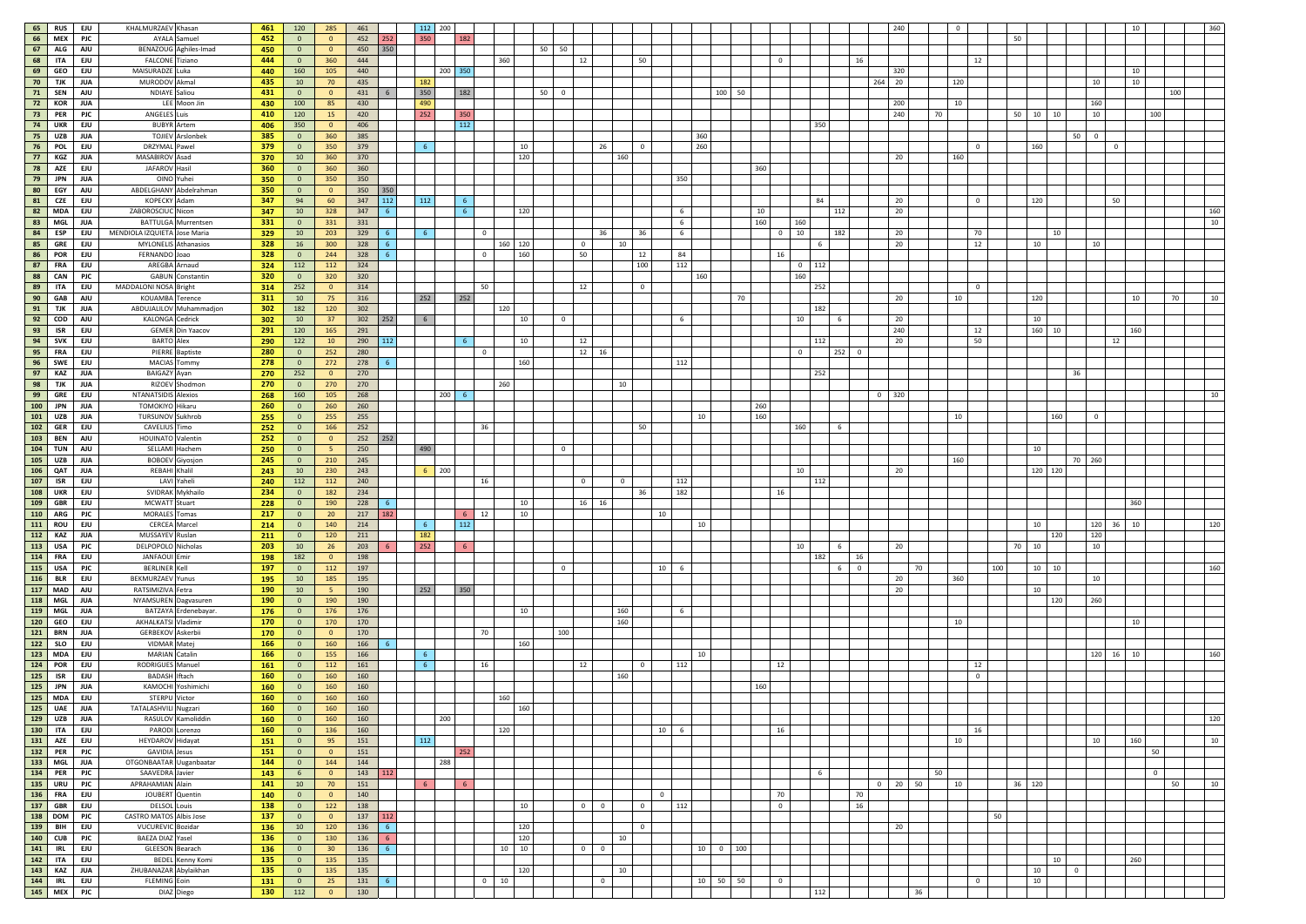| 65         | <b>RUS</b>                      | EJU<br>KHALMURZAEV Khasan                                              | 461        | 120                              | 285                   | 461        |                | 112 200        |                |                      |     |                         |                |                                  |              |          |            |                      |     |                         | 240       |           | $^{\circ}$         |     |             |         |                | 10             |                | 360 |
|------------|---------------------------------|------------------------------------------------------------------------|------------|----------------------------------|-----------------------|------------|----------------|----------------|----------------|----------------------|-----|-------------------------|----------------|----------------------------------|--------------|----------|------------|----------------------|-----|-------------------------|-----------|-----------|--------------------|-----|-------------|---------|----------------|----------------|----------------|-----|
| 66         | <b>MEX</b>                      | PJC<br>AYALA Samuel                                                    | 452        | $\overline{0}$                   | $\overline{0}$        | 452        | 252            | 350            | 182            |                      |     |                         |                |                                  |              |          |            |                      |     |                         |           |           |                    |     | 50          |         |                |                |                |     |
| 67         | <b>ALG</b>                      | BENAZOUG Aghiles-Imad<br><b>AJU</b>                                    | 450        | $\overline{0}$                   | $\overline{0}$        | 450        | 350            |                |                |                      | 50  | 50                      |                |                                  |              |          |            |                      |     |                         |           |           |                    |     |             |         |                |                |                |     |
| 68         | <b>ITA</b>                      | EJU<br>FALCONE Tiziano                                                 | 444        | $\overline{0}$                   | 360                   | 444        |                |                |                | 360                  |     | 12                      |                | 50                               |              |          |            | $\circ$              |     | 16                      |           |           | 12                 |     |             |         |                |                |                |     |
| 69         | GEO                             | EJU<br>MAISURADZE Luka                                                 | 440        | 160                              | 105                   | 440        |                |                | 200 350        |                      |     |                         |                |                                  |              |          |            |                      |     |                         | 320       |           |                    |     |             |         |                | 10             |                |     |
| 70         | TJK                             | <b>JUA</b><br>MURODOV Akmal                                            | 435        | $10\,$                           | 70                    | 435        |                | 182            |                |                      |     |                         |                |                                  |              |          |            |                      |     |                         | 20<br>264 |           | 120                |     |             |         | 10             | 10             |                |     |
| 71         | SEN                             | NDIAYE Saliou<br><b>AJU</b>                                            | 431        | $\overline{0}$                   | $\overline{0}$        | 431        | 6              | 350            | 182            |                      | 50  | $\overline{0}$          |                |                                  |              |          | 100 50     |                      |     |                         |           |           |                    |     |             |         |                |                | 100            |     |
| 72         | KOR                             | <b>JUA</b><br>LEE Moon Jin                                             | 430        | 100                              | 85                    | 430        |                | 490            |                |                      |     |                         |                |                                  |              |          |            |                      |     |                         | 200       |           | 10                 |     |             |         | 160            |                |                |     |
| 73         | PER                             | ANGELES Luis<br>PJC                                                    | 410        | 120                              | 15                    | 420        |                | 252            | 350            |                      |     |                         |                |                                  |              |          |            |                      |     |                         | 240       | 70        |                    |     | 50<br>10 10 |         | 10             |                | 100            |     |
| 74         | <b>UKR</b>                      | <b>BUBYR</b> Artem<br>EJU                                              | 406        | 350                              | $\mathbf{0}$          | 406        |                |                | 112            |                      |     |                         |                |                                  |              |          |            |                      | 350 |                         |           |           |                    |     |             |         |                |                |                |     |
| 75         | <b>UZB</b>                      | <b>JUA</b><br><b>TOJIEV Arslonbek</b>                                  | 385        | $\overline{0}$                   | 360                   | 385        |                |                |                |                      |     |                         |                |                                  |              | 360      |            |                      |     |                         |           |           |                    |     |             | 50      | $\overline{0}$ |                |                |     |
| 76         | POL                             | DRZYMAL Pawel<br>EJU                                                   | 379        | $\overline{0}$                   | 350                   | 379        |                | 6 <sup>1</sup> |                |                      | 10  |                         | 26             | $\mathbf{0}$                     |              | 260      |            |                      |     |                         |           |           | $\Omega$           |     | 160         |         |                | $\overline{0}$ |                |     |
| 77         | KGZ                             | MASABIROV Asad<br><b>JUA</b>                                           | 370        | 10                               | 360                   | 370        |                |                |                |                      | 120 |                         | 160            |                                  |              |          |            |                      |     |                         | 20        |           | 160                |     |             |         |                |                |                |     |
| 78         | AZE                             | JAFAROV Hasil<br>EJU                                                   | 360        | $\overline{0}$                   | 360                   | 360        |                |                |                |                      |     |                         |                |                                  |              |          | 360        |                      |     |                         |           |           |                    |     |             |         |                |                |                |     |
| 79         | <b>JPN</b>                      | <b>JUA</b><br>OINO Yuhei                                               | 350        | $\overline{0}$                   | 350                   | 350        |                |                |                |                      |     |                         |                |                                  | 350          |          |            |                      |     |                         |           |           |                    |     |             |         |                |                |                |     |
| 80         | EGY                             | <b>AJU</b><br>ABDELGHANY Abdelrahman                                   | 350        | $\overline{0}$                   | $\mathbf{0}$          | 350        | 350            |                |                |                      |     |                         |                |                                  |              |          |            |                      |     |                         |           |           |                    |     |             |         |                |                |                |     |
| 81         | CZE                             | EJU<br>KOPECKY Adam                                                    | 347        | 94                               | 60                    | 347        | 112            | 112            | 6              |                      |     |                         |                |                                  |              |          |            |                      | 84  |                         | 20        |           | $\overline{0}$     |     | 120         |         |                | 50             |                |     |
| 82         | <b>MDA</b>                      | ZABOROSCIUC Nicon<br>EJU                                               | 347        | 10                               | 328                   | 347        | 6 <sup>1</sup> |                | 6 <sup>5</sup> |                      | 120 |                         |                |                                  | 6            |          | 10         |                      |     | 112                     | 20        |           |                    |     |             |         |                |                |                | 160 |
| 83         | <b>MGL</b>                      | <b>JUA</b><br><b>BATTULGA</b> Murrentsen                               | 331        | $\overline{0}$                   | 331                   | 331        |                |                |                |                      |     |                         |                |                                  | 6            |          | 160        | 160                  |     |                         |           |           |                    |     |             |         |                |                |                | 10  |
| 84         | ESP                             | MENDIOLA IZQUIETA Jose Maria<br>EJU                                    | 329        | 10                               | 203                   | 329        |                | -6             |                | $^{\circ}$           |     |                         | 36             | 36                               | 6            |          |            | 10<br>$\mathbf 0$    |     | 182                     | 20        |           | 70                 |     |             | 10      |                |                |                |     |
| 85         | GRE                             | MYLONELIS Athanasios<br>EJU                                            | 328        | $16\,$                           | 300                   | 328        | 6.             |                |                | 160                  | 120 | $\mathbf{0}$            | 10             |                                  |              |          |            |                      | 6   |                         |           | 20        | 12                 |     | 10          |         | 10             |                |                |     |
| 86         | POR                             | EJU<br>FERNANDO Joao                                                   | 328        | $\overline{0}$                   | 244                   | 328        |                |                |                | $\circ$              | 160 | 50                      |                | 12                               | 84           |          |            | 16                   |     |                         |           |           |                    |     |             |         |                |                |                |     |
| 87         | <b>FRA</b>                      | AREGBA Arnaud<br>EJU                                                   | 324        | 112                              | 112                   | 324        |                |                |                |                      |     |                         |                | 100                              | 112          |          |            | $^{\circ}$           | 112 |                         |           |           |                    |     |             |         |                |                |                |     |
| 88         | CAN                             | PJC<br><b>GABUN</b> Constantin                                         | 320        | $\overline{0}$                   | 320                   | 320        |                |                |                | 50                   |     |                         |                |                                  |              | 160      |            | 160                  |     |                         |           |           |                    |     |             |         |                |                |                |     |
| 89<br>90   | <b>ITA</b><br>GAB               | EJU<br>MADDALONI NOSA Bright<br><b>AJU</b><br>KOUAMBA Terence          | 314<br>311 | 252<br>10                        | $\overline{0}$        | 314<br>316 |                | 252            | 252            |                      |     | 12                      |                | $\mathbf{0}$                     |              |          |            |                      | 252 |                         | 20        |           | $\mathbf{0}$<br>10 |     | 120         |         |                | 10             | 70             | 10  |
| 91         | TJK                             | <b>JUA</b><br>ABDUJALILOV Muhammadjon                                  | 302        | 182                              | 75<br>120             | 302        |                |                |                | 120                  |     |                         |                |                                  |              |          | 70         |                      | 182 |                         |           |           |                    |     |             |         |                |                |                |     |
| 92         | COD                             | <b>KALONGA</b> Cedrick<br>AJU                                          | 302        | 10                               | 37                    | 302        | 252            | 6              |                |                      | 10  | $\overline{\mathbf{0}}$ |                |                                  | 6            |          |            | 10                   |     |                         | 20        |           |                    |     | 10          |         |                |                |                |     |
| 93         | <b>ISR</b>                      | EJU<br><b>GEMER</b> Din Yaacov                                         | 291        | 120                              | 165                   | 291        |                |                |                |                      |     |                         |                |                                  |              |          |            |                      |     |                         | 240       |           | 12                 |     |             | 160 10  |                | 160            |                |     |
| 94         | <b>SVK</b>                      | EJU<br><b>BARTO</b> Alex                                               | 290        | 122                              | 10                    | 290        | 112            |                | 6 <sup>5</sup> |                      | 10  | 12                      |                |                                  |              |          |            |                      | 112 |                         | 20        |           | 50                 |     |             |         |                | 12             |                |     |
| 95         | <b>FRA</b>                      | PIERRE Baptiste<br>EJU                                                 | 280        | $\overline{0}$                   | 252                   | 280        |                |                |                | $\mathbf{0}$         |     |                         | $12 \quad 16$  |                                  |              |          |            | $\overline{0}$       |     | 252 0                   |           |           |                    |     |             |         |                |                |                |     |
| 96         | SWE                             | MACIAS Tommy<br><b>EJU</b>                                             | 278        | $\overline{0}$                   | 272                   | 278        |                |                |                |                      | 160 |                         |                |                                  | 112          |          |            |                      |     |                         |           |           |                    |     |             |         |                |                |                |     |
| 97         | KAZ                             | BAIGAZY Ayan<br><b>JUA</b>                                             | 270        | 252                              | $\overline{0}$        | 270        |                |                |                |                      |     |                         |                |                                  |              |          |            |                      | 252 |                         |           |           |                    |     |             | 36      |                |                |                |     |
| 98         | TJK                             | <b>JUA</b><br>RIZOEV Shodmon                                           | 270        | $\mathbf 0$                      | 270                   | 270        |                |                |                | 260                  |     |                         | 10             |                                  |              |          |            |                      |     |                         |           |           |                    |     |             |         |                |                |                |     |
| 99         | GRE                             | NTANATSIDIS Alexios<br>EJU                                             | 268        | 160                              | 105                   | 268        |                | 200            | 6              |                      |     |                         |                |                                  |              |          |            |                      |     |                         | $0$ 320   |           |                    |     |             |         |                |                |                | 10  |
| 100<br>101 | <b>JPN</b><br><b>UZB</b>        | TOMOKIYO Hikaru<br><b>JUA</b><br><b>JUA</b><br><b>TURSUNOV</b> Sukhrob | 260        | $\overline{0}$<br>$\overline{0}$ | 260<br>255            | 260<br>255 |                |                |                |                      |     |                         |                |                                  |              | 10       | 260<br>160 |                      |     |                         |           |           |                    |     |             | 160     | $\circ$        |                |                |     |
| 102        | GER                             | <b>EJU</b><br>CAVELIUS Timo                                            | 255<br>252 | $\overline{0}$                   | 166                   | 252        |                |                |                | 36                   |     |                         |                | 50                               |              |          |            | 160                  |     | 6                       |           |           | 10                 |     |             |         |                |                |                |     |
| 103        | <b>BEN</b>                      | <b>AJU</b><br>HOUINATO Valentin                                        | 252        | $\overline{0}$                   | $\overline{0}$        | 252        | 252            |                |                |                      |     |                         |                |                                  |              |          |            |                      |     |                         |           |           |                    |     |             |         |                |                |                |     |
| 104        | <b>TUN</b>                      | SELLAMI Hachem<br><b>AJU</b>                                           | 250        | $\mathbf 0$                      | 5 <sub>5</sub>        | 250        |                | 490            |                |                      |     | $\Omega$                |                |                                  |              |          |            |                      |     |                         |           |           |                    |     | $10\,$      |         |                |                |                |     |
| 105        | <b>UZB</b>                      | <b>JUA</b><br><b>BOBOEV</b> Givosjon                                   | 245        | $\overline{0}$                   | 210                   | 245        |                |                |                |                      |     |                         |                |                                  |              |          |            |                      |     |                         |           |           | 160                |     |             |         | 70 260         |                |                |     |
| 106        | QAT                             | REBAHI Khalil<br><b>JUA</b>                                            | 243        | 10                               | 230                   | 243        |                | $6 \mid 200$   |                |                      |     |                         |                |                                  |              |          |            | 10                   |     |                         | 20        |           |                    |     |             | 120 120 |                |                |                |     |
| 107        | <b>ISR</b>                      | EJU<br>LAVI Yaheli                                                     | 240        | 112                              | 112                   | 240        |                |                |                | 16                   |     | $\mathbf{0}$            | $\overline{0}$ |                                  | 112          |          |            |                      | 112 |                         |           |           |                    |     |             |         |                |                |                |     |
| 108        | <b>UKR</b>                      | EJU<br>SVIDRAK Mykhailo                                                | 234        | $\overline{0}$                   | 182                   | 234        |                |                |                |                      |     |                         |                | 36                               | 182          |          |            | 16                   |     |                         |           |           |                    |     |             |         |                |                |                |     |
| 109        | GBR                             | MCWATT Stuart<br>EJU                                                   | 228        | $\overline{0}$                   | 190                   | 228        |                |                |                |                      | 10  | 16                      | 16             |                                  |              |          |            |                      |     |                         |           |           |                    |     |             |         |                | 360            |                |     |
| 110        | ARG                             | MORALES Tomas<br>PJC                                                   | 217        | $\overline{0}$                   | 20                    | 217        | 182            |                | 6 <sup>5</sup> | 12                   | 10  |                         |                | 10                               |              |          |            |                      |     |                         |           |           |                    |     |             |         |                |                |                |     |
| 111        | ROU                             | EJU<br><b>CERCEA</b> Marcel                                            | 214        | $\overline{0}$                   | 140                   | 214        |                | 6 <sup>6</sup> | 112            |                      |     |                         |                |                                  |              | 10       |            |                      |     |                         |           |           |                    |     | 10          |         |                | 120 36<br>10   |                | 120 |
| 112        | KAZ                             | MUSSAYEV Ruslan<br><b>JUA</b>                                          | 211        | $\overline{0}$                   | 120                   | 211        |                | 182            |                |                      |     |                         |                |                                  |              |          |            |                      |     |                         |           |           |                    |     |             | 120     | 120            |                |                |     |
| 113<br>114 | <b>USA</b><br><b>FRA</b>        | DELPOPOLO Nicholas<br>PJC<br>JANFAOUI Emir                             | 203        | 10                               | 26                    | 203<br>198 |                | 252            | 6              |                      |     |                         |                |                                  |              |          |            | 10                   |     | 6                       | 20        |           |                    |     | 70<br>10    |         | 10             |                |                |     |
| 115        | <b>USA</b>                      | EJU<br><b>BERLINER</b> Kell<br>PJC                                     | 198<br>197 | 182<br>$\overline{0}$            | $\overline{0}$<br>112 | 197        |                |                |                |                      |     | $\mathbf{0}$            |                |                                  | $10 \quad 6$ |          |            |                      | 182 | 16<br>$\mathbf{0}$<br>6 |           | 70        |                    | 100 |             | 10 10   |                |                |                | 160 |
| 116        | <b>BLR</b>                      | <b>EJU</b><br><b>BEKMURZAEV Yunus</b>                                  | 195        | 10                               | 185                   | 195        |                |                |                |                      |     |                         |                |                                  |              |          |            |                      |     |                         | 20        |           | 360                |     |             |         | 10             |                |                |     |
| 117        | <b>MAD</b>                      | RATSIMIZIVA Fetra<br>AJU                                               | 190        | 10                               | 5 <sub>5</sub>        | 190        |                | 252            | 350            |                      |     |                         |                |                                  |              |          |            |                      |     |                         | 20        |           |                    |     | 10          |         |                |                |                |     |
| 118        | <b>MGL</b>                      | NYAMSUREN Dagvasuren<br><b>JUA</b>                                     | 190        | $\overline{0}$                   | 190                   | 190        |                |                |                |                      |     |                         |                |                                  |              |          |            |                      |     |                         |           |           |                    |     |             | 120     | 260            |                |                |     |
| 119        | <b>MGL</b>                      | <b>JUA</b><br>BATZAYA Erdenebayar                                      | 176        | $\overline{0}$                   | 176                   | 176        |                |                |                |                      | 10  |                         | 160            |                                  | $6^{\circ}$  |          |            |                      |     |                         |           |           |                    |     |             |         |                |                |                |     |
| 120        | GEO                             | EJU<br><b>AKHALKATSI Vladimir</b>                                      | 170        | $\overline{0}$                   | 170                   | 170        |                |                |                |                      |     |                         | 160            |                                  |              |          |            |                      |     |                         |           |           | 10                 |     |             |         |                | 10             |                |     |
| 121        | <b>BRN</b>                      | <b>GERBEKOV</b> Askerbii<br><b>JUA</b>                                 | 170        | $\overline{0}$                   | $\overline{0}$        | 170        |                |                |                | 70                   |     | 100                     |                |                                  |              |          |            |                      |     |                         |           |           |                    |     |             |         |                |                |                |     |
| 122        | <b>SLO</b>                      | EJU<br>VIDMAR Matej                                                    | 166        | $\overline{0}$                   | 160                   | 166        |                |                |                |                      | 160 |                         |                |                                  |              |          |            |                      |     |                         |           |           |                    |     |             |         |                |                |                |     |
| 123        | <b>MDA</b>                      | MARIAN Catalin<br>EJU                                                  | 166        | $\circ$                          | 155                   | 166        |                | $6^{\circ}$    |                |                      |     |                         |                |                                  |              | 10       |            |                      |     |                         |           |           |                    |     |             |         |                | 120 16<br>10   |                | 160 |
| 124        | POR                             | RODRIGUES Manuel<br>EJU                                                | 161        | $\overline{0}$                   | 112                   | 161        |                | 6 <sup>1</sup> |                | 16                   |     | 12                      |                | $\mathbf 0$                      | 112          |          |            | 12                   |     |                         |           |           | 12                 |     |             |         |                |                |                |     |
| 125        | <b>ISR</b>                      | EJU<br><b>BADASH</b> Iftach<br>KAMOCHI Yoshimich                       | 160        | $\overline{0}$                   | 160                   | 160<br>160 |                |                |                |                      |     |                         | 160            |                                  |              |          | 160        |                      |     |                         |           |           | $\mathbf{0}$       |     |             |         |                |                |                |     |
| 125<br>125 | <b>JPN</b><br><b>MDA</b>        | <b>JUA</b><br>STERPU Victor<br>EJU                                     | 160<br>160 | $\circ$<br>$\overline{0}$        | 160<br>160            | 160        |                |                |                | 160                  |     |                         |                |                                  |              |          |            |                      |     |                         |           |           |                    |     |             |         |                |                |                |     |
| 125        | <b>UAE</b>                      | TATALASHVILI Nugzari<br><b>JUA</b>                                     | 160        | $\overline{0}$                   | 160                   | 160        |                |                |                |                      | 160 |                         |                |                                  |              |          |            |                      |     |                         |           |           |                    |     |             |         |                |                |                |     |
|            | 129 UZB JUA                     | RASULOV Kamoliddin                                                     | 160        | $\overline{\mathbf{0}}$          | 160                   | 160        |                | 200            |                |                      |     |                         |                |                                  |              |          |            |                      |     |                         |           |           |                    |     |             |         |                |                |                | 120 |
| 130        | ITA EJU                         | PARODI Lorenzo                                                         | 160        | $\overline{0}$                   | 136                   | 160        |                |                |                | 120                  |     |                         |                |                                  | $10 \mid 6$  |          |            | 16                   |     |                         |           |           | 16                 |     |             |         |                |                |                |     |
| 131        | AZE<br>EJU                      | <b>HEYDAROV</b> Hidayat                                                | 151        | $\overline{\mathbf{0}}$          | 95                    | 151        |                | 112            |                |                      |     |                         |                |                                  |              |          |            |                      |     |                         |           |           | 10                 |     |             |         | 10             | 160            |                | 10  |
| 132        | PER                             | <b>GAVIDIA</b> Jesus<br><b>PJC</b>                                     | 151        | $\overline{0}$                   | $\bullet$             | 151        |                |                | 252            |                      |     |                         |                |                                  |              |          |            |                      |     |                         |           |           |                    |     |             |         |                |                | 50             |     |
| 133        | <b>MGL</b><br><b>JUA</b>        | OTGONBAATAR Uuganbaatar                                                | 144        | $\overline{0}$                   | 144                   | 144        |                | 288            |                |                      |     |                         |                |                                  |              |          |            |                      |     |                         |           |           |                    |     |             |         |                |                |                |     |
| 134        | PER                             | SAAVEDRA Javier<br>PJC                                                 | 143        | $6\overline{6}$                  | $\overline{0}$        | 143        | 112            |                |                |                      |     |                         |                |                                  |              |          |            |                      | 6   |                         |           | 50        |                    |     |             |         |                |                | $\overline{0}$ |     |
| 135<br>136 | <b>URU</b>                      | APRAHAMIAN Alain<br>PJC<br>EJU                                         | 141        | 10                               | 70                    | 151        |                | 6 <sup>1</sup> | 6              |                      |     |                         |                |                                  |              |          |            |                      |     |                         |           | $0$ 20 50 | 10                 |     | 36 120      |         |                |                | 50             | 10  |
| 137        | <b>FRA</b><br><b>GBR</b><br>EJU | JOUBERT Quentin<br><b>DELSOL</b> Louis                                 | 140<br>138 | $\overline{0}$<br>$\overline{0}$ | $\overline{0}$<br>122 | 140<br>138 |                |                |                |                      | 10  | $\overline{0}$          | $\circ$        | $\overline{0}$<br>$\overline{0}$ | 112          |          |            | 70<br>$\overline{0}$ |     | 70<br>16                |           |           |                    |     |             |         |                |                |                |     |
| 138        | <b>DOM</b>                      | PJC<br>CASTRO MATOS Albis Jose                                         | 137        | $\overline{0}$                   | $\overline{0}$        | 137        | 112            |                |                |                      |     |                         |                |                                  |              |          |            |                      |     |                         |           |           |                    | 50  |             |         |                |                |                |     |
| 139        | BIH                             | VUCUREVIC Bozidar<br>EJU                                               | 136        | 10                               | 120                   | 136        | 6 <sup>1</sup> |                |                |                      | 120 |                         |                | $\circ$                          |              |          |            |                      |     |                         | 20        |           |                    |     |             |         |                |                |                |     |
| 140        | <b>CUB</b>                      | BAEZA DIAZ Yasel<br><b>PJC</b>                                         | 136        | $\overline{\mathbf{0}}$          | 130                   | 136        | 6              |                |                |                      | 120 |                         | 10             |                                  |              |          |            |                      |     |                         |           |           |                    |     |             |         |                |                |                |     |
| 141        | <b>IRL</b>                      | EJU<br><b>GLEESON</b> Bearach                                          | 136        | $\overline{0}$                   | 30 <sup>°</sup>       | 136        | $6-1$          |                |                | 10                   | 10  | $\overline{0}$          | $\circ$        |                                  |              | 10 0 100 |            |                      |     |                         |           |           |                    |     |             |         |                |                |                |     |
| 142        | <b>ITA</b><br>EJU               | <b>BEDEL</b> Kenny Komi                                                | 135        | $\overline{0}$                   | 135                   | 135        |                |                |                |                      |     |                         |                |                                  |              |          |            |                      |     |                         |           |           |                    |     |             | 10      |                | 260            |                |     |
| 143        | <b>KAZ</b><br><b>JUA</b>        | ZHUBANAZAR Abylaikhan                                                  | 135        | $\overline{0}$                   | 135                   | 135        |                |                |                |                      | 120 |                         | 10             |                                  |              |          |            |                      |     |                         |           |           |                    |     | $10\,$      | $\circ$ |                |                |                |     |
| 144        | <b>IRL</b><br>EJU               | FLEMING Eoin                                                           | 131        | $\overline{0}$                   | 25                    | 131        | 6              |                |                | $\overline{0}$<br>10 |     |                         | $\overline{0}$ |                                  |              | 10 50 50 |            | $\overline{0}$       |     |                         |           |           | $\circ$            |     | 10          |         |                |                |                |     |
|            | 145 MEX PJC                     | DIAZ Diego                                                             | 130        | 112                              | $\overline{0}$        | 130        |                |                |                |                      |     |                         |                |                                  |              |          |            |                      | 112 |                         |           | 36        |                    |     |             |         |                |                |                |     |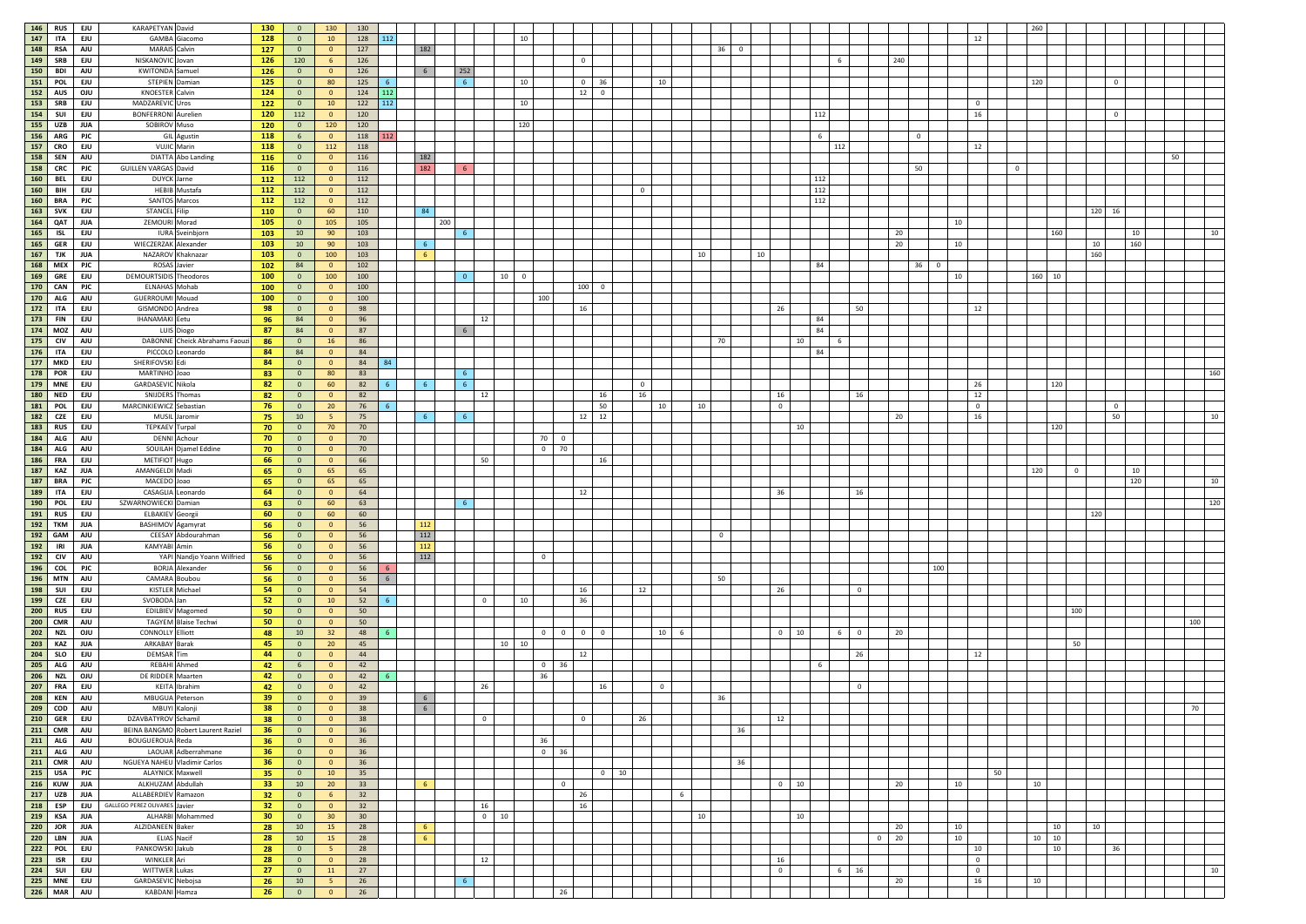| 146 | <b>RUS</b>         | EJU                               | KARAPETYAN David                    |                                    | 130             | $\overline{0}$       | 130                              | 130             |                |                 |                 |                |                |                     |                |         |                |              |                         |                |     |                |              |             |      |                         |         | 260    |        |         |           |     |     |        |
|-----|--------------------|-----------------------------------|-------------------------------------|------------------------------------|-----------------|----------------------|----------------------------------|-----------------|----------------|-----------------|-----------------|----------------|----------------|---------------------|----------------|---------|----------------|--------------|-------------------------|----------------|-----|----------------|--------------|-------------|------|-------------------------|---------|--------|--------|---------|-----------|-----|-----|--------|
|     |                    |                                   |                                     |                                    |                 |                      |                                  |                 |                |                 |                 |                |                |                     |                |         |                |              |                         |                |     |                |              |             |      |                         |         |        |        |         |           |     |     |        |
| 147 | <b>ITA</b>         | EJU                               |                                     | GAMBA Giacomo                      | 128             | $\overline{0}$       | 10                               | 128             | 112            |                 |                 |                | 10             |                     |                |         |                |              |                         |                |     |                |              |             |      | 12                      |         |        |        |         |           |     |     |        |
| 148 | <b>RSA</b>         | <b>AJU</b>                        | MARAIS Calvin                       |                                    | 127             | $\overline{0}$       | $\overline{\mathbf{0}}$          | 127             |                | 182             |                 |                |                |                     |                |         |                | 36           | $\overline{\mathbf{0}}$ |                |     |                |              |             |      |                         |         |        |        |         |           |     |     |        |
| 149 | SRB                | EJU                               | NISKANOVIC Jovan                    |                                    | 126             | 120                  | $6\overline{6}$                  | 126             |                |                 |                 |                |                | $\circ$             |                |         |                |              |                         |                |     | 6              |              | 240         |      |                         |         |        |        |         |           |     |     |        |
| 150 | <b>BDI</b>         | <b>AJU</b>                        | <b>KWITONDA</b> Samuel              |                                    | 126             | $\overline{0}$       | $\overline{0}$                   | 126             |                | 6               | 252             |                |                |                     |                |         |                |              |                         |                |     |                |              |             |      |                         |         |        |        |         |           |     |     |        |
| 151 | POL                | EJU                               | STEPIEN Damian                      |                                    | 125             | $\overline{0}$       | 80                               | 125             | 6 <sup>1</sup> |                 | 6               |                | 10             | $\circ$             | 36             |         | 10             |              |                         |                |     |                |              |             |      |                         |         | 120    |        |         | $\circ$   |     |     |        |
| 152 | <b>AUS</b>         | OJU                               | KNOESTER Calvin                     |                                    | 124             | $\overline{0}$       | $\overline{0}$                   | 124             | 112            |                 |                 |                |                | 12                  | $\overline{0}$ |         |                |              |                         |                |     |                |              |             |      |                         |         |        |        |         |           |     |     |        |
|     |                    |                                   |                                     |                                    |                 |                      |                                  |                 |                |                 |                 |                |                |                     |                |         |                |              |                         |                |     |                |              |             |      |                         |         |        |        |         |           |     |     |        |
| 153 | <b>SRB</b>         | EJU                               | MADZAREVIC Uros                     |                                    | 122             | $\overline{0}$       | 10                               | 122             | 112            |                 |                 |                | 10             |                     |                |         |                |              |                         |                |     |                |              |             |      | $\mathbf{0}$            |         |        |        |         |           |     |     |        |
| 154 | SUI                | EJU                               | <b>BONFERRONI</b> Aurelien          |                                    | 120             | 112                  | $\bullet$                        | 120             |                |                 |                 |                |                |                     |                |         |                |              |                         |                | 112 |                |              |             |      | 16                      |         |        |        |         | $\circ$   |     |     |        |
| 155 | <b>UZB</b>         | <b>JUA</b>                        | SOBIROV Muso                        |                                    | 120             | $\overline{0}$       | 120                              | 120             |                |                 |                 |                | 120            |                     |                |         |                |              |                         |                |     |                |              |             |      |                         |         |        |        |         |           |     |     |        |
| 156 | <b>ARG</b>         | PJC                               |                                     | <b>GIL Agustin</b>                 | 118             | 6 <sup>5</sup>       | $\overline{0}$                   | 118             | 112            |                 |                 |                |                |                     |                |         |                |              |                         |                | 6   |                |              | $\mathbf 0$ |      |                         |         |        |        |         |           |     |     |        |
| 157 | CRO                | EJU                               |                                     | VUJIC Marin                        | 118             | $\overline{0}$       | 112                              | 118             |                |                 |                 |                |                |                     |                |         |                |              |                         |                |     | 112            |              |             |      | 12                      |         |        |        |         |           |     |     |        |
| 158 | <b>SEN</b>         | <b>AJU</b>                        |                                     | <b>DIATTA Abo Landing</b>          | 116             | $\overline{0}$       | $\overline{0}$                   | 116             |                | 182             |                 |                |                |                     |                |         |                |              |                         |                |     |                |              |             |      |                         |         |        |        |         |           |     | 50  |        |
|     |                    |                                   |                                     |                                    |                 |                      |                                  |                 |                |                 |                 |                |                |                     |                |         |                |              |                         |                |     |                |              |             |      |                         |         |        |        |         |           |     |     |        |
| 158 | <b>CRC</b>         | PJC                               | <b>GUILLEN VARGAS David</b>         |                                    | 116             | $\overline{0}$       | $\overline{0}$                   | 116             |                | 182             | 6               |                |                |                     |                |         |                |              |                         |                |     |                |              | 50          |      |                         | $\circ$ |        |        |         |           |     |     |        |
| 160 | <b>BEL</b>         | EJU                               | DUYCK Jarne                         |                                    | 112             | 112                  | $\bullet$                        | 112             |                |                 |                 |                |                |                     |                |         |                |              |                         |                | 112 |                |              |             |      |                         |         |        |        |         |           |     |     |        |
| 160 | <b>BIH</b>         | EJU                               |                                     | HEBIB Mustafa                      | 112             | 112                  | $\overline{0}$                   | 112             |                |                 |                 |                |                |                     |                | $\circ$ |                |              |                         |                | 112 |                |              |             |      |                         |         |        |        |         |           |     |     |        |
| 160 | <b>BRA</b>         | PJC                               | SANTOS Marcos                       |                                    | 112             | 112                  | $\overline{0}$                   | 112             |                |                 |                 |                |                |                     |                |         |                |              |                         |                | 112 |                |              |             |      |                         |         |        |        |         |           |     |     |        |
| 163 | <b>SVK</b>         | EJU                               | STANCEL Filip                       |                                    | 110             | $\overline{0}$       | 60                               | 110             |                | 84              |                 |                |                |                     |                |         |                |              |                         |                |     |                |              |             |      |                         |         |        |        |         | 120<br>16 |     |     |        |
| 164 | QAT                | <b>JUA</b>                        | ZEMOURI Morad                       |                                    | 105             | $\overline{0}$       | 105                              | 105             |                |                 | 200             |                |                |                     |                |         |                |              |                         |                |     |                |              |             |      | 10                      |         |        |        |         |           |     |     |        |
|     |                    |                                   |                                     |                                    |                 |                      |                                  |                 |                |                 |                 |                |                |                     |                |         |                |              |                         |                |     |                |              |             |      |                         |         |        |        |         |           |     |     |        |
| 165 | ISL                | EJU                               |                                     | IURA Sveinbjorn                    | 103             | 10                   | 90                               | 103             |                |                 | 6               |                |                |                     |                |         |                |              |                         |                |     |                |              | 20          |      |                         |         |        | 160    |         |           | 10  |     | $10\,$ |
| 165 | GER                | EJU                               | WIECZERZAK Alexander                |                                    | 103             | 10                   | 90                               | 103             |                | 6               |                 |                |                |                     |                |         |                |              |                         |                |     |                |              | 20          |      | 10                      |         |        |        |         | 10        | 160 |     |        |
| 167 | <b>TJK</b>         | <b>JUA</b>                        |                                     | NAZAROV Khaknazar                  | 103             | $\overline{0}$       | 100                              | 103             |                | $6\phantom{.}$  |                 |                |                |                     |                |         |                | 10           | 10                      |                |     |                |              |             |      |                         |         |        |        |         | 160       |     |     |        |
| 168 | <b>MEX</b>         | PJC                               | ROSAS Javier                        |                                    | 102             | 84                   | $\circ$                          | 102             |                |                 |                 |                |                |                     |                |         |                |              |                         |                | 84  |                |              |             | 3600 |                         |         |        |        |         |           |     |     |        |
| 169 | GRE                | EJU                               | DEMOURTSIDIS Theodoros              |                                    | 100             | $\overline{0}$       | 100                              | 100             |                |                 | $\overline{0}$  | 10             | $\overline{0}$ |                     |                |         |                |              |                         |                |     |                |              |             |      | 10                      |         |        | 160 10 |         |           |     |     |        |
| 170 | CAN                | PJC                               | <b>ELNAHAS Mohab</b>                |                                    | 100             | $\overline{0}$       | $\overline{0}$                   | 100             |                |                 |                 |                |                | 100                 | $\overline{0}$ |         |                |              |                         |                |     |                |              |             |      |                         |         |        |        |         |           |     |     |        |
| 170 | <b>ALG</b>         | <b>AJU</b>                        | <b>GUERROUMI</b> Mouad              |                                    | 100             | $\overline{0}$       | $\circ$                          | 100             |                |                 |                 |                |                | 100                 |                |         |                |              |                         |                |     |                |              |             |      |                         |         |        |        |         |           |     |     |        |
|     |                    |                                   |                                     |                                    |                 |                      |                                  |                 |                |                 |                 |                |                |                     |                |         |                |              |                         |                |     |                |              |             |      |                         |         |        |        |         |           |     |     |        |
| 172 | <b>ITA</b>         | <b>EJU</b>                        | GISMONDO Andrea                     |                                    | 98              | $\overline{0}$       | $\bullet$                        | 98              |                |                 |                 |                |                | 16                  |                |         |                |              |                         | 26             |     | 50             |              |             |      | 12                      |         |        |        |         |           |     |     |        |
| 173 | <b>FIN</b>         | EJU                               | <b>IHANAMAKI</b> Eetu               |                                    | 96              | 84                   | $\overline{0}$                   | 96              |                |                 |                 | 12             |                |                     |                |         |                |              |                         |                | 84  |                |              |             |      |                         |         |        |        |         |           |     |     |        |
|     | 174 MOZ            | AJU                               |                                     | LUIS Diogo                         | 87              | 84                   | $\overline{0}$                   | 87              |                |                 | $6\overline{6}$ |                |                |                     |                |         |                |              |                         |                | 84  |                |              |             |      |                         |         |        |        |         |           |     |     |        |
| 175 | <b>CIV</b>         | <b>AJU</b>                        |                                     | DABONNE Cheick Abrahams Faouzi     | 86              | $\mathbf{0}$         | 16                               | 86              |                |                 |                 |                |                |                     |                |         |                | 70           |                         |                | 10  | 6              |              |             |      |                         |         |        |        |         |           |     |     |        |
| 176 | <b>ITA</b>         | EJU                               |                                     | PICCOLO Leonardo                   | 84              | 84                   | $\overline{0}$                   | 84              |                |                 |                 |                |                |                     |                |         |                |              |                         |                | 84  |                |              |             |      |                         |         |        |        |         |           |     |     |        |
| 177 | <b>MKD</b>         | EJU                               | SHERIFOVSKI Edi                     |                                    | 84              | $\overline{0}$       | $\circ$                          | 84              | 84             |                 |                 |                |                |                     |                |         |                |              |                         |                |     |                |              |             |      |                         |         |        |        |         |           |     |     |        |
| 178 | <b>POR</b>         | EJU                               | MARTINHO Joao                       |                                    | 83              | $\overline{0}$       | 80                               | 83              |                |                 | 6               |                |                |                     |                |         |                |              |                         |                |     |                |              |             |      |                         |         |        |        |         |           |     |     | 160    |
|     |                    |                                   |                                     |                                    |                 |                      |                                  |                 |                |                 |                 |                |                |                     |                |         |                |              |                         |                |     |                |              |             |      |                         |         |        |        |         |           |     |     |        |
|     | 179 MNE            | EJU                               | GARDASEVIC Nikola                   |                                    | 82              | $\overline{0}$       | 60                               | 82              | 6              | 6               | 6 <sup>1</sup>  |                |                |                     |                | $\circ$ |                |              |                         |                |     |                |              |             |      | 26                      |         |        | 120    |         |           |     |     |        |
| 180 | <b>NED</b>         | EJU                               | SNIJDERS Thomas                     |                                    | 82              | $\overline{0}$       | $\overline{0}$                   | 82              |                |                 |                 | 12             |                |                     | 16             | 16      |                |              |                         | 16             |     | 16             |              |             |      | 12                      |         |        |        |         |           |     |     |        |
| 181 | POL                | EJU                               | MARCINKIEWICZ Sebastian             |                                    | 76              | $\mathbf{0}$         | 20                               | 76              |                |                 |                 |                |                |                     | 50             |         | 10             | 10           |                         | $\circ$        |     |                |              |             |      | $\mathbf 0$             |         |        |        |         | $\circ$   |     |     |        |
| 182 | CZE                | EJU                               |                                     | MUSIL Jaromir                      | 75              | 10                   | 5 <sub>5</sub>                   | 75              |                | 6               | 6               |                |                | 12                  | 12             |         |                |              |                         |                |     |                |              | 20          |      | 16                      |         |        |        |         | 50        |     |     | 10     |
| 183 | <b>RUS</b>         | EJU                               | <b>TEPKAEV</b> Turpal               |                                    | 70              | $\overline{0}$       | 70                               | 70              |                |                 |                 |                |                |                     |                |         |                |              |                         |                | 10  |                |              |             |      |                         |         |        | 120    |         |           |     |     |        |
| 184 | <b>ALG</b>         | <b>AJU</b>                        |                                     | DENNI Achour                       | 70              | $\overline{0}$       | $\overline{0}$                   | 70              |                |                 |                 |                |                | 70 0                |                |         |                |              |                         |                |     |                |              |             |      |                         |         |        |        |         |           |     |     |        |
| 184 | <b>ALG</b>         |                                   |                                     | SOUILAH Djamel Eddine              |                 |                      |                                  |                 |                |                 |                 |                |                | $0$ 70              |                |         |                |              |                         |                |     |                |              |             |      |                         |         |        |        |         |           |     |     |        |
|     |                    | <b>AJU</b>                        |                                     |                                    | 70              | $\overline{0}$       | $\overline{0}$                   | 70              |                |                 |                 |                |                |                     |                |         |                |              |                         |                |     |                |              |             |      |                         |         |        |        |         |           |     |     |        |
| 186 | <b>FRA</b>         | EJU                               | METIFIOT Hugo                       |                                    | 66              | $\overline{0}$       | $\overline{0}$                   | 66              |                |                 |                 | 50             |                |                     | 16             |         |                |              |                         |                |     |                |              |             |      |                         |         |        |        |         |           |     |     |        |
|     |                    | <b>JUA</b>                        | AMANGELDI Madi                      |                                    | 65              | $\overline{0}$       | 65                               | 65              |                |                 |                 |                |                |                     |                |         |                |              |                         |                |     |                |              |             |      |                         |         | 120    |        | $\circ$ |           | 10  |     |        |
| 187 | <b>KAZ</b>         |                                   |                                     |                                    |                 |                      |                                  |                 |                |                 |                 |                |                |                     |                |         |                |              |                         |                |     |                |              |             |      |                         |         |        |        |         |           |     |     |        |
| 187 | <b>BRA</b>         | PJC                               | MACEDO Joao                         |                                    | 65              | $\bullet$            | 65                               | 65              |                |                 |                 |                |                |                     |                |         |                |              |                         |                |     |                |              |             |      |                         |         |        |        |         |           | 120 |     | 10     |
| 189 | <b>ITA</b>         | EJU                               | CASAGLIA Leonardo                   |                                    | 64              | $\overline{0}$       | $\overline{0}$                   | 64              |                |                 |                 |                |                | 12                  |                |         |                |              |                         | 36             |     | 16             |              |             |      |                         |         |        |        |         |           |     |     |        |
| 190 | POL                | EJU                               | SZWARNOWIECKI Damian                |                                    | 63              | $\overline{0}$       | 60                               | 63              |                |                 | 6 <sup>1</sup>  |                |                |                     |                |         |                |              |                         |                |     |                |              |             |      |                         |         |        |        |         |           |     |     | 120    |
| 191 | <b>RUS</b>         | EJU                               | <b>ELBAKIEV</b> Georgii             |                                    | 60              | $\overline{0}$       | 60                               | 60              |                |                 |                 |                |                |                     |                |         |                |              |                         |                |     |                |              |             |      |                         |         |        |        |         | 120       |     |     |        |
| 192 | <b>TKM</b>         | <b>JUA</b>                        |                                     |                                    | 56              | $\overline{0}$       | $\overline{0}$                   | 56              |                | 112             |                 |                |                |                     |                |         |                |              |                         |                |     |                |              |             |      |                         |         |        |        |         |           |     |     |        |
|     |                    |                                   | <b>BASHIMOV</b> Agamyrat            |                                    |                 |                      |                                  |                 |                |                 |                 |                |                |                     |                |         |                | $\mathbf{0}$ |                         |                |     |                |              |             |      |                         |         |        |        |         |           |     |     |        |
|     | 192 GAM            | <b>AJU</b>                        |                                     | CEESAY Abdourahman                 | 56              | $\overline{0}$       | $\circ$                          | 56              |                | 112             |                 |                |                |                     |                |         |                |              |                         |                |     |                |              |             |      |                         |         |        |        |         |           |     |     |        |
| 192 | IRI                | <b>JUA</b>                        | KAMYABI Amin                        |                                    | 56              | $\overline{0}$       | $\overline{0}$                   | 56              |                | 112             |                 |                |                |                     |                |         |                |              |                         |                |     |                |              |             |      |                         |         |        |        |         |           |     |     |        |
| 192 | <b>CIV</b>         | <b>AJU</b>                        |                                     | YAPI Nandjo Yoann Wilfried         | 56              | $\overline{0}$       | $\overline{0}$                   | 56              |                | 112             |                 |                |                | $\circ$             |                |         |                |              |                         |                |     |                |              |             |      |                         |         |        |        |         |           |     |     |        |
| 196 | COL                | PJC                               |                                     | <b>BORJA Alexander</b>             | 56              | $\overline{0}$       | $\circ$                          | 56              |                |                 |                 |                |                |                     |                |         |                |              |                         |                |     |                |              |             | 100  |                         |         |        |        |         |           |     |     |        |
| 196 | <b>MTN</b>         | <b>AJU</b>                        | CAMARA Boubou                       |                                    | 56              | $\overline{0}$       | $\bullet$                        | 56              | 6 <sub>1</sub> |                 |                 |                |                |                     |                |         |                | 50           |                         |                |     |                |              |             |      |                         |         |        |        |         |           |     |     |        |
| 198 | SUI                | EJU                               |                                     | KISTLER Michael                    | 54              | $\overline{0}$       | $\overline{0}$                   | 54              |                |                 |                 |                |                | 16                  |                | 12      |                |              |                         | 26             |     | $\circ$        |              |             |      |                         |         |        |        |         |           |     |     |        |
| 199 | CZE                | EJU                               | SVOBODA Jan                         |                                    | 52              | $\overline{0}$       | 10                               | 52              | 6              |                 |                 | $\overline{0}$ | 10             | 36                  |                |         |                |              |                         |                |     |                |              |             |      |                         |         |        |        |         |           |     |     |        |
| 200 | <b>RUS</b>         | EJU                               |                                     | <b>EDILBIEV</b> Magomed            | 50              | $\overline{0}$       | $\overline{0}$                   | 50              |                |                 |                 |                |                |                     |                |         |                |              |                         |                |     |                |              |             |      |                         |         |        |        | 100     |           |     |     |        |
|     | <b>CMR</b>         | <b>AJU</b>                        |                                     |                                    |                 | $\overline{0}$       | $\overline{0}$                   |                 |                |                 |                 |                |                |                     |                |         |                |              |                         |                |     |                |              |             |      |                         |         |        |        |         |           |     |     |        |
| 200 |                    |                                   |                                     | <b>TAGYEM Blaise Techwi</b>        | 50              |                      |                                  | 50              |                |                 |                 |                |                |                     |                |         |                |              |                         |                |     |                |              |             |      |                         |         |        |        |         |           |     | 100 |        |
| 202 | <b>NZL</b>         | OJU                               | CONNOLLY Elliott                    |                                    | 48              | 10                   | 32                               | 48              |                |                 |                 |                |                | $0 \quad 0 \quad 0$ | $\overline{0}$ |         | $10 \quad 6$   |              |                         | $0 \mid 10$    |     | $6 \mid 0$     |              | 20          |      |                         |         |        |        |         |           |     |     |        |
| 203 | <b>KAZ</b>         | <b>JUA</b>                        | ARKABAY Barak                       |                                    | 45              | $\overline{0}$       | 20                               | 45              |                |                 |                 | 10             | 10             |                     |                |         |                |              |                         |                |     |                |              |             |      |                         |         |        |        | 50      |           |     |     |        |
| 204 | <b>SLO</b>         | EJU                               | <b>DEMSAR</b> Tim                   |                                    | 44              | $\overline{0}$       | $\overline{0}$                   | 44              |                |                 |                 |                |                | 12                  |                |         |                |              |                         |                |     | 26             |              |             |      | 12                      |         |        |        |         |           |     |     |        |
| 205 | <b>ALG</b>         | <b>AJU</b>                        | REBAHI Ahmed                        |                                    | 42              | 6 <sup>5</sup>       | $\overline{0}$                   | 42              |                |                 |                 |                |                | $0 \quad 36$        |                |         |                |              |                         |                | 6   |                |              |             |      |                         |         |        |        |         |           |     |     |        |
| 206 | <b>NZL</b>         | OJU                               | DE RIDDER Maarten                   |                                    | 42              | $\mathbf{0}$         | $\circ$                          | 42              |                |                 |                 |                |                | 36                  |                |         |                |              |                         |                |     |                |              |             |      |                         |         |        |        |         |           |     |     |        |
| 207 | <b>FRA</b>         | EJU                               |                                     | KEITA Ibrahim                      | 42              | $\circ$              | $\circ$                          | 42              |                |                 |                 | 26             |                |                     | 16             |         | $\overline{0}$ |              |                         |                |     | $\overline{0}$ |              |             |      |                         |         |        |        |         |           |     |     |        |
| 208 | <b>KEN</b>         | <b>AJU</b>                        | MBUGUA Peterson                     |                                    | 39              | $\overline{0}$       | $\circ$                          | 39              |                | $6\overline{6}$ |                 |                |                |                     |                |         |                | 36           |                         |                |     |                |              |             |      |                         |         |        |        |         |           |     |     |        |
|     |                    |                                   |                                     |                                    |                 | $\overline{0}$       | $\overline{0}$                   |                 |                |                 |                 |                |                |                     |                |         |                |              |                         |                |     |                |              |             |      |                         |         |        |        |         |           |     |     |        |
| 209 | COD                | <b>AJU</b>                        | MBUYI Kalonji                       |                                    | 38              |                      |                                  | 38              |                | $6\overline{6}$ |                 |                |                |                     |                |         |                |              |                         |                |     |                |              |             |      |                         |         |        |        |         |           |     | 70  |        |
|     | <b>210 GER EJU</b> |                                   | DZAVBATYROV Schamil                 |                                    | 38              | $\overline{0}$       | $\overline{0}$                   | 38              |                |                 |                 | $\circ$        |                | $\overline{0}$      |                | 26      |                |              |                         | 12             |     |                |              |             |      |                         |         |        |        |         |           |     |     |        |
|     |                    | <b>211</b> CMR AJU                |                                     | BEINA BANGMO Robert Laurent Raziel | 36              | $\overline{0}$       | $\overline{0}$                   | 36              |                |                 |                 |                |                |                     |                |         |                |              | 36                      |                |     |                |              |             |      |                         |         |        |        |         |           |     |     |        |
|     |                    | <b>211</b> ALG AJU                | BOUGUEROUA Reda                     |                                    | 36 <sub>2</sub> | $\overline{0}$       | $\overline{0}$                   | 36              |                |                 |                 |                |                | 36                  |                |         |                |              |                         |                |     |                |              |             |      |                         |         |        |        |         |           |     |     |        |
|     |                    | <b>211 ALG</b> AJU                |                                     | LAOUAR Adberrahmane                | 36              | $\overline{0}$       | $\bullet$                        | 36              |                |                 |                 |                |                | $0 \quad 36$        |                |         |                |              |                         |                |     |                |              |             |      |                         |         |        |        |         |           |     |     |        |
|     |                    | <b>211</b> CMR AJU                | NGUEYA NAHEU Vladimir Carlos        |                                    | 36              | $\overline{0}$       | $\bullet$                        | 36              |                |                 |                 |                |                |                     |                |         |                |              | 36                      |                |     |                |              |             |      |                         |         |        |        |         |           |     |     |        |
|     | 215 USA            | <b>PJC</b>                        | ALAYNICK Maxwell                    |                                    | 35              | $\overline{0}$       | 10                               | 35              |                |                 |                 |                |                |                     | $\overline{0}$ | 10      |                |              |                         |                |     |                |              |             |      |                         | 50      |        |        |         |           |     |     |        |
|     |                    | 216 KUW JUA                       |                                     |                                    |                 |                      |                                  |                 |                | 6 <sup>5</sup>  |                 |                |                | $\circ$             |                |         |                |              |                         |                |     |                |              | 20          |      | 10                      |         | 10     |        |         |           |     |     |        |
|     |                    |                                   | ALKHUZAM Abdullah                   |                                    | 33              | 10                   | 20                               | 33              |                |                 |                 |                |                |                     |                |         |                |              |                         | $0 \mid 10$    |     |                |              |             |      |                         |         |        |        |         |           |     |     |        |
|     | 217 UZB            | <b>JUA</b>                        | ALLABERDIEV Ramazon                 |                                    | 32              | $\overline{0}$       | $6\overline{6}$                  | 32              |                |                 |                 |                |                | 26                  |                |         | 6              |              |                         |                |     |                |              |             |      |                         |         |        |        |         |           |     |     |        |
|     | 218 ESP            | <b>EJU</b>                        | GALLEGO PEREZ OLIVARES Javier       |                                    | 32              | $\overline{0}$       | $\bullet$                        | 32              |                |                 |                 | 16             |                | 16                  |                |         |                |              |                         |                |     |                |              |             |      |                         |         |        |        |         |           |     |     |        |
|     | 219 KSA            | <b>JUA</b>                        |                                     | ALHARBI Mohammed                   | 30              | $\overline{0}$       | 30 <sub>o</sub>                  | 30 <sub>o</sub> |                |                 |                 | $0 \quad 10$   |                |                     |                |         |                | 10           |                         |                | 10  |                |              |             |      |                         |         |        |        |         |           |     |     |        |
|     | 220 JOR JUA        |                                   | ALZIDANEEN Baker                    |                                    | 28              | 10                   | <b>15</b>                        | 28              |                | 6 <sup>1</sup>  |                 |                |                |                     |                |         |                |              |                         |                |     |                |              | 20          |      | $10$                    |         |        | 10     |         | 10        |     |     |        |
|     | 220 LBN            | <b>JUA</b>                        | <b>ELIAS Nacif</b>                  |                                    | 28              | 10                   | 15                               | 28              |                | $6\phantom{.}$  |                 |                |                |                     |                |         |                |              |                         |                |     |                | $0 \quad 20$ |             |      | 10                      |         |        | 10 10  |         |           |     |     |        |
|     | <b>222 POL</b>     | EJU                               | PANKOWSKI Jakub                     |                                    | 28              | $\overline{0}$       | 5 <sub>1</sub>                   | $28\,$          |                |                 |                 |                |                |                     |                |         |                |              |                         |                |     |                |              |             |      | 10                      |         |        | 10     |         | 36        |     |     |        |
|     | 223 ISR            | EJU                               | WINKLER Ari                         |                                    | 28              | $\overline{0}$       | $\overline{\mathbf{0}}$          | 28              |                |                 |                 | 12             |                |                     |                |         |                |              |                         | 16             |     |                |              |             |      | $\overline{\mathbf{0}}$ |         |        |        |         |           |     |     |        |
|     |                    |                                   |                                     |                                    |                 |                      |                                  |                 |                |                 |                 |                |                |                     |                |         |                |              |                         |                |     |                |              |             |      |                         |         |        |        |         |           |     |     |        |
|     |                    | <b>224</b> SUI EJU                | WITTWER Lukas                       |                                    | 27              | $\overline{0}$       | 11                               | 27              |                |                 |                 |                |                |                     |                |         |                |              |                         | $\overline{0}$ |     | 6 16           |              |             |      | $\overline{0}$          |         |        |        |         |           |     |     | 10     |
|     |                    | 225 MNE EJU<br><b>226</b> MAR AJU | GARDASEVIC Nebojsa<br>KABDANI Hamza |                                    | 26<br>26        | 10<br>$\overline{0}$ | 5 <sub>1</sub><br>$\overline{0}$ | 26<br>26        |                |                 | $6^{\circ}$     |                |                | 26                  |                |         |                |              |                         |                |     |                |              | 20          |      | 16                      |         | $10\,$ |        |         |           |     |     |        |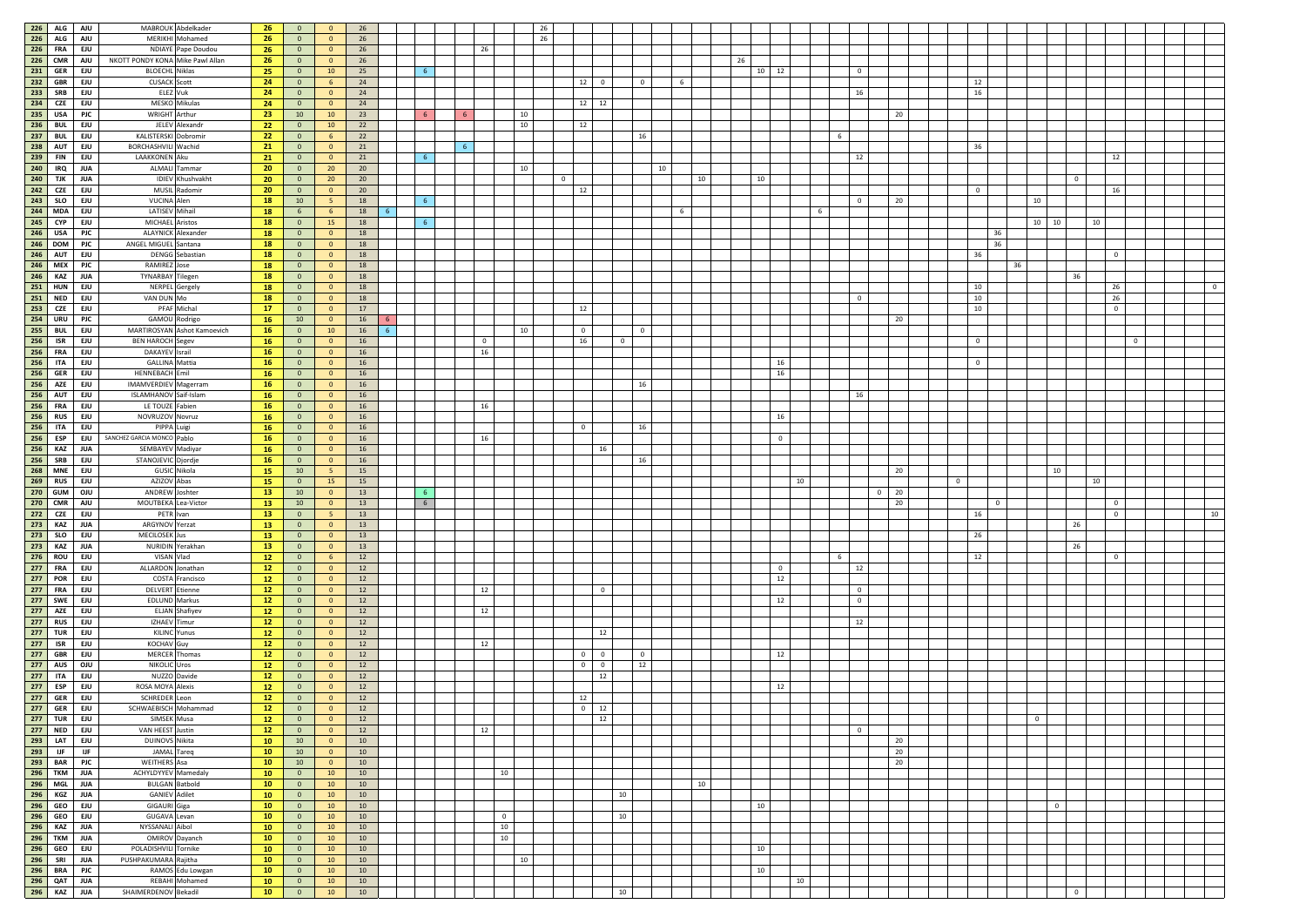|            | 226 ALG                  | <b>AJU</b>               |                                  | MABROUK Abdelkader          | 26         | $\overline{0}$                   | $\overline{0}$                   | 26           |   |                 |                |         | 26           |                             |                |    |    |    |                      |                 |                |    |             |                |              |                |                |                    |         |         |
|------------|--------------------------|--------------------------|----------------------------------|-----------------------------|------------|----------------------------------|----------------------------------|--------------|---|-----------------|----------------|---------|--------------|-----------------------------|----------------|----|----|----|----------------------|-----------------|----------------|----|-------------|----------------|--------------|----------------|----------------|--------------------|---------|---------|
| 226        | <b>ALG</b>               | <b>AJU</b>               |                                  | MERIKHI Mohamed             | 26         | $\overline{0}$                   | $\bullet$                        | 26           |   |                 |                |         | 26           |                             |                |    |    |    |                      |                 |                |    |             |                |              |                |                |                    |         |         |
|            |                          |                          |                                  |                             |            |                                  |                                  |              |   |                 |                |         |              |                             |                |    |    |    |                      |                 |                |    |             |                |              |                |                |                    |         |         |
| 226        | <b>FRA</b>               | EJU                      |                                  | NDIAYE Pape Doudou          | 26         | $\overline{0}$                   | $\circ$                          | 26           |   |                 | 26             |         |              |                             |                |    |    |    |                      |                 |                |    |             |                |              |                |                |                    |         |         |
|            | 226 CMR                  | <b>AJU</b>               | NKOTT PONDY KONA Mike Pawl Allan |                             | 26         | $\overline{0}$                   | $\overline{0}$                   | 26           |   |                 |                |         |              |                             |                |    |    | 26 |                      |                 |                |    |             |                |              |                |                |                    |         |         |
| 231        | GER                      | EJU                      | <b>BLOECHL Niklas</b>            |                             | 25         | $\overline{0}$                   | 10 <sup>°</sup>                  | 25           |   | 6 <sub>1</sub>  |                |         |              |                             |                |    |    |    | 10 12                |                 | $\overline{0}$ |    |             |                |              |                |                |                    |         |         |
| 232        | <b>GBR</b>               | EJU                      | <b>CUSACK</b> Scott              |                             | 24         | $\overline{0}$                   | 6 <sup>1</sup>                   | 24           |   |                 |                |         |              | 12 0                        | $\overline{0}$ | 6  |    |    |                      |                 |                |    |             | 12             |              |                |                |                    |         |         |
| 233        | <b>SRB</b>               | EJU                      | ELEZ Vuk                         |                             | 24         | $\overline{0}$                   | $\overline{0}$                   | 24           |   |                 |                |         |              |                             |                |    |    |    |                      |                 | 16             |    |             | 16             |              |                |                |                    |         |         |
| 234        | CZE                      | EJU                      |                                  | MESKO Mikulas               | 24         | $\overline{0}$                   | $\overline{0}$                   | 24           |   |                 |                |         |              | 12 12                       |                |    |    |    |                      |                 |                |    |             |                |              |                |                |                    |         |         |
| 235        | <b>USA</b>               | PJC                      | WRIGHT Arthur                    |                             | 23         | $10\,$                           | $10$                             | 23           |   | 6 <sup>1</sup>  |                | 10      |              |                             |                |    |    |    |                      |                 |                | 20 |             |                |              |                |                |                    |         |         |
| 236        | <b>BUL</b>               | EJU                      |                                  | JELEV Alexandr              | 22         | $\overline{0}$                   | 10 <sup>°</sup>                  | 22           |   |                 |                | 10      |              | 12                          |                |    |    |    |                      |                 |                |    |             |                |              |                |                |                    |         |         |
| 237        | <b>BUL</b>               | EJU                      | KALISTERSKI Dobromir             |                             | 22         | $\overline{0}$                   | $6\overline{6}$                  | 22           |   |                 |                |         |              |                             | 16             |    |    |    |                      | 6               |                |    |             |                |              |                |                |                    |         |         |
| 238        | <b>AUT</b>               | EJU                      | <b>BORCHASHVILI</b> Wachid       |                             | 21         | $\overline{0}$                   | $\bullet$                        | 21           |   |                 | 6              |         |              |                             |                |    |    |    |                      |                 |                |    |             | 36             |              |                |                |                    |         |         |
| 239        | <b>FIN</b>               | EJU                      | LAAKKONEN Aku                    |                             | 21         | $\overline{0}$                   | $\circ$                          | 21           |   | 6 <sup>1</sup>  |                |         |              |                             |                |    |    |    |                      |                 | 12             |    |             |                |              |                |                | 12                 |         |         |
| 240        | IRQ                      | <b>JUA</b>               |                                  | ALMALI Tammar               | 20         | $\overline{0}$                   | 20 <sup>°</sup>                  | 20           |   |                 |                | 10      |              |                             |                | 10 |    |    |                      |                 |                |    |             |                |              |                |                |                    |         |         |
| 240        | <b>TJK</b>               | <b>JUA</b>               |                                  | <b>IDIEV Khushvakht</b>     | 20         | $\overline{0}$                   | 20 <sup>°</sup>                  | 20           |   |                 |                |         | $\mathbf{0}$ |                             |                |    | 10 | 10 |                      |                 |                |    |             |                |              |                | $\overline{0}$ |                    |         |         |
| 242        | CZE                      | EJU                      |                                  | MUSIL Radomir               | 20         | $\overline{0}$                   | $\mathbf 0$                      | 20           |   |                 |                |         |              | 12                          |                |    |    |    |                      |                 |                |    |             | $\mathbf{0}$   |              |                |                | 16                 |         |         |
| 243        | <b>SLO</b>               | EJU                      | VUCINA Alen                      |                             | 18         | 10                               | 5 <sub>1</sub>                   | $18\,$       |   | 6 <sup>1</sup>  |                |         |              |                             |                |    |    |    |                      |                 | $\overline{0}$ | 20 |             |                |              | 10             |                |                    |         |         |
| 244        | <b>MDA</b>               | EJU                      | LATISEV Mihail                   |                             | 18         | $6\overline{6}$                  | 6 <sup>1</sup>                   | 18           | 6 |                 |                |         |              |                             |                | 6  |    |    |                      | 6               |                |    |             |                |              |                |                |                    |         |         |
| 245        | <b>CYP</b>               | EJU                      | MICHAEL Aristos                  |                             | 18         | $\overline{0}$                   | 15                               | 18           |   | 6 <sup>1</sup>  |                |         |              |                             |                |    |    |    |                      |                 |                |    |             |                |              | 10<br>10       |                | 10                 |         |         |
| 246        | <b>USA</b>               | PJC                      |                                  | <b>ALAYNICK</b> Alexander   | 18         | $\overline{0}$                   | $\bullet$                        | 18           |   |                 |                |         |              |                             |                |    |    |    |                      |                 |                |    |             |                | 36           |                |                |                    |         |         |
| 246        | DOM                      | PJC                      | ANGEL MIGUEL Santana             |                             | 18         | $\overline{0}$                   | $\overline{0}$                   | $18\,$       |   |                 |                |         |              |                             |                |    |    |    |                      |                 |                |    |             |                | 36           |                |                |                    |         |         |
|            |                          |                          |                                  |                             |            |                                  |                                  |              |   |                 |                |         |              |                             |                |    |    |    |                      |                 |                |    |             |                |              |                |                |                    |         |         |
| 246        | <b>AUT</b>               | EJU                      |                                  | DENGG Sebastian             | 18         | $\overline{0}$                   | $\mathbf 0$                      | 18           |   |                 |                |         |              |                             |                |    |    |    |                      |                 |                |    |             | 36             |              |                |                | $\circ$            |         |         |
| 246        | <b>MEX</b>               | PJC                      | RAMIREZ Jose                     |                             | 18         | $\overline{0}$                   | $\mathbf{0}$                     | 18           |   |                 |                |         |              |                             |                |    |    |    |                      |                 |                |    |             |                | 36           |                |                |                    |         |         |
| 246        | <b>KAZ</b>               | <b>JUA</b>               | <b>TYNARBAY</b> Tilegen          |                             | 18         | $\overline{0}$                   | $\overline{0}$                   | 18           |   |                 |                |         |              |                             |                |    |    |    |                      |                 |                |    |             |                |              |                | 36             |                    |         |         |
| 251        | <b>HUN</b>               | EJU                      | <b>NERPEL</b> Gergely            |                             | 18         | $\overline{0}$                   | $\overline{0}$                   | 18           |   |                 |                |         |              |                             |                |    |    |    |                      |                 |                |    |             | 10             |              |                |                | 26                 |         | $\circ$ |
| 251        | <b>NED</b>               | EJU                      | VAN DUN Mo                       |                             | 18         | $\overline{0}$                   | $\overline{0}$                   | 18           |   |                 |                |         |              |                             |                |    |    |    |                      |                 | $\circ$        |    |             | 10             |              |                |                | 26                 |         |         |
| 253        | CZE                      | EJU                      |                                  | PFAF Michal                 | 17         | $\overline{0}$                   | $\overline{0}$                   | 17           |   |                 |                |         |              | 12                          |                |    |    |    |                      |                 |                |    |             | 10             |              |                |                | $\overline{0}$     |         |         |
| 254        | <b>URU</b>               | PJC                      |                                  | GAMOU Rodrigo               | 16         | 10                               | $\circ$                          | 16           |   |                 |                |         |              |                             |                |    |    |    |                      |                 |                | 20 |             |                |              |                |                |                    |         |         |
| 255        | <b>BUL</b>               | EJU                      |                                  | MARTIROSYAN Ashot Kamoevich | 16         | $\overline{0}$                   | 10                               | 16           | 6 |                 |                | 10      |              | $\mathbf{0}$                | $\circ$        |    |    |    |                      |                 |                |    |             |                |              |                |                |                    |         |         |
| 256        | <b>ISR</b>               | EJU                      | <b>BEN HAROCH</b> Segev          |                             | 16         | $\overline{0}$                   | $\circ$                          | 16           |   |                 | $\overline{0}$ |         |              | 16                          | $\overline{0}$ |    |    |    |                      |                 |                |    |             | $\overline{0}$ |              |                |                |                    | $\circ$ |         |
| 256        | <b>FRA</b>               | EJU                      | DAKAYEV Israil                   |                             | 16         | $\overline{0}$                   | $\overline{0}$                   | 16           |   |                 | 16             |         |              |                             |                |    |    |    |                      |                 |                |    |             |                |              |                |                |                    |         |         |
| 256        | <b>ITA</b>               | <b>EJU</b>               | <b>GALLINA</b> Mattia            |                             | 16         | $\overline{0}$                   | $\overline{0}$                   | 16           |   |                 |                |         |              |                             |                |    |    |    | 16                   |                 |                |    |             | $\mathbf 0$    |              |                |                |                    |         |         |
| 256        | GER                      | EJU                      | <b>HENNEBACH</b> Emil            |                             | 16         | $\overline{0}$                   | $\bullet$                        | 16           |   |                 |                |         |              |                             |                |    |    |    | 16                   |                 |                |    |             |                |              |                |                |                    |         |         |
| 256        | AZE                      | EJU                      | IMAMVERDIEV Magerram             |                             | 16         | $\overline{0}$                   | $\overline{0}$                   | 16           |   |                 |                |         |              |                             | 16             |    |    |    |                      |                 |                |    |             |                |              |                |                |                    |         |         |
| 256        | <b>AUT</b>               | EJU                      | ISLAMHANOV Saif-Islam            |                             | 16         | $\overline{0}$                   | $\overline{0}$                   | 16           |   |                 |                |         |              |                             |                |    |    |    |                      |                 | 16             |    |             |                |              |                |                |                    |         |         |
| 256        | <b>FRA</b>               | EJU                      | LE TOUZE Fabien                  |                             | 16         | $\overline{0}$                   | $\overline{0}$                   | 16           |   |                 | 16             |         |              |                             |                |    |    |    |                      |                 |                |    |             |                |              |                |                |                    |         |         |
| 256        | <b>RUS</b>               | EJU                      | NOVRUZOV Novruz                  |                             | 16         | $\overline{0}$                   | $\bullet$                        | $16\,$       |   |                 |                |         |              |                             |                |    |    |    | 16                   |                 |                |    |             |                |              |                |                |                    |         |         |
| 256        | <b>ITA</b>               | EJU                      | PIPPA Luigi                      |                             | 16         | $\overline{0}$                   | $\overline{0}$                   | 16           |   |                 |                |         |              | $\mathbf{0}$                | 16             |    |    |    |                      |                 |                |    |             |                |              |                |                |                    |         |         |
| 256        | ESP                      | EJU                      | SANCHEZ GARCIA MONCO Pablo       |                             | 16         | $\overline{0}$                   | $\bullet$                        | 16           |   |                 | 16             |         |              |                             |                |    |    |    | $\overline{0}$       |                 |                |    |             |                |              |                |                |                    |         |         |
| 256        | KAZ                      | <b>JUA</b>               | SEMBAYEV Madiyar                 |                             | 16         | $\mathbf 0$                      | $\mathbf 0$                      | 16           |   |                 |                |         |              | 16                          |                |    |    |    |                      |                 |                |    |             |                |              |                |                |                    |         |         |
| 256        | <b>SRB</b>               | EJU                      | STANOJEVIC Djordje               |                             | 16         | $\overline{0}$                   | $\circ$                          | 16           |   |                 |                |         |              |                             | 16             |    |    |    |                      |                 |                |    |             |                |              |                |                |                    |         |         |
| 268        | <b>MNE</b>               | EJU                      |                                  | GUSIC Nikola                | 15         | 10                               | 5 <sub>1</sub>                   | 15           |   |                 |                |         |              |                             |                |    |    |    |                      |                 |                | 20 |             |                |              | 10             |                |                    |         |         |
|            |                          |                          |                                  |                             |            |                                  |                                  |              |   |                 |                |         |              |                             |                |    |    |    |                      |                 |                |    |             |                |              |                |                |                    |         |         |
| 269        | <b>RUS</b>               | EJU                      | AZIZOV Abas                      |                             |            | $\overline{0}$                   | 15                               | 15           |   |                 |                |         |              |                             |                |    |    |    | 10                   |                 |                |    | $\mathbf 0$ |                |              |                |                | 10                 |         |         |
|            |                          |                          |                                  |                             | 15         |                                  |                                  |              |   |                 |                |         |              |                             |                |    |    |    |                      |                 |                |    |             |                |              |                |                |                    |         |         |
| 270        | <b>GUM</b>               | OJU                      | ANDREW Joshter                   |                             | 13         | 10                               | $\overline{0}$                   | 13           |   | 6 <sup>1</sup>  |                |         |              |                             |                |    |    |    |                      |                 | $\circ$        | 20 |             |                |              |                |                |                    |         |         |
| 270<br>272 | <b>CMR</b><br><b>CZE</b> | <b>AJU</b><br><b>EJU</b> | MOUTBEKA Lea-Victor<br>PETR Ivan |                             | 13         | 10<br>$\overline{0}$             | $\overline{0}$<br>5 <sup>2</sup> | 13<br>13     |   | $6\overline{6}$ |                |         |              |                             |                |    |    |    |                      |                 |                | 20 |             | 16             | $\mathbf{0}$ |                |                | $\circ$<br>$\circ$ |         | 10      |
|            |                          |                          |                                  |                             | 13         |                                  | $\mathbf 0$                      |              |   |                 |                |         |              |                             |                |    |    |    |                      |                 |                |    |             |                |              |                |                |                    |         |         |
| 273<br>273 | <b>KAZ</b>               | <b>JUA</b><br>EJU        | ARGYNOV Yerzat<br>MECILOSEK Jus  |                             | 13         | $\overline{0}$<br>$\overline{0}$ | $\overline{0}$                   | 13<br>13     |   |                 |                |         |              |                             |                |    |    |    |                      |                 |                |    |             | 26             |              |                | 26             |                    |         |         |
|            | <b>SLO</b>               |                          |                                  |                             | 13         |                                  |                                  |              |   |                 |                |         |              |                             |                |    |    |    |                      |                 |                |    |             |                |              |                |                |                    |         |         |
| 273        | KAZ                      | <b>JUA</b>               |                                  | NURIDIN Yerakhan            | 13         | $\overline{0}$                   | $\overline{0}$                   | 13           |   |                 |                |         |              |                             |                |    |    |    |                      |                 |                |    |             |                |              |                | 26             |                    |         |         |
| 276        | ROU                      | EJU                      | VISAN Vlad                       |                             | 12         | $\overline{0}$                   | 6 <sup>5</sup>                   | 12           |   |                 |                |         |              |                             |                |    |    |    |                      | $6\overline{6}$ |                |    |             | 12             |              |                |                | $\overline{0}$     |         |         |
| 277        | <b>FRA</b><br>POR        | EJU<br><b>EJU</b>        | ALLARDON Jonathan                |                             | 12         | $\overline{0}$<br>$\overline{0}$ | $\bullet$<br>$\overline{0}$      | 12<br>$12$   |   |                 |                |         |              |                             |                |    |    |    | $\overline{0}$<br>12 |                 | 12             |    |             |                |              |                |                |                    |         |         |
| 277        |                          |                          |                                  | COSTA Francisco             | 12         |                                  |                                  |              |   |                 |                |         |              |                             |                |    |    |    |                      |                 |                |    |             |                |              |                |                |                    |         |         |
| 277        | <b>FRA</b>               | EJU                      | <b>DELVERT</b> Etienne           |                             | 12         | $\overline{0}$                   | $\overline{0}$                   | 12<br>12     |   |                 | 12             |         |              | $\overline{0}$              |                |    |    |    |                      |                 | $\circ$        |    |             |                |              |                |                |                    |         |         |
| 277        | SWE                      | EJU                      | <b>EDLUND</b> Markus             |                             | 12         | $\overline{0}$                   | $\overline{0}$                   |              |   |                 |                |         |              |                             |                |    |    |    | 12                   |                 | $\circ$        |    |             |                |              |                |                |                    |         |         |
| 277        | AZE                      | EJU                      |                                  | <b>ELJAN Shafiyev</b>       | 12         | $\overline{0}$                   | $\bullet$                        | 12           |   |                 | 12             |         |              |                             |                |    |    |    |                      |                 |                |    |             |                |              |                |                |                    |         |         |
| 277        | <b>RUS</b>               | EJU                      | IZHAEV Timur                     |                             | $12\,$     | $\overline{0}$                   | $\bullet$                        | $12\,$<br>12 |   |                 |                |         |              |                             |                |    |    |    |                      |                 | 12             |    |             |                |              |                |                |                    |         |         |
| 277        | <b>TUR</b>               | EJU                      |                                  | KILINC Yunus                | 12         | $\overline{0}$                   | $\bullet$                        |              |   |                 |                |         |              | 12                          |                |    |    |    |                      |                 |                |    |             |                |              |                |                |                    |         |         |
| 277        | <b>ISR</b>               | EJU                      | KOCHAV Guy                       |                             | 12         | $\overline{0}$                   | $\overline{0}$                   | 12           |   |                 | 12             |         |              |                             |                |    |    |    |                      |                 |                |    |             |                |              |                |                |                    |         |         |
| 277        | <b>GBR</b>               | EJU                      | MERCER Thomas                    |                             | 12         | $\circ$                          | $\circ$                          | 12           |   |                 |                |         |              | 0<br>$\overline{0}$         | $\mathbf{0}$   |    |    |    | 12                   |                 |                |    |             |                |              |                |                |                    |         |         |
| 277        | <b>AUS</b>               | OIU                      | NIKOLIC Uros                     |                             | $12\,$     | $\overline{0}$                   | $\overline{0}$                   | $12$         |   |                 |                |         |              | $\mathbf{0}$<br>$\mathbf 0$ | 12             |    |    |    |                      |                 |                |    |             |                |              |                |                |                    |         |         |
| 277        | <b>ITA</b>               | EJU                      | NUZZO Davide                     |                             | 12         | $\overline{0}$                   | $\overline{0}$                   | 12           |   |                 |                |         |              | 12                          |                |    |    |    |                      |                 |                |    |             |                |              |                |                |                    |         |         |
| 277        | ESP                      | EJU                      | ROSA MOYA Alexis                 |                             | ${\bf 12}$ | $\mathbf 0$                      | $\circ$                          | $12\,$       |   |                 |                |         |              |                             |                |    |    |    | $12\,$               |                 |                |    |             |                |              |                |                |                    |         |         |
| 277        | GER                      | <b>EJU</b>               | SCHREDER Leon                    |                             | 12         | $\mathbf{0}$                     | $\overline{0}$                   | $12$         |   |                 |                |         |              | 12                          |                |    |    |    |                      |                 |                |    |             |                |              |                |                |                    |         |         |
| 277        | <b>GER</b>               | EJU                      | SCHWAEBISCH Mohammad             |                             | 12         | $\overline{0}$                   | $\overline{0}$                   | 12           |   |                 |                |         |              | $\overline{0}$<br>12        |                |    |    |    |                      |                 |                |    |             |                |              |                |                |                    |         |         |
|            | 277 TUR EJU              |                          | SIMSEK Musa                      |                             | $12\,$     | $\mathbf 0$                      | $\overline{0}$                   | 12           |   |                 |                |         |              | $12\,$                      |                |    |    |    |                      |                 |                |    |             |                |              | $\overline{0}$ |                |                    |         |         |
|            | 277 NED EJU              |                          | VAN HEEST Justin                 |                             | 12         | $\overline{0}$                   | $\overline{0}$                   | 12           |   |                 | 12             |         |              |                             |                |    |    |    |                      |                 | $\mathbf{0}$   |    |             |                |              |                |                |                    |         |         |
|            | 293 LAT                  | EJU                      | DUINOVS Nikita                   |                             | 10         | 10                               | $\bullet$                        | 10           |   |                 |                |         |              |                             |                |    |    |    |                      |                 |                | 20 |             |                |              |                |                |                    |         |         |
| 293        | <b>IJF</b>               | IJF                      | JAMAL Tareq                      |                             | 10         | 10                               | $\bullet$                        | 10           |   |                 |                |         |              |                             |                |    |    |    |                      |                 |                | 20 |             |                |              |                |                |                    |         |         |
|            | 293 BAR                  | <b>PJC</b>               | WEITHERS Asa                     |                             | 10         | 10                               | $\bullet$                        | 10           |   |                 |                |         |              |                             |                |    |    |    |                      |                 |                | 20 |             |                |              |                |                |                    |         |         |
|            | 296 TKM                  | <b>JUA</b>               | ACHYLDYYEV Mamedaly              |                             | 10         | $\overline{0}$                   | 10                               | $10\,$       |   |                 |                | 10      |              |                             |                |    |    |    |                      |                 |                |    |             |                |              |                |                |                    |         |         |
|            | 296 MGL                  | <b>JUA</b>               | <b>BULGAN Batbold</b>            |                             | 10         | $\overline{0}$                   | 10                               | 10           |   |                 |                |         |              |                             |                |    | 10 |    |                      |                 |                |    |             |                |              |                |                |                    |         |         |
|            | 296 KGZ                  | <b>JUA</b>               | <b>GANIEV</b> Adilet             |                             | 10         | $\overline{0}$                   | 10                               | 10           |   |                 |                |         |              |                             | 10             |    |    |    |                      |                 |                |    |             |                |              |                |                |                    |         |         |
|            | 296 GEO                  | EJU                      | GIGAURI Giga                     |                             | 10         | $\overline{0}$                   | 10 <sub>1</sub>                  | 10           |   |                 |                |         |              |                             |                |    |    | 10 |                      |                 |                |    |             |                |              | $\overline{0}$ |                |                    |         |         |
| 296        | GEO                      | EJU                      | GUGAVA Levan                     |                             | 10         | $\overline{0}$                   | $10$                             | $10\,$       |   |                 |                | $\circ$ |              |                             | 10             |    |    |    |                      |                 |                |    |             |                |              |                |                |                    |         |         |
| 296        | <b>KAZ</b>               | <b>JUA</b>               | NYSSANALI Aibol                  |                             | 10         | $\overline{0}$                   | $10-10$                          | 10           |   |                 |                | 10      |              |                             |                |    |    |    |                      |                 |                |    |             |                |              |                |                |                    |         |         |
|            | 296 TKM                  | <b>JUA</b>               |                                  | OMIROV Dayanch              | 10         | $\overline{0}$                   | 10                               | $10$         |   |                 |                | 10      |              |                             |                |    |    |    |                      |                 |                |    |             |                |              |                |                |                    |         |         |
|            | 296 GEO                  | EJU                      | POLADISHVILI Tornike             |                             | 10         | $\overline{0}$                   | 10                               | 10           |   |                 |                |         |              |                             |                |    |    | 10 |                      |                 |                |    |             |                |              |                |                |                    |         |         |
| 296        | <b>SRI</b>               | JUA                      | PUSHPAKUMARA Rajitha             |                             | 10         | $\overline{0}$                   | 10 <sub>1</sub>                  | $10$         |   |                 |                | 10      |              |                             |                |    |    |    |                      |                 |                |    |             |                |              |                |                |                    |         |         |
| 296        | <b>BRA</b>               | PJC                      |                                  | RAMOS Edu Lowgan            | 10         | $\overline{0}$                   | 10 <sup>°</sup>                  | 10           |   |                 |                |         |              |                             |                |    |    | 10 |                      |                 |                |    |             |                |              |                |                |                    |         |         |
| 296<br>296 | QAT<br><b>KAZ</b>        | <b>JUA</b><br><b>JUA</b> | SHAIMERDENOV Bekadil             | REBAHI Mohamed              | 10<br>10   | $\overline{0}$<br>$\overline{0}$ | 10 <sup>°</sup><br>10            | 10<br>10     |   |                 |                |         |              |                             | 10             |    |    |    | 10                   |                 |                |    |             |                |              |                | $\overline{0}$ |                    |         |         |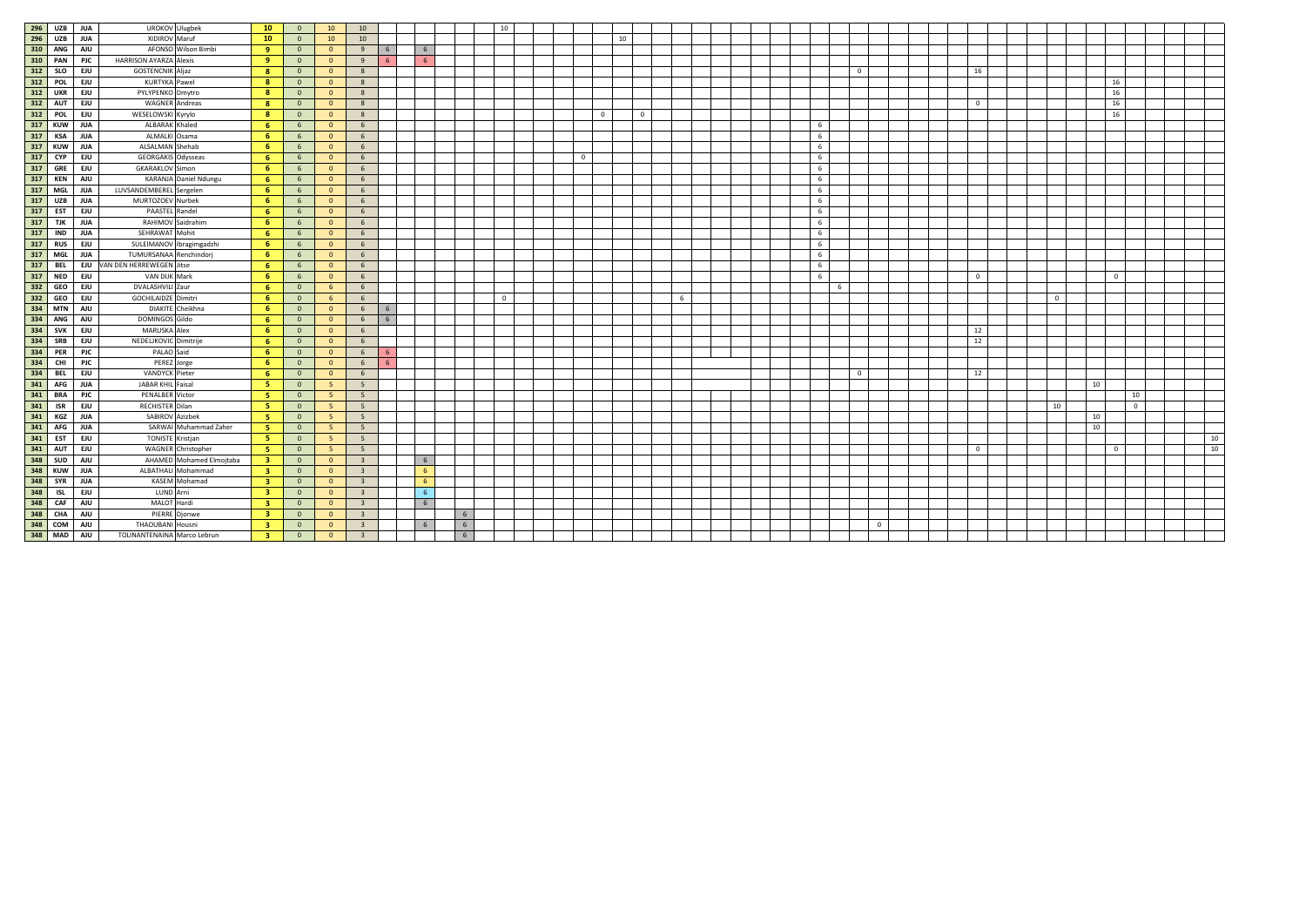| 296     | <b>UZB</b> | <b>JUA</b> | UROKOV Ulugbek                |                           | 10                      | $\mathbf{0}$    | 10 <sup>°</sup> | 10                      |   |                 |   |   | 10           |             |    |              |   |  |   |                |  |                |  |         |                |                |    |
|---------|------------|------------|-------------------------------|---------------------------|-------------------------|-----------------|-----------------|-------------------------|---|-----------------|---|---|--------------|-------------|----|--------------|---|--|---|----------------|--|----------------|--|---------|----------------|----------------|----|
| 296     | <b>UZB</b> | <b>JUA</b> | XIDIROV Maruf                 |                           | 10                      | $\overline{0}$  | 10 <sup>°</sup> | 10                      |   |                 |   |   |              |             | 10 |              |   |  |   |                |  |                |  |         |                |                |    |
| 310     | ANG        | <b>AJU</b> |                               | AFONSO Wilson Bimbi       | 9                       | $\overline{0}$  | $\overline{0}$  | 9                       | 6 | $6\overline{6}$ |   |   |              |             |    |              |   |  |   |                |  |                |  |         |                |                |    |
| 310     | PAN        | PJC        | <b>HARRISON AYARZA Alexis</b> |                           | 9                       | $\overline{0}$  | $\overline{0}$  | 9                       |   | 6               |   |   |              |             |    |              |   |  |   |                |  |                |  |         |                |                |    |
| 312     | SLO        | EJU        | <b>GOSTENCNIK</b> Aljaz       |                           | $\mathbf{8}$            | $\overline{0}$  | $\overline{0}$  | 8                       |   |                 |   |   |              |             |    |              |   |  |   | $\circ$        |  | 16             |  |         |                |                |    |
| 312     | POL        | EJU        | KURTYKA Pawel                 |                           | 8                       | $\overline{0}$  | $\overline{0}$  | 8                       |   |                 |   |   |              |             |    |              |   |  |   |                |  |                |  |         | 16             |                |    |
| 312     | <b>UKR</b> | EJU        | PYLYPENKO Dmytro              |                           | $\mathbf{8}$            | $\mathbf{0}$    | $\overline{0}$  | 8                       |   |                 |   |   |              |             |    |              |   |  |   |                |  |                |  |         | 16             |                |    |
| 312     | <b>AUT</b> | <b>EJU</b> | <b>WAGNER</b> Andreas         |                           | 8                       | $\overline{0}$  | $\overline{0}$  | 8                       |   |                 |   |   |              |             |    |              |   |  |   |                |  | $\overline{0}$ |  |         | 16             |                |    |
| 312     | POL        | <b>EJU</b> | WESELOWSKI Kyrylo             |                           | 8                       | $\mathbf{0}$    | $\circ$         | 8                       |   |                 |   |   |              | $\mathbf 0$ |    | $\mathbf{0}$ |   |  |   |                |  |                |  |         | 16             |                |    |
| 317 KUW |            | <b>JUA</b> | ALBARAK Khaled                |                           | -6                      | 6               | $\overline{0}$  | 6                       |   |                 |   |   |              |             |    |              |   |  | 6 |                |  |                |  |         |                |                |    |
| 317     | KSA        | <b>JUA</b> | ALMALKI Osama                 |                           | 6                       | 6 <sup>5</sup>  | $\overline{0}$  | 6                       |   |                 |   |   |              |             |    |              |   |  | 6 |                |  |                |  |         |                |                |    |
| 317     | <b>KUW</b> | <b>JUA</b> | ALSALMAN Shehab               |                           | -6                      | 6 <sup>5</sup>  | $\overline{0}$  | $6\overline{6}$         |   |                 |   |   |              |             |    |              |   |  | 6 |                |  |                |  |         |                |                |    |
| 317     | <b>CYP</b> | <b>EJU</b> | GEORGAKIS Odysseas            |                           | 6                       | $6\overline{6}$ | $\overline{0}$  | 6                       |   |                 |   |   |              | $^{\circ}$  |    |              |   |  | 6 |                |  |                |  |         |                |                |    |
| 317     | <b>GRE</b> | <b>EJU</b> | <b>GKARAKLOV</b> Simon        |                           | 6                       | 6               | $\overline{0}$  | 6                       |   |                 |   |   |              |             |    |              |   |  | 6 |                |  |                |  |         |                |                |    |
| 317     | <b>KEN</b> | <b>AJU</b> |                               | KARANJA Daniel Ndungu     | 6 <sup>1</sup>          | 6 <sup>5</sup>  | $\overline{0}$  | 6                       |   |                 |   |   |              |             |    |              |   |  | 6 |                |  |                |  |         |                |                |    |
| 317     | <b>MGL</b> | JUA        | LUVSANDEMBEREL Sergelen       |                           | 6                       | 6               | $\overline{0}$  | 6                       |   |                 |   |   |              |             |    |              |   |  | 6 |                |  |                |  |         |                |                |    |
| 317     | <b>UZB</b> | <b>JUA</b> | MURTOZOEV Nurbek              |                           | 6                       | 6 <sup>1</sup>  | $\overline{0}$  | 6                       |   |                 |   |   |              |             |    |              |   |  | 6 |                |  |                |  |         |                |                |    |
| 317     | EST        | EJU        | PAASTEL Randel                |                           | 6                       | $6\overline{6}$ | $\overline{0}$  | 6                       |   |                 |   |   |              |             |    |              |   |  | 6 |                |  |                |  |         |                |                |    |
| 317     | TJK        | <b>JUA</b> | RAHIMOV Saidrahim             |                           | 6                       | $6\overline{6}$ | $\overline{0}$  | $6\overline{6}$         |   |                 |   |   |              |             |    |              |   |  | 6 |                |  |                |  |         |                |                |    |
| 317     | <b>IND</b> | <b>JUA</b> | SEHRAWAT Mohit                |                           | -6                      | 6               | $\overline{0}$  | 6                       |   |                 |   |   |              |             |    |              |   |  | 6 |                |  |                |  |         |                |                |    |
| 317     | <b>RUS</b> | EJU        | SULEIMANOV Ibragimgadzhi      |                           | -6                      | 6               | $\overline{0}$  | 6                       |   |                 |   |   |              |             |    |              |   |  | 6 |                |  |                |  |         |                |                |    |
| 317     | MGL        | <b>JUA</b> | TUMURSANAA Renchindori        |                           | 6 <sup>5</sup>          | 6               | $\overline{0}$  | 6                       |   |                 |   |   |              |             |    |              |   |  | 6 |                |  |                |  |         |                |                |    |
| 317     | BEL        | EJU        | VAN DEN HERREWEGEN Jitse      |                           | 6                       | 6 <sup>5</sup>  | $\overline{0}$  | 6                       |   |                 |   |   |              |             |    |              |   |  | 6 |                |  |                |  |         |                |                |    |
| 317     | <b>NED</b> | <b>EJU</b> | VAN DIJK Mark                 |                           | 6                       | $6\overline{6}$ | $\overline{0}$  | 6                       |   |                 |   |   |              |             |    |              |   |  | 6 |                |  | $\overline{0}$ |  |         | $\overline{0}$ |                |    |
| 332     | GEO        | <b>EJU</b> | DVALASHVILI Zaur              |                           | 6                       | $\mathbf{0}$    | 6 <sup>5</sup>  | 6                       |   |                 |   |   |              |             |    |              |   |  | 6 |                |  |                |  |         |                |                |    |
| 332     | GEO        | <b>EJU</b> | <b>GOCHILAIDZE</b> Dimitri    |                           | 6                       | $\circ$         | 6               | 6                       |   |                 |   |   | $\mathbf{0}$ |             |    |              | 6 |  |   |                |  |                |  | $\circ$ |                |                |    |
| 334     | <b>MTN</b> | <b>AJU</b> |                               | DIAKITE Cheikhna          | 6 <sup>1</sup>          | $\overline{0}$  | $\overline{0}$  | 6 <sup>5</sup>          | 6 |                 |   |   |              |             |    |              |   |  |   |                |  |                |  |         |                |                |    |
| 334     | ANG        | <b>AJU</b> | DOMINGOS Gildo                |                           | 6                       | $\circ$         | $\overline{0}$  | 6                       | 6 |                 |   |   |              |             |    |              |   |  |   |                |  |                |  |         |                |                |    |
| 334     | <b>SVK</b> | EJU        | MARUSKA Alex                  |                           | 6                       | $\overline{0}$  | $\overline{0}$  | 6                       |   |                 |   |   |              |             |    |              |   |  |   |                |  | 12             |  |         |                |                |    |
| 334     | SRB        | EJU        | NEDELJKOVIC Dimitrije         |                           | 6                       | $\overline{0}$  | $\overline{0}$  | 6                       |   |                 |   |   |              |             |    |              |   |  |   |                |  | 12             |  |         |                |                |    |
| 334     | PER        | <b>PJC</b> | PALAO Said                    |                           | 6                       | $\overline{0}$  | $\overline{0}$  | $6\overline{6}$         | 6 |                 |   |   |              |             |    |              |   |  |   |                |  |                |  |         |                |                |    |
| 334     | CHI        | PJC        | PEREZ Jorge                   |                           | -6                      | $\mathbf{0}$    | $\overline{0}$  | 6                       | 6 |                 |   |   |              |             |    |              |   |  |   |                |  |                |  |         |                |                |    |
| 334     | <b>BEL</b> | <b>EJU</b> | VANDYCK Pieter                |                           | 6                       | $\overline{0}$  | $\mathbf{0}$    | 6                       |   |                 |   |   |              |             |    |              |   |  |   | $\mathbf{0}$   |  | 12             |  |         |                |                |    |
| 341     | AFG        | <b>JUA</b> | JABAR KHIL Faisal             |                           | -51                     | $\overline{0}$  | 5 <sup>2</sup>  | 5 <sup>5</sup>          |   |                 |   |   |              |             |    |              |   |  |   |                |  |                |  |         | 10             |                |    |
| 341     | <b>BRA</b> | <b>PJC</b> | PENALBER Victor               |                           | -51                     | $\overline{0}$  | 5 <sup>2</sup>  | 5 <sup>5</sup>          |   |                 |   |   |              |             |    |              |   |  |   |                |  |                |  |         |                | 10             |    |
| 341     | ISR        | EJU        | RECHISTER Dilan               |                           | -5                      | $\overline{0}$  | 5 <sup>7</sup>  | 5 <sup>5</sup>          |   |                 |   |   |              |             |    |              |   |  |   |                |  |                |  | 10      |                | $\overline{0}$ |    |
| 341     | KGZ        | <b>JUA</b> | SABIROV Azizbek               |                           | -51                     | $\mathbf{0}$    | 5 <sup>1</sup>  | 5                       |   |                 |   |   |              |             |    |              |   |  |   |                |  |                |  |         | 10             |                |    |
| 341     | AFG        | <b>JUA</b> |                               | SARWAI Muhammad Zaher     | -5                      | $\overline{0}$  | 5 <sup>7</sup>  | 5 <sup>5</sup>          |   |                 |   |   |              |             |    |              |   |  |   |                |  |                |  |         | 10             |                |    |
| 341     | EST        | EJU        | <b>TONISTE</b> Kristjan       |                           | -5                      | $\overline{0}$  | 5 <sup>1</sup>  | 5 <sup>5</sup>          |   |                 |   |   |              |             |    |              |   |  |   |                |  |                |  |         |                |                | 10 |
| 341     | <b>AUT</b> | EJU        |                               | <b>WAGNER</b> Christopher | -5                      | $\circ$         | 5 <sub>1</sub>  | 5                       |   |                 |   |   |              |             |    |              |   |  |   |                |  | $\mathbf{0}$   |  |         | $\circ$        |                | 10 |
| 348     | SUD        | <b>AJU</b> |                               | AHAMED Mohamed Elmojtaba  | 3 <sup>1</sup>          | $\overline{0}$  | $\overline{0}$  | $\overline{\mathbf{3}}$ |   | 6 <sup>5</sup>  |   |   |              |             |    |              |   |  |   |                |  |                |  |         |                |                |    |
| 348     | <b>KUW</b> | <b>JUA</b> | ALBATHALI Mohammad            |                           | 3 <sup>1</sup>          | $\overline{0}$  | $\overline{0}$  | $\overline{\mathbf{3}}$ |   | 6 <sup>1</sup>  |   |   |              |             |    |              |   |  |   |                |  |                |  |         |                |                |    |
| 348     | SYR        | <b>JUA</b> |                               | KASEM Mohamad             | 3 <sup>1</sup>          | $\overline{0}$  | $\overline{0}$  | $\overline{\mathbf{3}}$ |   | 6 <sup>1</sup>  |   |   |              |             |    |              |   |  |   |                |  |                |  |         |                |                |    |
| 348     | <b>ISL</b> | EJU        | LUND Arni                     |                           | $\overline{\mathbf{3}}$ | $\mathbf{0}$    | $\overline{0}$  | $\overline{\mathbf{3}}$ |   | 6 <sup>1</sup>  |   |   |              |             |    |              |   |  |   |                |  |                |  |         |                |                |    |
| 348     | CAF        | AJU        | MALOT Hardi                   |                           | $\overline{\mathbf{3}}$ | $\overline{0}$  | $\overline{0}$  | $\overline{\mathbf{3}}$ |   | 6               |   |   |              |             |    |              |   |  |   |                |  |                |  |         |                |                |    |
| 348     | CHA        | AJU        | PIERRE Djonwe                 |                           | $\overline{\mathbf{3}}$ | $\mathbf{0}$    | $\mathbf{0}$    | $\overline{\mathbf{3}}$ |   |                 |   | 6 |              |             |    |              |   |  |   |                |  |                |  |         |                |                |    |
| 348     | COM        | AJU        | THAOUBANI Housni              |                           | $\mathbf{3}$            | $\mathbf{0}$    | $\overline{0}$  | $\overline{\mathbf{3}}$ |   | $6\overline{6}$ |   | 6 |              |             |    |              |   |  |   | $\overline{0}$ |  |                |  |         |                |                |    |
| 348     | <b>MAD</b> | AJU        | TOLINANTENAINA Marco Lebrun   |                           | $\overline{\mathbf{3}}$ | $\overline{0}$  | $\mathbf{0}$    | $\overline{z}$          |   |                 | 6 |   |              |             |    |              |   |  |   |                |  |                |  |         |                |                |    |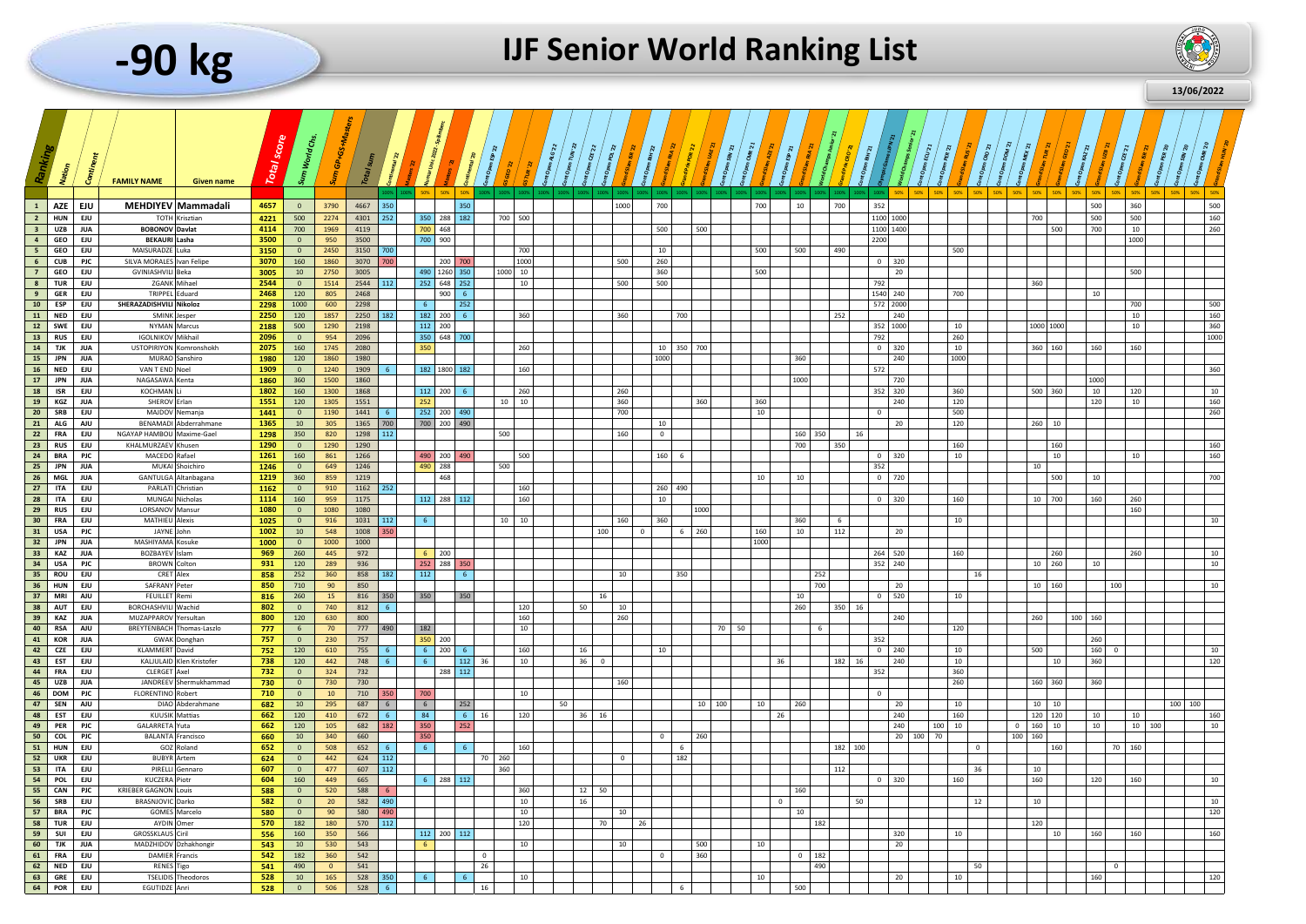## **-90 kg**

#### **IJF Senior World Ranking List**



**13/06/2022**

**Ranking Nation Continent FAMILY NAME Given name** *To***<sub>s</sub>** *To***<sub>n</sub>** *S***<sub>S</sub></del> Sum World Chs. Sum GP+GS+Masters Total sum Continental '22 Masters '22 Numar Unic 2022 - Spilimberc Masters '21 Continental '20 Cont Open ESP '22 GS GEO '22 GS TUR '22** Cont Open ALG '22 **Cont Open TUN '22 Cont Open CZE '22 Cont Open POL '22 Grand Slam ISR '22 Cont Open BIH '22 Grand Slam FRA '22 Grand Prix POR '22 Grand Slam UAE '21 Cont Open SEN '21 Cont Open CMR '21 Grand Slam AZE '21 Cont Open ESP '21 Grand Slam FRA '21 World Champs Junior '21 Grand Prix CRO '21 Cont Open BIH '21** Olympic Games *PW*<sub>21</sub> **World Champs Senior '21 Cont Open ECU '21 Cont Open PER '21 Grand Slam RUS '21 Cont Open CRO '21 Cont Open DOM '21 Cont Open MEX '21 Grand Slam TUR '21 Grand Slam GEO '21 Cont Open KAZ '21 Grand Slam UZB '21 Cont Open CZE '21 Grand Slam ISR '21 Cont Open PER '20 Cont Open SEN '20 Cont Open CMR '20 Grand Slam HUN '20 0%** 100% 100% 50% 50% 50% 100% 100% 100% 100% 100% 100% 100% 100% 100% 100% 100% 100% 100% 100% 100% 100% 100% 100% 100% 100% 100% 50% 50% 50% 50% 50% 50% 50% 50% 50% 50% 50% 50% 50% 50% 50% 50% 50% **1 AZE EJU MEHDIYEV Mammadali 4657** 0 3790 4667 350 350 1000 700 700 10 700 352 500 360 500 **2 HUN EJU** TOTH Krisztian **4221** 500 2274 4301 252 350 288 182 700 500 1100 1000 700 500 500 160 **3 UZB JUA BOBONOV Davlat 4114** 700 1969 4119 700 468 500 500 1100 1400 500 700 10 260 **4 GEO EJU BEKAURI Lasha 3500** 0 950 3500 700 900 2200 1000 **5 GEO EJU** MAISURADZE Luka **3150** 0 2450 3150 700 700 10 500 500 490 500 **6 CUB PJC** SILVA MORALES Ivan Felipe **3070** 160 1860 3070 700 200 700 1000 500 260 0 320 **7 GEO EJU** GVINIASHVILI Beka **3005** 10 2750 3005 490 1260 350 1000 10 360 500 20 500 **8 TUR EJU** ZGANK Mihael **2544** 0 1514 2544 112 252 648 252 10 500 500 792 360 **9 GER EJU** TRIPPEL Eduard **2468** 120 805 2468 900 6 1540 240 700 10 **10 ESP EJU SHERAZADISHVILI Nikoloz 2298** 1000 600 2298 6 252 572 2000 700 500 **11 NED EJU** SMINK Jesper **2250** 120 1857 2250 182 182 200 6 360 360 700 252 240 10 160 **12 SWE EJU** NYMAN Marcus **2188** 500 1290 2198 112 200 352 1000 10 1000 1000 10 360 **13 RUS EJU** IGOLNIKOV Mikhail **2096** 0 954 2096 350 648 700 792 260 1000 **14 TJK JUA** USTOPIRIYON Komronshokh **2075** 160 1745 2080 350 260 10 350 700 0 320 10 360 160 160 160 **15 JPN JUA** MURAO Sanshiro **1980** 120 1860 1980 1000 360 240 1000 **16 NED EJU** VAN T END Noel **1909** 0 1240 1909 6 182 1800 182 160 572 360 **17 JPN JUA** NAGASAWA Kenta **1860** 360 1500 1860 1000 720 1000 **18 ISR EJU** KOCHMAN Li **1802** 160 1300 1868 112 200 6 260 260 352 320 360 500 360 10 120 10 **19 KGZ JUA** SHEROV Erlan **1551** 120 1305 1551 252 10 10 360 360 360 240 120 120 10 160 **20 SRB EJU** MAJDOV Nemanja **1441** 0 1190 1441 6 252 200 490 700 10 0 500 260 **21 ALG AJU** BENAMADI Abderrahmane **1365** 10 305 1365 700 700 200 490 10 20 120 260 10 **22 FRA EJU** NGAYAP HAMBOU Maxime-Gael **1298** 350 820 1298 112 500 160 0 160 350 16 **23 RUS EJU** KHALMURZAEV Khusen **1290** 0 1290 1290 700 350 160 160 160 **24 BRA PJC** MACEDO Rafael **1261** 160 861 1266 490 200 490 500 160 6 0 320 10 10 10 160 **25 JPN JUA** MUKAI Shoichiro **1246** 0 649 1246 490 288 500 352 10 **26 MGL JUA** GANTULGA Altanbagana **1219** 360 859 1219 468 10 10 0 720 500 10 700 **27 ITA EJU** PARLATI Christian **1162** 0 910 1162 252 160 260 490 **28 ITA EJU** MUNGAI Nicholas **1114** 160 959 1175 112 288 112 160 10 0 320 160 10 700 160 260 **29 RUS EJU** LORSANOV Mansur **1080** 0 1080 1080 1000 160 **30 FRA EJU** MATHIEU Alexis **1025** 0 916 1031 112 6 10 10 160 360 360 6 10 10 <mark>31 USA PJC | JAYNE John | 1002 | 10 | 548 | 1008 | 350 | | | | | | | | | | | | | | | | | 6 | 260 | | | 160 | | 10 | | 112 | | | 20</mark> **32 JPN JUA** MASHIYAMA Kosuke **1000** 0 1000 1000 1000 **33 KAZ JUA** BOZBAYEV Islam **969** 260 445 972 6 200 264 520 160 260 260 10 **34 USA PJC** BROWN Colton **931** 120 289 936 252 288 350 352 240 10 260 10 10 **35 ROU EJU** CRET Alex **858** 252 360 858 182 112 6 10 350 252 16 **36 HUN EJU** SAFRANY Peter **850** 710 90 850 700 20 10 160 100 10 **37 MRI AJU** FEUILLET Remi **816** 260 15 816 350 350 350 16 10 0 520 10 **38 AUT EJU** BORCHASHVILI Wachid **802** 0 740 812 6 120 50 10 260 350 16 **39 KAZ JUA** MUZAPPAROV Yersultan **800** 120 630 800 160 260 240 260 100 160 **40 RSA AJU** BREYTENBACH Thomas-Laszlo **777** 6 70 777 490 182 10 70 50 6 120 **41 KOR JUA** GWAK Donghan **757** 0 230 757 350 200 352 260 **42 CZE EJU** KLAMMERT David **752** 120 610 755 6 6 200 6 160 16 10 0 240 10 500 160 0 10 **43 EST EJU** KALJULAID Klen Kristofer **738** 120 442 748 6 6 112 36 10 36 0 36 182 16 240 10 10 360 120 **44 FRA EJU** CLERGET Axel **732** 0 324 732 288 112 352 360 **45 UZB JUA** JANDREEV Shermukhammad **730** 0 730 730 160 260 160 360 360 **46 DOM PJC** FLORENTINO Robert **710** 0 10 710 350 700 10 0 **47 SEN AJU** DIAO Abderahmane **682** 10 295 687 6 6 252 50 10 100 10 260 20 10 10 10 100 100 **48 EST EJU** KUUSIK Mattias **662** 120 410 672 6 84 6 16 120 36 16 26 240 160 120 120 10 10 160 **49 PER PJC** GALARRETA Yuta **662** 120 105 682 182 350 252 240 100 10 0 160 10 10 10 100 10 **50 COL PJC** BALANTA Francisco **660** 10 340 660 350 0 260 20 100 70 100 160 <mark>51</mark> <code>HUN</code>  $\vert$  EJU  $\vert$  GOZ  $\vert$ Roland  $\vert$  6**652 0 508 652 6 6 652 6** 6 6  $\vert$  6 160  $\vert$  160  $\vert$  160  $\vert$  160  $\vert$  160  $\vert$  160  $\vert$  160  $\vert$  160  $\vert$  160  $\vert$  170 160 **52 UKR EJU** BUBYR Artem **624** 0 442 624 112 70 260 0 182 **53 ITA EJU** PIRELLI Gennaro **607** 0 477 607 112 360 112 36 10 **54 POL EJU** KUCZERA Piotr **604** 160 449 665 6 288 112 0 320 160 160 120 160 10 **55 CAN PJC** KRIEBER GAGNON Louis **588** 0 520 588 6 360 12 50 160 <mark>56 SRB EJU BRASNJOVIC</mark>Darko <mark>582 0 20 582 490 1 1 1 10 10 16 1 1 1 1 1 1 1 0 1 50 1 1 1 22 1 10 1 1 1 1 1</mark> 10 **57 BRA PJC** GOMES Marcelo **580** 0 90 580 490 10 10 10 120 **58 TUR EJU** AYDIN Omer **570** 182 180 570 112 120 70 26 182 120 **59 SUI EJU** GROSSKLAUS Ciril **556** 160 350 566 112 200 112 320 10 10 160 160 160 **60 TJK JUA** MADZHIDOV Dzhakhongir **543** 10 530 543 6 10 10 500 10 20 **61 FRA EJU** DAMIER Francis **542** 182 360 542 0 0 360 0 182 **62 NED EJU** RENES Tigo **541** 490 0 541 26 490 50 0 **63 GRE EJU** TSELIDIS Theodoros **528** 10 165 528 350 6 6 10 10 20 10 160 120 **64 POR EJU** EGUTIDZE Anri **528** 0 506 528 6 16 6 500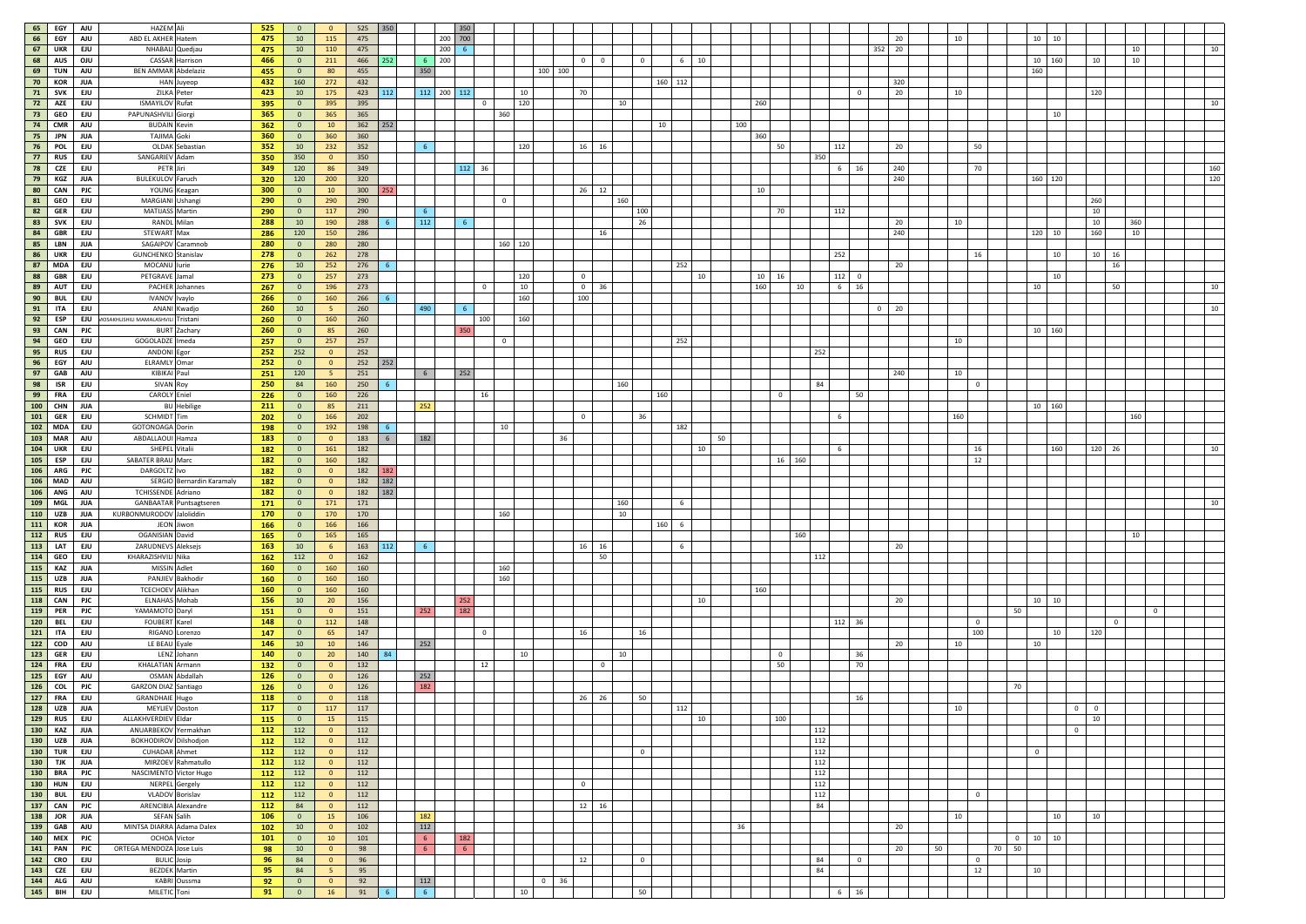| EGY<br><b>AJU</b>                       |                                     |          |                                  |                         |          |                |                       |                |                |         |                |              |                |         |    |     |             |         |             |         |     |    |                |          |                       |         |                |                |                |        |
|-----------------------------------------|-------------------------------------|----------|----------------------------------|-------------------------|----------|----------------|-----------------------|----------------|----------------|---------|----------------|--------------|----------------|---------|----|-----|-------------|---------|-------------|---------|-----|----|----------------|----------|-----------------------|---------|----------------|----------------|----------------|--------|
| 65                                      | HAZEM Ali                           | 525      | $\overline{0}$                   | $\circ$                 | 525      | 350            |                       | 350            |                |         |                |              |                |         |    |     |             |         |             |         |     |    |                |          |                       |         |                |                |                |        |
| 66<br>EGY<br><b>AJU</b>                 | ABD EL AKHER Hatem                  | 475      | 10                               | 115                     | 475      |                |                       | 700<br>200     |                |         |                |              |                |         |    |     |             |         |             |         | 20  |    | 10             |          | 10                    | 10      |                |                |                |        |
| <b>UKR</b>                              |                                     |          |                                  |                         |          |                |                       | 6 <sup>1</sup> |                |         |                |              |                |         |    |     |             |         |             |         | 20  |    |                |          |                       |         |                |                |                |        |
| 67<br>EJU                               | NHABALI Quedjau                     | 475      | 10                               | 110                     | 475      |                |                       | 200            |                |         |                |              |                |         |    |     |             |         |             | 352     |     |    |                |          |                       |         |                |                | 10             | $10\,$ |
| 68<br><b>AUS</b><br>OJU                 | <b>CASSAR</b> Harrison              | 466      | $\overline{0}$                   | 211                     | 466      | 252            | 6 <sub>1</sub>        | 200            |                |         | $\overline{0}$ | $\mathbf{0}$ | $\circ$        | 6       | 10 |     |             |         |             |         |     |    |                |          |                       | 10 160  |                | 10             | 10             |        |
| 69<br><b>TUN</b><br>AJU                 | <b>BEN AMMAR Abdelaziz</b>          | 455      | $\overline{0}$                   | 80                      | 455      |                | 350                   |                |                |         | 100 100        |              |                |         |    |     |             |         |             |         |     |    |                |          | 160                   |         |                |                |                |        |
| 70<br><b>KOR</b><br><b>JUA</b>          | HAN Juyeop                          | 432      | 160                              | 272                     | 432      |                |                       |                |                |         |                |              |                | 160 112 |    |     |             |         |             |         | 320 |    |                |          |                       |         |                |                |                |        |
|                                         |                                     |          |                                  |                         |          |                |                       |                |                |         |                |              |                |         |    |     |             |         |             |         |     |    |                |          |                       |         |                |                |                |        |
| 71<br><b>SVK</b><br>EJU                 | ZILKA Peter                         | 423      | 10                               | 175                     | 423      | 112            | 112 200 112           |                |                | 10      | 70             |              |                |         |    |     |             |         | $\circ$     |         | 20  |    | 10             |          |                       |         |                | 120            |                |        |
| 72<br>AZE<br>EJU                        | ISMAYILOV Rufat                     | 395      | $\overline{0}$                   | 395                     | 395      |                |                       |                | $\overline{0}$ | 120     |                | 10           |                |         |    | 260 |             |         |             |         |     |    |                |          |                       |         |                |                |                | $10\,$ |
| 73<br>GEO<br>EJU                        | PAPUNASHVILI Giorgi                 | 365      | $\overline{0}$                   | 365                     | 365      |                |                       |                | 360            |         |                |              |                |         |    |     |             |         |             |         |     |    |                |          |                       | 10      |                |                |                |        |
|                                         |                                     |          |                                  |                         |          |                |                       |                |                |         |                |              |                |         |    |     |             |         |             |         |     |    |                |          |                       |         |                |                |                |        |
| 74<br><b>CMR</b><br>AJU                 | <b>BUDAIN</b> Kevin                 | 362      | $\overline{0}$                   | 10 <sup>°</sup>         | 362      | 252            |                       |                |                |         |                |              | 10             |         |    | 100 |             |         |             |         |     |    |                |          |                       |         |                |                |                |        |
| 75<br><b>JPN</b><br><b>JUA</b>          | TAJIMA Goki                         | 360      | $\overline{0}$                   | 360                     | 360      |                |                       |                |                |         |                |              |                |         |    | 360 |             |         |             |         |     |    |                |          |                       |         |                |                |                |        |
| 76<br>POL<br><b>EJU</b>                 | OLDAK Sebastian                     | 352      | 10                               | 232                     | 352      |                | 6 <sup>1</sup>        |                |                | 120     |                | 16 16        |                |         |    |     | 50          |         | 112         |         | 20  |    | 50             |          |                       |         |                |                |                |        |
|                                         |                                     |          |                                  |                         |          |                |                       |                |                |         |                |              |                |         |    |     |             |         |             |         |     |    |                |          |                       |         |                |                |                |        |
| 77<br><b>RUS</b><br>EJU                 | SANGARIEV Adam                      | 350      | 350                              | $\overline{0}$          | 350      |                |                       |                |                |         |                |              |                |         |    |     |             | 350     |             |         |     |    |                |          |                       |         |                |                |                |        |
| 78<br>CZE<br>EJU                        | PETR Jiri                           | 349      | 120                              | 86                      | 349      |                |                       | 112            | 36             |         |                |              |                |         |    |     |             |         | 16<br>6     |         | 240 |    | 70             |          |                       |         |                |                |                | 160    |
| 79<br><b>KGZ</b><br><b>JUA</b>          | <b>BULEKULOV</b> Faruch             | 320      | 120                              | 200                     | 320      |                |                       |                |                |         |                |              |                |         |    |     |             |         |             |         | 240 |    |                |          |                       | 160 120 |                |                |                | 120    |
|                                         |                                     |          |                                  |                         |          |                |                       |                |                |         |                |              |                |         |    |     |             |         |             |         |     |    |                |          |                       |         |                |                |                |        |
| 80<br>CAN<br>PJC                        | YOUNG Keagan                        | 300      | $\overline{0}$                   | 10                      | 300      | 252            |                       |                |                |         |                | 26 12        |                |         |    | 10  |             |         |             |         |     |    |                |          |                       |         |                |                |                |        |
| 81<br>GEO<br>EJU                        | MARGIANI Ushangi                    | 290      | $\overline{0}$                   | 290                     | 290      |                |                       |                | $^{\circ}$     |         |                | 160          |                |         |    |     |             |         |             |         |     |    |                |          |                       |         |                | 260            |                |        |
| <b>GER</b><br>82<br>EJU                 | MATIJASS Martin                     | 290      | $\overline{0}$                   | 117                     | 290      |                | 6 <sup>5</sup>        |                |                |         |                |              | 100            |         |    |     | 70          |         | 112         |         |     |    |                |          |                       |         |                | 10             |                |        |
| 83<br><b>SVK</b><br>EJU                 | RANDL Milan                         | 288      | 10                               | 190                     | 288      | 6 <sup>1</sup> | 112                   | 6 <sup>1</sup> |                |         |                |              | 26             |         |    |     |             |         |             |         | 20  |    | 10             |          |                       |         |                | 10             | 360            |        |
|                                         |                                     |          |                                  |                         |          |                |                       |                |                |         |                |              |                |         |    |     |             |         |             |         |     |    |                |          |                       |         |                |                |                |        |
| 84<br><b>GBR</b><br>EJU                 | STEWART Max                         | 286      | 120                              | 150                     | 286      |                |                       |                |                |         |                | 16           |                |         |    |     |             |         |             |         | 240 |    |                |          |                       | 120 10  |                | 160            | 10             |        |
| 85<br>LBN<br><b>JUA</b>                 | SAGAIPOV Caramnob                   | 280      | $\overline{0}$                   | 280                     | 280      |                |                       |                |                | 160 120 |                |              |                |         |    |     |             |         |             |         |     |    |                |          |                       |         |                |                |                |        |
| 86<br><b>UKR</b><br>EJU                 | <b>GUNCHENKO</b> Stanislav          | 278      |                                  | 262                     | 278      |                |                       |                |                |         |                |              |                |         |    |     |             |         | 252         |         |     |    |                |          |                       | 10      |                | 10 16          |                |        |
|                                         |                                     |          | $\overline{0}$                   |                         |          |                |                       |                |                |         |                |              |                |         |    |     |             |         |             |         |     |    | 16             |          |                       |         |                |                |                |        |
| 87<br><b>MDA</b><br>EJU                 | MOCANU lurie                        | 276      | 10                               | 252                     | 276      | 6              |                       |                |                |         |                |              |                | 252     |    |     |             |         |             |         | 20  |    |                |          |                       |         |                | 16             |                |        |
| 88<br>GBR<br>EJU                        | PETGRAVE Jamal                      | 273      | $\overline{0}$                   | 257                     | 273      |                |                       |                |                | 120     | $\overline{0}$ |              |                |         | 10 | 10  | 16          |         | 112 0       |         |     |    |                |          |                       | 10      |                |                |                |        |
| 89<br><b>AUT</b><br><b>EJU</b>          | PACHER Johannes                     | 267      | $\overline{0}$                   | 196                     | 273      |                |                       |                | $\circ$        | 10      | $\overline{0}$ | 36           |                |         |    | 160 | 10          |         | $6-1$<br>16 |         |     |    |                |          | 10                    |         |                | 50             |                | $10\,$ |
|                                         |                                     |          |                                  |                         |          |                |                       |                |                |         |                |              |                |         |    |     |             |         |             |         |     |    |                |          |                       |         |                |                |                |        |
| 90<br><b>BUL</b><br><b>EJU</b>          | IVANOV Ivaylo                       | 266      | $\overline{0}$                   | 160                     | 266      | 6.             |                       |                |                | 160     | 100            |              |                |         |    |     |             |         |             |         |     |    |                |          |                       |         |                |                |                |        |
| 91<br><b>ITA</b><br>EJU                 | ANANI Kwadjo                        | 260      | 10                               | 5 <sub>1</sub>          | 260      |                | 490                   | 6              |                |         |                |              |                |         |    |     |             |         |             | $\circ$ | 20  |    |                |          |                       |         |                |                |                | $10\,$ |
| 92<br>ESP<br>EJU                        | MOSAKHLISHILI MAMALASHVILI Tristani | 260      | $\overline{0}$                   | 160                     | 260      |                |                       |                | 100            | 160     |                |              |                |         |    |     |             |         |             |         |     |    |                |          |                       |         |                |                |                |        |
| 93<br>CAN<br>PJC                        | <b>BURT</b> Zachary                 | 260      | $\overline{0}$                   | 85                      | 260      |                |                       | 350            |                |         |                |              |                |         |    |     |             |         |             |         |     |    |                |          |                       | 10 160  |                |                |                |        |
|                                         |                                     |          |                                  |                         |          |                |                       |                |                |         |                |              |                |         |    |     |             |         |             |         |     |    |                |          |                       |         |                |                |                |        |
| 94<br>GEO<br>EJU                        | GOGOLADZE Imeda                     | 257      | $\overline{0}$                   | 257                     | 257      |                |                       |                | $\mathbf{0}$   |         |                |              |                | 252     |    |     |             |         |             |         |     |    | 10             |          |                       |         |                |                |                |        |
| 95<br><b>RUS</b><br><b>EJU</b>          | ANDONI Egor                         | 252      | 252                              | $\overline{0}$          | 252      |                |                       |                |                |         |                |              |                |         |    |     |             | 252     |             |         |     |    |                |          |                       |         |                |                |                |        |
| 96<br>EGY<br>AJU                        | <b>ELRAMLY</b> Omar                 | 252      | $\overline{0}$                   | $\overline{0}$          | 252      | 252            |                       |                |                |         |                |              |                |         |    |     |             |         |             |         |     |    |                |          |                       |         |                |                |                |        |
|                                         |                                     |          |                                  |                         |          |                |                       |                |                |         |                |              |                |         |    |     |             |         |             |         |     |    |                |          |                       |         |                |                |                |        |
| 97<br>GAB<br><b>AJU</b>                 | KIBIKAI Paul                        | 251      | 120                              | 5 <sub>1</sub>          | 251      |                | 6                     | 252            |                |         |                |              |                |         |    |     |             |         |             |         | 240 |    | 10             |          |                       |         |                |                |                |        |
| 98<br><b>ISR</b><br>EJU                 | SIVAN Roy                           | 250      | 84                               | 160                     | 250      | 6              |                       |                |                |         |                | 160          |                |         |    |     |             | 84      |             |         |     |    | $\mathbf{0}$   |          |                       |         |                |                |                |        |
| 99<br><b>FRA</b><br>EJU                 | CAROLY Eniel                        | 226      | $\overline{0}$                   | 160                     | 226      |                |                       |                | 16             |         |                |              | 160            |         |    |     | $\circ$     |         | 50          |         |     |    |                |          |                       |         |                |                |                |        |
| 100<br><b>CHN</b>                       | <b>BU</b> Hebilige                  |          |                                  |                         | 211      |                |                       |                |                |         |                |              |                |         |    |     |             |         |             |         |     |    |                |          |                       | 10 160  |                |                |                |        |
| <b>JUA</b>                              |                                     | 211      | $\overline{0}$                   | 85                      |          |                | 252                   |                |                |         |                |              |                |         |    |     |             |         |             |         |     |    |                |          |                       |         |                |                |                |        |
| 101<br><b>GER</b><br>EJU                | SCHMIDT Tim                         | 202      | $\overline{0}$                   | 166                     | 202      |                |                       |                |                |         | $\overline{0}$ |              | 36             |         |    |     |             |         | 6           |         |     |    | 160            |          |                       |         |                |                | 160            |        |
| 102<br><b>MDA</b><br>EJU                | GOTONOAGA Dorin                     | 198      | $\overline{0}$                   | 192                     | 198      | 6 <sup>1</sup> |                       |                | 10             |         |                |              |                | 182     |    |     |             |         |             |         |     |    |                |          |                       |         |                |                |                |        |
| 103<br><b>MAR</b><br>AJU                | ABDALLAOUI Hamza                    |          |                                  | $\overline{0}$          | 183      |                | 182                   |                |                |         | 36             |              |                |         |    |     |             |         |             |         |     |    |                |          |                       |         |                |                |                |        |
|                                         |                                     | 183      | $\overline{0}$                   |                         |          | 6 <sub>1</sub> |                       |                |                |         |                |              |                |         | 50 |     |             |         |             |         |     |    |                |          |                       |         |                |                |                |        |
| 104<br><b>UKR</b><br>EJU                | SHEPEL Vitalii                      | 182      | $\overline{0}$                   | 161                     | 182      |                |                       |                |                |         |                |              |                |         | 10 |     |             |         | 6           |         |     |    | 16             |          |                       | 160     |                | 120 26         |                | $10\,$ |
| 105<br>ESP<br>EJU                       | SABATER BRAU Marc                   | 182      | $\overline{0}$                   | 160                     | 182      |                |                       |                |                |         |                |              |                |         |    |     | 16 160      |         |             |         |     |    | 12             |          |                       |         |                |                |                |        |
| <b>ARG</b><br>PJC                       | DARGOLTZ Ivo                        |          |                                  |                         | 182      | 182            |                       |                |                |         |                |              |                |         |    |     |             |         |             |         |     |    |                |          |                       |         |                |                |                |        |
| 106                                     |                                     | 182      | $\overline{0}$                   | $\mathbf{0}$            |          |                |                       |                |                |         |                |              |                |         |    |     |             |         |             |         |     |    |                |          |                       |         |                |                |                |        |
|                                         |                                     |          |                                  |                         |          |                |                       |                |                |         |                |              |                |         |    |     |             |         |             |         |     |    |                |          |                       |         |                |                |                |        |
| 106<br><b>MAD</b><br>AJU                | SERGIO Bernardin Karamaly           | 182      | $\overline{0}$                   | $\circ$                 | 182      | 182            |                       |                |                |         |                |              |                |         |    |     |             |         |             |         |     |    |                |          |                       |         |                |                |                |        |
|                                         |                                     |          |                                  |                         |          |                |                       |                |                |         |                |              |                |         |    |     |             |         |             |         |     |    |                |          |                       |         |                |                |                |        |
| 106<br><b>ANG</b><br>AJU                | <b>TCHISSENDE</b> Adriano           | 182      | $\overline{0}$                   | $\overline{0}$          | 182      | 182            |                       |                |                |         |                |              |                |         |    |     |             |         |             |         |     |    |                |          |                       |         |                |                |                |        |
| 109 MGL<br><b>JUA</b>                   | GANBAATAR Puntsagtseren             | 171      | $\overline{0}$                   | 171                     | 171      |                |                       |                |                |         |                | 160          |                | 6       |    |     |             |         |             |         |     |    |                |          |                       |         |                |                |                | $10\,$ |
| 110<br><b>UZB</b><br><b>JUA</b>         | KURBONMURODOV Jaloliddin            | 170      | $\overline{0}$                   | 170                     | 170      |                |                       |                | 160            |         |                | 10           |                |         |    |     |             |         |             |         |     |    |                |          |                       |         |                |                |                |        |
|                                         |                                     |          |                                  |                         |          |                |                       |                |                |         |                |              |                |         |    |     |             |         |             |         |     |    |                |          |                       |         |                |                |                |        |
| 111 KOR<br><b>JUA</b>                   | JEON Jiwon                          | 166      | $\mathbf 0$                      | 166                     | 166      |                |                       |                |                |         |                |              |                | 160 6   |    |     |             |         |             |         |     |    |                |          |                       |         |                |                |                |        |
| 112 RUS<br><b>EJU</b>                   | OGANISIAN David                     | 165      | $\overline{0}$                   | 165                     | 165      |                |                       |                |                |         |                |              |                |         |    |     | 160         |         |             |         |     |    |                |          |                       |         |                |                | 10             |        |
| 113<br>LAT<br>EJU                       | ZARUDNEVS Aleksejs                  | 163      | 10                               | 6 <sup>6</sup>          | 163      | 112            | 6 <sup>6</sup>        |                |                |         | 16             | 16           |                | 6       |    |     |             |         |             |         | 20  |    |                |          |                       |         |                |                |                |        |
| 114<br>GEO<br>EJU                       | KHARAZISHVILI Nika                  | 162      | 112                              | $\overline{0}$          | 162      |                |                       |                |                |         |                | 50           |                |         |    |     |             | 112     |             |         |     |    |                |          |                       |         |                |                |                |        |
|                                         |                                     |          |                                  |                         |          |                |                       |                |                |         |                |              |                |         |    |     |             |         |             |         |     |    |                |          |                       |         |                |                |                |        |
| 115<br><b>KAZ</b><br><b>JUA</b>         | MISSIN Adlet                        | 160      | $\overline{0}$                   | 160                     | 160      |                |                       |                | 160            |         |                |              |                |         |    |     |             |         |             |         |     |    |                |          |                       |         |                |                |                |        |
| 115<br><b>UZB</b><br><b>JUA</b>         | PANJIEV Bakhodir                    | 160      | $\overline{0}$                   | 160                     | 160      |                |                       |                | 160            |         |                |              |                |         |    |     |             |         |             |         |     |    |                |          |                       |         |                |                |                |        |
| 115<br><b>RUS</b><br>EJU                | <b>TCECHOEV</b> Alikhan             | 160      | $\overline{0}$                   | 160                     | 160      |                |                       |                |                |         |                |              |                |         |    | 160 |             |         |             |         |     |    |                |          |                       |         |                |                |                |        |
| CAN<br>PJC                              | <b>ELNAHAS</b> Mohab                | 156      | 10                               | 20 <sup>°</sup>         | 156      |                |                       | 252            |                |         |                |              |                |         | 10 |     |             |         |             |         | 20  |    |                |          | 10                    | 10      |                |                |                |        |
| 118                                     |                                     |          |                                  |                         |          |                |                       |                |                |         |                |              |                |         |    |     |             |         |             |         |     |    |                |          |                       |         |                |                |                |        |
| 119<br>PER<br>PJC                       | YAMAMOTO Daryl                      | 151      | $\overline{0}$                   | $\overline{0}$          | 151      |                | 252                   | 182            |                |         |                |              |                |         |    |     |             |         |             |         |     |    |                | 50       |                       |         |                |                | $\overline{0}$ |        |
| 120<br><b>BEL</b><br>EJU                | FOUBERT Karel                       | 148      | $\overline{0}$                   | 112                     | 148      |                |                       |                |                |         |                |              |                |         |    |     |             |         | 112 36      |         |     |    | $\overline{0}$ |          |                       |         |                | $\circ$        |                |        |
| 121<br><b>ITA</b><br>EJU                | RIGANO Lorenzo                      | 147      | $\overline{0}$                   | 65                      | 147      |                |                       |                | $\overline{0}$ |         | 16             |              | 16             |         |    |     |             |         |             |         |     |    | 100            |          |                       | 10      |                | 120            |                |        |
| 122<br>COD<br>AJU                       |                                     |          | 10                               | 10                      | 146      |                | 252                   |                |                |         |                |              |                |         |    |     |             |         |             |         | 20  |    | 10             |          | 10                    |         |                |                |                |        |
|                                         | LE BEAU Eyale                       | 146      |                                  |                         |          |                |                       |                |                |         |                |              |                |         |    |     |             |         |             |         |     |    |                |          |                       |         |                |                |                |        |
| 123<br><b>GER</b><br>EJU                | LENZ Johann                         | 140      | $\overline{0}$                   | 20                      | 140      | 84             |                       |                |                | 10      |                | 10           |                |         |    |     | $\mathbf 0$ |         | 36          |         |     |    |                |          |                       |         |                |                |                |        |
| 124<br><b>FRA</b><br>EJU                | KHALATIAN Armann                    | 132      | $\overline{0}$                   | $\mathbf{0}$            | 132      |                |                       |                | 12             |         |                | $\circ$      |                |         |    |     | 50          |         | 70          |         |     |    |                |          |                       |         |                |                |                |        |
| 125<br>EGY<br>AJU                       | OSMAN Abdallah                      | 126      | $\overline{0}$                   | $\mathbf{0}$            | 126      |                | 252                   |                |                |         |                |              |                |         |    |     |             |         |             |         |     |    |                |          |                       |         |                |                |                |        |
|                                         |                                     |          | $\overline{0}$                   | $\overline{0}$          | 126      |                | 182                   |                |                |         |                |              |                |         |    |     |             |         |             |         |     |    |                | 70       |                       |         |                |                |                |        |
| 126<br>COL<br>PJC                       | GARZON DIAZ Santiago                | 126      |                                  |                         |          |                |                       |                |                |         |                |              |                |         |    |     |             |         |             |         |     |    |                |          |                       |         |                |                |                |        |
| 127<br><b>FRA</b><br>EJU                | <b>GRANDHAIE</b> Hugo               | 118      | $\overline{0}$                   | $\circ$                 | 118      |                |                       |                |                |         |                | 26 26        | 50             |         |    |     |             |         | 16          |         |     |    |                |          |                       |         |                |                |                |        |
| 128<br><b>UZB</b><br><b>JUA</b>         | MEYLIEV Doston                      | 117      | $\overline{0}$                   | 117                     | 117      |                |                       |                |                |         |                |              |                | 112     |    |     |             |         |             |         |     |    | 10             |          |                       |         | $\circ$        | $\overline{0}$ |                |        |
|                                         |                                     |          | $\overline{0}$                   | 15                      |          |                |                       |                |                |         |                |              |                |         | 10 |     | 100         |         |             |         |     |    |                |          |                       |         |                | 10             |                |        |
| 129 RUS<br>EJU                          | ALLAKHVERDIEV Eldar                 | 115      |                                  |                         | 115      |                |                       |                |                |         |                |              |                |         |    |     |             |         |             |         |     |    |                |          |                       |         |                |                |                |        |
| 130 KAZ<br><b>JUA</b>                   | ANUARBEKOV Yermakhan                | 112      | 112                              | $\overline{0}$          | 112      |                |                       |                |                |         |                |              |                |         |    |     |             | 112     |             |         |     |    |                |          |                       |         | $\overline{0}$ |                |                |        |
| 130 UZB<br><b>JUA</b>                   | <b>BOKHODIROV</b> Dilshodjon        | 112      | 112                              | $\bullet$               | 112      |                |                       |                |                |         |                |              |                |         |    |     |             | 112     |             |         |     |    |                |          |                       |         |                |                |                |        |
| 130 TUR<br>EJU                          | CUHADAR Ahmet                       | 112      | 112                              | $\overline{0}$          | 112      |                |                       |                |                |         |                |              | $\mathbf{0}$   |         |    |     |             | 112     |             |         |     |    |                |          | $\circ$               |         |                |                |                |        |
|                                         |                                     |          |                                  |                         |          |                |                       |                |                |         |                |              |                |         |    |     |             |         |             |         |     |    |                |          |                       |         |                |                |                |        |
| 130 TJK<br>JUA                          | MIRZOEV Rahmatullo                  | 112      | 112                              | $\bullet$               | 112      |                |                       |                |                |         |                |              |                |         |    |     |             | 112     |             |         |     |    |                |          |                       |         |                |                |                |        |
| 130 BRA<br>PJC                          | NASCIMENTO Victor Hugo              | 112      | 112                              | $\bullet$               | 112      |                |                       |                |                |         |                |              |                |         |    |     |             | 112     |             |         |     |    |                |          |                       |         |                |                |                |        |
| 130 HUN<br>EJU                          | NERPEL Gergely                      | 112      | 112                              | $\overline{0}$          | 112      |                |                       |                |                |         | $\circ$        |              |                |         |    |     |             | 112     |             |         |     |    |                |          |                       |         |                |                |                |        |
|                                         |                                     |          |                                  |                         |          |                |                       |                |                |         |                |              |                |         |    |     |             |         |             |         |     |    |                |          |                       |         |                |                |                |        |
| 130 BUL<br>EJU                          | VLADOV Borislav                     | 112      | 112                              | $\circ$                 | 112      |                |                       |                |                |         |                |              |                |         |    |     |             | $112\,$ |             |         |     |    | $\circ$        |          |                       |         |                |                |                |        |
| 137 CAN<br>PJC                          | ARENCIBIA Alexandre                 | 112      | 84                               | $\overline{0}$          | 112      |                |                       |                |                |         |                | 12 16        |                |         |    |     |             | 84      |             |         |     |    |                |          |                       |         |                |                |                |        |
| 138 JOR<br><b>JUA</b>                   | SEFAN Salih                         | 106      | $\overline{0}$                   | 15                      | 106      |                | 182                   |                |                |         |                |              |                |         |    |     |             |         |             |         |     |    | 10             |          |                       | 10      |                | 10             |                |        |
|                                         |                                     |          |                                  |                         |          |                |                       |                |                |         |                |              |                |         |    |     |             |         |             |         |     |    |                |          |                       |         |                |                |                |        |
| 139 GAB<br><b>AJU</b>                   | MINTSA DIARRA Adama Dalex           | 102      | $10\,$                           | $\overline{\mathbf{0}}$ | 102      |                | 112                   |                |                |         |                |              |                |         |    | 36  |             |         |             |         | 20  |    |                |          |                       |         |                |                |                |        |
| 140 MEX<br>PJC                          | OCHOA Victor                        | 101      | $\overline{0}$                   | 10                      | 101      |                | 6 <sub>1</sub>        | 182            |                |         |                |              |                |         |    |     |             |         |             |         |     |    |                |          | $0\qquad 10\qquad 10$ |         |                |                |                |        |
| 141 PAN<br>PJC                          | ORTEGA MENDOZA Jose Luis            | 98       | 10                               | $\overline{0}$          | 98       |                | 6 <sup>1</sup>        | 6 <sup>1</sup> |                |         |                |              |                |         |    |     |             |         |             |         | 20  | 50 |                | 70<br>50 |                       |         |                |                |                |        |
| 142 CRO<br>EJU                          | <b>BULIC</b> Josip                  | 96       | 84                               | $\circ$                 | 96       |                |                       |                |                |         | 12             |              | $\overline{0}$ |         |    |     |             | 84      | $\circ$     |         |     |    | $\overline{0}$ |          |                       |         |                |                |                |        |
|                                         |                                     |          |                                  |                         |          |                |                       |                |                |         |                |              |                |         |    |     |             |         |             |         |     |    |                |          |                       |         |                |                |                |        |
| 143 CZE<br>EJU                          | <b>BEZDEK</b> Martin                | 95       | 84                               | 5                       | 95       |                |                       |                |                |         |                |              |                |         |    |     |             | 84      |             |         |     |    | 12             |          | $10\,$                |         |                |                |                |        |
| 144 ALG<br><b>AJU</b><br>145 BIH<br>EJU | KABRI Oussma<br>MILETIC Toni        | 92<br>91 | $\overline{0}$<br>$\overline{0}$ | $\overline{0}$<br>16    | 92<br>91 | $6-1$          | 112<br>6 <sup>1</sup> |                |                | 10      | $0 \quad 36$   |              | 50             |         |    |     |             |         | $6 \mid 16$ |         |     |    |                |          |                       |         |                |                |                |        |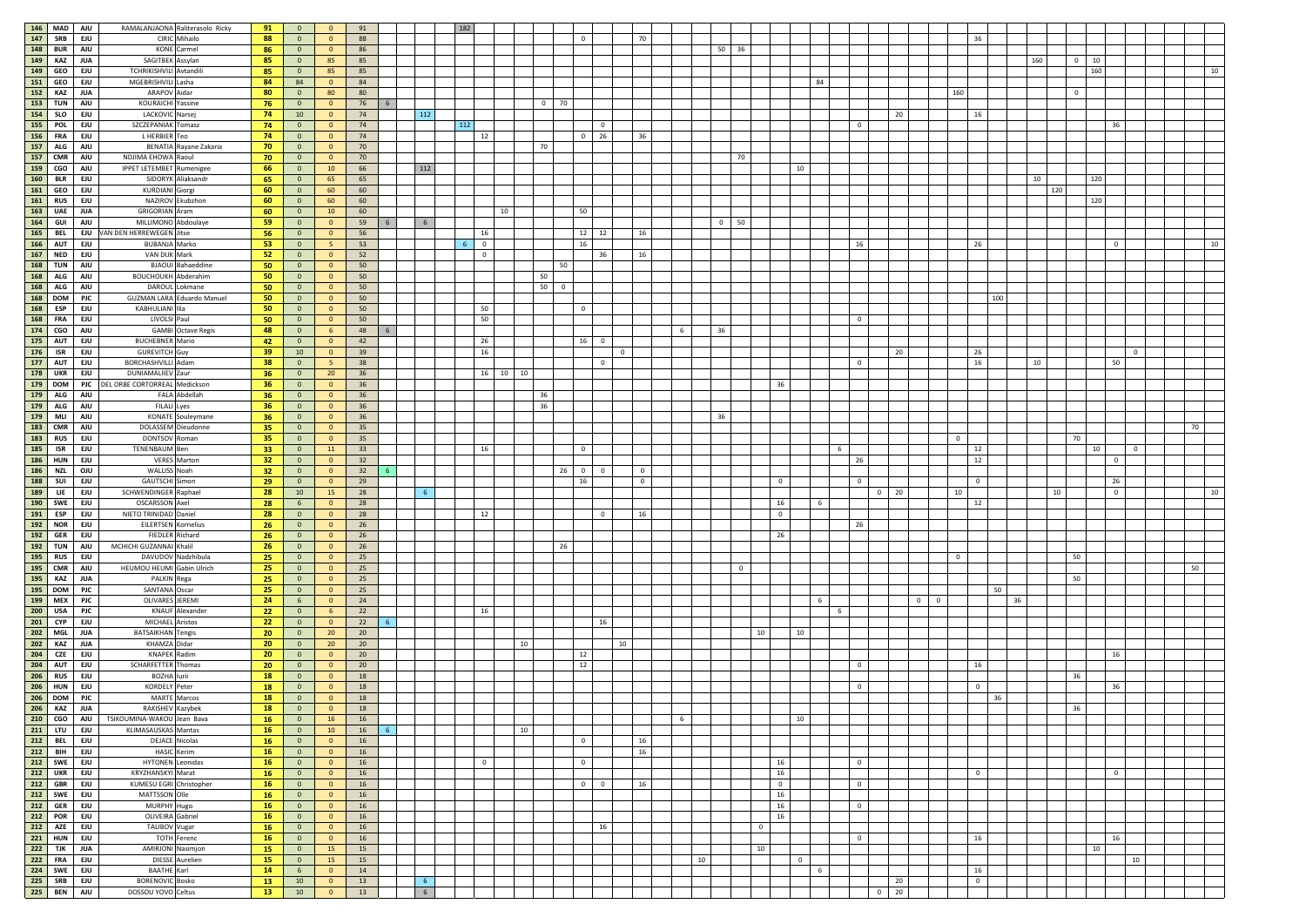| 146 MAD<br><b>AJU</b>                   | RAMALANJAONA Raliterasolo Ricky              | 91        | $\overline{0}$          | $\overline{0}$                   | 91       |                |                     | 182 |                |    |                               |                |              |                 |                |                |                |         |                |              |                           |                |              |     |        |              |     |                |    |
|-----------------------------------------|----------------------------------------------|-----------|-------------------------|----------------------------------|----------|----------------|---------------------|-----|----------------|----|-------------------------------|----------------|--------------|-----------------|----------------|----------------|----------------|---------|----------------|--------------|---------------------------|----------------|--------------|-----|--------|--------------|-----|----------------|----|
| 147 SRB<br>EJU                          | CIRIC Mihailo                                | 88        | $\overline{0}$          | $\overline{0}$                   | 88       |                |                     |     |                |    | $\overline{0}$                |                | 70           |                 |                |                |                |         |                |              |                           |                | 36           |     |        |              |     |                |    |
| 148 BUR<br>AJU                          | KONE Carmel                                  | 86        | $\overline{0}$          | $\circ$                          | 86       |                |                     |     |                |    |                               |                |              |                 |                | 50 36          |                |         |                |              |                           |                |              |     |        |              |     |                |    |
| 149 KAZ<br><b>JUA</b>                   | SAGITBEK Assylan                             | 85        | $\overline{0}$          | 85                               | 85       |                |                     |     |                |    |                               |                |              |                 |                |                |                |         |                |              |                           |                |              |     | 160    | $\mathbf{0}$ | 10  |                |    |
| 149<br>GEO<br>EJU                       | <b>TCHRIKISHVILI Avtandili</b>               | 85        | $\overline{0}$          | 85                               | 85       |                |                     |     |                |    |                               |                |              |                 |                |                |                |         |                |              |                           |                |              |     |        |              | 160 |                | 10 |
| 151<br>GEO<br>EJU                       | MGEBRISHVILI Lasha                           | 84        | 84                      | $\overline{0}$                   | 84       |                |                     |     |                |    |                               |                |              |                 |                |                |                | 84      |                |              |                           |                |              |     |        |              |     |                |    |
|                                         |                                              |           |                         |                                  |          |                |                     |     |                |    |                               |                |              |                 |                |                |                |         |                |              |                           |                |              |     |        |              |     |                |    |
| 152<br><b>KAZ</b><br><b>JUA</b>         | ARAPOV Aidar                                 | 80        | $\overline{0}$          | 80                               | 80       |                |                     |     |                |    |                               |                |              |                 |                |                |                |         |                |              |                           | 160            |              |     |        | $\mathbf{0}$ |     |                |    |
| 153<br><b>TUN</b><br>AJU                | KOURAICHI Yassine                            | 76        | $\overline{0}$          | $\overline{0}$                   | 76       | 6 <sup>1</sup> |                     |     |                |    | $0$ 70                        |                |              |                 |                |                |                |         |                |              |                           |                |              |     |        |              |     |                |    |
| 154 SLO<br>EJU                          | LACKOVIC Narsej                              | 74        | $10\,$                  | $\circ$                          | 74       |                | 112                 |     |                |    |                               |                |              |                 |                |                |                |         |                | 20           |                           |                | 16           |     |        |              |     |                |    |
| 155 POL<br><b>EJU</b>                   | SZCZEPANIAK Tomasz                           | 74        | $\overline{0}$          | $\overline{0}$                   | 74       |                |                     | 112 |                |    |                               | $\mathbf{0}$   |              |                 |                |                |                |         | $\circ$        |              |                           |                |              |     |        |              |     | 36             |    |
| 156<br><b>FRA</b><br>EJU                | L HERBIER Teo                                | 74        | $\overline{0}$          | $\overline{0}$                   | 74       |                |                     |     | 12             |    | $\overline{0}$                | 26             | 36           |                 |                |                |                |         |                |              |                           |                |              |     |        |              |     |                |    |
|                                         |                                              |           |                         |                                  |          |                |                     |     |                |    |                               |                |              |                 |                |                |                |         |                |              |                           |                |              |     |        |              |     |                |    |
| 157<br><b>ALG</b><br>AJU                | BENATIA Rayane Zakaria                       | 70        | $\overline{0}$          | $\overline{0}$                   | 70       |                |                     |     |                |    | 70                            |                |              |                 |                |                |                |         |                |              |                           |                |              |     |        |              |     |                |    |
| 157<br><b>CMR</b><br>AJU                | NDJIMA EHOWA Raoul                           | 70        | $\overline{0}$          | $\circ$                          | 70       |                |                     |     |                |    |                               |                |              |                 |                | 70             |                |         |                |              |                           |                |              |     |        |              |     |                |    |
| 159<br>CGO<br><b>AJU</b>                | <b>IPPET LETEMBET</b> Rumenigee              | 66        | $\overline{0}$          | 10                               | 66       |                | 112                 |     |                |    |                               |                |              |                 |                |                |                | 10      |                |              |                           |                |              |     |        |              |     |                |    |
| 160<br><b>BLR</b><br>EJU                | SIDORYK Aliaksandr                           | 65        | $\overline{0}$          | 65                               | 65       |                |                     |     |                |    |                               |                |              |                 |                |                |                |         |                |              |                           |                |              |     | 10     |              | 120 |                |    |
| 161<br>GEO<br>EJU                       | KURDIANI Giorgi                              | 60        | $\overline{0}$          | 60                               | 60       |                |                     |     |                |    |                               |                |              |                 |                |                |                |         |                |              |                           |                |              |     |        | 120          |     |                |    |
|                                         |                                              | 60        |                         |                                  |          |                |                     |     |                |    |                               |                |              |                 |                |                |                |         |                |              |                           |                |              |     |        |              |     |                |    |
| 161<br><b>RUS</b><br>EJU                | NAZIROV Ekubzhon                             |           | $\overline{0}$          | 60                               | 60       |                |                     |     |                |    |                               |                |              |                 |                |                |                |         |                |              |                           |                |              |     |        |              | 120 |                |    |
| 163<br><b>UAE</b><br><b>JUA</b>         | GRIGORIAN Aram                               | 60        | $\overline{0}$          | 10                               | 60       |                |                     |     | 10             |    | 50                            |                |              |                 |                |                |                |         |                |              |                           |                |              |     |        |              |     |                |    |
| 164<br>GUI<br>AJU                       | MILLIMONO Abdoulaye                          | 59        | $\overline{0}$          | $\circ$                          | 59       | 6              | 6 <sup>5</sup>      |     |                |    |                               |                |              |                 | $\overline{0}$ | 50             |                |         |                |              |                           |                |              |     |        |              |     |                |    |
| 165<br><b>BEL</b>                       | <b>EJU</b> VAN DEN HERREWEGEN Jitse          | 56        | $\overline{0}$          | $\overline{0}$                   | 56       |                |                     |     | 16             |    | 12                            | 12             | 16           |                 |                |                |                |         |                |              |                           |                |              |     |        |              |     |                |    |
| 166<br><b>AUT</b><br>EJU                | <b>BUBANJA</b> Marko                         | 53        | $\overline{0}$          | 5 <sub>1</sub>                   | 53       |                |                     |     | $\circ$        |    | 16                            |                |              |                 |                |                |                |         | 16             |              |                           |                | 26           |     |        |              |     | $\circ$        | 10 |
| 167<br><b>NED</b><br>EJU                | VAN DIJK Mark                                | 52        | $\overline{0}$          | $\mathbf 0$                      | 52       |                |                     |     | $\overline{0}$ |    |                               | 36             | 16           |                 |                |                |                |         |                |              |                           |                |              |     |        |              |     |                |    |
|                                         |                                              |           |                         |                                  |          |                |                     |     |                |    |                               |                |              |                 |                |                |                |         |                |              |                           |                |              |     |        |              |     |                |    |
| 168<br><b>TUN</b><br>AJU                | <b>BJAOUI</b> Bahaeddine                     | 50        | $\overline{0}$          | $\mathbf{0}$                     | 50       |                |                     |     |                |    | 50                            |                |              |                 |                |                |                |         |                |              |                           |                |              |     |        |              |     |                |    |
| 168<br><b>ALG</b><br>AJU                | <b>BOUCHOUKH</b> Abderahim                   | 50        | $\overline{0}$          | $\overline{0}$                   | 50       |                |                     |     |                |    | 50                            |                |              |                 |                |                |                |         |                |              |                           |                |              |     |        |              |     |                |    |
| 168<br><b>ALG</b><br>AJU                | DAROUL Lokmane                               | 50        | $\overline{0}$          | $\circ$                          | 50       |                |                     |     |                |    | 50<br>$\overline{\mathbf{0}}$ |                |              |                 |                |                |                |         |                |              |                           |                |              |     |        |              |     |                |    |
| 168 DOM<br>PJC                          | <b>GUZMAN LARA Eduardo Manuel</b>            | 50        | $\overline{0}$          | $\bullet$                        | 50       |                |                     |     |                |    |                               |                |              |                 |                |                |                |         |                |              |                           |                | 100          |     |        |              |     |                |    |
| 168<br>ESP<br>EJU                       | KABHULIANI Ilia                              | 50        | $\overline{0}$          | $\bullet$                        | 50       |                |                     |     | 50             |    | $\overline{0}$                |                |              |                 |                |                |                |         |                |              |                           |                |              |     |        |              |     |                |    |
| 168<br><b>FRA</b><br>EJU                | LIVOLSI Paul                                 | 50        | $\overline{0}$          | $\mathbf 0$                      | 50       |                |                     |     | 50             |    |                               |                |              |                 |                |                |                |         | $\overline{0}$ |              |                           |                |              |     |        |              |     |                |    |
| 174 CGO<br><b>AJU</b>                   | <b>GAMBI</b> Octave Regis                    | 48        | $\overline{0}$          | 6                                | 48       | 6              |                     |     |                |    |                               |                |              | 6               | 36             |                |                |         |                |              |                           |                |              |     |        |              |     |                |    |
|                                         |                                              |           |                         |                                  |          |                |                     |     |                |    |                               |                |              |                 |                |                |                |         |                |              |                           |                |              |     |        |              |     |                |    |
| 175<br><b>AUT</b><br>EJU                | <b>BUCHEBNER</b> Mario                       | 42        | $\overline{0}$          | $\circ$                          | 42       |                |                     |     | 26             |    | 16                            | $\mathbf 0$    |              |                 |                |                |                |         |                |              |                           |                |              |     |        |              |     |                |    |
| 176<br><b>ISR</b><br>EJU                | <b>GUREVITCH Guy</b>                         | 39        | 10                      | $\bullet$                        | 39       |                |                     |     | 16             |    |                               | $\mathbf{0}$   |              |                 |                |                |                |         |                | 20           |                           |                | 26           |     |        |              |     | $\overline{0}$ |    |
| 177<br><b>AUT</b><br>EJU                | BORCHASHVILLI Adam                           | 38        | $\mathbf{0}$            | 5                                | 38       |                |                     |     |                |    |                               | $\overline{0}$ |              |                 |                |                |                |         | $\circ$        |              |                           |                | 16           |     | $10\,$ |              |     | 50             |    |
| 178<br><b>UKR</b><br>EJU                | DUNIAMALIIEV Zaur                            | 36        | $\overline{0}$          | 20                               | 36       |                |                     |     | 16 10          | 10 |                               |                |              |                 |                |                |                |         |                |              |                           |                |              |     |        |              |     |                |    |
| 179 DOM                                 | PJC DEL ORBE CORTORREAL Medickson            | 36        | $\overline{0}$          | $\overline{0}$                   | 36       |                |                     |     |                |    |                               |                |              |                 |                |                | 36             |         |                |              |                           |                |              |     |        |              |     |                |    |
| 179<br><b>ALG</b><br>AJU                | FALA Abdellah                                | 36        | $\overline{0}$          | $\mathbf{0}$                     | 36       |                |                     |     |                |    | 36                            |                |              |                 |                |                |                |         |                |              |                           |                |              |     |        |              |     |                |    |
|                                         |                                              |           |                         |                                  |          |                |                     |     |                |    |                               |                |              |                 |                |                |                |         |                |              |                           |                |              |     |        |              |     |                |    |
| 179<br><b>ALG</b><br>AJU                | <b>FILALI Lyes</b>                           | 36        | $\overline{0}$          | $\overline{0}$                   | 36       |                |                     |     |                |    | 36                            |                |              |                 |                |                |                |         |                |              |                           |                |              |     |        |              |     |                |    |
| 179<br><b>MLI</b><br>AJU                | KONATE Souleymane                            | 36        | $\overline{0}$          | $\overline{0}$                   | 36       |                |                     |     |                |    |                               |                |              |                 | 36             |                |                |         |                |              |                           |                |              |     |        |              |     |                |    |
| 183<br><b>CMR</b><br><b>AJU</b>         | DOLASSEM Dieudonne                           | 35        | $\overline{0}$          | $\overline{0}$                   | 35       |                |                     |     |                |    |                               |                |              |                 |                |                |                |         |                |              |                           |                |              |     |        |              |     |                | 70 |
| 183 RUS<br>EJU                          | DONTSOV Roman                                | 35        | $\overline{0}$          | $\overline{0}$                   | 35       |                |                     |     |                |    |                               |                |              |                 |                |                |                |         |                |              |                           | $\mathbf{0}$   |              |     |        | 70           |     |                |    |
| 185<br><b>ISR</b><br>EJU                | TENENBAUM Ben                                | 33        | $\overline{0}$          | 11                               | 33       |                |                     |     | 16             |    | $\Omega$                      |                |              |                 |                |                |                |         |                |              |                           |                | 12           |     |        |              | 10  | $\Omega$       |    |
| 186<br><b>HUN</b><br>EJU                | <b>VERES</b> Marton                          |           | $\overline{0}$          |                                  |          |                |                     |     |                |    |                               |                |              |                 |                |                |                |         |                |              |                           |                |              |     |        |              |     | $\circ$        |    |
|                                         |                                              |           |                         |                                  |          |                |                     |     |                |    |                               |                |              |                 |                |                |                |         |                |              |                           |                |              |     |        |              |     |                |    |
|                                         |                                              | 32        |                         | $\mathbf 0$                      | 32       |                |                     |     |                |    |                               |                |              |                 |                |                |                |         | 26             |              |                           |                | 12           |     |        |              |     |                |    |
| 186<br><b>NZL</b><br>OJU                | WALLISS Noah                                 | 32        | $\overline{0}$          | $\overline{0}$                   | 32       |                |                     |     |                |    | $26 \quad 0$                  | $\overline{0}$ | $\mathbf{0}$ |                 |                |                |                |         |                |              |                           |                |              |     |        |              |     |                |    |
| 188<br>SUI<br>EJU                       | <b>GAUTSCHI</b> Simon                        | 29        | $\overline{0}$          | $\overline{0}$                   | 29       |                |                     |     |                |    | 16                            |                | $\circ$      |                 |                |                | $\circ$        |         | $\circ$        |              |                           |                | $\mathbf{0}$ |     |        |              |     | 26             |    |
| 189<br>LIE<br>EJU                       | SCHWENDINGER Raphael                         | 28        | 10                      | 15                               | 28       |                | 6 <sup>5</sup>      |     |                |    |                               |                |              |                 |                |                |                |         |                | $0 \quad 20$ |                           | 10             |              |     |        | 10           |     | $\circ$        | 10 |
|                                         |                                              |           |                         |                                  |          |                |                     |     |                |    |                               |                |              |                 |                |                |                |         |                |              |                           |                |              |     |        |              |     |                |    |
| 190 SWE<br>EJU                          | <b>OSCARSSON</b> Axel                        | 28        | 6 <sup>5</sup>          | $\overline{0}$                   | 28       |                |                     |     |                |    |                               |                |              |                 |                |                | 16             | 6       |                |              |                           |                | 12           |     |        |              |     |                |    |
| 191<br><b>ESP</b><br>EJU                | NIETO TRINIDAD Daniel                        | 28        | $\overline{0}$          | $\overline{0}$                   | 28       |                |                     |     | 12             |    |                               | $\overline{0}$ | 16           |                 |                |                | $\circ$        |         |                |              |                           |                |              |     |        |              |     |                |    |
| 192<br><b>NOR</b><br>EJU                | <b>EILERTSEN</b> Kornelius                   | 26        | $\overline{0}$          | $\mathbf{0}$                     | 26       |                |                     |     |                |    |                               |                |              |                 |                |                |                |         | 26             |              |                           |                |              |     |        |              |     |                |    |
| 192<br><b>GER</b><br>EJU                | FIEDLER Richard                              | 26        | $\overline{0}$          | $\mathbf{0}$                     | 26       |                |                     |     |                |    |                               |                |              |                 |                |                | 26             |         |                |              |                           |                |              |     |        |              |     |                |    |
| 192<br><b>TUN</b><br><b>AJU</b>         | MCHICHI GUZANNAI Khalil                      | 26        | $\overline{0}$          | $\overline{0}$                   | 26       |                |                     |     |                |    | 26                            |                |              |                 |                |                |                |         |                |              |                           |                |              |     |        |              |     |                |    |
| 195<br><b>RUS</b><br>EJU                | DAVUDOV Nadzhibula                           | 25        | $\overline{0}$          | $\overline{0}$                   | 25       |                |                     |     |                |    |                               |                |              |                 |                |                |                |         |                |              |                           | $\overline{0}$ |              |     |        | 50           |     |                |    |
| 195<br><b>CMR</b><br>AJU                | HEUMOU HEUMI Gabin Ulrich                    | 25        | $\overline{0}$          | $\overline{0}$                   | 25       |                |                     |     |                |    |                               |                |              |                 |                | $^{\circ}$     |                |         |                |              |                           |                |              |     |        |              |     |                | 50 |
| <b>KAZ</b><br><b>JUA</b>                |                                              | 25        | $\overline{0}$          | $\overline{0}$                   | 25       |                |                     |     |                |    |                               |                |              |                 |                |                |                |         |                |              |                           |                |              |     |        | 50           |     |                |    |
| 195                                     | PALKIN Rega                                  |           |                         |                                  |          |                |                     |     |                |    |                               |                |              |                 |                |                |                |         |                |              |                           |                |              |     |        |              |     |                |    |
| 195 DOM<br>PJC                          | SANTANA Oscar                                | 25        | $\overline{0}$          | $\overline{0}$                   | 25       |                |                     |     |                |    |                               |                |              |                 |                |                |                |         |                |              |                           |                | 50           |     |        |              |     |                |    |
| 199 MEX<br>PJC                          | OLIVARES JEREMI                              | 24        | 6 <sup>5</sup>          | $\overline{0}$                   | 24       |                |                     |     |                |    |                               |                |              |                 |                |                |                | - 6     |                |              | $\circ$<br>$\overline{0}$ |                |              | -36 |        |              |     |                |    |
| 200<br><b>USA</b><br>PJC                | KNAUF Alexander                              | 22        | $\overline{0}$          | 6 <sup>5</sup>                   | 22       |                |                     |     | 16             |    |                               |                |              |                 |                |                |                |         | 6              |              |                           |                |              |     |        |              |     |                |    |
| 201<br><b>CYP</b><br>EJU                | MICHAEL Aristos                              | 22        | $\overline{0}$          | $\overline{0}$                   | 22       |                |                     |     |                |    |                               | 16             |              |                 |                |                |                |         |                |              |                           |                |              |     |        |              |     |                |    |
| 202<br><b>MGL</b><br><b>JUA</b>         | <b>BATSAIKHAN</b> Tengis                     | 20        | $\overline{0}$          | 20                               | 20       |                |                     |     |                |    |                               |                |              |                 |                | 10             |                | 10      |                |              |                           |                |              |     |        |              |     |                |    |
| 202<br><b>KAZ</b><br><b>JUA</b>         | <b>KHAMZA</b> Didar                          | 20        | $\overline{0}$          | 20                               | 20       |                |                     |     |                | 10 |                               | 10             |              |                 |                |                |                |         |                |              |                           |                |              |     |        |              |     |                |    |
| 204<br>CZE<br>EJU                       | <b>KNAPEK</b> Radim                          | 20        | $\circ$                 | $\mathbf{0}$                     | 20       |                |                     |     |                |    | 12                            |                |              |                 |                |                |                |         |                |              |                           |                |              |     |        |              |     | 16             |    |
| EJU                                     |                                              |           | $\overline{0}$          | $\overline{0}$                   | 20       |                |                     |     |                |    |                               |                |              |                 |                |                |                |         | $\circ$        |              |                           |                |              |     |        |              |     |                |    |
| 204<br><b>AUT</b>                       | SCHARFETTER Thomas                           | 20        |                         |                                  |          |                |                     |     |                |    | 12                            |                |              |                 |                |                |                |         |                |              |                           |                | 16           |     |        |              |     |                |    |
| 206<br><b>RUS</b><br>EJU                | BOZHA lurii                                  | 18        | $\overline{0}$          | $\circ$                          | 18       |                |                     |     |                |    |                               |                |              |                 |                |                |                |         |                |              |                           |                |              |     |        | 36           |     |                |    |
| 206<br><b>HUN</b><br>EJU                | KORDELY Peter                                | 18        | $\mathbf 0$             | $\overline{0}$                   | 18       |                |                     |     |                |    |                               |                |              |                 |                |                |                |         | $\circ$        |              |                           |                | $\circ$      |     |        |              |     | 36             |    |
| 206<br><b>DOM</b><br>PJC                | MARTE Marcos                                 | 18        | $\mathbf{0}$            | $\overline{0}$                   | 18       |                |                     |     |                |    |                               |                |              |                 |                |                |                |         |                |              |                           |                | 36           |     |        |              |     |                |    |
| 206<br><b>KAZ</b><br><b>JUA</b>         | RAKISHEV Kazybek                             | 18        | $\overline{0}$          | $\overline{0}$                   | 18       |                |                     |     |                |    |                               |                |              |                 |                |                |                |         |                |              |                           |                |              |     |        | 36           |     |                |    |
|                                         | TSIKOUMINA-WAKOU Jean Bava                   | 16        | $\overline{0}$          | 16                               | 16       |                |                     |     |                |    |                               |                |              | $6\overline{6}$ |                |                |                | $10\,$  |                |              |                           |                |              |     |        |              |     |                |    |
| 210 CGO AJU                             |                                              | 16        | $\overline{0}$          | 10                               |          | 6 <sup>1</sup> |                     |     |                | 10 |                               |                |              |                 |                |                |                |         |                |              |                           |                |              |     |        |              |     |                |    |
| <b>211 LTU</b><br>EJU                   | KLIMASAUSKAS Mantas                          |           |                         |                                  | 16       |                |                     |     |                |    |                               |                |              |                 |                |                |                |         |                |              |                           |                |              |     |        |              |     |                |    |
| 212 BEL<br>EJU                          | <b>DEJACE Nicolas</b>                        | 16        | $\overline{0}$          | $\overline{0}$                   | 16       |                |                     |     |                |    | $\overline{0}$                |                | 16           |                 |                |                |                |         |                |              |                           |                |              |     |        |              |     |                |    |
| 212 BIH<br>EJU                          | <b>HASIC</b> Kerim                           | <b>16</b> | $\overline{\mathbf{0}}$ | $\overline{\mathbf{0}}$          | 16       |                |                     |     |                |    |                               |                | 16           |                 |                |                |                |         |                |              |                           |                |              |     |        |              |     |                |    |
| 212 SWE<br>EJU                          | HYTONEN Leonidas                             | 16        | $\overline{\mathbf{0}}$ | $\bullet$                        | 16       |                |                     |     | $\overline{0}$ |    | $\overline{0}$                |                |              |                 |                |                | 16             |         | $\overline{0}$ |              |                           |                |              |     |        |              |     |                |    |
| <b>212 UKR</b><br>EJU                   | KRYZHANSKYI Marat                            | 16        | $\overline{\mathbf{0}}$ | $\bullet$                        | 16       |                |                     |     |                |    |                               |                |              |                 |                |                | 16             |         |                |              |                           |                | $\circ$      |     |        |              |     | $\overline{0}$ |    |
| 212 GBR<br>EJU                          |                                              |           | $\overline{\mathbf{0}}$ | $\bullet$                        | 16       |                |                     |     |                |    | $\overline{0}$                | $\mathbf 0$    | 16           |                 |                |                | $\overline{0}$ |         | $\overline{0}$ |              |                           |                |              |     |        |              |     |                |    |
|                                         | KUMESU EGRI Christopher                      | <b>16</b> |                         |                                  |          |                |                     |     |                |    |                               |                |              |                 |                |                |                |         |                |              |                           |                |              |     |        |              |     |                |    |
| <b>212</b> SWE<br>EJU                   | MATTSSON Olle                                | 16        | $\overline{0}$          | $\overline{0}$                   | 16       |                |                     |     |                |    |                               |                |              |                 |                |                | 16             |         |                |              |                           |                |              |     |        |              |     |                |    |
| 212 GER<br>EJU                          | MURPHY Hugo                                  | 16        | $\overline{0}$          | $\overline{0}$                   | 16       |                |                     |     |                |    |                               |                |              |                 |                |                | 16             |         | $\overline{0}$ |              |                           |                |              |     |        |              |     |                |    |
| 212 POR<br>EJU                          | OLIVEIRA Gabriel                             | 16        | $\overline{\mathbf{0}}$ | $\bullet$                        | 16       |                |                     |     |                |    |                               |                |              |                 |                |                | 16             |         |                |              |                           |                |              |     |        |              |     |                |    |
| 212 AZE<br>EJU                          | TALIBOV Vugar                                | 16        | $\overline{0}$          | $\bullet$                        | 16       |                |                     |     |                |    |                               | 16             |              |                 |                | $\overline{0}$ |                |         |                |              |                           |                |              |     |        |              |     |                |    |
| <b>221 HUN</b><br>EJU                   | TOTH Ferenc                                  | 16        | $\overline{0}$          | $\bullet$                        | 16       |                |                     |     |                |    |                               |                |              |                 |                |                |                |         | $\circ$        |              |                           |                | 16           |     |        |              |     | 16             |    |
| 222 TJK                                 |                                              | 15        | $\overline{0}$          | 15                               | 15       |                |                     |     |                |    |                               |                |              |                 |                | 10             |                |         |                |              |                           |                |              |     |        |              | 10  |                |    |
| <b>JUA</b>                              | AMIRJONI Nasimjon                            |           |                         |                                  |          |                |                     |     |                |    |                               |                |              |                 |                |                |                |         |                |              |                           |                |              |     |        |              |     |                |    |
| 222 FRA<br>EJU                          | DIESSE Aurelien                              | 15        | $\overline{0}$          | 15                               | 15       |                |                     |     |                |    |                               |                |              |                 | 10             |                |                | $\circ$ |                |              |                           |                |              |     |        |              |     | 10             |    |
| 224 SWE<br>EJU                          | <b>BAATHE</b> Karl                           | 14        | 6 <sup>1</sup>          | $\overline{0}$                   | 14       |                |                     |     |                |    |                               |                |              |                 |                |                |                | 6       |                |              |                           |                | 16           |     |        |              |     |                |    |
| 225 SRB<br>EJU<br>225 BEN<br><b>AJU</b> | <b>BORENOVIC Bosko</b><br>DOSSOU YOVO Celtus | 13<br>13  | 10<br>$10$              | $\overline{0}$<br>$\overline{0}$ | 13<br>13 |                | 6 <sup>1</sup><br>6 |     |                |    |                               |                |              |                 |                |                |                |         |                | 20<br>$0$ 20 |                           |                | $\circ$      |     |        |              |     |                |    |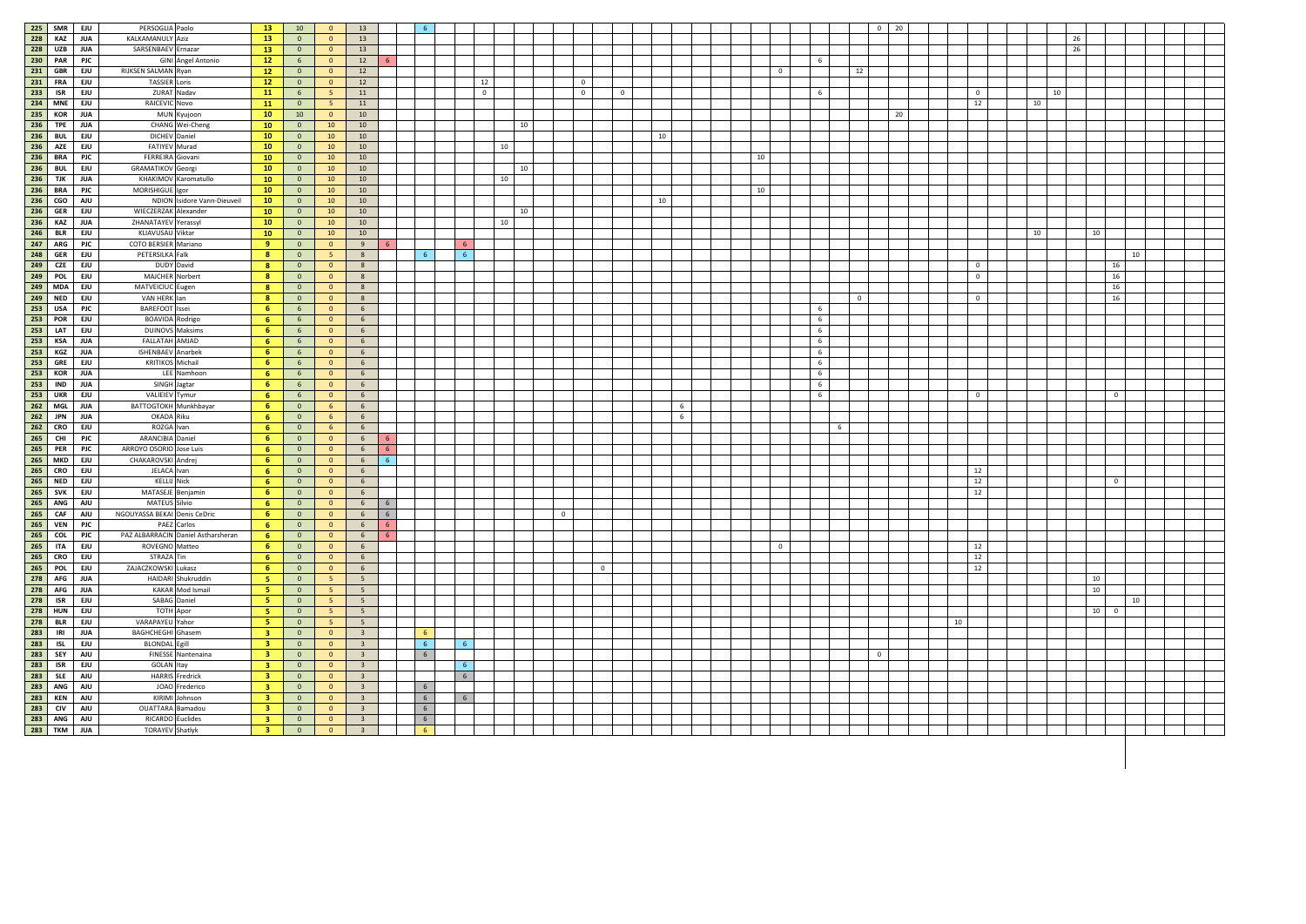| 225 | <b>SMR</b><br><b>EJU</b> | PERSOGLIA Paolo                    | 13                      | 10              | $\overline{0}$  | 13                      |                 |                 |                |         |    |                |         |    |   |    |         |            |         | $\overline{0}$ | 20 |                |    |    |    |              |  |
|-----|--------------------------|------------------------------------|-------------------------|-----------------|-----------------|-------------------------|-----------------|-----------------|----------------|---------|----|----------------|---------|----|---|----|---------|------------|---------|----------------|----|----------------|----|----|----|--------------|--|
| 228 | KAZ<br><b>JUA</b>        | KALKAMANULY Aziz                   | 13                      | $\circ$         | $\circ$         | 13                      |                 |                 |                |         |    |                |         |    |   |    |         |            |         |                |    |                |    | 26 |    |              |  |
| 228 | <b>UZB</b><br><b>JUA</b> | SARSENBAEV Ernazar                 | 13                      | $\overline{0}$  | $\overline{0}$  | 13                      |                 |                 |                |         |    |                |         |    |   |    |         |            |         |                |    |                |    | 26 |    |              |  |
| 230 | PAR<br>PJC               | GINI Angel Antonio                 | $12\,$                  | $6\overline{6}$ | $\overline{0}$  | 12                      |                 |                 |                |         |    |                |         |    |   |    |         | 6          |         |                |    |                |    |    |    |              |  |
| 231 | <b>GBR</b><br><b>EJU</b> | RIJKSEN SALMAN Ryan                | 12                      | $\overline{0}$  | $\overline{0}$  | 12                      |                 |                 |                |         |    |                |         |    |   |    | $\circ$ |            | 12      |                |    |                |    |    |    |              |  |
| 231 | FRA<br>EJU               | <b>TASSIER</b> Loris               | 12                      | $\overline{0}$  | $\mathbf{0}$    | 12                      |                 |                 |                | 12      |    | $\overline{0}$ |         |    |   |    |         |            |         |                |    |                |    |    |    |              |  |
| 233 | <b>ISR</b><br><b>EJU</b> | ZURAT Nadav                        | 11                      | 6 <sup>5</sup>  | 5               | 11                      |                 |                 |                | $\circ$ |    | $\circ$        | $\circ$ |    |   |    |         | 6          |         |                |    | $\mathbf{0}$   |    | 10 |    |              |  |
| 234 |                          | RAICEVIC Novo                      | 11                      |                 |                 |                         |                 |                 |                |         |    |                |         |    |   |    |         |            |         |                |    |                |    |    |    |              |  |
|     | <b>MNE</b><br>EJU        |                                    |                         | $\overline{0}$  | 5               | 11                      |                 |                 |                |         |    |                |         |    |   |    |         |            |         |                |    | 12             | 10 |    |    |              |  |
| 235 | KOR<br><b>JUA</b>        | MUN Kyujoon                        | 10                      | 10              | $\overline{0}$  | 10                      |                 |                 |                |         |    |                |         |    |   |    |         |            |         |                | 20 |                |    |    |    |              |  |
| 236 | <b>TPE</b><br><b>JUA</b> | CHANG Wei-Cheng                    | 10                      | $\overline{0}$  | 10              | 10                      |                 |                 |                |         | 10 |                |         |    |   |    |         |            |         |                |    |                |    |    |    |              |  |
| 236 | <b>BUL</b><br><b>EJU</b> | DICHEV Daniel                      | 10                      | $\overline{0}$  | 10              | 10 <sup>10</sup>        |                 |                 |                |         |    |                |         | 10 |   |    |         |            |         |                |    |                |    |    |    |              |  |
| 236 | AZE<br>EJU               | FATIYEV Murad                      | 10                      | $\overline{0}$  | 10              | 10                      |                 |                 |                | 10      |    |                |         |    |   |    |         |            |         |                |    |                |    |    |    |              |  |
| 236 | <b>BRA</b><br>PJC        | FERREIRA Giovani                   | 10                      | $\overline{0}$  | 10              | 10                      |                 |                 |                |         |    |                |         |    |   | 10 |         |            |         |                |    |                |    |    |    |              |  |
| 236 | <b>BUL</b><br>EJU        | <b>GRAMATIKOV</b> Georgi           | ${\bf 10}$              | $\mathbf 0$     | 10              | 10                      |                 |                 |                |         | 10 |                |         |    |   |    |         |            |         |                |    |                |    |    |    |              |  |
| 236 | <b>TJK</b><br><b>JUA</b> | KHAKIMOV Karomatullo               | 10                      | $\overline{0}$  | 10 <sup>°</sup> | 10 <sup>10</sup>        |                 |                 |                | 10      |    |                |         |    |   |    |         |            |         |                |    |                |    |    |    |              |  |
| 236 | <b>BRA</b><br>PJC        | MORISHIGUE Igor                    | 10                      | $\overline{0}$  | 10              | 10                      |                 |                 |                |         |    |                |         |    |   | 10 |         |            |         |                |    |                |    |    |    |              |  |
| 236 | CGO<br><b>AJU</b>        | NDION Isidore Vann-Dieuveil        | 10                      | $\overline{0}$  | 10              | 10                      |                 |                 |                |         |    |                |         | 10 |   |    |         |            |         |                |    |                |    |    |    |              |  |
| 236 | GER<br>EJU               | WIECZERZAK Alexander               | ${\bf 10}$              | $\overline{0}$  | 10              | 10                      |                 |                 |                |         | 10 |                |         |    |   |    |         |            |         |                |    |                |    |    |    |              |  |
| 236 | <b>KAZ</b><br><b>JUA</b> | ZHANATAYEV Yerassyl                | 10                      | $\overline{0}$  | 10              | 10 <sup>10</sup>        |                 |                 |                | 10      |    |                |         |    |   |    |         |            |         |                |    |                |    |    |    |              |  |
| 246 | <b>BLR</b><br>EJU        | KLIAVUSAU Viktar                   | 10                      | $\overline{0}$  | 10              | 10                      |                 |                 |                |         |    |                |         |    |   |    |         |            |         |                |    |                | 10 |    | 10 |              |  |
| 247 | ARG<br>PJC               | COTO BERSIER Mariano               | 9                       | $\mathbf{0}$    | $\mathbf{0}$    | 9                       |                 |                 |                |         |    |                |         |    |   |    |         |            |         |                |    |                |    |    |    |              |  |
| 248 | <b>GER</b><br>EJU        | PETERSILKA Falk                    | $\boldsymbol{8}$        | $\mathbf 0$     | 5               | $\bf 8$                 |                 | 6 <sup>1</sup>  | 6 <sup>1</sup> |         |    |                |         |    |   |    |         |            |         |                |    |                |    |    |    | 10           |  |
| 249 | CZE<br><b>EJU</b>        | DUDY David                         | $\mathbf{8}$            | $\overline{0}$  | $\Omega$        | $\mathbf{g}$            |                 |                 |                |         |    |                |         |    |   |    |         |            |         |                |    | $\Omega$       |    |    |    | 16           |  |
| 249 | POL<br>EJU               | MAJCHER Norbert                    | 8                       | $\overline{0}$  | $\overline{0}$  | 8                       |                 |                 |                |         |    |                |         |    |   |    |         |            |         |                |    | $\overline{0}$ |    |    |    | 16           |  |
| 249 | <b>MDA</b><br><b>EJU</b> | MATVEICIUC Eugen                   | $\mathbf{8}$            | $\overline{0}$  | $\circ$         | 8                       |                 |                 |                |         |    |                |         |    |   |    |         |            |         |                |    |                |    |    |    | 16           |  |
| 249 | <b>NED</b><br>EJU        | VAN HERK lan                       | $\boldsymbol{8}$        | $\mathbf 0$     | $\mathbf{0}$    | 8                       |                 |                 |                |         |    |                |         |    |   |    |         |            | $\circ$ |                |    | $\overline{0}$ |    |    |    | 16           |  |
| 253 | <b>USA</b><br>PJC        | <b>BAREFOOT</b> Issei              | 6                       | $6\overline{6}$ | $\overline{0}$  | 6                       |                 |                 |                |         |    |                |         |    |   |    |         | 6          |         |                |    |                |    |    |    |              |  |
|     |                          |                                    |                         |                 |                 |                         |                 |                 |                |         |    |                |         |    |   |    |         |            |         |                |    |                |    |    |    |              |  |
| 253 | POR<br>EJU               | <b>BOAVIDA</b> Rodrigo             | 6 <sup>1</sup>          | $6\overline{6}$ | $\mathbf 0$     | 6 <sup>1</sup>          |                 |                 |                |         |    |                |         |    |   |    |         | $\sqrt{6}$ |         |                |    |                |    |    |    |              |  |
| 253 | LAT<br><b>EJU</b>        | DUINOVS Maksims                    | 6 <sup>1</sup>          | 6 <sup>5</sup>  | $\mathbf{0}$    | 6 <sup>5</sup>          |                 |                 |                |         |    |                |         |    |   |    |         | 6          |         |                |    |                |    |    |    |              |  |
| 253 | KSA<br><b>JUA</b>        | FALLATAH AMJAD                     | 6                       | $6\phantom{1}$  | $\mathbf{0}$    | $6\overline{6}$         |                 |                 |                |         |    |                |         |    |   |    |         | 6          |         |                |    |                |    |    |    |              |  |
| 253 | KGZ<br><b>JUA</b>        | ISHENBAEV Anarbek                  | 6                       | 6 <sup>5</sup>  | $\mathbf{0}$    | 6 <sup>5</sup>          |                 |                 |                |         |    |                |         |    |   |    |         | 6          |         |                |    |                |    |    |    |              |  |
| 253 | GRE<br>EJU               | KRITIKOS Michail                   | 6                       | 6 <sup>5</sup>  | $\circ$         | $6\overline{6}$         |                 |                 |                |         |    |                |         |    |   |    |         | 6          |         |                |    |                |    |    |    |              |  |
| 253 | KOR<br><b>JUA</b>        | LEE Namhoon                        | 6                       | 6               | $\Omega$        | 6                       |                 |                 |                |         |    |                |         |    |   |    |         | -6         |         |                |    |                |    |    |    |              |  |
| 253 | <b>IND</b><br><b>JUA</b> | SINGH Jagtar                       | 6                       | $6\phantom{1}$  | $\mathbf 0$     | $6\overline{6}$         |                 |                 |                |         |    |                |         |    |   |    |         | 6          |         |                |    |                |    |    |    |              |  |
| 253 | <b>UKR</b><br><b>EJU</b> | VALIEIEV Tymur                     | 6 <sup>1</sup>          | $6\overline{6}$ | $\overline{0}$  | 6                       |                 |                 |                |         |    |                |         |    |   |    |         | 6          |         |                |    | $\circ$        |    |    |    | $\circ$      |  |
| 262 | <b>MGL</b><br><b>JUA</b> | BATTOGTOKH Munkhbayar              | 6                       | $\overline{0}$  | 6 <sup>1</sup>  | 6 <sup>5</sup>          |                 |                 |                |         |    |                |         |    | 6 |    |         |            |         |                |    |                |    |    |    |              |  |
| 262 | <b>JPN</b><br><b>JUA</b> | OKADA Riku                         | 6 <sup>1</sup>          | $\mathbf 0$     | 6 <sup>1</sup>  | $6\overline{6}$         |                 |                 |                |         |    |                |         |    | 6 |    |         |            |         |                |    |                |    |    |    |              |  |
| 262 | CRO<br><b>EJU</b>        | ROZGA Ivan                         | 6                       | $\mathbf{0}$    | 6               | $6\overline{6}$         |                 |                 |                |         |    |                |         |    |   |    |         |            | 6       |                |    |                |    |    |    |              |  |
| 265 | CHI<br>PJC               | ARANCIBIA Daniel                   | 6                       | $\Omega$        | $\Omega$        | 6 <sup>5</sup>          | 6               |                 |                |         |    |                |         |    |   |    |         |            |         |                |    |                |    |    |    |              |  |
| 265 | PER<br>PJC               | ARROYO OSORIO Jose Luis            | 6                       | $\overline{0}$  | $\overline{0}$  | 6                       | 6 <sup>1</sup>  |                 |                |         |    |                |         |    |   |    |         |            |         |                |    |                |    |    |    |              |  |
| 265 | MKD<br>EJU               | CHAKAROVSKI Andrej                 | 6                       | $\overline{0}$  | $\Omega$        | 6                       | 6 <sup>1</sup>  |                 |                |         |    |                |         |    |   |    |         |            |         |                |    |                |    |    |    |              |  |
| 265 | CRO<br><b>EJU</b>        | JELACA Ivan                        | 6                       | $\mathbf{0}$    | $\mathbf{0}$    | 6 <sup>1</sup>          |                 |                 |                |         |    |                |         |    |   |    |         |            |         |                |    | 12             |    |    |    |              |  |
| 265 | <b>NED</b><br><b>EJU</b> | <b>KELLIJ</b> Nick                 | 6 <sup>1</sup>          | $\overline{0}$  | $\circ$         | 6 <sup>5</sup>          |                 |                 |                |         |    |                |         |    |   |    |         |            |         |                |    | 12             |    |    |    | $\mathbf{0}$ |  |
| 265 | <b>SVK</b><br><b>EJU</b> | MATASEJE Benjamin                  | 6                       | $\overline{0}$  | $\mathbf{0}$    | 6 <sup>1</sup>          |                 |                 |                |         |    |                |         |    |   |    |         |            |         |                |    | 12             |    |    |    |              |  |
| 265 | ANG<br><b>AJU</b>        | MATEUS Silvio                      | 6 <sup>1</sup>          | $\mathbf 0$     | $\mathbf 0$     | $\,$ 6 $\,$             | 6               |                 |                |         |    |                |         |    |   |    |         |            |         |                |    |                |    |    |    |              |  |
| 265 | CAF<br><b>AJU</b>        | NGOUYASSA BEKAI Denis CeDric       | 6                       | $\overline{0}$  | $\mathbf{0}$    | $6\overline{6}$         | 6               |                 |                |         |    | $\circ$        |         |    |   |    |         |            |         |                |    |                |    |    |    |              |  |
| 265 | <b>VEN</b><br>PJC        | PAEZ Carlos                        | 6                       | $\overline{0}$  | $\circ$         | 6                       | $6\phantom{1}6$ |                 |                |         |    |                |         |    |   |    |         |            |         |                |    |                |    |    |    |              |  |
| 265 | COL<br>PJC               | PAZ ALBARRACIN Daniel Astharsheran | -6                      | $\overline{0}$  | $\mathbf{0}$    | 6                       | 6               |                 |                |         |    |                |         |    |   |    |         |            |         |                |    |                |    |    |    |              |  |
| 265 | <b>ITA</b><br>EJU        | ROVEGNO Matteo                     | 6 <sup>°</sup>          | $\overline{0}$  | $\mathbf 0$     | $6\overline{6}$         |                 |                 |                |         |    |                |         |    |   |    | $\circ$ |            |         |                |    | 12             |    |    |    |              |  |
| 265 | CRO<br><b>EJU</b>        | STRAZA Tin                         | 6                       | $\overline{0}$  | $\overline{0}$  | $6\overline{6}$         |                 |                 |                |         |    |                |         |    |   |    |         |            |         |                |    | 12             |    |    |    |              |  |
| 265 | POL<br>EJU               | ZAJACZKOWSKI Lukasz                | 6 <sup>1</sup>          | $\overline{0}$  | $\overline{0}$  | 6 <sup>6</sup>          |                 |                 |                |         |    |                | $\circ$ |    |   |    |         |            |         |                |    | 12             |    |    |    |              |  |
| 278 | AFG<br><b>JUA</b>        | HAIDARI Shukruddin                 | -5                      | $\mathbf{0}$    | 5 <sup>1</sup>  | 5 <sup>5</sup>          |                 |                 |                |         |    |                |         |    |   |    |         |            |         |                |    |                |    |    | 10 |              |  |
| 278 | AFG<br><b>JUA</b>        | KAKAR Mod Ismail                   | $\mathbf S$             | $\circ$         | 5               | 5                       |                 |                 |                |         |    |                |         |    |   |    |         |            |         |                |    |                |    |    | 10 |              |  |
| 278 | <b>ISR</b><br><b>EJU</b> | SABAG Daniel                       | 5                       | $\overline{0}$  | 5 <sub>1</sub>  | 5 <sup>5</sup>          |                 |                 |                |         |    |                |         |    |   |    |         |            |         |                |    |                |    |    |    | 10           |  |
| 278 | <b>HUN</b><br>EJU        |                                    |                         |                 |                 |                         |                 |                 |                |         |    |                |         |    |   |    |         |            |         |                |    |                |    |    |    |              |  |
|     |                          | <b>TOTH</b> Apor                   | -5                      | $\overline{0}$  | 5 <sub>1</sub>  | 5 <sup>7</sup>          |                 |                 |                |         |    |                |         |    |   |    |         |            |         |                |    |                |    |    |    | 10 0         |  |
| 278 | <b>BLR</b><br><b>EJU</b> | VARAPAYEU Yahor                    | -5                      | $\overline{0}$  | 5 <sup>1</sup>  | 5 <sup>5</sup>          |                 |                 |                |         |    |                |         |    |   |    |         |            |         |                |    | 10             |    |    |    |              |  |
| 283 | IRI<br><b>JUA</b>        | <b>BAGHCHEGHI</b> Ghasem           | $\overline{\mathbf{3}}$ | $\overline{0}$  | $\circ$         | $\overline{\mathbf{3}}$ |                 | 6 <sup>1</sup>  |                |         |    |                |         |    |   |    |         |            |         |                |    |                |    |    |    |              |  |
| 283 | <b>ISL</b><br><b>EJU</b> | <b>BLONDAL</b> Egill               | $\overline{\mathbf{3}}$ | $\overline{0}$  | $\Omega$        | 3 <sup>2</sup>          |                 | 6 <sup>1</sup>  | 6 <sup>5</sup> |         |    |                |         |    |   |    |         |            |         |                |    |                |    |    |    |              |  |
| 283 | SEY<br><b>AJU</b>        | FINESSE Nantenaina                 | 3 <sup>7</sup>          | $\overline{0}$  | $\overline{0}$  | 3 <sup>7</sup>          |                 | 6 <sup>1</sup>  |                |         |    |                |         |    |   |    |         |            |         | $\overline{0}$ |    |                |    |    |    |              |  |
| 283 | <b>ISR</b><br>EJU        | <b>GOLAN</b> Itay                  | $\mathbf{3}$            | $\mathbf{0}$    | $\mathbf{0}$    | $\overline{3}$          |                 |                 | 6              |         |    |                |         |    |   |    |         |            |         |                |    |                |    |    |    |              |  |
| 283 | <b>SLE</b><br><b>AJU</b> | <b>HARRIS</b> Fredrick             | $\mathbf{3}$            | $\mathbf 0$     | $\mathbf{0}$    | $\overline{\mathbf{3}}$ |                 |                 | 6              |         |    |                |         |    |   |    |         |            |         |                |    |                |    |    |    |              |  |
| 283 | ANG<br>AJU               | JOAO Frederico                     | $\overline{\mathbf{3}}$ | $\Omega$        | $\Omega$        | $\overline{3}$          |                 | 6               |                |         |    |                |         |    |   |    |         |            |         |                |    |                |    |    |    |              |  |
| 283 | <b>KEN</b><br><b>AJU</b> | KIRIMI Johnson                     | $\mathbf{3}$            | $\mathbf 0$     | $\mathbf 0$     | $\overline{\mathbf{3}}$ |                 | $6\overline{6}$ | 6              |         |    |                |         |    |   |    |         |            |         |                |    |                |    |    |    |              |  |
| 283 | <b>CIV</b><br><b>AJU</b> | <b>OUATTARA</b> Bamadou            | 3 <sup>7</sup>          | $\mathbf{0}$    | $\mathbf{0}$    | $\overline{3}$          |                 | 6 <sup>5</sup>  |                |         |    |                |         |    |   |    |         |            |         |                |    |                |    |    |    |              |  |
| 283 | ANG<br><b>AJU</b>        | RICARDO Euclides                   | 3 <sup>7</sup>          | $\mathbf 0$     | $\mathbf{0}$    | $\overline{\mathbf{3}}$ |                 | $6\overline{6}$ |                |         |    |                |         |    |   |    |         |            |         |                |    |                |    |    |    |              |  |
| 283 | <b>TKM</b><br><b>JUA</b> | <b>TORAYEV</b> Shatlyk             | 3 <sup>7</sup>          | $\overline{0}$  | $\overline{0}$  | $\overline{\mathbf{3}}$ |                 | 6 <sup>6</sup>  |                |         |    |                |         |    |   |    |         |            |         |                |    |                |    |    |    |              |  |
|     |                          |                                    |                         |                 |                 |                         |                 |                 |                |         |    |                |         |    |   |    |         |            |         |                |    |                |    |    |    |              |  |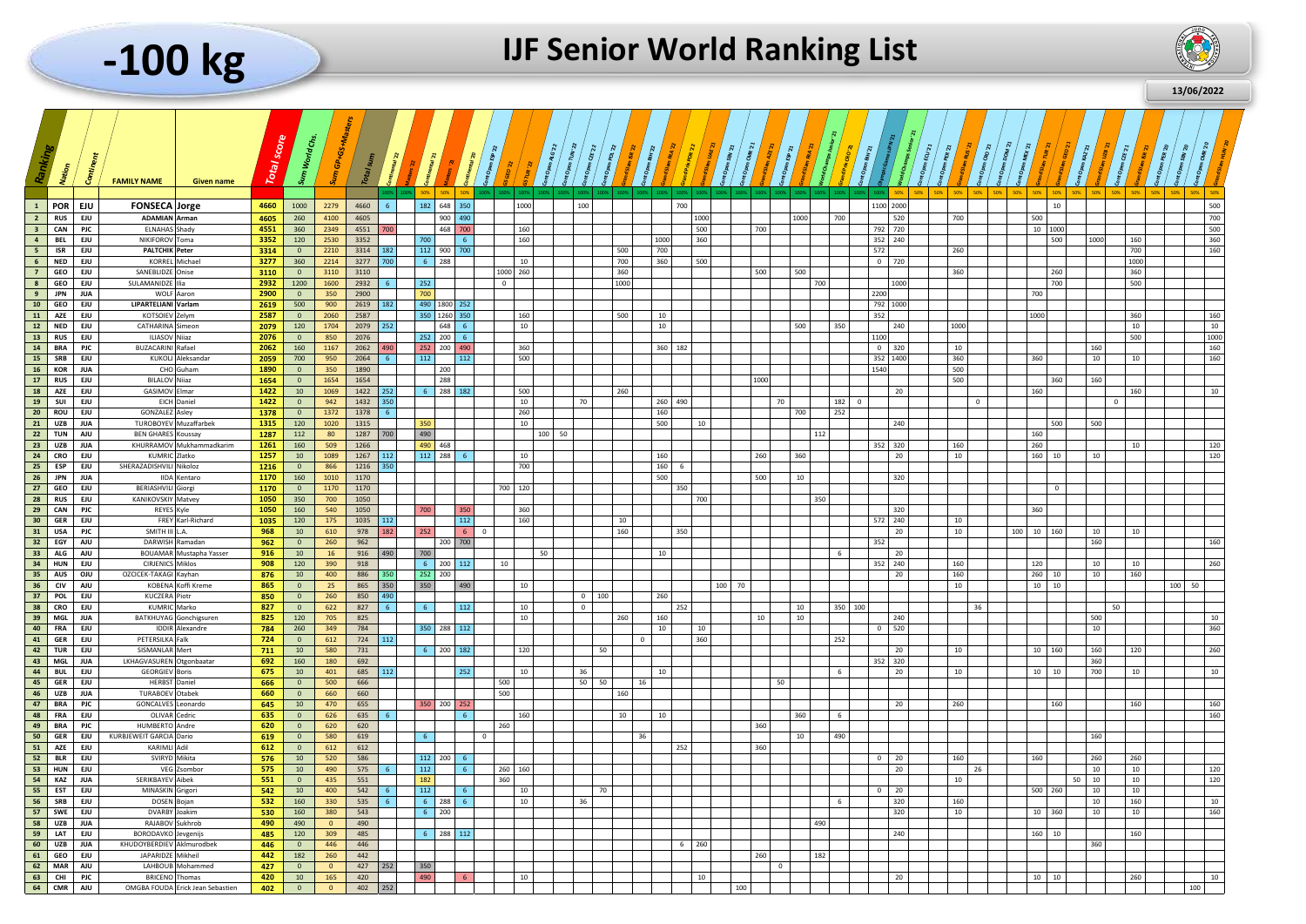# **-100 kg**

#### **IJF Senior World Ranking List**



**13/06/2022**

**Ranking Nation Continent FAMILY NAME Given name** *To***<sub>s</sub>** *To***<sub>n</sub>** *S***<sub>S</sub></del> Sum World Chs. Sum GP+GS+Masters Total sum Continental '22 Masters '22 Continental '21 Masters '21 Continental '20 Cont Open ESP '22 GS GEO '22 GS TUR '22** Cont Open ALG '22 **Cont Open TUN '22 Cont Open CZE '22 Cont Open POL '22 Grand Slam ISR '22 Cont Open BIH '22 Grand Slam FRA '22 Grand Prix POR '22 Grand Slam UAE '21 Cont Open SEN '21 Cont Open CMR '21 Grand Slam AZE '21 Cont Open ESP '21 Grand Slam FRA '21 World Champs Junior '21 Grand Prix CRO '21 Cont Open BIH '21** Olympic Games *PW*<sub>21</sub> **World Champs Senior '21 Cont Open ECU '21 Cont Open PER '21 Grand Slam RUS '21 Cont Open CRO '21 Cont Open DOM '21 Cont Open MEX '21 Grand Slam TUR '21 Grand Slam GEO '21 Cont Open KAZ '21 Grand Slam UZB '21 Cont Open CZE '21 Grand Slam ISR '21 Cont Open PER '20 Cont Open SEN '20 Cont Open CMR '20 Grand Slam HUN '20 0%** 100% 100% 50% 50% 50% 100% 100% 100% 100% 100% 100% 100% 100% 100% 100% 100% 100% 100% 100% 100% 100% 100% 100% 100% 100% 100% 50% 50% 50% 50% 50% 50% 50% 50% 50% 50% 50% 50% 50% 50% 50% 50% 50% **1 POR EJU FONSECA Jorge 4660** 1000 2279 4660 6 182 648 350 1000 100 700 1100 2000 10 500 **2 RUS EJU ADAMIAN Arman 4605** 260 4100 4605 900 490 1000 1000 700 520 700 500 700 **3 CAN PJC** ELNAHAS Shady **4551** 360 2349 4551 700 468 700 160 500 700 792 720 10 1000 500 **4 BEL EJU** NIKIFOROV Toma **3352** 120 2530 3352 700 6 160 1000 360 352 240 500 1000 160 360 **5 ISR EJU PALTCHIK Peter 3314** 0 2210 3314 182 112 900 700 500 700 572 260 700 160 **6 NED EJU** KORREL Michael **3277** 360 2214 3277 700 6 288 10 700 360 500 0 720 1000 **7 GEO EJU** SANEBLIDZE Onise **3110** 0 3110 3110 1000 260 360 500 500 360 260 360 **8 GEO EJU** SULAMANIDZE Ilia **2932** 1200 1600 2932 6 252 0 1000 700 1000 700 500 **9 JPN JUA** WOLF Aaron **2900** 0 350 2900 700 2200 700 **10 GEO EJU LIPARTELIANI Varlam 2619** 500 900 2619 182 490 1800 252 792 1000 **11 AZE EJU** KOTSOIEV Zelym **2587** 0 2060 2587 350 1260 350 160 500 10 352 1000 360 160 **12 NED EJU** CATHARINA Simeon **2079** 120 1704 2079 252 648 6 10 10 500 350 240 1000 10 10 **13 RUS EJU** ILIASOV Niiaz **2076** 0 850 2076 252 200 6 1100 500 1000 **14 BRA PJC** BUZACARINI Rafael **2062** 160 1167 2062 490 252 200 490 360 360 182 0 320 10 160 160 **15 SRB EJU** KUKOLJ Aleksandar **2059** 700 950 2064 6 112 112 500 352 1400 360 360 10 10 160 **16 KOR JUA** CHO Guham **1890** 0 350 1890 200 1540 500 **17 RUS EJU** BILALOV Niiaz **1654** 0 1654 1654 288 1000 500 360 160 **18 AZE EJU** GASIMOV Elmar **1422** 10 1069 1422 252 6 288 182 500 260 20 160 160 10 **19 SUI EJU** EICH Daniel **1422** 0 942 1432 350 10 70 260 490 70 182 0 0 0 **20 ROU EJU** GONZALEZ Asley **1378** 0 1372 1378 6 260 160 700 252 **21 UZB JUA** TUROBOYEV Muzaffarbek **1315** 120 1020 1315 350 10 500 10 240 500 500 **22 TUN AJU** BEN GHARES Koussay **1287** 112 80 1287 700 490 100 50 112 160 **23 UZB JUA** KHURRAMOV Mukhammadkarim **1261** 160 509 1266 490 468 352 320 160 260 10 120 **24 CRO EJU** KUMRIC Zlatko **1257** 10 1089 1267 112 112 288 6 10 160 260 360 20 10 160 10 10 120 **25 ESP EJU** SHERAZADISHVILI Nikoloz **1216** 0 866 1216 350 700 160 6 **26 JPN JUA** IIDA Kentaro **1170** 160 1010 1170 500 500 10 320 **27 GEO EJU** BERIASHVILI Giorgi **1170** 0 1170 1170 700 120 350 0 **28 RUS EJU** KANIKOVSKIY Matvey **1050** 350 700 1050 700 350 **29 CAN PJC** REYES Kyle **1050** 160 540 1050 700 350 360 320 360 **30 GER EJU** FREY Karl-Richard **1035** 120 175 1035 112 112 160 10 572 240 10 **31 USA PJC** SMITH III L.A. **968** 10 610 978 182 252 6 0 160 350 20 10 100 10 160 10 10 **32 EGY AJU** DARWISH Ramadan **962** 0 260 962 200 700 352 160 160 **33 ALG AJU** BOUAMAR Mustapha Yasser **916** 10 16 916 490 700 50 10 6 20 **34 HUN EJU** CIRJENICS Miklos **908** 120 390 918 6 200 112 10 352 240 160 120 10 10 260 **35 AUS OJU** OZCICEK-TAKAGI Kayhan **876** 10 400 886 350 252 200 20 160 260 10 10 160 **36 CIV AJU** KOBENA Koffi Kreme **865** 0 25 865 350 350 490 10 100 70 10 10 10 100 50 **37 POL EJU** KUCZERA Piotr **850** 0 260 850 490 0 100 260 **38 CRO EJU** KUMRIC Marko **827** 0 622 827 6 6 112 10 0 252 10 350 100 36 50 **39 MGL JUA** BATKHUYAG Gonchigsuren **825** 120 705 825 10 260 160 10 10 240 500 10 **40 FRA EJU** IDDIR Alexandre **784** 260 349 784 350 288 112 10 10 0 520 10 360 **41 GER EJU** PETERSILKA Falk **724** 0 612 724 112 0 360 252 **42 TUR EJU** SISMANLAR Mert **711** 10 580 731 6 200 182 120 50 20 10 10 160 160 120 260 **43 MGL JUA** LKHAGVASUREN Otgonbaatar **692** 160 180 692 352 320 360 **44 BUL EJU** GEORGIEV Boris **675** 10 401 685 112 252 10 36 10 6 20 10 10 10 700 10 10 **45 GER EJU** HERBST Daniel **666** 0 500 666 500 50 50 16 50 **46 UZB JUA** TURABOEV Otabek **660** 0 660 660 500 160 <mark>47 BRA PJC GONCALVES|Leonardo <mark>645</mark> 10 470 655 | 350 200 252 | | | | | | | | | | | | | | | | | 20 | | 260 | | | 160 | | | 160 | | | 160 | | | 160 | | | 160 | | | 160 | | | 160 | | | 160 | | | 160 | | | | 160 | | | | | | |</mark> **48 FRA EJU** OLIVAR Cedric **635** 0 626 635 6 6 160 10 10 360 6 160 <mark>49 BRA PJC |</mark> HUMBERTO |Andre | <mark>620 | 0 | 620 |</mark> 620 | | | | | | | | 260 | | | | | | | | | | | | | | | | | | 360 **50 GER EJU** KURBJEWEIT GARCIA Dario **619** 0 580 619 6 0 36 10 490 160 **51 AZE EJU** KARIMLI Adil **612** 0 612 612 252 360 **52 BLR EJU** SVIRYD Mikita **576** 10 520 586 112 200 6 0 20 160 160 260 260 **53 HUN EJU** VEG Zsombor **575** 10 490 575 6 112 6 260 160 20 26 10 10 120 **54 KAZ JUA** SERIKBAYEV Aibek **551** 0 435 551 182 360 10 50 10 10 120 **55 EST EJU** MINASKIN Grigori **542** 10 400 542 6 112 6 10 70 0 20 500 260 10 10 **56 SRB EJU** DOSEN Bojan **532** 160 330 535 6 6 288 6 10 36 6 320 160 10 160 10 **57 SWE EJU** DVARBY Joakim **530** 160 380 543 6 200 320 10 10 360 10 10 160 **58 UZB JUA** RAJABOV Sukhrob **490** 490 0 490 490 **59 LAT EJU** BORODAVKO Jevgenijs **485** 120 309 485 6 288 112 240 160 10 160 **60 UZB JUA** KHUDOYBERDIEV Aklmurodbek **446** 0 446 446 6 260 360 **61 GEO EJU** JAPARIDZE Mikheil **442** 182 260 442 260 182 **62 MAR AJU** LAHBOUB Mohammed **427** 0 0 427 252 350 0 **63 CHI PJC** BRICENO Thomas **420** 10 165 420 490 6 10 10 20 10 10 260 10 **64 CMR AJU** OMGBA FOUDA Erick Jean Sebastien **402** 0 0 402 252 100 100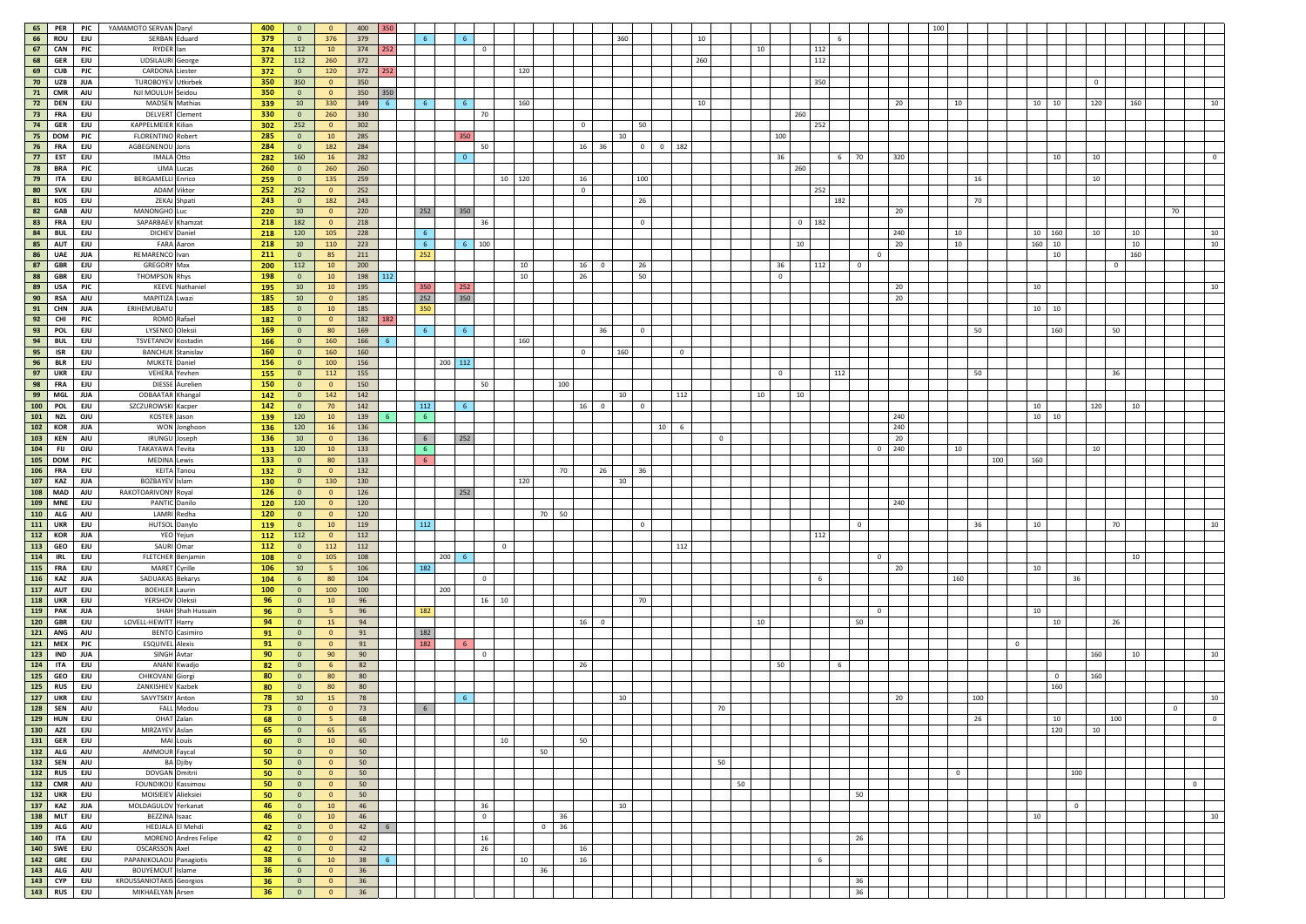|          | PER                | <b>PJC</b>               | YAMAMOTO SERVAN Daryl                        |                        | 400      | $\overline{0}$                   | $\circ$                          | 400             | 350             |                |                |        |                |                         |                |              |              |    |                |                |          |                |     | 100 |              |          |        |            |                |                |     |                |              |
|----------|--------------------|--------------------------|----------------------------------------------|------------------------|----------|----------------------------------|----------------------------------|-----------------|-----------------|----------------|----------------|--------|----------------|-------------------------|----------------|--------------|--------------|----|----------------|----------------|----------|----------------|-----|-----|--------------|----------|--------|------------|----------------|----------------|-----|----------------|--------------|
| 65<br>66 | ROU                | EJU                      | SERBAN Eduard                                |                        | 379      | $\overline{0}$                   | 376                              | 379             | 6               | $6^{\circ}$    |                |        |                | 360                     |                |              | 10           |    |                |                | 6        |                |     |     |              |          |        |            |                |                |     |                |              |
|          | CAN                | PJC                      | RYDER lan                                    |                        | 374      | 112                              | 10                               | 374             | 252             |                | $\circ$        |        |                |                         |                |              |              | 10 |                | 112            |          |                |     |     |              |          |        |            |                |                |     |                |              |
| 67       |                    |                          |                                              |                        |          |                                  |                                  |                 |                 |                |                |        |                |                         |                |              |              |    |                |                |          |                |     |     |              |          |        |            |                |                |     |                |              |
| 68       | GER                | EJU                      | UDSILAURI George                             |                        | 372      | 112                              | 260                              | 372             |                 |                |                |        |                |                         |                |              | 260          |    |                | 112            |          |                |     |     |              |          |        |            |                |                |     |                |              |
| 69       | <b>CUB</b>         | PJC                      | CARDONA Liester                              |                        | 372      | $\overline{0}$                   | 120                              | 372             | 252             |                |                | 120    |                |                         |                |              |              |    |                |                |          |                |     |     |              |          |        |            |                |                |     |                |              |
| 70       | <b>UZB</b>         | <b>JUA</b>               | <b>TUROBOYEV</b> Utkirbek                    |                        | 350      | 350                              | $\overline{\mathbf{0}}$          | 350             |                 |                |                |        |                |                         |                |              |              |    |                | 350            |          |                |     |     |              |          |        |            |                | $\overline{0}$ |     |                |              |
| 71       | CMR                | <b>AJU</b>               | NJI MOULUH Seidou                            |                        | 350      | $\overline{0}$                   | $\overline{0}$                   | 350             | 350             |                |                |        |                |                         |                |              |              |    |                |                |          |                |     |     |              |          |        |            |                |                |     |                |              |
| 72       | <b>DEN</b>         | EJU                      | MADSEN Mathias                               |                        | 339      | 10                               | 330                              | 349             | 6<br>6          | 6              |                | 160    |                |                         |                |              | 10           |    |                |                |          |                | 20  |     | 10           |          |        | 10 10      |                | 120            | 160 |                | $10\,$       |
| 73       | <b>FRA</b>         | EJU                      | DELVERT Clement                              |                        | 330      | $\overline{0}$                   | 260                              | 330             |                 |                | 70             |        |                |                         |                |              |              |    |                | 260            |          |                |     |     |              |          |        |            |                |                |     |                |              |
| 74       | <b>GER</b>         | EJU                      | KAPPELMEIER Kilian                           |                        | 302      | 252                              | $\overline{0}$                   | 302             |                 |                |                |        | $\overline{0}$ |                         | 50             |              |              |    |                | 252            |          |                |     |     |              |          |        |            |                |                |     |                |              |
| 75       | <b>DOM</b>         | PJC                      | FLORENTINO Robert                            |                        | 285      | $\overline{0}$                   | 10                               | 285             |                 | 350            |                |        |                | 10                      |                |              |              |    | 100            |                |          |                |     |     |              |          |        |            |                |                |     |                |              |
| 76       | <b>FRA</b>         | EJU                      | AGBEGNENOU Joris                             |                        | 284      | $\overline{0}$                   | 182                              | 284             |                 |                | 50             |        | 16             | 36                      | $\circ$        | $0$ 182      |              |    |                |                |          |                |     |     |              |          |        |            |                |                |     |                |              |
| 77       | EST                | EJU                      | IMALA Otto                                   |                        | 282      | 160                              | 16                               | 282             |                 | $\overline{0}$ |                |        |                |                         |                |              |              |    | 36             |                | 6 70     |                | 320 |     |              |          |        | 10         |                | 10             |     |                | $\circ$      |
|          | <b>BRA</b>         | PJC                      |                                              | LIMA Lucas             |          |                                  |                                  |                 |                 |                |                |        |                |                         |                |              |              |    |                |                |          |                |     |     |              |          |        |            |                |                |     |                |              |
| 78       |                    |                          |                                              |                        | 260      | $\overline{0}$                   | 260                              | 260             |                 |                |                |        |                |                         |                |              |              |    |                | 260            |          |                |     |     |              |          |        |            |                |                |     |                |              |
| 79       | <b>ITA</b>         | EJU                      | <b>BERGAMELLI</b> Enrico                     |                        | 259      | $\overline{0}$                   | 135                              | 259             |                 |                |                | 10 120 | 16             |                         | 100            |              |              |    |                |                |          |                |     |     | 16           |          |        |            |                | 10             |     |                |              |
| 80       | <b>SVK</b>         | EJU                      | ADAM Viktor                                  |                        | 252      | 252                              | $\overline{0}$                   | 252             |                 |                |                |        | $\overline{0}$ |                         |                |              |              |    |                | 252            |          |                |     |     |              |          |        |            |                |                |     |                |              |
| 81       | KOS                | EJU                      |                                              | ZEKAJ Shpati           | 243      | $\overline{0}$                   | 182                              | 243             |                 |                |                |        |                |                         | 26             |              |              |    |                |                | 182      |                |     |     | 70           |          |        |            |                |                |     |                |              |
| 82       | GAB                | <b>AJU</b>               | MANONGHO Luc                                 |                        | 220      | 10                               | $\overline{0}$                   | 220             | 252             | 350            |                |        |                |                         |                |              |              |    |                |                |          |                | 20  |     |              |          |        |            |                |                |     | 70             |              |
| 83       | <b>FRA</b>         | EJU                      | SAPARBAEV Khamzat                            |                        | 218      | 182                              | $\overline{0}$                   | 218             |                 |                | 36             |        |                |                         | $\mathbf{0}$   |              |              |    |                | 182<br>$\circ$ |          |                |     |     |              |          |        |            |                |                |     |                |              |
| 84       | <b>BUL</b>         | EJU                      | DICHEV Daniel                                |                        | 218      | 120                              | 105                              | 228             | 6 <sup>6</sup>  |                |                |        |                |                         |                |              |              |    |                |                |          |                | 240 |     | 10           |          |        | 10 160     |                | 10             | 10  |                | $10\,$       |
| 85       | <b>AUT</b>         | EJU                      |                                              | FARA Aaron             | 218      | 10                               | 110                              | 223             | 6 <sup>1</sup>  | 6 <sup>5</sup> | 100            |        |                |                         |                |              |              |    |                | 10             |          |                | 20  |     | 10           |          | 160    | 10         |                |                | 10  |                | $10\,$       |
| 86       | <b>UAE</b>         | <b>JUA</b>               | REMARENCO Ivan                               |                        | 211      | $\overline{0}$                   | 85                               | 211             | 252             |                |                |        |                |                         |                |              |              |    |                |                |          | $\overline{0}$ |     |     |              |          |        | 10         |                |                | 160 |                |              |
| 87       | <b>GBR</b>         |                          | GREGORY Max                                  |                        |          |                                  |                                  |                 |                 |                |                |        |                | $\overline{0}$          |                |              |              |    |                |                |          |                |     |     |              |          |        |            |                |                |     |                |              |
|          |                    | EJU                      |                                              |                        | 200      | 112                              | 10                               | 200             |                 |                |                | 10     | 16             |                         | 26             |              |              |    | 36             | 112            | $\circ$  |                |     |     |              |          |        |            |                | $\circ$        |     |                |              |
| 88       | <b>GBR</b>         | EJU                      | <b>THOMPSON Rhys</b>                         |                        | 198      | $\overline{0}$                   | 10                               | 198             | 112             |                |                | 10     | 26             |                         | 50             |              |              |    | $\overline{0}$ |                |          |                |     |     |              |          |        |            |                |                |     |                |              |
| 89       | <b>USA</b>         | PJC                      |                                              | <b>KEEVE</b> Nathaniel | 195      | 10                               | 10                               | 195             | 350             | 252            |                |        |                |                         |                |              |              |    |                |                |          |                | 20  |     |              |          | 10     |            |                |                |     |                | $10\,$       |
| 90       | <b>RSA</b>         | <b>AJU</b>               | MAPITIZA Lwazi                               |                        | 185      | 10                               | $\overline{0}$                   | 185             | 252             | 350            |                |        |                |                         |                |              |              |    |                |                |          |                | 20  |     |              |          |        |            |                |                |     |                |              |
| 91       | <b>CHN</b>         | <b>JUA</b>               | ERIHEMUBATU                                  |                        | 185      | $\overline{0}$                   | 10                               | 185             | 350             |                |                |        |                |                         |                |              |              |    |                |                |          |                |     |     |              |          |        | 10 10      |                |                |     |                |              |
| 92       | CHI                | PJC                      | ROMO Rafael                                  |                        | 182      | $\overline{0}$                   | $\overline{0}$                   | 182             | 182             |                |                |        |                |                         |                |              |              |    |                |                |          |                |     |     |              |          |        |            |                |                |     |                |              |
| 93       | POL                | EJU                      | LYSENKO Oleksii                              |                        | 169      | $\overline{0}$                   | 80                               | 169             | 6 <sup>1</sup>  | $6^{\circ}$    |                |        |                | 36                      | $\overline{0}$ |              |              |    |                |                |          |                |     |     | 50           |          |        | 160        |                | 50             |     |                |              |
| 94       | <b>BUL</b>         | <b>EJU</b>               | TSVETANOV Kostadin                           |                        | 166      | $\overline{0}$                   | 160                              | 166             |                 |                |                | 160    |                |                         |                |              |              |    |                |                |          |                |     |     |              |          |        |            |                |                |     |                |              |
| 95       | <b>ISR</b>         | EJU                      | <b>BANCHUK</b> Stanislav                     |                        | 160      | $\overline{0}$                   | 160                              | 160             |                 |                |                |        | $\overline{0}$ | 160                     |                | $\mathbf{0}$ |              |    |                |                |          |                |     |     |              |          |        |            |                |                |     |                |              |
| 96       | <b>BLR</b>         | EJU                      | MUKETE Daniel                                |                        | 156      | $\overline{0}$                   | 100                              | 156             |                 | 200 112        |                |        |                |                         |                |              |              |    |                |                |          |                |     |     |              |          |        |            |                |                |     |                |              |
|          | <b>UKR</b>         | EJU                      | VEHERA Yevhen                                |                        |          |                                  |                                  |                 |                 |                |                |        |                |                         |                |              |              |    | $\overline{0}$ |                |          |                |     |     | 50           |          |        |            |                |                |     |                |              |
| 97       |                    |                          |                                              |                        | 155      | $\overline{0}$                   | 112                              | 155             |                 |                |                |        |                |                         |                |              |              |    |                |                | 112      |                |     |     |              |          |        |            |                | 36             |     |                |              |
| 98       | <b>FRA</b>         | EJU                      |                                              | DIESSE Aurelien        | 150      | $\overline{0}$                   | $\overline{0}$                   | 150             |                 |                | 50             |        | 100            |                         |                |              |              |    |                |                |          |                |     |     |              |          |        |            |                |                |     |                |              |
| 99       | <b>MGL</b>         | <b>JUA</b>               | ODBAATAR Khangal                             |                        | 142      | $\overline{0}$                   | 142                              | 142             |                 |                |                |        |                | 10                      |                | 112          |              | 10 |                | 10             |          |                |     |     |              |          |        |            |                |                |     |                |              |
| 100      | POL                | EJU                      | SZCZUROWSKI Kacper                           |                        | 142      | $\overline{0}$                   | 70                               | 142             | 112             | 6              |                |        | 16             | $\overline{0}$          | $\overline{0}$ |              |              |    |                |                |          |                |     |     |              |          | 10     |            |                | 120            | 10  |                |              |
| 101      | <b>NZL</b>         | OJU                      | KOSTER Jason                                 |                        | 139      | 120                              | 10                               | 139             | 6 <sup>6</sup>  |                |                |        |                |                         |                |              |              |    |                |                |          |                | 240 |     |              |          | 10     | 10         |                |                |     |                |              |
| 102      | <b>KOR</b>         | <b>JUA</b>               |                                              | WON Jonghoon           | 136      | 120                              | 16                               | 136             |                 |                |                |        |                |                         |                | 10<br>6      |              |    |                |                |          |                | 240 |     |              |          |        |            |                |                |     |                |              |
| 103      | <b>KEN</b>         | <b>AJU</b>               | IRUNGU Joseph                                |                        | 136      | 10                               | $\overline{0}$                   | 136             | $6\overline{6}$ | 252            |                |        |                |                         |                |              | $\mathbf{0}$ |    |                |                |          |                | 20  |     |              |          |        |            |                |                |     |                |              |
| 104      | <b>FU</b>          | OJU                      | TAKAYAWA Tevita                              |                        | 133      | 120                              | 10                               | 133             | 6 <sup>6</sup>  |                |                |        |                |                         |                |              |              |    |                |                |          | $\circ$        | 240 |     | 10           |          |        |            |                | 10             |     |                |              |
|          | 105 DOM            | PJC                      | MEDINA Lewis                                 |                        | 133      | $\overline{0}$                   | 80                               | 133             | $6\overline{6}$ |                |                |        |                |                         |                |              |              |    |                |                |          |                |     |     |              | 100      | 160    |            |                |                |     |                |              |
| 106      | <b>FRA</b>         | EJU                      |                                              | KEITA Tanou            | 132      | $\overline{0}$                   | $\overline{0}$                   | 132             |                 |                |                |        | 70             | 26                      | 36             |              |              |    |                |                |          |                |     |     |              |          |        |            |                |                |     |                |              |
| 107      | <b>KAZ</b>         | <b>JUA</b>               | <b>BOZBAYEV</b> Islam                        |                        | 130      |                                  | 130                              | 130             |                 |                |                | 120    |                |                         |                |              |              |    |                |                |          |                |     |     |              |          |        |            |                |                |     |                |              |
|          |                    |                          |                                              |                        |          | $\bullet$                        |                                  |                 |                 |                |                |        |                |                         | 10             |              |              |    |                |                |          |                |     |     |              |          |        |            |                |                |     |                |              |
| 108      | <b>MAD</b>         | <b>AJU</b>               | RAKOTOARIVONY Royal                          |                        | 126      | $\overline{0}$                   | $\overline{0}$                   | 126             |                 | 252            |                |        |                |                         |                |              |              |    |                |                |          |                |     |     |              |          |        |            |                |                |     |                |              |
| 109      | <b>MNE</b>         | <b>EJU</b>               |                                              |                        |          | 120                              |                                  |                 |                 |                |                |        |                |                         |                |              |              |    |                |                |          |                | 240 |     |              |          |        |            |                |                |     |                |              |
| 110      |                    |                          |                                              | PANTIC Danilo          | 120      |                                  | $\overline{\mathbf{0}}$          | 120             |                 |                |                |        |                |                         |                |              |              |    |                |                |          |                |     |     |              |          |        |            |                |                |     |                |              |
|          | <b>ALG</b>         | <b>AJU</b>               | LAMRI Redha                                  |                        | 120      | $\overline{0}$                   | $\overline{0}$                   | 120             |                 |                |                |        | 70 50          |                         |                |              |              |    |                |                |          |                |     |     |              |          |        |            |                |                |     |                |              |
| 111      | <b>UKR</b>         | EJU                      | HUTSOL Danylo                                |                        | 119      | $\overline{0}$                   | 10                               | 119             | 112             |                |                |        |                |                         | $\circ$        |              |              |    |                |                | $\circ$  |                |     |     | 36           |          | $10\,$ |            |                | 70             |     |                | $10\,$       |
|          | 112 KOR            | <b>JUA</b>               |                                              | YEO Yejun              | 112      | 112                              | $\circ$                          | 112             |                 |                |                |        |                |                         |                |              |              |    |                | 112            |          |                |     |     |              |          |        |            |                |                |     |                |              |
| 113      | GEO                | EJU                      | SAURI Omar                                   |                        | 112      | $\overline{0}$                   | 112                              | 112             |                 |                | $\overline{0}$ |        |                |                         |                | 112          |              |    |                |                |          |                |     |     |              |          |        |            |                |                |     |                |              |
|          |                    |                          |                                              |                        |          |                                  |                                  |                 |                 | 200<br>6       |                |        |                |                         |                |              |              |    |                |                |          | $\circ$        |     |     |              |          |        |            |                |                | 10  |                |              |
| 114      | IRL                | EJU                      | <b>FLETCHER</b> Benjamin                     |                        | 108      | $\overline{0}$                   | 105                              | 108             |                 |                |                |        |                |                         |                |              |              |    |                |                |          |                |     |     |              |          |        |            |                |                |     |                |              |
| 115      | <b>FRA</b>         | EJU                      | MARET Cyrille                                |                        | 106      | 10                               | 5 <sub>1</sub>                   | 106             | 182             |                |                |        |                |                         |                |              |              |    |                |                |          |                | 20  |     |              |          | 10     |            |                |                |     |                |              |
| 116      | <b>KAZ</b>         | <b>JUA</b>               | SADUAKAS Bekarys                             |                        | 104      | 6 <sup>5</sup>                   | 80                               | 104             |                 |                | $\circ$        |        |                |                         |                |              |              |    |                | 6              |          |                |     |     | 160          |          |        |            | 36             |                |     |                |              |
| 117      | <b>AUT</b>         | EJU                      | <b>BOEHLER</b> Laurin                        |                        | 100      | $\overline{0}$                   | 100                              | 100             |                 | 200            |                |        |                |                         |                |              |              |    |                |                |          |                |     |     |              |          |        |            |                |                |     |                |              |
|          | <b>118</b> UKR     | EJU                      | YERSHOV Oleksii                              |                        | 96       | $\overline{0}$                   | 10                               | 96              |                 |                | 16 10          |        |                |                         | 70             |              |              |    |                |                |          |                |     |     |              |          |        |            |                |                |     |                |              |
|          | 119 PAK            | <b>JUA</b>               |                                              | SHAH Shah Hussain      | 96       | $\overline{0}$                   | 5 <sub>1</sub>                   | 96              | 182             |                |                |        |                |                         |                |              |              |    |                |                |          | $^{\circ}$     |     |     |              |          | 10     |            |                |                |     |                |              |
| 120      | <b>GBR</b>         | EJU                      | LOVELL-HEWITT Harry                          |                        | 94       | $\overline{0}$                   | 15                               | 94              |                 |                |                |        | 16             | $\overline{\mathbf{0}}$ |                |              |              | 10 |                |                | 50       |                |     |     |              |          |        | 10         |                | 26             |     |                |              |
|          | 121 ANG            | <b>AJU</b>               |                                              | <b>BENTO</b> Casimiro  | 91       | $\overline{0}$                   | $\overline{0}$                   | 91              | 182             |                |                |        |                |                         |                |              |              |    |                |                |          |                |     |     |              |          |        |            |                |                |     |                |              |
|          | 121 MEX            | PJC                      | <b>ESQUIVEL</b> Alexis                       |                        | 91       | $\overline{0}$                   | $\overline{0}$                   | 91              | 182             | 6              |                |        |                |                         |                |              |              |    |                |                |          |                |     |     |              | $\Omega$ |        |            |                |                |     |                |              |
| 123      | <b>IND</b>         | <b>JUA</b>               | SINGH Avtar                                  |                        | 90       | $\overline{0}$                   | 90                               | 90              |                 |                | $\circ$        |        |                |                         |                |              |              |    |                |                |          |                |     |     |              |          |        |            |                | 160            | 10  |                | 10           |
| 124      | <b>ITA</b>         | EJU                      |                                              | ANANI Kwadjo           | 82       | $\overline{0}$                   | 6                                | 82              |                 |                |                |        | 26             |                         |                |              |              |    | 50             |                | 6        |                |     |     |              |          |        |            |                |                |     |                |              |
|          | 125 GEO            | <b>EJU</b>               | <b>CHIKOVANI</b> Giorgi                      |                        | 80       | $\mathbf{0}$                     | 80                               | 80              |                 |                |                |        |                |                         |                |              |              |    |                |                |          |                |     |     |              |          |        | $^{\circ}$ |                | 160            |     |                |              |
| 125      | <b>RUS</b>         | EJU                      | ZANKISHIEV Kazbek                            |                        | 80       | $\circ$                          | 80                               | 80              |                 |                |                |        |                |                         |                |              |              |    |                |                |          |                |     |     |              |          |        | 160        |                |                |     |                |              |
| 127      | <b>UKR</b>         | EJU                      | SAVYTSKIY Anton                              |                        | 78       | $10\,$                           | 15                               | 78              |                 | 6              |                |        |                | 10                      |                |              |              |    |                |                |          |                | 20  |     | 100          |          |        |            |                |                |     |                |              |
|          |                    |                          |                                              |                        |          | $\overline{0}$                   |                                  |                 |                 |                |                |        |                |                         |                |              |              |    |                |                |          |                |     |     |              |          |        |            |                |                |     |                | $10\,$       |
|          | 128 SEN            | <b>AJU</b>               |                                              | FALL Modou             | 73       |                                  | $\overline{0}$                   | 73              | $6\overline{6}$ |                |                |        |                |                         |                |              | 70           |    |                |                |          |                |     |     |              |          |        |            |                |                |     | $\overline{0}$ |              |
|          | <b>129 HUN EJU</b> |                          |                                              | OHAT Zalan             | 68       | $\overline{0}$                   | 5 <sup>5</sup>                   | 68              |                 |                |                |        |                |                         |                |              |              |    |                |                |          |                |     |     | 26           |          |        | 10         |                | 100            |     |                | $\mathbf{0}$ |
|          | 130 AZE EJU        |                          | MIRZAYEV Aslan                               |                        | 65       | $\overline{0}$                   | 65                               | 65              |                 |                |                |        |                |                         |                |              |              |    |                |                |          |                |     |     |              |          |        | 120        |                | 10             |     |                |              |
|          | 131 GER EJU        |                          |                                              | MAI Louis              | 60       | $\overline{0}$                   | 10                               | 60              |                 |                | 10             |        | 50             |                         |                |              |              |    |                |                |          |                |     |     |              |          |        |            |                |                |     |                |              |
|          | <b>132</b> ALG AJU |                          | AMMOUR Faycal                                |                        | 50       | $\overline{0}$                   | $\overline{\mathbf{0}}$          | 50              |                 |                |                |        | 50             |                         |                |              |              |    |                |                |          |                |     |     |              |          |        |            |                |                |     |                |              |
|          | 132 SEN AJU        |                          |                                              | <b>BA Djiby</b>        | 50       | $\overline{0}$                   | $\bullet$                        | $50\,$          |                 |                |                |        |                |                         |                |              | 50           |    |                |                |          |                |     |     |              |          |        |            |                |                |     |                |              |
|          | 132 RUS            | EJU                      | DOVGAN Dmitrii                               |                        | 50       | $\overline{0}$                   | $\overline{0}$                   | 50 <sub>2</sub> |                 |                |                |        |                |                         |                |              |              |    |                |                |          |                |     |     | $\mathbf{0}$ |          |        |            | 100            |                |     |                |              |
|          | 132 CMR AJU        |                          | FOUNDIKOU Kassimou                           |                        | 50       | $\overline{0}$                   | $\bullet$                        | 50              |                 |                |                |        |                |                         |                |              |              | 50 |                |                |          |                |     |     |              |          |        |            |                |                |     | $\overline{0}$ |              |
|          |                    |                          | MOISIEIEV Alieksiei                          |                        |          |                                  | $\bullet$                        | $50\,$          |                 |                |                |        |                |                         |                |              |              |    |                |                | 50       |                |     |     |              |          |        |            |                |                |     |                |              |
|          | <b>132 UKR EJU</b> |                          |                                              |                        | 50       | $\overline{\mathbf{0}}$          |                                  |                 |                 |                |                |        |                |                         |                |              |              |    |                |                |          |                |     |     |              |          |        |            |                |                |     |                |              |
|          | <b>137 KAZ JUA</b> |                          | MOLDAGULOV Yerkanat                          |                        | 46       | $\overline{0}$                   | 10                               | 46              |                 |                | 36             |        |                | 10                      |                |              |              |    |                |                |          |                |     |     |              |          |        |            | $\overline{0}$ |                |     |                |              |
|          | <b>138</b> MLT EJU |                          | BEZZINA Isaac                                |                        | 46       | $\overline{0}$                   | 10                               | 46              |                 |                | $\overline{0}$ |        | 36             |                         |                |              |              |    |                |                |          |                |     |     |              |          | 10     |            |                |                |     |                | $10\,$       |
|          | 139 ALG AJU        |                          |                                              | HEDJALA El Mehdi       | 42       | $\overline{\mathbf{0}}$          | $\bullet$                        | 42              | 6 <sup>1</sup>  |                |                |        | $0 \mid 36$    |                         |                |              |              |    |                |                |          |                |     |     |              |          |        |            |                |                |     |                |              |
|          | 140 ITA            | EJU                      |                                              | MORENO Andres Felipe   | 42       | $\overline{0}$                   | $\overline{0}$                   | 42              |                 |                | 16             |        |                |                         |                |              |              |    |                |                | 26       |                |     |     |              |          |        |            |                |                |     |                |              |
|          | 140 SWE            | EJU                      | <b>OSCARSSON</b> Axel                        |                        | 42       | $\overline{0}$                   | $\overline{0}$                   | 42              |                 |                | 26             |        | 16             |                         |                |              |              |    |                |                |          |                |     |     |              |          |        |            |                |                |     |                |              |
|          | 142 GRE EJU        |                          | PAPANIKOLAOU Panagiotis                      |                        | 38       | 6 <sup>1</sup>                   | $10\,$                           | 38              | 6               |                |                | 10     | 16             |                         |                |              |              |    |                | 6              |          |                |     |     |              |          |        |            |                |                |     |                |              |
|          | <b>143</b> ALG AJU |                          | <b>BOUYEMOUT</b> Islame                      |                        | 36       | $\overline{0}$                   | $\circ$                          | 36              |                 |                |                |        | 36             |                         |                |              |              |    |                |                |          |                |     |     |              |          |        |            |                |                |     |                |              |
|          | 143 CYP<br>143 RUS | <b>EJU</b><br><b>EJU</b> | KROUSSANIOTAKIS Georgios<br>MIKHAELYAN Arsen |                        | 36<br>36 | $\overline{0}$<br>$\overline{0}$ | $\overline{0}$<br>$\overline{0}$ | 36<br>36        |                 |                |                |        |                |                         |                |              |              |    |                |                | 36<br>36 |                |     |     |              |          |        |            |                |                |     |                |              |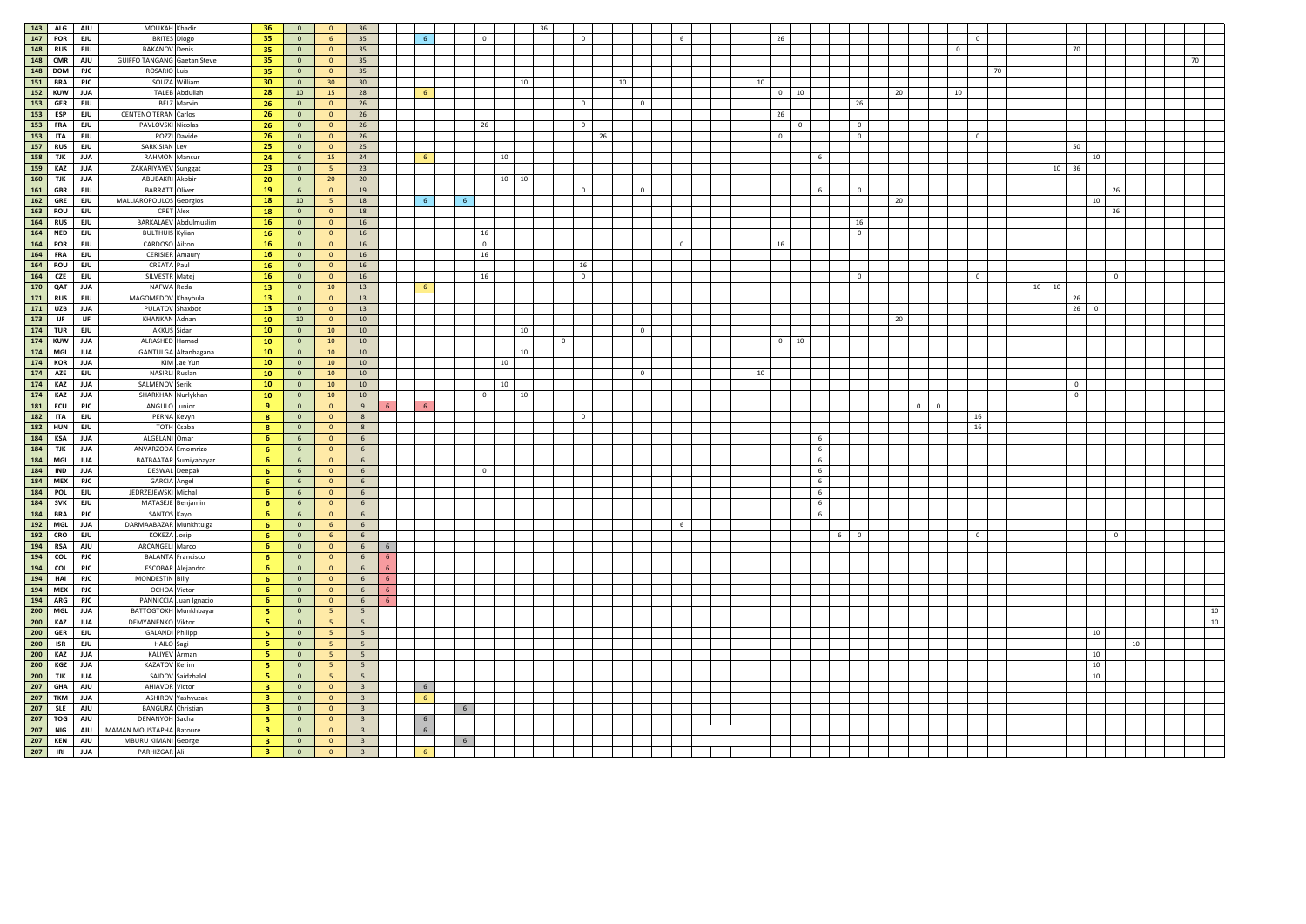| 143 ALG                       | <b>AJU</b>                            |                        | MOUKAH Khadir                      | 36                      | $\circ$                 | $\circ$         | 36                      |                  |                 |                |          | 36      |              |         |                |         |    |               |                |                |    |                |              |    |          |                |                |        |    |        |
|-------------------------------|---------------------------------------|------------------------|------------------------------------|-------------------------|-------------------------|-----------------|-------------------------|------------------|-----------------|----------------|----------|---------|--------------|---------|----------------|---------|----|---------------|----------------|----------------|----|----------------|--------------|----|----------|----------------|----------------|--------|----|--------|
| 147<br>POR                    | EJU                                   |                        | <b>BRITES</b> Diogo                | 35                      | $\mathbf 0$             | 6 <sup>5</sup>  | 35                      |                  | $6-1$           | $\Omega$       |          |         | $\Omega$     |         |                | 6       |    | 26            |                |                |    |                | $\Omega$     |    |          |                |                |        |    |        |
| 148<br><b>RUS</b>             | EJU                                   | <b>BAKANOV</b> Denis   |                                    | 35                      | $\overline{0}$          | $\overline{0}$  | 35                      |                  |                 |                |          |         |              |         |                |         |    |               |                |                |    | $\overline{0}$ |              |    |          | 70             |                |        |    |        |
|                               |                                       |                        |                                    |                         |                         |                 |                         |                  |                 |                |          |         |              |         |                |         |    |               |                |                |    |                |              |    |          |                |                |        |    |        |
| 148<br><b>CMR</b>             | <b>AJU</b>                            |                        | <b>GUIFFO TANGANG</b> Gaetan Steve | 35                      | $\overline{0}$          | $\overline{0}$  | 35                      |                  |                 |                |          |         |              |         |                |         |    |               |                |                |    |                |              |    |          |                |                |        | 70 |        |
| 148 DOM                       | PJC                                   | ROSARIO Luis           |                                    | 35                      | $\overline{0}$          | $\overline{0}$  | 35                      |                  |                 |                |          |         |              |         |                |         |    |               |                |                |    |                |              | 70 |          |                |                |        |    |        |
| 151<br><b>BRA</b>             | PJC                                   |                        | SOUZA William                      | 30 <sub>2</sub>         | $\overline{0}$          | 30 <sup>°</sup> | 30                      |                  |                 |                | 10       |         |              | 10      |                |         | 10 |               |                |                |    |                |              |    |          |                |                |        |    |        |
| <b>152 KUW</b>                | <b>JUA</b>                            |                        | TALEB Abdullah                     | 28                      | $10\,$                  | 15              | 28                      |                  | 6               |                |          |         |              |         |                |         |    | 10<br>$\circ$ |                |                | 20 | 10             |              |    |          |                |                |        |    |        |
| 153<br><b>GER</b>             | EJU                                   |                        | BELZ Marvin                        | 26                      | $\overline{0}$          | $\mathbf{0}$    | 26                      |                  |                 |                |          |         | $\mathbf{0}$ |         | $\circ$        |         |    |               |                | 26             |    |                |              |    |          |                |                |        |    |        |
|                               |                                       |                        |                                    |                         |                         |                 |                         |                  |                 |                |          |         |              |         |                |         |    |               |                |                |    |                |              |    |          |                |                |        |    |        |
| 153<br>ESP                    | CENTENO TERAN Carlos<br>EJU           |                        |                                    | 26                      | $\overline{0}$          | $\circ$         | 26                      |                  |                 |                |          |         |              |         |                |         |    | 26            |                |                |    |                |              |    |          |                |                |        |    |        |
| 153<br><b>FRA</b>             | <b>EJU</b>                            |                        | PAVLOVSKI Nicolas                  | 26                      | $\overline{0}$          | $\overline{0}$  | 26                      |                  |                 | 26             |          |         | $\mathbf{0}$ |         |                |         |    | $\circ$       |                | $\circ$        |    |                |              |    |          |                |                |        |    |        |
| 153<br><b>ITA</b>             | <b>EJU</b>                            |                        | POZZI Davide                       | 26                      | $\overline{0}$          | $\overline{0}$  | 26                      |                  |                 |                |          |         | 26           |         |                |         |    | $\circ$       |                | $\mathbf{0}$   |    |                | $\mathbf{0}$ |    |          |                |                |        |    |        |
| 157<br><b>RUS</b>             | EJU                                   | SARKISIAN Lev          |                                    | 25                      | $\overline{0}$          | $\overline{0}$  | 25                      |                  |                 |                |          |         |              |         |                |         |    |               |                |                |    |                |              |    |          | 50             |                |        |    |        |
| 158<br><b>TJK</b>             | <b>JUA</b>                            |                        | <b>RAHMON</b> Mansur               | 24                      | $6\overline{6}$         | 15              | 24                      |                  | 6 <sub>1</sub>  |                | 10       |         |              |         |                |         |    |               | 6              |                |    |                |              |    |          |                | 10             |        |    |        |
|                               |                                       |                        |                                    |                         |                         |                 |                         |                  |                 |                |          |         |              |         |                |         |    |               |                |                |    |                |              |    |          |                |                |        |    |        |
| 159<br><b>KAZ</b>             | <b>JUA</b>                            |                        | ZAKARIYAYEV Sunggat                | 23                      | $\overline{0}$          | - 5 -           | 23                      |                  |                 |                |          |         |              |         |                |         |    |               |                |                |    |                |              |    |          | 10 36          |                |        |    |        |
| $\frac{160}{ }$<br><b>TJK</b> | <b>JUA</b>                            |                        | ABUBAKRI Akobir                    | 20 <sub>2</sub>         | $\overline{0}$          | 20 <sup>°</sup> | 20                      |                  |                 |                | 10<br>10 |         |              |         |                |         |    |               |                |                |    |                |              |    |          |                |                |        |    |        |
| 161<br><b>GBR</b>             | EJU                                   | <b>BARRATT</b> Oliver  |                                    | 19                      | $6\overline{6}$         | $\overline{0}$  | 19                      |                  |                 |                |          |         | $\mathbf{0}$ | $\circ$ |                |         |    |               | 6              | $\mathbf{0}$   |    |                |              |    |          |                | 26             |        |    |        |
| 162<br>GRE                    | MALLIAROPOULOS Georgios<br>EJU        |                        |                                    | 18                      | $10\,$                  | 5 <sup>1</sup>  | 18                      |                  | 6 <sup>1</sup>  | 6              |          |         |              |         |                |         |    |               |                |                | 20 |                |              |    |          |                | 10             |        |    |        |
| 163<br>ROU                    | EJU                                   | CRET Alex              |                                    | 18                      | $\mathbf 0$             | $\mathbf 0$     | 18                      |                  |                 |                |          |         |              |         |                |         |    |               |                |                |    |                |              |    |          |                | 36             |        |    |        |
| 164<br><b>RUS</b>             | EJU                                   |                        | <b>BARKALAEV</b> Abdulmuslim       | 16                      |                         |                 | 16                      |                  |                 |                |          |         |              |         |                |         |    |               |                |                |    |                |              |    |          |                |                |        |    |        |
|                               |                                       |                        |                                    |                         | $\overline{0}$          | $\mathbf{0}$    |                         |                  |                 |                |          |         |              |         |                |         |    |               |                | 16             |    |                |              |    |          |                |                |        |    |        |
| 164<br><b>NED</b>             | EJU                                   | <b>BULTHUIS Kylian</b> |                                    | 16                      | $\overline{0}$          | $\overline{0}$  | $16\,$                  |                  |                 | 16             |          |         |              |         |                |         |    |               |                | $\circ$        |    |                |              |    |          |                |                |        |    |        |
| 164<br>POR                    | EJU                                   | CARDOSO Ailton         |                                    | 16                      | $\overline{0}$          | $\bullet$       | $16\,$                  |                  |                 | $\circ$        |          |         |              |         |                | $\circ$ |    | 16            |                |                |    |                |              |    |          |                |                |        |    |        |
| 164<br><b>FRA</b>             | EJU                                   |                        | <b>CERISIER</b> Amaury             | 16                      | $\overline{0}$          | $\overline{0}$  | 16                      |                  |                 | 16             |          |         |              |         |                |         |    |               |                |                |    |                |              |    |          |                |                |        |    |        |
| 164<br>ROU                    | EJU                                   | <b>CREATA</b> Paul     |                                    | 16                      | $\mathbf 0$             | $\mathbf 0$     | $16\,$                  |                  |                 |                |          |         | 16           |         |                |         |    |               |                |                |    |                |              |    |          |                |                |        |    |        |
| 164<br>CZE                    | EJU                                   | SILVESTR Matej         |                                    | 16                      | $\overline{0}$          | $\bullet$       | $16\,$                  |                  |                 | 16             |          |         | $\circ$      |         |                |         |    |               |                | $\mathbf{0}$   |    |                | $\circ$      |    |          |                | $\circ$        |        |    |        |
|                               |                                       |                        |                                    |                         |                         |                 |                         |                  |                 |                |          |         |              |         |                |         |    |               |                |                |    |                |              |    |          |                |                |        |    |        |
| 170<br>QAT                    | <b>JUA</b>                            | NAFWA Reda             |                                    | 13                      | $\overline{0}$          | 10 <sub>1</sub> | 13                      |                  | 6 <sup>1</sup>  |                |          |         |              |         |                |         |    |               |                |                |    |                |              |    | 10<br>10 |                |                |        |    |        |
| 171<br><b>RUS</b>             | EJU                                   |                        | MAGOMEDOV Khaybula                 | 13                      | $\overline{0}$          | $\circ$         | 13                      |                  |                 |                |          |         |              |         |                |         |    |               |                |                |    |                |              |    |          | 26             |                |        |    |        |
| 171<br><b>UZB</b>             | <b>JUA</b>                            |                        | PULATOV Shaxboz                    | 13                      | $\overline{0}$          | $\circ$         | 13                      |                  |                 |                |          |         |              |         |                |         |    |               |                |                |    |                |              |    |          | 26             | $\overline{0}$ |        |    |        |
| 173<br><b>IJF</b>             | IJF                                   |                        | KHANKAN Adnan                      | 10                      | $10\,$                  | $\mathbf 0$     | $10\,$                  |                  |                 |                |          |         |              |         |                |         |    |               |                |                | 20 |                |              |    |          |                |                |        |    |        |
| 174<br><b>TUR</b>             | EJU                                   | <b>AKKUS</b> Sidar     |                                    | 10                      | $\overline{0}$          | 10 <sup>°</sup> | 10                      |                  |                 |                | 10       |         |              |         | $\overline{0}$ |         |    |               |                |                |    |                |              |    |          |                |                |        |    |        |
| 174<br><b>KUW</b>             | <b>JUA</b>                            |                        | ALRASHED Hamad                     |                         |                         |                 | $10\,$                  |                  |                 |                |          | $\circ$ |              |         |                |         |    | $\circ$<br>10 |                |                |    |                |              |    |          |                |                |        |    |        |
|                               |                                       |                        |                                    | 10                      | $\overline{0}$          | 10 <sub>1</sub> |                         |                  |                 |                |          |         |              |         |                |         |    |               |                |                |    |                |              |    |          |                |                |        |    |        |
| 174<br><b>MGL</b>             | <b>JUA</b>                            |                        | GANTULGA Altanbagana               | 10                      | $\overline{0}$          | 10 <sup>°</sup> | 10                      |                  |                 |                | 10       |         |              |         |                |         |    |               |                |                |    |                |              |    |          |                |                |        |    |        |
| 174<br>KOR                    | <b>JUA</b>                            |                        | KIM Jae Yun                        | 10                      | $\overline{0}$          | 10 <sub>1</sub> | $10\,$                  |                  |                 |                | 10       |         |              |         |                |         |    |               |                |                |    |                |              |    |          |                |                |        |    |        |
| 174<br>AZE                    | EJU                                   |                        | NASIRLI Ruslan                     | 10                      | $\overline{0}$          | 10 <sup>°</sup> | $10\,$                  |                  |                 |                |          |         |              | $\circ$ |                |         | 10 |               |                |                |    |                |              |    |          |                |                |        |    |        |
| 174<br>KAZ                    | <b>JUA</b>                            | SALMENOV Serik         |                                    | 10                      | $\overline{0}$          | $10-10$         | 10 <sup>10</sup>        |                  |                 |                | 10       |         |              |         |                |         |    |               |                |                |    |                |              |    |          | $\overline{0}$ |                |        |    |        |
| 174<br>KAZ                    | <b>JUA</b>                            |                        | SHARKHAN Nurlykhan                 | 10                      | $\overline{0}$          | 10 <sup>°</sup> | 10                      |                  |                 | $\overline{0}$ | 10       |         |              |         |                |         |    |               |                |                |    |                |              |    |          | $\mathbf{0}$   |                |        |    |        |
| 181<br>ECU                    | PJC                                   | ANGULO Junior          |                                    | 9                       | $\overline{0}$          | $\overline{0}$  | 9                       |                  | 6               |                |          |         |              |         |                |         |    |               |                |                |    | $0$ 0          |              |    |          |                |                |        |    |        |
| 182                           |                                       | PERNA Kevyn            |                                    | $\mathbf{8}$            |                         |                 |                         |                  |                 |                |          |         |              |         |                |         |    |               |                |                |    |                |              |    |          |                |                |        |    |        |
| <b>ITA</b>                    | EJU                                   |                        |                                    |                         | $\overline{\mathbf{0}}$ | $\overline{0}$  | 8                       |                  |                 |                |          |         | $\mathbf{0}$ |         |                |         |    |               |                |                |    |                | 16           |    |          |                |                |        |    |        |
| 182<br><b>HUN</b>             | EJU                                   |                        | TOTH Csaba                         | 8                       | $\mathbf{0}$            | $\mathbf{0}$    | 8                       |                  |                 |                |          |         |              |         |                |         |    |               |                |                |    |                | 16           |    |          |                |                |        |    |        |
| 184<br>KSA                    | <b>JUA</b>                            | ALGELANI Omar          |                                    | 6                       | 6                       | $\Omega$        | 6                       |                  |                 |                |          |         |              |         |                |         |    |               | 6              |                |    |                |              |    |          |                |                |        |    |        |
| 184<br>TJK                    | <b>JUA</b>                            |                        | ANVARZODA Emomrizo                 | 6                       | 6 <sup>5</sup>          | $\overline{0}$  | 6                       |                  |                 |                |          |         |              |         |                |         |    |               | 6              |                |    |                |              |    |          |                |                |        |    |        |
| 184<br>MGL                    | <b>JUA</b>                            |                        | BATBAATAR Sumiyabayar              | 6                       | 6                       | $\overline{0}$  | 6 <sup>5</sup>          |                  |                 |                |          |         |              |         |                |         |    |               | 6              |                |    |                |              |    |          |                |                |        |    |        |
| 184<br><b>IND</b>             | <b>JUA</b>                            |                        | <b>DESWAL</b> Deepak               | 6                       | 6                       | $\circ$         | $6\overline{6}$         |                  |                 | $\circ$        |          |         |              |         |                |         |    |               | 6              |                |    |                |              |    |          |                |                |        |    |        |
| 184<br><b>MEX</b>             | PJC                                   | <b>GARCIA</b> Angel    |                                    | 6                       | 6 <sup>5</sup>          | $\circ$         | $6\overline{6}$         |                  |                 |                |          |         |              |         |                |         |    |               | 6              |                |    |                |              |    |          |                |                |        |    |        |
|                               |                                       |                        |                                    |                         |                         |                 |                         |                  |                 |                |          |         |              |         |                |         |    |               |                |                |    |                |              |    |          |                |                |        |    |        |
| 184<br>POL                    | <b>EJU</b>                            |                        | JEDRZEJEWSKI Michal                | 6                       | 6                       | $\overline{0}$  | 6                       |                  |                 |                |          |         |              |         |                |         |    |               | 6              |                |    |                |              |    |          |                |                |        |    |        |
| 184<br><b>SVK</b>             | EJU                                   |                        | MATASEJE Benjamin                  | 6                       | $6\overline{6}$         | $\overline{0}$  | 6 <sup>5</sup>          |                  |                 |                |          |         |              |         |                |         |    |               | 6              |                |    |                |              |    |          |                |                |        |    |        |
| 184<br><b>BRA</b>             | PJC                                   | SANTOS Kayo            |                                    | 6 <sup>1</sup>          | $6\overline{6}$         | $\overline{0}$  | 6 <sup>1</sup>          |                  |                 |                |          |         |              |         |                |         |    |               | 6              |                |    |                |              |    |          |                |                |        |    |        |
| 192<br><b>MGL</b>             | <b>JUA</b>                            |                        | DARMAABAZAR Munkhtulga             | $6\phantom{.}$          | $\overline{0}$          | 6 <sup>5</sup>  | $6\overline{6}$         |                  |                 |                |          |         |              |         |                | 6       |    |               |                |                |    |                |              |    |          |                |                |        |    |        |
| 192<br>CRO                    | EJU                                   | KOKEZA Josip           |                                    | 6 <sup>1</sup>          | $\mathbf 0$             | $6\overline{6}$ | $6\overline{6}$         |                  |                 |                |          |         |              |         |                |         |    |               | 6 <sup>1</sup> | $\overline{0}$ |    |                | $\circ$      |    |          |                | $\mathbf 0$    |        |    |        |
| 194<br><b>RSA</b>             | <b>AJU</b>                            |                        | ARCANGELI Marco                    | 6                       | $\overline{0}$          | $\overline{0}$  | 6                       | 6                |                 |                |          |         |              |         |                |         |    |               |                |                |    |                |              |    |          |                |                |        |    |        |
| 194                           | PJC                                   |                        | <b>BALANTA</b> Francisco           |                         |                         |                 |                         |                  |                 |                |          |         |              |         |                |         |    |               |                |                |    |                |              |    |          |                |                |        |    |        |
| COL                           |                                       |                        |                                    | 6                       | $\overline{0}$          | $\overline{0}$  | $6\overline{6}$         | 6                |                 |                |          |         |              |         |                |         |    |               |                |                |    |                |              |    |          |                |                |        |    |        |
| 194<br>COL                    | PJC                                   |                        | <b>ESCOBAR</b> Alejandro           | 6 <sup>1</sup>          | $\overline{0}$          | $\overline{0}$  | 6 <sup>5</sup>          | 6                |                 |                |          |         |              |         |                |         |    |               |                |                |    |                |              |    |          |                |                |        |    |        |
| 194<br>HAI                    | PJC                                   | MONDESTIN Billy        |                                    | $6^{\circ}$             | $\overline{0}$          | $\mathbf{0}$    | $6\overline{6}$         | $6 \overline{6}$ |                 |                |          |         |              |         |                |         |    |               |                |                |    |                |              |    |          |                |                |        |    |        |
| 194<br><b>MEX</b>             | PJC                                   | OCHOA Victor           |                                    | 6                       | $\overline{\mathbf{0}}$ | $\overline{0}$  | $6\overline{6}$         |                  |                 |                |          |         |              |         |                |         |    |               |                |                |    |                |              |    |          |                |                |        |    |        |
| 194<br>ARG                    | PJC                                   |                        | PANNICCIA Juan Ignacio             | 6 <sup>1</sup>          | $\overline{0}$          | $\circ$         | 6                       |                  |                 |                |          |         |              |         |                |         |    |               |                |                |    |                |              |    |          |                |                |        |    |        |
| 200<br><b>MGL</b>             | <b>JUA</b>                            |                        | BATTOGTOKH Munkhbayar              | 5 <sub>1</sub>          | $\overline{0}$          | 5 <sub>1</sub>  | 5 <sup>5</sup>          |                  |                 |                |          |         |              |         |                |         |    |               |                |                |    |                |              |    |          |                |                |        |    | $10\,$ |
|                               |                                       |                        |                                    |                         |                         |                 |                         |                  |                 |                |          |         |              |         |                |         |    |               |                |                |    |                |              |    |          |                |                |        |    |        |
| 200<br>KAZ                    | <b>JUA</b>                            | DEMYANENKO Viktor      |                                    | 5 <sub>1</sub>          | $\overline{0}$          | 5 <sup>7</sup>  | 5                       |                  |                 |                |          |         |              |         |                |         |    |               |                |                |    |                |              |    |          |                |                |        |    | $10\,$ |
| 200<br><b>GER</b>             | EJU                                   |                        | <b>GALANDI Philipp</b>             | $\sqrt{5}$              | $\overline{0}$          | 5 <sup>1</sup>  | 5                       |                  |                 |                |          |         |              |         |                |         |    |               |                |                |    |                |              |    |          |                | 10             |        |    |        |
| 200<br><b>ISR</b>             | EJU                                   | <b>HAILO</b> Sagi      |                                    | 5 <sup>°</sup>          | $\mathbf 0$             | 5               | 5                       |                  |                 |                |          |         |              |         |                |         |    |               |                |                |    |                |              |    |          |                |                | $10\,$ |    |        |
| 200<br><b>KAZ</b>             | <b>JUA</b>                            |                        | KALIYEV Arman                      | 5 <sub>1</sub>          | $\overline{0}$          | 5               | 5 <sup>5</sup>          |                  |                 |                |          |         |              |         |                |         |    |               |                |                |    |                |              |    |          |                | 10             |        |    |        |
| 200<br>KGZ                    | <b>JUA</b>                            | <b>KAZATOV</b> Kerim   |                                    | 5                       | $\overline{0}$          | 5 <sub>1</sub>  | 5 <sup>5</sup>          |                  |                 |                |          |         |              |         |                |         |    |               |                |                |    |                |              |    |          |                | 10             |        |    |        |
| 200                           |                                       |                        | SAIDOV Saidzhalo                   | 5                       | $\overline{0}$          | 5 <sup>7</sup>  | 5 <sup>5</sup>          |                  |                 |                |          |         |              |         |                |         |    |               |                |                |    |                |              |    |          |                | 10             |        |    |        |
| <b>TJK</b>                    | <b>JUA</b>                            |                        |                                    |                         |                         |                 |                         |                  |                 |                |          |         |              |         |                |         |    |               |                |                |    |                |              |    |          |                |                |        |    |        |
| 207<br><b>GHA</b>             | <b>AJU</b>                            |                        | AHIAVOR Victor                     | $\overline{\mathbf{3}}$ | $\overline{0}$          | $\bullet$       | $\overline{\mathbf{3}}$ |                  | $6\overline{6}$ |                |          |         |              |         |                |         |    |               |                |                |    |                |              |    |          |                |                |        |    |        |
| 207<br><b>TKM</b>             | <b>JUA</b>                            |                        | ASHIROV Yashyuzak                  | $\overline{\mathbf{3}}$ | $\mathbf 0$             | $\overline{0}$  | 3 <sup>2</sup>          |                  | 6 <sup>1</sup>  |                |          |         |              |         |                |         |    |               |                |                |    |                |              |    |          |                |                |        |    |        |
| 207<br><b>SLE</b>             | AJU                                   |                        | <b>BANGURA</b> Christian           | 3                       | $\Omega$                | $\circ$         | $\overline{3}$          |                  |                 | 6              |          |         |              |         |                |         |    |               |                |                |    |                |              |    |          |                |                |        |    |        |
| 207<br><b>TOG</b>             | <b>AJU</b>                            | DENANYOH Sacha         |                                    | $\overline{\mathbf{3}}$ | $\overline{0}$          | $\overline{0}$  | 3                       |                  | $6\overline{6}$ |                |          |         |              |         |                |         |    |               |                |                |    |                |              |    |          |                |                |        |    |        |
| 207<br>NIG                    | MAMAN MOUSTAPHA Batoure<br><b>AJU</b> |                        |                                    | -3                      | $\circ$                 | $\Omega$        | $\overline{3}$          |                  | $6\overline{6}$ |                |          |         |              |         |                |         |    |               |                |                |    |                |              |    |          |                |                |        |    |        |
| 207<br><b>KEN</b>             | <b>AJU</b>                            |                        | MBURU KIMANI George                | $\overline{\mathbf{3}}$ | $\overline{\mathbf{0}}$ | $\circ$         | $\overline{\mathbf{3}}$ |                  |                 | 6              |          |         |              |         |                |         |    |               |                |                |    |                |              |    |          |                |                |        |    |        |
|                               |                                       |                        |                                    |                         |                         |                 |                         |                  |                 |                |          |         |              |         |                |         |    |               |                |                |    |                |              |    |          |                |                |        |    |        |
| 207<br>IRI                    | <b>JUA</b>                            | PARHIZGAR Ali          |                                    | $\overline{\mathbf{3}}$ | $\mathbf{0}$            | $\mathbf{0}$    | $\overline{\mathbf{3}}$ |                  | 6 <sup>1</sup>  |                |          |         |              |         |                |         |    |               |                |                |    |                |              |    |          |                |                |        |    |        |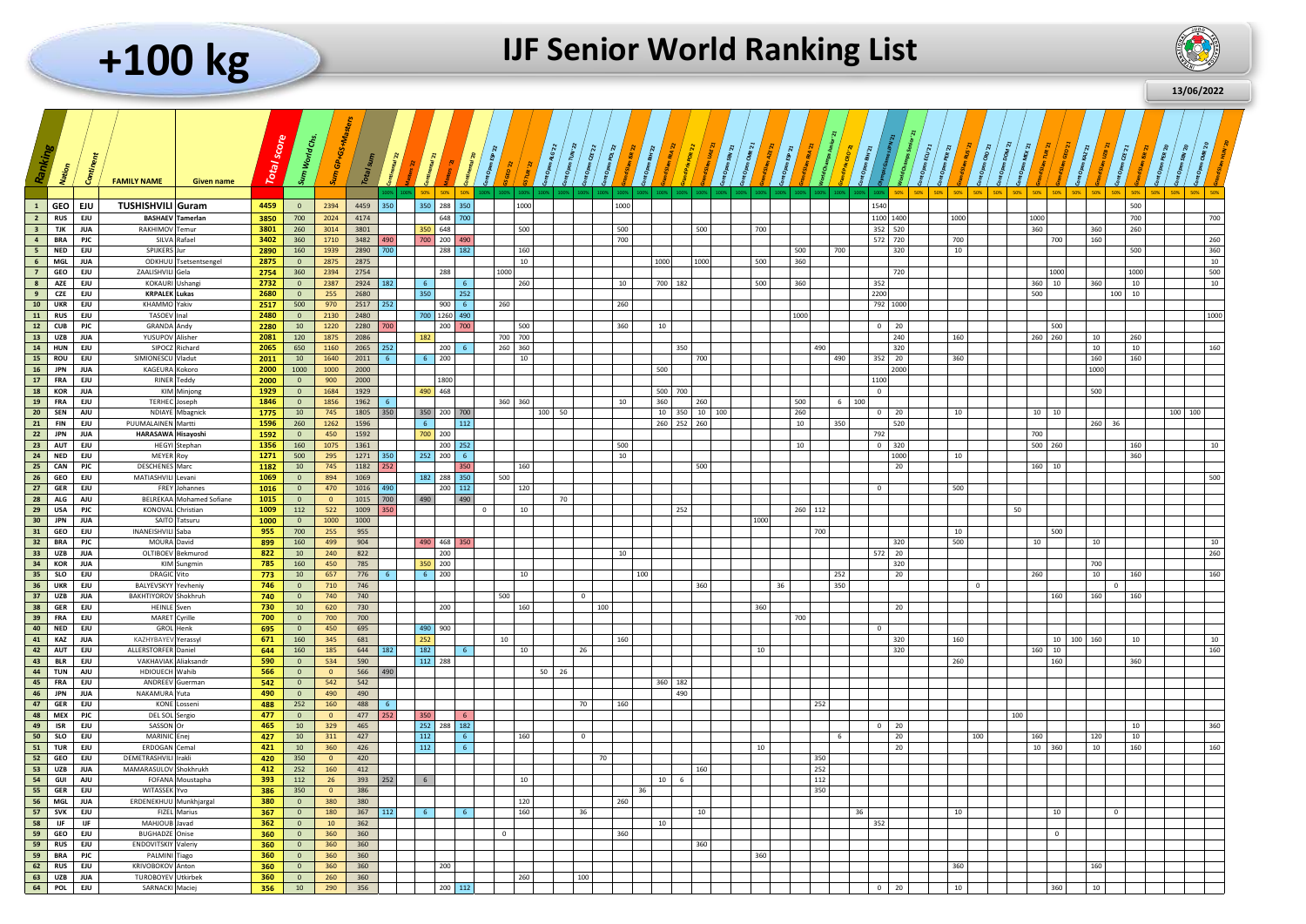# **+100 kg**

### **IJF Senior World Ranking List**



| Ranking                                    | <b>Nation</b>            | ξ,                       | <b>FAMILY NAME</b>                                  | <b>Given name</b>               | Score<br>Total | <sup>1</sup> World Ch <sub>i</sub> | Im <sub>GP</sub>        |              |                       |                 |                                       |             |            | N<br>Š<br>্ব   | $\alpha_{2}$ | Ņ<br>$\tilde{\mathcal{Q}}$<br>唐 |                      |           |     |        |            |            |     |                               |         | $\vec{N}$    | <b>DOM</b> <sub>21</sub><br><b>MBY</b> <sub>21</sub><br>$CRO_{21}$ |            | <b>KAZ</b> ZZ  |                  | $\frac{1}{2}$   |     |           |
|--------------------------------------------|--------------------------|--------------------------|-----------------------------------------------------|---------------------------------|----------------|------------------------------------|-------------------------|--------------|-----------------------|-----------------|---------------------------------------|-------------|------------|----------------|--------------|---------------------------------|----------------------|-----------|-----|--------|------------|------------|-----|-------------------------------|---------|--------------|--------------------------------------------------------------------|------------|----------------|------------------|-----------------|-----|-----------|
|                                            |                          |                          |                                                     |                                 |                |                                    |                         |              |                       | 50%             | 50%                                   |             |            |                |              |                                 |                      |           |     |        |            |            |     | 50%                           | 50% 50% | 50% 50%      | 50%<br>50% 50%                                                     |            | 50% 50%<br>50% |                  | 50%<br>50%      |     | 50%       |
| 1<br>$\overline{2}$                        | <b>GEO</b><br><b>RUS</b> | <b>EJU</b><br>EJU        | <b>TUSHISHVILI Guram</b><br><b>BASHAEV</b> Tamerlan |                                 | 4459<br>3850   | $\overline{0}$<br>700              | 2394<br>2024            | 4459<br>4174 | 350                   |                 | 350 288 350<br>648<br>700             |             | 1000       |                |              | 1000                            |                      |           |     |        |            |            |     | 1540<br>1100 1400             |         | 1000         |                                                                    | 1000       |                |                  | 500<br>700      |     | 700       |
| $\overline{\mathbf{3}}$                    | <b>TJK</b>               | <b>JUA</b>               | RAKHIMOV Temur                                      |                                 | 3801           | 260                                | 3014                    | 3801         |                       |                 | 350 648                               |             | 500        |                |              | 500                             |                      | 500       |     | 700    |            |            |     | 352 520                       |         |              |                                                                    | 360        |                | 360              | 260             |     |           |
| $\overline{4}$                             | <b>BRA</b>               | <b>PJC</b>               | SILVA Rafael                                        |                                 | 3402           | 360                                | 1710                    | 3482         | 490                   | 700             | 200<br>490                            |             |            |                |              | 700                             |                      |           |     |        |            |            |     | 572<br>720                    |         | 700          |                                                                    |            | 700            | 160              |                 |     | 260       |
| $\overline{\phantom{a}}$<br>6 <sup>1</sup> | <b>NED</b><br><b>MGL</b> | EJU<br><b>JUA</b>        | SPIJKERS Jur                                        | ODKHUU Tsetsentsengel           | 2890<br>2875   | 160<br>$\overline{0}$              | 1939<br>2875            | 2890<br>2875 | 700                   |                 | 288<br>182                            |             | 160<br>10  |                |              |                                 | 1000                 | 1000      |     | 500    | 500<br>360 | 700        |     | 320                           |         | 10           |                                                                    |            |                |                  | 500             |     | 360<br>10 |
| $\overline{7}$                             | GEO                      | <b>EJU</b>               | ZAALISHVILI Gela                                    |                                 | 2754           | 360                                | 2394                    | 2754         |                       |                 | 288                                   | 1000        |            |                |              |                                 |                      |           |     |        |            |            |     | 720                           |         |              |                                                                    |            | 1000           |                  | 1000            |     | 500       |
| $\mathbf{8}$<br>9                          | AZE<br>${\sf CZE}$       | <b>EJU</b><br>EJU        | KOKAURI Ushangi<br><b>KRPALEK</b> Lukas             |                                 | 2732<br>2680   | $\overline{0}$<br>$\overline{0}$   | 2387                    | 2924<br>2680 | 182                   | 6<br>350        | 6<br>252                              |             | 260        |                |              | 10                              | 700<br>182           |           |     | 500    | 360        |            |     | 352<br>2200                   |         |              |                                                                    | 360<br>500 | 10             | 360              | 10<br>10<br>100 |     | 10        |
| 10 <sup>10</sup>                           | <b>UKR</b>               | <b>EJU</b>               | KHAMMO Yakiv                                        |                                 | 2517           | 500                                | 255<br>970              | 2517         | 252                   |                 | 900 <sub>1</sub><br>6 <sup>6</sup>    | 260         |            |                |              | 260                             |                      |           |     |        |            |            |     | 792 1000                      |         |              |                                                                    |            |                |                  |                 |     |           |
| 11                                         | <b>RUS</b>               | EJU                      | TASOEV Inal                                         |                                 | 2480           | $\overline{0}$                     | 2130                    | 2480         |                       |                 | 700 1260 490                          |             |            |                |              |                                 |                      |           |     |        | 1000       |            |     |                               |         |              |                                                                    |            |                |                  |                 |     | 1000      |
| 12<br>13                                   | <b>CUB</b><br><b>UZB</b> | PJC<br><b>JUA</b>        | <b>GRANDA</b> Andy<br>YUSUPOV Alisher               |                                 | 2280<br>2081   | 10<br>120                          | 1220<br>1875            | 2280<br>2086 |                       | 182             | 200<br>700                            | 700         | 500<br>700 |                |              | 360                             | $10\,$               |           |     |        |            |            |     | $\overline{0}$<br>20<br>240   |         | 160          |                                                                    | 260 260    | 500            | $10\,$           | 260             |     |           |
| 14                                         | <b>HUN</b>               | <b>EJU</b>               | SIPOCZ Richard                                      |                                 | 2065           | 650                                | 1160                    | 2065         | 252                   |                 | 200<br>-6                             | 260         | 360        |                |              |                                 | 350                  |           |     |        |            | 490        |     | 320                           |         |              |                                                                    |            |                | $10\,$           | 10              |     | 160       |
| 15<br>16                                   | ROU                      | EJU                      | SIMIONESCU Vladut<br>KAGEURA Kokoro                 |                                 | 2011<br>2000   | $10$                               | 1640                    | 2011         | $6-1$                 |                 | $6 \mid 200$                          |             | 10         |                |              |                                 | 500                  | 700       |     |        |            | 490        |     | 20<br>352<br>2000             |         | 360          |                                                                    |            |                | 160<br>1000      | 160             |     |           |
| $17\,$                                     | <b>JPN</b><br><b>FRA</b> | <b>JUA</b><br>EJU        | RINER Teddy                                         |                                 | 2000           | 1000<br>$\overline{0}$             | 1000<br>900             | 2000<br>2000 |                       |                 | 1800                                  |             |            |                |              |                                 |                      |           |     |        |            |            |     | 1100                          |         |              |                                                                    |            |                |                  |                 |     |           |
| 18                                         | KOR                      | <b>JUA</b>               |                                                     | KIM Minjong                     | 1929           | $\overline{0}$                     | 1684                    | 1929         |                       |                 | 490 468                               |             |            |                |              |                                 | 500<br>700           |           |     |        |            |            |     | $\overline{0}$                |         |              |                                                                    |            |                | 500              |                 |     |           |
| 19<br>20                                   | <b>FRA</b><br>SEN        | EJU<br><b>AJU</b>        | <b>TERHEC</b> Joseph                                | NDIAYE Mbagnick                 | 1846<br>1775   | $\mathbf 0$<br>10                  | 1856<br>745             | 1962<br>1805 | 350                   | 350             | 200<br>700                            | 360         | 360        | 100<br>50      |              | 10                              | 360<br>$10\,$<br>350 | 260<br>10 | 100 |        | 500<br>260 | 6          | 100 | $\mathbf{0}$<br>20            |         | $10\,$       |                                                                    | 10         | $10\,$         |                  |                 | 100 | 100       |
| 21                                         | <b>FIN</b>               | EJU                      | PUUMALAINEN Martti                                  |                                 | 1596           | 260                                | 1262                    | 1596         |                       | 6 <sup>1</sup>  | 112                                   |             |            |                |              |                                 | 260                  | 252 260   |     |        | 10         | 350        |     | 520                           |         |              |                                                                    |            |                | 260              | 36              |     |           |
| 22                                         | <b>JPN</b>               | <b>JUA</b>               | HARASAWA Hisayoshi                                  |                                 | 1592           | $\Omega$                           | 450                     | 1592         |                       |                 | 700 200                               |             |            |                |              |                                 |                      |           |     |        |            |            |     | 792                           |         |              |                                                                    | 700        |                |                  |                 |     |           |
| 23<br>24                                   | AUT<br><b>NED</b>        | EJU<br>EJU               | MEYER Roy                                           | <b>HEGYI</b> Stephan            | 1356<br>1271   | 160<br>500                         | 1075<br>295             | 1361<br>1271 | 350                   |                 | 200<br>252<br>252 200<br>$\mathbf{f}$ |             |            |                |              | 500<br>$10\,$                   |                      |           |     |        | 10         |            |     | $\overline{0}$<br>320<br>1000 |         | $10\,$       |                                                                    | 500 260    |                |                  | 160<br>360      |     | 10        |
| 25                                         | CAN                      | PJC                      | DESCHENES Marc                                      |                                 | 1182           | 10                                 | 745                     | 1182         | 252                   |                 | 350                                   |             | 160        |                |              |                                 |                      | 500       |     |        |            |            |     | 20                            |         |              |                                                                    | 160        | 10             |                  |                 |     |           |
| 26<br>27                                   | GEO<br>${\tt GER}$       | EJU<br>EJU               | MATIASHVILI Levani                                  | FREY Johannes                   | 1069<br>1016   | $\overline{0}$<br>$\overline{0}$   | 894<br>470              | 1069<br>1016 | 490                   |                 | 182 288 350<br>200 112                | 500         | 120        |                |              |                                 |                      |           |     |        |            |            |     | $\circ$                       |         | 500          |                                                                    |            |                |                  |                 |     | 500       |
| 28                                         | <b>ALG</b>               | <b>AJU</b>               |                                                     | <b>BELREKAA</b> Mohamed Sofiane | 1015           | $\overline{0}$                     | $\overline{0}$          | 1015         | 700                   | 490             | 490                                   |             |            | 70             |              |                                 |                      |           |     |        |            |            |     |                               |         |              |                                                                    |            |                |                  |                 |     |           |
| 29                                         | <b>USA</b>               | PJC                      | KONOVAL Christian                                   |                                 | 1009           | 112                                | 522                     | 1009         | nas                   |                 |                                       | $\mathbf 0$ | 10         |                |              |                                 | 252                  |           |     |        |            | 260 112    |     |                               |         |              | 50                                                                 |            |                |                  |                 |     |           |
| 30<br>31                                   | <b>JPN</b><br>GEO        | <b>JUA</b><br>EJU        | INANEISHVILI Saba                                   | SAITO Tatsuru                   | 1000<br>955    | $\overline{0}$<br>700              | 1000<br>255             | 1000<br>955  |                       |                 |                                       |             |            |                |              |                                 |                      |           |     | 1000   |            | 700        |     |                               |         | $10\,$       |                                                                    |            | 500            |                  |                 |     |           |
| 32                                         | <b>BRA</b>               | <b>PJC</b>               | MOURA David                                         |                                 | 899            | 160                                | 499                     | 904          |                       |                 | 490 468                               |             |            |                |              |                                 |                      |           |     |        |            |            |     | 320                           |         | 500          |                                                                    | 10         |                | $10\,$           |                 |     | 10        |
| 33<br>34                                   | <b>UZB</b><br>KOR        | <b>JUA</b><br><b>JUA</b> | OLTIBOEV Bekmurod                                   | KIM Sungmin                     | 822<br>785     | $10\,$<br>160                      | 240<br>450              | 822<br>785   |                       | 350             | 200<br>200                            |             |            |                |              | 10                              |                      |           |     |        |            |            |     | 572<br>20<br>320              |         |              |                                                                    |            |                | 700              |                 |     | 260       |
| 35                                         | SLO                      | EJU                      | <b>DRAGIC Vito</b>                                  |                                 | 773            | 10 <sup>°</sup>                    | 657                     | 776          |                       |                 | $6 \mid 200$                          |             | 10         |                |              | 100                             |                      |           |     |        |            | 252        |     | 20                            |         |              |                                                                    | 260        |                | 10               | 160             |     | 160       |
| 36                                         | <b>UKR</b>               | EJU                      | <b>BALYEVSKYY</b> Yevheniy                          |                                 | 746            | $\overline{0}$                     | 710                     | 746          |                       |                 |                                       |             |            |                |              |                                 |                      | 360       |     |        | 36         | 350        |     |                               |         | $\mathbf{0}$ |                                                                    |            |                |                  | $\Omega$        |     |           |
| 37<br>38                                   | <b>UZB</b><br>GER        | <b>JUA</b><br><b>EJU</b> | <b>BAKHTIYOROV</b> Shokhruh<br><b>HEINLE</b> Sven   |                                 | 740<br>730     | $\overline{0}$<br>10 <sup>°</sup>  | 740<br>620              | 740<br>730   |                       |                 | 200                                   | 500         | 160        | $\circ$        | 100          |                                 |                      |           |     | 360    |            |            |     | 20                            |         |              |                                                                    |            | 160            | 160              | 160             |     |           |
| 39                                         | <b>FRA</b>               | EJU                      | MARET Cyrille                                       |                                 | 700            | $\overline{0}$                     | 700                     | 700          |                       |                 |                                       |             |            |                |              |                                 |                      |           |     |        | 700        |            |     |                               |         |              |                                                                    |            |                |                  |                 |     |           |
| 40<br>41                                   | <b>NED</b><br><b>KAZ</b> | EJU<br><b>JUA</b>        | <b>GROL</b> Henk<br><b>KAZHYBAYEV</b> Yerassyl      |                                 | 695<br>671     | $\overline{0}$<br>160              | 450<br>345              | 695<br>681   |                       | 252             | 490 900                               | 10          |            |                |              | 160                             |                      |           |     |        |            |            |     | $\circ$<br>320                |         | 160          |                                                                    |            | 10<br>100 160  |                  | 10              |     | 10        |
| 42                                         | AUT                      | EJU                      | ALLERSTORFER Daniel                                 |                                 | 644            | 160                                | 185                     | 644          | 182                   | 182             | 6                                     |             | 10         | 26             |              |                                 |                      |           |     | $10\,$ |            |            |     | 320                           |         |              |                                                                    | 160        | 10             |                  |                 |     | 160       |
| 43                                         | <b>BLR</b>               | EJU                      | VAKHAVIAK Aliaksandr                                |                                 | 590            | $\overline{0}$                     | 534                     | 590          |                       |                 | 112 288                               |             |            |                |              |                                 |                      |           |     |        |            |            |     |                               |         | 260          |                                                                    |            | 160            |                  | 360             |     |           |
| 44<br>45                                   | <b>TUN</b><br>FRA        | <b>AJU</b><br>EJU        | HDIOUECH Wahib<br>ANDREEV Guerman                   |                                 | 566<br>542     | $\overline{0}$<br>$\overline{0}$   | $\Omega$<br>542         | 566<br>542   | 490                   |                 |                                       |             |            | 50 26          |              |                                 | 360<br>182           |           |     |        |            |            |     |                               |         |              |                                                                    |            |                |                  |                 |     |           |
| 46                                         | <b>JPN</b>               | <b>JUA</b>               | NAKAMURA Yuta                                       |                                 | 490            | $\overline{0}$                     | 490                     | 490          |                       |                 |                                       |             |            |                |              |                                 | 490                  |           |     |        |            |            |     |                               |         |              |                                                                    |            |                |                  |                 |     |           |
| 47<br>48                                   | <b>GER</b><br><b>MEX</b> | EJU<br>PJC               | DEL SOL Sergio                                      | KONE Losseni                    | 488<br>477     | 252<br>$\overline{0}$              | 160<br>$\overline{0}$   | 488<br>477   | 6 <sup>1</sup><br>252 | 350             |                                       |             |            | 70             |              | 160                             |                      |           |     |        |            | 252        |     |                               |         |              | 100                                                                |            |                |                  |                 |     |           |
| 49                                         | <b>ISR</b>               | EJU                      | SASSON Or                                           |                                 | 465            | 10                                 | 329                     | 465          |                       |                 | 252 288<br>182                        |             |            |                |              |                                 |                      |           |     |        |            |            |     | 20<br>$\mathbf{0}$            |         |              |                                                                    |            |                |                  | 10              |     | 360       |
| 50                                         | <b>SLO</b>               | EJU                      | MARINIC Enej                                        |                                 | 427            | 10                                 | 311                     | 427          |                       | 112             | 6                                     |             | 160        | $\overline{0}$ |              |                                 |                      |           |     |        |            | -6         |     | 20                            |         | 100          |                                                                    | 160        |                | 120              | 10              |     |           |
| 51<br>52                                   | <b>TUR</b><br>GEO        | EJU<br>EJU               | ERDOGAN Cemal<br>DEMETRASHVILI Irakli               |                                 | 421<br>420     | 10<br>350                          | 360<br>$\overline{0}$   | 426<br>420   |                       | 112             | 6                                     |             |            |                | 70           |                                 |                      |           |     | 10     |            | 350        |     | 20                            |         |              |                                                                    | 10         | 360            | 10               | 160             |     | 160       |
| 53                                         | <b>UZB</b>               | <b>JUA</b>               | MAMARASULOV Shokhrukh                               |                                 | 412            | 252                                | 160                     | 412          |                       |                 |                                       |             |            |                |              |                                 |                      | 160       |     |        |            | 252        |     |                               |         |              |                                                                    |            |                |                  |                 |     |           |
| 54                                         | GUI                      | <b>AJU</b>               |                                                     | FOFANA Moustapha                | 393            | 112                                | 26                      | 393<br>386   | 252                   | $6\overline{6}$ |                                       |             | 10         |                |              |                                 | 10<br>6              |           |     |        |            | 112<br>350 |     |                               |         |              |                                                                    |            |                |                  |                 |     |           |
| 55<br>56                                   | GER<br><b>MGL</b>        | EJU<br><b>JUA</b>        | WITASSEK Yvo<br>ERDENEKHUU Munkhjargal              |                                 | 386<br>380     | 350<br>$\overline{0}$              | $\overline{0}$<br>380   | 380          |                       |                 |                                       |             | 120        |                |              | 36<br>260                       |                      |           |     |        |            |            |     |                               |         |              |                                                                    |            |                |                  |                 |     |           |
| 57                                         | <b>SVK</b>               | EJU                      |                                                     | FIZEL Marius                    | 367            | $\overline{0}$                     | 180                     | 367          | 112                   | 6 <sup>1</sup>  | 6                                     |             | 160        | 36             |              |                                 |                      | 10        |     |        |            |            | 36  |                               |         | $10\,$       |                                                                    |            | 10             |                  | $\circ$         |     |           |
| 58<br>59                                   | IJF<br>GEO               | <b>UF</b><br>EJU         | MAHJOUB Javad<br><b>BUGHADZE</b> Onise              |                                 | 362<br>360     | $\Omega$<br>$\overline{0}$         | 10 <sup>10</sup><br>360 | 362<br>360   |                       |                 |                                       | $\Omega$    |            |                |              | 360                             | 10                   |           |     |        |            |            |     | 352                           |         |              |                                                                    |            | $\Omega$       |                  |                 |     |           |
| 59                                         | <b>RUS</b>               | EJU                      | <b>ENDOVITSKIY Valeriy</b>                          |                                 | 360            | $\overline{0}$                     | 360                     | 360          |                       |                 |                                       |             |            |                |              |                                 |                      | 360       |     |        |            |            |     |                               |         |              |                                                                    |            |                |                  |                 |     |           |
| 59<br>62                                   | <b>BRA</b><br><b>RUS</b> | PJC<br>EJU               | PALMINI Tiago<br>KRIVOBOKOV Anton                   |                                 | 360<br>360     | $\circ$                            | 360<br>360              | 360<br>360   |                       |                 | 200                                   |             |            |                |              |                                 |                      |           |     | 360    |            |            |     |                               |         | 360          |                                                                    |            |                | 160              |                 |     |           |
| 63                                         | <b>UZB</b>               | <b>JUA</b>               | TUROBOYEV Utkirbek                                  |                                 | 360            | $\overline{0}$<br>$\circ$          | 260                     | 360          |                       |                 |                                       |             | 260        | 100            |              |                                 |                      |           |     |        |            |            |     |                               |         |              |                                                                    |            |                |                  |                 |     |           |
| 64                                         | POL                      | EJU                      | SARNACKI Maciej                                     |                                 | 356            | 10                                 | 290                     | 356          |                       |                 | 200<br>112                            |             |            |                |              |                                 |                      |           |     |        |            |            |     | $\mathbf{0}$<br>20            |         | $10\,$       |                                                                    |            | 360            | 10 <sub>10</sub> |                 |     |           |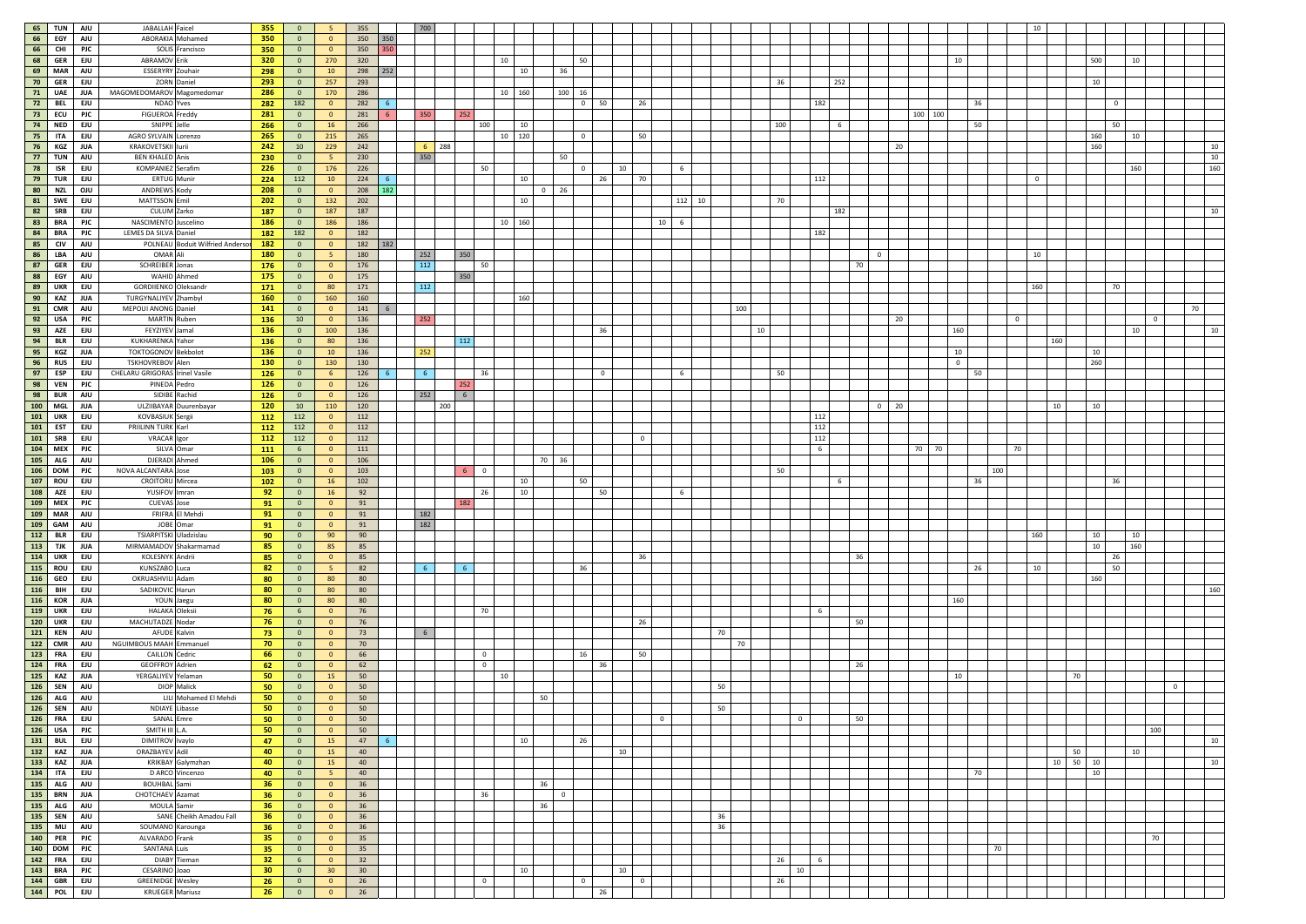| 65<br>66<br>66 | <b>TUN</b> | <b>AJU</b> | JABALLAH Faicel                |                                  | 355 | $\overline{0}$          | 5 <sub>1</sub>  | 355    |                | 700            |             |                |        |                |         |              |         |        |     |     |         |     |              |         |                |    |     | 10             |          |     |         |          |        |
|----------------|------------|------------|--------------------------------|----------------------------------|-----|-------------------------|-----------------|--------|----------------|----------------|-------------|----------------|--------|----------------|---------|--------------|---------|--------|-----|-----|---------|-----|--------------|---------|----------------|----|-----|----------------|----------|-----|---------|----------|--------|
|                | EGY        | AJU        | ABORAKIA Mohamed               |                                  | 350 |                         |                 | 350    |                |                |             |                |        |                |         |              |         |        |     |     |         |     |              |         |                |    |     |                |          |     |         |          |        |
|                |            |            |                                |                                  |     | $\overline{0}$          | $\overline{0}$  |        | 350            |                |             |                |        |                |         |              |         |        |     |     |         |     |              |         |                |    |     |                |          |     |         |          |        |
|                | CHI        | PJC        | SOLIS Francisco                |                                  | 350 | $\overline{0}$          | $\overline{0}$  | 350    | 350            |                |             |                |        |                |         |              |         |        |     |     |         |     |              |         |                |    |     |                |          |     |         |          |        |
| 68             | GER        | EJU        | <b>ABRAMOV</b> Erik            |                                  | 320 | $\overline{0}$          | 270             | 320    |                |                |             | 10             |        | 50             |         |              |         |        |     |     |         |     |              |         | 10             |    |     |                |          | 500 | 10      |          |        |
| 69             | <b>MAR</b> | AJU        | <b>ESSERYRY</b> Zouhair        |                                  | 298 | $\overline{0}$          | 10              | 298    | 252            |                |             |                | 10     | 36             |         |              |         |        |     |     |         |     |              |         |                |    |     |                |          |     |         |          |        |
| 70             | <b>GER</b> | EJU        | ZORN Daniel                    |                                  | 293 | $\overline{0}$          | 257             | 293    |                |                |             |                |        |                |         |              |         |        |     | 36  |         | 252 |              |         |                |    |     |                |          | 10  |         |          |        |
| 71             | <b>UAE</b> | <b>JUA</b> | MAGOMEDOMAROV Magomedomar      |                                  | 286 | $\overline{0}$          | 170             | 286    |                |                |             |                | 10 160 | 100<br>16      |         |              |         |        |     |     |         |     |              |         |                |    |     |                |          |     |         |          |        |
| 72             | <b>BEL</b> | EJU        | NDAO Yves                      |                                  | 282 | 182                     | $\bullet$       | 282    |                |                |             |                |        | $\circ$        | 50      | 26           |         |        |     |     | 182     |     |              |         |                | 36 |     |                |          |     | $\circ$ |          |        |
| 73             | ECU        | PJC        | FIGUEROA Freddy                |                                  | 281 | $\overline{0}$          | $\overline{0}$  | 281    | 6 <sup>1</sup> | 350            | 252         |                |        |                |         |              |         |        |     |     |         |     |              | 100 100 |                |    |     |                |          |     |         |          |        |
| 74             |            |            | SNIPPE Jelle                   |                                  | 266 |                         |                 |        |                |                |             |                |        |                |         |              |         |        |     |     |         | 6   |              |         |                |    |     |                |          |     |         |          |        |
|                | <b>NED</b> | EJU        |                                |                                  |     | $\overline{0}$          | 16              | 266    |                |                |             | 100            | 10     |                |         |              |         |        |     | 100 |         |     |              |         |                | 50 |     |                |          |     | 50      |          |        |
| 75             | <b>ITA</b> | EJU        | <b>AGRO SYLVAIN Lorenzo</b>    |                                  | 265 | $\overline{0}$          | 215             | 265    |                |                |             | 10             | 120    | $\circ$        |         | 50           |         |        |     |     |         |     |              |         |                |    |     |                |          | 160 | 10      |          |        |
| 76             | <b>KGZ</b> | <b>JUA</b> | KRAKOVETSKII lurii             |                                  | 242 | 10                      | 229             | 242    |                | $6 \mid 288$   |             |                |        |                |         |              |         |        |     |     |         |     | 20           |         |                |    |     |                |          | 160 |         |          | $10\,$ |
| 77             | <b>TUN</b> | <b>AJU</b> | <b>BEN KHALED</b> Anis         |                                  | 230 | $\overline{0}$          | 5 <sub>1</sub>  | 230    |                | 350            |             |                |        | 50             |         |              |         |        |     |     |         |     |              |         |                |    |     |                |          |     |         |          | $10$   |
| 78             | <b>ISR</b> | EJU        | KOMPANIEZ Serafim              |                                  | 226 | $\overline{0}$          | 176             | 226    |                |                |             | 50             |        | $^{\circ}$     |         | 10           | 6       |        |     |     |         |     |              |         |                |    |     |                |          |     | 160     |          | 160    |
| 79             | <b>TUR</b> | EJU        | <b>ERTUG Munir</b>             |                                  | 224 | 112                     | 10              | 224    | 6              |                |             |                | 10     |                | 26      | 70           |         |        |     |     | 112     |     |              |         |                |    |     | $\circ$        |          |     |         |          |        |
| 80             | <b>NZL</b> | OJU        | ANDREWS Kody                   |                                  | 208 | $\overline{0}$          | $\overline{0}$  | 208    | 182            |                |             |                |        | $0 \quad 26$   |         |              |         |        |     |     |         |     |              |         |                |    |     |                |          |     |         |          |        |
| 81             | <b>SWE</b> | EJU        | MATTSSON Emil                  |                                  | 202 | $\overline{0}$          | 132             | 202    |                |                |             |                | 10     |                |         |              |         | 112 10 |     | 70  |         |     |              |         |                |    |     |                |          |     |         |          |        |
| 82             | <b>SRB</b> | EJU        | CULUM Zarko                    |                                  | 187 | $\overline{0}$          | 187             | 187    |                |                |             |                |        |                |         |              |         |        |     |     |         | 182 |              |         |                |    |     |                |          |     |         |          | $10\,$ |
|                |            |            |                                |                                  |     |                         |                 |        |                |                |             |                |        |                |         |              |         |        |     |     |         |     |              |         |                |    |     |                |          |     |         |          |        |
| 83             | <b>BRA</b> | PJC        | NASCIMENTO Juscelino           |                                  | 186 | $\overline{0}$          | 186             | 186    |                |                |             | 10             | 160    |                |         |              | 10<br>6 |        |     |     |         |     |              |         |                |    |     |                |          |     |         |          |        |
| 84             | <b>BRA</b> | PJC        | LEMES DA SILVA Daniel          |                                  | 182 | 182                     | $\overline{0}$  | 182    |                |                |             |                |        |                |         |              |         |        |     |     | 182     |     |              |         |                |    |     |                |          |     |         |          |        |
| 85             | <b>CIV</b> | <b>AJU</b> |                                | POLNEAU Boduit Wilfried Andersor | 182 | $\overline{0}$          | $\circ$         | 182    | 182            |                |             |                |        |                |         |              |         |        |     |     |         |     |              |         |                |    |     |                |          |     |         |          |        |
| 86             | LBA        | <b>AJU</b> | OMAR Ali                       |                                  | 180 | $\overline{0}$          | 5               | 180    |                | 252            | 350         |                |        |                |         |              |         |        |     |     |         |     | $\mathbf{0}$ |         |                |    |     | $10\,$         |          |     |         |          |        |
| 87             | <b>GER</b> | <b>EJU</b> | SCHREIBER Jonas                |                                  | 176 | $\overline{0}$          | $\overline{0}$  | 176    |                | 112            |             | 50             |        |                |         |              |         |        |     |     |         | 70  |              |         |                |    |     |                |          |     |         |          |        |
| 88             | EGY        | <b>AJU</b> | WAHID Ahmed                    |                                  | 175 | $\overline{0}$          | $\circ$         | 175    |                |                | 350         |                |        |                |         |              |         |        |     |     |         |     |              |         |                |    |     |                |          |     |         |          |        |
| 89             | <b>UKR</b> | EJU        | <b>GORDIIENKO</b> Oleksandr    |                                  | 171 | $\overline{0}$          | 80              | 171    |                | 112            |             |                |        |                |         |              |         |        |     |     |         |     |              |         |                |    |     | 160            |          |     | 70      |          |        |
| 90             | <b>KAZ</b> | <b>JUA</b> | <b>TURGYNALIYEV Zhambyl</b>    |                                  | 160 | $\overline{0}$          | 160             | 160    |                |                |             |                | 160    |                |         |              |         |        |     |     |         |     |              |         |                |    |     |                |          |     |         |          |        |
| 91             | <b>CMR</b> | <b>AJU</b> | MEPOUI ANONG Daniel            |                                  |     |                         | $\bullet$       | 141    | 6              |                |             |                |        |                |         |              |         |        | 100 |     |         |     |              |         |                |    |     |                |          |     |         |          | 70     |
|                |            |            |                                |                                  | 141 | $\overline{0}$          |                 |        |                |                |             |                |        |                |         |              |         |        |     |     |         |     |              |         |                |    |     |                |          |     |         |          |        |
| 92             | <b>USA</b> | PJC        | MARTIN Ruben                   |                                  | 136 | 10                      | $\overline{0}$  | 136    |                | 252            |             |                |        |                |         |              |         |        |     |     |         |     | 20           |         |                |    |     | $\overline{0}$ |          |     |         | $\Omega$ |        |
| 93             | AZE        | EJU        | FEYZIYEV Jamal                 |                                  | 136 | $\overline{0}$          | 100             | 136    |                |                |             |                |        |                | 36      |              |         |        | 10  |     |         |     |              |         | 160            |    |     |                |          |     | 10      |          | 10     |
| 94             | <b>BLR</b> | EJU        | KUKHARENKA Yahor               |                                  | 136 | $\overline{0}$          | 80              | 136    |                |                | 112         |                |        |                |         |              |         |        |     |     |         |     |              |         |                |    |     |                | 160      |     |         |          |        |
| 95             | <b>KGZ</b> | <b>JUA</b> | TOKTOGONOV Bekbolot            |                                  | 136 | $\overline{0}$          | 10              | 136    |                | 252            |             |                |        |                |         |              |         |        |     |     |         |     |              |         | $10\,$         |    |     |                |          | 10  |         |          |        |
| 96             | <b>RUS</b> | EJU        | TSKHOVREBOV Alen               |                                  | 130 | $\overline{0}$          | 130             | 130    |                |                |             |                |        |                |         |              |         |        |     |     |         |     |              |         | $\overline{0}$ |    |     |                |          | 260 |         |          |        |
| 97             | ESP        | EJU        | CHELARU GRIGORAS Irinel Vasile |                                  | 126 | $\overline{0}$          | $6^{\circ}$     | 126    | 6              | 6 <sup>6</sup> |             | 36             |        |                | $\circ$ |              | 6       |        |     | 50  |         |     |              |         |                | 50 |     |                |          |     |         |          |        |
| 98             | <b>VEN</b> | PJC        | PINEDA Pedro                   |                                  | 126 | $\overline{0}$          | $\overline{0}$  | 126    |                |                | 252         |                |        |                |         |              |         |        |     |     |         |     |              |         |                |    |     |                |          |     |         |          |        |
| 98             | <b>BUR</b> | AJU        | SIDIBE Rachid                  |                                  | 126 | $\overline{0}$          | $\circ$         | 126    |                | 252            | 6           |                |        |                |         |              |         |        |     |     |         |     |              |         |                |    |     |                |          |     |         |          |        |
| 100            | <b>MGL</b> | <b>JUA</b> | ULZIIBAYAR Duurenbayar         |                                  | 120 | 10                      | 110             | 120    |                |                | 200         |                |        |                |         |              |         |        |     |     |         |     | $0 \mid 20$  |         |                |    |     |                | 10       | 10  |         |          |        |
|                |            |            |                                |                                  |     |                         |                 |        |                |                |             |                |        |                |         |              |         |        |     |     |         |     |              |         |                |    |     |                |          |     |         |          |        |
| 101            | <b>UKR</b> | EJU        | KOVBASIUK Sergii               |                                  | 112 | 112                     | $\overline{0}$  | 112    |                |                |             |                |        |                |         |              |         |        |     |     | 112     |     |              |         |                |    |     |                |          |     |         |          |        |
| 101            | <b>EST</b> | EJU        | PRIILINN TURK Karl             |                                  | 112 | 112                     | $\overline{0}$  | 112    |                |                |             |                |        |                |         |              |         |        |     |     | 112     |     |              |         |                |    |     |                |          |     |         |          |        |
| $101$          | <b>SRB</b> | EJU        | VRACAR Igor                    |                                  | 112 | 112                     | $\bullet$       | 112    |                |                |             |                |        |                |         | $^{\circ}$   |         |        |     |     | 112     |     |              |         |                |    |     |                |          |     |         |          |        |
| 104            | <b>MEX</b> | PJC        | SILVA Omar                     |                                  | 111 | 6 <sup>6</sup>          | $\overline{0}$  | 111    |                |                |             |                |        |                |         |              |         |        |     |     | 6       |     |              | 70 70   |                |    |     | 70             |          |     |         |          |        |
| 105            | <b>ALG</b> | AJU        | DJERADI Ahmed                  |                                  | 106 | $\overline{0}$          | $\overline{0}$  | 106    |                |                |             |                |        | 70 36          |         |              |         |        |     |     |         |     |              |         |                |    |     |                |          |     |         |          |        |
| 106            | <b>DOM</b> | PJC        | NOVA ALCANTARA Jose            |                                  | 103 | $\overline{0}$          | $\mathbf{0}$    | 103    |                |                | $6^{\circ}$ | $\overline{0}$ |        |                |         |              |         |        |     | 50  |         |     |              |         |                |    | 100 |                |          |     |         |          |        |
| 107            | <b>ROU</b> | EJU        | CROITORU Mircea                |                                  | 102 | $\overline{0}$          | 16              | 102    |                |                |             |                | 10     | 50             |         |              |         |        |     |     |         | 6   |              |         |                | 36 |     |                |          |     | 36      |          |        |
| 108            | AZE        | EJU        | YUSIFOV Imran                  |                                  | 92  | $\overline{0}$          | 16              | 92     |                |                |             |                | 10     |                |         |              |         |        |     |     |         |     |              |         |                |    |     |                |          |     |         |          |        |
| 109 MEX        |            | PJC        |                                |                                  |     |                         |                 |        |                |                |             |                |        |                |         |              |         |        |     |     |         |     |              |         |                |    |     |                |          |     |         |          |        |
| 109            | <b>MAR</b> |            |                                |                                  |     |                         |                 |        |                |                |             | 26             |        |                | 50      |              | 6       |        |     |     |         |     |              |         |                |    |     |                |          |     |         |          |        |
|                |            |            | CUEVAS Jose                    |                                  | 91  | $\overline{0}$          | $\overline{0}$  | 91     |                |                | 182         |                |        |                |         |              |         |        |     |     |         |     |              |         |                |    |     |                |          |     |         |          |        |
| 109            |            | AJU        | FRIFRA El Mehdi                |                                  | 91  | $\overline{0}$          | $\overline{0}$  | 91     |                | 182            |             |                |        |                |         |              |         |        |     |     |         |     |              |         |                |    |     |                |          |     |         |          |        |
| 112            | GAM        | <b>AJU</b> | JOBE Omar                      |                                  | 91  | $\overline{0}$          | $\circ$         | 91     |                | 182            |             |                |        |                |         |              |         |        |     |     |         |     |              |         |                |    |     |                |          |     |         |          |        |
|                | <b>BLR</b> | EJU        | TSIARPITSKI Uladzislau         |                                  | 90  | $\overline{0}$          | 90              | 90     |                |                |             |                |        |                |         |              |         |        |     |     |         |     |              |         |                |    |     | 160            |          | 10  | 10      |          |        |
| 113            | <b>TJK</b> | <b>JUA</b> | MIRMAMADOV Shakarmamad         |                                  | 85  | $\overline{0}$          | 85              | 85     |                |                |             |                |        |                |         |              |         |        |     |     |         |     |              |         |                |    |     |                |          | 10  | 160     |          |        |
| 114            | <b>UKR</b> | EJU        | KOLESNYK Andrii                |                                  | 85  | $\overline{0}$          | $\overline{0}$  | 85     |                |                |             |                |        |                |         | 36           |         |        |     |     |         | 36  |              |         |                |    |     |                |          |     | 26      |          |        |
| 115 ROU        |            | <b>EJU</b> | KUNSZABO Luca                  |                                  | 82  | $\overline{0}$          | 5 <sub>1</sub>  | 82     |                | 6 <sup>1</sup> | 6           |                |        | 36             |         |              |         |        |     |     |         |     |              |         |                | 26 |     | $10\,$         |          |     | 50      |          |        |
| 116            | GEO        | EJU        | OKRUASHVILI Adam               |                                  | 80  | $\overline{0}$          | 80              | 80     |                |                |             |                |        |                |         |              |         |        |     |     |         |     |              |         |                |    |     |                |          | 160 |         |          |        |
|                |            |            |                                |                                  |     |                         |                 |        |                |                |             |                |        |                |         |              |         |        |     |     |         |     |              |         |                |    |     |                |          |     |         |          |        |
| 116            | BIH        | EJU        | SADIKOVIC Harun                |                                  | 80  | $\overline{0}$          | 80              | 80     |                |                |             |                |        |                |         |              |         |        |     |     |         |     |              |         |                |    |     |                |          |     |         |          | 160    |
| 116 KOR        |            | <b>JUA</b> | YOUN Jaegu                     |                                  | 80  | $\overline{0}$          | 80              | 80     |                |                |             |                |        |                |         |              |         |        |     |     |         |     |              |         | 160            |    |     |                |          |     |         |          |        |
| 119            | <b>UKR</b> | EJU        | <b>HALAKA</b> Oleksii          |                                  | 76  | 6 <sup>5</sup>          | $\overline{0}$  | 76     |                |                |             | 70             |        |                |         |              |         |        |     |     | 6       |     |              |         |                |    |     |                |          |     |         |          |        |
| 120            | <b>UKR</b> | EJU        | MACHUTADZE Nodar               |                                  | 76  | $\overline{0}$          | $\overline{0}$  | 76     |                |                |             |                |        |                |         | 26           |         |        |     |     |         | 50  |              |         |                |    |     |                |          |     |         |          |        |
| 121            | <b>KEN</b> | AJU        | AFUDE Kalvin                   |                                  | 73  | $\overline{0}$          | $\circ$         | 73     |                | 6 <sup>5</sup> |             |                |        |                |         |              |         | 70     |     |     |         |     |              |         |                |    |     |                |          |     |         |          |        |
| 122            | <b>CMR</b> | AJU        | NGUIMBOUS MAAH Emmanuel        |                                  | 70  | $\overline{0}$          | $\overline{0}$  | 70     |                |                |             |                |        |                |         |              |         |        | 70  |     |         |     |              |         |                |    |     |                |          |     |         |          |        |
| 123            | <b>FRA</b> | EJU        | CAILLON Cedric                 |                                  | 66  | $\overline{0}$          | $\overline{0}$  | 66     |                |                |             | $\overline{0}$ |        | 16             |         | 50           |         |        |     |     |         |     |              |         |                |    |     |                |          |     |         |          |        |
| 124            | <b>FRA</b> | EJU        | <b>GEOFFROY Adrien</b>         |                                  | 62  | $\overline{0}$          | $\mathbf 0$     | 62     |                |                |             | $\overline{0}$ |        |                | 36      |              |         |        |     |     |         | 26  |              |         |                |    |     |                |          |     |         |          |        |
| 125            | <b>KAZ</b> | <b>JUA</b> | YERGALIYEV Yelaman             |                                  | 50  | $\overline{0}$          | 15              | 50     |                |                |             | 10             |        |                |         |              |         |        |     |     |         |     |              |         | 10             |    |     |                | 70       |     |         |          |        |
| 126            | <b>SEN</b> | AJU        | DIOP Malick                    |                                  | 50  | $\overline{0}$          | $\overline{0}$  | 50     |                |                |             |                |        |                |         |              |         | 50     |     |     |         |     |              |         |                |    |     |                |          |     |         | $\circ$  |        |
| 126            | <b>ALG</b> | <b>AJU</b> |                                | LILI Mohamed El Mehdi            | 50  | $\overline{0}$          | $\overline{0}$  | 50     |                |                |             |                |        | 50             |         |              |         |        |     |     |         |     |              |         |                |    |     |                |          |     |         |          |        |
|                |            |            |                                |                                  |     |                         |                 |        |                |                |             |                |        |                |         |              |         |        |     |     |         |     |              |         |                |    |     |                |          |     |         |          |        |
| 126            | <b>SEN</b> | <b>AJU</b> | NDIAYE Libasse                 |                                  | 50  | $\overline{0}$          | $\overline{0}$  | $50\,$ |                |                |             |                |        |                |         |              |         | 50     |     |     |         |     |              |         |                |    |     |                |          |     |         |          |        |
| 126 FRA        |            | EJU        | SANAL Emre                     |                                  | 50  | $\overline{0}$          | $\mathbf{0}$    | 50     |                |                |             |                |        |                |         |              | $\circ$ |        |     |     | $\circ$ | 50  |              |         |                |    |     |                |          |     |         |          |        |
| 126 USA        |            | PJC        | SMITH III L.A.                 |                                  | 50  | $\overline{0}$          | $\overline{0}$  | 50     |                |                |             |                |        |                |         |              |         |        |     |     |         |     |              |         |                |    |     |                |          |     |         | 100      |        |
| 131 BUL        |            | EJU        | DIMITROV Ivaylo                |                                  | 47  | $\overline{0}$          | 15              | 47     | 6              |                |             |                | 10     | 26             |         |              |         |        |     |     |         |     |              |         |                |    |     |                |          |     |         |          | 10     |
| 132 KAZ        |            | <b>JUA</b> | ORAZBAYEV Adil                 |                                  | 40  | $\overline{0}$          | 15              | 40     |                |                |             |                |        |                |         | 10           |         |        |     |     |         |     |              |         |                |    |     |                | 50       |     | 10      |          |        |
| 133 KAZ        |            | <b>JUA</b> | KRIKBAY Galymzhan              |                                  | 40  | $\overline{0}$          | 15              | 40     |                |                |             |                |        |                |         |              |         |        |     |     |         |     |              |         |                |    |     |                | 10 50 10 |     |         |          | 10     |
| 134 ITA        |            | EJU        | D ARCO Vincenzo                |                                  | 40  | $\overline{\mathbf{0}}$ | 5 <sub>1</sub>  | 40     |                |                |             |                |        |                |         |              |         |        |     |     |         |     |              |         |                | 70 |     |                |          | 10  |         |          |        |
| 135 ALG        |            | <b>AJU</b> | <b>BOUHBAL</b> Sami            |                                  | 36  | $\overline{0}$          | $\bullet$       | 36     |                |                |             |                |        | 36             |         |              |         |        |     |     |         |     |              |         |                |    |     |                |          |     |         |          |        |
|                |            |            |                                |                                  |     |                         |                 |        |                |                |             |                |        |                |         |              |         |        |     |     |         |     |              |         |                |    |     |                |          |     |         |          |        |
| 135 BRN        |            | <b>JUA</b> | CHOTCHAEV Azamat               |                                  | 36  | $\overline{0}$          | $\mathbf 0$     | 36     |                |                |             | 36             |        | $\overline{0}$ |         |              |         |        |     |     |         |     |              |         |                |    |     |                |          |     |         |          |        |
| 135 ALG        |            | <b>AJU</b> | MOULA Samir                    |                                  | 36  | $\overline{0}$          | $\overline{0}$  | 36     |                |                |             |                |        | 36             |         |              |         |        |     |     |         |     |              |         |                |    |     |                |          |     |         |          |        |
| 135 SEN        |            | AJU        |                                | SANE Cheikh Amadou Fall          | 36  | $\overline{0}$          | $\bullet$       | 36     |                |                |             |                |        |                |         |              |         | 36     |     |     |         |     |              |         |                |    |     |                |          |     |         |          |        |
| 135 MLI        |            | <b>AJU</b> | SOUMANO Karounga               |                                  | 36  | $\overline{\mathbf{0}}$ | $\bullet$       | 36     |                |                |             |                |        |                |         |              |         | 36     |     |     |         |     |              |         |                |    |     |                |          |     |         |          |        |
| 140 PER        |            | PJC        | ALVARADO Frank                 |                                  | 35  | $\overline{0}$          | $\bullet$       | 35     |                |                |             |                |        |                |         |              |         |        |     |     |         |     |              |         |                |    |     |                |          |     |         | 70       |        |
| 140 DOM        |            | PJC        | SANTANA Luis                   |                                  | 35  | $\overline{0}$          | $\bullet$       | 35     |                |                |             |                |        |                |         |              |         |        |     |     |         |     |              |         |                |    | 70  |                |          |     |         |          |        |
| 142 FRA        |            | EJU        | <b>DIABY</b> Tieman            |                                  | 32  | 6 <sup>1</sup>          | $\bullet$       | 32     |                |                |             |                |        |                |         |              |         |        |     | 26  | 6       |     |              |         |                |    |     |                |          |     |         |          |        |
| 143 BRA        |            | PJC        | CESARINO Joao                  |                                  | 30  | $\overline{0}$          | 30 <sub>2</sub> | 30     |                |                |             |                | 10     |                |         | 10           |         |        |     |     | 10      |     |              |         |                |    |     |                |          |     |         |          |        |
| 144 GBR        |            | EJU        | <b>GREENIDGE Wesley</b>        |                                  | 26  | $\overline{0}$          | $\circ$         | 26     |                |                |             | $\overline{0}$ |        | $\overline{0}$ |         | $\mathbf{0}$ |         |        |     | 26  |         |     |              |         |                |    |     |                |          |     |         |          |        |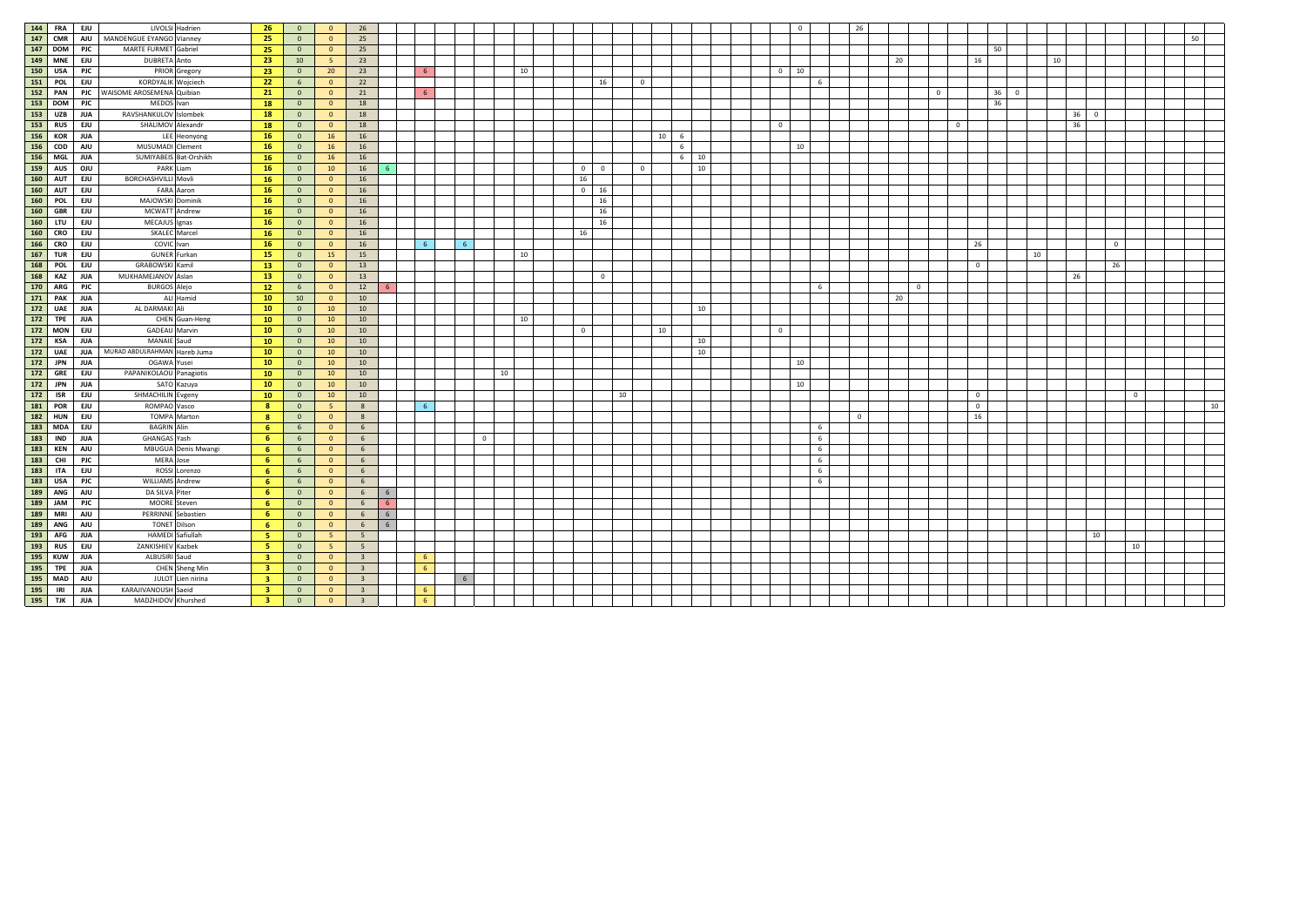| 144 FRA    |            | EJU        | LIVOLSI Hadrien              |                     | 26                      | $\overline{0}$  | $\overline{0}$  | 26                      |   |                |   |         |    |              |             |    |              |                       |  | $\Omega$       |   | 26      |    |          |                |    |              |    |                |         |    |
|------------|------------|------------|------------------------------|---------------------|-------------------------|-----------------|-----------------|-------------------------|---|----------------|---|---------|----|--------------|-------------|----|--------------|-----------------------|--|----------------|---|---------|----|----------|----------------|----|--------------|----|----------------|---------|----|
| 147        | <b>CMR</b> | AJU        | MANDENGUE EYANGO Vianney     |                     | 25                      | $\overline{0}$  | $\overline{0}$  | 25                      |   |                |   |         |    |              |             |    |              |                       |  |                |   |         |    |          |                |    |              |    |                |         | 50 |
| 147 DOM    |            | <b>PJC</b> | MARTE FURMET Gabriel         |                     | 25                      | $\overline{0}$  | $\overline{0}$  | 25                      |   |                |   |         |    |              |             |    |              |                       |  |                |   |         |    |          |                | 50 |              |    |                |         |    |
| 149        | <b>MNE</b> | <b>EJU</b> | DUBRETA Anto                 |                     | 23                      | 10              | 5 <sub>1</sub>  | 23                      |   |                |   |         |    |              |             |    |              |                       |  |                |   |         | 20 |          | 16             |    |              | 10 |                |         |    |
| 150        | <b>USA</b> | PJC        |                              | PRIOR Gregory       | 23                      | $\overline{0}$  | 20              | 23                      |   | 6 <sup>1</sup> |   |         | 10 |              |             |    |              |                       |  | $\circ$<br>10  |   |         |    |          |                |    |              |    |                |         |    |
| 151        | POL        | EJU        | KORDYALIK Wojciech           |                     | 22                      | 6 <sup>6</sup>  | $\bullet$       | 22                      |   |                |   |         |    |              | 16          |    | $\mathbf 0$  |                       |  |                | 6 |         |    |          |                |    |              |    |                |         |    |
| 152        | PAN        | PJC        | WAISOME AROSEMENA Quibian    |                     | 21                      | $\overline{0}$  | $\overline{0}$  | 21                      |   | 6 <sup>1</sup> |   |         |    |              |             |    |              |                       |  |                |   |         |    | $\circ$  |                | 36 | $\mathbf{0}$ |    |                |         |    |
| 153        | <b>DOM</b> | <b>PJC</b> | MEDOS Ivan                   |                     | 18                      | $\overline{0}$  | $\overline{0}$  | 18                      |   |                |   |         |    |              |             |    |              |                       |  |                |   |         |    |          |                | 36 |              |    |                |         |    |
| 153        | <b>UZB</b> | <b>JUA</b> | RAVSHANKULOV Islombek        |                     | <b>18</b>               | $\overline{0}$  | $\overline{0}$  | 18                      |   |                |   |         |    |              |             |    |              |                       |  |                |   |         |    |          |                |    |              | 36 | $\mathbf{0}$   |         |    |
|            |            |            |                              |                     |                         |                 |                 |                         |   |                |   |         |    |              |             |    |              |                       |  |                |   |         |    |          |                |    |              |    |                |         |    |
| 153        | <b>RUS</b> | <b>EJU</b> | SHALIMOV Alexandr            |                     | 18                      | $\overline{0}$  | $\overline{0}$  | 18                      |   |                |   |         |    |              |             |    |              |                       |  | $\circ$        |   |         |    |          | $\overline{0}$ |    |              | 36 |                |         |    |
| 156        | <b>KOR</b> | <b>JUA</b> |                              | LEE Heonyong        | 16                      | $\overline{0}$  | 16              | 16                      |   |                |   |         |    |              |             |    | 10           | $6^{\circ}$           |  |                |   |         |    |          |                |    |              |    |                |         |    |
| 156        | COD        | <b>AJU</b> | MUSUMADI Clement             |                     | 16                      | $\overline{0}$  | 16              | 16                      |   |                |   |         |    |              |             |    |              | 6                     |  | 10             |   |         |    |          |                |    |              |    |                |         |    |
| 156        | <b>MGL</b> | <b>JUA</b> | SUMIYABEIS Bat-Orshikh       |                     | 16                      | $\overline{0}$  | 16              | 16                      |   |                |   |         |    |              |             |    |              | $6\overline{6}$<br>10 |  |                |   |         |    |          |                |    |              |    |                |         |    |
| 159        | <b>AUS</b> | OIU        | PARK Liam                    |                     | 16                      | $\overline{0}$  | 10 <sup>°</sup> | 16                      |   |                |   |         |    | $\circ$      | $\circ$     |    | $\mathbf{0}$ | 10                    |  |                |   |         |    |          |                |    |              |    |                |         |    |
| 160        | <b>AUT</b> | EJU        | <b>BORCHASHVILLI</b> Movli   |                     | 16                      | $\overline{0}$  | $\overline{0}$  | 16                      |   |                |   |         |    | 16           |             |    |              |                       |  |                |   |         |    |          |                |    |              |    |                |         |    |
| 160        | <b>AUT</b> | <b>EJU</b> |                              | FARA Aaron          | 16                      | $\overline{0}$  | $\overline{0}$  | 16                      |   |                |   |         |    |              | $0 \mid 16$ |    |              |                       |  |                |   |         |    |          |                |    |              |    |                |         |    |
| 160        | POL        | <b>EJU</b> | MAJOWSKI Dominik             |                     | 16                      | $\overline{0}$  | $\overline{0}$  | 16                      |   |                |   |         |    |              | 16          |    |              |                       |  |                |   |         |    |          |                |    |              |    |                |         |    |
| 160        | <b>GBR</b> | EJU        | MCWATT Andrew                |                     | 16                      | $\overline{0}$  | $\overline{0}$  | 16                      |   |                |   |         |    |              | 16          |    |              |                       |  |                |   |         |    |          |                |    |              |    |                |         |    |
| 160        | <b>LTU</b> | EJU        | MECAJUS Ignas                |                     | 16                      | $\overline{0}$  | $\bullet$       | 16                      |   |                |   |         |    |              | $16\,$      |    |              |                       |  |                |   |         |    |          |                |    |              |    |                |         |    |
| 160        | CRO        | EJU        | SKALEC Marcel                |                     | 16                      | $\overline{0}$  | $\overline{0}$  | 16                      |   |                |   |         |    | 16           |             |    |              |                       |  |                |   |         |    |          |                |    |              |    |                |         |    |
| 166        | CRO        | EJU        | COVIC Ivan                   |                     | 16                      | $\circ$         | $\overline{0}$  | $16\,$                  |   | 6 <sup>5</sup> | 6 |         |    |              |             |    |              |                       |  |                |   |         |    |          | 26             |    |              |    | $\overline{0}$ |         |    |
| 167        | <b>TUR</b> | <b>EJU</b> | GUNER Furkan                 |                     | 15                      | $\overline{0}$  | 15              | 15                      |   |                |   |         | 10 |              |             |    |              |                       |  |                |   |         |    |          |                |    | 10           |    |                |         |    |
| 168        | POL        | EJU        | <b>GRABOWSKI</b> Kamil       |                     | 13                      | $\overline{0}$  | $\bullet$       | 13                      |   |                |   |         |    |              |             |    |              |                       |  |                |   |         |    |          | $\mathbf{0}$   |    |              |    | 26             |         |    |
| 168        | <b>KAZ</b> | <b>JUA</b> | MUKHAMEJANOV Aslan           |                     | 13                      | $\overline{0}$  | $\overline{0}$  | 13                      |   |                |   |         |    |              | $\circ$     |    |              |                       |  |                |   |         |    |          |                |    |              | 26 |                |         |    |
|            | ARG        |            |                              |                     |                         |                 | $\overline{0}$  | 12                      |   |                |   |         |    |              |             |    |              |                       |  |                |   |         |    | $\Omega$ |                |    |              |    |                |         |    |
| 170        |            | PJC        | <b>BURGOS</b> Alejo          |                     | 12                      | 6               |                 |                         |   |                |   |         |    |              |             |    |              |                       |  |                | 6 |         |    |          |                |    |              |    |                |         |    |
| 171        | <b>PAK</b> | <b>JUA</b> |                              | ALI Hamid           | 10                      | 10              | $\overline{0}$  | 10                      |   |                |   |         |    |              |             |    |              |                       |  |                |   |         | 20 |          |                |    |              |    |                |         |    |
| 172        | <b>UAE</b> | <b>JUA</b> | AL DARMAKI Ali               |                     | 10                      | $\overline{0}$  | 10 <sup>°</sup> | 10                      |   |                |   |         |    |              |             |    |              | 10                    |  |                |   |         |    |          |                |    |              |    |                |         |    |
| 172        | <b>TPE</b> | <b>JUA</b> |                              | CHEN Guan-Heng      | 10                      | $\overline{0}$  | 10              | 10                      |   |                |   |         | 10 |              |             |    |              |                       |  |                |   |         |    |          |                |    |              |    |                |         |    |
| 172        | <b>MON</b> | EJU        | GADEAU Marvin                |                     | 10                      | $\overline{0}$  | 10              | 10                      |   |                |   |         |    | $\mathbf{0}$ |             |    | 10           |                       |  | $\overline{0}$ |   |         |    |          |                |    |              |    |                |         |    |
| 172        | KSA        | <b>JUA</b> | MANAIE Saud                  |                     | 10                      | $\overline{0}$  | 10              | 10                      |   |                |   |         |    |              |             |    |              | 10                    |  |                |   |         |    |          |                |    |              |    |                |         |    |
| 172        | <b>UAE</b> | <b>JUA</b> | MURAD ABDULRAHMAN Hareb Juma |                     | 10                      | $\overline{0}$  | 10              | 10                      |   |                |   |         |    |              |             |    |              | 10                    |  |                |   |         |    |          |                |    |              |    |                |         |    |
| 172        | <b>JPN</b> | <b>JUA</b> | OGAWA Yusei                  |                     | 10                      | $\overline{0}$  | 10              | 10                      |   |                |   |         |    |              |             |    |              |                       |  | 10             |   |         |    |          |                |    |              |    |                |         |    |
| 172        | GRE        | EJU        | PAPANIKOLAOU Panagiotis      |                     | 10                      | $\overline{0}$  | 10              | 10                      |   |                |   | 10      |    |              |             |    |              |                       |  |                |   |         |    |          |                |    |              |    |                |         |    |
| 172        | <b>JPN</b> | <b>JUA</b> |                              | SATO Kazuya         | 10                      | $\overline{0}$  | 10              | 10                      |   |                |   |         |    |              |             |    |              |                       |  | 10             |   |         |    |          |                |    |              |    |                |         |    |
| 172        | <b>ISR</b> | EJU        | SHMACHILIN Evgeny            |                     | 10                      | $\overline{0}$  | $10-10$         | 10                      |   |                |   |         |    |              |             | 10 |              |                       |  |                |   |         |    |          | $\overline{0}$ |    |              |    |                | $\circ$ |    |
| 181        | <b>POR</b> | <b>EJU</b> | ROMPAO Vasco                 |                     | 8                       | $\overline{0}$  | 5               | 8                       |   | 6 <sup>1</sup> |   |         |    |              |             |    |              |                       |  |                |   |         |    |          | $\mathbf 0$    |    |              |    |                |         | 10 |
| 182        | <b>HUN</b> | <b>EJU</b> | <b>TOMPA</b> Marton          |                     | $\mathbf{8}$            | $\mathbf{0}$    | $\overline{0}$  | 8                       |   |                |   |         |    |              |             |    |              |                       |  |                |   | $\circ$ |    |          | 16             |    |              |    |                |         |    |
| 183 MDA    |            | <b>EJU</b> | <b>BAGRIN</b> Alin           |                     | -6                      | 6               | $\overline{0}$  | 6                       |   |                |   |         |    |              |             |    |              |                       |  |                | 6 |         |    |          |                |    |              |    |                |         |    |
| 183        | <b>IND</b> | <b>JUA</b> | GHANGAS Yash                 |                     | -6                      | $6\overline{6}$ | $\overline{0}$  | $6\overline{6}$         |   |                |   | $\circ$ |    |              |             |    |              |                       |  |                | 6 |         |    |          |                |    |              |    |                |         |    |
|            |            | <b>AJU</b> |                              |                     | 6                       | 6 <sup>5</sup>  | $\overline{0}$  | 6                       |   |                |   |         |    |              |             |    |              |                       |  |                | 6 |         |    |          |                |    |              |    |                |         |    |
| 183<br>183 | <b>KEN</b> |            |                              | MBUGUA Denis Mwangi |                         | 6               |                 |                         |   |                |   |         |    |              |             |    |              |                       |  |                | 6 |         |    |          |                |    |              |    |                |         |    |
|            | CHI        | PJC        | MERA Jose                    |                     | 6                       |                 | $\overline{0}$  | 6                       |   |                |   |         |    |              |             |    |              |                       |  |                |   |         |    |          |                |    |              |    |                |         |    |
| 183        | <b>ITA</b> | EJU        |                              | ROSSI Lorenzo       | -6                      | 6               | $\overline{0}$  | 6                       |   |                |   |         |    |              |             |    |              |                       |  |                | 6 |         |    |          |                |    |              |    |                |         |    |
| 183        | <b>USA</b> | PJC        | WILLIAMS Andrew              |                     | 6                       | 6               | $\overline{0}$  | 6                       |   |                |   |         |    |              |             |    |              |                       |  |                | 6 |         |    |          |                |    |              |    |                |         |    |
| 189        | <b>ANG</b> | <b>AJU</b> | DA SILVA Piter               |                     | 6                       | $\overline{0}$  | $\circ$         | 6                       | 6 |                |   |         |    |              |             |    |              |                       |  |                |   |         |    |          |                |    |              |    |                |         |    |
| 189        | <b>JAM</b> | PJC        | MOORE Steven                 |                     | 6                       | $\mathbf{0}$    | $\overline{0}$  | 6                       | 6 |                |   |         |    |              |             |    |              |                       |  |                |   |         |    |          |                |    |              |    |                |         |    |
| 189        | <b>MRI</b> | <b>AJU</b> | PERRINNE Sebastien           |                     | -6                      | $\overline{0}$  | $\overline{0}$  | 6                       | 6 |                |   |         |    |              |             |    |              |                       |  |                |   |         |    |          |                |    |              |    |                |         |    |
| 189        | <b>ANG</b> | AJU        | <b>TONET</b> Dilson          |                     | - 6                     | $\overline{0}$  | $\overline{0}$  | 6                       | 6 |                |   |         |    |              |             |    |              |                       |  |                |   |         |    |          |                |    |              |    |                |         |    |
| 193        | AFG        | <b>JUA</b> | <b>HAMEDI</b> Safiullah      |                     | -51                     | $\overline{0}$  | 5 <sup>1</sup>  | 5 <sup>5</sup>          |   |                |   |         |    |              |             |    |              |                       |  |                |   |         |    |          |                |    |              |    | 10             |         |    |
| 193        | <b>RUS</b> | <b>EJU</b> | ZANKISHIEV Kazbek            |                     | -5                      | $\mathbf{0}$    | 5 <sub>1</sub>  | 5                       |   |                |   |         |    |              |             |    |              |                       |  |                |   |         |    |          |                |    |              |    |                | 10      |    |
| 195        | <b>KUW</b> | <b>JUA</b> | ALBUSIRI Saud                |                     | $\overline{\mathbf{3}}$ | $\overline{0}$  | $\overline{0}$  | $\overline{3}$          |   | 6 <sup>1</sup> |   |         |    |              |             |    |              |                       |  |                |   |         |    |          |                |    |              |    |                |         |    |
| 195        | <b>TPE</b> | JUA        |                              | CHEN Sheng Min      | $\mathbf{3}$            | $\overline{0}$  | $\overline{0}$  | $\overline{\mathbf{3}}$ |   | 6 <sup>1</sup> |   |         |    |              |             |    |              |                       |  |                |   |         |    |          |                |    |              |    |                |         |    |
| 195        | <b>MAD</b> | <b>AJU</b> |                              | JULOT Lien nirina   | $\overline{\mathbf{3}}$ | $\Omega$        | $\circ$         | $\overline{\mathbf{3}}$ |   |                | 6 |         |    |              |             |    |              |                       |  |                |   |         |    |          |                |    |              |    |                |         |    |
| 195        | IRI        | <b>JUA</b> | KARAJIVANOUSH Saeid          |                     | $\overline{\mathbf{3}}$ | $\mathbf{0}$    | $\overline{0}$  | $\overline{\mathbf{3}}$ |   | 6 <sup>1</sup> |   |         |    |              |             |    |              |                       |  |                |   |         |    |          |                |    |              |    |                |         |    |
| 195        | TJK        | <b>JUA</b> | MADZHIDOV Khurshed           |                     | -3                      | $\circ$         | $\overline{0}$  | $\overline{\mathbf{3}}$ |   | 6 <sup>1</sup> |   |         |    |              |             |    |              |                       |  |                |   |         |    |          |                |    |              |    |                |         |    |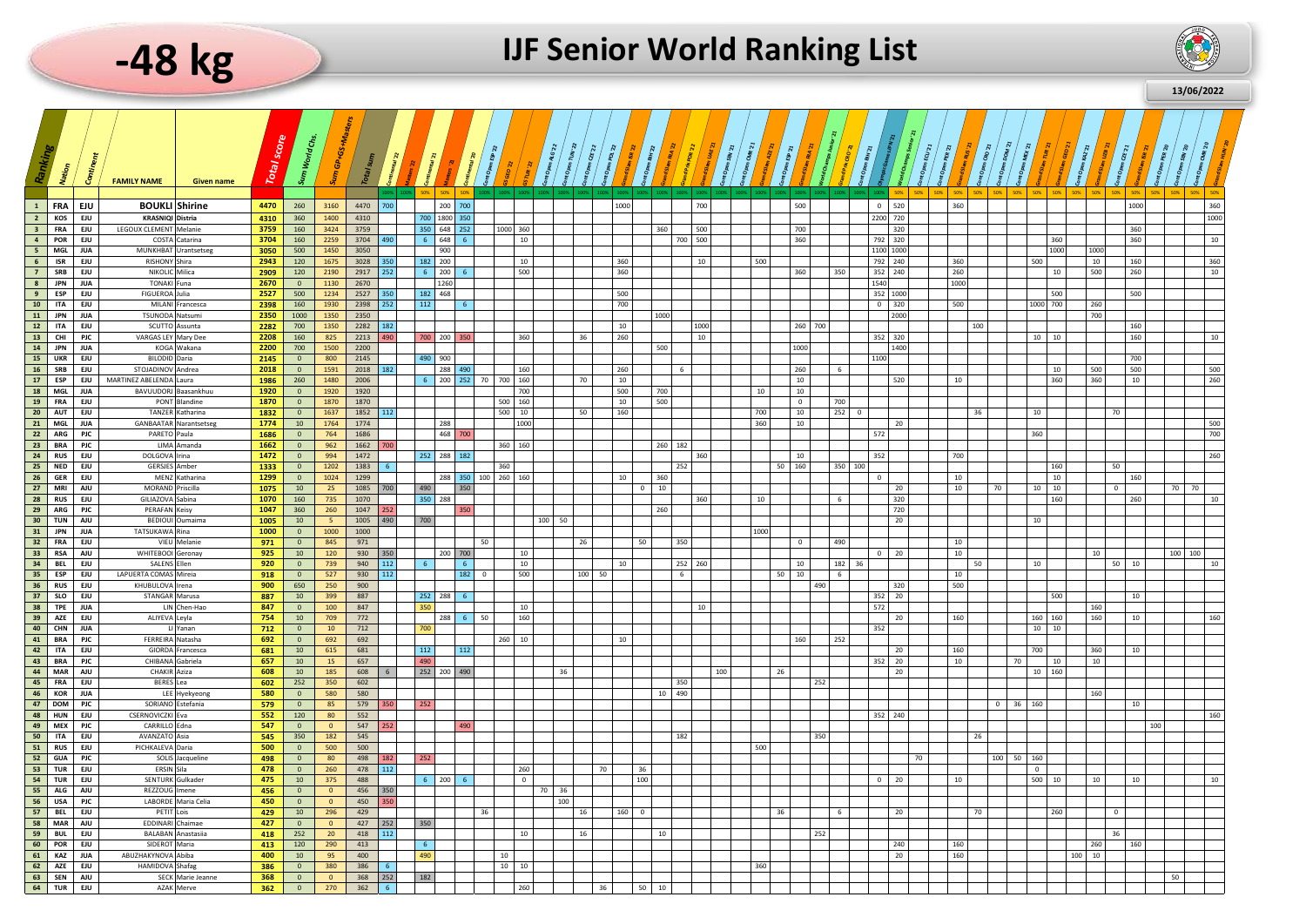## **-48 kg**

#### **IJF Senior World Ranking List**



**13/06/2022**

**Ranking Nation Continent FAMILY NAME Given name** *To***<sub>s</sub>** *To***<sub>n</sub>** *S***<sub>S</sub></del> Sum World Chs. Sum GP+GS+Masters Total sum Continental '22 Masters '22 Continental '21 Masters '21 Continental '20 Cont Open ESP '22 GS GEO '22 GS TUR '22** Cont Open ALG '22 **Cont Open TUN '22 Cont Open CZE '22 Cont Open POL '22 Grand Slam ISR '22 Cont Open BIH '22 Grand Slam FRA '22 Grand Prix POR '22 Grand Slam UAE '21 Cont Open SEN '21 Cont Open CMR '21 Grand Slam AZE '21 Cont Open ESP '21 Grand Slam FRA '21 World Champs Junior '21 Grand Prix CRO '21 Cont Open BIH '21** Olympic Games *PW*<sub>21</sub> **World Champs Senior '21 Cont Open ECU '21 Cont Open PER '21 Grand Slam RUS '21 Cont Open CRO '21 Cont Open DOM '21 Cont Open MEX '21 Grand Slam TUR '21 Grand Slam GEO '21 Cont Open KAZ '21 Grand Slam UZB '21 Cont Open CZE '21 Grand Slam ISR '21 Cont Open PER '20 Cont Open SEN '20 Cont Open CMR '20 Grand Slam HUN '20 0%** 100% 100% 50% 50% 50% 100% 100% 100% 100% 100% 100% 100% 100% 100% 100% 100% 100% 100% 100% 100% 100% 100% 100% 100% 100% 100% 50% 50% 50% 50% 50% 50% 50% 50% 50% 50% 50% 50% 50% 50% 50% 50% 50% **1 FRA EJU BOUKLI Shirine 4470** 260 3160 4470 700 200 700 1000 700 500 0 520 360 1000 360 **2 KOS EJU KRASNIQI Distria 4310** 360 1400 4310 700 1800 350 2200 720 1000 **3 FRA EJU** LEGOUX CLEMENT Melanie **3759** 160 3424 3759 350 648 252 1000 360 360 500 700 320 360 **4 POR EJU** COSTA Catarina **3704** 160 2259 3704 490 6 648 6 10 700 500 360 792 320 360 360 10 **5 MGL JUA** MUNKHBAT Urantsetseg **3050** 500 1450 3050 900 1100 1000 1000 1000 **6 ISR EJU** RISHONY Shira **2943** 120 1675 3028 350 182 200 10 360 10 500 792 240 360 500 10 160 360 **7 SRB EJU** NIKOLIC Milica **2909** 120 2190 2917 252 6 200 6 500 360 360 350 352 240 260 10 500 260 10 **8 JPN JUA** TONAKI Funa **2670** 0 1130 2670 1260 1540 1000 **9 ESP EJU** FIGUEROA Julia **2527** 500 1234 2527 350 182 468 500 352 1000 500 500 **10 ITA EJU** MILANI Francesca **2398** 160 1930 2398 252 112 6 700 0 320 500 1000 700 260 **11 JPN JUA** TSUNODA Natsumi **2350** 1000 1350 2350 1000 2000 700 **12 ITA EJU** SCUTTO Assunta **2282** 700 1350 2282 182 10 1000 260 700 100 160 **13 CHI PJC** VARGAS LEY Mary Dee **2208** 160 825 2213 490 700 200 350 360 36 260 10 352 320 10 10 160 10 **14 JPN JUA** KOGA Wakana **2200** 700 1500 2200 500 1000 1400 **15 UKR EJU** BILODID Daria **2145** 0 800 2145 490 900 1100 700 **16 SRB EJU** STOJADINOV Andrea **2018** 0 1591 2018 182 288 490 160 260 6 260 6 10 500 500 500 **17 ESP EJU** MARTINEZ ABELENDA Laura **1986** 260 1480 2006 6 200 252 70 700 160 70 10 10 520 10 360 360 10 260 **18 MGL JUA** BAVUUDORJ Baasankhuu **1920** 0 1920 1920 700 500 700 10 10 **19 FRA EJU** PONT Blandine **1870** 0 1870 1870 500 160 10 500 0 700 **20 AUT EJU** TANZER Katharina **1832** 0 1637 1852 112 500 10 50 160 700 10 252 0 36 10 70 **21 MGL JUA** GANBAATAR Narantsetseg **1774** 10 1764 1774 288 1000 360 10 20 500 **22 ARG PJC** PARETO Paula **1686** 0 764 1686 468 700 572 360 700 **23 BRA PJC** LIMA Amanda **1662** 0 962 1662 700 360 160 260 182 **24 RUS EJU** DOLGOVA Irina **1472** 0 994 1472 252 288 182 360 10 352 700 260 **25 NED EJU** GERSJES Amber **1333** 0 1202 1383 6 360 252 50 160 350 100 160 50 **26 GER EJU** MENZ Katharina **1299** 0 1024 1299 288 350 100 260 160 10 360 0 10 10 160 **27 MRI AJU** MORAND Priscilla **1075** 10 25 1085 700 490 350 0 10 20 10 70 10 10 0 70 70 **28 RUS EJU** GILIAZOVA Sabina **1070** 160 735 1070 350 288 360 10 6 320 160 260 10 **29 ARG PJC** PERAFAN Keisy **1047** 360 260 1047 252 350 260 720 **30 TUN AJU** BEDIOUI Oumaima **1005** 10 5 1005 490 700 100 50 20 10 **31 JPN JUA** TATSUKAWA Rina **1000** 0 1000 1000 1000 **32 FRA EJU** VIEU Melanie **971** 0 845 971 50 26 50 350 0 490 10 **33 RSA AJU** WHITEBOOI Geronay **925** 10 120 930 350 200 700 10 0 20 10 10 100 100 <mark>34 BEL EJU SALENS Ellen <mark>920 0 739 940</mark> 112 6 6 1 00 1 0 10 10 252 260 1 1 0 182 36 1 1 50 10 10 1 50 10 1 10</mark> <mark>35 |</mark> ESP | EJU | LAPUERTA COMAS |Mireia | <mark>918 |</mark> 0 | 527 | 930 | 112 | | | 182 | 0 | | | | 100 | 50 | | | | | 6 | | | | | 50 | 10 | | 6 | | | | | | 10 **36 RUS EJU** KHUBULOVA Irena **900** 650 250 900 490 320 500 **37 SLO EJU** STANGAR Marusa **887** 10 399 887 252 288 6 352 20 500 10 **38 TPE JUA** LIN Chen-Hao **847** 0 100 847 350 10 10 572 160 <mark>39 AZE|EJU| ALIYEVA|Leyla |754|10|709|772||||288|6|50||160|||||||||||||||||||||||||)20|||160|160|160|100|100|100|10||||160</mark> **40 CHN JUA** LI Yanan **712** 0 10 712 700 352 10 10 **41 BRA PJC** FERREIRA Natasha **692** 0 692 692 260 10 10 160 252 **42 ITA EJU** GIORDA Francesca **681** 10 615 681 112 112 20 160 700 360 10 **43 BRA PJC** CHIBANA Gabriela **657** 10 15 657 490 352 20 10 70 10 10 **44 MAR AJU** CHAKIR Aziza **608** 10 185 608 6 252 200 490 36 100 26 20 10 160 **45 FRA EJU** BERES Lea **602** 252 350 602 350 252 **46 KOR JUA** LEE Hyekyeong **580** 0 580 580 10 490 160 **47 DOM PJC** SORIANO Estefania **579** 0 85 579 350 252 0 36 160 10 **48 HUN EJU** CSERNOVICZKI Eva **552** 120 80 552 352 240 160 **49 MEX PJC** CARRILLO Edna **547** 0 0 547 252 490 100 **50 ITA EJU** AVANZATO Asia **545** 350 182 545 182 350 26 <mark>51 RUS</mark> EJU PICHKALEVA Daria <mark>500 0 500 500 500 0 500 0 500 0 500 0 500 0 500 0 0 500 0 500 0 500 0 500 0 500 0 500 0 500 0 500 0 500 0 500 0 500 0 500 0 500 0 500 0 500 0 500 0 500 0 500 0 500 0 500 0 500 0 5</mark> **52 GUA PJC** SOLIS Jacqueline **498** 0 80 498 182 252 70 100 50 160 **53 TUR EJU** ERSIN Sila **478** 0 260 478 112 260 70 36 0 **54 TUR EJU** SENTURK Gulkader **475** 10 375 488 6 200 6 0 100 0 20 10 500 10 10 10 10 **55 ALG AJU** REZZOUG Imene **456** 0 0 456 350 70 36 **56** | USA | PJC | LABORDE |Maria Celia <mark>450 |</mark> 0 | 0 | 450 | 350 | | | | | | | | | | | | | | 100 **57 BEL EJU** PETIT Lois **429** 10 296 429 36 16 160 0 36 6 20 70 260 0 **58 MAR AJU** EDDINARI Chaimae **427** 0 0 427 252 350 **59 BUL EJU** BALABAN Anastasiia **418** 252 20 418 112 10 16 10 252 36 **60 POR EJU** SIDEROT Maria **413** 120 290 413 6 240 160 260 160 **61 KAZ JUA** ABUZHAKYNOVA Abiba **400** 10 95 400 490 10 20 160 100 10 **62 AZE EJU** HAMIDOVA Shafag **386** 0 380 386 6 10 10 360 **63 SEN AJU** SECK Marie Jeanne **368** 0 0 368 252 182 50 <mark>64 TUR EJU | AZAK Merve | 362 | 0 | 270 |</mark> 362 | 6 | | | | | | | | | | | | | | | 36 | | | 50 | 10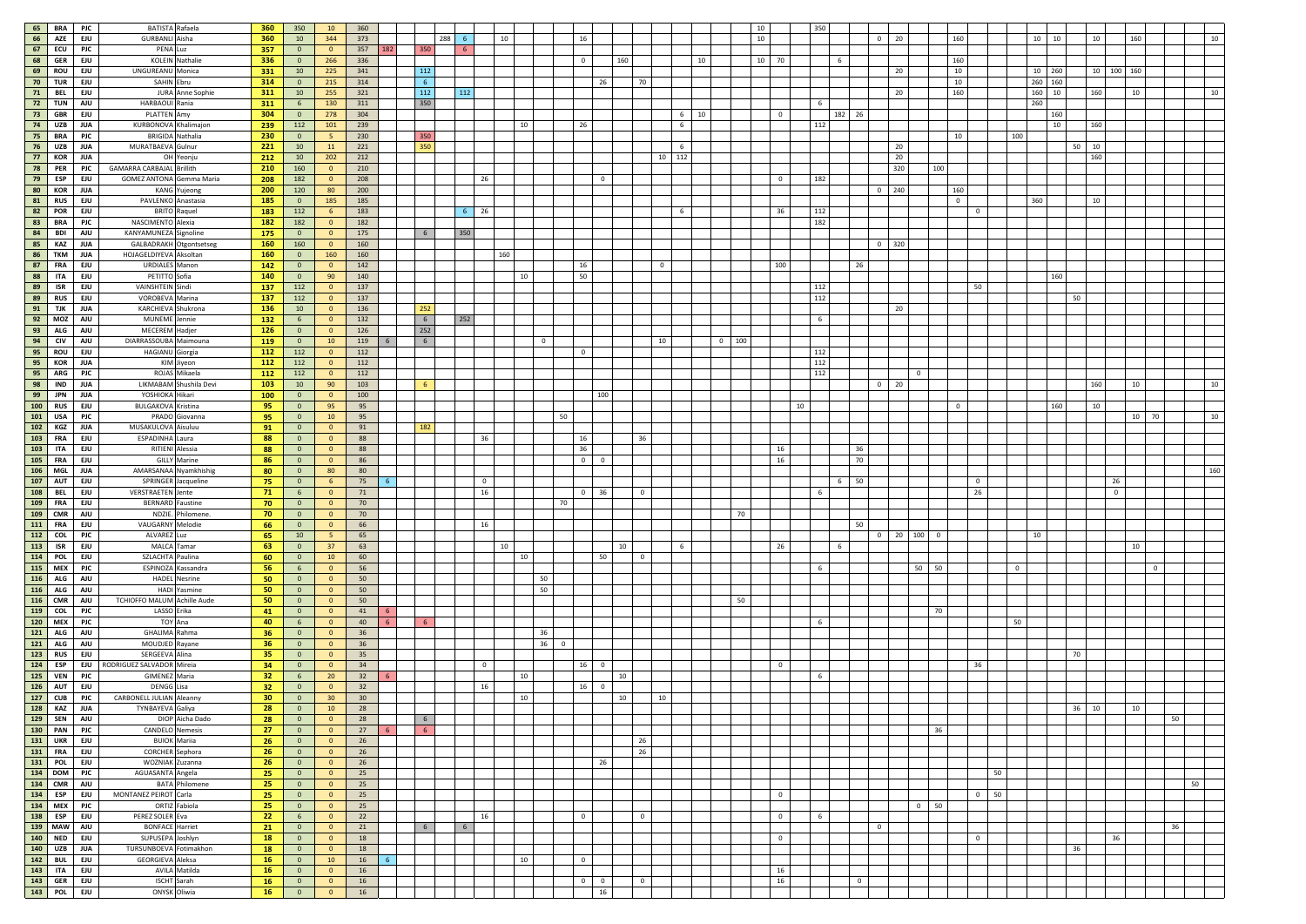| 65  |                        |                                                  |          |                                  |                             |                 |                |                 |                |                |                |                |                |                |        |                |     |                |     |         |                |     |                |                |             |              |         |    |     |            |                |        |
|-----|------------------------|--------------------------------------------------|----------|----------------------------------|-----------------------------|-----------------|----------------|-----------------|----------------|----------------|----------------|----------------|----------------|----------------|--------|----------------|-----|----------------|-----|---------|----------------|-----|----------------|----------------|-------------|--------------|---------|----|-----|------------|----------------|--------|
|     | <b>BRA</b>             | PJC<br><b>BATISTA</b> Rafaela                    | 360      | 350                              | 10                          | 360             |                |                 |                |                |                |                |                |                |        |                | 10  |                | 350 |         |                |     |                |                |             |              |         |    |     |            |                |        |
| 66  | AZE                    | <b>GURBANLI</b> Aisha<br>EJU                     | 360      | 10                               | 344                         | 373             |                | 288             | 6              | 10             |                | 16             |                |                |        |                | 10  |                |     |         | $\circ$        | 20  |                | 160            |             |              | 10 10   |    | 10  | 160        |                | $10\,$ |
| 67  | ECU                    | PJC<br>PENA Luz                                  | 357      | $\overline{0}$                   | $\overline{0}$              | 357             | 182            | 350             | 6              |                |                |                |                |                |        |                |     |                |     |         |                |     |                |                |             |              |         |    |     |            |                |        |
|     |                        |                                                  |          |                                  |                             |                 |                |                 |                |                |                |                |                |                |        |                |     |                |     |         |                |     |                |                |             |              |         |    |     |            |                |        |
| 68  | GER                    | EJU<br><b>KOLEIN</b> Nathalie                    | 336      | $\overline{0}$                   | 266                         | 336             |                |                 |                |                |                | $\circ$        | 160            |                |        | 10             |     | 10 70          |     | 6       |                |     |                | 160            |             |              |         |    |     |            |                |        |
| 69  | ROU                    | UNGUREANU Monica<br>EJU                          | 331      | 10                               | 225                         | 341             |                | 112             |                |                |                |                |                |                |        |                |     |                |     |         |                | 20  |                | 10             |             |              | 10 260  |    |     | 10 100 160 |                |        |
| 70  | <b>TUR</b>             | EJU<br>SAHIN Ebru                                | 314      | $\overline{0}$                   | 215                         | 314             |                | 6 <sup>6</sup>  |                |                |                |                | 26             | 70             |        |                |     |                |     |         |                |     |                | 10             |             |              | 260 160 |    |     |            |                |        |
|     |                        |                                                  |          |                                  |                             |                 |                |                 |                |                |                |                |                |                |        |                |     |                |     |         |                |     |                |                |             |              |         |    |     |            |                |        |
| 71  | BEL                    | EJU<br>JURA Anne Sophie                          | 311      | 10                               | 255                         | 321             |                | 112             | 112            |                |                |                |                |                |        |                |     |                |     |         |                | 20  |                | 160            |             | 160          | 10      |    | 160 | 10         |                | 10     |
| 72  | <b>TUN</b>             | HARBAOUI Rania<br><b>AJU</b>                     | 311      | 6 <sup>5</sup>                   | 130                         | 311             |                | 350             |                |                |                |                |                |                |        |                |     |                | 6   |         |                |     |                |                |             | 260          |         |    |     |            |                |        |
| 73  | <b>GBR</b>             | EJU<br>PLATTEN Amy                               | 304      | $\overline{0}$                   | 278                         | 304             |                |                 |                |                |                |                |                |                | 6      | 10             |     | $\circ$        |     | 182 26  |                |     |                |                |             |              | 160     |    |     |            |                |        |
|     |                        |                                                  |          |                                  |                             |                 |                |                 |                |                |                |                |                |                |        |                |     |                |     |         |                |     |                |                |             |              |         |    |     |            |                |        |
| 74  | <b>UZB</b>             | <b>JUA</b><br>KURBONOVA Khalimajon               | 239      | 112                              | 101                         | 239             |                |                 |                |                | 10             | 26             |                |                | 6      |                |     |                | 112 |         |                |     |                |                |             |              | 10      |    | 160 |            |                |        |
| 75  | <b>BRA</b>             | <b>BRIGIDA</b> Nathalia<br>PJC                   | 230      | $\overline{0}$                   | 5 <sub>1</sub>              | 230             |                | 350             |                |                |                |                |                |                |        |                |     |                |     |         |                |     |                | 10             |             | 100          |         |    |     |            |                |        |
| 76  | <b>UZB</b>             | MURATBAEVA Gulnur<br><b>JUA</b>                  | 221      | 10                               | 11                          | 221             |                | 350             |                |                |                |                |                |                | 6      |                |     |                |     |         |                | 20  |                |                |             |              |         | 50 | 10  |            |                |        |
|     |                        |                                                  |          |                                  |                             |                 |                |                 |                |                |                |                |                |                |        |                |     |                |     |         |                |     |                |                |             |              |         |    |     |            |                |        |
| 77  | KOR                    | OH Yeonju<br><b>JUA</b>                          | 212      | 10                               | 202                         | 212             |                |                 |                |                |                |                |                |                | 10 112 |                |     |                |     |         |                | 20  |                |                |             |              |         |    | 160 |            |                |        |
| 78  | PER                    | <b>GAMARRA CARBAJAL Brillith</b><br><b>PJC</b>   | 210      | 160                              | $\overline{\mathbf{0}}$     | 210             |                |                 |                |                |                |                |                |                |        |                |     |                |     |         |                | 320 | 100            |                |             |              |         |    |     |            |                |        |
| 79  | ESP                    | EJU<br><b>GOMEZ ANTONA</b> Gemma Maria           | 208      | 182                              | $\overline{0}$              | 208             |                |                 |                | 26             |                |                | $\circ$        |                |        |                |     | $\overline{0}$ | 182 |         |                |     |                |                |             |              |         |    |     |            |                |        |
|     |                        |                                                  |          |                                  |                             |                 |                |                 |                |                |                |                |                |                |        |                |     |                |     |         |                |     |                |                |             |              |         |    |     |            |                |        |
| 80  | KOR                    | <b>JUA</b><br><b>KANG Yujeong</b>                | 200      | 120                              | 80                          | 200             |                |                 |                |                |                |                |                |                |        |                |     |                |     |         | $0$ 240        |     |                | 160            |             |              |         |    |     |            |                |        |
| 81  | <b>RUS</b>             | PAVLENKO Anastasia<br>EJU                        | 185      | $\overline{0}$                   | 185                         | 185             |                |                 |                |                |                |                |                |                |        |                |     |                |     |         |                |     |                | $\overline{0}$ |             | 360          |         |    | 10  |            |                |        |
| 82  | POR                    | EJU<br><b>BRITO</b> Raquel                       | 183      | 112                              | 6 <sup>5</sup>              | 183             |                |                 | 6 <sup>1</sup> | 26             |                |                |                |                | 6      |                |     | 36             | 112 |         |                |     |                | $\overline{0}$ |             |              |         |    |     |            |                |        |
| 83  | <b>BRA</b>             | NASCIMENTO Alexia                                | 182      | 182                              |                             | 182             |                |                 |                |                |                |                |                |                |        |                |     |                | 182 |         |                |     |                |                |             |              |         |    |     |            |                |        |
|     |                        | PJC                                              |          |                                  | $\overline{0}$              |                 |                |                 |                |                |                |                |                |                |        |                |     |                |     |         |                |     |                |                |             |              |         |    |     |            |                |        |
| 84  | <b>BDI</b>             | <b>AJU</b><br>KANYAMUNEZA Signoline              | 175      | $\overline{0}$                   | $\overline{0}$              | 175             |                | $6\overline{6}$ | 350            |                |                |                |                |                |        |                |     |                |     |         |                |     |                |                |             |              |         |    |     |            |                |        |
| 85  | KAZ                    | <b>JUA</b><br><b>GALBADRAKH</b> Otgontsetseg     | 160      | 160                              | $\overline{0}$              | 160             |                |                 |                |                |                |                |                |                |        |                |     |                |     |         | $\overline{0}$ | 320 |                |                |             |              |         |    |     |            |                |        |
| 86  | <b>TKM</b>             | <b>JUA</b><br>HOJAGELDIYEVA Aksoltan             | 160      |                                  |                             |                 |                |                 |                | 160            |                |                |                |                |        |                |     |                |     |         |                |     |                |                |             |              |         |    |     |            |                |        |
|     |                        |                                                  |          | $\overline{0}$                   | 160                         | 160             |                |                 |                |                |                |                |                |                |        |                |     |                |     |         |                |     |                |                |             |              |         |    |     |            |                |        |
| 87  | <b>FRA</b>             | URDIALES Manon<br>EJU                            | 142      | $\overline{0}$                   | $\mathbf{0}$                | 142             |                |                 |                |                |                | 16             |                | $\circ$        |        |                |     | 100            |     | 26      |                |     |                |                |             |              |         |    |     |            |                |        |
| 88  | <b>ITA</b>             | EJU<br>PETITTO Sofia                             | 140      | $\overline{0}$                   | 90                          | 140             |                |                 |                |                | 10             | 50             |                |                |        |                |     |                |     |         |                |     |                |                |             |              | 160     |    |     |            |                |        |
| 89  | <b>ISR</b>             | EJU<br>VAINSHTEIN Sindi                          | 137      | 112                              | $\overline{0}$              | 137             |                |                 |                |                |                |                |                |                |        |                |     |                | 112 |         |                |     |                | 50             |             |              |         |    |     |            |                |        |
|     |                        |                                                  |          |                                  |                             |                 |                |                 |                |                |                |                |                |                |        |                |     |                |     |         |                |     |                |                |             |              |         |    |     |            |                |        |
| 89  | <b>RUS</b>             | <b>EJU</b><br>VOROBEVA Marina                    | 137      | 112                              | $\overline{0}$              | 137             |                |                 |                |                |                |                |                |                |        |                |     |                | 112 |         |                |     |                |                |             |              |         | 50 |     |            |                |        |
| 91  | TJK                    | <b>JUA</b><br>KARCHIEVA Shukrona                 | 136      | 10                               | $\overline{0}$              | 136             |                | 252             |                |                |                |                |                |                |        |                |     |                |     |         |                | 20  |                |                |             |              |         |    |     |            |                |        |
| 92  | MOZ                    | MUNEME Jennie<br><b>AJU</b>                      | 132      | 6 <sup>5</sup>                   | $\overline{0}$              | 132             |                | $6\overline{6}$ | 252            |                |                |                |                |                |        |                |     |                | 6   |         |                |     |                |                |             |              |         |    |     |            |                |        |
| 93  | <b>ALG</b>             | <b>AJU</b><br>MECEREM Hadjer                     | 126      | $\overline{0}$                   | $\mathbf{0}$                | 126             |                | 252             |                |                |                |                |                |                |        |                |     |                |     |         |                |     |                |                |             |              |         |    |     |            |                |        |
|     |                        |                                                  |          |                                  |                             |                 |                |                 |                |                |                |                |                |                |        |                |     |                |     |         |                |     |                |                |             |              |         |    |     |            |                |        |
| 94  | <b>CIV</b>             | DIARRASSOUBA Maimouna<br><b>AJU</b>              | 119      | $\overline{0}$                   | 10                          | 119             |                | $6\overline{6}$ |                |                | $\overline{0}$ |                |                | 10             |        | $\overline{0}$ | 100 |                |     |         |                |     |                |                |             |              |         |    |     |            |                |        |
| 95  | ROU                    | EJU<br>HAGIANU Giorgia                           | 112      | 112                              | $\overline{0}$              | 112             |                |                 |                |                |                | $\circ$        |                |                |        |                |     |                | 112 |         |                |     |                |                |             |              |         |    |     |            |                |        |
| 95  | KOR                    | <b>JUA</b><br>KIM Jiyeon                         | 112      | 112                              | $\overline{0}$              | 112             |                |                 |                |                |                |                |                |                |        |                |     |                | 112 |         |                |     |                |                |             |              |         |    |     |            |                |        |
|     |                        |                                                  |          |                                  |                             |                 |                |                 |                |                |                |                |                |                |        |                |     |                |     |         |                |     |                |                |             |              |         |    |     |            |                |        |
| 95  | ARG                    | ROJAS Mikaela<br>PJC                             | 112      | 112                              | $\overline{\mathbf{0}}$     | 112             |                |                 |                |                |                |                |                |                |        |                |     |                | 112 |         |                |     | $\overline{0}$ |                |             |              |         |    |     |            |                |        |
| 98  | <b>IND</b>             | LIKMABAM Shushila Devi<br><b>JUA</b>             | 103      | 10                               | 90                          | 103             |                | 6 <sup>6</sup>  |                |                |                |                |                |                |        |                |     |                |     |         | $\circ$        | 20  |                |                |             |              |         |    | 160 | 10         |                | 10     |
| 99  | <b>JPN</b>             | <b>JUA</b><br>YOSHIOKA Hikari                    | 100      | $\overline{0}$                   | $\mathbf{0}$                | 100             |                |                 |                |                |                |                | 100            |                |        |                |     |                |     |         |                |     |                |                |             |              |         |    |     |            |                |        |
| 100 |                        | <b>BULGAKOVA</b> Kristina                        |          |                                  |                             |                 |                |                 |                |                |                |                |                |                |        |                |     |                |     |         |                |     |                |                |             |              |         |    |     |            |                |        |
|     | <b>RUS</b>             | EJU                                              | 95       | $\overline{0}$                   | 95                          | 95              |                |                 |                |                |                |                |                |                |        |                |     | 10             |     |         |                |     |                | $^{\circ}$     |             |              | 160     |    | 10  |            |                |        |
| 101 | <b>USA</b>             | PRADO Giovanna<br>PJC                            | 95       | $\overline{0}$                   | 10                          | 95              |                |                 |                |                |                | 50             |                |                |        |                |     |                |     |         |                |     |                |                |             |              |         |    |     |            | 10 70          | 10     |
| 102 | KGZ                    | <b>JUA</b><br>MUSAKULOVA Aisuluu                 | 91       | $\overline{0}$                   | $\circ$                     | 91              |                | 182             |                |                |                |                |                |                |        |                |     |                |     |         |                |     |                |                |             |              |         |    |     |            |                |        |
| 103 | FRA                    | ESPADINHA Laura<br>EJU                           | 88       | $\overline{0}$                   | $\overline{0}$              | 88              |                |                 |                | 36             |                | 16             |                | 36             |        |                |     |                |     |         |                |     |                |                |             |              |         |    |     |            |                |        |
|     |                        |                                                  |          |                                  |                             |                 |                |                 |                |                |                |                |                |                |        |                |     |                |     |         |                |     |                |                |             |              |         |    |     |            |                |        |
| 103 | <b>ITA</b>             | EJU<br>RITIENI Alessia                           | 88       | $\overline{\mathbf{0}}$          | $\overline{0}$              | 88              |                |                 |                |                |                | 36             |                |                |        |                |     | 16             |     | 36      |                |     |                |                |             |              |         |    |     |            |                |        |
| 105 | <b>FRA</b>             | EJU<br><b>GILLY</b> Marine                       | 86       | $\overline{0}$                   | $\mathbf{0}$                | 86              |                |                 |                |                |                | $\overline{0}$ | $\overline{0}$ |                |        |                |     | 16             |     | 70      |                |     |                |                |             |              |         |    |     |            |                |        |
| 106 | MGL                    | AMARSANAA Nyamkhishig<br><b>JUA</b>              | 80       | $\overline{0}$                   | 80                          | 80              |                |                 |                |                |                |                |                |                |        |                |     |                |     |         |                |     |                |                |             |              |         |    |     |            |                | 160    |
|     |                        |                                                  |          |                                  |                             |                 |                |                 |                |                |                |                |                |                |        |                |     |                |     |         |                |     |                |                |             |              |         |    |     |            |                |        |
| 107 | <b>AUT</b>             | EJU<br>SPRINGER Jacqueline                       | 75       | $\overline{0}$                   | 6 <sup>1</sup>              | 75              |                |                 |                | $\overline{0}$ |                |                |                |                |        |                |     |                |     | 6 50    |                |     |                | $\overline{0}$ |             |              |         |    |     | 26         |                |        |
| 108 | <b>BEL</b>             | EJU<br><b>VERSTRAETEN</b> Jente                  | 71       | $6\overline{6}$                  | $\overline{0}$              | 71              |                |                 |                | 16             |                | $\circ$        | 36             | $\overline{0}$ |        |                |     |                | 6   |         |                |     |                | 26             |             |              |         |    |     | $\circ$    |                |        |
| 109 | <b>FRA</b>             | <b>BERNARD</b> Faustine<br>EJU                   | 70       | $\overline{0}$                   | $\overline{0}$              | 70              |                |                 |                |                |                | 70             |                |                |        |                |     |                |     |         |                |     |                |                |             |              |         |    |     |            |                |        |
| 109 | <b>CMR</b>             | <b>AJU</b><br>NDZIE. Philomene                   | 70       | $\overline{0}$                   | $\overline{0}$              | 70              |                |                 |                |                |                |                |                |                |        |                | 70  |                |     |         |                |     |                |                |             |              |         |    |     |            |                |        |
|     |                        |                                                  |          |                                  |                             |                 |                |                 |                |                |                |                |                |                |        |                |     |                |     |         |                |     |                |                |             |              |         |    |     |            |                |        |
| 111 | <b>FRA</b>             | EJU<br>VAUGARNY Melodie                          | 66       |                                  | $\mathbf{0}$                | 66              |                |                 |                | 16             |                |                |                |                |        |                |     |                |     | 50      |                |     |                |                |             |              |         |    |     |            |                |        |
| 112 | COL                    | ALVAREZ Luz<br>PJC                               |          | $\overline{0}$                   |                             |                 |                |                 |                |                |                |                |                |                |        |                |     |                |     |         | $\overline{0}$ | 20  | $100$ 0        |                |             |              |         |    |     |            |                |        |
| 113 | <b>ISR</b>             |                                                  | 65       | 10                               | 5                           | 65              |                |                 |                |                |                |                |                |                |        |                |     |                |     |         |                |     |                |                |             | $10\,$       |         |    |     |            |                |        |
| 114 | POL                    |                                                  |          |                                  |                             |                 |                |                 |                |                |                |                |                |                |        |                |     |                |     | 6       |                |     |                |                |             |              |         |    |     |            |                |        |
|     |                        | EJU<br>MALCA Tamar                               | 63       | $\overline{0}$                   | 37                          | 63              |                |                 |                | 10             |                |                | 10             |                | 6      |                |     | 26             |     |         |                |     |                |                |             |              |         |    |     | 10         |                |        |
| 115 |                        | EJU<br>SZLACHTA Paulina                          | 60       | $\overline{0}$                   | 10                          | 60              |                |                 |                |                | 10             |                | 50             | $\circ$        |        |                |     |                |     |         |                |     |                |                |             |              |         |    |     |            |                |        |
|     | <b>MEX</b>             | ESPINOZA Kassandra<br><b>PJC</b>                 | 56       | 6                                | $\overline{0}$              | 56              |                |                 |                |                |                |                |                |                |        |                |     |                | 6   |         |                |     | 50 50          |                |             | $\mathbf{0}$ |         |    |     |            | $\overline{0}$ |        |
| 116 | <b>ALG</b>             | <b>AJU</b><br><b>HADEL Nesrine</b>               | 50       | $\overline{0}$                   | $\overline{0}$              | 50              |                |                 |                |                | 50             |                |                |                |        |                |     |                |     |         |                |     |                |                |             |              |         |    |     |            |                |        |
|     |                        | <b>AJU</b>                                       |          | $\overline{0}$                   | $\mathbf{0}$                | $50\,$          |                |                 |                |                | 50             |                |                |                |        |                |     |                |     |         |                |     |                |                |             |              |         |    |     |            |                |        |
| 116 | <b>ALG</b>             | HADI Yasmine                                     | 50       |                                  |                             |                 |                |                 |                |                |                |                |                |                |        |                |     |                |     |         |                |     |                |                |             |              |         |    |     |            |                |        |
| 116 | <b>CMR</b>             | <b>TCHIOFFO MALUM Achille Aude</b><br><b>AJU</b> | 50       | $\overline{0}$                   | $\mathbf{0}$                | 50              |                |                 |                |                |                |                |                |                |        |                | 50  |                |     |         |                |     |                |                |             |              |         |    |     |            |                |        |
| 119 | COL                    | PJC<br>LASSO Erika                               | 41       | $\overline{0}$                   | $\overline{0}$              | 41              |                |                 |                |                |                |                |                |                |        |                |     |                |     |         |                |     | 70             |                |             |              |         |    |     |            |                |        |
| 120 | <b>MEX</b>             | TOY Ana<br>PJC                                   | 40       | $6\overline{6}$                  | $\overline{0}$              | 40              |                | 6 <sup>1</sup>  |                |                |                |                |                |                |        |                |     |                | 6   |         |                |     |                |                |             | 50           |         |    |     |            |                |        |
| 121 | <b>ALG</b>             | <b>AJU</b><br>GHALIMA Rahma                      | 36       | $\overline{0}$                   | $\circ$                     | 36              |                |                 |                |                | 36             |                |                |                |        |                |     |                |     |         |                |     |                |                |             |              |         |    |     |            |                |        |
|     |                        |                                                  |          |                                  |                             |                 |                |                 |                |                |                |                |                |                |        |                |     |                |     |         |                |     |                |                |             |              |         |    |     |            |                |        |
| 121 | <b>ALG</b>             | MOUDJED Rayane<br><b>AJU</b>                     | 36       | $\overline{0}$                   | $\overline{0}$              | 36              |                |                 |                |                | 36             | $\overline{0}$ |                |                |        |                |     |                |     |         |                |     |                |                |             |              |         |    |     |            |                |        |
| 123 | <b>RUS</b>             | EJU<br>SERGEEVA Alina                            | 35       | $\overline{0}$                   | $\overline{0}$              | 35              |                |                 |                |                |                |                |                |                |        |                |     |                |     |         |                |     |                |                |             |              |         | 70 |     |            |                |        |
| 124 | ESP                    | <b>EJU</b><br>RODRIGUEZ SALVADOR Mireia          | 34       | $\circ$                          | $\mathbf{0}$                | 34              |                |                 |                | $\circ$        |                | 16             | $\mathbf{0}$   |                |        |                |     | $\circ$        |     |         |                |     |                | 36             |             |              |         |    |     |            |                |        |
|     |                        |                                                  |          | 6                                |                             |                 |                |                 |                |                |                |                |                |                |        |                |     |                | 6   |         |                |     |                |                |             |              |         |    |     |            |                |        |
| 125 | <b>VEN</b>             | PJC<br>GIMENEZ Maria                             | 32       |                                  | 20 <sub>2</sub>             | 32              |                |                 |                |                | 10             |                | 10             |                |        |                |     |                |     |         |                |     |                |                |             |              |         |    |     |            |                |        |
| 126 | <b>AUT</b>             | EJU<br>DENGG Lisa                                | 32       | $\overline{0}$                   | $\overline{0}$              | 32              |                |                 |                | 16             |                | 16             | $\mathbf 0$    |                |        |                |     |                |     |         |                |     |                |                |             |              |         |    |     |            |                |        |
| 127 | <b>CUB</b>             | PJC<br>CARBONELL JULIAN Aleanny                  | 30       | $\circ$                          | 30 <sup>°</sup>             | 30 <sup>°</sup> |                |                 |                |                | 10             |                | 10             | 10             |        |                |     |                |     |         |                |     |                |                |             |              |         |    |     |            |                |        |
| 128 | <b>KAZ</b>             | <b>JUA</b><br><b>TYNBAYEVA</b> Galiya            | 28       | $\overline{0}$                   | 10                          | 28              |                |                 |                |                |                |                |                |                |        |                |     |                |     |         |                |     |                |                |             |              |         | 36 | 10  | 10         |                |        |
|     |                        |                                                  |          |                                  |                             |                 |                |                 |                |                |                |                |                |                |        |                |     |                |     |         |                |     |                |                |             |              |         |    |     |            |                |        |
|     | 129 SEN AJU            | DIOP Aicha Dado                                  | 28       | $\overline{0}$                   | $\mathbf{0}$                | 28              |                | 6               |                |                |                |                |                |                |        |                |     |                |     |         |                |     |                |                |             |              |         |    |     |            | 50             |        |
|     | 130 PAN PJC            | <b>CANDELO Nemesis</b>                           | 27       | $\overline{0}$                   | $\overline{0}$              | 27              |                | 6 <sup>5</sup>  |                |                |                |                |                |                |        |                |     |                |     |         |                |     | 36             |                |             |              |         |    |     |            |                |        |
|     | <b>131 UKR EJU</b>     | <b>BUIOK Mariia</b>                              | 26       | $\overline{\mathbf{0}}$          | $\bullet$                   | 26              |                |                 |                |                |                |                |                | 26             |        |                |     |                |     |         |                |     |                |                |             |              |         |    |     |            |                |        |
| 131 |                        |                                                  | 26       |                                  | $\bullet$                   |                 |                |                 |                |                |                |                |                | 26             |        |                |     |                |     |         |                |     |                |                |             |              |         |    |     |            |                |        |
|     | <b>FRA</b>             | EJU<br>CORCHER Sephora                           |          | $\overline{0}$                   |                             | 26              |                |                 |                |                |                |                |                |                |        |                |     |                |     |         |                |     |                |                |             |              |         |    |     |            |                |        |
| 131 | <b>POL</b>             | WOZNIAK Zuzanna<br>EJU                           | 26       | $\overline{0}$                   | $\overline{\mathbf{0}}$     | 26              |                |                 |                |                |                |                | 26             |                |        |                |     |                |     |         |                |     |                |                |             |              |         |    |     |            |                |        |
|     | 134 DOM PJC            | AGUASANTA Angela                                 | 25       | $\overline{0}$                   | $\bullet$                   | 25              |                |                 |                |                |                |                |                |                |        |                |     |                |     |         |                |     |                |                | 50          |              |         |    |     |            |                |        |
|     | <b>134</b> CMR AJU     |                                                  | 25       | $\overline{\mathbf{0}}$          | $\overline{0}$              | 25              |                |                 |                |                |                |                |                |                |        |                |     |                |     |         |                |     |                |                |             |              |         |    |     |            |                | 50     |
|     |                        | <b>BATA</b> Philomene                            |          |                                  |                             |                 |                |                 |                |                |                |                |                |                |        |                |     |                |     |         |                |     |                |                |             |              |         |    |     |            |                |        |
| 134 | <b>ESP</b>             | MONTANEZ PEIROT Carla<br>EJU                     | 25       | $\overline{0}$                   | $\overline{0}$              | 25              |                |                 |                |                |                |                |                |                |        |                |     | $\overline{0}$ |     |         |                |     |                |                | $0 \mid 50$ |              |         |    |     |            |                |        |
|     | 134 MEX PJC            | ORTIZ Fabiola                                    | 25       | $\overline{0}$                   | $\overline{0}$              | 25              |                |                 |                |                |                |                |                |                |        |                |     |                |     |         |                |     | $0 \quad 50$   |                |             |              |         |    |     |            |                |        |
| 138 | <b>ESP</b>             | PEREZ SOLER Eva<br>EJU                           | 22       | 6 <sup>6</sup>                   | $\overline{0}$              | 22              |                |                 |                | 16             |                | $\circ$        |                | $\overline{0}$ |        |                |     | $\overline{0}$ | 6   |         |                |     |                |                |             |              |         |    |     |            |                |        |
|     |                        |                                                  |          |                                  |                             |                 |                | 6 <sup>1</sup>  | $6^{\circ}$    |                |                |                |                |                |        |                |     |                |     |         | $\overline{0}$ |     |                |                |             |              |         |    |     |            | 36             |        |
|     | <b>139 MAW AJU</b>     | <b>BONFACE</b> Harriet                           | 21       | $\overline{\mathbf{0}}$          | $\overline{\mathbf{0}}$     | 21              |                |                 |                |                |                |                |                |                |        |                |     |                |     |         |                |     |                |                |             |              |         |    |     |            |                |        |
| 140 | <b>NED</b>             | SUPUSEPA Joshlyn<br>EJU                          | 18       | $\overline{0}$                   | $\overline{0}$              | 18              |                |                 |                |                |                |                |                |                |        |                |     | $\circ$        |     |         |                |     |                | $\mathbf{0}$   |             |              |         |    |     | 36         |                |        |
| 140 | UZB JUA                | TURSUNBOEVA Fotimakhon                           | 18       | $\overline{0}$                   | $\bullet$                   | 18              |                |                 |                |                |                |                |                |                |        |                |     |                |     |         |                |     |                |                |             |              |         | 36 |     |            |                |        |
|     | 142 BUL                | <b>EJU</b><br>GEORGIEVA Aleksa                   | 16       | $\overline{0}$                   | $10$                        | 16              | 6 <sup>1</sup> |                 |                |                | 10             | $\overline{0}$ |                |                |        |                |     |                |     |         |                |     |                |                |             |              |         |    |     |            |                |        |
|     |                        |                                                  |          |                                  |                             |                 |                |                 |                |                |                |                |                |                |        |                |     |                |     |         |                |     |                |                |             |              |         |    |     |            |                |        |
| 143 | <b>ITA</b>             | <b>EJU</b><br>AVILA Matilda                      | 16       | $\overline{0}$                   | $\overline{0}$              | 16              |                |                 |                |                |                |                |                |                |        |                |     | 16             |     |         |                |     |                |                |             |              |         |    |     |            |                |        |
| 143 | GER EJU<br>143 POL EJU | <b>ISCHT</b> Sarah<br>ONYSK Oliwia               | 16<br>16 | $\overline{0}$<br>$\overline{0}$ | $\overline{0}$<br>$\bullet$ | 16<br>16        |                |                 |                |                |                | $\overline{0}$ | $\circ$<br>16  | $\circ$        |        |                |     | 16             |     | $\circ$ |                |     |                |                |             |              |         |    |     |            |                |        |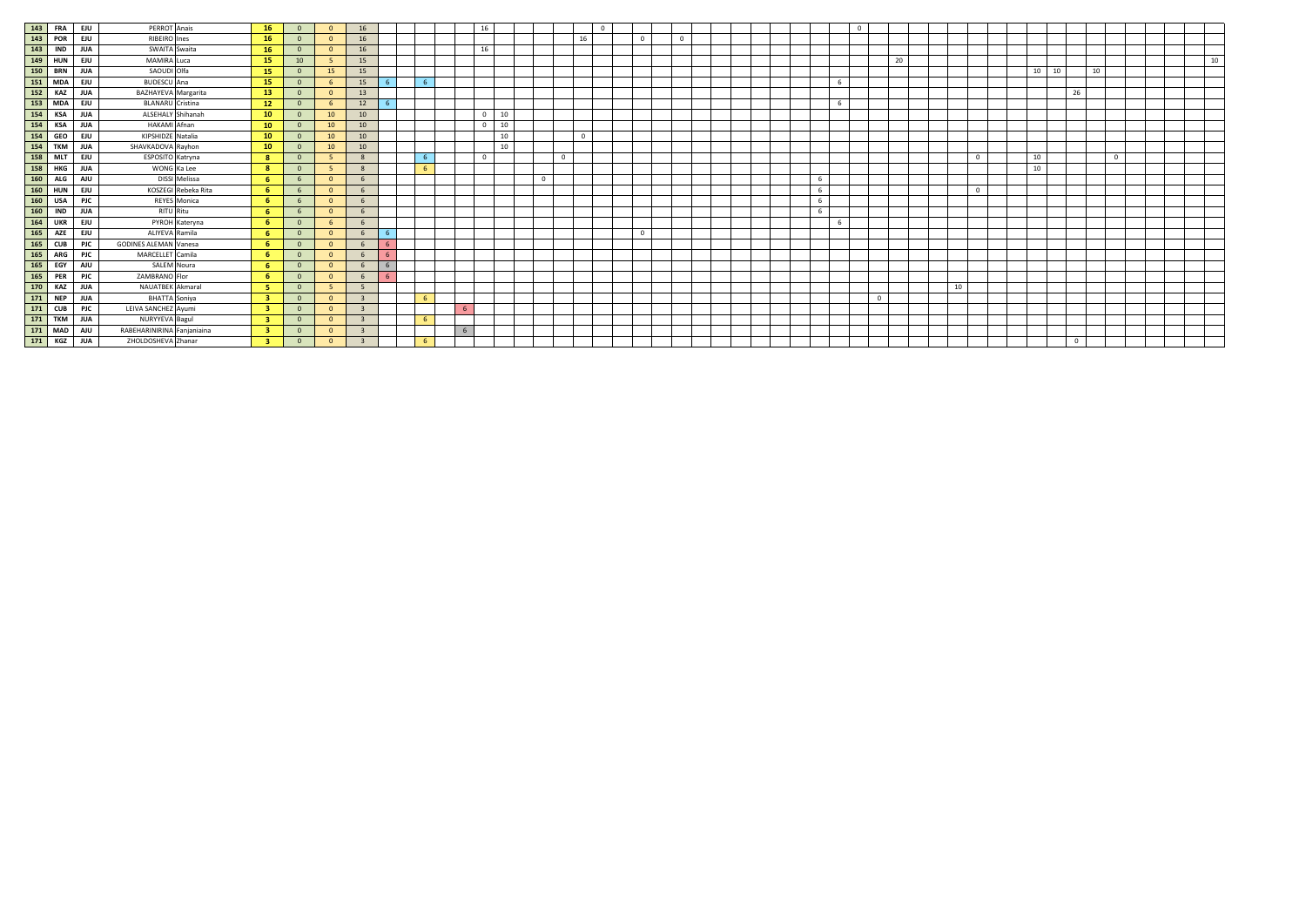| 143<br><b>FRA</b>                | EJU        | PERROT Anais                 | 16                      | $\Omega$         |                | 16 |   |    |   | 16             |    |              |          | $\Omega$   |             |             |  |    |    |              |    |    |          |          |    |              |  |    |
|----------------------------------|------------|------------------------------|-------------------------|------------------|----------------|----|---|----|---|----------------|----|--------------|----------|------------|-------------|-------------|--|----|----|--------------|----|----|----------|----------|----|--------------|--|----|
| 143<br>POR                       | EJU        | RIBEIRO Ines                 | 16                      | $\overline{0}$   | $\Omega$       | 16 |   |    |   |                |    |              |          | 16         | $\mathbf 0$ | $\mathbf 0$ |  |    |    |              |    |    |          |          |    |              |  |    |
| 143<br>IND                       | <b>JUA</b> | SWAITA Swaita                | 16                      | $\mathbf{0}$     | $\Omega$       | 16 |   |    |   | 16             |    |              |          |            |             |             |  |    |    |              |    |    |          |          |    |              |  |    |
| 149<br><b>HUN</b>                | EJU        | MAMIRA Luca                  | 15                      | 10 <sup>10</sup> | -5             | 15 |   |    |   |                |    |              |          |            |             |             |  |    |    |              | 20 |    |          |          |    |              |  | 10 |
| 150<br><b>BRN</b>                | JUA        | SAOUDI Olfa                  | 15                      | $\overline{0}$   | 15             | 15 |   |    |   |                |    |              |          |            |             |             |  |    |    |              |    |    |          | 10<br>10 |    | 10           |  |    |
| $\overline{151}$<br><b>MDA</b>   | EJU        | BUDESCU Ana                  | 15                      | $\overline{0}$   | -6             | 15 |   | -6 |   |                |    |              |          |            |             |             |  |    | -6 |              |    |    |          |          |    |              |  |    |
| 152<br>KAZ                       | JUA        | <b>BAZHAYEVA</b> Margarita   | 13                      | $\overline{0}$   | $\overline{0}$ | 13 |   |    |   |                |    |              |          |            |             |             |  |    |    |              |    |    |          |          | 26 |              |  |    |
| 153<br>MDA                       | EJU        | <b>BLANARU</b> Cristina      | 12                      | $\overline{0}$   | 6              | 12 |   |    |   |                |    |              |          |            |             |             |  |    |    |              |    |    |          |          |    |              |  |    |
| $\boxed{154}$<br>KSA             | JUA        | ALSEHALY Shihanah            | 10                      | $\overline{0}$   | 10             | 10 |   |    |   | $\overline{0}$ | 10 |              |          |            |             |             |  |    |    |              |    |    |          |          |    |              |  |    |
| $\overline{154}$<br>KSA          | JUA        | HAKAMI Afnan                 | 10 <sup>°</sup>         | $\overline{0}$   | 10             | 10 |   |    |   | $\overline{0}$ | 10 |              |          |            |             |             |  |    |    |              |    |    |          |          |    |              |  |    |
| 154<br>GEO                       | EJU        | KIPSHIDZE Natalia            | 10 <sup>°</sup>         | $\overline{0}$   | 10             | 10 |   |    |   |                | 10 |              |          | $^{\circ}$ |             |             |  |    |    |              |    |    |          |          |    |              |  |    |
| 154<br><b>TKM</b>                | <b>JUA</b> | SHAVKADOVA Rayhon            | 10                      | $\Omega$         | 10             | 10 |   |    |   |                | 10 |              |          |            |             |             |  |    |    |              |    |    |          |          |    |              |  |    |
| $\frac{158}{ }$<br><b>MLT</b>    | EJU        | ESPOSITO Katryna             | -8                      | $\overline{0}$   | -5             |    |   | -6 |   | $\overline{0}$ |    |              | $\Omega$ |            |             |             |  |    |    |              |    |    | $\Omega$ | 10       |    | $\mathbf{0}$ |  |    |
| 158<br><b>HKG</b>                | JUA        | WONG Ka Lee                  | 8                       | $\Omega$         | -5.            |    |   | 6  |   |                |    |              |          |            |             |             |  |    |    |              |    |    |          | 10       |    |              |  |    |
| $\overline{\mathbf{160}}$<br>ALG | AJU        | DISSI Melissa                | 6                       | 6                | $\Omega$       |    |   |    |   |                |    | $\mathbf{0}$ |          |            |             |             |  | -6 |    |              |    |    |          |          |    |              |  |    |
| 160<br>HUN                       | EJU        | KOSZEGI Rebeka Rita          | -6                      | 6.               | $\Omega$       |    |   |    |   |                |    |              |          |            |             |             |  | -6 |    |              |    |    | $\Omega$ |          |    |              |  |    |
| 160<br><b>USA</b>                | PJC        | REYES Monica                 | 6                       | 6                | $\Omega$       |    |   |    |   |                |    |              |          |            |             |             |  | -6 |    |              |    |    |          |          |    |              |  |    |
| 160<br><b>IND</b>                | <b>JUA</b> | RITU Ritu                    | 6                       | 6                | $\Omega$       | 6  |   |    |   |                |    |              |          |            |             |             |  | -6 |    |              |    |    |          |          |    |              |  |    |
| 164<br><b>UKR</b>                | EJU        | PYROH Kateryna               | 6                       | $\overline{0}$   | -6             | 6  |   |    |   |                |    |              |          |            |             |             |  |    | 6  |              |    |    |          |          |    |              |  |    |
| $\overline{165}$<br>AZE          | EJU        | ALIYEVA Ramila               | 6                       | $\mathbf{0}$     | $\overline{0}$ |    |   |    |   |                |    |              |          |            | $\mathbf 0$ |             |  |    |    |              |    |    |          |          |    |              |  |    |
| 165<br><b>CUB</b>                | PJC        | <b>GODINES ALEMAN Vanesa</b> | -6                      | $\mathbf{0}$     | $\overline{0}$ |    |   |    |   |                |    |              |          |            |             |             |  |    |    |              |    |    |          |          |    |              |  |    |
| 165<br><b>ARG</b>                | <b>PJC</b> | MARCELLET Camila             | 6                       | $\overline{0}$   | $\Omega$       |    |   |    |   |                |    |              |          |            |             |             |  |    |    |              |    |    |          |          |    |              |  |    |
| 165<br>EGY                       | <b>AJU</b> | SALEM Noura                  | -6                      | $\mathbf{0}$     | $\Omega$       | 6  | 6 |    |   |                |    |              |          |            |             |             |  |    |    |              |    |    |          |          |    |              |  |    |
| 165<br><b>PER</b>                | <b>PJC</b> | ZAMBRANO Flor                | -6                      | $\Omega$         | $\Omega$       |    | 6 |    |   |                |    |              |          |            |             |             |  |    |    |              |    |    |          |          |    |              |  |    |
| 170<br>KAZ                       | <b>JUA</b> | NAUATBEK Akmaral             | 5.                      | $\Omega$         |                |    |   |    |   |                |    |              |          |            |             |             |  |    |    |              |    | 10 |          |          |    |              |  |    |
| 171<br><b>NEP</b>                | <b>JUA</b> | <b>BHATTA</b> Soniya         | 3 <sup>1</sup>          | $\overline{0}$   | $\Omega$       |    |   | 6  |   |                |    |              |          |            |             |             |  |    |    | $\mathbf{0}$ |    |    |          |          |    |              |  |    |
| 171<br><b>CUB</b><br>--          | <b>PJC</b> | LEIVA SANCHEZ Ayumi          | 3 <sup>1</sup>          | $\overline{0}$   | $\Omega$       |    |   |    | 6 |                |    |              |          |            |             |             |  |    |    |              |    |    |          |          |    |              |  |    |
| 171<br><b>TKM</b>                | <b>JUA</b> | NURYYEVA Bagul               | 3 <sup>1</sup>          | $\overline{0}$   | $\overline{0}$ |    |   | 6  |   |                |    |              |          |            |             |             |  |    |    |              |    |    |          |          |    |              |  |    |
| 171<br><b>MAD</b>                | <b>AJU</b> | RABEHARINIRINA Fanjaniaina   | $\overline{\mathbf{3}}$ | $\overline{0}$   | $\Omega$       |    |   |    | 6 |                |    |              |          |            |             |             |  |    |    |              |    |    |          |          |    |              |  |    |
| 171<br>KGZ                       | <b>JUA</b> | ZHOLDOSHEVA Zhanar           |                         | $\Omega$         |                |    |   |    |   |                |    |              |          |            |             |             |  |    |    |              |    |    |          |          |    |              |  |    |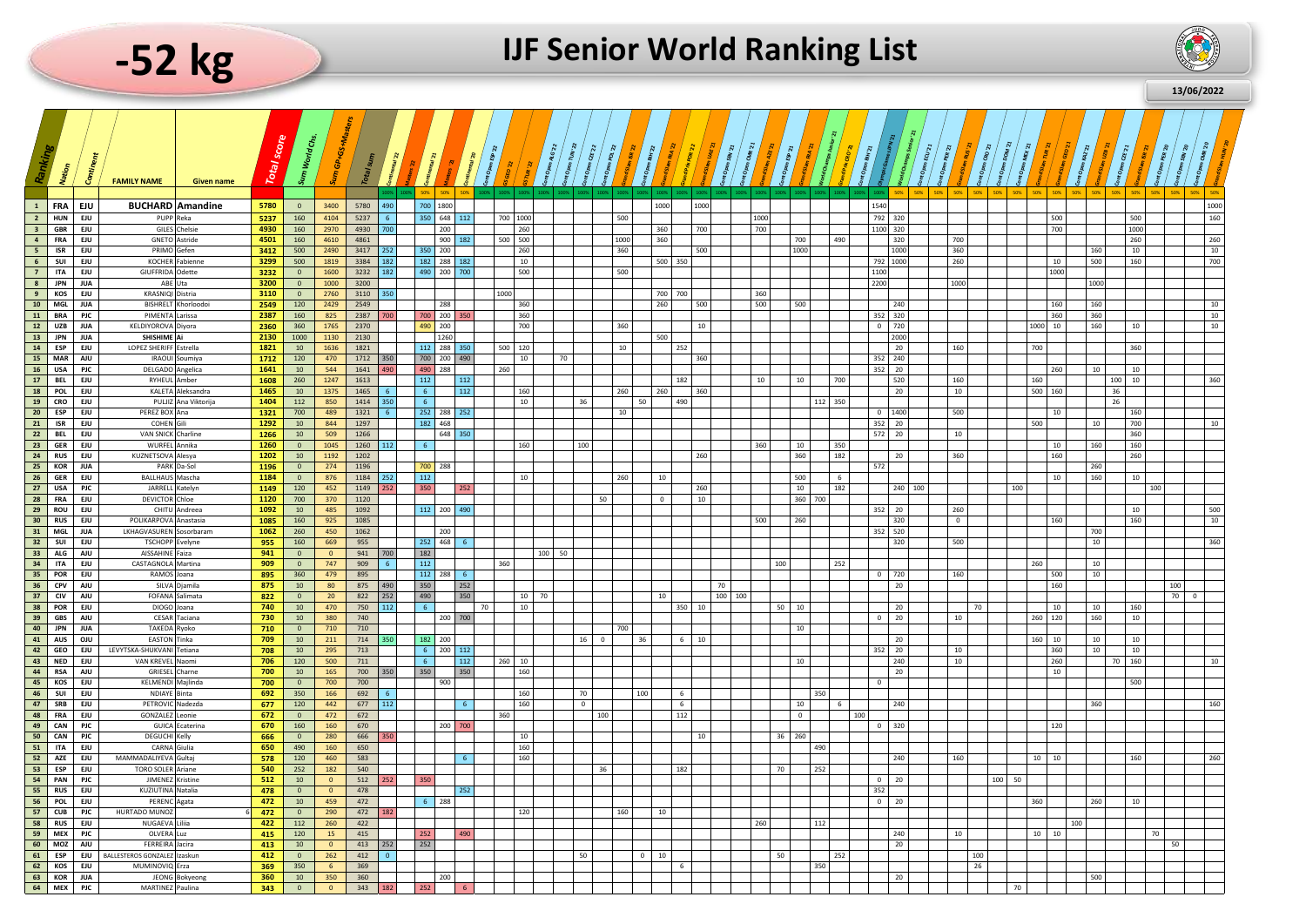# **-52 kg**

#### **IJF Senior World Ranking List**



**13/06/2022**

**Ranking Nation Continent FAMILY NAME Given name** *To***<sub>s</sub>** *To***<sub>n</sub>** *S***<sub>S</sub></del> Sum World Chs. Sum GP+GS+Masters Total sum Continental '22 Masters '22 Continental '21 Masters '21 Continental '20 Cont Open ESP '22 GS GEO '22 GS TUR '22** Cont Open ALG '22 **Cont Open TUN '22 Cont Open CZE '22 Cont Open POL '22 Grand Slam ISR '22 Cont Open BIH '22 Grand Slam FRA '22 Grand Prix POR '22 Grand Slam UAE '21 Cont Open SEN '21 Cont Open CMR '21 Grand Slam AZE '21 Cont Open ESP '21 Grand Slam FRA '21 World Champs Junior '21 Grand Prix CRO '21 Cont Open BIH '21** Olympic Games *PW*<sub>21</sub> **World Champs Senior '21 Cont Open ECU '21 Cont Open PER '21 Grand Slam RUS '21 Cont Open CRO '21 Cont Open DOM '21 Cont Open MEX '21 Grand Slam TUR '21 Grand Slam GEO '21 Cont Open KAZ '21 Grand Slam UZB '21 Cont Open CZE '21 Grand Slam ISR '21 Cont Open PER '20 Cont Open SEN '20 Cont Open CMR '20 Grand Slam HUN '20 0%** 100% 100% 50% 50% 50% 100% 100% 100% 100% 100% 100% 100% 100% 100% 100% 100% 100% 100% 100% 100% 100% 100% 100% 100% 100% 100% 50% 50% 50% 50% 50% 50% 50% 50% 50% 50% 50% 50% 50% 50% 50% 50% 50% **1 FRA EJU BUCHARD Amandine 5780** 0 3400 5780 490 700 1800 1000 1000 1540 1000 **2 HUN EJU** PUPP Reka **5237** 160 4104 5237 6 350 648 112 700 1000 500 1000 792 320 500 500 160 **3 GBR EJU** GILES Chelsie **4930** 160 2970 4930 700 200 260 360 700 700 1100 320 700 1000 **4 FRA EJU** GNETO Astride **4501** 160 4610 4861 900 182 500 500 1000 360 700 490 320 700 260 260 **5 ISR EJU** PRIMO Gefen **3412** 500 2490 3417 252 350 200 260 360 500 1000 1000 360 160 10 10 **6 SUI EJU** KOCHER Fabienne **3299** 500 1819 3384 182 182 288 182 10 500 350 792 1000 260 10 500 160 700 **7 ITA EJU** GIUFFRIDA Odette **3232** 0 1600 3232 182 490 200 700 500 500 1100 1000 **8 JPN JUA** ABE Uta **3200** 0 1000 3200 2200 1000 1000 **9 KOS EJU** KRASNIQI Distria **3110** 0 2760 3110 350 1000 700 700 360 **10 MGL JUA** BISHRELT Khorloodoi **2549** 120 2429 2549 288 360 260 500 500 500 240 160 160 10 <mark>11</mark> BRA PJC PIMENTA Larissa <mark>2387 160 825 2387 1700 700 200 350</mark> 1 360 1 1 1 1 1 1 1 1 1 1 352 320 1 1 1 360 360 1 1 1 10 **12 UZB JUA** KELDIYOROVA Diyora **2360** 360 1765 2370 490 200 700 360 10 0 720 1000 10 160 10 10 **13 JPN JUA SHISHIME Ai 2130** 1000 1130 2130 1260 500 2000 **14 ESP EJU** LOPEZ SHERIFF Estrella **1821** 10 1636 1821 112 288 350 500 120 10 252 20 160 700 360 **15 MAR AJU** IRAOUI Soumiya **1712** 120 470 1712 350 700 200 490 10 70 360 352 240 **16 USA PJC** DELGADO Angelica **1641** 10 544 1641 490 490 288 260 352 20 260 10 10 **17 BEL EJU** RYHEUL Amber **1608** 260 1247 1613 112 112 182 10 10 700 520 160 160 100 10 360 **18 POL EJU** KALETA Aleksandra **1465** 10 1375 1465 6 6 112 160 260 260 360 20 10 500 160 36 **19 CRO EJU** PULJIZ Ana Viktorija **1404** 112 850 1414 350 6 10 36 50 490 112 350 26 <mark>20 BSP EJU PEREZ BOX Ana <mark>1321 700 489 1321 6 252 288 252</mark> 1 1 1 1 1 10 1 1 1 1 1 1 1 1 0 1400 500 10 160 10 160 10 160</mark> **21 ISR EJU** COHEN Gili **1292** 10 844 1297 182 468 352 20 500 10 700 10 **22 BEL EJU** VAN SNICK Charline **1266** 10 509 1266 648 350 572 20 10 360 **23 GER EJU** WURFEL Annika **1260** 0 1045 1260 112 6 160 100 360 10 350 10 160 160 **24 RUS EJU** KUZNETSOVA Alesya **1202** 10 1192 1202 260 360 182 20 360 160 260 **25 KOR JUA** PARK Da-Sol **1196** 0 274 1196 700 288 572 260 **26 GER EJU** BALLHAUS Mascha **1184** 0 876 1184 252 112 10 260 10 500 6 10 160 10 **27 USA PJC** JARRELL Katelyn **1149** 120 452 1149 252 350 252 260 10 182 240 100 100 100 **28 FRA EJU** DEVICTOR Chloe **1120** 700 370 1120 50 0 10 360 700 **29 ROU EJU** CHITU Andreea **1092** 10 485 1092 112 200 490 352 20 260 10 500 **30 RUS EJU** POLIKARPOVA Anastasia **1085** 160 925 1085 500 260 320 0 160 160 10 **31 MGL JUA** LKHAGVASUREN Sosorbaram **1062** 260 450 1062 200 352 520 700 **32 SUI EJU** TSCHOPP Evelyne **955** 160 669 955 252 468 6 320 500 10 360 **33 ALG AJU** AISSAHINE Faiza **941** 0 0 941 700 182 100 50 **34 ITA EJU** CASTAGNOLA Martina **909** 0 747 909 6 112 360 100 252 260 10 **35 POR EJU** RAMOS Joana **895** 360 479 895 112 288 6 0 720 160 500 10 **36 CPV AJU** SILVA Djamila **875** 10 80 875 490 350 252 70 20 160 100 **37 CIV AJU** FOFANA Salimata **822** 0 20 822 252 490 350 10 70 10 100 100 70 0 **38 POR EJU** DIOGO Joana **740** 10 470 750 112 6 70 10 350 10 50 10 20 70 10 10 160 **39 GBS AJU** CESAR Taciana **730** 10 380 740 200 700 0 20 10 260 120 160 10 **40 JPN JUA** TAKEDA Ryoko **710** 0 710 710 700 10 **41 AUS OJU** EASTON Tinka **709** 10 211 714 350 182 200 16 0 36 6 10 20 160 10 10 10 **42 GEO EJU** LEVYTSKA-SHUKVANI Tetiana **708** 10 295 713 6 200 112 352 20 10 360 10 10 **43 NED EJU** VAN KREVEL Naomi **706** 120 500 711 6 112 260 10 10 240 10 260 70 160 10 **44 RSA AJU** GRIESEL Charne **700** 10 165 700 350 350 350 160 20 10 **45 KOS EJU** KELMENDI Majlinda **700** 0 700 700 900 0 500 **46 SUI EJU** NDIAYE Binta **692** 350 166 692 6 160 70 100 6 350 **47 SRB EJU** PETROVIC Nadezda **677** 120 442 677 112 6 160 0 6 10 6 240 360 160 **48 FRA EJU** GONZALEZ Leonie **672** 0 472 672 360 100 112 0 100 **49 CAN PJC** GUICA Ecaterina **670** 160 160 670 200 700 0 320 120 **50 CAN PJC** DEGUCHI Kelly **666** 0 280 666 350 10 10 36 260 **51 ITA EJU** CARNA Giulia **650** 490 160 650 160 490 **52 AZE EJU** MAMMADALIYEVA Gultaj **578** 120 460 583 6 160 240 160 10 10 160 260 **53 ESP EJU** TORO SOLER Ariane **540** 252 182 540 36 182 70 252 **54 PAN PJC** JIMENEZ Kristine **512** 10 0 512 252 350 0 20 100 50 **55 RUS EJU** KUZIUTINA Natalia **478** 0 0 478 252 352 **56 POL EJU** PERENC Agata **472** 10 459 472 6 288 0 20 360 260 10 **57** CUB PJC HURTADO MUNOZ 6 6 472 0 290 472 182 1 | | | 120 | | | 130 160 100 **58 RUS EJU** NUGAEVA Liliia **422** 112 260 422 260 112 100 **59 MEX PJC** OLVERA Luz **415** 120 15 415 252 490 240 10 10 10 70 **60 MOZ AJU** FERREIRA Jacira **413** 10 0 413 252 252 20 50 **61 ESP EJU** BALLESTEROS GONZALEZ **Izaskun 412** 0 262 412 0 10 50 0 10 0 10 252 1 252 1 10 **62 KOS EJU** MUMINOVIQ Erza **369** 350 6 369 6 350 26 **63 KOR JUA** JEONG Bokyeong **360** 10 350 360 200 20 500 **64 MEX PJC** MARTINEZ Paulina **343** 0 0 343 182 252 6 70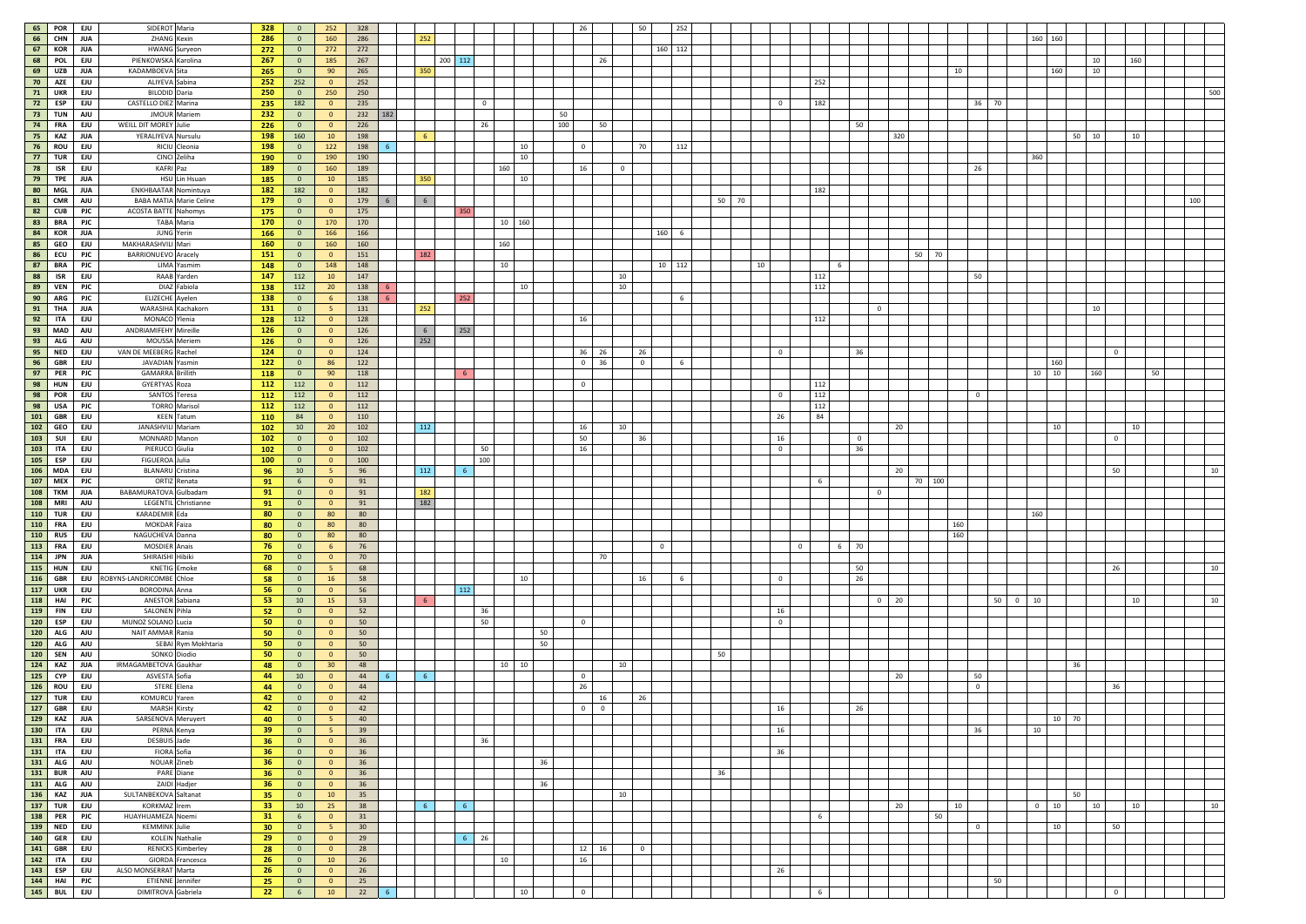| 65            | <b>POR</b>               | EJU                      | SIDEROT Maria                          | 328      | $\overline{0}$               | 252                  | 328             |     |                 |                  |              |        | 26             |               | 50              | 252             |       |    |                |             |              |                 |             |                |       |                      |              |     |                |    |     |
|---------------|--------------------------|--------------------------|----------------------------------------|----------|------------------------------|----------------------|-----------------|-----|-----------------|------------------|--------------|--------|----------------|---------------|-----------------|-----------------|-------|----|----------------|-------------|--------------|-----------------|-------------|----------------|-------|----------------------|--------------|-----|----------------|----|-----|
| 66            | CHN                      | <b>JUA</b>               | <b>ZHANG Kexin</b>                     | 286      | $\overline{0}$               | 160                  | 286             |     | 252             |                  |              |        |                |               |                 |                 |       |    |                |             |              |                 |             |                |       |                      | 160 160      |     |                |    |     |
| 67            | KOR                      | <b>JUA</b>               | <b>HWANG</b> Suryeon                   | 272      | $\overline{0}$               | 272                  | 272             |     |                 |                  |              |        |                |               |                 | 160 112         |       |    |                |             |              |                 |             |                |       |                      |              |     |                |    |     |
|               |                          |                          | PIENKOWSKA Karolina                    |          |                              |                      | 267             |     |                 | $200$ 112        |              |        |                | 26            |                 |                 |       |    |                |             |              |                 |             |                |       |                      |              | 10  | 160            |    |     |
| 68            | POL                      | EJU                      |                                        | 267      | $\overline{0}$               | 185                  |                 |     |                 |                  |              |        |                |               |                 |                 |       |    |                |             |              |                 |             |                |       |                      |              |     |                |    |     |
| 69            | <b>UZB</b>               | <b>JUA</b>               | KADAMBOEVA Sita                        | 265      | $\overline{0}$               | 90                   | 265             |     | 350             |                  |              |        |                |               |                 |                 |       |    |                |             |              |                 |             | 10             |       |                      | 160          | 10  |                |    |     |
| 70            | AZE                      | EJU                      | ALIYEVA Sabina                         | 252      | 252                          | $\overline{0}$       | 252             |     |                 |                  |              |        |                |               |                 |                 |       |    |                | 252         |              |                 |             |                |       |                      |              |     |                |    |     |
| 71            | <b>UKR</b>               | EJU                      | BILODID Daria                          | 250      | $\overline{\mathbf{0}}$      | 250                  | 250             |     |                 |                  |              |        |                |               |                 |                 |       |    |                |             |              |                 |             |                |       |                      |              |     |                |    | 500 |
| 72            | ESP                      | EJU                      | CASTELLO DIEZ Marina                   | 235      | 182                          | $\overline{0}$       | 235             |     |                 |                  | $\mathbf{0}$ |        |                |               |                 |                 |       |    | $\overline{0}$ | 182         |              |                 |             |                | 36 70 |                      |              |     |                |    |     |
| 73            | <b>TUN</b>               | <b>AJU</b>               | JMOUR Mariem                           | 232      | $\circ$                      | $\overline{0}$       | 232             | 182 |                 |                  |              |        | 50             |               |                 |                 |       |    |                |             |              |                 |             |                |       |                      |              |     |                |    |     |
| 74            | <b>FRA</b>               | <b>EJU</b>               | WEILL DIT MOREY Julie                  | 226      | $\overline{0}$               | $\overline{0}$       | 226             |     |                 |                  | 26           |        | 100            | 50            |                 |                 |       |    |                |             | 50           |                 |             |                |       |                      |              |     |                |    |     |
| 75            | KAZ                      | <b>JUA</b>               | YERALIYEVA Nursulu                     | 198      | 160                          | 10                   | 198             |     | 6 <sup>6</sup>  |                  |              |        |                |               |                 |                 |       |    |                |             |              | 320             |             |                |       |                      | 50           | 10  | 10             |    |     |
| 76            | ROU                      | EJU                      | RICIU Cleonia                          | 198      | $\overline{0}$               | 122                  | 198             |     |                 |                  |              | 10     | $\overline{0}$ |               | 70              | 112             |       |    |                |             |              |                 |             |                |       |                      |              |     |                |    |     |
| 77            | TUR                      | EJU                      | CINCI Zeliha                           | 190      | $\overline{0}$               | 190                  | 190             |     |                 |                  |              | 10     |                |               |                 |                 |       |    |                |             |              |                 |             |                |       | 360                  |              |     |                |    |     |
| 78            | <b>ISR</b>               | EJU                      | KAFRI Paz                              | 189      | $\overline{\mathbf{0}}$      | 160                  | 189             |     |                 |                  | 160          |        | 16             | $\circ$       |                 |                 |       |    |                |             |              |                 |             | 26             |       |                      |              |     |                |    |     |
| 79            | TPE                      | <b>JUA</b>               | HSU Lin Hsuan                          | 185      | $\overline{0}$               | 10                   | 185             |     | 350             |                  |              | 10     |                |               |                 |                 |       |    |                |             |              |                 |             |                |       |                      |              |     |                |    |     |
| 80            | <b>MGL</b>               | <b>JUA</b>               | <b>ENKHBAATAR</b> Nomintuya            | 182      | 182                          | $\circ$              | 182             |     |                 |                  |              |        |                |               |                 |                 |       |    |                | 182         |              |                 |             |                |       |                      |              |     |                |    |     |
| 81            | <b>CMR</b>               | <b>AJU</b>               | <b>BABA MATIA Marie Celine</b>         | 179      | $\circ$                      | $\overline{0}$       | 179             |     | $6\overline{6}$ |                  |              |        |                |               |                 |                 | 50 70 |    |                |             |              |                 |             |                |       |                      |              |     |                |    | 100 |
| 82            | <b>CUB</b>               | PJC                      | <b>ACOSTA BATTE</b> Nahomys            | 175      | $\overline{0}$               | $\overline{0}$       | 175             |     |                 | 350              |              |        |                |               |                 |                 |       |    |                |             |              |                 |             |                |       |                      |              |     |                |    |     |
| 83            | <b>BRA</b>               | PJC                      | <b>TABA Maria</b>                      | 170      | $\overline{0}$               | 170                  | 170             |     |                 |                  |              | 10 160 |                |               |                 |                 |       |    |                |             |              |                 |             |                |       |                      |              |     |                |    |     |
| 84            | KOR                      | <b>JUA</b>               | JUNG Yerin                             | 166      | $\overline{\mathbf{0}}$      | 166                  | 166             |     |                 |                  |              |        |                |               | 160 6           |                 |       |    |                |             |              |                 |             |                |       |                      |              |     |                |    |     |
| 85            | GEO                      | EJU                      | MAKHARASHVILI Mari                     | 160      | $\overline{0}$               | 160                  | 160             |     |                 |                  | 160          |        |                |               |                 |                 |       |    |                |             |              |                 |             |                |       |                      |              |     |                |    |     |
| 86            | ECU                      | PJC                      | <b>BARRIONUEVO</b> Aracely             | 151      | $\overline{0}$               | $\circ$              | 151             |     | 182             |                  |              |        |                |               |                 |                 |       |    |                |             |              |                 | 50 70       |                |       |                      |              |     |                |    |     |
| 87            | <b>BRA</b>               | PJC                      | LIMA Yasmim                            | 148      | $\overline{0}$               | 148                  | 148             |     |                 |                  | 10           |        |                |               |                 | 10 112          |       | 10 |                |             | 6            |                 |             |                |       |                      |              |     |                |    |     |
| 88            | <b>ISR</b>               | <b>EJU</b>               | RAAB Yarden                            | 147      | 112                          | 10                   | 147             |     |                 |                  |              |        |                | 10            |                 |                 |       |    |                | 112         |              |                 |             | 50             |       |                      |              |     |                |    |     |
| 89            | <b>VEN</b>               | PJC                      | DIAZ Fabiola                           | 138      | 112                          | 20                   | 138             | 6   |                 |                  |              | 10     |                | 10            |                 |                 |       |    |                | 112         |              |                 |             |                |       |                      |              |     |                |    |     |
| 90            | ARG                      | PJC                      | ELIZECHE Ayelen                        | 138      | $\overline{0}$               | 6 <sup>5</sup>       | 138             | 6   |                 | 252              |              |        |                |               |                 | $6\overline{6}$ |       |    |                |             |              |                 |             |                |       |                      |              |     |                |    |     |
|               | THA                      | <b>JUA</b>               | WARASIHA Kachakorn                     | 131      | $\overline{0}$               | 5 <sub>1</sub>       | 131             |     | 252             |                  |              |        |                |               |                 |                 |       |    |                |             |              | $\circ$         |             |                |       |                      |              | 10  |                |    |     |
| 91            |                          |                          |                                        |          |                              |                      |                 |     |                 |                  |              |        |                |               |                 |                 |       |    |                |             |              |                 |             |                |       |                      |              |     |                |    |     |
| 92            | <b>ITA</b><br><b>MAD</b> | EJU                      | MONACO Ylenia<br>ANDRIAMIFEHY Mireille | 128      | 112                          | $\overline{0}$       | 128             |     |                 |                  |              |        | 16             |               |                 |                 |       |    |                | 112         |              |                 |             |                |       |                      |              |     |                |    |     |
| 93            |                          | <b>AJU</b>               |                                        | 126      | $\overline{0}$               | $\circ$              | 126             |     | 6               | 252              |              |        |                |               |                 |                 |       |    |                |             |              |                 |             |                |       |                      |              |     |                |    |     |
| 93            | <b>ALG</b>               | <b>AJU</b>               | MOUSSA Meriem                          | 126      | $\overline{0}$               | $\overline{0}$       | 126             |     | 252             |                  |              |        |                |               |                 |                 |       |    |                |             |              |                 |             |                |       |                      |              |     |                |    |     |
| 95            | <b>NED</b>               | EJU                      | VAN DE MEEBERG Rachel                  | 124      | $\overline{0}$               | $\overline{0}$       | 124             |     |                 |                  |              |        | 36             | 26            | 26              |                 |       |    | $\overline{0}$ |             | 36           |                 |             |                |       |                      |              |     | $\overline{0}$ |    |     |
| 96            | <b>GBR</b>               | EJU                      | JAVADIAN Yasmin                        | 122      | $\overline{0}$               | 86                   | 122             |     |                 |                  |              |        | $\circ$        | 36            | $\mathbf 0$     | 6               |       |    |                |             |              |                 |             |                |       |                      | 160          |     |                |    |     |
| 97            | PER                      | PJC                      | <b>GAMARRA</b> Brillith                | 118      | $\overline{0}$               | 90                   | 118             |     |                 | $6 \overline{6}$ |              |        |                |               |                 |                 |       |    |                |             |              |                 |             |                |       |                      | 10 10        | 160 |                | 50 |     |
| 98            | <b>HUN</b>               | EJU                      | GYERTYAS Roza                          | 112      | 112                          | $\overline{0}$       | 112             |     |                 |                  |              |        | $\mathbf{0}$   |               |                 |                 |       |    |                | 112         |              |                 |             |                |       |                      |              |     |                |    |     |
| 98            | POR                      | EJU                      | SANTOS Teresa                          | 112      | 112                          | $\circ$              | 112             |     |                 |                  |              |        |                |               |                 |                 |       |    | $\overline{0}$ | 112         |              |                 |             | $\mathbf{0}$   |       |                      |              |     |                |    |     |
| 98            | <b>USA</b>               | PJC                      | <b>TORRO</b> Marisol                   | 112      | 112                          | $\overline{0}$       | 112             |     |                 |                  |              |        |                |               |                 |                 |       |    |                | 112         |              |                 |             |                |       |                      |              |     |                |    |     |
| 101           | GBR                      | EJU                      | <b>KEEN</b> Tatum                      | 110      | 84                           | $\overline{0}$       | 110             |     |                 |                  |              |        |                |               |                 |                 |       |    | 26             | $^{\rm 84}$ |              |                 |             |                |       |                      |              |     |                |    |     |
| 102           | GEO                      | <b>EJU</b>               | JANASHVILI Mariam                      | 102      | 10                           | 20                   | 102             |     | 112             |                  |              |        | 16             | 10            |                 |                 |       |    |                |             |              | 20              |             |                |       |                      | 10           |     | 10             |    |     |
| 103           | SUI                      | EJU                      | MONNARD Manon                          | 102      | $\overline{0}$               | $\overline{0}$       | 102             |     |                 |                  |              |        | 50             |               | 36              |                 |       |    | 16             |             | $\mathbf{0}$ |                 |             |                |       |                      |              |     | $\overline{0}$ |    |     |
| 103           | <b>ITA</b>               | EJU                      | PIERUCCI Giulia                        | 102      | $\mathbf 0$                  | $\mathbf{0}$         | 102             |     |                 |                  | 50           |        | 16             |               |                 |                 |       |    | $\circ$        |             | 36           |                 |             |                |       |                      |              |     |                |    |     |
| 105           | ESP                      | EJU                      | FIGUEROA Julia                         | 100      | $\overline{0}$               | $\mathbf{0}$         | 100             |     |                 |                  | 100          |        |                |               |                 |                 |       |    |                |             |              |                 |             |                |       |                      |              |     |                |    |     |
| 106           | <b>MDA</b>               | EJU                      | <b>BLANARU</b> Cristina                | 96       | 10                           | 5 <sub>1</sub>       | 96              |     | 112             | $6^{\circ}$      |              |        |                |               |                 |                 |       |    |                |             |              | 20              |             |                |       |                      |              |     | 50             |    | 10  |
| 107           | <b>MEX</b>               | PJC                      | ORTIZ Renata                           | 91       | $6\overline{6}$              | $\overline{0}$       | 91              |     |                 |                  |              |        |                |               |                 |                 |       |    |                | 6           |              |                 | $70 \t 100$ |                |       |                      |              |     |                |    |     |
| 108           | <b>TKM</b>               | <b>JUA</b>               | BABAMURATOVA Gulbadam                  | 91       | $\overline{0}$               | $\circ$              | 91              |     | 182             |                  |              |        |                |               |                 |                 |       |    |                |             |              | $\circ$         |             |                |       |                      |              |     |                |    |     |
| 108           | MRI                      | <b>AJU</b>               | LEGENTIL Christianne                   | 91       | $\overline{0}$               | $\overline{0}$       | 91              |     | 182             |                  |              |        |                |               |                 |                 |       |    |                |             |              |                 |             |                |       |                      |              |     |                |    |     |
| 110           | <b>TUR</b>               | EJU                      | KARADEMIR Eda                          | 80       | $\overline{0}$               | 80                   | 80              |     |                 |                  |              |        |                |               |                 |                 |       |    |                |             |              |                 |             |                |       | 160                  |              |     |                |    |     |
| 110           | <b>FRA</b>               | EJU                      | MOKDAR Faiza                           | 80       | $\overline{0}$               | 80                   | 80              |     |                 |                  |              |        |                |               |                 |                 |       |    |                |             |              |                 |             | 160            |       |                      |              |     |                |    |     |
| 110           | <b>RUS</b>               | EJU                      | NAGUCHEVA Danna                        | 80       | $\overline{0}$               | 80                   | 80              |     |                 |                  |              |        |                |               |                 |                 |       |    |                |             |              |                 |             | 160            |       |                      |              |     |                |    |     |
| 113           | <b>FRA</b>               | <b>EJU</b>               | MOSDIER Anais                          | 76       | $\overline{\mathbf{0}}$      | 6                    | 76              |     |                 |                  |              |        |                |               | $\circ$         |                 |       |    | $\mathbf{0}$   |             | $6 \mid 70$  |                 |             |                |       |                      |              |     |                |    |     |
| 114           | <b>JPN</b>               | <b>JUA</b>               | SHIRAISHI Hibiki                       | 70       | $\overline{0}$               | $\overline{0}$       | 70              |     |                 |                  |              |        |                | 70            |                 |                 |       |    |                |             |              |                 |             |                |       |                      |              |     |                |    |     |
| 115           | <b>HUN</b>               | EJU                      | KNETIG Emoke                           | 68       | $\overline{0}$               | -5                   | 68              |     |                 |                  |              |        |                |               |                 |                 |       |    |                |             | 50           |                 |             |                |       |                      |              |     | 26             |    | 10  |
| 116           | <b>GBR</b>               | <b>EJU</b>               | ROBYNS-LANDRICOMBE Chloe               | 58       | $\overline{0}$               | 16                   | 58              |     |                 |                  |              | 10     |                |               | 16              | 6               |       |    | $\circ$        |             | 26           |                 |             |                |       |                      |              |     |                |    |     |
| 117           | <b>UKR</b>               | EJU                      | <b>BORODINA</b> Anna                   | 56       | $\overline{0}$               | $\mathbf{0}$         | 56              |     |                 | 112              |              |        |                |               |                 |                 |       |    |                |             |              |                 |             |                |       |                      |              |     |                |    |     |
| 118           | HAI                      | PJC                      | ANESTOR Sabiana                        | 53       | 10                           | 15                   | 53              |     | 6 <sub>6</sub>  |                  |              |        |                |               |                 |                 |       |    |                |             |              | $\circ$<br>- 20 |             |                | 50    | 10<br>$\overline{0}$ |              |     | 10             |    | 10  |
| 119           | <b>FIN</b>               | EJU                      | SALONEN Pihla                          | 52       | $\overline{0}$               | $\overline{0}$       | 52              |     |                 |                  | 36           |        |                |               |                 |                 |       |    | 16             |             |              |                 |             |                |       |                      |              |     |                |    |     |
| 120           | ESP                      | EJU                      | MUNOZ SOLANO Lucia                     | 50       | $\overline{0}$               | $\overline{0}$       | 50              |     |                 |                  | 50           |        | $\mathbf{0}$   |               |                 |                 |       |    | $\overline{0}$ |             |              |                 |             |                |       |                      |              |     |                |    |     |
| 120           | <b>ALG</b>               | <b>AJU</b>               | NAIT AMMAR Rania                       | 50       | $\overline{0}$               | $\overline{0}$       | 50              |     |                 |                  |              | 50     |                |               |                 |                 |       |    |                |             |              |                 |             |                |       |                      |              |     |                |    |     |
| 120           | <b>ALG</b>               | <b>AJU</b>               | SEBAI Rym Mokhtaria                    | 50       | $\overline{0}$               | $\circ$              | 50              |     |                 |                  |              | 50     |                |               |                 |                 |       |    |                |             |              |                 |             |                |       |                      |              |     |                |    |     |
| 120           | SEN                      | <b>AJU</b>               | SONKO Diodio                           | 50       | $\mathbf{0}$                 | $\mathbf{0}$         | 50              |     |                 |                  |              |        |                |               |                 |                 | 50    |    |                |             |              |                 |             |                |       |                      |              |     |                |    |     |
| 124           | <b>KAZ</b>               | <b>JUA</b>               | IRMAGAMBETOVA Gaukhar                  | 48       | $\overline{0}$               | 30 <sup>°</sup>      | 48              |     |                 |                  |              | 10 10  |                | 10            |                 |                 |       |    |                |             |              |                 |             |                |       |                      | 36           |     |                |    |     |
| 125           | <b>CYP</b>               | EJU                      | ASVESTA Sofia                          | 44       | 10                           | $\overline{0}$       | 44              |     | 6 <sup>6</sup>  |                  |              |        | $\overline{0}$ |               |                 |                 |       |    |                |             |              | 20              |             | 50             |       |                      |              |     |                |    |     |
| 126           | ROU                      | EJU                      | STERE Elena                            | 44       | $\mathbf{0}$                 | $\mathbf{0}$         | 44              |     |                 |                  |              |        | 26             |               |                 |                 |       |    |                |             |              |                 |             | $\mathbf{0}$   |       |                      |              |     | 36             |    |     |
| 127           | <b>TUR</b>               | <b>EJU</b>               | KOMURCU Yaren                          | 42       | $\mathbf{0}$                 | $\mathbf{0}$         | 42              |     |                 |                  |              |        |                | 16            | $26\phantom{.}$ |                 |       |    |                |             |              |                 |             |                |       |                      |              |     |                |    |     |
| 127           | <b>GBR</b>               | EJU                      | <b>MARSH</b> Kirsty                    | 42       | $\overline{0}$               | $\overline{0}$       | 42              |     |                 |                  |              |        | $\overline{0}$ | $\circ$       |                 |                 |       |    | 16             |             | 26           |                 |             |                |       |                      |              |     |                |    |     |
|               | 129 KAZ JUA              |                          | SARSENOVA Meruyert                     | 40       | $\overline{\mathbf{0}}$      | 5                    | 40              |     |                 |                  |              |        |                |               |                 |                 |       |    |                |             |              |                 |             |                |       |                      | 10 70        |     |                |    |     |
| 130           | ITA EJU                  |                          | PERNA Kenya                            | 39       | $\overline{0}$               | 5 <sub>1</sub>       | 39              |     |                 |                  |              |        |                |               |                 |                 |       |    | 16             |             |              |                 |             | 36             |       | 10                   |              |     |                |    |     |
| 131           | FRA EJU                  |                          | DESBUIS Jade                           | 36       | $\overline{\mathbf{0}}$      | $\overline{0}$       | 36              |     |                 |                  | 36           |        |                |               |                 |                 |       |    |                |             |              |                 |             |                |       |                      |              |     |                |    |     |
|               | 131   ITA   EJU          |                          | FIORA Sofia                            | 36       | $\overline{0}$               | $\bullet$            | 36              |     |                 |                  |              |        |                |               |                 |                 |       |    | 36             |             |              |                 |             |                |       |                      |              |     |                |    |     |
| 131           | ALG AJU                  |                          | NOUAR Zineb                            | 36       | $\overline{0}$               | $\bullet$            | 36              |     |                 |                  |              | 36     |                |               |                 |                 |       |    |                |             |              |                 |             |                |       |                      |              |     |                |    |     |
| 131           | <b>BUR</b> AJU           |                          | PARE Diane                             | 36       | $\overline{\mathbf{0}}$      | $\bullet$            | 36              |     |                 |                  |              |        |                |               |                 |                 | 36    |    |                |             |              |                 |             |                |       |                      |              |     |                |    |     |
| 131           | ALG AJU                  |                          | ZAIDI Hadjer                           | 36       | $\overline{0}$               | $\bullet$            | 36              |     |                 |                  |              | 36     |                |               |                 |                 |       |    |                |             |              |                 |             |                |       |                      |              |     |                |    |     |
| 136           | KAZ JUA                  |                          | SULTANBEKOVA Saltanat                  | 35       | $\overline{0}$               | 10                   | 35              |     |                 |                  |              |        |                | 10            |                 |                 |       |    |                |             |              |                 |             |                |       |                      | 50           |     |                |    |     |
|               | <b>137 TUR EJU</b>       |                          | KORKMAZ Irem                           | 33       | 10                           | 25                   | 38              |     | $6^{\circ}$     | $6^{\circ}$      |              |        |                |               |                 |                 |       |    |                |             |              | 20              |             | 10             |       |                      | $0 \quad 10$ | 10  | 10             |    | 10  |
| 138           | PER                      | PJC                      | HUAYHUAMEZA Noemi                      | 31       | 6 <sup>1</sup>               | $\overline{0}$       | 31              |     |                 |                  |              |        |                |               |                 |                 |       |    |                | 6           |              |                 | 50          |                |       |                      |              |     |                |    |     |
| 139           | <b>NED</b>               | EJU                      | <b>KEMMINK</b> Julie                   | 30       | $\overline{0}$               | 5 <sub>1</sub>       | 30 <sup>°</sup> |     |                 |                  |              |        |                |               |                 |                 |       |    |                |             |              |                 |             | $\overline{0}$ |       |                      | 10           |     | 50             |    |     |
| $\boxed{140}$ | <b>GER</b>               | <b>EJU</b>               | KOLEIN Nathalie                        | 29       | $\overline{0}$               | $\bullet$            | 29              |     |                 | 6 <sup>1</sup>   | 26           |        |                |               |                 |                 |       |    |                |             |              |                 |             |                |       |                      |              |     |                |    |     |
| 141           | <b>GBR</b>               | EJU                      | <b>RENICKS Kimberley</b>               | 28       | $\overline{0}$               | $\overline{0}$       | 28              |     |                 |                  |              |        |                | $12 \quad 16$ | $\mathbf 0$     |                 |       |    |                |             |              |                 |             |                |       |                      |              |     |                |    |     |
| 142           | <b>ITA</b>               | EJU                      |                                        | 26       | $\overline{0}$               | 10 <sub>1</sub>      | 26              |     |                 |                  | 10           |        | 16             |               |                 |                 |       |    |                |             |              |                 |             |                |       |                      |              |     |                |    |     |
|               |                          |                          | GIORDA Francesca                       |          |                              |                      |                 |     |                 |                  |              |        |                |               |                 |                 |       |    |                |             |              |                 |             |                |       |                      |              |     |                |    |     |
|               |                          |                          |                                        |          |                              |                      |                 |     |                 |                  |              |        |                |               |                 |                 |       |    |                |             |              |                 |             |                |       |                      |              |     |                |    |     |
| 143           | ESP                      | EJU                      | ALSO MONSERRAT Marta                   | 26       | $\overline{0}$               | $\overline{0}$       | 26              |     |                 |                  |              |        |                |               |                 |                 |       |    | 26             |             |              |                 |             |                |       |                      |              |     |                |    |     |
| 144           | HAI<br>145 BUL           | <b>PJC</b><br><b>EJU</b> | ETIENNE Jennifer<br>DIMITROVA Gabriela | 25<br>22 | $\overline{0}$<br>$\sqrt{6}$ | $\overline{0}$<br>10 | 25<br>22        |     |                 |                  |              | 10     | $\mathbf{0}$   |               |                 |                 |       |    |                |             |              |                 |             |                | 50    |                      |              |     | $\circ$        |    |     |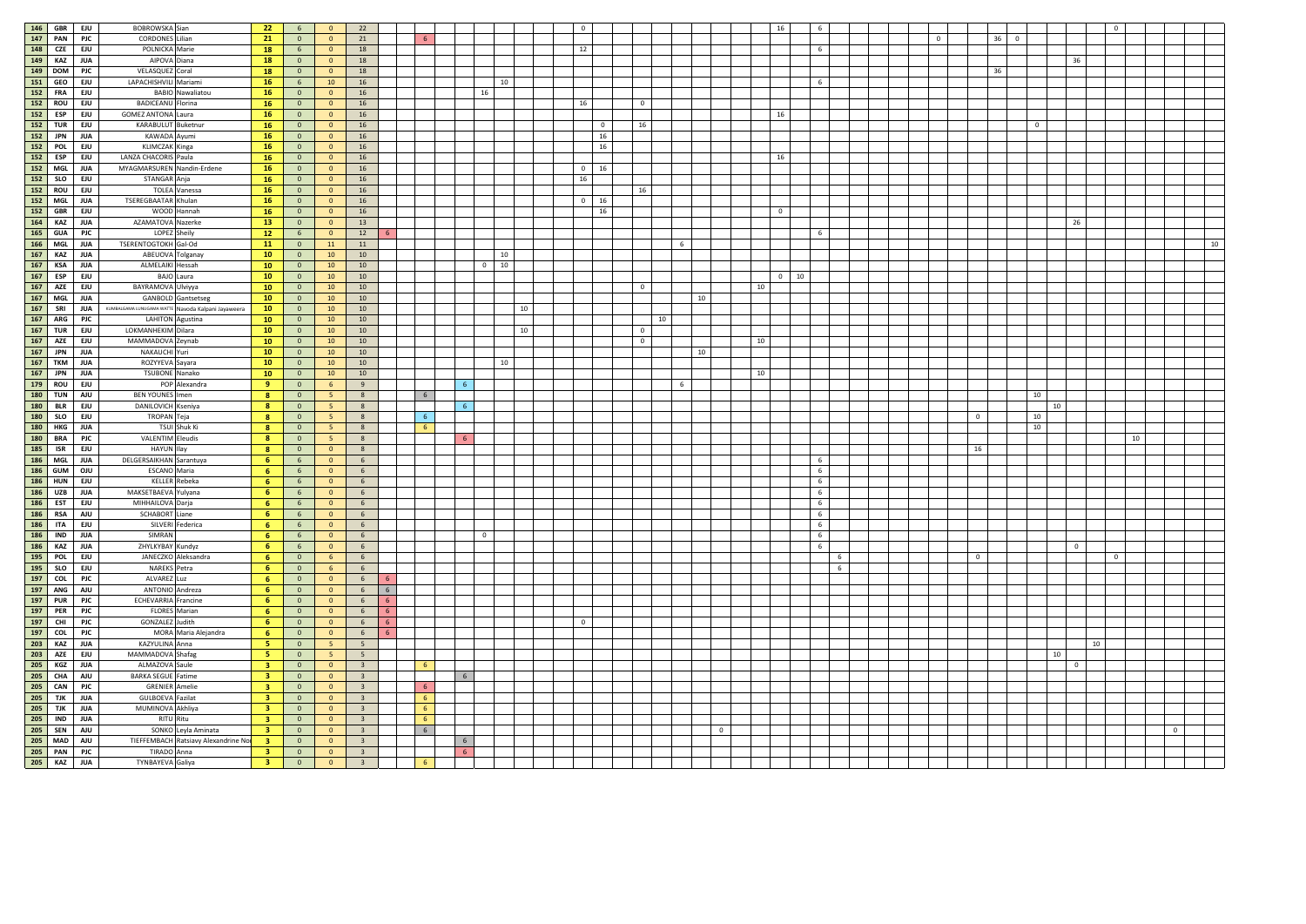| 146        | <b>GBR</b>        | EJU               | <b>BOBROWSKA</b> Sian           |                                                    | 22                                        | 6                                | $\circ$                   | 22                                                 |                  |                |                |        |               |              |    |    |              |    | 16                 | 6               |         |          |                |         |                |         |    |              |    |
|------------|-------------------|-------------------|---------------------------------|----------------------------------------------------|-------------------------------------------|----------------------------------|---------------------------|----------------------------------------------------|------------------|----------------|----------------|--------|---------------|--------------|----|----|--------------|----|--------------------|-----------------|---------|----------|----------------|---------|----------------|---------|----|--------------|----|
| 147        | PAN               | PJC               | CORDONES Lilian                 |                                                    | 21                                        | $\overline{0}$                   | $\overline{0}$            | 21                                                 |                  | 6 <sup>1</sup> |                |        |               |              |    |    |              |    |                    |                 | $\circ$ |          | 36<br>$\Omega$ |         |                |         |    |              |    |
|            |                   |                   |                                 |                                                    |                                           |                                  |                           |                                                    |                  |                |                |        |               |              |    |    |              |    |                    |                 |         |          |                |         |                |         |    |              |    |
| 148        | CZE               | EJU               | POLNICKA Marie                  |                                                    | 18                                        | $\sqrt{6}$                       | $\overline{0}$            | 18                                                 |                  |                |                |        | 12            |              |    |    |              |    |                    | 6               |         |          |                |         |                |         |    |              |    |
| 149        | KAZ               | <b>JUA</b>        | AIPOVA Diana                    |                                                    | 18                                        | $\overline{0}$                   | $\overline{0}$            | 18                                                 |                  |                |                |        |               |              |    |    |              |    |                    |                 |         |          |                |         | 36             |         |    |              |    |
| 149        | <b>DOM</b>        | PJC               | VELASQUEZ Coral                 |                                                    | 18                                        | $\overline{0}$                   | $\overline{0}$            | 18                                                 |                  |                |                |        |               |              |    |    |              |    |                    |                 |         |          | 36             |         |                |         |    |              |    |
|            |                   |                   |                                 |                                                    |                                           |                                  |                           |                                                    |                  |                |                |        |               |              |    |    |              |    |                    |                 |         |          |                |         |                |         |    |              |    |
| 151        | GEO               | EJU               | LAPACHISHVILI Mariami           |                                                    | 16                                        | 6 <sup>5</sup>                   | 10                        | 16                                                 |                  |                |                | 10     |               |              |    |    |              |    |                    | 6               |         |          |                |         |                |         |    |              |    |
| 152        | <b>FRA</b>        | EJU               |                                 | <b>BABIO</b> Nawaliatou                            | 16                                        | $\overline{0}$                   | $\overline{0}$            | $16\,$                                             |                  |                | 16             |        |               |              |    |    |              |    |                    |                 |         |          |                |         |                |         |    |              |    |
| 152        | ROU               | EJU               | <b>BADICEANU</b> Florina        |                                                    | 16                                        | $\overline{0}$                   | $\circ$                   | $16\,$                                             |                  |                |                |        | 16            | $\circ$      |    |    |              |    |                    |                 |         |          |                |         |                |         |    |              |    |
| 152        | ESP               |                   | <b>GOMEZ ANTONA</b> Laura       |                                                    | 16                                        |                                  | $\circ$                   | 16                                                 |                  |                |                |        |               |              |    |    |              |    | 16                 |                 |         |          |                |         |                |         |    |              |    |
|            |                   | EJU               |                                 |                                                    |                                           | $\overline{0}$                   |                           |                                                    |                  |                |                |        |               |              |    |    |              |    |                    |                 |         |          |                |         |                |         |    |              |    |
| 152        | <b>TUR</b>        | EJU               | KARABULUT Buketnur              |                                                    | 16                                        | $\overline{0}$                   | $\mathbf{0}$              | 16                                                 |                  |                |                |        | $\mathbf{0}$  | 16           |    |    |              |    |                    |                 |         |          |                | $\circ$ |                |         |    |              |    |
| 152        | <b>JPN</b>        | <b>JUA</b>        | KAWADA Ayumi                    |                                                    | 16                                        | $\overline{0}$                   | $\mathbf{0}$              | 16                                                 |                  |                |                |        | 16            |              |    |    |              |    |                    |                 |         |          |                |         |                |         |    |              |    |
| 152        | POL               | EJU               | KLIMCZAK Kinga                  |                                                    | 16                                        | $\overline{0}$                   | $\overline{0}$            | 16                                                 |                  |                |                |        | 16            |              |    |    |              |    |                    |                 |         |          |                |         |                |         |    |              |    |
|            |                   |                   |                                 |                                                    |                                           |                                  |                           |                                                    |                  |                |                |        |               |              |    |    |              |    |                    |                 |         |          |                |         |                |         |    |              |    |
| 152        | ESP               | EJU               | LANZA CHACORIS Paula            |                                                    | 16                                        | $\overline{0}$                   | $\overline{0}$            | $16\,$                                             |                  |                |                |        |               |              |    |    |              |    | 16                 |                 |         |          |                |         |                |         |    |              |    |
| 152        | <b>MGL</b>        | <b>JUA</b>        | MYAGMARSUREN Nandin-Erdene      |                                                    | 16                                        | $\overline{0}$                   | $\overline{0}$            | $16\,$                                             |                  |                |                |        | $\circ$<br>16 |              |    |    |              |    |                    |                 |         |          |                |         |                |         |    |              |    |
| 152        | <b>SLO</b>        | EJU               | STANGAR Anja                    |                                                    | 16                                        | $\overline{0}$                   | $\circ$                   | 16                                                 |                  |                |                |        | 16            |              |    |    |              |    |                    |                 |         |          |                |         |                |         |    |              |    |
| 152        | ROU               | EJU               |                                 | <b>TOLEA</b> Vanessa                               | 16                                        | $\circ$                          | $\overline{0}$            | $16\,$                                             |                  |                |                |        |               | 16           |    |    |              |    |                    |                 |         |          |                |         |                |         |    |              |    |
|            |                   |                   |                                 |                                                    |                                           |                                  |                           |                                                    |                  |                |                |        |               |              |    |    |              |    |                    |                 |         |          |                |         |                |         |    |              |    |
| 152        | <b>MGL</b>        | <b>JUA</b>        | <b>TSEREGBAATAR</b> Khulan      |                                                    | 16                                        | $\overline{0}$                   | $\bullet$                 | 16                                                 |                  |                |                |        | $0 \quad 16$  |              |    |    |              |    |                    |                 |         |          |                |         |                |         |    |              |    |
| 152        | <b>GBR</b>        | EJU               |                                 | WOOD Hannah                                        | 16                                        | $\overline{0}$                   | $\bullet$                 | $16\,$                                             |                  |                |                |        | 16            |              |    |    |              |    | $\circ$            |                 |         |          |                |         |                |         |    |              |    |
| 164        | KAZ               | <b>JUA</b>        | AZAMATOVA Nazerke               |                                                    | 13                                        | $\circ$                          | $\overline{0}$            | 13                                                 |                  |                |                |        |               |              |    |    |              |    |                    |                 |         |          |                |         | 26             |         |    |              |    |
| 165        | GUA               | <b>PJC</b>        | LOPEZ Sheily                    |                                                    | 12                                        | $6\overline{6}$                  | $\overline{0}$            | 12                                                 |                  |                |                |        |               |              |    |    |              |    |                    | 6 <sup>1</sup>  |         |          |                |         |                |         |    |              |    |
|            |                   |                   |                                 |                                                    |                                           |                                  |                           |                                                    |                  |                |                |        |               |              |    |    |              |    |                    |                 |         |          |                |         |                |         |    |              |    |
| 166        | <b>MGL</b>        | <b>JUA</b>        | TSERENTOGTOKH Gal-Od            |                                                    | 11                                        | $\overline{0}$                   | 11                        | 11                                                 |                  |                |                |        |               |              |    | 6  |              |    |                    |                 |         |          |                |         |                |         |    |              | 10 |
| 167        | KAZ               | <b>JUA</b>        | ABEUOVA Tolganay                |                                                    | 10                                        | $\overline{0}$                   | 10 <sup>°</sup>           | 10                                                 |                  |                |                | 10     |               |              |    |    |              |    |                    |                 |         |          |                |         |                |         |    |              |    |
| 167        | <b>KSA</b>        | <b>JUA</b>        | ALMELAIKI Hessah                |                                                    | 10                                        | $\overline{0}$                   | 10 <sup>°</sup>           | 10                                                 |                  |                | $\circ$        | $10\,$ |               |              |    |    |              |    |                    |                 |         |          |                |         |                |         |    |              |    |
| 167        |                   |                   |                                 |                                                    | 10                                        |                                  |                           |                                                    |                  |                |                |        |               |              |    |    |              |    |                    |                 |         |          |                |         |                |         |    |              |    |
|            | ESP               | EJU               | BAJO Laura                      |                                                    |                                           | $\overline{0}$                   | $10-10$                   | $10\,$                                             |                  |                |                |        |               |              |    |    |              |    | $\mathbf{0}$<br>10 |                 |         |          |                |         |                |         |    |              |    |
| 167        | AZE               | EJU               | BAYRAMOVA Ulviyya               |                                                    | 10 <sub>10</sub>                          | $\overline{0}$                   | 10                        | $10$                                               |                  |                |                |        |               | $\mathbf 0$  |    |    |              | 10 |                    |                 |         |          |                |         |                |         |    |              |    |
| 167        | <b>MGL</b>        | <b>JUA</b>        |                                 | GANBOLD Gantsetseg                                 | 10                                        | $\overline{0}$                   | 10 <sup>°</sup>           | $10\,$                                             |                  |                |                |        |               |              |    | 10 |              |    |                    |                 |         |          |                |         |                |         |    |              |    |
| 167        | SRI               | <b>JUA</b>        |                                 | KUMBALGAMA LUNUGAMA WATTE Navoda Kalpani Jayaweera | 10                                        | $\overline{0}$                   | 10 <sub>1</sub>           | 10                                                 |                  |                |                | 10     |               |              |    |    |              |    |                    |                 |         |          |                |         |                |         |    |              |    |
| 167        | ARG               | PJC               |                                 |                                                    |                                           |                                  |                           | $10$                                               |                  |                |                |        |               |              |    |    |              |    |                    |                 |         |          |                |         |                |         |    |              |    |
|            |                   |                   | <b>LAHITON Agustina</b>         |                                                    | 10                                        | $\overline{0}$                   | $10-10$                   |                                                    |                  |                |                |        |               |              | 10 |    |              |    |                    |                 |         |          |                |         |                |         |    |              |    |
| 167        | <b>TUR</b>        | <b>EJU</b>        | LOKMANHEKIM Dilara              |                                                    | 10                                        | $\overline{0}$                   | $10-10$                   | 10                                                 |                  |                |                | 10     |               | $\mathbf 0$  |    |    |              |    |                    |                 |         |          |                |         |                |         |    |              |    |
| 167        | AZE               | EJU               | MAMMADOVA Zeynab                |                                                    | 10                                        | $\overline{0}$                   | 10 <sup>°</sup>           | $10$                                               |                  |                |                |        |               | $\mathbf{0}$ |    |    |              | 10 |                    |                 |         |          |                |         |                |         |    |              |    |
| 167        | <b>JPN</b>        | <b>JUA</b>        | NAKAUCHI Yuri                   |                                                    | 10                                        | $\overline{0}$                   | 10 <sup>°</sup>           | 10                                                 |                  |                |                |        |               |              |    | 10 |              |    |                    |                 |         |          |                |         |                |         |    |              |    |
|            |                   |                   |                                 |                                                    |                                           |                                  |                           |                                                    |                  |                |                |        |               |              |    |    |              |    |                    |                 |         |          |                |         |                |         |    |              |    |
| 167        | <b>TKM</b>        | <b>JUA</b>        | ROZYYEVA Sayara                 |                                                    | $10\,$                                    | $\overline{0}$                   | 10 <sup>°</sup>           | $10\,$                                             |                  |                |                | 10     |               |              |    |    |              |    |                    |                 |         |          |                |         |                |         |    |              |    |
| 167        | <b>JPN</b>        | <b>JUA</b>        | TSUBONE Nanako                  |                                                    | 10                                        | $\mathbf 0$                      | 10 <sup>°</sup>           | $10\,$                                             |                  |                |                |        |               |              |    |    |              | 10 |                    |                 |         |          |                |         |                |         |    |              |    |
| 179        | <b>ROU</b>        | <b>EJU</b>        |                                 | POP Alexandra                                      | 9                                         | $\mathbf{0}$                     | 6                         | 9                                                  |                  |                | 6              |        |               |              |    | 6  |              |    |                    |                 |         |          |                |         |                |         |    |              |    |
| 180        | <b>TUN</b>        | <b>AJU</b>        | <b>BEN YOUNES</b> Imen          |                                                    | $\mathbf{8}$                              | $\overline{0}$                   | 5 <sub>1</sub>            | $\mathbf{R}$                                       |                  | $6^{\circ}$    |                |        |               |              |    |    |              |    |                    |                 |         |          |                | 10      |                |         |    |              |    |
|            |                   |                   |                                 |                                                    |                                           |                                  |                           |                                                    |                  |                |                |        |               |              |    |    |              |    |                    |                 |         |          |                |         |                |         |    |              |    |
| 180        | <b>BLR</b>        | EJU               | DANILOVICH Kseniya              |                                                    | 8                                         | $\overline{0}$                   | 5 <sub>1</sub>            | 8                                                  |                  |                | 6              |        |               |              |    |    |              |    |                    |                 |         |          |                | 10      |                |         |    |              |    |
| 180        | SLO               | EJU               | TROPAN Teja                     |                                                    | 8 <sup>°</sup>                            | $\overline{0}$                   | 5 <sup>7</sup>            | 8                                                  |                  | $6-1$          |                |        |               |              |    |    |              |    |                    |                 |         | $\Omega$ |                | 10      |                |         |    |              |    |
| 180        | HKG               | <b>JUA</b>        |                                 | TSUI Shuk Ki                                       | $\boldsymbol{8}$                          | $\overline{0}$                   | 5 <sup>1</sup>            | 8                                                  |                  | 6 <sup>1</sup> |                |        |               |              |    |    |              |    |                    |                 |         |          |                | $10\,$  |                |         |    |              |    |
| 180        | <b>BRA</b>        | PJC               | <b>VALENTIM</b> Eleudis         |                                                    | $\boldsymbol{8}$                          | $\overline{0}$                   | 5 <sup>7</sup>            | 8                                                  |                  |                | 6              |        |               |              |    |    |              |    |                    |                 |         |          |                |         |                |         | 10 |              |    |
|            |                   |                   |                                 |                                                    |                                           |                                  |                           |                                                    |                  |                |                |        |               |              |    |    |              |    |                    |                 |         |          |                |         |                |         |    |              |    |
| 185        | <b>ISR</b>        | EJU               | <b>HAYUN</b> Ilay               |                                                    | 8                                         | $\overline{0}$                   | $\overline{0}$            | 8                                                  |                  |                |                |        |               |              |    |    |              |    |                    |                 |         | 16       |                |         |                |         |    |              |    |
| 186        | <b>MGL</b>        | <b>JUA</b>        | DELGERSAIKHAN Sarantuya         |                                                    | 6                                         | 6                                | $\overline{0}$            | 6                                                  |                  |                |                |        |               |              |    |    |              |    |                    | 6               |         |          |                |         |                |         |    |              |    |
| 186        | <b>GUM</b>        | OJU               | <b>ESCANO</b> Maria             |                                                    | 6                                         | $6\overline{6}$                  | $\overline{0}$            | 6 <sup>5</sup>                                     |                  |                |                |        |               |              |    |    |              |    |                    | $6\overline{6}$ |         |          |                |         |                |         |    |              |    |
| 186        | HUN               | <b>EJU</b>        | <b>KELLER Rebeka</b>            |                                                    | 6                                         | $6\overline{6}$                  | $\overline{0}$            | $6\overline{6}$                                    |                  |                |                |        |               |              |    |    |              |    |                    | 6               |         |          |                |         |                |         |    |              |    |
|            |                   |                   |                                 |                                                    |                                           |                                  |                           |                                                    |                  |                |                |        |               |              |    |    |              |    |                    |                 |         |          |                |         |                |         |    |              |    |
| 186        | <b>UZB</b>        | <b>JUA</b>        | MAKSETBAEVA Yulyana             |                                                    | $6^{\circ}$                               | $\sqrt{6}$                       | $\circ$                   | $6\overline{6}$                                    |                  |                |                |        |               |              |    |    |              |    |                    | 6               |         |          |                |         |                |         |    |              |    |
| 186        | EST               | EJU               | MIHHAILOVA Darja                |                                                    | 6                                         | $\,$ 6 $\,$                      | $\mathbf 0$               | $6\overline{6}$                                    |                  |                |                |        |               |              |    |    |              |    |                    | $6\overline{6}$ |         |          |                |         |                |         |    |              |    |
| 186        | <b>RSA</b>        | <b>AJU</b>        | SCHABORT Liane                  |                                                    | 6                                         | 6 <sup>1</sup>                   | $\mathbf{0}$              | $6\overline{6}$                                    |                  |                |                |        |               |              |    |    |              |    |                    | 6               |         |          |                |         |                |         |    |              |    |
| 186        | <b>ITA</b>        | EJU               | SILVERI Federica                |                                                    | -6                                        | 6 <sup>6</sup>                   | $\overline{0}$            | 6                                                  |                  |                |                |        |               |              |    |    |              |    |                    | 6               |         |          |                |         |                |         |    |              |    |
|            |                   |                   |                                 |                                                    |                                           |                                  |                           |                                                    |                  |                |                |        |               |              |    |    |              |    |                    |                 |         |          |                |         |                |         |    |              |    |
| 186        | <b>IND</b>        | <b>JUA</b>        | SIMRAN                          |                                                    | 6 <sup>1</sup>                            | $6\overline{6}$                  | $\bullet$                 | $6\overline{6}$                                    |                  |                | $\overline{0}$ |        |               |              |    |    |              |    |                    | $6\overline{6}$ |         |          |                |         |                |         |    |              |    |
| 186        | KAZ               | <b>JUA</b>        | ZHYLKYBAY Kundyz                |                                                    | 6                                         | 6                                | $\overline{0}$            | $6\overline{6}$                                    |                  |                |                |        |               |              |    |    |              |    |                    | 6               |         |          |                |         | $\overline{0}$ |         |    |              |    |
| 195        | POL               | EJU               |                                 | JANECZKO Aleksandra                                | $6\phantom{.}$                            | $\overline{0}$                   | 6 <sup>1</sup>            | 6                                                  |                  |                |                |        |               |              |    |    |              |    |                    | 6               |         | $\circ$  |                |         |                | $\circ$ |    |              |    |
| 195        | <b>SLO</b>        | EJU               | NAREKS Petra                    |                                                    | 6 <sup>1</sup>                            | $\overline{0}$                   | 6 <sup>1</sup>            | 6 <sup>5</sup>                                     |                  |                |                |        |               |              |    |    |              |    |                    | $6^{\circ}$     |         |          |                |         |                |         |    |              |    |
| 197        | COL               | <b>PJC</b>        | ALVAREZ Luz                     |                                                    | 6                                         | $\overline{0}$                   | $\Omega$                  | 6                                                  |                  |                |                |        |               |              |    |    |              |    |                    |                 |         |          |                |         |                |         |    |              |    |
|            |                   |                   |                                 |                                                    |                                           |                                  |                           |                                                    |                  |                |                |        |               |              |    |    |              |    |                    |                 |         |          |                |         |                |         |    |              |    |
| 197        | ANG               | <b>AJU</b>        | ANTONIO Andreza                 |                                                    | 6                                         | $\overline{0}$                   | $\bullet$                 | $6\overline{6}$                                    | 6                |                |                |        |               |              |    |    |              |    |                    |                 |         |          |                |         |                |         |    |              |    |
| 197        | <b>PUR</b>        | PJC               | <b>ECHEVARRIA</b> Francine      |                                                    | 6                                         | $\overline{0}$                   | $\overline{0}$            | 6 <sup>5</sup>                                     | $6 \overline{6}$ |                |                |        |               |              |    |    |              |    |                    |                 |         |          |                |         |                |         |    |              |    |
| 197        | PER               | PJC               | <b>FLORES</b> Marian            |                                                    | 6 <sup>1</sup>                            | $\overline{0}$                   | $\overline{0}$            | 6 <sup>5</sup>                                     | 6                |                |                |        |               |              |    |    |              |    |                    |                 |         |          |                |         |                |         |    |              |    |
| 197        |                   |                   |                                 |                                                    |                                           |                                  | $\mathbf{0}$              |                                                    | 6                |                |                |        |               |              |    |    |              |    |                    |                 |         |          |                |         |                |         |    |              |    |
|            | CHI               | PJC               | GONZALEZ Judith                 |                                                    | 6                                         | $\overline{\mathbf{0}}$          |                           | 6                                                  |                  |                |                |        | $\mathbf{0}$  |              |    |    |              |    |                    |                 |         |          |                |         |                |         |    |              |    |
|            | COL               | PJC               |                                 | MORA Maria Alejandra                               | 6                                         | $\mathbf 0$                      | $\mathbf{0}$              | $6\overline{6}$                                    |                  |                |                |        |               |              |    |    |              |    |                    |                 |         |          |                |         |                |         |    |              |    |
| 197        |                   |                   |                                 |                                                    |                                           |                                  | 5                         | 5                                                  |                  |                |                |        |               |              |    |    |              |    |                    |                 |         |          |                |         |                | 10      |    |              |    |
| 203        | KAZ               | <b>JUA</b>        | KAZYULINA Anna                  |                                                    |                                           | $\mathbf 0$                      |                           |                                                    |                  |                |                |        |               |              |    |    |              |    |                    |                 |         |          |                |         |                |         |    |              |    |
|            |                   |                   |                                 |                                                    | 5                                         |                                  |                           |                                                    |                  |                |                |        |               |              |    |    |              |    |                    |                 |         |          |                |         |                |         |    |              |    |
| 203        | AZE               | EJU               | MAMMADOVA Shafag                |                                                    | -5                                        | $\overline{0}$                   | 5                         | 5 <sup>5</sup>                                     |                  |                |                |        |               |              |    |    |              |    |                    |                 |         |          |                | 10      |                |         |    |              |    |
| 205        | <b>KGZ</b>        | <b>JUA</b>        | ALMAZOVA Saule                  |                                                    | $\overline{\mathbf{3}}$                   | $\overline{0}$                   | $\overline{0}$            | 3 <sup>7</sup>                                     |                  | 6              |                |        |               |              |    |    |              |    |                    |                 |         |          |                |         | $\overline{0}$ |         |    |              |    |
| 205        | CHA               | <b>AJU</b>        | <b>BARKA SEGUE</b> Fatime       |                                                    | $\overline{\mathbf{3}}$                   | $\overline{0}$                   | $\circ$                   | $\overline{3}$                                     |                  |                | 6              |        |               |              |    |    |              |    |                    |                 |         |          |                |         |                |         |    |              |    |
|            |                   |                   | <b>GRENIER</b> Amelie           |                                                    | $\overline{\mathbf{3}}$                   | $\overline{0}$                   | $\overline{0}$            | $\overline{\mathbf{3}}$                            |                  | 6 <sup>1</sup> |                |        |               |              |    |    |              |    |                    |                 |         |          |                |         |                |         |    |              |    |
| 205        | CAN               | PJC               |                                 |                                                    |                                           |                                  |                           |                                                    |                  |                |                |        |               |              |    |    |              |    |                    |                 |         |          |                |         |                |         |    |              |    |
| 205        | <b>TJK</b>        | <b>JUA</b>        | GULBOEVA Fazilat                |                                                    | $\overline{\mathbf{3}}$                   | $\overline{0}$                   | $\overline{0}$            | 3 <sup>7</sup>                                     |                  | 6 <sup>1</sup> |                |        |               |              |    |    |              |    |                    |                 |         |          |                |         |                |         |    |              |    |
| 205        | TJK               | <b>JUA</b>        | MUMINOVA Akhliya                |                                                    | $\overline{3}$                            | $\overline{0}$                   | $\overline{0}$            | $\overline{3}$                                     |                  | 6 <sup>1</sup> |                |        |               |              |    |    |              |    |                    |                 |         |          |                |         |                |         |    |              |    |
| 205        | <b>IND</b>        | <b>JUA</b>        | <b>RITU</b> Ritu                |                                                    | $\mathbf{3}$                              | $\overline{0}$                   | $\overline{0}$            | $\overline{\mathbf{3}}$                            |                  | 6 <sup>1</sup> |                |        |               |              |    |    |              |    |                    |                 |         |          |                |         |                |         |    |              |    |
| 205        | SEN               | <b>AJU</b>        |                                 | SONKO Leyla Aminata                                | $\overline{\mathbf{3}}$                   | $\overline{0}$                   | $\bullet$                 | 3 <sup>2</sup>                                     |                  | 6 <sup>1</sup> |                |        |               |              |    |    | $\mathbf{0}$ |    |                    |                 |         |          |                |         |                |         |    | $\mathbf{0}$ |    |
|            |                   |                   |                                 |                                                    |                                           |                                  |                           |                                                    |                  |                |                |        |               |              |    |    |              |    |                    |                 |         |          |                |         |                |         |    |              |    |
| 205        | <b>MAD</b>        | <b>AJU</b>        |                                 | TIEFFEMBACH Ratsiavy Alexandrine Nor               | $\overline{\mathbf{3}}$                   | $\overline{0}$                   | $\overline{0}$            | $\overline{\mathbf{3}}$                            |                  |                | 6              |        |               |              |    |    |              |    |                    |                 |         |          |                |         |                |         |    |              |    |
| 205<br>205 | PAN<br><b>KAZ</b> | PJC<br><b>JUA</b> | TIRADO Anna<br>TYNBAYEVA Galiya |                                                    | $\overline{\mathbf{3}}$<br>3 <sup>7</sup> | $\overline{0}$<br>$\overline{0}$ | $\circ$<br>$\overline{0}$ | $\overline{\mathbf{3}}$<br>$\overline{\mathbf{3}}$ |                  | 6 <sup>1</sup> | 6              |        |               |              |    |    |              |    |                    |                 |         |          |                |         |                |         |    |              |    |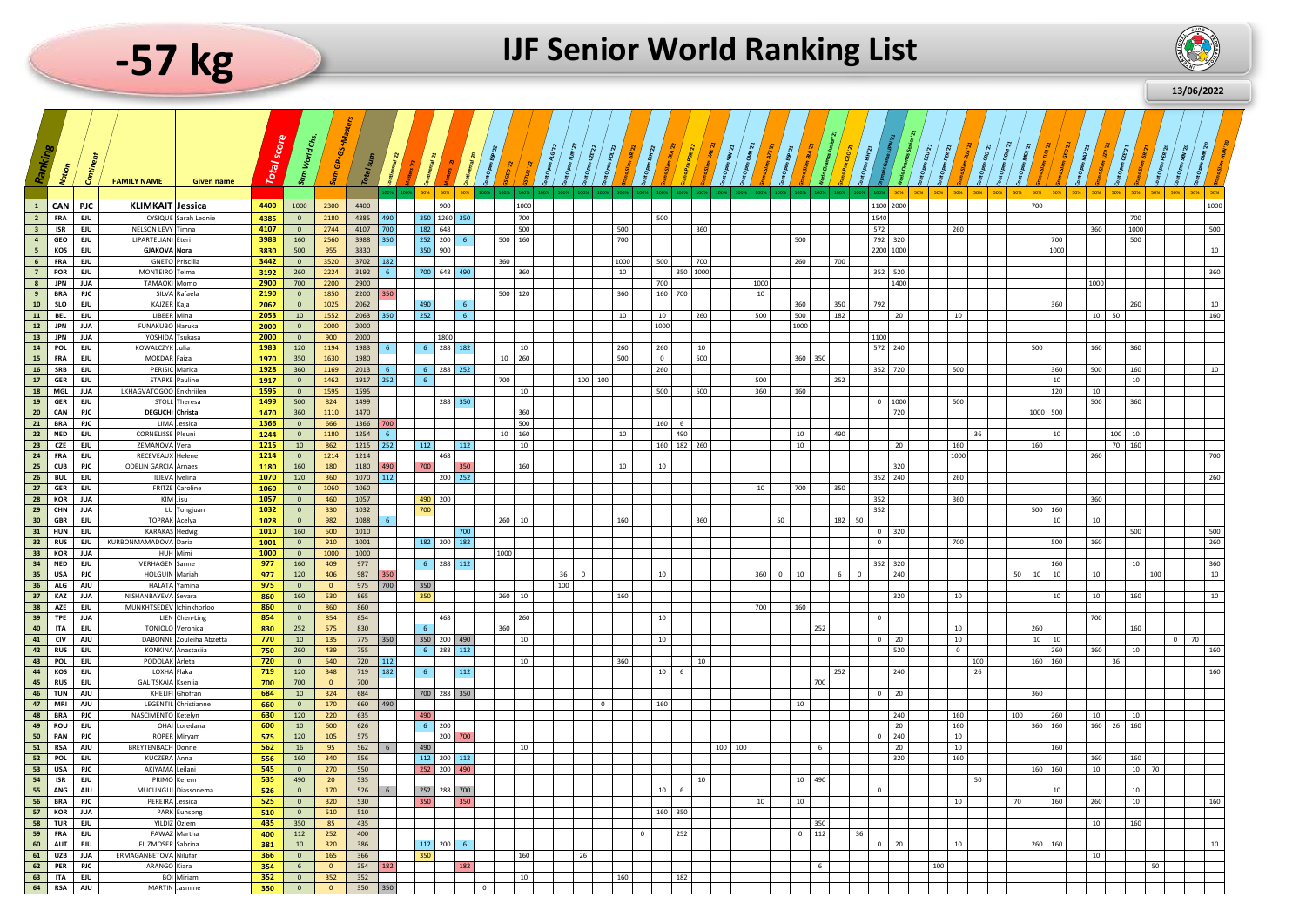# **-57 kg**

### **IJF Senior World Ranking List**



| Ranking<br><b>Nation</b>                        | ද්<br><b>FAMILY NAME</b>                                             | <b>Given name</b>                              | score<br>Total | World Ch                         | <b>Sum GP</b>         |              |                | 50% 50% 50%                  |                    |                     |     | Ŋ          | ୁଟ       | 哥<br>100%             |            |                 |                |                |            |                           | 50%           |                      |     | Chen MBX 21<br>50% 50% 50% |             | Open KAZ 'ZI     | $\alpha_{\mathbf{z}}$<br>50% 50% 50% 50% 50% 50% 50% 50% | ୍ଷ      |           |
|-------------------------------------------------|----------------------------------------------------------------------|------------------------------------------------|----------------|----------------------------------|-----------------------|--------------|----------------|------------------------------|--------------------|---------------------|-----|------------|----------|-----------------------|------------|-----------------|----------------|----------------|------------|---------------------------|---------------|----------------------|-----|----------------------------|-------------|------------------|----------------------------------------------------------|---------|-----------|
| CAN<br>$\mathbf{1}$                             | <b>PJC</b><br><b>KLIMKAIT Jessica</b>                                |                                                | 4400           | 1000                             | 2300                  | 4400         |                | 900                          |                    | 1000                |     |            |          |                       |            |                 |                |                |            | 1100 2000                 |               |                      |     | 700                        |             |                  |                                                          |         | 1000      |
| FRA<br>$\overline{2}$                           | EJU                                                                  | CYSIQUE Sarah Leonie                           | 4385           | $\overline{0}$                   | 2180                  | 4385         | 490            | 350 1260                     | 350                | 700                 |     |            |          | 500                   |            |                 |                |                |            | 1540                      |               |                      |     |                            |             |                  | 700                                                      |         |           |
| 3 <sup>7</sup><br><b>ISR</b>                    | EJU<br><b>NELSON LEVY Timna</b>                                      |                                                | 4107           | $\overline{0}$                   | 2744                  | 4107         | 700            | 182 648                      |                    | 500                 |     |            | 500      |                       |            | 360             |                |                |            | 572                       |               | 260                  |     |                            |             | 360              | 1000                                                     |         | 500       |
| GEO<br>$\overline{4}$<br>5 <sup>7</sup><br>KOS  | LIPARTELIANI Eteri<br>EJU<br>EJU<br><b>GJAKOVA</b> Nora              |                                                | 3988<br>3830   | 160<br>500                       | 2560<br>955           | 3988<br>3830 | 350            | 252 200<br>350 900           | 6                  | 160<br>500          |     |            | 700      |                       |            |                 |                | 500            |            | 792 320<br>2200 1000      |               |                      |     |                            | 700<br>1000 |                  | 500                                                      |         | 10        |
| 6 <sup>1</sup><br>FRA                           | EJU                                                                  | <b>GNETO</b> Priscilla                         | 3442           | $\Omega$                         | 3520                  | 3702         | 182            |                              |                    | 360                 |     |            | 1000     | 500                   |            | 700             |                | 260            | 700        |                           |               |                      |     |                            |             |                  |                                                          |         |           |
| $\overline{7}$<br>POR                           | MONTEIRO Telma<br>EJU                                                |                                                | 3192           | 260                              | 2224                  | 3192         | 6 <sup>1</sup> | 700 648 490                  |                    | 360                 |     |            | $10\,$   |                       | 350 1000   |                 |                |                |            | 352 520                   | 1400          |                      |     |                            |             | 1000             |                                                          |         | 360       |
| 8 <sup>1</sup><br><b>JPN</b><br>9<br><b>BRA</b> | TAMAOKI Momo<br><b>JUA</b><br>PJC                                    | SILVA Rafaela                                  | 2900<br>2190   | 700<br>$\overline{0}$            | 2200<br>1850          | 2900<br>2200 |                |                              |                    | 500 120             |     |            | 360      | 700<br>160            | 700        |                 | 1000<br>$10\,$ |                |            |                           |               |                      |     |                            |             |                  |                                                          |         |           |
| 10<br>SLO                                       | EJU<br>KAJZER Kaja                                                   |                                                | 2062           | $\overline{0}$                   | 1025                  | 2062         |                | 490                          | 6 <sup>1</sup>     |                     |     |            |          |                       |            |                 |                | 360            | 350        | 792                       |               |                      |     |                            | 360         |                  | 260                                                      |         | 10        |
| 11<br><b>BEL</b><br>12<br><b>JPN</b>            | EJU<br><b>JUA</b><br>FUNAKUBO Haruka                                 | LIBEER Mina                                    | 2053<br>2000   | 10<br>$\overline{0}$             | 1552<br>2000          | 2063<br>2000 | 350            | 252                          | 6 <sup>1</sup>     |                     |     |            | 10       | 10<br>1000            |            | 260             | 500            | 500<br>1000    | 182        |                           | 20            | 10                   |     |                            |             | 10               | 50                                                       |         | 160       |
| 13<br><b>JPN</b>                                | <b>JUA</b>                                                           | YOSHIDA Tsukasa                                | 2000           | $\Omega$                         | 900                   | 2000         |                | 1800                         |                    |                     |     |            |          |                       |            |                 |                |                |            | 1100                      |               |                      |     |                            |             |                  |                                                          |         |           |
| 14<br>POL                                       | <b>EJU</b><br>KOWALCZYK Julia                                        |                                                | 1983           | 120                              | 1194                  | 1983         |                | 6 <sup>1</sup>               | 288 182            | 10                  |     |            | 260      | 260                   |            | 10              |                |                |            | 572                       | 240           |                      |     | 500                        |             | 160              | 360                                                      |         |           |
| 15<br>FRA<br>16<br>SRB                          | <b>EJU</b><br>MOKDAR Faiza<br>EJU                                    | PERISIC Marica                                 | 1970<br>1928   | 350<br>360                       | 1630<br>1169          | 1980<br>2013 | $6-1$          | 6                            | 288 252            | 10 260              |     |            | 500      | $\overline{0}$<br>260 |            | 500             |                | 360 350        |            | 352 720                   |               | 500                  |     |                            | 360         | 500              | 160                                                      |         | 10        |
| 17<br>${\tt GER}$                               | EJU                                                                  | <b>STARKE Pauline</b>                          | 1917           | $\overline{0}$                   | 1462                  | 1917         | 252            | 6 <sup>1</sup>               |                    | 700                 |     | 100 100    |          |                       |            |                 | 500            |                | 252        |                           |               |                      |     |                            | 10          |                  | 10                                                       |         |           |
| 18<br><b>MGL</b><br>19<br><b>GER</b>            | <b>JUA</b><br>LKHAGVATOGOO Enkhriilen<br><b>EJU</b>                  | STOLL Theresa                                  | 1595<br>1499   | $\overline{0}$<br>500            | 1595<br>824           | 1595<br>1499 |                |                              | 288 350            | 10                  |     |            |          | 500                   |            | 500             | 360            | 160            |            |                           | 0 1000        | 500                  |     |                            | 120         | 10<br>500        | 360                                                      |         |           |
| 20<br>CAN                                       | PJC                                                                  | <b>DEGUCHI</b> Christa                         | 1470           | 360                              | 1110                  | 1470         |                |                              |                    | 360                 |     |            |          |                       |            |                 |                |                |            |                           | 720           |                      |     |                            | 1000 500    |                  |                                                          |         |           |
| 21<br><b>BRA</b>                                | PJC                                                                  | LIMA Jessica                                   | 1366           | $\overline{0}$                   | 666                   | 1366         | 700            |                              |                    | 500                 |     |            |          | 160                   | 6          |                 |                |                |            |                           |               |                      |     |                            |             |                  |                                                          |         |           |
| 22<br><b>NED</b><br>23<br>$\mathsf{CZE}\xspace$ | EJU<br>CORNELISSE Pleuni<br>ZEMANOVA Vera<br>EJU                     |                                                | 1244<br>1215   | $\overline{0}$<br>$10$           | 1180<br>862           | 1254<br>1215 | $6-1$<br>252   | 112                          | 112                | 10<br>160<br>$10\,$ |     |            | 10       | 160                   | 490<br>182 | 260             |                | 10<br>$10\,$   | 490        |                           | 20            | 160                  | 36  | 160                        | 10          |                  | 100<br>$10\,$<br>70<br>160                               |         |           |
| 24<br>FRA                                       | RECEVEAUX Helene<br>EJU                                              |                                                | 1214           | $\overline{0}$                   | 1214                  | 1214         |                | 468                          |                    |                     |     |            |          |                       |            |                 |                |                |            |                           |               | 1000                 |     |                            |             | 260              |                                                          |         | 700       |
| 25<br><b>CUB</b>                                | PJC<br><b>ODELIN GARCIA</b> Arnaes                                   |                                                | 1180           | 160                              | 180                   | 1180         | 490            | 700                          | 350                | 160                 |     |            | 10       | $10\,$                |            |                 |                |                |            |                           | 320           |                      |     |                            |             |                  |                                                          |         |           |
| 26<br><b>BUL</b><br>27<br>GER                   | <b>EJU</b><br>EJU                                                    | ILIEVA Ivelina<br>FRITZE Caroline              | 1070<br>1060   | 120<br>$\overline{0}$            | 360<br>1060           | 1070<br>1060 | 112            | 200                          | 252                |                     |     |            |          |                       |            |                 | $10\,$         | 700            | 350        | 352                       | 240           | 260                  |     |                            |             |                  |                                                          |         | 260       |
| 28<br><b>KOR</b>                                | <b>JUA</b>                                                           | KIM Jisu                                       | 1057           | $\overline{0}$                   | 460                   | 1057         |                | 490 200                      |                    |                     |     |            |          |                       |            |                 |                |                |            | 352                       |               | 360                  |     |                            |             | 360              |                                                          |         |           |
| 29<br><b>CHN</b>                                | <b>JUA</b>                                                           | LU Tongjuan                                    | 1032           | $\overline{0}$                   | 330                   | 1032         |                | 700                          |                    |                     |     |            |          |                       |            |                 |                |                |            | 352                       |               |                      |     |                            | 500 160     |                  |                                                          |         |           |
| 30 <sup>2</sup><br>GBR<br>31<br><b>HUN</b>      | EJU<br>EJU                                                           | <b>TOPRAK</b> Acelya<br><b>KARAKAS</b> Hedvig  | 1028<br>1010   | $\overline{0}$<br>160            | 982<br>500            | 1088<br>1010 |                |                              | 700                | 260<br>10           |     |            | 160      |                       |            | 360             |                | 50             | 182        | 50                        | $0 \quad 320$ |                      |     |                            | 10          | 10 <sup>10</sup> | 500                                                      |         | 500       |
| 32<br><b>RUS</b>                                | EJU<br>KURBONMAMADOVA Daria                                          |                                                | 1001           | $\circ$                          | 910                   | 1001         |                | $182$ 200                    | 182                |                     |     |            |          |                       |            |                 |                |                |            | $\overline{0}$            |               | 700                  |     |                            | 500         | 160              |                                                          |         | 260       |
| KOR<br>33                                       | <b>JUA</b><br><b>VERHAGEN</b> Sanne                                  | <b>HUH</b> Mimi                                | 1000           | $\overline{0}$                   | 1000                  | 1000         |                | $6 \mid 288 \mid 112$        |                    | 1000                |     |            |          |                       |            |                 |                |                |            |                           |               |                      |     |                            |             |                  | 10 <sub>10</sub>                                         |         | 360       |
| 34<br><b>NED</b><br>35<br>USA                   | EJU<br>HOLGUIN Mariah<br>PJC                                         |                                                | 977<br>977     | 160<br>120                       | 409<br>406            | 977<br>987   |                |                              |                    |                     | 36  | $\sqrt{2}$ |          | 10                    |            |                 | 360 0          | 10             | 6          | 352 320<br>$\overline{0}$ | 240           |                      |     | 50<br>10                   | 160<br>10   | 10               |                                                          | 100     | 10        |
| 36<br>ALG                                       | <b>AJU</b>                                                           | <b>HALATA</b> Yamina                           | 975            | $\circ$                          | $\mathbf{0}$          | 975          | 700            | 350                          |                    |                     | 100 |            |          |                       |            |                 |                |                |            |                           |               |                      |     |                            |             |                  |                                                          |         |           |
| 37<br>KAZ<br>38<br>AZE                          | NISHANBAYEVA Sevara<br><b>JUA</b><br>MUNKHTSEDEV Ichinkhorloo<br>EJU |                                                | 860<br>860     | 160<br>$\overline{0}$            | 530<br>860            | 865<br>860   |                | 350                          |                    | 260<br>$10\,$       |     |            | 160      |                       |            |                 | 700            | 160            |            |                           | 320           | 10                   |     |                            | 10          | 10               | 160                                                      |         | 10        |
| 39<br><b>TPE</b>                                | <b>JUA</b>                                                           | LIEN Chen-Ling                                 | 854            | $\Omega$                         | 854                   | 854          |                | 468                          |                    | 260                 |     |            |          | 10                    |            |                 |                |                |            | $^{\circ}$                |               |                      |     |                            |             | 700              |                                                          |         |           |
| 40<br><b>ITA</b>                                | EJU                                                                  | TONIOLO Veronica                               | 830            | 252                              | 575                   | 830          |                | -6                           |                    | 360                 |     |            |          |                       |            |                 |                |                | 252        |                           |               | 10                   |     | 260                        |             |                  | 160                                                      |         |           |
| 41<br><b>CIV</b><br>42<br><b>RUS</b>            | <b>AJU</b><br>EJU                                                    | DABONNE Zouleiha Abzetta<br>KONKINA Anastasiia | 770<br>750     | 10<br>260                        | 135<br>439            | 775<br>755   | 350            | 350<br>$6-1$                 | 200 490<br>288 112 | 10                  |     |            |          | 10                    |            |                 |                |                |            | $\overline{0}$            | 20<br>520     | 10<br>$\overline{0}$ |     | 10 <sup>1</sup>            | 10<br>260   | 160              | 10                                                       | $\circ$ | 70<br>160 |
| 43<br>POL                                       | PODOLAK Arleta<br>EJU                                                |                                                | 720            | $\overline{0}$                   | 540                   | 720          | 112            |                              |                    | 10                  |     |            | 360      |                       |            | 10              |                |                |            |                           |               |                      | 100 |                            | 160 160     |                  | 36                                                       |         |           |
| 44<br>KOS<br>45<br><b>RUS</b>                   | EJU<br>GALITSKAIA Kseniia<br><b>EJU</b>                              | LOXHA Flaka                                    | 719<br>700     | 120<br>700                       | 348<br>$\overline{0}$ | 719<br>700   | 182            | 6 <sup>1</sup>               | 112                |                     |     |            |          | 10                    | -6         |                 |                |                | 252<br>700 |                           | 240           |                      | 26  |                            |             |                  |                                                          |         |           |
| 46<br>TUN                                       | <b>AJU</b>                                                           | KHELIFI Ghofran                                | 684            | 10                               | 324                   | 684          |                | 700 288                      | 350                |                     |     |            |          |                       |            |                 |                |                |            | $\mathbf{0}$              | 20            |                      |     | 360                        |             |                  |                                                          |         |           |
| 47<br><b>MRI</b>                                | <b>AJU</b>                                                           | LEGENTIL Christianne                           | 660            | $\overline{0}$                   | 170                   | 660          | 490            |                              |                    |                     |     |            | $\Omega$ | 160                   |            |                 |                | 10             |            |                           |               |                      |     |                            |             |                  |                                                          |         |           |
| 48<br><b>BRA</b><br>49<br><b>ROU</b>            | PJC<br>NASCIMENTO Ketelyn<br>EJU                                     | OHAI Loredana                                  | 630<br>600     | 120<br>$10\,$                    | 220<br>600            | 635<br>626   |                | 490<br>6 <sup>1</sup><br>200 |                    |                     |     |            |          |                       |            |                 |                |                |            |                           | 240<br>20     | 160<br>160           |     | 100<br>360                 | 260<br>160  | 10<br>160        | 10<br>26<br>160                                          |         |           |
| 50<br>PAN                                       | PJC                                                                  | ROPER Miryam                                   | 575            | 120                              | 105                   | 575          |                | 200                          | 700                |                     |     |            |          |                       |            |                 |                |                |            | $\mathbf{0}$              | 240           | $10\,$               |     |                            |             |                  |                                                          |         |           |
| 51<br><b>RSA</b>                                | <b>AJU</b><br><b>BREYTENBACH</b> Donne                               |                                                | 562            | 16                               | 95                    | 562          | 6.             | 490                          |                    | 10                  |     |            |          |                       |            | 100 100         |                |                | 6          |                           | 20            | 10                   |     |                            | 160         |                  |                                                          |         |           |
| 52<br>POL<br>53<br><b>USA</b>                   | KUCZERA Anna<br><b>EJU</b><br>AKIYAMA Leilani<br>PJC                 |                                                | 556<br>545     | 160<br>$\overline{0}$            | 340<br>270            | 556<br>550   |                | 112 200 112<br>252 200       | 490                |                     |     |            |          |                       |            |                 |                |                |            |                           | 320           | 160                  |     | 160                        | 160         | 160<br>$10\,$    | 160<br>10                                                | 70      |           |
| 54<br><b>ISR</b>                                | EJU                                                                  | PRIMO Kerem                                    | 535            | 490                              | 20                    | 535          |                |                              |                    |                     |     |            |          |                       |            | 10 <sup>1</sup> |                | 10 490         |            |                           |               |                      | 50  |                            |             |                  |                                                          |         |           |
| 55<br>ANG<br><b>BRA</b>                         | <b>AJU</b><br>PJC                                                    | MUCUNGUI Diassonema                            | 526            | $\overline{0}$                   | 170<br>320            | 526<br>530   |                | 252 288 700                  | 35                 |                     |     |            |          | $10-10$               | 6          |                 | $10\,$         | 10             |            | $\circ$                   |               | 10                   |     | 70                         | 10<br>160   | 260              | 10<br>10                                                 |         | 160       |
| 56<br>57<br>KOR                                 | <b>JUA</b>                                                           | PEREIRA Jessica<br>PARK Eunsong                | 525<br>510     | $\overline{0}$<br>$\overline{0}$ | 510                   | 510          |                | 350                          |                    |                     |     |            |          | 160 350               |            |                 |                |                |            |                           |               |                      |     |                            |             |                  |                                                          |         |           |
| 58<br><b>TUR</b>                                | EJU                                                                  | YILDIZ Ozlem                                   | 435            | 350                              | 85                    | 435          |                |                              |                    |                     |     |            |          |                       |            |                 |                |                | 350        |                           |               |                      |     |                            |             | 10               | 160                                                      |         |           |
| 59<br>FRA<br>60<br><b>AUT</b>                   | EJU<br>FILZMOSER Sabrina<br>EJU                                      | FAWAZ Martha                                   | 400<br>381     | 112<br>$10\,$                    | 252<br>320            | 400<br>386   |                | $112 \mid 200 \mid$          | -6                 |                     |     |            |          | $\Omega$              | 252        |                 |                | $\circ$<br>112 |            | 36<br>$\overline{0}$      | 20            | 10                   |     |                            | 260 160     |                  |                                                          |         | 10        |
| 61<br><b>UZB</b>                                | ERMAGANBETOVA Nilufar<br><b>JUA</b>                                  |                                                | 366            | $\mathbf{0}$                     | 165                   | 366          |                | 350                          |                    | 160                 |     | 26         |          |                       |            |                 |                |                |            |                           |               |                      |     |                            |             | 10               |                                                          |         |           |
| 62<br>PER                                       | PJC<br>ARANGO Kiara                                                  |                                                | 354            | 6                                | $\mathbf{0}$          | 354          |                |                              | 182                |                     |     |            |          |                       |            |                 |                |                | 6          |                           |               | 100                  |     |                            |             |                  |                                                          | 50      |           |
| 63<br><b>ITA</b><br>64<br><b>RSA</b>            | EJU<br>AJU                                                           | <b>BOI</b> Miriam<br>MARTIN Jasmine            | 352<br>350     | $\circ$<br>$\mathbf{0}$          | 352<br>$\mathbf{0}$   | 352<br>350   | 350            |                              | $\mathbf 0$        | 10                  |     |            | 160      |                       | 182        |                 |                |                |            |                           |               |                      |     |                            |             |                  |                                                          |         |           |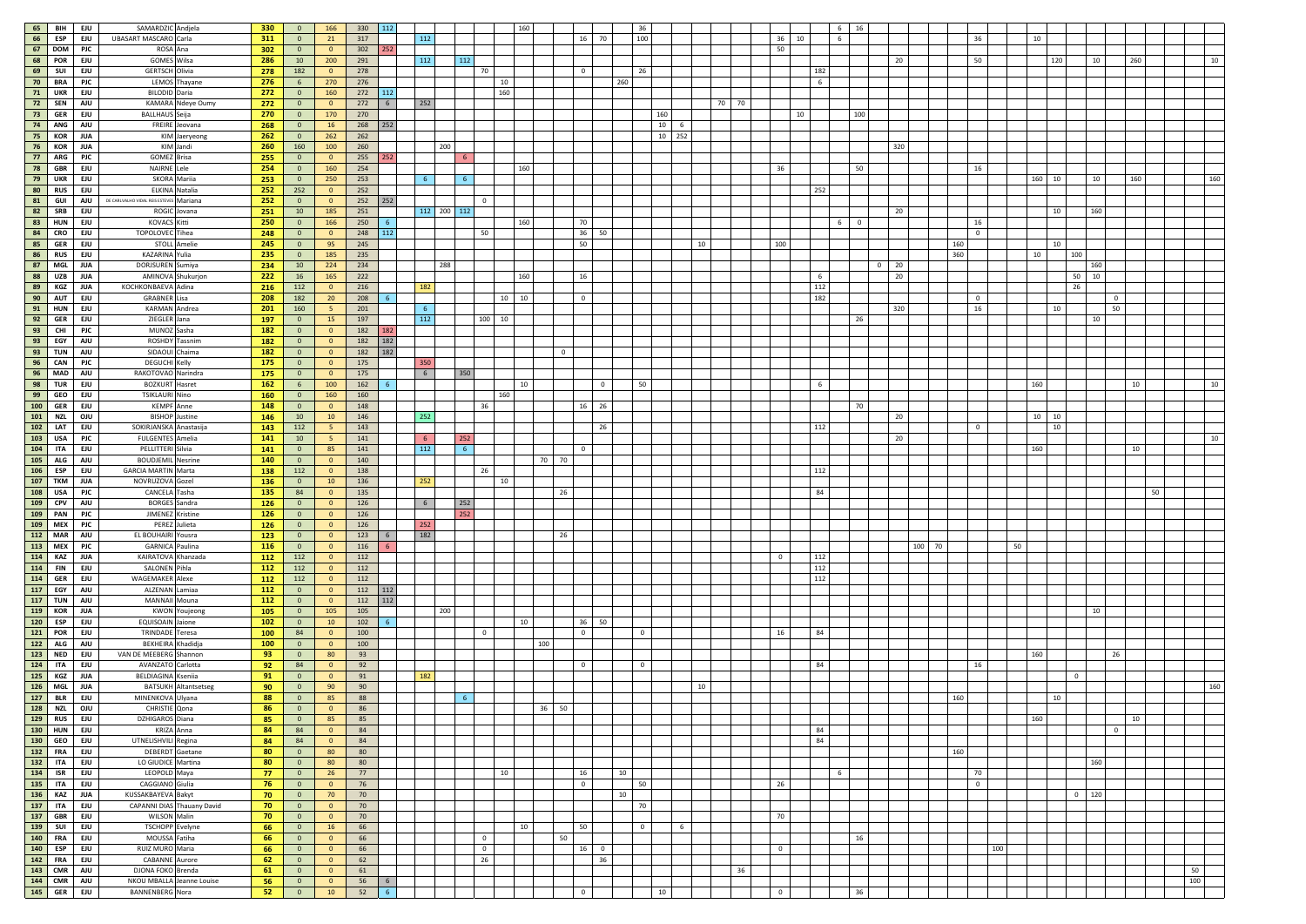| 65  | BIH                                  | <b>EJU</b> | SAMARDZIC Andjela                       |                             | 330 | $\overline{0}$          | 166                     | 330 | 112                   |                |                | 160 |                |             |     | 36             |                   |    |       |         |     | $6 \mid 16$ |                |        |                |     |        |              |         |         |     |     |        |
|-----|--------------------------------------|------------|-----------------------------------------|-----------------------------|-----|-------------------------|-------------------------|-----|-----------------------|----------------|----------------|-----|----------------|-------------|-----|----------------|-------------------|----|-------|---------|-----|-------------|----------------|--------|----------------|-----|--------|--------------|---------|---------|-----|-----|--------|
| 66  | ESP                                  | EJU        | UBASART MASCARO Carla                   |                             | 311 | $\overline{0}$          | 21                      | 317 | 112                   |                |                |     |                | 70<br>16    |     | 100            |                   |    |       | 36 10   |     | 6           |                |        | 36             |     | 10     |              |         |         |     |     |        |
| 67  | <b>DOM</b>                           | PJC        | ROSA Ana                                |                             | 302 | $\overline{0}$          | $\overline{\mathbf{0}}$ | 302 | 252                   |                |                |     |                |             |     |                |                   |    |       | 50      |     |             |                |        |                |     |        |              |         |         |     |     |        |
|     |                                      |            |                                         |                             |     |                         |                         |     |                       |                |                |     |                |             |     |                |                   |    |       |         |     |             |                |        |                |     |        |              |         |         |     |     |        |
| 68  | <b>POR</b>                           | EJU        | <b>GOMES</b> Wilsa                      |                             | 286 | 10                      | 200                     | 291 | 112                   | 112            |                |     |                |             |     |                |                   |    |       |         |     |             |                | 20     | 50             |     |        | 120          | 10      |         | 260 |     | 10     |
| 69  | SUI                                  | EJU        | <b>GERTSCH</b> Olivia                   |                             | 278 | 182                     | $\overline{0}$          | 278 |                       |                | 70             |     | $\overline{0}$ |             |     | 26             |                   |    |       |         | 182 |             |                |        |                |     |        |              |         |         |     |     |        |
| 70  | <b>BRA</b>                           | PJC        |                                         | LEMOS Thayane               | 276 | 6 <sup>6</sup>          | 270                     | 276 |                       |                | 10             |     |                |             | 260 |                |                   |    |       |         | 6   |             |                |        |                |     |        |              |         |         |     |     |        |
|     |                                      |            |                                         |                             |     |                         |                         |     |                       |                |                |     |                |             |     |                |                   |    |       |         |     |             |                |        |                |     |        |              |         |         |     |     |        |
| 71  | <b>UKR</b>                           | EJU        | <b>BILODID</b> Daria                    |                             | 272 | $\overline{0}$          | 160                     | 272 | 112                   |                | 160            |     |                |             |     |                |                   |    |       |         |     |             |                |        |                |     |        |              |         |         |     |     |        |
| 72  | SEN                                  | <b>AJU</b> |                                         | KAMARA Ndeye Oumy           | 272 | $\overline{0}$          | $\overline{\mathbf{0}}$ | 272 | 252<br>6 <sup>1</sup> |                |                |     |                |             |     |                |                   |    | 70 70 |         |     |             |                |        |                |     |        |              |         |         |     |     |        |
|     |                                      |            |                                         |                             |     |                         |                         |     |                       |                |                |     |                |             |     |                |                   |    |       |         | 10  | 100         |                |        |                |     |        |              |         |         |     |     |        |
| 73  | GER                                  | EJU        | <b>BALLHAUS</b> Seija                   |                             | 270 | $\overline{0}$          | 170                     | 270 |                       |                |                |     |                |             |     |                | 160               |    |       |         |     |             |                |        |                |     |        |              |         |         |     |     |        |
| 74  | <b>ANG</b>                           | <b>AJU</b> |                                         | FREIRE Jeovana              | 268 | $\overline{0}$          | 16                      | 268 | 252                   |                |                |     |                |             |     |                | 10<br>$6^{\circ}$ |    |       |         |     |             |                |        |                |     |        |              |         |         |     |     |        |
| 75  | <b>KOR</b>                           | <b>JUA</b> |                                         | KIM Jaeryeong               | 262 | $\mathbf{0}$            | 262                     | 262 |                       |                |                |     |                |             |     |                | 10 252            |    |       |         |     |             |                |        |                |     |        |              |         |         |     |     |        |
|     |                                      |            |                                         |                             |     |                         |                         |     |                       |                |                |     |                |             |     |                |                   |    |       |         |     |             |                |        |                |     |        |              |         |         |     |     |        |
| 76  | <b>KOR</b>                           | <b>JUA</b> |                                         | KIM Jandi                   | 260 | 160                     | 100                     | 260 |                       | 200            |                |     |                |             |     |                |                   |    |       |         |     |             |                | 320    |                |     |        |              |         |         |     |     |        |
| 77  | ARG                                  | PJC        | <b>GOMEZ</b> Brisa                      |                             | 255 | $\overline{0}$          | $\overline{0}$          | 255 | 252                   | 6              |                |     |                |             |     |                |                   |    |       |         |     |             |                |        |                |     |        |              |         |         |     |     |        |
| 78  | <b>GBR</b>                           | <b>EJU</b> | NAIRNE Lele                             |                             | 254 | $\overline{0}$          | 160                     | 254 |                       |                |                | 160 |                |             |     |                |                   |    |       | 36      |     | 50          |                |        | 16             |     |        |              |         |         |     |     |        |
|     |                                      |            |                                         |                             |     |                         |                         |     |                       |                |                |     |                |             |     |                |                   |    |       |         |     |             |                |        |                |     |        |              |         |         |     |     |        |
| 79  | <b>UKR</b>                           | EJU        | SKORA Mariia                            |                             | 253 | $\overline{0}$          | 250                     | 253 | 6                     | 6              |                |     |                |             |     |                |                   |    |       |         |     |             |                |        |                |     | 160 10 |              | 10      |         | 160 |     | 160    |
| 80  | <b>RUS</b>                           | EJU        | ELKINA Natalia                          |                             | 252 | 252                     | $\overline{0}$          | 252 |                       |                |                |     |                |             |     |                |                   |    |       |         | 252 |             |                |        |                |     |        |              |         |         |     |     |        |
|     |                                      |            |                                         |                             |     |                         |                         |     |                       |                |                |     |                |             |     |                |                   |    |       |         |     |             |                |        |                |     |        |              |         |         |     |     |        |
| 81  | GUI                                  | <b>AJU</b> | DE CARLVALHO VIDAL REIS ESTEVES Mariana |                             | 252 | $\overline{0}$          | $\overline{0}$          | 252 | 252                   |                | $\circ$        |     |                |             |     |                |                   |    |       |         |     |             |                |        |                |     |        |              |         |         |     |     |        |
| 82  | SRB                                  | EJU        |                                         | ROGIC Jovana                | 251 | 10                      | 185                     | 251 |                       | 112 200 112    |                |     |                |             |     |                |                   |    |       |         |     |             |                | 20     |                |     |        | 10           | 160     |         |     |     |        |
| 83  | <b>HUN</b>                           | EJU        | <b>KOVACS</b> Kitti                     |                             | 250 | $\overline{0}$          | 166                     | 250 |                       |                |                | 160 | 70             |             |     |                |                   |    |       |         |     | $6 \quad 0$ |                |        | 16             |     |        |              |         |         |     |     |        |
|     |                                      |            |                                         |                             |     |                         |                         |     | 6 <sub>1</sub>        |                |                |     |                |             |     |                |                   |    |       |         |     |             |                |        |                |     |        |              |         |         |     |     |        |
| 84  | CRO                                  | EJU        | TOPOLOVEC Tihea                         |                             | 248 | $\overline{0}$          | $\overline{0}$          | 248 | 112                   |                | 50             |     | 36             | 50          |     |                |                   |    |       |         |     |             |                |        | $\mathbf 0$    |     |        |              |         |         |     |     |        |
| 85  | GER                                  | EJU        | STOLL Amelie                            |                             | 245 | $\overline{0}$          | 95                      | 245 |                       |                |                |     | 50             |             |     |                |                   | 10 |       | 100     |     |             |                |        | 160            |     |        | 10           |         |         |     |     |        |
|     |                                      |            |                                         |                             |     |                         |                         |     |                       |                |                |     |                |             |     |                |                   |    |       |         |     |             |                |        |                |     |        |              |         |         |     |     |        |
| 86  | <b>RUS</b>                           | EJU        | KAZARINA Yulia                          |                             | 235 | $\overline{0}$          | 185                     | 235 |                       |                |                |     |                |             |     |                |                   |    |       |         |     |             |                |        | 360            |     | $10\,$ | 100          |         |         |     |     |        |
| 87  | <b>MGL</b>                           | <b>JUA</b> | DORJSUREN Sumiya                        |                             | 234 | 10                      | 224                     | 234 |                       | 288            |                |     |                |             |     |                |                   |    |       |         |     |             | $\overline{0}$ | 20     |                |     |        |              | 160     |         |     |     |        |
| 88  | <b>UZB</b>                           | <b>JUA</b> | AMINOVA Shukurjon                       |                             | 222 | 16                      | 165                     | 222 |                       |                |                | 160 | 16             |             |     |                |                   |    |       |         | 6   |             |                | 20     |                |     |        | 50           | 10      |         |     |     |        |
|     |                                      |            |                                         |                             |     |                         |                         |     |                       |                |                |     |                |             |     |                |                   |    |       |         |     |             |                |        |                |     |        |              |         |         |     |     |        |
| 89  | KGZ                                  | <b>JUA</b> | KOCHKONBAEVA Adina                      |                             | 216 | 112                     | $\overline{\mathbf{0}}$ | 216 | 182                   |                |                |     |                |             |     |                |                   |    |       |         | 112 |             |                |        |                |     |        | 26           |         |         |     |     |        |
| 90  | <b>AUT</b>                           | <b>EJU</b> | <b>GRABNER</b> Lisa                     |                             | 208 | 182                     | 20                      | 208 | $6-1$                 |                | 10             | 10  | $\circ$        |             |     |                |                   |    |       |         | 182 |             |                |        | $\mathbf 0$    |     |        |              |         | $\circ$ |     |     |        |
|     |                                      |            |                                         |                             |     |                         |                         |     |                       |                |                |     |                |             |     |                |                   |    |       |         |     |             |                |        |                |     |        |              |         |         |     |     |        |
| 91  | <b>HUN</b>                           | EJU        | KARMAN Andrea                           |                             | 201 | 160                     | 5 <sub>1</sub>          | 201 | 6                     |                |                |     |                |             |     |                |                   |    |       |         |     |             |                | 320    | 16             |     |        | 10           |         | 50      |     |     |        |
| 92  | <b>GER</b>                           | EJU        | ZIEGLER Jana                            |                             | 197 | $\overline{0}$          | 15                      | 197 | 112                   |                | 100 10         |     |                |             |     |                |                   |    |       |         |     | 26          |                |        |                |     |        |              | 10      |         |     |     |        |
| 93  | CHI                                  | PJC        | MUNOZ Sasha                             |                             | 182 | $\overline{0}$          | $\circ$                 | 182 | 182                   |                |                |     |                |             |     |                |                   |    |       |         |     |             |                |        |                |     |        |              |         |         |     |     |        |
|     |                                      |            |                                         |                             |     |                         |                         |     |                       |                |                |     |                |             |     |                |                   |    |       |         |     |             |                |        |                |     |        |              |         |         |     |     |        |
| 93  | EGY                                  | <b>AJU</b> | ROSHDY Tassnim                          |                             | 182 | $\overline{0}$          | $\overline{0}$          | 182 | 182                   |                |                |     |                |             |     |                |                   |    |       |         |     |             |                |        |                |     |        |              |         |         |     |     |        |
| 93  | <b>TUN</b>                           | <b>AJU</b> | SIDAOUI Chaima                          |                             | 182 | $\overline{0}$          | $\overline{0}$          | 182 | 182                   |                |                |     | $\mathbf{0}$   |             |     |                |                   |    |       |         |     |             |                |        |                |     |        |              |         |         |     |     |        |
|     |                                      |            |                                         |                             |     |                         |                         |     |                       |                |                |     |                |             |     |                |                   |    |       |         |     |             |                |        |                |     |        |              |         |         |     |     |        |
| 96  | CAN                                  | PJC        | <b>DEGUCHI</b> Kelly                    |                             | 175 | $\overline{0}$          | $\bullet$               | 175 | 350                   |                |                |     |                |             |     |                |                   |    |       |         |     |             |                |        |                |     |        |              |         |         |     |     |        |
| 96  | <b>MAD</b>                           | <b>AJU</b> | RAKOTOVAO Narindra                      |                             | 175 | $\overline{0}$          | $\bullet$               | 175 | $6\overline{6}$       | 350            |                |     |                |             |     |                |                   |    |       |         |     |             |                |        |                |     |        |              |         |         |     |     |        |
| 98  | <b>TUR</b>                           | EJU        | <b>BOZKURT</b> Hasret                   |                             | 162 | 6 <sup>6</sup>          | 100                     | 162 |                       |                |                | 10  |                | $\mathbf 0$ |     | 50             |                   |    |       |         | 6   |             |                |        |                |     | 160    |              |         |         | 10  |     | 10     |
|     |                                      |            |                                         |                             |     |                         |                         |     |                       |                |                |     |                |             |     |                |                   |    |       |         |     |             |                |        |                |     |        |              |         |         |     |     |        |
| 99  | GEO                                  | EJU        | <b>TSIKLAURI Nino</b>                   |                             | 160 | $\overline{0}$          | 160                     | 160 |                       |                | 160            |     |                |             |     |                |                   |    |       |         |     |             |                |        |                |     |        |              |         |         |     |     |        |
| 100 | <b>GER</b>                           | EJU        | <b>KEMPF</b> Anne                       |                             | 148 | $\overline{0}$          | $\overline{0}$          | 148 |                       |                | 36             |     |                | 16 26       |     |                |                   |    |       |         |     | 70          |                |        |                |     |        |              |         |         |     |     |        |
| 101 | <b>NZL</b>                           | OJU        | <b>BISHOP</b> Justine                   |                             |     | 10                      | 10                      | 146 | 252                   |                |                |     |                |             |     |                |                   |    |       |         |     |             |                | 20     |                |     | 10     | 10           |         |         |     |     |        |
|     |                                      |            |                                         |                             | 146 |                         |                         |     |                       |                |                |     |                |             |     |                |                   |    |       |         |     |             |                |        |                |     |        |              |         |         |     |     |        |
| 102 | LAT                                  | EJU        | SOKIRJANSKA Anastasija                  |                             | 143 | 112                     | 5 <sub>1</sub>          | 143 |                       |                |                |     |                | 26          |     |                |                   |    |       |         | 112 |             |                |        | $\mathbf{0}$   |     |        | 10           |         |         |     |     |        |
| 103 | <b>USA</b>                           | PJC        | FULGENTES Amelia                        |                             | 141 | 10                      | 5 <sub>1</sub>          | 141 | 6                     | 252            |                |     |                |             |     |                |                   |    |       |         |     |             |                | 20     |                |     |        |              |         |         |     |     | $10\,$ |
|     |                                      |            |                                         |                             |     |                         |                         |     |                       |                |                |     |                |             |     |                |                   |    |       |         |     |             |                |        |                |     |        |              |         |         |     |     |        |
| 104 | <b>ITA</b>                           | EJU        | PELLITTERI Silvia                       |                             | 141 | $\overline{0}$          | 85                      | 141 | 112                   | 6 <sup>5</sup> |                |     | $\mathbf 0$    |             |     |                |                   |    |       |         |     |             |                |        |                |     | 160    |              |         |         | 10  |     |        |
| 105 | <b>ALG</b>                           | <b>AJU</b> | <b>BOUDJEMIL</b> Nesrine                |                             | 140 | $\overline{0}$          | $\overline{0}$          | 140 |                       |                |                |     | 70 70          |             |     |                |                   |    |       |         |     |             |                |        |                |     |        |              |         |         |     |     |        |
| 106 | ESP                                  | EJU        | <b>GARCIA MARTIN Marta</b>              |                             | 138 | 112                     | $\overline{0}$          | 138 |                       |                | 26             |     |                |             |     |                |                   |    |       |         | 112 |             |                |        |                |     |        |              |         |         |     |     |        |
|     |                                      |            |                                         |                             |     |                         |                         |     |                       |                |                |     |                |             |     |                |                   |    |       |         |     |             |                |        |                |     |        |              |         |         |     |     |        |
| 107 | <b>TKM</b>                           | <b>JUA</b> | NOVRUZOVA Gozel                         |                             | 136 | $\overline{0}$          | 10                      | 136 | 252                   |                | 10             |     |                |             |     |                |                   |    |       |         |     |             |                |        |                |     |        |              |         |         |     |     |        |
| 108 | <b>USA</b>                           | PJC        | CANCELA Tasha                           |                             | 135 | 84                      | $\overline{0}$          | 135 |                       |                |                |     | 26             |             |     |                |                   |    |       |         | 84  |             |                |        |                |     |        |              |         |         | 50  |     |        |
|     | <b>CPV</b>                           | <b>AJU</b> | <b>BORGES</b> Sandra                    |                             | 126 | $\overline{0}$          | $\overline{0}$          | 126 |                       |                |                |     |                |             |     |                |                   |    |       |         |     |             |                |        |                |     |        |              |         |         |     |     |        |
| 109 |                                      |            |                                         |                             |     |                         |                         |     | $6\overline{6}$       | 252            |                |     |                |             |     |                |                   |    |       |         |     |             |                |        |                |     |        |              |         |         |     |     |        |
| 109 | PAN                                  | PJC        | JIMENEZ Kristine                        |                             | 126 | $\overline{0}$          | $\bullet$               | 126 |                       | 252            |                |     |                |             |     |                |                   |    |       |         |     |             |                |        |                |     |        |              |         |         |     |     |        |
|     | 109 MEX                              | PJC        | PEREZ Julieta                           |                             | 126 | $\overline{0}$          | $\circ$                 | 126 | 252                   |                |                |     |                |             |     |                |                   |    |       |         |     |             |                |        |                |     |        |              |         |         |     |     |        |
|     |                                      |            |                                         |                             |     |                         |                         |     |                       |                |                |     |                |             |     |                |                   |    |       |         |     |             |                |        |                |     |        |              |         |         |     |     |        |
|     | 112 MAR                              | <b>AJU</b> | EL BOUHAIRI Yousra                      |                             | 123 | $\overline{0}$          | $\overline{0}$          | 123 | 182<br>6              |                |                |     | 26             |             |     |                |                   |    |       |         |     |             |                |        |                |     |        |              |         |         |     |     |        |
| 113 | <b>MEX</b>                           | PJC        | <b>GARNICA</b> Paulina                  |                             | 116 | $\overline{0}$          | $\overline{0}$          | 116 | 6                     |                |                |     |                |             |     |                |                   |    |       |         |     |             |                | 100 70 |                | 50  |        |              |         |         |     |     |        |
| 114 | <b>KAZ</b>                           | <b>JUA</b> | KAIRATOVA Khanzada                      |                             | 112 | 112                     | $\overline{\mathbf{0}}$ | 112 |                       |                |                |     |                |             |     |                |                   |    |       | $\circ$ | 112 |             |                |        |                |     |        |              |         |         |     |     |        |
|     |                                      |            |                                         |                             |     |                         |                         |     |                       |                |                |     |                |             |     |                |                   |    |       |         |     |             |                |        |                |     |        |              |         |         |     |     |        |
| 114 | <b>FIN</b>                           | EJU        | SALONEN Pihla                           |                             | 112 | 112                     | $\overline{0}$          | 112 |                       |                |                |     |                |             |     |                |                   |    |       |         | 112 |             |                |        |                |     |        |              |         |         |     |     |        |
| 114 | <b>GER</b>                           | EJU        | <b>WAGEMAKER</b> Alexe                  |                             | 112 | 112                     | $\bullet$               | 112 |                       |                |                |     |                |             |     |                |                   |    |       |         | 112 |             |                |        |                |     |        |              |         |         |     |     |        |
|     |                                      |            |                                         |                             |     |                         |                         |     |                       |                |                |     |                |             |     |                |                   |    |       |         |     |             |                |        |                |     |        |              |         |         |     |     |        |
| 117 | EGY                                  | <b>AJU</b> | ALZENAN Lamiaa                          |                             | 112 | $\overline{0}$          | $\circ$                 | 112 | 112                   |                |                |     |                |             |     |                |                   |    |       |         |     |             |                |        |                |     |        |              |         |         |     |     |        |
| 117 | <b>TUN</b>                           | <b>AJU</b> | MANNAII Mouna                           |                             | 112 | $\overline{0}$          | $\overline{0}$          | 112 | 112                   |                |                |     |                |             |     |                |                   |    |       |         |     |             |                |        |                |     |        |              |         |         |     |     |        |
| 119 | <b>KOR</b>                           | <b>JUA</b> |                                         | <b>KWON Youjeong</b>        | 105 | $\overline{0}$          | 105                     | 105 |                       | 200            |                |     |                |             |     |                |                   |    |       |         |     |             |                |        |                |     |        |              | 10      |         |     |     |        |
|     |                                      |            |                                         |                             |     |                         |                         |     |                       |                |                |     |                |             |     |                |                   |    |       |         |     |             |                |        |                |     |        |              |         |         |     |     |        |
| 120 | ESP                                  | EJU        | EQUISOAIN Jaione                        |                             | 102 | $\overline{0}$          | 10                      | 102 | 6.                    |                |                | 10  |                | 36<br>50    |     |                |                   |    |       |         |     |             |                |        |                |     |        |              |         |         |     |     |        |
| 121 | <b>POR</b>                           | EJU        | <b>TRINDADE</b> Teresa                  |                             | 100 | 84                      | $\overline{0}$          | 100 |                       |                | $\overline{0}$ |     | $\overline{0}$ |             |     | $\overline{0}$ |                   |    |       | 16      | 84  |             |                |        |                |     |        |              |         |         |     |     |        |
| 122 | <b>ALG</b>                           | <b>AJU</b> | BEKHEIRA Khadidja                       |                             |     |                         |                         | 100 |                       |                |                |     | 100            |             |     |                |                   |    |       |         |     |             |                |        |                |     |        |              |         |         |     |     |        |
|     |                                      |            |                                         |                             | 100 | $\overline{0}$          | $\overline{0}$          |     |                       |                |                |     |                |             |     |                |                   |    |       |         |     |             |                |        |                |     |        |              |         |         |     |     |        |
| 123 | <b>NED</b>                           | EJU        | VAN DE MEEBERG Shannon                  |                             | 93  | $\overline{0}$          | 80                      | 93  |                       |                |                |     |                |             |     |                |                   |    |       |         |     |             |                |        |                |     | 160    |              |         | 26      |     |     |        |
| 124 | <b>ITA</b>                           | EJU        | AVANZATO Carlotta                       |                             | 92  | 84                      | $\overline{0}$          | 92  |                       |                |                |     | $\circ$        |             |     | $\circ$        |                   |    |       |         | 84  |             |                |        | 16             |     |        |              |         |         |     |     |        |
| 125 |                                      |            |                                         |                             |     |                         |                         |     |                       |                |                |     |                |             |     |                |                   |    |       |         |     |             |                |        |                |     |        |              |         |         |     |     |        |
|     | <b>KGZ</b>                           | <b>JUA</b> | <b>BELDIAGINA</b> Kseniia               |                             | 91  | $\overline{0}$          | $\mathbf{0}$            | 91  | 182                   |                |                |     |                |             |     |                |                   |    |       |         |     |             |                |        |                |     |        | $\mathbf{0}$ |         |         |     |     |        |
| 126 | <b>MGL</b>                           | <b>JUA</b> |                                         | <b>BATSUKH</b> Altantsetseg | 90  | $\overline{0}$          | 90                      | 90  |                       |                |                |     |                |             |     |                |                   | 10 |       |         |     |             |                |        |                |     |        |              |         |         |     |     | 160    |
| 127 | <b>BLR</b>                           | EJU        | MINENKOVA Ulyana                        |                             | 88  | $\overline{0}$          | 85                      | 88  |                       | 6 <sup>1</sup> |                |     |                |             |     |                |                   |    |       |         |     |             |                |        | 160            |     |        | 10           |         |         |     |     |        |
|     |                                      |            |                                         |                             |     |                         |                         |     |                       |                |                |     |                |             |     |                |                   |    |       |         |     |             |                |        |                |     |        |              |         |         |     |     |        |
|     | 128 NZL                              | OJU        | CHRISTIE Qona                           |                             | 86  | $\overline{0}$          | $\overline{0}$          | 86  |                       |                |                |     | 36<br>50       |             |     |                |                   |    |       |         |     |             |                |        |                |     |        |              |         |         |     |     |        |
|     | 129 RUS EJU                          |            | DZHIGAROS Diana                         |                             | 85  | $\overline{0}$          | 85                      | 85  |                       |                |                |     |                |             |     |                |                   |    |       |         |     |             |                |        |                |     | 160    |              |         |         | 10  |     |        |
|     | <b>130 HUN EJU</b>                   |            |                                         |                             | 84  | 84                      | $\overline{\mathbf{0}}$ | 84  |                       |                |                |     |                |             |     |                |                   |    |       |         | 84  |             |                |        |                |     |        |              |         | $\circ$ |     |     |        |
|     |                                      |            | KRIZA Anna                              |                             |     |                         |                         |     |                       |                |                |     |                |             |     |                |                   |    |       |         |     |             |                |        |                |     |        |              |         |         |     |     |        |
|     | 130 GEO EJU                          |            | UTNELISHVILI Regina                     |                             | 84  | 84                      | $\overline{\mathbf{0}}$ | 84  |                       |                |                |     |                |             |     |                |                   |    |       |         | 84  |             |                |        |                |     |        |              |         |         |     |     |        |
|     | 132 FRA EJU                          |            | <b>DEBERDT</b> Gaetane                  |                             | 80  | $\bullet$               | 80                      | 80  |                       |                |                |     |                |             |     |                |                   |    |       |         |     |             |                |        | 160            |     |        |              |         |         |     |     |        |
|     |                                      |            |                                         |                             |     |                         |                         |     |                       |                |                |     |                |             |     |                |                   |    |       |         |     |             |                |        |                |     |        |              |         |         |     |     |        |
|     | <b>132</b> ITA EJU                   |            | LO GIUDICE Martina                      |                             | 80  | $\overline{\mathbf{0}}$ | 80                      | 80  |                       |                |                |     |                |             |     |                |                   |    |       |         |     |             |                |        |                |     |        |              | 160     |         |     |     |        |
|     | 134 ISR EJU                          |            | LEOPOLD Maya                            |                             | 77  | $\overline{0}$          | 26                      | 77  |                       |                | 10             |     | 16             |             | 10  |                |                   |    |       |         |     | $6^{\circ}$ |                |        | 70             |     |        |              |         |         |     |     |        |
|     |                                      |            |                                         |                             |     |                         |                         |     |                       |                |                |     |                |             |     |                |                   |    |       |         |     |             |                |        |                |     |        |              |         |         |     |     |        |
|     | <b>135</b>   <b>ITA</b>   <b>EJU</b> |            | CAGGIANO Giulia                         |                             | 76  | $\overline{\mathbf{0}}$ | $\overline{\mathbf{0}}$ | 76  |                       |                |                |     | $\overline{0}$ |             |     | 50             |                   |    |       | 26      |     |             |                |        | $\overline{0}$ |     |        |              |         |         |     |     |        |
|     | 136 KAZ JUA                          |            | KUSSAKBAYEVA Bakyt                      |                             | 70  | $\overline{0}$          | 70                      | 70  |                       |                |                |     |                |             | 10  |                |                   |    |       |         |     |             |                |        |                |     |        |              | $0$ 120 |         |     |     |        |
|     |                                      |            |                                         |                             |     |                         |                         |     |                       |                |                |     |                |             |     |                |                   |    |       |         |     |             |                |        |                |     |        |              |         |         |     |     |        |
|     | 137   ITA   EJU                      |            |                                         | CAPANNI DIAS Thauany David  | 70  | $\overline{0}$          | $\overline{\mathbf{0}}$ | 70  |                       |                |                |     |                |             |     | 70             |                   |    |       |         |     |             |                |        |                |     |        |              |         |         |     |     |        |
|     | 137 GBR EJU                          |            | WILSON Malin                            |                             | 70  | $\overline{0}$          | $\bullet$               | 70  |                       |                |                |     |                |             |     |                |                   |    |       | 70      |     |             |                |        |                |     |        |              |         |         |     |     |        |
|     | 139 SUI EJU                          |            | TSCHOPP Evelyne                         |                             | 66  | $\overline{\mathbf{0}}$ | 16                      | 66  |                       |                |                | 10  | 50             |             |     | $\overline{0}$ | 6                 |    |       |         |     |             |                |        |                |     |        |              |         |         |     |     |        |
|     |                                      |            |                                         |                             |     |                         |                         |     |                       |                |                |     |                |             |     |                |                   |    |       |         |     |             |                |        |                |     |        |              |         |         |     |     |        |
|     | 140 FRA EJU                          |            | MOUSSA Fatiha                           |                             | 66  | $\overline{0}$          | $\overline{0}$          | 66  |                       |                | $\overline{0}$ |     | 50             |             |     |                |                   |    |       |         |     | 16          |                |        |                |     |        |              |         |         |     |     |        |
|     | 140 ESP EJU                          |            | RUIZ MURO Maria                         |                             | 66  | $\overline{0}$          | $\bullet$               | 66  |                       |                | $\overline{0}$ |     |                | $16$ 0      |     |                |                   |    |       | $\circ$ |     |             |                |        |                | 100 |        |              |         |         |     |     |        |
|     | 142 FRA EJU                          |            | CABANNE Aurore                          |                             | 62  | $\overline{0}$          | $\overline{0}$          | 62  |                       |                | 26             |     |                | 36          |     |                |                   |    |       |         |     |             |                |        |                |     |        |              |         |         |     |     |        |
|     |                                      |            |                                         |                             |     |                         |                         |     |                       |                |                |     |                |             |     |                |                   |    |       |         |     |             |                |        |                |     |        |              |         |         |     |     |        |
|     | <b>143</b> CMR AJU                   |            | DJONA FOKO Brenda                       |                             | 61  | $\overline{0}$          | $\overline{0}$          | 61  |                       |                |                |     |                |             |     |                |                   |    | 36    |         |     |             |                |        |                |     |        |              |         |         |     | 50  |        |
|     | 144 CMR AJU                          |            | NKOU MBALLA Jeanne Louise               |                             | 56  | $\overline{0}$          | $\overline{0}$          | 56  | 6                     |                |                |     |                |             |     |                |                   |    |       |         |     |             |                |        |                |     |        |              |         |         |     | 100 |        |
|     | 145 GER EJU                          |            | BANNENBERG Nora                         |                             | 52  | $\overline{0}$          | 10                      | 52  |                       |                |                |     | $\overline{0}$ |             |     |                | 10                |    |       | $\circ$ |     | 36          |                |        |                |     |        |              |         |         |     |     |        |
|     |                                      |            |                                         |                             |     |                         |                         |     |                       |                |                |     |                |             |     |                |                   |    |       |         |     |             |                |        |                |     |        |              |         |         |     |     |        |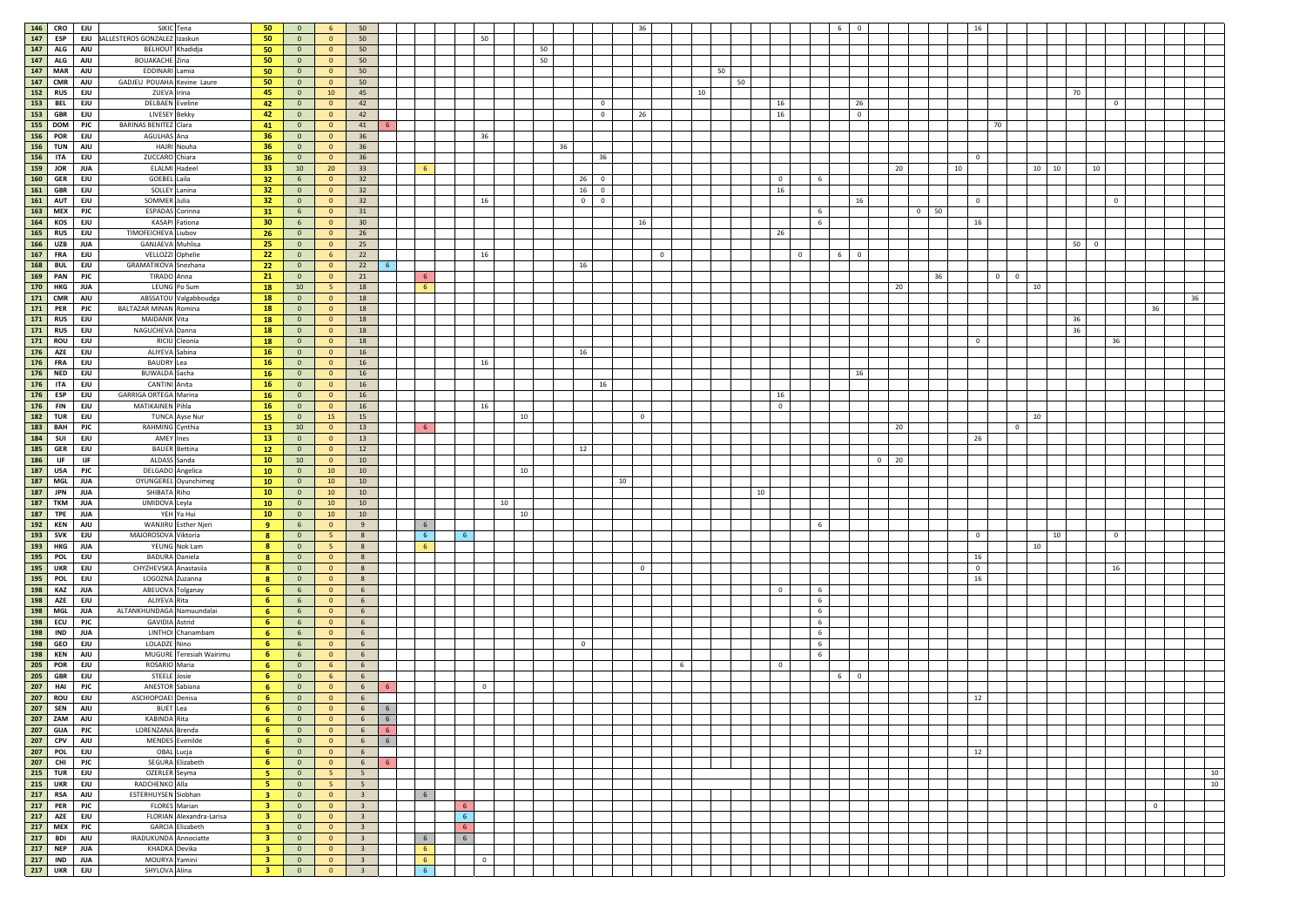| 146 CRO<br>EJU                                       | SIKIC Tena                                |                          | 50                               | $\overline{0}$                   | 6                                | 50                                                 |                |                 |                |                |    |    |                |              | 36           |                 |    |    |                |          | 6<br>$\overline{0}$ |               |                      |    | 16             |                                  |        |    |                |                |    |
|------------------------------------------------------|-------------------------------------------|--------------------------|----------------------------------|----------------------------------|----------------------------------|----------------------------------------------------|----------------|-----------------|----------------|----------------|----|----|----------------|--------------|--------------|-----------------|----|----|----------------|----------|---------------------|---------------|----------------------|----|----------------|----------------------------------|--------|----|----------------|----------------|----|
| 147<br>ESP                                           | EJU BALLESTEROS GONZALEZ Izaskun          |                          | 50                               | $\overline{0}$                   | $\overline{0}$                   | 50                                                 |                |                 |                | 50             |    |    |                |              |              |                 |    |    |                |          |                     |               |                      |    |                |                                  |        |    |                |                |    |
| 147<br><b>ALG</b><br><b>AJU</b>                      | BELHOUT Khadidja                          |                          | 50                               | $\overline{0}$                   | $\overline{0}$                   | 50                                                 |                |                 |                |                |    | 50 |                |              |              |                 |    |    |                |          |                     |               |                      |    |                |                                  |        |    |                |                |    |
| 147<br><b>ALG</b><br><b>AJU</b>                      | <b>BOUAKACHE</b> Zina                     |                          | 50                               | $\overline{0}$                   | $\overline{0}$                   | $50\,$                                             |                |                 |                |                |    | 50 |                |              |              |                 |    |    |                |          |                     |               |                      |    |                |                                  |        |    |                |                |    |
| 147 MAR<br><b>AJU</b>                                | EDDINARI Lamia                            |                          | 50                               | $\overline{0}$                   | $\overline{0}$                   | 50                                                 |                |                 |                |                |    |    |                |              |              |                 | 50 |    |                |          |                     |               |                      |    |                |                                  |        |    |                |                |    |
| 147<br><b>CMR</b><br><b>AJU</b>                      | GADJEU POUAHA Kevine Laure                |                          | 50                               | $\overline{0}$                   | $\overline{0}$                   | 50                                                 |                |                 |                |                |    |    |                |              |              |                 |    | 50 |                |          |                     |               |                      |    |                |                                  |        |    |                |                |    |
| 152<br><b>RUS</b><br>EJU                             | ZUEVA Irina                               |                          | 45                               | $\overline{0}$                   | 10                               | 45                                                 |                |                 |                |                |    |    |                |              |              |                 | 10 |    |                |          |                     |               |                      |    |                |                                  |        | 70 |                |                |    |
| 153<br><b>BEL</b><br><b>EJU</b>                      | <b>DELBAEN</b> Eveline                    |                          | 42                               | $\overline{0}$                   | $\overline{0}$                   | 42                                                 |                |                 |                |                |    |    |                | $\mathbf{0}$ |              |                 |    |    | 16             |          | 26                  |               |                      |    |                |                                  |        |    | $\overline{0}$ |                |    |
| 153<br><b>GBR</b><br>EJU                             | LIVESEY Bekky                             |                          | 42                               | $\overline{0}$                   | $\overline{0}$                   | 42                                                 |                |                 |                |                |    |    |                | $\circ$      | 26           |                 |    |    | 16             |          | $\overline{0}$      |               |                      |    |                |                                  |        |    |                |                |    |
| 155 DOM<br>PJC                                       | <b>BARINAS BENITEZ</b> Clara              |                          | 41                               | $\overline{0}$                   | $\overline{0}$                   | 41                                                 |                |                 |                |                |    |    |                |              |              |                 |    |    |                |          |                     |               |                      |    |                | 70                               |        |    |                |                |    |
| 156<br>POR<br>EJU                                    | AGULHAS Ana                               |                          | 36                               | $\overline{0}$                   | $\overline{0}$                   | 36                                                 |                |                 |                | 36             |    |    |                |              |              |                 |    |    |                |          |                     |               |                      |    |                |                                  |        |    |                |                |    |
| 156<br><b>TUN</b><br>AJU<br>156<br><b>ITA</b><br>EJU | HAJRI Nouha<br>ZUCCARO Chiara             |                          | 36<br>36                         | $\overline{0}$<br>$\overline{0}$ | $\overline{0}$<br>$\overline{0}$ | 36<br>36                                           |                |                 |                |                |    | 36 |                | 36           |              |                 |    |    |                |          |                     |               |                      |    | $\mathbf{0}$   |                                  |        |    |                |                |    |
| 159<br><b>JOR</b><br><b>JUA</b>                      | <b>ELALMI Hadeel</b>                      |                          | 33                               | 10                               | 20                               | 33                                                 |                | 6 <sup>1</sup>  |                |                |    |    |                |              |              |                 |    |    |                |          |                     | 20            |                      | 10 |                |                                  | 10 10  |    | 10             |                |    |
| 160<br><b>GER</b><br>EJU                             | GOEBEL Laila                              |                          | 32                               | 6 <sup>5</sup>                   | $\overline{0}$                   | 32                                                 |                |                 |                |                |    |    | 26             | $\mathbf 0$  |              |                 |    |    | $\overline{0}$ | 6        |                     |               |                      |    |                |                                  |        |    |                |                |    |
| 161<br><b>GBR</b><br>EJU                             | SOLLEY Lanina                             |                          | 32                               | $\overline{0}$                   | $\overline{0}$                   | 32                                                 |                |                 |                |                |    |    | 16             | $\circ$      |              |                 |    |    | 16             |          |                     |               |                      |    |                |                                  |        |    |                |                |    |
| 161<br><b>AUT</b><br>EJU                             | SOMMER Julia                              |                          | 32                               | $\overline{0}$                   | $\mathbf 0$                      | 32                                                 |                |                 |                | 16             |    |    | $\overline{0}$ | $\circ$      |              |                 |    |    |                |          | 16                  |               |                      |    | $\circ$        |                                  |        |    | $\circ$        |                |    |
| 163 MEX<br>PJC                                       | ESPADAS Corinna                           |                          | 31                               | 6 <sup>1</sup>                   | $\mathbf{0}$                     | 31                                                 |                |                 |                |                |    |    |                |              |              |                 |    |    |                | - 6      |                     |               | 50<br>$\overline{0}$ |    |                |                                  |        |    |                |                |    |
| 164<br>KOS<br>EJU                                    | KASAPI Fationa                            |                          | 30                               | $6\overline{6}$                  | $\overline{0}$                   | 30                                                 |                |                 |                |                |    |    |                |              | $16\,$       |                 |    |    |                | 6        |                     |               |                      |    | 16             |                                  |        |    |                |                |    |
| 165<br><b>RUS</b><br>EJU                             | TIMOFEICHEVA Liubov                       |                          | 26                               | $\overline{0}$                   | $\overline{0}$                   | 26                                                 |                |                 |                |                |    |    |                |              |              |                 |    |    | 26             |          |                     |               |                      |    |                |                                  |        |    |                |                |    |
| 166<br><b>UZB</b><br><b>JUA</b>                      | GANJAEVA Muhlisa                          |                          | 25                               | $\overline{0}$                   | $\overline{0}$                   | 25                                                 |                |                 |                |                |    |    |                |              |              |                 |    |    |                |          |                     |               |                      |    |                |                                  |        | 50 | $\overline{0}$ |                |    |
| 167<br><b>FRA</b><br>EJU                             | VELLOZZI Ophelie                          |                          | 22                               | $\overline{0}$                   | 6 <sup>5</sup>                   | 22                                                 |                |                 |                | 16             |    |    |                |              |              | $\circ$         |    |    |                | $\circ$  | $6 \quad 0$         |               |                      |    |                |                                  |        |    |                |                |    |
| 168<br><b>BUL</b><br>EJU                             | GRAMATIKOVA Snezhana                      |                          | 22                               | $\overline{0}$                   | $\overline{0}$                   | 22                                                 | 6              |                 |                |                |    |    | 16             |              |              |                 |    |    |                |          |                     |               |                      |    |                |                                  |        |    |                |                |    |
| 169 PAN<br>PJC                                       | TIRADO Anna                               |                          | 21                               | $\overline{0}$                   | $\mathbf{0}$                     | 21                                                 |                | 6 <sub>1</sub>  |                |                |    |    |                |              |              |                 |    |    |                |          |                     |               | 36                   |    |                | $\overline{0}$<br>$\overline{0}$ |        |    |                |                |    |
| 170<br>HKG<br><b>JUA</b>                             | LEUNG Po Sum                              |                          | 18                               | 10                               | 5 <sub>1</sub>                   | 18                                                 |                | 6 <sup>1</sup>  |                |                |    |    |                |              |              |                 |    |    |                |          |                     | 20            |                      |    |                |                                  | 10     |    |                |                |    |
| 171<br><b>CMR</b><br>AJU                             |                                           | ABSSATOU Valgabboudga    | 18                               | $\overline{0}$                   | $\overline{0}$                   | 18                                                 |                |                 |                |                |    |    |                |              |              |                 |    |    |                |          |                     |               |                      |    |                |                                  |        |    |                |                | 36 |
| $171$<br>PER<br>PJC                                  | <b>BALTAZAR MINAN Romina</b>              |                          | 18                               | $\overline{0}$                   | $\overline{0}$                   | 18                                                 |                |                 |                |                |    |    |                |              |              |                 |    |    |                |          |                     |               |                      |    |                |                                  |        |    |                | 36             |    |
| 171<br><b>RUS</b><br>EJU                             | MAIDANIK Vita                             |                          | 18                               | $\overline{0}$                   | $\circ$                          | 18                                                 |                |                 |                |                |    |    |                |              |              |                 |    |    |                |          |                     |               |                      |    |                |                                  |        | 36 |                |                |    |
| 171 RUS<br>EJU                                       | NAGUCHEVA Danna                           |                          | 18                               | $\overline{0}$                   | $\overline{0}$                   | 18                                                 |                |                 |                |                |    |    |                |              |              |                 |    |    |                |          |                     |               |                      |    |                |                                  |        | 36 |                |                |    |
| 171 ROU<br><b>EJU</b>                                | RICIU Cleonia                             |                          | 18                               | $\mathbf{0}$                     | $\overline{0}$                   | 18                                                 |                |                 |                |                |    |    |                |              |              |                 |    |    |                |          |                     |               |                      |    | $\circ$        |                                  |        |    | 36             |                |    |
| 176<br>AZE<br>EJU                                    | ALIYEVA Sabina                            |                          | 16                               | $\overline{0}$                   | $\circ$                          | 16                                                 |                |                 |                |                |    |    | 16             |              |              |                 |    |    |                |          |                     |               |                      |    |                |                                  |        |    |                |                |    |
| 176<br><b>FRA</b><br>EJU                             | <b>BAUDRY</b> Lea                         |                          | 16                               | $\overline{0}$                   | $\overline{0}$                   | $16\,$                                             |                |                 |                | 16             |    |    |                |              |              |                 |    |    |                |          |                     |               |                      |    |                |                                  |        |    |                |                |    |
| 176<br><b>NED</b><br>EJU                             | <b>BUWALDA</b> Sacha                      |                          | 16                               | $\overline{0}$                   | $\overline{0}$                   | 16                                                 |                |                 |                |                |    |    |                |              |              |                 |    |    |                |          | 16                  |               |                      |    |                |                                  |        |    |                |                |    |
| 176<br><b>ITA</b><br>EJU                             | CANTINI Anita                             |                          | 16                               | $\overline{0}$                   | $\overline{0}$                   | 16                                                 |                |                 |                |                |    |    |                | 16           |              |                 |    |    |                |          |                     |               |                      |    |                |                                  |        |    |                |                |    |
| 176<br>ESP<br>EJU                                    | GARRIGA ORTEGA Marina<br>MATIKAINEN Pihla |                          | 16                               | $\overline{0}$                   | $\overline{0}$<br>$\mathbf 0$    | 16                                                 |                |                 |                |                |    |    |                |              |              |                 |    |    | 16             |          |                     |               |                      |    |                |                                  |        |    |                |                |    |
| 176<br><b>FIN</b><br>EJU<br>182<br>EJU               |                                           |                          | 16                               | $\overline{0}$                   |                                  | 16                                                 |                |                 |                | 16             |    |    |                |              |              |                 |    |    | $\circ$        |          |                     |               |                      |    |                |                                  |        |    |                |                |    |
| TUR<br>183<br><b>BAH</b><br>PJC                      | <b>TUNCA Ayse Nur</b><br>RAHMING Cynthia  |                          | 15<br>13                         | $\overline{0}$<br>10             | 15<br>$\overline{0}$             | 15<br>13                                           |                | $6-1$           |                |                | 10 |    |                |              | $\mathbf{0}$ |                 |    |    |                |          |                     | 20            |                      |    |                | $\overline{0}$                   | 10     |    |                |                |    |
| 184<br>SUI<br>EJU                                    | AMEY Ines                                 |                          | 13                               | $\overline{0}$                   | $\circ$                          | 13                                                 |                |                 |                |                |    |    |                |              |              |                 |    |    |                |          |                     |               |                      |    | 26             |                                  |        |    |                |                |    |
| 185<br><b>GER</b><br>EJU                             | <b>BAUER</b> Bettina                      |                          | 12                               | $\overline{0}$                   | $\overline{0}$                   | 12                                                 |                |                 |                |                |    |    | 12             |              |              |                 |    |    |                |          |                     |               |                      |    |                |                                  |        |    |                |                |    |
| 186<br>IJF<br>IJF                                    | ALDASS Sanda                              |                          | 10                               | 10                               | $\overline{0}$                   | $10\,$                                             |                |                 |                |                |    |    |                |              |              |                 |    |    |                |          |                     | 20<br>$\circ$ |                      |    |                |                                  |        |    |                |                |    |
| 187<br><b>USA</b><br>PJC                             | DELGADO Angelica                          |                          | 10                               | $\overline{0}$                   | 10 <sup>°</sup>                  | 10                                                 |                |                 |                |                | 10 |    |                |              |              |                 |    |    |                |          |                     |               |                      |    |                |                                  |        |    |                |                |    |
| 187 MGL<br><b>JUA</b>                                | OYUNGEREL Oyunchimeg                      |                          | 10                               | $\overline{0}$                   | 10                               | $10\,$                                             |                |                 |                |                |    |    |                | 10           |              |                 |    |    |                |          |                     |               |                      |    |                |                                  |        |    |                |                |    |
| 187<br><b>JPN</b><br><b>JUA</b>                      | SHIBATA Riho                              |                          | 10                               | $\overline{0}$                   | 10                               | $10\,$                                             |                |                 |                |                |    |    |                |              |              |                 |    | 10 |                |          |                     |               |                      |    |                |                                  |        |    |                |                |    |
| 187<br><b>TKM</b><br><b>JUA</b>                      | UMIDOVA Leyla                             |                          | 10                               | $\overline{0}$                   | 10                               | 10                                                 |                |                 |                | 10             |    |    |                |              |              |                 |    |    |                |          |                     |               |                      |    |                |                                  |        |    |                |                |    |
| 187<br><b>TPE</b><br><b>JUA</b>                      |                                           | YEH Ya Hui               | 10                               | $\overline{0}$                   | 10                               | $10\,$                                             |                |                 |                |                | 10 |    |                |              |              |                 |    |    |                |          |                     |               |                      |    |                |                                  |        |    |                |                |    |
| 192<br><b>KEN</b><br><b>AJU</b>                      | WANJIRU Esther Njeri                      |                          | 9                                | $6\overline{6}$                  | $\overline{0}$                   | 9                                                  |                | $6\overline{6}$ |                |                |    |    |                |              |              |                 |    |    |                | 6        |                     |               |                      |    |                |                                  |        |    |                |                |    |
| 193<br><b>SVK</b><br>EJU                             | MAJOROSOVA Viktoria                       |                          | 8 <sup>1</sup>                   | $\overline{0}$                   | 5                                | $\bf 8$                                            |                | 6 <sup>6</sup>  | 6              |                |    |    |                |              |              |                 |    |    |                |          |                     |               |                      |    | $\overline{0}$ |                                  |        | 10 | $\overline{0}$ |                |    |
| 193 HKG<br><b>JUA</b>                                | YEUNG Nok Lam                             |                          | 8                                | $\overline{0}$                   | 5                                | 8                                                  |                | 6 <sub>5</sub>  |                |                |    |    |                |              |              |                 |    |    |                |          |                     |               |                      |    |                |                                  | $10\,$ |    |                |                |    |
| 195<br><b>POL</b><br>EJU                             | <b>BADURA</b> Daniela                     |                          | 8                                | $\overline{0}$                   | $\circ$                          | 8                                                  |                |                 |                |                |    |    |                |              |              |                 |    |    |                |          |                     |               |                      |    | 16             |                                  |        |    |                |                |    |
| 195<br><b>UKR</b><br>EJU                             | CHYZHEVSKA Anastasiia                     |                          | 8                                | $\overline{0}$                   | $\circ$                          | 8                                                  |                |                 |                |                |    |    |                |              | $\mathbf{0}$ |                 |    |    |                |          |                     |               |                      |    | $\mathbf{0}$   |                                  |        |    | 16             |                |    |
| 195<br><b>POL</b><br>EJU<br>198<br><b>KAZ</b>        | LOGOZNA Zuzanna                           |                          | 8                                | $\overline{0}$                   | $\overline{0}$                   | 8                                                  |                |                 |                |                |    |    |                |              |              |                 |    |    |                |          |                     |               |                      |    | 16             |                                  |        |    |                |                |    |
| <b>JUA</b><br>198<br>AZE<br>EJU                      | ABEUOVA Tolganay<br>ALIYEVA Rita          |                          | 6<br>6 <sup>1</sup>              | 6 <sup>5</sup><br>6 <sup>5</sup> | $\circ$<br>$\mathbf{0}$          | $6\overline{6}$<br>6                               |                |                 |                |                |    |    |                |              |              |                 |    |    | $\circ$        | 6        |                     |               |                      |    |                |                                  |        |    |                |                |    |
| 198 MGL<br><b>JUA</b>                                | ALTANKHUNDAGA Namuundalai                 |                          | 6                                | 6 <sup>5</sup>                   | $\overline{0}$                   | $6\overline{6}$                                    |                |                 |                |                |    |    |                |              |              |                 |    |    |                | 6<br>- 6 |                     |               |                      |    |                |                                  |        |    |                |                |    |
| 198<br>ECU<br>PJC                                    | GAVIDIA Astrid                            |                          | 6                                | 6 <sup>5</sup>                   | $\circ$                          | 6                                                  |                |                 |                |                |    |    |                |              |              |                 |    |    |                | 6        |                     |               |                      |    |                |                                  |        |    |                |                |    |
| 198<br><b>IND</b><br><b>JUA</b>                      |                                           | LINTHOI Chanambam        | 6                                | $\,$ 6 $\,$                      | $\overline{0}$                   | $6\overline{6}$                                    |                |                 |                |                |    |    |                |              |              |                 |    |    |                | - 6      |                     |               |                      |    |                |                                  |        |    |                |                |    |
| 198 GEO<br><b>EJU</b>                                | LOLADZE Nino                              |                          | 6                                | 6                                | $\overline{0}$                   | 6                                                  |                |                 |                |                |    |    | $\circ$        |              |              |                 |    |    |                | 6        |                     |               |                      |    |                |                                  |        |    |                |                |    |
| 198<br><b>KEN</b><br>AJU                             |                                           | MUGURE Teresiah Wairimu  | 6                                | 6 <sup>5</sup>                   | $\circ$                          | $6\overline{6}$                                    |                |                 |                |                |    |    |                |              |              |                 |    |    |                | 6        |                     |               |                      |    |                |                                  |        |    |                |                |    |
| 205<br>POR<br>EJU                                    | ROSARIO Maria                             |                          | 6 <sup>1</sup>                   | $\overline{0}$                   | 6                                | $6\overline{6}$                                    |                |                 |                |                |    |    |                |              |              | $6\overline{6}$ |    |    | $\circ$        |          |                     |               |                      |    |                |                                  |        |    |                |                |    |
| 205<br><b>GBR</b><br>EJU                             | STEELE Josie                              |                          | 6                                | $\overline{0}$                   | 6                                | 6                                                  |                |                 |                |                |    |    |                |              |              |                 |    |    |                |          | $6\qquad$ 0         |               |                      |    |                |                                  |        |    |                |                |    |
| 207<br>HAI<br>PJC                                    | ANESTOR Sabiana                           |                          | 6                                | $\overline{0}$                   | $\mathbf{0}$                     | $6\overline{6}$                                    |                |                 |                | $\overline{0}$ |    |    |                |              |              |                 |    |    |                |          |                     |               |                      |    |                |                                  |        |    |                |                |    |
| 207<br>ROU<br>EJU                                    | ASCHIOPOAEI Denisa                        |                          | 6                                | $\overline{0}$                   | $\overline{0}$                   | $6\overline{6}$                                    |                |                 |                |                |    |    |                |              |              |                 |    |    |                |          |                     |               |                      |    | 12             |                                  |        |    |                |                |    |
| 207<br><b>SEN</b><br><b>AJU</b>                      | <b>BUET</b> Lea                           |                          | 6                                | $\overline{0}$                   | $\circ$                          | $6\overline{6}$                                    | 6              |                 |                |                |    |    |                |              |              |                 |    |    |                |          |                     |               |                      |    |                |                                  |        |    |                |                |    |
| 207 ZAM<br>AJU                                       | KABINDA Rita                              |                          |                                  | $\mathbf{0}$                     | $\mathbf{0}$                     | 6                                                  | 6              |                 |                |                |    |    |                |              |              |                 |    |    |                |          |                     |               |                      |    |                |                                  |        |    |                |                |    |
| 207 GUA<br>PJC                                       | LORENZANA Brenda                          |                          | 6                                | $\overline{\mathbf{0}}$          | $\bullet$                        | $6\overline{)}$                                    | 6 <sup>1</sup> |                 |                |                |    |    |                |              |              |                 |    |    |                |          |                     |               |                      |    |                |                                  |        |    |                |                |    |
| 207 CPV<br><b>AJU</b>                                | <b>MENDES</b> Evenilde                    |                          | 6                                | $\overline{0}$                   | $\overline{0}$                   | 6                                                  | 6 <sup>5</sup> |                 |                |                |    |    |                |              |              |                 |    |    |                |          |                     |               |                      |    |                |                                  |        |    |                |                |    |
| 207 POL<br>EJU                                       | OBAL Lucja                                |                          | 6                                | $\overline{0}$                   | $\overline{0}$                   | 6                                                  |                |                 |                |                |    |    |                |              |              |                 |    |    |                |          |                     |               |                      |    | 12             |                                  |        |    |                |                |    |
| 207 CHI<br>PJC                                       | SEGURA Elizabeth                          |                          | 6                                | $\overline{\mathbf{0}}$          | $\overline{0}$                   | 6 <sup>1</sup>                                     | 6              |                 |                |                |    |    |                |              |              |                 |    |    |                |          |                     |               |                      |    |                |                                  |        |    |                |                |    |
| <b>215</b> TUR<br>EJU                                | OZERLER Seyma                             |                          | 5 <sub>1</sub>                   | $\overline{0}$                   | 5 <sub>1</sub>                   | 5 <sup>5</sup>                                     |                |                 |                |                |    |    |                |              |              |                 |    |    |                |          |                     |               |                      |    |                |                                  |        |    |                |                | 10 |
| <b>215 UKR</b><br>EJU                                | RADCHENKO Alla                            |                          | 5 <sub>1</sub>                   | $\overline{\mathbf{0}}$          | 5 <sub>1</sub>                   | 5 <sub>5</sub>                                     |                | $6\overline{6}$ |                |                |    |    |                |              |              |                 |    |    |                |          |                     |               |                      |    |                |                                  |        |    |                |                | 10 |
| 217 RSA<br><b>AJU</b><br>217 PER                     | ESTERHUYSEN Siobhan<br>FLORES Marian      |                          | 3 <sup>7</sup><br>3 <sup>7</sup> | $\overline{0}$                   | $\bullet$                        | 3 <sup>2</sup>                                     |                |                 | 6              |                |    |    |                |              |              |                 |    |    |                |          |                     |               |                      |    |                |                                  |        |    |                |                |    |
| PJC<br>217 AZE<br>EJU                                |                                           | FLORIAN Alexandra-Larisa | $\overline{\mathbf{3}}$          | $\overline{0}$<br>$\overline{0}$ | $\circ$<br>$\overline{0}$        | $\overline{\mathbf{3}}$<br>$\overline{\mathbf{3}}$ |                |                 | 6 <sub>5</sub> |                |    |    |                |              |              |                 |    |    |                |          |                     |               |                      |    |                |                                  |        |    |                | $\overline{0}$ |    |
| 217 MEX<br>PJC                                       | GARCIA Elizabeth                          |                          | $\overline{\mathbf{3}}$          | $\overline{0}$                   | $\bullet$                        | 3 <sup>2</sup>                                     |                |                 | 6              |                |    |    |                |              |              |                 |    |    |                |          |                     |               |                      |    |                |                                  |        |    |                |                |    |
| 217 BDI<br><b>AJU</b>                                | IRADUKUNDA Annociatte                     |                          | 3 <sup>°</sup>                   | $\overline{\mathbf{0}}$          | $\bullet$                        | $\overline{\mathbf{3}}$                            |                | $6\overline{6}$ | $\sqrt{6}$     |                |    |    |                |              |              |                 |    |    |                |          |                     |               |                      |    |                |                                  |        |    |                |                |    |
| 217 NEP<br><b>JUA</b>                                | KHADKA Devika                             |                          | 3 <sup>7</sup>                   | $\overline{0}$                   | $\bullet$                        | $\overline{\mathbf{3}}$                            |                | 6 <sub>1</sub>  |                |                |    |    |                |              |              |                 |    |    |                |          |                     |               |                      |    |                |                                  |        |    |                |                |    |
| 217 IND<br>JUA                                       | MOURYA Yamini                             |                          | $\overline{\mathbf{3}}$          | $\overline{\mathbf{0}}$          | $\bullet$                        | $\overline{\mathbf{3}}$                            |                | 6 <sup>1</sup>  |                | $\overline{0}$ |    |    |                |              |              |                 |    |    |                |          |                     |               |                      |    |                |                                  |        |    |                |                |    |
| <b>217 UKR</b><br>EJU                                | SHYLOVA Alina                             |                          | 3 <sup>7</sup>                   | $\overline{0}$                   | $\overline{0}$                   | $\overline{\mathbf{3}}$                            |                | 6 <sup>1</sup>  |                |                |    |    |                |              |              |                 |    |    |                |          |                     |               |                      |    |                |                                  |        |    |                |                |    |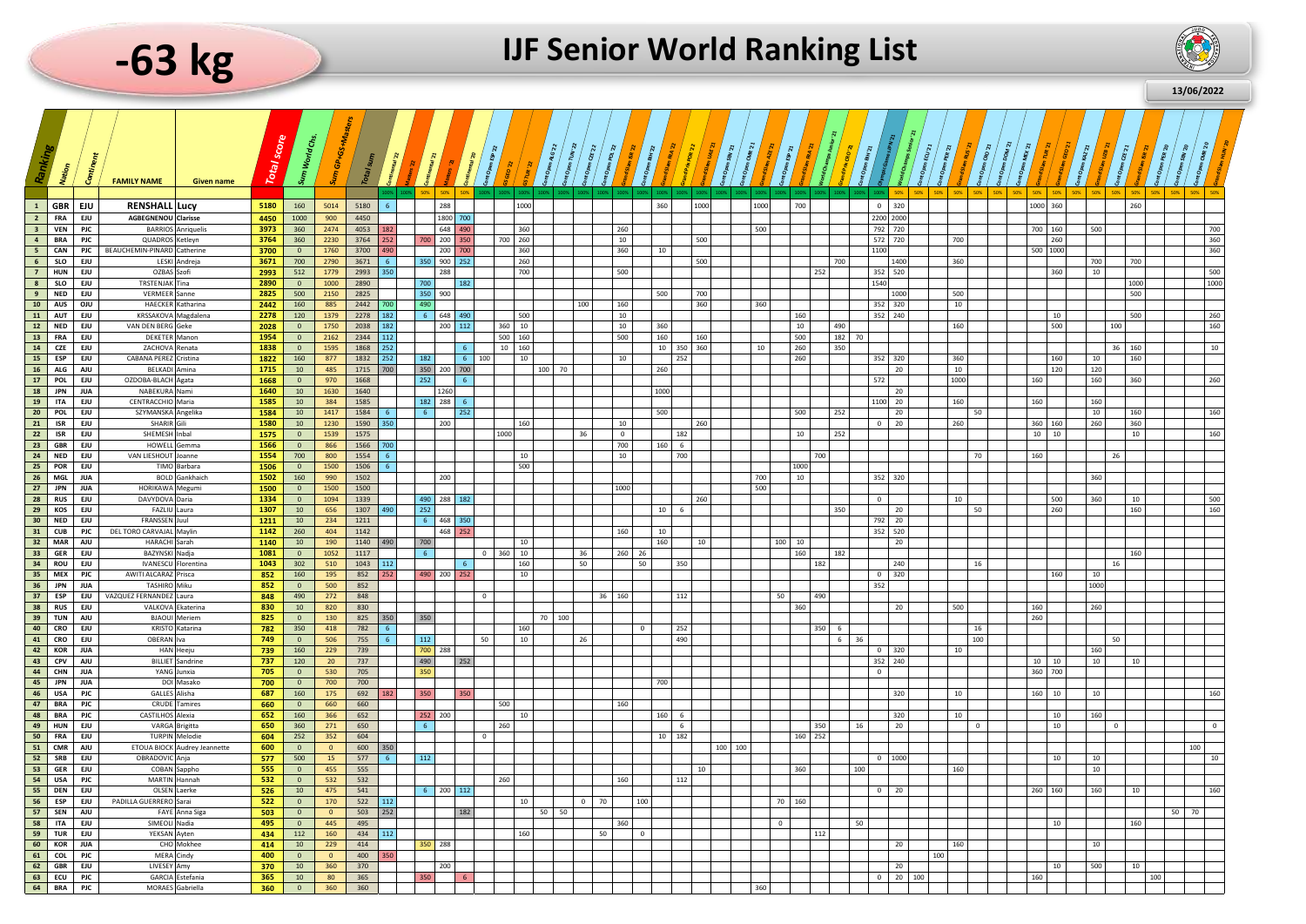# **-63 kg**

### **IJF Senior World Ranking List**



|                                           | Ranking<br><b>Nation</b> | Contin<br><b>FAMILY NAME</b>                                          | <b>Given name</b>            | Total score  | Sum World Chs.                   | <b>m</b> GP+GS        |              |                                  | 50%               | 00%<br>50%            | B             |            | $\tilde{\mathcal{S}}$ | ្ថី             | Pen Blirt     |            | $\mathbf{z}, \mathbf{w}_u$<br>కే |                  |             |                  |                                  | $\vec{N}$ |           | $n$ DOM <sub>21</sub><br>50% | 50%            | N<br>50%         | đ<br>50%   |     |            |
|-------------------------------------------|--------------------------|-----------------------------------------------------------------------|------------------------------|--------------|----------------------------------|-----------------------|--------------|----------------------------------|-------------------|-----------------------|---------------|------------|-----------------------|-----------------|---------------|------------|----------------------------------|------------------|-------------|------------------|----------------------------------|-----------|-----------|------------------------------|----------------|------------------|------------|-----|------------|
| $\mathbf{1}$                              | <b>GBR</b>               | EJU<br><b>RENSHALL Lucy</b>                                           |                              | 5180         | 160                              | 5014                  | 5180         | 6 <sup>1</sup>                   | 288               |                       | 1000          |            |                       |                 | 360           | 1000       |                                  | 1000             | 700         |                  | $0$ 320                          |           |           |                              | 1000 360       |                  | 260        |     |            |
| $\overline{2}$                            | FRA                      | <b>EJU</b><br><b>AGBEGNENOU Clarisse</b>                              |                              | 4450         | 1000                             | 900                   | 4450         |                                  |                   | 1800 700              |               |            |                       |                 |               |            |                                  |                  |             |                  | 2200 2000                        |           |           |                              |                |                  |            |     |            |
| $\overline{\mathbf{3}}$<br>$\overline{4}$ | <b>VEN</b><br><b>BRA</b> | PJC<br>QUADROS Ketleyn<br>PJC                                         | <b>BARRIOS</b> Anriquelis    | 3973<br>3764 | 360<br>360                       | 2474<br>2230          | 4053<br>3764 | 182<br>252                       | 700               | 648 490<br>200 350    | 700 260       | 360        |                       | 260<br>10       |               | 500        |                                  | 500              |             |                  | 792 720<br>572 720               |           | 700       |                              | 700 160<br>260 | 500              |            |     | 700<br>360 |
| $\overline{\phantom{a}}$                  | CAN                      | BEAUCHEMIN-PINARD Catherine<br><b>PJC</b>                             |                              | 3700         | $\overline{0}$                   | 1760                  | 3700         | 490                              | 200               | 700                   | 360           |            |                       | 360             | 10            |            |                                  |                  |             |                  | 1100                             |           |           |                              | 500 1000       |                  |            |     | 360        |
| $6\phantom{.}$<br>$\overline{7}$          | SLO<br><b>HUN</b>        | EJU<br>EJU<br>OZBAS Szofi                                             | LESKI Andreja                | 3671<br>2993 | 700<br>512                       | 2790<br>1779          | 3671<br>2993 | 6 <sup>1</sup><br>350            | 900<br>350<br>288 | 252                   |               | 260<br>700 |                       | 500             |               | 500        |                                  |                  | 252         | 700              | 1400<br>352 520                  |           | 360       |                              | 360            | 700<br>$10\,$    | 700        |     | 500        |
| $\overline{\mathbf{8}}$                   | SLO                      | EJU<br><b>TRSTENJAK</b> Tina                                          |                              | 2890         | $\overline{0}$                   | 1000                  | 2890         |                                  | 700               | 182                   |               |            |                       |                 |               |            |                                  |                  |             |                  | 1540                             |           |           |                              |                |                  | 1000       |     | 1000       |
| $\overline{9}$                            | $\sf{NED}$               | <b>VERMEER</b> Sanne<br>EJU                                           |                              | 2825         | 500                              | 2150                  | 2825         |                                  | 350<br>900        |                       |               |            |                       |                 | 500           | 700        |                                  |                  |             |                  | 1000                             |           | 500       |                              |                |                  | 500        |     |            |
| 10<br>${\bf 11}$                          | <b>AUS</b><br>AUT        | HAECKER Katharina<br>OIU<br>KRSSAKOVA Magdalena<br>EJU                |                              | 2442<br>2278 | 160<br>120                       | 885<br>1379           | 2442<br>2278 | 700<br>182                       | 490<br>-6         | 648 490               |               | 500        | 100                   | 160<br>10       |               | 360        |                                  | 360              | 160         |                  | 352 320<br>352 240               |           | $10\,$    |                              | 10             |                  | 500        |     | 260        |
| 12                                        | <b>NED</b>               | EJU<br>VAN DEN BERG Geke                                              |                              | 2028         | $\overline{0}$                   | 1750                  | 2038         | 182                              |                   | 200 112               | 360<br>10     |            |                       | 10              | 360           |            |                                  |                  | 10          | 490              |                                  |           | 160       |                              | 500            |                  | 100        |     | 160        |
| 13<br>14                                  | <b>FRA</b><br>CZE        | <b>DEKETER</b> Manon<br>EJU<br><b>EJU</b><br>ZACHOVA Renata           |                              | 1954<br>1838 | $\overline{0}$<br>$\overline{0}$ | 2162<br>1595          | 2344<br>1868 | 112<br>252                       |                   | -6                    | 500<br>10     | 160<br>160 |                       | 500             | 160<br>10 350 | 160<br>360 |                                  | 10 <sup>10</sup> | 500<br>260  | 182<br>70<br>350 |                                  |           |           |                              |                |                  | 36<br>160  |     | 10         |
| 15                                        | ESP                      | <b>EJU</b><br>CABANA PEREZ Cristina                                   |                              | 1822         | 160                              | 877                   | 1832         | 252                              | 182               | 100<br>6 <sup>1</sup> |               | 10         |                       | 10              | 252           |            |                                  |                  | 260         |                  | 352 320                          |           | 360       |                              | 160            | 10               | 160        |     |            |
| 16                                        | <b>ALG</b>               | <b>AJU</b><br><b>BELKADI</b> Amina                                    |                              | 1715         | 10                               | 485                   | 1715         | 700                              | 350               | 200 700               |               | 100 70     |                       |                 | 260           |            |                                  |                  |             |                  | 20                               |           | $10\,$    |                              | 120            | 120              |            |     |            |
| $17\,$<br>18                              | POL<br><b>JPN</b>        | EJU<br>OZDOBA-BLACH Agata<br><b>JUA</b><br>NABEKURA Nami              |                              | 1668<br>1640 | $\overline{0}$<br>10             | 970<br>1630           | 1668<br>1640 |                                  | 252<br>1260       | 6                     |               |            |                       |                 | 1000          |            |                                  |                  |             |                  | 572<br>20                        |           | 1000      | 160                          |                | 160              | 360        |     | 260        |
| 19                                        | <b>ITA</b>               | EJU<br>CENTRACCHIO Maria                                              |                              | 1585         | 10                               | 384                   | 1585         |                                  | 288<br>182        | 6                     |               |            |                       |                 |               |            |                                  |                  |             |                  | 1100 20                          |           | 160       | 160                          |                | 160              |            |     |            |
| 20<br>21                                  | POL<br><b>ISR</b>        | <b>EJU</b><br>SZYMANSKA Angelika<br>SHARIR Gili<br>EJU                |                              | 1584<br>1580 | 10 <sup>°</sup><br>10            | 1417<br>1230          | 1584<br>1590 | 6 <sup>1</sup><br>350            | -6<br>200         | 252                   | 160           |            |                       | 10              | 500           | 260        |                                  |                  | 500         | 252              | 20<br>20<br>$\overline{0}$       |           | 50<br>260 |                              | 360 160        | $10\,$<br>260    | 160<br>360 |     | 160        |
| 22                                        | $\sf{ISR}$               | EJU<br>SHEMESH Inbal                                                  |                              | 1575         | $\overline{0}$                   | 1539                  | 1575         |                                  |                   |                       | 1000          |            | 36                    | $\mathbf 0$     | 182           |            |                                  |                  | 10          | 252              |                                  |           |           | 10                           | 10             |                  | $10\,$     |     | 160        |
| 23                                        | <b>GBR</b>               | HOWELL Gemma<br>EJU                                                   |                              | 1566         | $\overline{0}$                   | 866                   | 1566         | 700                              |                   |                       |               |            |                       | 700             | 160<br>6      |            |                                  |                  |             |                  |                                  |           |           |                              |                |                  |            |     |            |
| 24<br>25                                  | <b>NED</b><br>POR        | EJU<br>VAN LIESHOUT Joanne<br>EJU                                     | TIMO Barbara                 | 1554<br>1506 | 700<br>$\overline{0}$            | 800<br>1500           | 1554<br>1506 | 6 <sup>1</sup><br>6 <sup>1</sup> |                   |                       | $10\,$<br>500 |            |                       | 10              | 700           |            |                                  |                  | 700<br>1000 |                  |                                  |           | 70        | 160                          |                |                  | 26         |     |            |
| 26                                        | <b>MGL</b>               | <b>JUA</b>                                                            | <b>BOLD</b> Gankhaich        | 1502         | 160                              | 990                   | 1502         |                                  | 200               |                       |               |            |                       |                 |               |            |                                  | 700              | 10          |                  | 352 320                          |           |           |                              |                | 360              |            |     |            |
| 27<br>28                                  | <b>JPN</b><br><b>RUS</b> | <b>JUA</b><br>HORIKAWA Megumi<br>EJU<br>DAVYDOVA Daria                |                              | 1500<br>1334 | $\overline{0}$<br>$\overline{0}$ | 1500<br>1094          | 1500<br>1339 |                                  | 490               | 288 182               |               |            |                       | 1000            |               | 260        |                                  | 500              |             |                  | $\overline{0}$                   |           | $10\,$    |                              | 500            | 360              | 10         |     | 500        |
| 29                                        | KOS                      | EJU<br>FAZLIU Laura                                                   |                              | 1307         | 10                               | 656                   | 1307         | 490                              | 252               |                       |               |            |                       |                 | 10<br>6       |            |                                  |                  |             | 350              | 20                               |           | 50        |                              | 260            |                  | 160        |     | 160        |
| 30                                        | <b>NED</b>               | EJU<br>FRANSSEN Juul                                                  |                              | 1211         | 10                               | 234                   | 1211         |                                  | 6 <sup>1</sup>    | 468 350               |               |            |                       |                 |               |            |                                  |                  |             |                  | 792 20                           |           |           |                              |                |                  |            |     |            |
| 31<br>32                                  | <b>CUB</b><br><b>MAR</b> | PJC<br>DEL TORO CARVAJAL Maylin<br><b>AJU</b><br><b>HARACHI</b> Sarah |                              | 1142<br>1140 | 260<br>10 <sup>10</sup>          | 404<br>190            | 1142<br>1140 | 490                              | 700               | 468 252               | $10\,$        |            |                       | 160             | $10\,$<br>160 | 10         |                                  | 100              | 10          |                  | 352 520<br>20                    |           |           |                              |                |                  |            |     |            |
| 33                                        | <b>GER</b>               | <b>EJU</b><br>BAZYNSKI Nadja                                          |                              | 1081         | $\overline{0}$                   | 1052                  | 1117         |                                  | -6                | $\circ$               | 360           | 10         | 36                    | 260<br>26       |               |            |                                  |                  | 160         | 182              |                                  |           |           |                              |                |                  | 160        |     |            |
| 34<br>35                                  | ROU<br><b>MEX</b>        | EJU<br>IVANESCU Florentina<br>AWITI ALCARAZ Prisca<br>PJC             |                              | 1043<br>852  | 302<br>160                       | 510<br>195            | 1043<br>852  | 112                              | 490 200           | -6<br>252             | 10            | 160        | 50                    | 50              | 350           |            |                                  |                  | 182         |                  | 240<br>$0 \overline{\smash)320}$ |           | 16        |                              | 160            | 16<br>10         |            |     |            |
| 36                                        | <b>JPN</b>               | TASHIRO Miku<br><b>JUA</b>                                            |                              | 852          | $\overline{0}$                   | 500                   | 852          |                                  |                   |                       |               |            |                       |                 |               |            |                                  |                  |             |                  | 352                              |           |           |                              |                | 1000             |            |     |            |
| 37<br>38                                  | ESP<br><b>RUS</b>        | EJU<br>VAZQUEZ FERNANDEZ Laura<br>EJU<br>VALKOVA Ekaterina            |                              | 848<br>830   | 490<br>10 <sup>°</sup>           | 272<br>820            | 848<br>830   |                                  |                   | $\mathbf 0$           |               |            |                       | 36<br>160       | 112           |            |                                  | 50               | 490<br>360  |                  | 20                               |           | 500       | 160                          |                | 260              |            |     |            |
| 39                                        | <b>TUN</b>               | <b>BJAOUI</b> Meriem<br><b>AJU</b>                                    |                              | 825          | $\overline{0}$                   | 130                   | 825          | 350                              | 350               |                       |               | 70 100     |                       |                 |               |            |                                  |                  |             |                  |                                  |           |           | 260                          |                |                  |            |     |            |
| 40<br>41                                  | <b>CRO</b><br>CRO        | <b>EJU</b><br><b>OBERAN</b> Iva<br><b>EJU</b>                         | KRISTO Katarina              | 782<br>749   | 350<br>$\Omega$                  | 418                   | 782<br>755   | 6                                | 112               | 50                    |               | 160        |                       | $\overline{0}$  | 252<br>490    |            |                                  |                  | 350         | - 6              |                                  |           | 16        |                              |                |                  | 50         |     |            |
| 42                                        | KOR                      | <b>JUA</b>                                                            | <b>HAN Heeju</b>             | 739          | 160                              | 506<br>229            | 739          | 6 <sup>1</sup>                   | 700<br>288        |                       |               | 10         | 26                    |                 |               |            |                                  |                  |             | 6<br>36          | $0 \quad 320$                    |           | 100<br>10 |                              |                | 160              |            |     |            |
| 43                                        | CPV                      | <b>AJU</b>                                                            | <b>BILLIET</b> Sandrine      | 737          | 120                              | 20 <sub>2</sub>       | 737          |                                  | 490               | 252                   |               |            |                       |                 |               |            |                                  |                  |             |                  | 352 240                          |           |           |                              | $10\quad 10$   | 10               | 10         |     |            |
| 44<br>45                                  | CHN<br><b>JPN</b>        | <b>JUA</b><br><b>JUA</b>                                              | YANG Junxia<br>DOI Masako    | 705<br>700   | $\overline{0}$<br>$\overline{0}$ | 530<br>700            | 705<br>700   |                                  | 350               |                       |               |            |                       |                 | 700           |            |                                  |                  |             |                  | $\Omega$                         |           |           |                              | 360 700        |                  |            |     |            |
| 46                                        | <b>USA</b>               | PJC<br>GALLES Alisha                                                  |                              | 687          | 160                              | 175                   | 692          | 182                              | 350               | 350                   |               |            |                       |                 |               |            |                                  |                  |             |                  | 320                              |           | 10        |                              | 160 10         | 10 <sup>10</sup> |            |     | 160        |
| 47<br>48                                  | <b>BRA</b><br><b>BRA</b> | PJC<br>CASTILHOS Alexia<br>PJC                                        | <b>CRUDE</b> Tamires         | 660<br>652   | $\overline{0}$<br>160            | 660<br>366            | 660<br>652   |                                  | 252<br>200        |                       | 500<br>10     |            |                       | 160             | 160<br>6      |            |                                  |                  |             |                  | 320                              |           | $10\,$    |                              | 10             | 160              |            |     |            |
| 49                                        | <b>HUN</b>               | VARGA Brigitta<br>EJU                                                 |                              | 650          | 360                              | 271                   | 650          |                                  | 6                 |                       | 260           |            |                       |                 | 6             |            |                                  |                  | 350         | 16               | 20                               |           | $\Omega$  |                              | 10             |                  | $\Omega$   |     | $\Omega$   |
| 50                                        | FRA                      | EJU<br><b>TURPIN</b> Melodie                                          |                              | 604          | 252                              | 352                   | 604          |                                  |                   | $\circ$               |               |            |                       |                 | 10 182        |            |                                  |                  | 160<br>252  |                  |                                  |           |           |                              |                |                  |            |     |            |
| 51<br>52                                  | <b>CMR</b><br>SRB        | AJU<br><b>EJU</b><br>OBRADOVIC Anja                                   | ETOUA BIOCK Audrey Jeannette | 600<br>577   | $\overline{0}$<br>500            | $\overline{0}$<br>15  | 600<br>577   | 350<br>6 <sup>1</sup>            | 112               |                       |               |            |                       |                 |               |            | 100<br>100                       |                  |             |                  | $0 - 1000$                       |           |           |                              | 10             | 10               |            |     | 100<br>10  |
| 53                                        | <b>GER</b>               | EJU<br>COBAN Sappho                                                   |                              | 555          | $\overline{0}$                   | 455                   | 555          |                                  |                   |                       |               |            |                       |                 |               | 10         |                                  |                  | 360         | 100              |                                  |           | 160       |                              |                | 10               |            |     |            |
| 54<br>55                                  | <b>USA</b><br><b>DEN</b> | MARTIN Hannah<br>PJC<br>EJU<br>OLSEN Laerke                           |                              | 532<br>526   | $\overline{0}$<br>10             | 532<br>475            | 532<br>541   |                                  | 6                 | $200$ 112             | 260           |            |                       | 160             | 112           |            |                                  |                  |             |                  | $\circ$<br>20                    |           |           |                              | 260 160        | 160              | 10         |     | 160        |
| 56                                        | ESP                      | EJU<br>PADILLA GUERRERO Sarai                                         |                              | 522          | $\overline{0}$                   | 170                   | 522          | 112                              |                   |                       |               | 10         | $\overline{0}$<br>70  | 100             |               |            |                                  |                  | 70 160      |                  |                                  |           |           |                              |                |                  |            |     |            |
| 57                                        | SEN                      | <b>AJU</b>                                                            | FAYE Anna Siga               | 503          | $\overline{0}$                   | $\overline{0}$        | 503          | 252                              |                   | 182                   |               | 50 50      |                       |                 |               |            |                                  |                  |             |                  |                                  |           |           |                              |                |                  |            | 50  | 70         |
| 58<br>59                                  | <b>ITA</b><br><b>TUR</b> | EJU<br>SIMEOLI Nadia<br>EJU<br>YEKSAN Ayten                           |                              | 495<br>434   | $\overline{0}$<br>112            | 445<br>160            | 495<br>434   | 112                              |                   |                       | 160           |            | 50                    | 360<br>$\Omega$ |               |            |                                  | $\mathbf 0$      | 112         | 50               |                                  |           |           |                              | 10             |                  | 160        |     |            |
| 60                                        | <b>KOR</b>               | <b>JUA</b>                                                            | CHO Mokhee                   | 414          | $10\,$                           | 229                   | 414          |                                  | 350<br>288        |                       |               |            |                       |                 |               |            |                                  |                  |             |                  | 20                               |           | 160       |                              |                | $10\,$           |            |     |            |
| 61<br>62                                  | COL<br>${\sf GBR}$       | MERA Cindy<br>PJC<br>EJU<br>LIVESEY Amy                               |                              | 400<br>370   | $\,$ 0<br>$10\,$                 | $\overline{0}$<br>360 | 400<br>370   | 350                              | 200               |                       |               |            |                       |                 |               |            |                                  |                  |             |                  | 20                               | 100       |           |                              | 10             | 500              | 10         |     |            |
| 63                                        | ECU                      | PJC                                                                   | GARCIA Estefania             | 365          | 10 <sup>°</sup>                  | 80                    | 365          |                                  | 350               |                       |               |            |                       |                 |               |            |                                  |                  |             |                  | $0$ 20 100                       |           |           | 160                          |                |                  |            | 100 |            |
| 64                                        | <b>BRA</b>               | PJC                                                                   | MORAES Gabriella             | 360          | $\overline{0}$                   | 360                   | 360          |                                  |                   |                       |               |            |                       |                 |               |            |                                  | 360              |             |                  |                                  |           |           |                              |                |                  |            |     |            |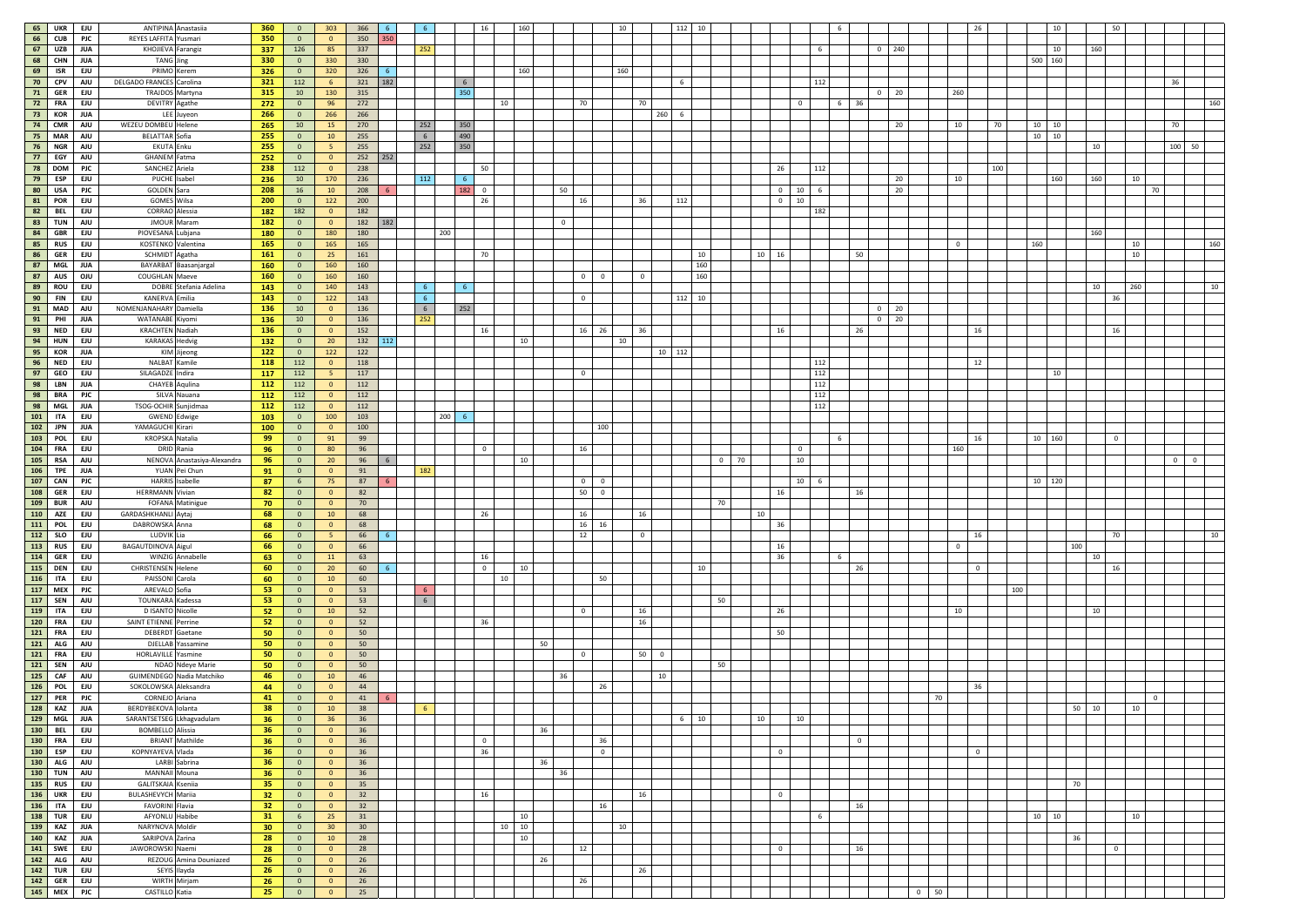| 65<br><b>UKR</b><br><b>EJU</b>          | ANTIPINA Anastasija            | 360      | $\overline{0}$                   | 303                         | 366      | 6.  | 6               |                       | 16      | 160 |                | 10           |             | 112 | 10  |        |                    |     | 6            |         |                |    | 26             |     |        | 10     |          | 50             |         |        |        |
|-----------------------------------------|--------------------------------|----------|----------------------------------|-----------------------------|----------|-----|-----------------|-----------------------|---------|-----|----------------|--------------|-------------|-----|-----|--------|--------------------|-----|--------------|---------|----------------|----|----------------|-----|--------|--------|----------|----------------|---------|--------|--------|
| 66<br><b>CUB</b><br>PJC                 | REYES LAFFITA Yusmari          | 350      | $\overline{0}$                   | $\overline{0}$              | 350      | 350 |                 |                       |         |     |                |              |             |     |     |        |                    |     |              |         |                |    |                |     |        |        |          |                |         |        |        |
| 67<br>UZB<br><b>JUA</b>                 | KHOJIEVA Farangiz              | 337      | 126                              | 85                          | 337      |     | 252             |                       |         |     |                |              |             |     |     |        |                    | 6   |              |         | $0 \quad 240$  |    |                |     |        | 10     | 160      |                |         |        |        |
| 68<br><b>CHN</b><br><b>JUA</b>          | <b>TANG</b> Jing               | 330      | $\overline{0}$                   | 330                         | 330      |     |                 |                       |         |     |                |              |             |     |     |        |                    |     |              |         |                |    |                |     | 500    | 160    |          |                |         |        |        |
|                                         |                                |          |                                  |                             |          |     |                 |                       |         |     |                |              |             |     |     |        |                    |     |              |         |                |    |                |     |        |        |          |                |         |        |        |
| 69<br><b>ISR</b><br>EJU                 | PRIMO Kerem                    | 326      | $\overline{0}$                   | 320                         | 326      | 6   |                 |                       |         | 160 |                | 160          |             |     |     |        |                    |     |              |         |                |    |                |     |        |        |          |                |         |        |        |
| 70<br><b>CPV</b><br>AJU                 | DELGADO FRANCES Carolina       | 321      | 112                              | 6                           | 321      | 182 |                 | 6                     |         |     |                |              |             | 6   |     |        |                    | 112 |              |         |                |    |                |     |        |        |          |                |         | 36     |        |
| 71<br><b>GER</b><br>EJU                 | TRAJDOS Martyna                | 315      | 10                               | 130                         | 315      |     |                 | 350                   |         |     |                |              |             |     |     |        |                    |     |              | $\circ$ | 20             |    | 260            |     |        |        |          |                |         |        |        |
| 72<br><b>FRA</b><br>EJU                 | DEVITRY Agathe                 | 272      | $\overline{0}$                   | 96                          | 272      |     |                 |                       | 10      |     | 70             |              | 70          |     |     |        | $\overline{0}$     |     | 36<br>6      |         |                |    |                |     |        |        |          |                |         |        | 160    |
| 73<br><b>KOR</b><br><b>JUA</b>          | LEE Juyeon                     | 266      | $\overline{0}$                   | 266                         | 266      |     |                 |                       |         |     |                |              | 260 6       |     |     |        |                    |     |              |         |                |    |                |     |        |        |          |                |         |        |        |
|                                         | WEZEU DOMBEU Helene            |          |                                  |                             |          |     |                 |                       |         |     |                |              |             |     |     |        |                    |     |              |         |                |    |                |     |        |        |          |                |         |        |        |
| 74<br><b>CMR</b><br>AJU                 |                                | 265      | 10                               | 15                          | 270      |     | 252             | 350                   |         |     |                |              |             |     |     |        |                    |     |              |         | 20             |    | 10             | 70  | 10     | 10     |          |                |         | 70     |        |
| 75<br><b>MAR</b><br><b>AJU</b>          | <b>BELATTAR</b> Sofia          | 255      | $\overline{0}$                   | 10 <sup>°</sup>             | 255      |     | $6\overline{6}$ | 490                   |         |     |                |              |             |     |     |        |                    |     |              |         |                |    |                |     | 10     | 10     |          |                |         |        |        |
| 76<br><b>NGR</b><br><b>AJU</b>          | EKUTA Enku                     | 255      | $\overline{0}$                   | 5 <sup>7</sup>              | 255      |     | 252             | 350                   |         |     |                |              |             |     |     |        |                    |     |              |         |                |    |                |     |        |        | 10       |                |         | 100 50 |        |
| 77<br>EGY<br>AJU                        | GHANEM Fatma                   | 252      | $\overline{0}$                   | $\overline{0}$              | 252      | 252 |                 |                       |         |     |                |              |             |     |     |        |                    |     |              |         |                |    |                |     |        |        |          |                |         |        |        |
| 78<br><b>DOM</b><br>PJC                 | SANCHEZ Ariela                 | 238      | 112                              | $\overline{0}$              | 238      |     |                 |                       | 50      |     |                |              |             |     |     |        | 26                 | 112 |              |         |                |    |                | 100 |        |        |          |                |         |        |        |
|                                         |                                |          |                                  |                             |          |     |                 |                       |         |     |                |              |             |     |     |        |                    |     |              |         |                |    |                |     |        |        |          |                |         |        |        |
| 79<br><b>ESP</b><br>EJU                 | PUCHE Isabel                   | 236      | 10                               | 170                         | 236      |     | 112             | 6                     |         |     |                |              |             |     |     |        |                    |     |              |         | 20             |    | 10             |     |        | 160    | 160      |                | 10      |        |        |
| 80<br><b>USA</b><br>PJC                 | GOLDEN Sara                    | 208      | 16                               | 10                          | 208      |     |                 | 182                   | $\circ$ |     | 50             |              |             |     |     |        | $\circ$<br>10      | 6   |              |         | 20             |    |                |     |        |        |          |                | 70      |        |        |
| 81<br>POR<br>EJU                        | <b>GOMES</b> Wilsa             | 200      | $\overline{0}$                   | 122                         | 200      |     |                 |                       | 26      |     | 16             |              | 36          | 112 |     |        | $\mathbf{0}$<br>10 |     |              |         |                |    |                |     |        |        |          |                |         |        |        |
| 82<br><b>BEL</b><br>EJU                 | CORRAO Alessia                 | 182      | 182                              | $\overline{0}$              | 182      |     |                 |                       |         |     |                |              |             |     |     |        |                    | 182 |              |         |                |    |                |     |        |        |          |                |         |        |        |
| 83<br><b>TUN</b>                        | JMOUR Maram                    | 182      | $\overline{0}$                   |                             |          |     |                 |                       |         |     |                |              |             |     |     |        |                    |     |              |         |                |    |                |     |        |        |          |                |         |        |        |
| AJU                                     |                                |          |                                  | $\overline{0}$              | 182      | 182 |                 |                       |         |     | $\circ$        |              |             |     |     |        |                    |     |              |         |                |    |                |     |        |        |          |                |         |        |        |
| 84<br><b>GBR</b><br>EJU                 | PIOVESANA Lubjana              | 180      | $\overline{0}$                   | 180                         | 180      |     |                 | 200                   |         |     |                |              |             |     |     |        |                    |     |              |         |                |    |                |     |        |        | 160      |                |         |        |        |
| 85<br><b>RUS</b><br>EJU                 | KOSTENKO Valentina             | 165      | $\overline{0}$                   | 165                         | 165      |     |                 |                       |         |     |                |              |             |     |     |        |                    |     |              |         |                |    | $\mathbf{0}$   |     | 160    |        |          |                | 10      |        | 160    |
| 86<br><b>GER</b><br>EJU                 | SCHMIDT Agatha                 | 161      | $\overline{0}$                   | 25                          | 161      |     |                 |                       | 70      |     |                |              |             |     | 10  |        | $10\quad 16$       |     | 50           |         |                |    |                |     |        |        |          |                | 10      |        |        |
| 87<br>MGL<br><b>JUA</b>                 | <b>BAYARBAT</b> Baasanjargal   | 160      | $\overline{0}$                   | 160                         | 160      |     |                 |                       |         |     |                |              |             |     | 160 |        |                    |     |              |         |                |    |                |     |        |        |          |                |         |        |        |
|                                         |                                |          |                                  |                             |          |     |                 |                       |         |     |                |              |             |     |     |        |                    |     |              |         |                |    |                |     |        |        |          |                |         |        |        |
| 87<br><b>AUS</b><br>OJU                 | COUGHLAN Maeve                 | 160      | $\overline{0}$                   | 160                         | 160      |     |                 |                       |         |     | $\circ$        | $\mathbf{0}$ | $\circ$     |     | 160 |        |                    |     |              |         |                |    |                |     |        |        |          |                |         |        |        |
| 89<br>ROU<br><b>EJU</b>                 | DOBRE Stefania Adelina         | 143      | $\overline{0}$                   | 140                         | 143      |     | 6 <sup>1</sup>  | 6                     |         |     |                |              |             |     |     |        |                    |     |              |         |                |    |                |     |        |        | 10       |                | 260     |        | $10\,$ |
| 90<br><b>FIN</b><br><b>EJU</b>          | KANERVA Emilia                 | 143      | $\overline{0}$                   | 122                         | 143      |     | 6 <sup>1</sup>  |                       |         |     | $\mathbf 0$    |              |             | 112 | 10  |        |                    |     |              |         |                |    |                |     |        |        |          | 36             |         |        |        |
| 91<br><b>MAD</b><br>AJU                 | NOMENJANAHARY Damiella         | 136      | 10                               | $\overline{0}$              | 136      |     | 6 <sup>5</sup>  | 252                   |         |     |                |              |             |     |     |        |                    |     |              | $\circ$ | 20             |    |                |     |        |        |          |                |         |        |        |
| 91<br>PHI<br><b>JUA</b>                 | WATANABE Kiyomi                |          |                                  | $\overline{0}$              | 136      |     | 252             |                       |         |     |                |              |             |     |     |        |                    |     |              | $\circ$ | 20             |    |                |     |        |        |          |                |         |        |        |
|                                         |                                | 136      | 10                               |                             |          |     |                 |                       |         |     |                |              |             |     |     |        |                    |     |              |         |                |    |                |     |        |        |          |                |         |        |        |
| 93<br><b>NED</b><br>EJU                 | <b>KRACHTEN</b> Nadiah         | 136      | $\overline{0}$                   | $\mathbf 0$                 | 152      |     |                 |                       | 16      |     |                | 16 26        | 36          |     |     |        | 16                 |     | 26           |         |                |    | 16             |     |        |        |          | 16             |         |        |        |
| 94<br><b>HUN</b><br>EJU                 | <b>KARAKAS</b> Hedvig          | 132      | $\overline{0}$                   | 20                          | 132      | 112 |                 |                       |         | 10  |                | 10           |             |     |     |        |                    |     |              |         |                |    |                |     |        |        |          |                |         |        |        |
| 95<br>KOR<br><b>JUA</b>                 | KIM Jijeong                    | 122      | $\overline{0}$                   | 122                         | 122      |     |                 |                       |         |     |                |              | 10 112      |     |     |        |                    |     |              |         |                |    |                |     |        |        |          |                |         |        |        |
| 96<br><b>NED</b><br>EJU                 | NALBAT Kamile                  | 118      | 112                              | $\overline{0}$              | 118      |     |                 |                       |         |     |                |              |             |     |     |        |                    | 112 |              |         |                |    | 12             |     |        |        |          |                |         |        |        |
| 97<br><b>GEO</b><br>EJU                 | SILAGADZE Indira               | 117      | 112                              |                             | 117      |     |                 |                       |         |     |                |              |             |     |     |        |                    | 112 |              |         |                |    |                |     |        |        |          |                |         |        |        |
|                                         |                                |          |                                  | 5 <sub>1</sub>              |          |     |                 |                       |         |     | $\mathbf{0}$   |              |             |     |     |        |                    |     |              |         |                |    |                |     |        | 10     |          |                |         |        |        |
| 98<br>LBN<br><b>JUA</b>                 | CHAYEB Aqulina                 | 112      | 112                              | $\overline{0}$              | 112      |     |                 |                       |         |     |                |              |             |     |     |        |                    | 112 |              |         |                |    |                |     |        |        |          |                |         |        |        |
| 98<br><b>BRA</b><br>PJC                 | SILVA Nauana                   | 112      | 112                              | $\mathbf{0}$                | 112      |     |                 |                       |         |     |                |              |             |     |     |        |                    | 112 |              |         |                |    |                |     |        |        |          |                |         |        |        |
| 98<br><b>MGL</b><br><b>JUA</b>          | TSOG-OCHIR Sunjidmaa           | 112      | 112                              | $\overline{0}$              | 112      |     |                 |                       |         |     |                |              |             |     |     |        |                    | 112 |              |         |                |    |                |     |        |        |          |                |         |        |        |
| 101<br><b>ITA</b><br><b>EJU</b>         | <b>GWEND</b> Edwige            | 103      | $\overline{0}$                   | 100                         | 103      |     |                 | 200<br>6 <sup>6</sup> |         |     |                |              |             |     |     |        |                    |     |              |         |                |    |                |     |        |        |          |                |         |        |        |
| 102<br><b>JPN</b><br><b>JUA</b>         | YAMAGUCHI Kirari               | 100      | $\overline{0}$                   | $\circ$                     | 100      |     |                 |                       |         |     |                | 100          |             |     |     |        |                    |     |              |         |                |    |                |     |        |        |          |                |         |        |        |
|                                         |                                |          |                                  |                             |          |     |                 |                       |         |     |                |              |             |     |     |        |                    |     |              |         |                |    |                |     |        |        |          |                |         |        |        |
| 103<br>POL<br>EJU                       | KROPSKA Natalia                | 99       | $\overline{0}$                   | 91                          | 99       |     |                 |                       |         |     |                |              |             |     |     |        |                    |     | - 6          |         |                |    | 16             |     |        | 10 160 |          | $\circ$        |         |        |        |
| 104<br><b>FRA</b><br>EJU                | DRID Rania                     | 96       | $\overline{0}$                   | 80                          | 96       |     |                 |                       | $\circ$ |     | 16             |              |             |     |     |        | $\circ$            |     |              |         |                |    | 160            |     |        |        |          |                |         |        |        |
| 105<br>RSA<br>AJU                       | NENOVA Anastasiya-Alexandra    | 96       | $\overline{0}$                   | 20                          | 96       |     |                 |                       |         | 10  |                |              |             |     |     | $0$ 70 | $10\,$             |     |              |         |                |    |                |     |        |        |          |                |         | $0$ 0  |        |
|                                         |                                |          |                                  |                             |          |     |                 |                       |         |     |                |              |             |     |     |        |                    |     |              |         |                |    |                |     |        |        |          |                |         |        |        |
|                                         |                                |          |                                  |                             |          |     |                 |                       |         |     |                |              |             |     |     |        |                    |     |              |         |                |    |                |     |        |        |          |                |         |        |        |
| 106<br><b>TPE</b><br><b>JUA</b>         | YUAN Pei Chun                  | 91       | $\overline{0}$                   | $\mathbf{0}$                | 91       |     | 182             |                       |         |     |                |              |             |     |     |        |                    |     |              |         |                |    |                |     |        |        |          |                |         |        |        |
| 107<br>CAN<br>PJC                       | <b>HARRIS</b> Isabelle         | 87       | 6 <sup>5</sup>                   | 75                          | 87       |     |                 |                       |         |     | $\overline{0}$ | $\circ$      |             |     |     |        | 10                 | 6   |              |         |                |    |                |     | 10 120 |        |          |                |         |        |        |
| 108<br><b>GER</b><br>EJU                | <b>HERRMANN</b> Vivian         | 82       | $\overline{0}$                   | $\overline{0}$              | 82       |     |                 |                       |         |     | 50             | $\circ$      |             |     |     |        | 16                 |     | 16           |         |                |    |                |     |        |        |          |                |         |        |        |
| 109<br><b>BUR</b><br><b>AJU</b>         | FOFANA Matinigue               | 70       | $\overline{0}$                   | $\overline{0}$              | 70       |     |                 |                       |         |     |                |              |             |     | 70  |        |                    |     |              |         |                |    |                |     |        |        |          |                |         |        |        |
| 110<br>AZE<br>EJU                       | GARDASHKHANLI Aytaj            | 68       | $\overline{0}$                   | 10                          | 68       |     |                 |                       | 26      |     | 16             |              | 16          |     |     | 10     |                    |     |              |         |                |    |                |     |        |        |          |                |         |        |        |
|                                         |                                |          |                                  |                             |          |     |                 |                       |         |     |                |              |             |     |     |        |                    |     |              |         |                |    |                |     |        |        |          |                |         |        |        |
| $111$<br>POL<br>EJU                     | DABROWSKA Anna                 | 68       | $\overline{0}$                   | $\mathbf 0$                 | 68       |     |                 |                       |         |     | 16             | 16           |             |     |     |        | 36                 |     |              |         |                |    |                |     |        |        |          |                |         |        |        |
| 112<br><b>SLO</b><br>EJU                | LUDVIK Lia                     | 66       | $\overline{0}$                   | 5 <sup>1</sup>              | 66       | 6.  |                 |                       |         |     | 12             |              | $\mathbf 0$ |     |     |        |                    |     |              |         |                |    | 16             |     |        |        |          | 70             |         |        | 10     |
| 113<br><b>RUS</b><br>EJU                | BAGAUTDINOVA Aigul             | 66       | $\overline{0}$                   | $\circ$                     | 66       |     |                 |                       |         |     |                |              |             |     |     |        | 16                 |     |              |         |                |    | $\overline{0}$ |     |        |        | 100      |                |         |        |        |
| 114<br><b>GER</b><br><b>EJU</b>         | WINZIG Annabelle               | 63       | $\overline{0}$                   | 11                          | 63       |     |                 |                       | 16      |     |                |              |             |     |     |        | 36                 |     | 6            |         |                |    |                |     |        |        | 10       |                |         |        |        |
| 115<br><b>DEN</b><br><b>EJU</b>         | <b>CHRISTENSEN</b> Helene      | 60       | $\overline{0}$                   | 20                          | 60       | 6.  |                 |                       | $\circ$ | 10  |                |              |             |     | 10  |        |                    |     | 26           |         |                |    | $\mathbf{0}$   |     |        |        |          | 16             |         |        |        |
|                                         |                                | 60       |                                  |                             |          |     |                 |                       | 10      |     |                | 50           |             |     |     |        |                    |     |              |         |                |    |                |     |        |        |          |                |         |        |        |
| 116<br><b>ITA</b><br>EJU                | PAISSONI Carola                |          | $\overline{0}$                   | 10                          | 60       |     | 6               |                       |         |     |                |              |             |     |     |        |                    |     |              |         |                |    |                |     |        |        |          |                |         |        |        |
| 117 MEX<br>PJC                          | AREVALO Sofia                  | 53       | $\mathbf 0$                      | $\overline{0}$              | 53       |     |                 |                       |         |     |                |              |             |     |     |        |                    |     |              |         |                |    |                | 100 |        |        |          |                |         |        |        |
| 117<br><b>SEN</b><br><b>AJU</b>         | <b>TOUNKARA</b> Kadessa        | 53       | $\overline{0}$                   | $\mathbf{0}$                | 53       |     | 6               |                       |         |     |                |              |             |     | 50  |        |                    |     |              |         |                |    |                |     |        |        |          |                |         |        |        |
| 119<br><b>ITA</b><br>EJU                | D ISANTO Nicolle               | 52       | $\overline{0}$                   | 10 <sup>°</sup>             | 52       |     |                 |                       |         |     | $\overline{0}$ |              | 16          |     |     |        | 26                 |     |              |         |                |    | 10             |     |        |        | 10       |                |         |        |        |
| 120<br><b>FRA</b><br>EJU                | SAINT ETIENNE Perrine          | 52       | $\overline{0}$                   | $\overline{0}$              | 52       |     |                 |                       | 36      |     |                |              | 16          |     |     |        |                    |     |              |         |                |    |                |     |        |        |          |                |         |        |        |
| $121$<br><b>FRA</b><br>EJU              | DEBERDT Gaetane                | 50       | $\overline{0}$                   | $\circ$                     | 50       |     |                 |                       |         |     |                |              |             |     |     |        | 50                 |     |              |         |                |    |                |     |        |        |          |                |         |        |        |
|                                         |                                |          |                                  |                             |          |     |                 |                       |         |     |                |              |             |     |     |        |                    |     |              |         |                |    |                |     |        |        |          |                |         |        |        |
| 121<br><b>ALG</b><br><b>AJU</b>         | DJELLAB Yassamine              | 50       | $\overline{0}$                   | $\overline{0}$              | 50       |     |                 |                       |         | 50  |                |              |             |     |     |        |                    |     |              |         |                |    |                |     |        |        |          |                |         |        |        |
| 121<br><b>FRA</b><br>EJU                | HORLAVILLE Yasmine             | 50       | $\overline{0}$                   | $\overline{0}$              | 50       |     |                 |                       |         |     | $\Omega$       |              | 500         |     |     |        |                    |     |              |         |                |    |                |     |        |        |          |                |         |        |        |
| 121<br><b>SEN</b><br>AJU                | NDAO Ndeye Marie               | 50       | $\overline{0}$                   | $\mathbf{0}$                | 50       |     |                 |                       |         |     |                |              |             |     | 50  |        |                    |     |              |         |                |    |                |     |        |        |          |                |         |        |        |
| 125<br>CAF<br>AJU                       | GUIMENDEGO Nadia Matchiko      | 46       | $\overline{0}$                   | 10 <sup>°</sup>             | 46       |     |                 |                       |         |     | 36             |              | 10          |     |     |        |                    |     |              |         |                |    |                |     |        |        |          |                |         |        |        |
| 126<br>POL<br><b>EJU</b>                | SOKOLOWSKA Aleksandra          | 44       | $\overline{0}$                   | $\overline{0}$              | 44       |     |                 |                       |         |     |                | 26           |             |     |     |        |                    |     |              |         |                |    | 36             |     |        |        |          |                |         |        |        |
| 127<br>PER<br>PJC                       | CORNEJO Ariana                 | 41       | $\overline{0}$                   | $\mathbf 0$                 | 41       |     |                 |                       |         |     |                |              |             |     |     |        |                    |     |              |         |                | 70 |                |     |        |        |          |                | $\circ$ |        |        |
|                                         |                                |          |                                  |                             |          |     |                 |                       |         |     |                |              |             |     |     |        |                    |     |              |         |                |    |                |     |        |        |          |                |         |        |        |
| 128<br><b>KAZ</b><br><b>JUA</b>         | BERDYBEKOVA lolanta            | 38       | $\overline{0}$                   | 10                          | 38       |     | 6               |                       |         |     |                |              |             |     |     |        |                    |     |              |         |                |    |                |     |        |        | 50<br>10 |                | 10      |        |        |
| 129 MGL<br><b>JUA</b>                   | SARANTSETSEG Lkhagvadulam      | 36       | $\overline{0}$                   | 36                          | 36       |     |                 |                       |         |     |                |              |             | 6   | 10  | 10     | 10                 |     |              |         |                |    |                |     |        |        |          |                |         |        |        |
| 130 BEL<br>EJU                          | <b>BOMBELLO</b> Alissia        | 36       | $\overline{0}$                   | $\circ$                     | 36       |     |                 |                       |         | 36  |                |              |             |     |     |        |                    |     |              |         |                |    |                |     |        |        |          |                |         |        |        |
| 130 FRA<br>EJU                          | <b>BRIANT</b> Mathilde         | 36       | $\overline{\mathbf{0}}$          | $\overline{0}$              | 36       |     |                 |                       | $\circ$ |     |                | 36           |             |     |     |        |                    |     | $\mathbf{0}$ |         |                |    |                |     |        |        |          |                |         |        |        |
|                                         |                                | 36       | $\overline{0}$                   | $\overline{0}$              |          |     |                 |                       | 36      |     |                | $\circ$      |             |     |     |        | $\circ$            |     |              |         |                |    | $\overline{0}$ |     |        |        |          |                |         |        |        |
| 130 ESP<br>EJU                          | KOPNYAYEVA Vlada               |          |                                  |                             | 36       |     |                 |                       |         |     |                |              |             |     |     |        |                    |     |              |         |                |    |                |     |        |        |          |                |         |        |        |
| 130 ALG<br><b>AJU</b>                   | LARBI Sabrina                  | 36       | $\overline{\mathbf{0}}$          | $\bullet$                   | 36       |     |                 |                       |         | 36  |                |              |             |     |     |        |                    |     |              |         |                |    |                |     |        |        |          |                |         |        |        |
| 130 TUN<br><b>AJU</b>                   | MANNAII Mouna                  | 36       | $\overline{0}$                   | $\bullet$                   | 36       |     |                 |                       |         |     | 36             |              |             |     |     |        |                    |     |              |         |                |    |                |     |        |        |          |                |         |        |        |
| 135 RUS<br>EJU                          | GALITSKAIA Kseniia             | 35       | $\overline{\mathbf{0}}$          | $\overline{0}$              | 35       |     |                 |                       |         |     |                |              |             |     |     |        |                    |     |              |         |                |    |                |     |        |        | 70       |                |         |        |        |
| 136 UKR<br>EJU                          | <b>BULASHEVYCH</b> Mariia      | 32       | $\overline{0}$                   | $\circ$                     | 32       |     |                 |                       | 16      |     |                |              | $16\,$      |     |     |        | $\circ$            |     |              |         |                |    |                |     |        |        |          |                |         |        |        |
|                                         |                                |          |                                  |                             |          |     |                 |                       |         |     |                |              |             |     |     |        |                    |     |              |         |                |    |                |     |        |        |          |                |         |        |        |
| 136 ITA<br>EJU                          | FAVORINI Flavia                | 32       | $\overline{0}$                   | $\overline{0}$              | 32       |     |                 |                       |         |     |                | 16           |             |     |     |        |                    |     | 16           |         |                |    |                |     |        |        |          |                |         |        |        |
| 138 TUR<br>EJU                          | AFYONLU Habibe                 | 31       | 6 <sup>6</sup>                   | 25                          | 31       |     |                 |                       |         | 10  |                |              |             |     |     |        |                    | 6   |              |         |                |    |                |     | 10 10  |        |          |                | 10      |        |        |
| 139 KAZ<br><b>JUA</b>                   | NARYNOVA Moldir                | 30       | $\overline{0}$                   | 30 <sub>2</sub>             | 30       |     |                 |                       | 10      | 10  |                | 10           |             |     |     |        |                    |     |              |         |                |    |                |     |        |        |          |                |         |        |        |
| 140 KAZ<br><b>JUA</b>                   | SARIPOVA Zarina                | 28       | $\overline{0}$                   | 10                          | 28       |     |                 |                       |         | 10  |                |              |             |     |     |        |                    |     |              |         |                |    |                |     |        |        | 36       |                |         |        |        |
| 141 SWE<br>EJU                          | JAWOROWSKI Naemi               | 28       | $\overline{0}$                   | $\overline{0}$              | 28       |     |                 |                       |         |     | 12             |              |             |     |     |        | $\circ$            |     | 16           |         |                |    |                |     |        |        |          | $\overline{0}$ |         |        |        |
|                                         |                                |          |                                  | $\overline{0}$              |          |     |                 |                       |         |     |                |              |             |     |     |        |                    |     |              |         |                |    |                |     |        |        |          |                |         |        |        |
| $142$ ALG<br><b>AJU</b>                 | REZOUG Amina Douniazed         | 26       | $\overline{0}$                   |                             | 26       |     |                 |                       |         | 26  |                |              |             |     |     |        |                    |     |              |         |                |    |                |     |        |        |          |                |         |        |        |
| 142 TUR<br>EJU                          | SEYIS Ilayda                   | 26       | $\overline{0}$                   | $\overline{0}$              | 26       |     |                 |                       |         |     |                |              | ${\bf 26}$  |     |     |        |                    |     |              |         |                |    |                |     |        |        |          |                |         |        |        |
| 142 GER<br>EJU<br>145 MEX<br><b>PJC</b> | WIRTH Mirjam<br>CASTILLO Katia | 26<br>25 | $\overline{0}$<br>$\overline{0}$ | $\overline{0}$<br>$\bullet$ | 26<br>25 |     |                 |                       |         |     | 26             |              |             |     |     |        |                    |     |              |         | $\overline{0}$ | 50 |                |     |        |        |          |                |         |        |        |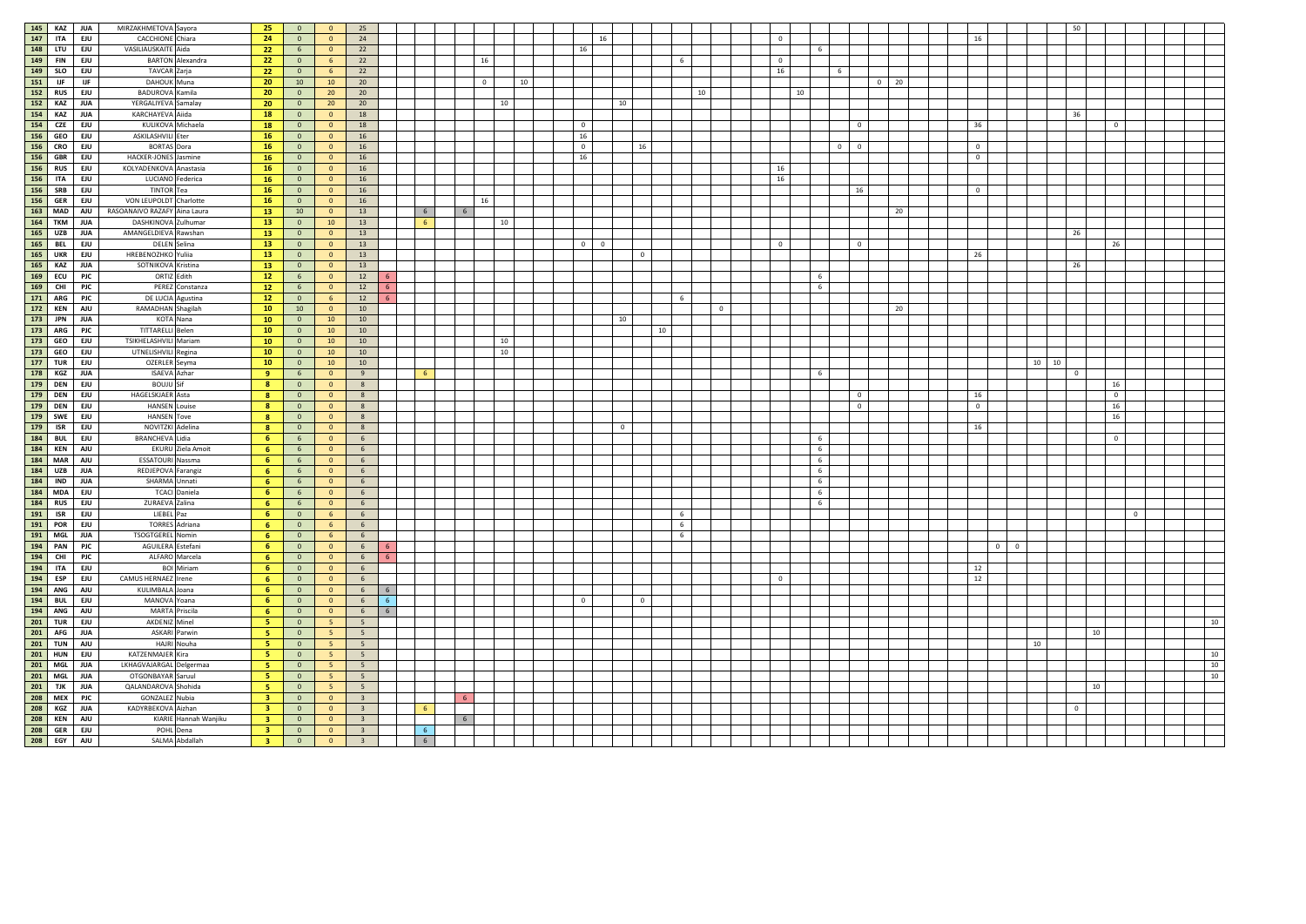| 145                       | KAZ JUA    | MIRZAKHMETOVA Sayora                             | 25                                        | $\overline{0}$                   | $\circ$                 | 25                                                 |                  |                                   |                 |    |    |                                  |         |             |                 |          |                 |         |         |              |                |                                            |          | 50          |             |                |        |
|---------------------------|------------|--------------------------------------------------|-------------------------------------------|----------------------------------|-------------------------|----------------------------------------------------|------------------|-----------------------------------|-----------------|----|----|----------------------------------|---------|-------------|-----------------|----------|-----------------|---------|---------|--------------|----------------|--------------------------------------------|----------|-------------|-------------|----------------|--------|
| 147                       | <b>ITA</b> | EJU<br>CACCHIONE Chiara                          | 24                                        | $\overline{0}$                   | $\circ$                 | 24                                                 |                  |                                   |                 |    |    | 16                               |         |             |                 |          | $\circ$         |         |         |              | 16             |                                            |          |             |             |                |        |
|                           |            |                                                  |                                           |                                  |                         |                                                    |                  |                                   |                 |    |    |                                  |         |             |                 |          |                 |         |         |              |                |                                            |          |             |             |                |        |
| 148                       | LTU        | EJU<br>VASILIAUSKAITE Aida                       | 22                                        | 6 <sup>5</sup>                   | $\overline{0}$          | 22                                                 |                  |                                   |                 |    |    | 16                               |         |             |                 |          |                 | 6       |         |              |                |                                            |          |             |             |                |        |
| 149                       | <b>FIN</b> | <b>BARTON</b> Alexandra<br>EJU                   | 22                                        | $\overline{0}$                   | 6 <sup>5</sup>          | 22                                                 |                  |                                   | 16              |    |    |                                  |         |             | 6               |          | $\circ$         |         |         |              |                |                                            |          |             |             |                |        |
| 149                       | SLO        | <b>EJU</b><br>TAVCAR Zarja                       | 22                                        | $\overline{0}$                   | -6                      | 22                                                 |                  |                                   |                 |    |    |                                  |         |             |                 |          | 16              | -6      |         |              |                |                                            |          |             |             |                |        |
|                           |            |                                                  |                                           |                                  |                         |                                                    |                  |                                   |                 |    |    |                                  |         |             |                 |          |                 |         |         |              |                |                                            |          |             |             |                |        |
| $\overline{\mathbf{151}}$ | IJF        | DAHOUK Muna<br>IJF                               | 20                                        | 10                               | 10                      | 20                                                 |                  |                                   | $\overline{0}$  |    | 10 |                                  |         |             |                 |          |                 |         |         | $0 \quad 20$ |                |                                            |          |             |             |                |        |
| 152                       | <b>RUS</b> | BADUROVA Kamila<br><b>EJU</b>                    | 20                                        | $\overline{0}$                   | 20                      | 20                                                 |                  |                                   |                 |    |    |                                  |         |             | 10              |          | 10 <sup>°</sup> |         |         |              |                |                                            |          |             |             |                |        |
|                           |            |                                                  |                                           |                                  |                         |                                                    |                  |                                   |                 |    |    |                                  |         |             |                 |          |                 |         |         |              |                |                                            |          |             |             |                |        |
| 152                       | KAZ        | YERGALIYEVA Samalay<br><b>JUA</b>                | 20                                        | $\overline{0}$                   | 20 <sup>°</sup>         | 20                                                 |                  |                                   |                 | 10 |    |                                  | 10      |             |                 |          |                 |         |         |              |                |                                            |          |             |             |                |        |
| 154                       | KAZ        | <b>JUA</b><br>KARCHAYEVA Aiida                   | 18                                        | $\overline{0}$                   | $\overline{0}$          | 18                                                 |                  |                                   |                 |    |    |                                  |         |             |                 |          |                 |         |         |              |                |                                            |          | 36          |             |                |        |
| 154                       | CZE        | EJU<br>KULIKOVA Michaela                         | 18                                        | $\overline{0}$                   | $\circ$                 | 18                                                 |                  |                                   |                 |    |    | $\mathbf{0}$                     |         |             |                 |          |                 |         | $\circ$ |              | 36             |                                            |          |             | $\mathbf 0$ |                |        |
|                           |            |                                                  |                                           |                                  |                         |                                                    |                  |                                   |                 |    |    |                                  |         |             |                 |          |                 |         |         |              |                |                                            |          |             |             |                |        |
| 156                       | GEO        | EJU<br>ASKILASHVILI Eter                         | 16                                        | $\overline{0}$                   | $\circ$                 | $16\,$                                             |                  |                                   |                 |    |    | 16                               |         |             |                 |          |                 |         |         |              |                |                                            |          |             |             |                |        |
| 156                       | CRO        | <b>BORTAS</b> Dora<br><b>EJU</b>                 | 16                                        | $\overline{0}$                   | $\overline{0}$          | 16                                                 |                  |                                   |                 |    |    | $\circ$                          |         | 16          |                 |          |                 | $\circ$ | $\circ$ |              | $\Omega$       |                                            |          |             |             |                |        |
|                           |            |                                                  |                                           |                                  |                         |                                                    |                  |                                   |                 |    |    |                                  |         |             |                 |          |                 |         |         |              |                |                                            |          |             |             |                |        |
| 156                       | <b>GBR</b> | EJU<br>HACKER-JONES Jasmine                      | 16                                        | $\overline{0}$                   | $\overline{0}$          | 16                                                 |                  |                                   |                 |    |    | 16                               |         |             |                 |          |                 |         |         |              | $\overline{0}$ |                                            |          |             |             |                |        |
| 156                       | <b>RUS</b> | EJU<br>KOLYADENKOVA Anastasia                    | 16                                        | $\mathbf 0$                      | $\mathbf{0}$            | $16\,$                                             |                  |                                   |                 |    |    |                                  |         |             |                 |          | $16\,$          |         |         |              |                |                                            |          |             |             |                |        |
| 156                       | <b>ITA</b> | LUCIANO Federica<br>EJU                          | 16                                        | $\mathbf 0$                      | $\mathbf{0}$            | 16                                                 |                  |                                   |                 |    |    |                                  |         |             |                 |          | 16              |         |         |              |                |                                            |          |             |             |                |        |
|                           |            |                                                  |                                           |                                  |                         |                                                    |                  |                                   |                 |    |    |                                  |         |             |                 |          |                 |         |         |              |                |                                            |          |             |             |                |        |
| 156                       | <b>SRB</b> | <b>EJU</b><br>TINTOR Tea                         | 16                                        | $\overline{0}$                   | $\mathbf{0}$            | 16                                                 |                  |                                   |                 |    |    |                                  |         |             |                 |          |                 |         | 16      |              | $\overline{0}$ |                                            |          |             |             |                |        |
| 156                       | GER        | VON LEUPOLDT Charlotte<br>EJU                    | 16                                        | $\circ$                          | $\circ$                 | 16                                                 |                  |                                   | 16              |    |    |                                  |         |             |                 |          |                 |         |         |              |                |                                            |          |             |             |                |        |
|                           |            |                                                  |                                           |                                  |                         |                                                    |                  |                                   |                 |    |    |                                  |         |             |                 |          |                 |         |         |              |                |                                            |          |             |             |                |        |
| 163                       | <b>MAD</b> | RASOANAIVO RAZAFY Aina Laura<br><b>AJU</b>       | 13                                        | $10\,$                           | $\overline{0}$          | 13                                                 |                  | $6\overline{6}$                   | 6               |    |    |                                  |         |             |                 |          |                 |         |         | 20           |                |                                            |          |             |             |                |        |
| 164                       | <b>TKM</b> | <b>JUA</b><br>DASHKINOVA Zulhumar                | 13                                        | $\overline{0}$                   | 10 <sup>°</sup>         | 13                                                 |                  | 6 <sup>1</sup>                    |                 | 10 |    |                                  |         |             |                 |          |                 |         |         |              |                |                                            |          |             |             |                |        |
| 165                       | <b>UZB</b> | AMANGELDIEVA Rawshan<br><b>JUA</b>               | 13                                        | $\overline{0}$                   | $\overline{0}$          | 13                                                 |                  |                                   |                 |    |    |                                  |         |             |                 |          |                 |         |         |              |                |                                            |          | 26          |             |                |        |
|                           |            |                                                  |                                           |                                  |                         |                                                    |                  |                                   |                 |    |    |                                  |         |             |                 |          |                 |         |         |              |                |                                            |          |             |             |                |        |
| 165                       | <b>BEL</b> | DELEN Selina<br>EJU                              | 13                                        | $\overline{0}$                   | $\overline{0}$          | 13                                                 |                  |                                   |                 |    |    | $\overline{0}$<br>$\overline{0}$ |         |             |                 |          | $\circ$         |         | $\circ$ |              |                |                                            |          |             | 26          |                |        |
| 165                       | <b>UKR</b> | HREBENOZHKO Yuliia<br><b>EJU</b>                 | 13                                        | $\overline{0}$                   | $\overline{0}$          | 13                                                 |                  |                                   |                 |    |    |                                  |         | $\circ$     |                 |          |                 |         |         |              | 26             |                                            |          |             |             |                |        |
| 165                       |            | SOTNIKOVA Kristina                               | 13                                        |                                  |                         |                                                    |                  |                                   |                 |    |    |                                  |         |             |                 |          |                 |         |         |              |                |                                            |          |             |             |                |        |
|                           | KAZ        | <b>JUA</b>                                       |                                           | $\overline{0}$                   | $\overline{0}$          | 13                                                 |                  |                                   |                 |    |    |                                  |         |             |                 |          |                 |         |         |              |                |                                            |          | 26          |             |                |        |
| 169                       | ECU        | PJC<br>ORTIZ Edith                               | 12                                        | 6 <sup>1</sup>                   | $\mathbf{0}$            | 12                                                 |                  |                                   |                 |    |    |                                  |         |             |                 |          |                 | 6       |         |              |                |                                            |          |             |             |                |        |
| 169                       | CHI        | PJC<br>PEREZ Constanza                           | $12\,$                                    | 6 <sup>1</sup>                   | $\mathbf{0}$            | 12                                                 | $6 \overline{6}$ |                                   |                 |    |    |                                  |         |             |                 |          |                 | 6       |         |              |                |                                            |          |             |             |                |        |
|                           |            |                                                  |                                           |                                  |                         |                                                    |                  |                                   |                 |    |    |                                  |         |             |                 |          |                 |         |         |              |                |                                            |          |             |             |                |        |
| 171                       | ARG        | PJC<br>DE LUCIA Agustina                         | 12                                        | $\overline{0}$                   | $6\overline{6}$         | 12                                                 | $\mathbf{f}$     |                                   |                 |    |    |                                  |         |             | 6               |          |                 |         |         |              |                |                                            |          |             |             |                |        |
| $172$                     | <b>KEN</b> | RAMADHAN Shagilah<br><b>AJU</b>                  | 10                                        | 10                               | $\overline{0}$          | 10                                                 |                  |                                   |                 |    |    |                                  |         |             |                 | $\Omega$ |                 |         |         | 20           |                |                                            |          |             |             |                |        |
| 173                       | <b>JPN</b> | KOTA Nana<br><b>JUA</b>                          | 10                                        | $\circ$                          | 10                      | 10                                                 |                  |                                   |                 |    |    |                                  | 10      |             |                 |          |                 |         |         |              |                |                                            |          |             |             |                |        |
|                           |            |                                                  |                                           |                                  |                         |                                                    |                  |                                   |                 |    |    |                                  |         |             |                 |          |                 |         |         |              |                |                                            |          |             |             |                |        |
| 173                       | ARG        | <b>TITTARELLI Belen</b><br>PJC                   | 10                                        | $\overline{0}$                   | $10-10$                 | 10                                                 |                  |                                   |                 |    |    |                                  |         | 10          |                 |          |                 |         |         |              |                |                                            |          |             |             |                |        |
| 173                       | GEO        | <b>TSIKHELASHVILI Mariam</b><br>EJU              | 10                                        | $\overline{0}$                   | 10 <sup>°</sup>         | 10                                                 |                  |                                   |                 | 10 |    |                                  |         |             |                 |          |                 |         |         |              |                |                                            |          |             |             |                |        |
| 173                       | GEO        | <b>EJU</b><br>UTNELISHVILI Regina                | 10                                        | $\overline{0}$                   | 10                      | 10                                                 |                  |                                   |                 | 10 |    |                                  |         |             |                 |          |                 |         |         |              |                |                                            |          |             |             |                |        |
|                           |            |                                                  |                                           |                                  |                         |                                                    |                  |                                   |                 |    |    |                                  |         |             |                 |          |                 |         |         |              |                |                                            |          |             |             |                |        |
| $\boxed{177}$             | <b>TUR</b> | OZERLER Seyma<br>EJU                             | ${\bf 10}$                                | $\mathbf 0$                      | $10$                    | $10\,$                                             |                  |                                   |                 |    |    |                                  |         |             |                 |          |                 |         |         |              |                |                                            | 10<br>10 |             |             |                |        |
| 178                       | KGZ        | <b>ISAEVA Azhar</b><br><b>JUA</b>                | 9                                         | $6\phantom{.}$                   | $\mathbf{0}$            | 9                                                  |                  | 6 <sup>1</sup>                    |                 |    |    |                                  |         |             |                 |          |                 | 6       |         |              |                |                                            |          | $\mathbf 0$ |             |                |        |
| 179                       | <b>DEN</b> | <b>BOUJU Sif</b><br>EJU                          | $\mathbf{8}$                              | $\overline{0}$                   | $\mathbf{0}$            | 8                                                  |                  |                                   |                 |    |    |                                  |         |             |                 |          |                 |         |         |              |                |                                            |          |             | 16          |                |        |
|                           |            |                                                  |                                           |                                  |                         |                                                    |                  |                                   |                 |    |    |                                  |         |             |                 |          |                 |         |         |              |                |                                            |          |             |             |                |        |
| 179                       | <b>DEN</b> | <b>EJU</b><br>HAGELSKJAER Asta                   | 8                                         | $\overline{0}$                   | $\overline{0}$          | 8                                                  |                  |                                   |                 |    |    |                                  |         |             |                 |          |                 |         | $\circ$ |              | 16             |                                            |          |             | $\circ$     |                |        |
| 179                       | <b>DEN</b> | <b>HANSEN</b> Louise<br>EJU                      | $\boldsymbol{8}$                          | $\mathbf{0}$                     | $\overline{0}$          | 8                                                  |                  |                                   |                 |    |    |                                  |         |             |                 |          |                 |         | $\circ$ |              | $\overline{0}$ |                                            |          |             | 16          |                |        |
| 179                       |            |                                                  |                                           |                                  | $\mathbf{0}$            |                                                    |                  |                                   |                 |    |    |                                  |         |             |                 |          |                 |         |         |              |                |                                            |          |             |             |                |        |
|                           | SWE        | EJU<br>HANSEN Tove                               | $\boldsymbol{8}$                          | $\mathbf 0$                      |                         | 8                                                  |                  |                                   |                 |    |    |                                  |         |             |                 |          |                 |         |         |              |                |                                            |          |             | 16          |                |        |
| 179                       | <b>ISR</b> | NOVITZKI Adelina<br><b>EJU</b>                   | 8                                         | $\overline{0}$                   | $\overline{0}$          | 8                                                  |                  |                                   |                 |    |    |                                  | $\circ$ |             |                 |          |                 |         |         |              | 16             |                                            |          |             |             |                |        |
| 184                       | <b>BUL</b> | EJU<br><b>BRANCHEVA</b> Lidia                    | 6                                         | 6 <sup>5</sup>                   | $\circ$                 | 6 <sup>1</sup>                                     |                  |                                   |                 |    |    |                                  |         |             |                 |          |                 | 6       |         |              |                |                                            |          |             | $\circ$     |                |        |
|                           |            |                                                  |                                           |                                  |                         |                                                    |                  |                                   |                 |    |    |                                  |         |             |                 |          |                 |         |         |              |                |                                            |          |             |             |                |        |
| 184                       | KEN        | AJU<br>EKURU Ziela Amoit                         | 6 <sup>°</sup>                            | $\mathbf 6$                      | $\mathbf{0}$            | $6\overline{6}$                                    |                  |                                   |                 |    |    |                                  |         |             |                 |          |                 | 6       |         |              |                |                                            |          |             |             |                |        |
| 184                       | <b>MAR</b> | ESSATOURI Nassma<br><b>AJU</b>                   | 6                                         | $6\phantom{.}$                   | $\mathbf{0}$            | 6                                                  |                  |                                   |                 |    |    |                                  |         |             |                 |          |                 | 6       |         |              |                |                                            |          |             |             |                |        |
| 184                       | <b>UZB</b> | REDJEPOVA Farangiz<br><b>JUA</b>                 | 6                                         | 6                                | $\Omega$                | 6                                                  |                  |                                   |                 |    |    |                                  |         |             |                 |          |                 | -6      |         |              |                |                                            |          |             |             |                |        |
|                           |            |                                                  |                                           |                                  |                         |                                                    |                  |                                   |                 |    |    |                                  |         |             |                 |          |                 |         |         |              |                |                                            |          |             |             |                |        |
| 184                       | <b>IND</b> | SHARMA Unnati<br><b>JUA</b>                      | 6                                         | 6 <sup>5</sup>                   | $\overline{0}$          | 6 <sup>6</sup>                                     |                  |                                   |                 |    |    |                                  |         |             |                 |          |                 |         |         |              |                |                                            |          |             |             |                |        |
| 184                       | <b>MDA</b> | <b>TCACI</b> Daniela<br>EJU                      | 6 <sup>°</sup>                            |                                  |                         |                                                    |                  |                                   |                 |    |    |                                  |         |             |                 |          |                 | 6       |         |              |                |                                            |          |             |             |                |        |
| 184                       | <b>RUS</b> | EJU<br>ZURAEVA Zalina                            |                                           | $6\overline{6}$                  | $\overline{0}$          | $6\overline{6}$                                    |                  |                                   |                 |    |    |                                  |         |             |                 |          |                 | 6       |         |              |                |                                            |          |             |             |                |        |
|                           |            |                                                  |                                           |                                  |                         |                                                    |                  |                                   |                 |    |    |                                  |         |             |                 |          |                 |         |         |              |                |                                            |          |             |             |                |        |
| 191                       | <b>ISR</b> |                                                  | 6                                         | 6                                | $\circ$                 | 6                                                  |                  |                                   |                 |    |    |                                  |         |             |                 |          |                 | 6       |         |              |                |                                            |          |             |             |                |        |
| 191                       |            | <b>EJU</b><br>LIEBEL Paz                         | 6                                         | $\overline{0}$                   | 6 <sup>1</sup>          | $6\overline{6}$                                    |                  |                                   |                 |    |    |                                  |         |             | 6               |          |                 |         |         |              |                |                                            |          |             |             | $\overline{0}$ |        |
|                           |            |                                                  |                                           |                                  |                         |                                                    |                  |                                   |                 |    |    |                                  |         |             |                 |          |                 |         |         |              |                |                                            |          |             |             |                |        |
| 191                       | POR        | <b>TORRES</b> Adriana<br>EJU                     | 6 <sup>1</sup>                            | $\circ$                          | 6 <sup>5</sup>          | $6\overline{6}$                                    |                  |                                   |                 |    |    |                                  |         |             | $6\overline{6}$ |          |                 |         |         |              |                |                                            |          |             |             |                |        |
|                           | <b>MGL</b> | <b>JUA</b><br><b>TSOGTGEREL</b> Nomin            | 6                                         | $\overline{0}$                   | 6 <sup>1</sup>          | 6 <sup>1</sup>                                     |                  |                                   |                 |    |    |                                  |         |             | $6\overline{6}$ |          |                 |         |         |              |                |                                            |          |             |             |                |        |
| 194                       | PAN        | PJC<br>AGUILERA Estefani                         | 6                                         | $\overline{0}$                   | $\mathbf{0}$            | $6\overline{6}$                                    | 6                |                                   |                 |    |    |                                  |         |             |                 |          |                 |         |         |              |                | $\overline{0}$<br>$\overline{\phantom{0}}$ |          |             |             |                |        |
|                           |            |                                                  |                                           |                                  | $\mathbf{0}$            |                                                    |                  |                                   |                 |    |    |                                  |         |             |                 |          |                 |         |         |              |                |                                            |          |             |             |                |        |
| 194                       | CHI        | PJC<br>ALFARO Marcela                            | 6                                         | $\circ$                          |                         | 6 <sup>1</sup>                                     |                  |                                   |                 |    |    |                                  |         |             |                 |          |                 |         |         |              |                |                                            |          |             |             |                |        |
| 194                       | <b>ITA</b> | <b>BOI</b> Miriam<br>EJU                         | $6\phantom{1}$                            | $\mathbf{0}$                     | $\mathbf{0}$            | $6\overline{6}$                                    |                  |                                   |                 |    |    |                                  |         |             |                 |          |                 |         |         |              | 12             |                                            |          |             |             |                |        |
| 194                       | ESP        | <b>EJU</b><br>CAMUS HERNAEZ Irene                | 6                                         | $\overline{0}$                   | $\mathbf{0}$            | 6 <sup>1</sup>                                     |                  |                                   |                 |    |    |                                  |         |             |                 |          | $\circ$         |         |         |              | 12             |                                            |          |             |             |                |        |
|                           |            |                                                  |                                           |                                  |                         |                                                    |                  |                                   |                 |    |    |                                  |         |             |                 |          |                 |         |         |              |                |                                            |          |             |             |                |        |
| 194                       | ANG        | KULIMBALA Joana<br><b>AJU</b>                    | 6                                         | $\overline{\mathbf{0}}$          | $\overline{0}$          | $6\overline{6}$                                    | $6\overline{6}$  |                                   |                 |    |    |                                  |         |             |                 |          |                 |         |         |              |                |                                            |          |             |             |                |        |
| 194                       | <b>BUL</b> | MANOVA Yoana<br>EJU                              | 6                                         | $\mathbf 0$                      | $\mathbf{0}$            | 6 <sup>1</sup>                                     | 6 <sub>1</sub>   |                                   |                 |    |    | $\overline{0}$                   |         | $\mathbf 0$ |                 |          |                 |         |         |              |                |                                            |          |             |             |                |        |
| 194                       | ANG        | MARTA Priscila<br><b>AJU</b>                     | 6                                         | $\overline{0}$                   | $\overline{0}$          | 6                                                  | 6 <sub>1</sub>   |                                   |                 |    |    |                                  |         |             |                 |          |                 |         |         |              |                |                                            |          |             |             |                |        |
|                           |            |                                                  |                                           |                                  |                         |                                                    |                  |                                   |                 |    |    |                                  |         |             |                 |          |                 |         |         |              |                |                                            |          |             |             |                |        |
| 201                       | <b>TUR</b> | AKDENIZ Minel<br>EJU                             | 5                                         | $\overline{0}$                   | 5 <sub>1</sub>          | 5 <sup>5</sup>                                     |                  |                                   |                 |    |    |                                  |         |             |                 |          |                 |         |         |              |                |                                            |          |             |             |                | $10\,$ |
| 201                       | AFG        | <b>ASKARI</b> Parwin<br><b>JUA</b>               | -5                                        | $\overline{0}$                   | 5 <sup>7</sup>          | 5                                                  |                  |                                   |                 |    |    |                                  |         |             |                 |          |                 |         |         |              |                |                                            |          |             | 10          |                |        |
|                           |            | HAJRI Nouha<br><b>AJU</b>                        |                                           | $\mathbf 0$                      | 5                       | $5\overline{5}$                                    |                  |                                   |                 |    |    |                                  |         |             |                 |          |                 |         |         |              |                |                                            | $10\,$   |             |             |                |        |
| 201                       | <b>TUN</b> |                                                  | $\,$ 5 $\,$                               |                                  |                         |                                                    |                  |                                   |                 |    |    |                                  |         |             |                 |          |                 |         |         |              |                |                                            |          |             |             |                |        |
| 201                       | <b>HUN</b> | KATZENMAJER Kira<br><b>EJU</b>                   | 5                                         | $\overline{0}$                   | -5                      | 5 <sup>1</sup>                                     |                  |                                   |                 |    |    |                                  |         |             |                 |          |                 |         |         |              |                |                                            |          |             |             |                | $10\,$ |
| 201                       | MGL        | LKHAGVAJARGAL Delgermaa<br><b>JUA</b>            | -5                                        | $\overline{0}$                   | -5                      | 5 <sup>5</sup>                                     |                  |                                   |                 |    |    |                                  |         |             |                 |          |                 |         |         |              |                |                                            |          |             |             |                | $10\,$ |
| 201                       | MGL        | <b>JUA</b><br>OTGONBAYAR Saruul                  | -5                                        | $\overline{0}$                   | 5 <sub>1</sub>          | 5                                                  |                  |                                   |                 |    |    |                                  |         |             |                 |          |                 |         |         |              |                |                                            |          |             |             |                |        |
|                           |            |                                                  |                                           |                                  |                         |                                                    |                  |                                   |                 |    |    |                                  |         |             |                 |          |                 |         |         |              |                |                                            |          |             |             |                | 10     |
| 201                       | TJK        | QALANDAROVA Shohida<br><b>JUA</b>                | $\overline{\mathbf{5}}$                   | $\mathbf 0$                      | $\overline{5}$          | 5 <sup>5</sup>                                     |                  |                                   |                 |    |    |                                  |         |             |                 |          |                 |         |         |              |                |                                            |          |             | 10          |                |        |
| 208                       | <b>MEX</b> | PJC<br>GONZALEZ Nubia                            | $\overline{\mathbf{3}}$                   | $\mathbf{0}$                     | $\Omega$                | $\overline{\mathbf{3}}$                            |                  |                                   |                 |    |    |                                  |         |             |                 |          |                 |         |         |              |                |                                            |          |             |             |                |        |
| 208                       | KGZ        | <b>JUA</b><br>KADYRBEKOVA Aizhan                 | $\overline{\mathbf{3}}$                   | $\Omega$                         | $\mathbf{0}$            | 3 <sup>2</sup>                                     |                  | 6 <sup>1</sup>                    |                 |    |    |                                  |         |             |                 |          |                 |         |         |              |                |                                            |          | $\circ$     |             |                |        |
|                           |            |                                                  |                                           |                                  |                         |                                                    |                  |                                   |                 |    |    |                                  |         |             |                 |          |                 |         |         |              |                |                                            |          |             |             |                |        |
| 208                       | <b>KEN</b> | <b>AJU</b><br>KIARIE Hannah Wanjiku              | 3 <sup>7</sup>                            | $\mathbf 0$                      | $\mathbf 0$             | $\overline{\mathbf{3}}$                            |                  |                                   | $6\overline{6}$ |    |    |                                  |         |             |                 |          |                 |         |         |              |                |                                            |          |             |             |                |        |
| 208<br>208                | GER<br>EGY | EJU<br>POHL Dena<br>SALMA Abdallah<br><b>AJU</b> | $\overline{\mathbf{3}}$<br>3 <sup>°</sup> | $\overline{0}$<br>$\overline{0}$ | $\mathbf{0}$<br>$\circ$ | $\overline{\mathbf{3}}$<br>$\overline{\mathbf{3}}$ |                  | 6 <sup>1</sup><br>$6\overline{6}$ |                 |    |    |                                  |         |             |                 |          |                 |         |         |              |                |                                            |          |             |             |                |        |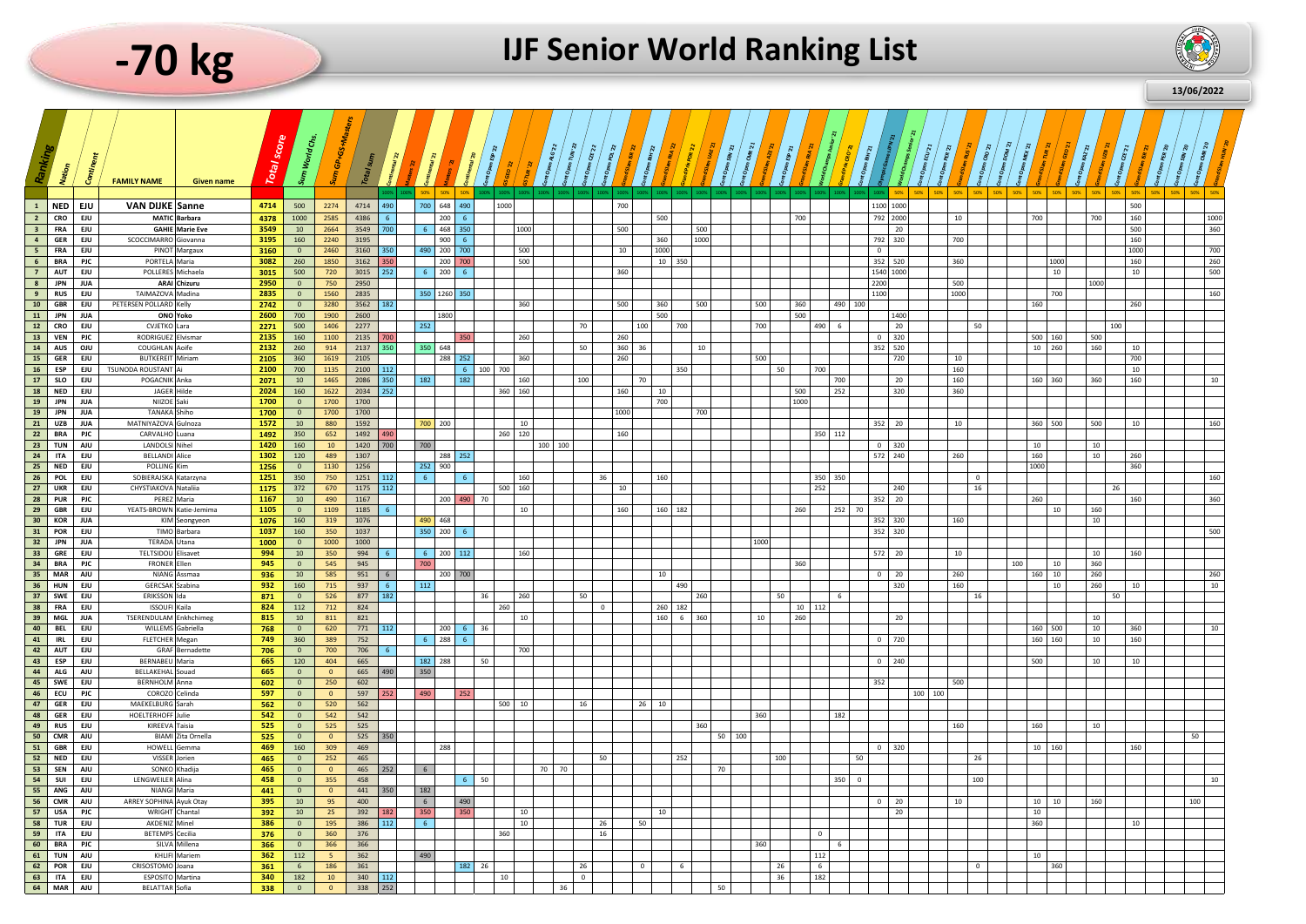# **-70 kg**

### **IJF Senior World Ranking List**



| Ranking                          | Nation                                    | Contin                   | <b>FAMILY NAME</b>                        | <b>Given name</b>             | otal score   | Sum World Chs.                            | Im <sub>GP+GS</sub>   |              |                  |                           | 50%                   |         |           |               | N<br>$\alpha_{\rm Z}$<br>ğ | $\frac{3}{2}$ |            | <b>REW'RD</b> |          |           |                       | 50%                       |                |          | 50% 50% 50% 50% 50% 50% |               | t Open Koz 21<br>50% 50% 50% 50% 50% | $\vec{N}$<br>Open Cz<br>50% | $\mathcal{R}_1$<br>50%<br>50% |      |
|----------------------------------|-------------------------------------------|--------------------------|-------------------------------------------|-------------------------------|--------------|-------------------------------------------|-----------------------|--------------|------------------|---------------------------|-----------------------|---------|-----------|---------------|----------------------------|---------------|------------|---------------|----------|-----------|-----------------------|---------------------------|----------------|----------|-------------------------|---------------|--------------------------------------|-----------------------------|-------------------------------|------|
| $\mathbf{1}$                     | <b>NED</b>                                | <b>EJU</b>               | <b>VAN DIJKE Sanne</b>                    |                               | 4714         | 500                                       | 2274                  | 4714         | 490              | 700                       | 648 490               | 1000    |           |               | 700                        |               |            |               |          |           |                       | 1100 1000                 |                |          |                         |               |                                      | 500                         |                               |      |
| $\overline{2}$                   | CRO                                       | <b>EJU</b>               | <b>MATIC</b> Barbara                      |                               | 4378         | 1000                                      | 2585                  | 4386         | 6                | 200                       | -6                    |         |           |               |                            | 500           |            |               |          | 700       |                       | 792 2000                  | 10             |          | 700                     |               | 700                                  | 160                         |                               | 1000 |
| 3 <sup>7</sup>                   | FRA                                       | <b>EJU</b>               |                                           | <b>GAHIE</b> Marie Eve        | 3549         | 10                                        | 2664                  | 3549         | 700              | 468 350<br>6 <sup>1</sup> |                       |         | 1000      |               | 500                        |               | 500        |               |          |           |                       | 20                        |                |          |                         |               |                                      | 500                         |                               | 360  |
| $\overline{a}$<br>5 <sup>5</sup> | GER<br><b>FRA</b>                         | <b>EJU</b><br><b>EJU</b> | SCOCCIMARRO Giovanna                      | PINOT Margaux                 | 3195<br>3160 | 160<br>$\overline{\mathbf{0}}$            | 2240<br>2460          | 3195<br>3160 | 350              | 900<br>200<br>490         | 6<br>700              |         | 500       |               | 10                         | 360<br>1000   | 1000       |               |          |           |                       | 792 320<br>$\overline{0}$ | 700            |          |                         |               |                                      | 160<br>1000                 |                               | 700  |
| $6\phantom{.}$                   | <b>BRA</b>                                | PJC                      | PORTELA Maria                             |                               | 3082         | 260                                       | 1850                  | 3162         | 350              | 200                       | 700                   |         | 500       |               |                            | 10 350        |            |               |          |           |                       | 352 520                   | 360            |          |                         | 1000          |                                      | 160                         |                               | 260  |
| $\overline{7}$                   | <b>AUT</b>                                | EJU                      | POLLERES Michaela                         |                               | 3015         | 500                                       | 720                   | 3015         | 252              | $6 \mid 200$              |                       |         |           |               | 360                        |               |            |               |          |           |                       | 1540 1000                 |                |          |                         | $10\,$        |                                      | 10                          |                               | 500  |
| $\overline{\mathbf{8}}$<br>9     | <b>JPN</b><br><b>RUS</b>                  | <b>JUA</b><br>EJU        | TAIMAZOVA Madina                          | <b>ARAI</b> Chizuru           | 2950<br>2835 | $\overline{0}$<br>$\overline{0}$          | 750<br>1560           | 2950<br>2835 |                  | 350 1260 350              |                       |         |           |               |                            |               |            |               |          |           |                       | 2200<br>1100              | 500<br>1000    |          |                         | 700           | 1000                                 |                             |                               | 160  |
| 10                               | <b>GBR</b>                                | EJU                      | PETERSEN POLLARD Kelly                    |                               | 2742         | $\overline{0}$                            | 3280                  | 3562         | 182              |                           |                       |         | 360       |               | 500                        | 360           | 500        |               | 500      | 360       | 490 100               |                           |                |          | 160                     |               |                                      | 260                         |                               |      |
| ${\bf 11}$                       | <b>JPN</b>                                | <b>JUA</b>               | ONO Yoko                                  |                               | 2600         | 700                                       | 1900                  | 2600         |                  | 1800                      |                       |         |           |               |                            | 500           |            |               |          | 500       |                       | 1400                      |                |          |                         |               |                                      |                             |                               |      |
| 12                               | CRO<br><b>VEN</b>                         | <b>EJU</b><br>PJC        | <b>CVJETKO</b> Lara<br>RODRIGUEZ Elvismar |                               | 2271         | 500<br>160                                | 1406<br>1100          | 2277<br>2135 |                  | 252                       |                       |         | 260       | 70            |                            | 100           | 700        |               | 700      | 490       | 6                     | 20<br>$0 \quad 320$       |                | 50       | 500                     |               | 500                                  | 100                         |                               |      |
| 13<br>14                         | <b>AUS</b>                                | OJU                      | COUGHLAN Aoife                            |                               | 2135<br>2132 | 260                                       | 914                   | 2137         | 700<br>350       | 350 648                   |                       |         |           | 50            | 260<br>360                 | 36            | 10         |               |          |           |                       | 352 520                   |                |          |                         | 160<br>10 260 | 160                                  | 10                          |                               |      |
| 15                               | <b>GER</b>                                | EJU                      | <b>BUTKEREIT</b> Miriam                   |                               | 2105         | 360                                       | 1619                  | 2105         |                  |                           | 288 252               |         | 360       |               | 260                        |               |            |               | 500      |           |                       | 720                       | 10             |          |                         |               |                                      | 700                         |                               |      |
| 16                               | ESP                                       | EJU                      | TSUNODA ROUSTANT Ai                       |                               | 2100         | 700                                       | 1135                  | 2100         | 112              |                           | 100<br>6 <sup>1</sup> | 700     |           |               |                            |               | 350        |               | 50       | 700       |                       |                           | 160            |          |                         |               |                                      | 10                          |                               |      |
| 17<br>18                         | SLO<br><b>NED</b>                         | EJU<br><b>EJU</b>        | POGACNIK Anka<br>JAGER Hilde              |                               | 2071<br>2024 | 10<br>160                                 | 1465<br>1622          | 2086<br>2034 | 350<br>252       | 182                       | 182                   | 360 160 | 160       | 100           | 160                        | 70<br>10      |            |               |          | 500       | 700<br>252            | 20<br>320                 | 160<br>360     |          | 160                     | 360           | 360                                  | 160                         |                               | 10   |
| 19                               | <b>JPN</b>                                | <b>JUA</b>               | NIIZOE Saki                               |                               | 1700         | $\overline{0}$                            | 1700                  | 1700         |                  |                           |                       |         |           |               |                            | 700           |            |               |          | 1000      |                       |                           |                |          |                         |               |                                      |                             |                               |      |
| 19                               | <b>JPN</b>                                | <b>JUA</b>               | <b>TANAKA</b> Shiho                       |                               | 1700         | $\overline{0}$                            | 1700                  | 1700         |                  |                           |                       |         |           |               | 1000                       |               | 700        |               |          |           |                       |                           |                |          |                         |               |                                      |                             |                               |      |
| 21<br>22                         | UZB<br><b>BRA</b>                         | <b>JUA</b><br>PJC        | MATNIYAZOVA Gulnoza<br>CARVALHO Luana     |                               | 1572<br>1492 | 10<br>350                                 | 880<br>652            | 1592<br>1492 | 490              | 700 200                   |                       | 260 120 | 10        |               | 160                        |               |            |               |          | 350 112   |                       | 352 20                    | $10\,$         |          | 360                     | 500           | 500                                  | 10                          |                               | 160  |
| 23                               | <b>TUN</b>                                | <b>AJU</b>               | LANDOLSI Nihel                            |                               | 1420         | 160                                       | $10-10$               | 1420         | 700              | 700                       |                       |         |           | 100 100       |                            |               |            |               |          |           |                       | $0$ 320                   |                |          | $10\,$                  |               | $10\,$                               |                             |                               |      |
| 24                               | <b>ITA</b>                                | EJU                      | <b>BELLANDI Alice</b>                     |                               | 1302         | 120                                       | 489                   | 1307         |                  |                           | 288 252               |         |           |               |                            |               |            |               |          |           |                       | 572 240                   | 260            |          | 160                     |               | $10\,$                               | 260                         |                               |      |
| $25\,$<br>$\overline{26}$        | <b>NED</b><br>POL                         | <b>EJU</b><br><b>EJU</b> | POLLING Kim<br>SOBIERAJSKA Katarzyna      |                               | 1256<br>1251 | $\overline{0}$<br>350                     | 1130<br>750           | 1256<br>1251 | 112 <sub>1</sub> | 252 900<br>6 <sup>1</sup> | -6                    |         | 160       |               | 36                         | 160           |            |               |          | 350 350   |                       |                           |                | $\Omega$ | 1000                    |               |                                      | 360                         |                               | 160  |
| 27                               | <b>UKR</b>                                | EJU                      | CHYSTIAKOVA Nataliia                      |                               | 1175         | 372                                       | 670                   | 1175         | 112              |                           |                       | 500 160 |           |               | 10                         |               |            |               |          | 252       |                       | 240                       |                | 16       |                         |               |                                      | 26                          |                               |      |
| 28                               | <b>PUR</b>                                | PJC                      | PEREZ Maria                               |                               | 1167         | $10\,$                                    | 490                   | 1167         |                  |                           | 200 490<br>70         |         |           |               |                            |               |            |               |          |           |                       | 352 20                    |                |          | 260                     |               |                                      | 160                         |                               | 360  |
| 29<br>30 <sub>o</sub>            | GBR<br>KOR                                | EJU<br><b>JUA</b>        | YEATS-BROWN Katie-Jemima                  |                               | 1105<br>1076 | $\overline{0}$<br>160                     | 1109<br>319           | 1185<br>1076 |                  | 490 468                   |                       |         | 10        |               | 160                        | 160 182       |            |               |          | 260       | 252<br>70             | 352 320                   | 160            |          |                         | 10            | 160<br>$10\,$                        |                             |                               |      |
| 31                               | POR                                       | <b>EJU</b>               |                                           | KIM Seongyeon<br>TIMO Barbara | 1037         | 160                                       | 350                   | 1037         |                  | 350 200                   |                       |         |           |               |                            |               |            |               |          |           |                       | 352 320                   |                |          |                         |               |                                      |                             |                               | 500  |
| 32                               | <b>JPN</b>                                | <b>JUA</b>               | TERADA Utana                              |                               | 1000         | $\circ$                                   | 1000                  | 1000         |                  |                           |                       |         |           |               |                            |               |            |               | 1000     |           |                       |                           |                |          |                         |               |                                      |                             |                               |      |
| 33<br>34                         | GRE<br><b>BRA</b>                         | <b>EJU</b><br>PJC        | <b>TELTSIDOU</b> Elisavet<br>FRONER Ellen |                               | 994<br>945   | 10<br>$\overline{0}$                      | 350                   | 994<br>945   | $\mathbf{f}$     | $6$ 200 112<br>700        |                       |         | 160       |               |                            |               |            |               |          | 360       |                       | 572 20                    | 10             |          | 100                     | $10\,$        | 10<br>360                            | 160                         |                               |      |
| 35                               | <b>MAR</b>                                | <b>AJU</b>               | NIANG Assmaa                              |                               | 936          | 10                                        | 545<br>585            | 951          | 6                |                           | 200 700               |         |           |               |                            | 10            |            |               |          |           |                       | $0 \quad 20$              | 260            |          | 160                     | 10            | 260                                  |                             |                               | 260  |
| 36                               | <b>HUN</b>                                | EJU                      | <b>GERCSAK</b> Szabina                    |                               | 932          | 160                                       | 715                   | 937          | 6 <sup>1</sup>   | 112                       |                       |         |           |               |                            |               | 490        |               |          |           |                       | 320                       | 160            |          |                         | 10            | 260                                  | 10                          |                               | 10   |
| 37<br>38                         | SWE<br>FRA                                | <b>EJU</b><br><b>EJU</b> | ERIKSSON Ida<br><b>ISSOUFI</b> Kaila      |                               | 871<br>824   | $\overline{\mathbf{0}}$<br>112            | 526<br>712            | 877<br>824   | 182              |                           | 36                    | 260     | 260       | 50            | $\circ$                    | 260           | 260<br>182 |               | 50       | 10<br>112 | 6                     |                           |                | 16       |                         |               |                                      | 50                          |                               |      |
| 39                               | <b>MGL</b>                                | <b>JUA</b>               | <b>TSERENDULAM</b> Enkhchimeg             |                               | 815          | 10                                        | 811                   | 821          |                  |                           |                       |         | 10        |               |                            | 160           | 6<br>360   |               | 10       | 260       |                       | 20                        |                |          |                         |               | 10                                   |                             |                               |      |
| 40                               | <b>BEL</b>                                | <b>EJU</b>               | WILLEMS Gabriella                         |                               | 768          | $\overline{0}$                            | 620                   | 771          | 112              | 200                       | 36<br>-6              |         |           |               |                            |               |            |               |          |           |                       |                           |                |          | 160                     | 500           | 10                                   | 360                         |                               | 10   |
| 41                               | <b>IRL</b>                                | EJU<br><b>EJU</b>        | FLETCHER Megan                            | <b>GRAF</b> Bernadette        | 749          | 360                                       | 389                   | 752          |                  | 288<br>6 <sup>1</sup>     | 6                     |         | 700       |               |                            |               |            |               |          |           |                       | $\overline{0}$<br>720     |                |          | 160                     | 160           | 10                                   | 160                         |                               |      |
| 42<br>43                         | <b>AUT</b><br>ESP                         | EJU                      | <b>BERNABEU</b> Maria                     |                               | 706<br>665   | $\overline{0}$<br>120                     | 700<br>404            | 706<br>665   |                  | 182 288                   | 50                    |         |           |               |                            |               |            |               |          |           |                       | $0 \quad 240$             |                |          | 500                     |               | 10                                   | 10                          |                               |      |
| 44                               | ALG                                       | <b>AJU</b>               | <b>BELLAKEHAL</b> Souad                   |                               | 665          | $\overline{\mathbf{0}}$                   | $\overline{0}$        | 665          | 490              | 350                       |                       |         |           |               |                            |               |            |               |          |           |                       |                           |                |          |                         |               |                                      |                             |                               |      |
| 45<br>46                         | SWE                                       | EJU<br>PJC               | <b>BERNHOLM</b> Anna<br>COROZO Celinda    |                               | 602<br>597   | $\overline{0}$<br>$\overline{\mathbf{0}}$ | 250<br>$\Omega$       | 602<br>597   | 252              | 490                       | 252                   |         |           |               |                            |               |            |               |          |           |                       | 352                       | 500<br>100 100 |          |                         |               |                                      |                             |                               |      |
| 47                               | ECU<br>GER                                | <b>EJU</b>               | MAEKELBURG Sarah                          |                               | 562          | $\overline{0}$                            | 520                   | 562          |                  |                           |                       | 500 10  |           | 16            |                            | $26 \mid 10$  |            |               |          |           |                       |                           |                |          |                         |               |                                      |                             |                               |      |
| 48                               | GER                                       | EJU                      | HOELTERHOFF Julie                         |                               | 542          | $\overline{0}$                            | 542                   | 542          |                  |                           |                       |         |           |               |                            |               |            |               | 360      |           | 182                   |                           |                |          |                         |               |                                      |                             |                               |      |
| 49<br>50                         | <b>RUS</b><br>$\ensuremath{\mathsf{CMR}}$ | EJU<br><b>AJU</b>        | KIREEVA Taisia                            | <b>BIAMI</b> Zita Ornella     | 525          | $\overline{0}$<br>$\overline{0}$          | 525                   | 525<br>525   |                  |                           |                       |         |           |               |                            |               | 360        | 50            |          |           |                       |                           | 160            |          | 160                     |               | 10                                   |                             | 50                            |      |
| 51                               | GBR                                       | <b>EJU</b>               | HOWELL Gemma                              |                               | 525<br>469   | 160                                       | $\overline{0}$<br>309 | 469          | 350              | 288                       |                       |         |           |               |                            |               |            | 100           |          |           |                       | 320<br>$\circ$            |                |          | 10                      | 160           |                                      | 160                         |                               |      |
| 52                               | <b>NED</b>                                | <b>EJU</b>               | VISSER Jorien                             |                               | 465          | $\overline{0}$                            | 252                   | 465          |                  |                           |                       |         |           |               | 50                         |               | 252        |               | 100      |           | 50                    |                           |                | 26       |                         |               |                                      |                             |                               |      |
| 53                               | SEN                                       | <b>AJU</b>               | SONKO Khadija                             |                               | 465          | $\overline{0}$                            | $\Omega$              | 465          | 252              | 6 <sup>5</sup>            |                       |         | <b>70</b> | - 70          |                            |               |            | 70            |          |           |                       |                           |                |          |                         |               |                                      |                             |                               | 10   |
| 54<br>55                         | SUI<br>ANG                                | <b>EJU</b><br><b>AJU</b> | LENGWEILER Alina<br>NIANGI Maria          |                               | 458<br>441   | $\overline{0}$<br>$\overline{0}$          | 355<br>$\bullet$      | 458<br>441   | 350              | 182                       | 50<br>6               |         |           |               |                            |               |            |               |          |           | 350<br>$\overline{0}$ |                           |                | 100      |                         |               |                                      |                             |                               |      |
| 56                               | <b>CMR</b>                                | <b>AJU</b>               | ARREY SOPHINA Ayuk Otay                   |                               | 395          | $10\,$                                    | 95                    | 400          |                  | 6 <sub>1</sub>            | 490                   |         |           |               |                            |               |            |               |          |           |                       | $\overline{0}$<br>20      | 10             |          | $10-10$                 | 10            | 160                                  |                             | 100                           |      |
| 57                               | <b>USA</b>                                | PJC                      | WRIGHT Chantal                            |                               | 392          | $10\,$                                    | 25                    | 392          | 182              | 350                       | 350                   |         | 10        |               |                            | 10            |            |               |          |           |                       | 20                        |                |          | $10\,$                  |               |                                      |                             |                               |      |
| 58<br>59                         | <b>TUR</b><br><b>ITA</b>                  | <b>EJU</b><br><b>EJU</b> | AKDENIZ Minel<br><b>BETEMPS</b> Cecilia   |                               | 386<br>376   | $\overline{0}$<br>$\overline{0}$          | 195<br>360            | 386<br>376   | 112              | 6 <sup>1</sup>            |                       | 360     | 10        |               | 26<br>16                   | 50            |            |               |          | $\Omega$  |                       |                           |                |          | 360                     |               |                                      | 10                          |                               |      |
| 60                               | <b>BRA</b>                                | PJC                      | SILVA Millena                             |                               | 366          | $\overline{0}$                            | 366                   | 366          |                  |                           |                       |         |           |               |                            |               |            |               | 360      |           | 6                     |                           |                |          |                         |               |                                      |                             |                               |      |
| 61                               | <b>TUN</b>                                | AJU                      | KHLIFI Mariem                             |                               | 362          | 112                                       | 5                     | 362          |                  | 490                       |                       |         |           |               |                            |               |            |               |          | 112       |                       |                           |                |          | 10                      |               |                                      |                             |                               |      |
| 62<br>63                         | POR<br><b>ITA</b>                         | EJU<br><b>EJU</b>        | CRISOSTOMO Joana<br>ESPOSITO Martina      |                               | 361<br>340   | $6\overline{6}$<br>182                    | 186<br>$10$           | 361<br>340   | 112              |                           | 182<br>26             | 10      |           | 26<br>$\circ$ |                            | $\mathbf{0}$  | 6          |               | 26<br>36 | 6<br>182  |                       |                           |                | $\circ$  |                         | 360           |                                      |                             |                               |      |
| 64                               | <b>MAR</b>                                | <b>AJU</b>               | <b>BELATTAR</b> Sofia                     |                               | 338          | $\overline{0}$                            | $\mathbf{0}$          | 338          | 252              |                           |                       |         |           | 36            |                            |               |            | 50            |          |           |                       |                           |                |          |                         |               |                                      |                             |                               |      |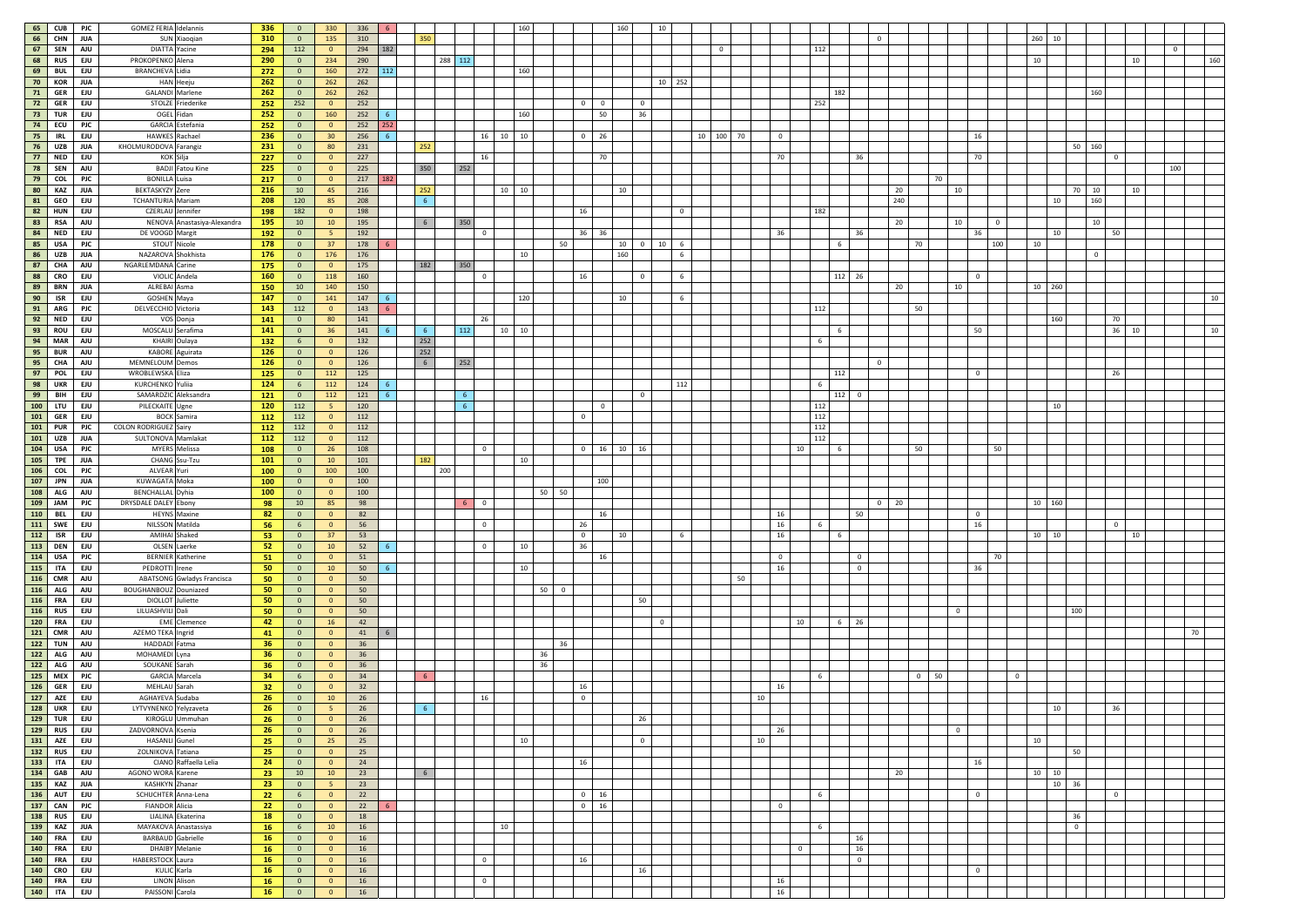| 65<br><b>CUB</b><br>PJC           | <b>GOMEZ FERIA Idelannis</b>      | 336 | $\overline{0}$          | 330             | 336    |       |                 |                |                | 160    |                | 160            | 10                   |                |           |    |                |         |                 |                |     |              |                |                |        |                |              |       |         |        |
|-----------------------------------|-----------------------------------|-----|-------------------------|-----------------|--------|-------|-----------------|----------------|----------------|--------|----------------|----------------|----------------------|----------------|-----------|----|----------------|---------|-----------------|----------------|-----|--------------|----------------|----------------|--------|----------------|--------------|-------|---------|--------|
| 66<br>CHN<br><b>JUA</b>           | SUN Xiaoqian                      | 310 | $\overline{0}$          | 135             | 310    |       | 350             |                |                |        |                |                |                      |                |           |    |                |         |                 | $\overline{0}$ |     |              |                |                | 260    | 10             |              |       |         |        |
|                                   |                                   |     |                         |                 |        |       |                 |                |                |        |                |                |                      |                | $\Omega$  |    |                |         |                 |                |     |              |                |                |        |                |              |       | $\circ$ |        |
| 67<br><b>SEN</b><br><b>AJU</b>    | <b>DIATTA Yacine</b>              | 294 | 112                     | $\overline{0}$  | 294    | 182   |                 |                |                |        |                |                |                      |                |           |    |                | 112     |                 |                |     |              |                |                |        |                |              |       |         |        |
| 68<br><b>RUS</b><br>EJU           | PROKOPENKO Alena                  | 290 | $\overline{0}$          | 234             | 290    |       |                 | 288 112        |                |        |                |                |                      |                |           |    |                |         |                 |                |     |              |                |                | 10     |                |              | 10    |         | 160    |
| 69<br><b>BUL</b><br>EJU           | <b>BRANCHEVA</b> Lidia            | 272 | $\overline{0}$          | 160             | 272    | 112   |                 |                |                | 160    |                |                |                      |                |           |    |                |         |                 |                |     |              |                |                |        |                |              |       |         |        |
| 70<br><b>KOR</b><br><b>JUA</b>    | <b>HAN</b> Heeju                  | 262 | $\overline{0}$          | 262             | 262    |       |                 |                |                |        |                |                |                      | 10 252         |           |    |                |         |                 |                |     |              |                |                |        |                |              |       |         |        |
|                                   |                                   |     |                         |                 |        |       |                 |                |                |        |                |                |                      |                |           |    |                |         |                 |                |     |              |                |                |        |                |              |       |         |        |
| 71<br><b>GER</b><br>EJU           | GALANDI Marlene                   | 262 | $\overline{0}$          | 262             | 262    |       |                 |                |                |        |                |                |                      |                |           |    |                |         | 182             |                |     |              |                |                |        |                | 160          |       |         |        |
| 72<br><b>GER</b><br>EJU           | STOLZE Friederike                 | 252 | 252                     | $\overline{0}$  | 252    |       |                 |                |                |        | $\overline{0}$ | $\overline{0}$ | $\overline{0}$       |                |           |    |                | 252     |                 |                |     |              |                |                |        |                |              |       |         |        |
| 73<br><b>TUR</b><br>EJU           | OGEL Fidan                        | 252 | $\overline{0}$          | 160             | 252    | 6.    |                 |                |                | 160    |                | 50             | 36                   |                |           |    |                |         |                 |                |     |              |                |                |        |                |              |       |         |        |
|                                   |                                   |     |                         |                 |        |       |                 |                |                |        |                |                |                      |                |           |    |                |         |                 |                |     |              |                |                |        |                |              |       |         |        |
| 74<br>ECU<br>PJC                  | GARCIA Estefania                  | 252 | $\overline{0}$          | $\mathbf 0$     | 252    | 252   |                 |                |                |        |                |                |                      |                |           |    |                |         |                 |                |     |              |                |                |        |                |              |       |         |        |
| 75<br><b>IRL</b><br><b>EJU</b>    | <b>HAWKES</b> Rachael             | 236 | $\overline{0}$          | 30 <sub>2</sub> | 256    | -6    |                 |                | 16 10          | 10     | $\circ$        | 26             |                      |                | 10 100 70 |    | $\overline{0}$ |         |                 |                |     |              | 16             |                |        |                |              |       |         |        |
| 76<br><b>UZB</b><br><b>JUA</b>    | KHOLMURODOVA Farangiz             | 231 | $\overline{0}$          | 80              | 231    |       | 252             |                |                |        |                |                |                      |                |           |    |                |         |                 |                |     |              |                |                |        |                | 50 160       |       |         |        |
|                                   |                                   |     |                         |                 |        |       |                 |                |                |        |                |                |                      |                |           |    |                |         |                 |                |     |              |                |                |        |                |              |       |         |        |
| 77<br><b>NED</b><br>EJU           | KOK Silja                         | 227 | $\overline{0}$          | $\overline{0}$  | 227    |       |                 |                | 16             |        |                | 70             |                      |                |           |    | 70             |         | 36              |                |     |              | 70             |                |        |                | $\circ$      |       |         |        |
| 78<br><b>SEN</b><br><b>AJU</b>    | <b>BADJI</b> Fatou Kine           | 225 | $\overline{0}$          | $\circ$         | 225    |       | 350             | 252            |                |        |                |                |                      |                |           |    |                |         |                 |                |     |              |                |                |        |                |              |       | 100     |        |
| 79<br>COL<br>PJC                  | <b>BONILLA Luisa</b>              | 217 | $\overline{0}$          | $\overline{0}$  | 217    | 182   |                 |                |                |        |                |                |                      |                |           |    |                |         |                 |                |     | 70           |                |                |        |                |              |       |         |        |
| 80<br><b>KAZ</b>                  | <b>BEKTASKYZY</b> Zere            |     |                         |                 |        |       |                 |                |                | 10 10  |                |                |                      |                |           |    |                |         |                 |                |     |              |                |                |        |                | 70 10        |       |         |        |
| <b>JUA</b>                        |                                   | 216 | 10                      | 45              | 216    |       | 252             |                |                |        |                | 10             |                      |                |           |    |                |         |                 |                | 20  |              | 10             |                |        |                |              | 10    |         |        |
| 81<br>GEO<br><b>EJU</b>           | <b>TCHANTURIA</b> Mariam          | 208 | 120                     | 85              | 208    |       | 6 <sup>1</sup>  |                |                |        |                |                |                      |                |           |    |                |         |                 |                | 240 |              |                |                |        | 10             | 160          |       |         |        |
| 82<br><b>HUN</b><br>EJU           | CZERLAU Jennifer                  | 198 | 182                     | $\circ$         | 198    |       |                 |                |                |        | 16             |                |                      | $\overline{0}$ |           |    |                | 182     |                 |                |     |              |                |                |        |                |              |       |         |        |
| 83<br><b>RSA</b><br>AJU           | NENOVA Anastasiya-Alexandra       | 195 | 10                      | 10              | 195    |       | 6 <sup>1</sup>  | 350            |                |        |                |                |                      |                |           |    |                |         |                 |                | 20  |              | 10             | $\overline{0}$ |        |                | 10           |       |         |        |
|                                   |                                   |     |                         |                 |        |       |                 |                |                |        |                |                |                      |                |           |    |                |         |                 |                |     |              |                |                |        |                |              |       |         |        |
| 84<br><b>NED</b><br>EJU           | DE VOOGD Margit                   | 192 | $\overline{0}$          | 5 <sub>1</sub>  | 192    |       |                 |                | $\mathbf{0}$   |        | 36             | 36             |                      |                |           |    | 36             |         | 36              |                |     |              | 36             |                |        | 10             | 50           |       |         |        |
| 85<br><b>USA</b><br>PJC           | STOUT Nicole                      | 178 | $\overline{0}$          | 37              | 178    |       |                 |                |                |        | 50             | 10             | $\overline{0}$<br>10 | 6              |           |    |                |         | 6               |                | 70  |              |                | 100            | 10     |                |              |       |         |        |
| 86<br><b>UZB</b><br><b>JUA</b>    | NAZAROVA Shokhista                | 176 | $\overline{0}$          | 176             | 176    |       |                 |                |                | 10     |                | 160            |                      | 6              |           |    |                |         |                 |                |     |              |                |                |        |                | $\mathbf{0}$ |       |         |        |
|                                   |                                   |     |                         |                 |        |       |                 |                |                |        |                |                |                      |                |           |    |                |         |                 |                |     |              |                |                |        |                |              |       |         |        |
| 87<br><b>AJU</b><br>CHA           | NGARLEMDANA Carine                | 175 | $\overline{0}$          | $\overline{0}$  | 175    |       | 182             | 350            |                |        |                |                |                      |                |           |    |                |         |                 |                |     |              |                |                |        |                |              |       |         |        |
| 88<br>CRO<br>EJU                  | VIOLIC Andela                     | 160 | $\overline{0}$          | 118             | 160    |       |                 |                | $\circ$        |        | 16             |                | $\circ$              | 6              |           |    |                |         | 112 26          |                |     |              | $\circ$        |                |        |                |              |       |         |        |
| 89<br><b>BRN</b><br><b>JUA</b>    | ALREBAI Asma                      | 150 | 10                      | 140             | 150    |       |                 |                |                |        |                |                |                      |                |           |    |                |         |                 |                | 20  |              | 10             |                | 10 260 |                |              |       |         |        |
| 90<br><b>ISR</b><br><b>EJU</b>    | GOSHEN Maya                       | 147 | $\overline{0}$          | 141             | 147    | 6     |                 |                |                | 120    |                | 10             |                      | 6              |           |    |                |         |                 |                |     |              |                |                |        |                |              |       |         | $10\,$ |
|                                   |                                   |     |                         |                 |        |       |                 |                |                |        |                |                |                      |                |           |    |                |         |                 |                |     |              |                |                |        |                |              |       |         |        |
| 91<br><b>ARG</b><br>PJC           | DELVECCHIO Victoria               | 143 | 112                     | $\overline{0}$  | 143    | 6.    |                 |                |                |        |                |                |                      |                |           |    |                | 112     |                 |                | 50  |              |                |                |        |                |              |       |         |        |
| 92<br><b>NED</b><br>EJU           | VOS Donja                         | 141 | $\circ$                 | 80              | 141    |       |                 |                | 26             |        |                |                |                      |                |           |    |                |         |                 |                |     |              |                |                |        | 160            | 70           |       |         |        |
| 93<br>ROU<br>EJU                  | MOSCALU Serafima                  | 141 | $\overline{0}$          | 36              | 141    |       | 6 <sup>1</sup>  | 112            |                | 10  10 |                |                |                      |                |           |    |                |         | 6               |                |     |              | 50             |                |        |                |              | 36 10 |         | 10     |
|                                   |                                   |     |                         |                 |        |       |                 |                |                |        |                |                |                      |                |           |    |                |         |                 |                |     |              |                |                |        |                |              |       |         |        |
| 94<br><b>AJU</b><br><b>MAR</b>    | KHAIRI Oulaya                     | 132 | $6\overline{6}$         | $\overline{0}$  | 132    |       | 252             |                |                |        |                |                |                      |                |           |    |                | 6       |                 |                |     |              |                |                |        |                |              |       |         |        |
| 95<br><b>BUR</b><br>AJU           | KABORE Aguirata                   | 126 | $\overline{0}$          | $\overline{0}$  | 126    |       | 252             |                |                |        |                |                |                      |                |           |    |                |         |                 |                |     |              |                |                |        |                |              |       |         |        |
| 95<br>CHA<br>AJU                  | MEMNELOUM Demos                   | 126 | $\overline{0}$          | $\overline{0}$  | 126    |       | $6\overline{6}$ | 252            |                |        |                |                |                      |                |           |    |                |         |                 | $\mathbf{0}$   |     |              |                |                |        |                |              |       |         |        |
|                                   |                                   |     |                         |                 |        |       |                 |                |                |        |                |                |                      |                |           |    |                |         |                 |                |     |              |                |                |        |                |              |       |         |        |
| 97<br>POL<br>EJU                  | WROBLEWSKA Eliza                  | 125 | $\overline{0}$          | 112             | 125    |       |                 |                |                |        |                |                |                      |                |           |    |                |         | 112             |                |     |              | $\mathbf{0}$   |                |        |                | 26           |       |         |        |
| 98<br><b>UKR</b><br>EJU           | KURCHENKO Yuliia                  | 124 | 6 <sup>6</sup>          | 112             | 124    | $6-1$ |                 |                |                |        |                |                |                      | 112            |           |    |                | 6       |                 |                |     |              |                |                |        |                |              |       |         |        |
| 99<br>BIH<br>EJU                  | SAMARDZIC Aleksandra              | 121 | $\overline{0}$          | 112             | 121    |       |                 | $6\phantom{1}$ |                |        |                |                | $\circ$              |                |           |    |                |         | $112$ 0         |                |     |              |                |                |        |                |              |       |         |        |
| 100<br>LTU<br>EJU                 | PILECKAITE Ugne                   | 120 | 112                     | 5 <sub>1</sub>  | 120    |       |                 | 6 <sup>1</sup> |                |        |                | $\mathbf{0}$   |                      |                |           |    |                | 112     |                 |                |     |              |                |                |        | 10             |              |       |         |        |
|                                   |                                   |     |                         |                 |        |       |                 |                |                |        |                |                |                      |                |           |    |                |         |                 |                |     |              |                |                |        |                |              |       |         |        |
| 101<br><b>GER</b><br><b>EJU</b>   | <b>BOCK</b> Samira                | 112 | 112                     | $\overline{0}$  | 112    |       |                 |                |                |        | $\overline{0}$ |                |                      |                |           |    |                | 112     |                 |                |     |              |                |                |        |                |              |       |         |        |
| 101<br><b>PUR</b><br>PJC          | COLON RODRIGUEZ Sairy             | 112 | 112                     | $\circ$         | 112    |       |                 |                |                |        |                |                |                      |                |           |    |                | 112     |                 |                |     |              |                |                |        |                |              |       |         |        |
| $101$<br><b>UZB</b><br><b>JUA</b> | SULTONOVA Mamlakat                | 112 | 112                     | $\overline{0}$  | 112    |       |                 |                |                |        |                |                |                      |                |           |    |                | $112\,$ |                 |                |     |              |                |                |        |                |              |       |         |        |
|                                   |                                   |     |                         |                 |        |       |                 |                |                |        |                |                |                      |                |           |    |                |         |                 |                |     |              |                |                |        |                |              |       |         |        |
| 104<br><b>USA</b><br>PJC          | MYERS Melissa                     | 108 | $\overline{0}$          | 26              | 108    |       |                 |                | $\circ$        |        | $\overline{0}$ | $16$ 10        | 16                   |                |           |    | 10             |         | 6               |                | 50  |              |                | 50             |        |                |              |       |         |        |
| 105<br><b>TPE</b><br><b>JUA</b>   | CHANG Ssu-Tzu                     | 101 | $\overline{0}$          | 10              | 101    |       | 182             |                |                | 10     |                |                |                      |                |           |    |                |         |                 |                |     |              |                |                |        |                |              |       |         |        |
| 106<br>COL<br>PJC                 | ALVEAR Yuri                       | 100 | $\overline{0}$          | 100             | 100    |       |                 | 200            |                |        |                |                |                      |                |           |    |                |         |                 |                |     |              |                |                |        |                |              |       |         |        |
|                                   |                                   |     |                         |                 |        |       |                 |                |                |        |                |                |                      |                |           |    |                |         |                 |                |     |              |                |                |        |                |              |       |         |        |
| 107<br><b>JPN</b><br><b>JUA</b>   | KUWAGATA Moka                     | 100 | $\overline{0}$          | $\circ$         | 100    |       |                 |                |                |        |                | 100            |                      |                |           |    |                |         |                 |                |     |              |                |                |        |                |              |       |         |        |
| 108<br><b>ALG</b><br><b>AJU</b>   | <b>BENCHALLAL</b> Dyhia           | 100 | $\overline{0}$          | $\overline{0}$  | 100    |       |                 |                |                |        | 50 50          |                |                      |                |           |    |                |         |                 |                |     |              |                |                |        |                |              |       |         |        |
| 109<br><b>JAM</b><br>PJC          | DRYSDALE DALEY Ebony              | 98  | 10                      | 85              | 98     |       |                 | 6 <sup>1</sup> | $\circ$        |        |                |                |                      |                |           |    |                |         |                 | $\circ$        | 20  |              |                |                | 10 160 |                |              |       |         |        |
|                                   |                                   |     |                         |                 |        |       |                 |                |                |        |                |                |                      |                |           |    |                |         |                 |                |     |              |                |                |        |                |              |       |         |        |
| 110<br><b>BEL</b><br>EJU          | <b>HEYNS</b> Maxine               | 82  | $\overline{0}$          | $\circ$         | 82     |       |                 |                |                |        |                | 16             |                      |                |           |    | 16             |         | 50              |                |     |              | $\overline{0}$ |                |        |                |              |       |         |        |
| 111 SWE<br>EJU                    | NILSSON Matilda                   | 56  | 6 <sup>5</sup>          | $\circ$         | 56     |       |                 |                | $\overline{0}$ |        | 26             |                |                      |                |           |    | 16             | 6       |                 |                |     |              | 16             |                |        |                | $\circ$      |       |         |        |
| 112<br><b>ISR</b><br>EJU          | AMIHAI Shaked                     | 53  | $\overline{0}$          | 37              | 53     |       |                 |                |                |        | $\overline{0}$ | 10             |                      | 6              |           |    | 16             |         | $6\overline{6}$ |                |     |              |                |                | 10 10  |                |              | 10    |         |        |
| 113<br><b>DEN</b><br>EJU          | OLSEN Laerke                      | 52  | $\overline{0}$          | 10              | 52     |       |                 |                | $\circ$        | 10     | 36             |                |                      |                |           |    |                |         |                 |                |     |              |                |                |        |                |              |       |         |        |
|                                   |                                   |     |                         |                 |        |       |                 |                |                |        |                |                |                      |                |           |    |                |         |                 |                |     |              |                |                |        |                |              |       |         |        |
| 114<br><b>USA</b><br>PJC          | <b>BERNIER</b> Katherine          | 51  | $\overline{0}$          | $\overline{0}$  | 51     |       |                 |                |                |        |                | 16             |                      |                |           |    | $\circ$        |         | $\mathbf{0}$    |                |     |              |                | 70             |        |                |              |       |         |        |
| 115<br><b>ITA</b><br><b>EJU</b>   | PEDROTTI Irene                    | 50  | $\overline{0}$          | 10              | 50     | 6.    |                 |                |                | 10     |                |                |                      |                |           |    | 16             |         | $\circ$         |                |     |              | 36             |                |        |                |              |       |         |        |
| 116<br><b>CMR</b><br>AJU          | <b>ABATSONG</b> Gwladys Francisca | 50  | $\overline{0}$          | $\circ$         | 50     |       |                 |                |                |        |                |                |                      |                |           | 50 |                |         |                 |                |     |              |                |                |        |                |              |       |         |        |
|                                   |                                   |     | $\overline{0}$          | $\overline{0}$  | $50\,$ |       |                 |                |                | 50     | $\overline{0}$ |                |                      |                |           |    |                |         |                 |                |     |              |                |                |        |                |              |       |         |        |
| 116<br><b>ALG</b><br>AJU          | BOUGHANBOUZ Douniazed             | 50  |                         |                 |        |       |                 |                |                |        |                |                |                      |                |           |    |                |         |                 |                |     |              |                |                |        |                |              |       |         |        |
| 116<br><b>FRA</b><br>EJU          | DIOLLOT Juliette                  | 50  | $\overline{0}$          | $\mathbf{0}$    | 50     |       |                 |                |                |        |                |                | 50                   |                |           |    |                |         |                 |                |     |              |                |                |        |                |              |       |         |        |
| 116<br><b>RUS</b><br>EJU          | LILUASHVILI Dali                  | 50  | $\overline{0}$          | $\overline{0}$  | 50     |       |                 |                |                |        |                |                |                      |                |           |    |                |         |                 |                |     |              | $\overline{0}$ |                |        | 100            |              |       |         |        |
| 120<br><b>FRA</b><br>EJU          | <b>EME</b> Clemence               | 42  | $\overline{0}$          | 16              | 42     |       |                 |                |                |        |                |                | $^{\circ}$           |                |           |    | 10             |         | $6 \mid 26$     |                |     |              |                |                |        |                |              |       |         |        |
|                                   |                                   |     |                         |                 |        |       |                 |                |                |        |                |                |                      |                |           |    |                |         |                 |                |     |              |                |                |        |                |              |       |         |        |
| 121<br><b>CMR</b><br>AJU          | AZEMO TEKA Ingrid                 | 41  | $\overline{0}$          | $\circ$         | 41     |       |                 |                |                |        |                |                |                      |                |           |    |                |         |                 |                |     |              |                |                |        |                |              |       |         | 70     |
| 122<br><b>TUN</b><br>AJU          | HADDADI Fatma                     | 36  | $\overline{0}$          | $\overline{0}$  | 36     |       |                 |                |                |        | 36             |                |                      |                |           |    |                |         |                 |                |     |              |                |                |        |                |              |       |         |        |
| 122 ALG<br><b>AJU</b>             | MOHAMEDI Lyna                     | 36  | $\overline{0}$          | $\circ$         | 36     |       |                 |                |                | 36     |                |                |                      |                |           |    |                |         |                 |                |     |              |                |                |        |                |              |       |         |        |
| 122<br><b>ALG</b><br>AJU          | SOUKANE Sarah                     | 36  | $\overline{0}$          | $\mathbf{0}$    | 36     |       |                 |                |                | 36     |                |                |                      |                |           |    |                |         |                 |                |     |              |                |                |        |                |              |       |         |        |
|                                   |                                   |     |                         |                 |        |       |                 |                |                |        |                |                |                      |                |           |    |                |         |                 |                |     |              |                |                |        |                |              |       |         |        |
| 125<br><b>MEX</b><br>PJC          | <b>GARCIA</b> Marcela             | 34  | 6 <sup>5</sup>          | $\mathbf{0}$    | 34     |       | 6               |                |                |        |                |                |                      |                |           |    |                | 6       |                 |                |     | $0 \quad 50$ |                | $\overline{0}$ |        |                |              |       |         |        |
| 126<br><b>GER</b><br>EJU          | MEHLAU Sarah                      | 32  | $\overline{0}$          | $\overline{0}$  | 32     |       |                 |                |                |        | 16             |                |                      |                |           |    | 16             |         |                 |                |     |              |                |                |        |                |              |       |         |        |
| 127<br>AZE<br>EJU                 | AGHAYEVA Sudaba                   | 26  | $\overline{0}$          | 10 <sup>°</sup> | 26     |       |                 |                | 16             |        | $\circ$        |                |                      |                |           | 10 |                |         |                 |                |     |              |                |                |        |                |              |       |         |        |
| 128<br><b>UKR</b><br>EJU          | LYTVYNENKO Yelyzaveta             | 26  | $\overline{0}$          | 5 <sub>1</sub>  | 26     |       |                 |                |                |        |                |                |                      |                |           |    |                |         |                 |                |     |              |                |                |        |                |              |       |         |        |
|                                   |                                   |     |                         |                 |        |       | 6 <sub>6</sub>  |                |                |        |                |                |                      |                |           |    |                |         |                 |                |     |              |                |                |        | 10             | 36           |       |         |        |
| 129 TUR<br>EJU                    | KIROGLU Ummuhan                   | 26  | $\overline{0}$          | $\mathbf{0}$    | 26     |       |                 |                |                |        |                |                | $26\phantom{.}$      |                |           |    |                |         |                 |                |     |              |                |                |        |                |              |       |         |        |
| 129 RUS<br>EJU                    | ZADVORNOVA Ksenia                 | 26  | $\overline{0}$          | $\circ$         | 26     |       |                 |                |                |        |                |                |                      |                |           |    | 26             |         |                 |                |     |              | $\circ$        |                |        |                |              |       |         |        |
| 131 AZE<br>EJU                    | HASANLI Gunel                     | 25  | $\overline{\mathbf{0}}$ | 25              | 25     |       |                 |                |                | 10     |                |                | $\mathbf{0}$         |                |           | 10 |                |         |                 |                |     |              |                |                | 10     |                |              |       |         |        |
|                                   |                                   |     |                         |                 |        |       |                 |                |                |        |                |                |                      |                |           |    |                |         |                 |                |     |              |                |                |        |                |              |       |         |        |
| 132 RUS<br>EJU                    | ZOLNIKOVA Tatiana                 | 25  | $\overline{0}$          | $\overline{0}$  | 25     |       |                 |                |                |        |                |                |                      |                |           |    |                |         |                 |                |     |              |                |                |        | 50             |              |       |         |        |
| 133 ITA<br>EJU                    | CIANO Raffaella Lelia             | 24  | $\overline{\mathbf{0}}$ | $\bullet$       | 24     |       |                 |                |                |        | 16             |                |                      |                |           |    |                |         |                 |                |     |              | 16             |                |        |                |              |       |         |        |
| 134 GAB<br><b>AJU</b>             | AGONO WORA Karene                 | 23  | 10                      | 10              | 23     |       | 6 <sup>5</sup>  |                |                |        |                |                |                      |                |           |    |                |         |                 |                | 20  |              |                |                | 10 10  |                |              |       |         |        |
|                                   |                                   |     |                         |                 |        |       |                 |                |                |        |                |                |                      |                |           |    |                |         |                 |                |     |              |                |                |        |                |              |       |         |        |
| 135 KAZ<br><b>JUA</b>             | KASHKYN Zhanar                    | 23  | $\overline{0}$          | 5 <sub>1</sub>  | 23     |       |                 |                |                |        |                |                |                      |                |           |    |                |         |                 |                |     |              |                |                |        | 10 36          |              |       |         |        |
| 136 AUT<br>EJU                    | SCHUCHTER Anna-Lena               | 22  | 6 <sub>1</sub>          | $\circ$         | 22     |       |                 |                |                |        |                | $0 \mid 16$    |                      |                |           |    |                | 6       |                 |                |     |              | $\overline{0}$ |                |        |                | $\mathbf{0}$ |       |         |        |
| 137 CAN<br>PJC                    | FIANDOR Alicia                    | 22  | $\overline{0}$          | $\overline{0}$  | 22     |       |                 |                |                |        |                | $0 \mid 16$    |                      |                |           |    | $\circ$        |         |                 |                |     |              |                |                |        |                |              |       |         |        |
| 138 RUS                           | LIALINA Ekaterina                 |     |                         |                 |        |       |                 |                |                |        |                |                |                      |                |           |    |                |         |                 |                |     |              |                |                |        |                |              |       |         |        |
| EJU                               |                                   | 18  | $\overline{0}$          | $\overline{0}$  | 18     |       |                 |                |                |        |                |                |                      |                |           |    |                |         |                 |                |     |              |                |                |        | 36             |              |       |         |        |
| 139 KAZ<br><b>JUA</b>             | MAYAKOVA Anastassiya              | 16  | 6 <sup>1</sup>          | $10$            | 16     |       |                 |                | 10             |        |                |                |                      |                |           |    |                | 6       |                 |                |     |              |                |                |        | $\overline{0}$ |              |       |         |        |
| 140 FRA<br>EJU                    | <b>BARBAUD</b> Gabrielle          | 16  | $\overline{0}$          | $\overline{0}$  | 16     |       |                 |                |                |        |                |                |                      |                |           |    |                |         | 16              |                |     |              |                |                |        |                |              |       |         |        |
| 140 FRA<br>EJU                    | DHAIBY Melanie                    | 16  | $\overline{0}$          | $\overline{0}$  | 16     |       |                 |                |                |        |                |                |                      |                |           |    | $\circ$        |         | 16              |                |     |              |                |                |        |                |              |       |         |        |
|                                   |                                   |     |                         |                 |        |       |                 |                |                |        |                |                |                      |                |           |    |                |         |                 |                |     |              |                |                |        |                |              |       |         |        |
| 140 FRA<br>EJU                    | HABERSTOCK Laura                  | 16  | $\overline{\mathbf{0}}$ | $\overline{0}$  | 16     |       |                 |                | $\overline{0}$ |        | 16             |                |                      |                |           |    |                |         | $\overline{0}$  |                |     |              |                |                |        |                |              |       |         |        |
| 140 CRO<br>EJU                    | KULIC Karla                       | 16  | $\overline{0}$          | $\overline{0}$  | 16     |       |                 |                |                |        |                |                | $16\,$               |                |           |    |                |         |                 |                |     |              | $\circ$        |                |        |                |              |       |         |        |
| 140 FRA<br>EJU                    | <b>LINON</b> Alison               | 16  | $\overline{0}$          | $\overline{0}$  | 16     |       |                 |                | $\circ$        |        |                |                |                      |                |           |    | 16             |         |                 |                |     |              |                |                |        |                |              |       |         |        |
|                                   |                                   |     |                         |                 |        |       |                 |                |                |        |                |                |                      |                |           |    |                |         |                 |                |     |              |                |                |        |                |              |       |         |        |
| 140 ITA<br>EJU                    | PAISSONI Carola                   | 16  | $\overline{0}$          | $\overline{0}$  | 16     |       |                 |                |                |        |                |                |                      |                |           |    | 16             |         |                 |                |     |              |                |                |        |                |              |       |         |        |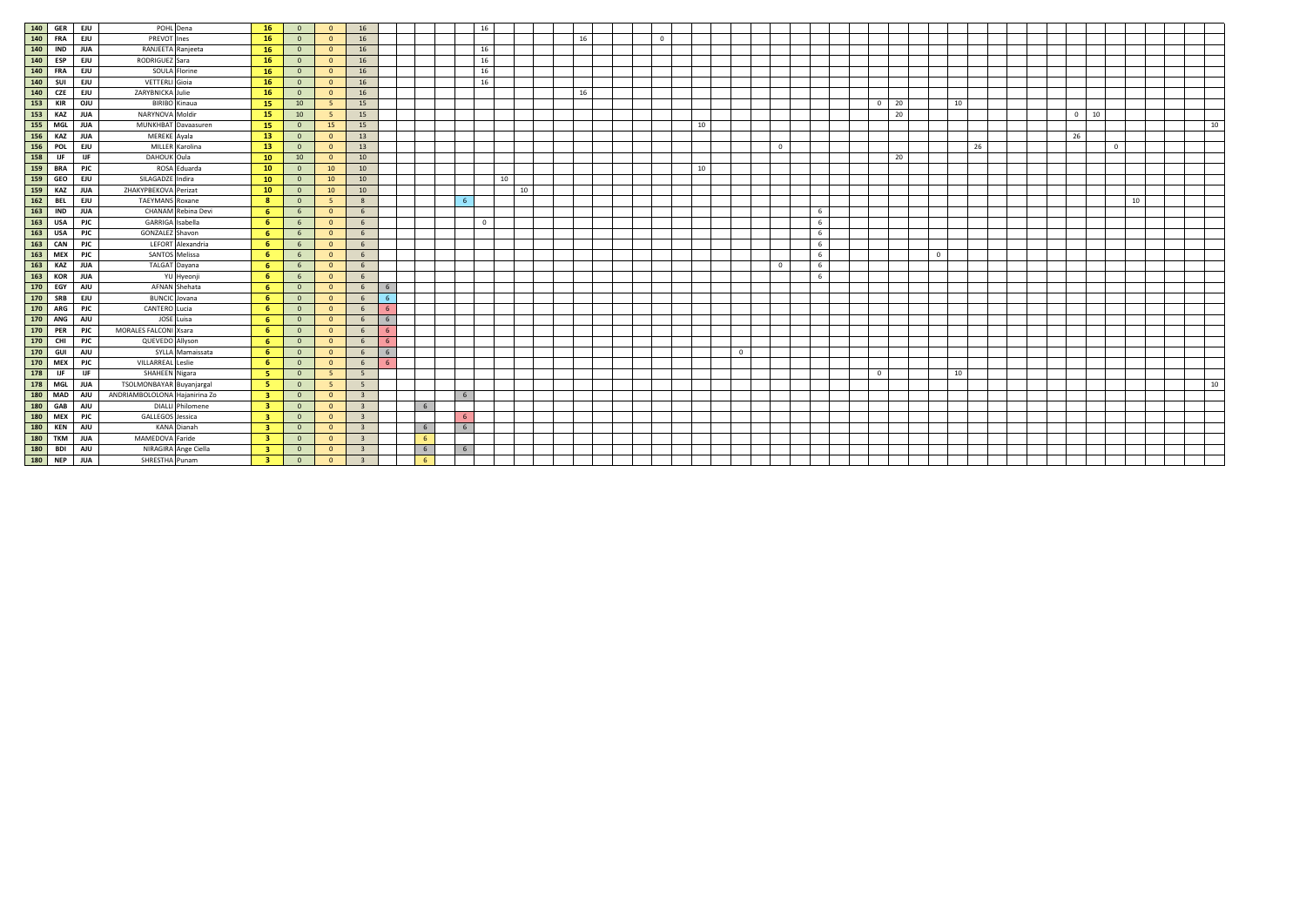| 140               | <b>GER</b> | EJU        | POHL Dena                     |                      | 16 <sup>1</sup>         | $\overline{0}$ | $\overline{0}$ | 16                      |    |                |   | 16             |    |    |  |          |    |                |              |   |                |    |              |    |  |              |                |    |    |
|-------------------|------------|------------|-------------------------------|----------------------|-------------------------|----------------|----------------|-------------------------|----|----------------|---|----------------|----|----|--|----------|----|----------------|--------------|---|----------------|----|--------------|----|--|--------------|----------------|----|----|
| 140               | <b>FRA</b> | EJU        | PREVOT Ines                   |                      | <b>16</b>               | $\overline{0}$ | $\overline{0}$ | 16                      |    |                |   |                |    | 16 |  | $\Omega$ |    |                |              |   |                |    |              |    |  |              |                |    |    |
| 140               | IND        | <b>JUA</b> | RANJEETA Ranjeeta             |                      | 16                      | $\overline{0}$ | $\overline{0}$ | 16                      |    |                |   | 16             |    |    |  |          |    |                |              |   |                |    |              |    |  |              |                |    |    |
| 140               | <b>ESP</b> | EJU        | RODRIGUEZ Sara                |                      | 16                      | $\overline{0}$ | $\overline{0}$ | 16                      |    |                |   | 16             |    |    |  |          |    |                |              |   |                |    |              |    |  |              |                |    |    |
| 140<br><b>FRA</b> |            | EJU        | SOULA Florine                 |                      | 16                      | $\overline{0}$ | $\overline{0}$ | 16                      |    |                |   | 16             |    |    |  |          |    |                |              |   |                |    |              |    |  |              |                |    |    |
| 140               | SUI        | EJU        | VETTERLI Gioia                |                      | 16                      | $\overline{0}$ | $\overline{0}$ | 16                      |    |                |   | 16             |    |    |  |          |    |                |              |   |                |    |              |    |  |              |                |    |    |
| 140               | CZE        | EJU        | ZARYBNICKA Julie              |                      | 16                      | $\mathbf{0}$   | $\overline{0}$ | 16                      |    |                |   |                |    | 16 |  |          |    |                |              |   |                |    |              |    |  |              |                |    |    |
| 153               | <b>KIR</b> | OIU        | BIRIBO Kinaua                 |                      | 15                      | 10             | -5             | 15                      |    |                |   |                |    |    |  |          |    |                |              |   | $0 \mid 20$    |    | 10           |    |  |              |                |    |    |
| 153               | KAZ        | <b>JUA</b> | NARYNOVA Moldir               |                      | 15                      | 10             | -5             | 15                      |    |                |   |                |    |    |  |          |    |                |              |   |                | 20 |              |    |  | $\mathbf{0}$ | 10             |    |    |
| 155               | <b>MGL</b> | <b>JUA</b> | MUNKHBAT Davaasuren           |                      | 15                      | $\mathbf{0}$   | 15             | 15                      |    |                |   |                |    |    |  |          | 10 |                |              |   |                |    |              |    |  |              |                |    | 10 |
| 156               | KAZ        | <b>JUA</b> | MEREKE Ayala                  |                      | 13                      | $\overline{0}$ | $\overline{0}$ | 13                      |    |                |   |                |    |    |  |          |    |                |              |   |                |    |              |    |  | 26           |                |    |    |
| 156               | POL        | EJU        | MILLER Karolina               |                      | 13                      | $\mathbf{0}$   | $\overline{0}$ | 13                      |    |                |   |                |    |    |  |          |    |                | $\mathbf{0}$ |   |                |    |              | 26 |  |              | $\overline{0}$ |    |    |
| 158               | <b>UF</b>  | UF         | DAHOUK Oula                   |                      | 10 <sup>10</sup>        | 10             | $\overline{0}$ | 10                      |    |                |   |                |    |    |  |          |    |                |              |   |                | 20 |              |    |  |              |                |    |    |
| 159               | <b>BRA</b> | <b>PJC</b> |                               | ROSA Eduarda         | 10                      | $\mathbf{0}$   | 10             | 10                      |    |                |   |                |    |    |  |          | 10 |                |              |   |                |    |              |    |  |              |                |    |    |
| 159               | GEO        | EJU        | SILAGADZE Indira              |                      | 10                      | $\overline{0}$ | 10             | 10                      |    |                |   | 10             |    |    |  |          |    |                |              |   |                |    |              |    |  |              |                |    |    |
| 159               | KAZ        | <b>JUA</b> | ZHAKYPBEKOVA Perizat          |                      | 10                      | $\overline{0}$ | 10             | 10 <sup>10</sup>        |    |                |   |                | 10 |    |  |          |    |                |              |   |                |    |              |    |  |              |                |    |    |
| 162               | BEL        | EJU        | <b>TAEYMANS</b> Roxane        |                      | 8                       | $\mathbf{0}$   | -5             | 8                       |    |                | 6 |                |    |    |  |          |    |                |              |   |                |    |              |    |  |              |                | 10 |    |
| 163               | IND        | JUA        |                               | CHANAM Rebina Devi   | -6                      | 6              | $\overline{0}$ | 6                       |    |                |   |                |    |    |  |          |    |                |              | 6 |                |    |              |    |  |              |                |    |    |
| 163               | <b>USA</b> | <b>PJC</b> | GARRIGA Isabella              |                      | -6                      | 6              | $\overline{0}$ | 6                       |    |                |   | $\overline{0}$ |    |    |  |          |    |                |              | 6 |                |    |              |    |  |              |                |    |    |
| 163               | <b>USA</b> | PJC        | GONZALEZ Shavon               |                      | -6                      | 6              | $\overline{0}$ | 6                       |    |                |   |                |    |    |  |          |    |                |              | 6 |                |    |              |    |  |              |                |    |    |
| 163               | CAN        | <b>PJC</b> |                               | LEFORT Alexandria    | -6                      | 6              | $\overline{0}$ | 6                       |    |                |   |                |    |    |  |          |    |                |              | 6 |                |    |              |    |  |              |                |    |    |
| 163<br><b>MEX</b> |            | <b>PJC</b> | SANTOS Melissa                |                      | -6                      | 6              | $\Omega$       | 6                       |    |                |   |                |    |    |  |          |    |                |              | 6 |                |    | $\mathbf{0}$ |    |  |              |                |    |    |
| 163               | KAZ        | <b>JUA</b> | TALGAT Dayana                 |                      | -6                      | -6             | $\Omega$       | 6                       |    |                |   |                |    |    |  |          |    |                | $\circ$      | 6 |                |    |              |    |  |              |                |    |    |
| 163               | KOR        | JUA        |                               | YU Hyeonji           | -6                      | 6              | $\overline{0}$ | 6                       |    |                |   |                |    |    |  |          |    |                |              | 6 |                |    |              |    |  |              |                |    |    |
| 170<br>EGY        |            | AJU        | AFNAN Shehata                 |                      | 6                       | $\overline{0}$ | $\overline{0}$ | 6                       | 6  |                |   |                |    |    |  |          |    |                |              |   |                |    |              |    |  |              |                |    |    |
| 170<br><b>SRB</b> |            | EJU        | <b>BUNCIC</b> Jovana          |                      | 6                       | $\mathbf{0}$   | $\overline{0}$ | 6                       | -6 |                |   |                |    |    |  |          |    |                |              |   |                |    |              |    |  |              |                |    |    |
| 170               | ARG        | <b>PJC</b> | CANTERO Lucia                 |                      | -6                      | $\overline{0}$ | $\overline{0}$ | 6                       | 6  |                |   |                |    |    |  |          |    |                |              |   |                |    |              |    |  |              |                |    |    |
| 170               | ANG        | AJU        | JOSE Luisa                    |                      | -6                      | $\overline{0}$ | $\Omega$       | -6                      | 6  |                |   |                |    |    |  |          |    |                |              |   |                |    |              |    |  |              |                |    |    |
| 170               | PER        | PJC        | MORALES FALCONI Xsara         |                      | -6                      | $\overline{0}$ | $\overline{0}$ | 6                       | 6  |                |   |                |    |    |  |          |    |                |              |   |                |    |              |    |  |              |                |    |    |
| 170               | CHI        | <b>PJC</b> | QUEVEDO Allyson               |                      | -6                      | $\mathbf{0}$   | $\overline{0}$ | 6                       | -6 |                |   |                |    |    |  |          |    |                |              |   |                |    |              |    |  |              |                |    |    |
| 170               | GUI        | AJU        |                               | SYLLA Mamaissata     | 6                       | $\Omega$       | $\Omega$       | 6                       | 6  |                |   |                |    |    |  |          |    | $\overline{0}$ |              |   |                |    |              |    |  |              |                |    |    |
| 170<br><b>MEX</b> |            | <b>PJC</b> | VILLARREAL Leslie             |                      | -6                      | $\overline{0}$ | $\Omega$       | -6                      | -6 |                |   |                |    |    |  |          |    |                |              |   |                |    |              |    |  |              |                |    |    |
| 178               | IJF        | IJF        | SHAHEEN Nigara                |                      | -5                      | $\overline{0}$ | -5.            | -5                      |    |                |   |                |    |    |  |          |    |                |              |   | $\overline{0}$ |    | 10           |    |  |              |                |    |    |
| 178<br><b>MGL</b> |            | <b>JUA</b> | TSOLMONBAYAR Buyanjargal      |                      | -51                     | $\overline{0}$ | -5             | 5 <sup>5</sup>          |    |                |   |                |    |    |  |          |    |                |              |   |                |    |              |    |  |              |                |    | 10 |
| 180               | MAD        | AJU        | ANDRIAMBOLOLONA Hajanirina Zo |                      | -3                      | $\overline{0}$ | $\overline{0}$ | $\overline{\mathbf{3}}$ |    |                | 6 |                |    |    |  |          |    |                |              |   |                |    |              |    |  |              |                |    |    |
| 180               | GAB        | AJU        |                               | DIALLI Philomene     | 3 <sup>1</sup>          | $\overline{0}$ | $\overline{0}$ | $\overline{\mathbf{3}}$ |    | 6 <sup>5</sup> |   |                |    |    |  |          |    |                |              |   |                |    |              |    |  |              |                |    |    |
| 180               | <b>MEX</b> | <b>PJC</b> | GALLEGOS Jessica              |                      | 3 <sup>1</sup>          | $\mathbf{0}$   | $\overline{0}$ | $\overline{3}$          |    |                | 6 |                |    |    |  |          |    |                |              |   |                |    |              |    |  |              |                |    |    |
| 180               | KEN        | AJU        | KANA Dianah                   |                      | -3                      | $\Omega$       | $\Omega$       | $\overline{3}$          |    | 6 <sup>5</sup> | 6 |                |    |    |  |          |    |                |              |   |                |    |              |    |  |              |                |    |    |
| 180<br><b>TKM</b> |            | <b>JUA</b> | MAMEDOVA Faride               |                      | 3 <sup>7</sup>          | $\mathbf{0}$   | $\Omega$       | $\overline{\mathbf{3}}$ |    | 6              |   |                |    |    |  |          |    |                |              |   |                |    |              |    |  |              |                |    |    |
| 180               | BDI        | AJU        |                               | NIRAGIRA Ange Ciella | $\overline{\mathbf{3}}$ | $\overline{0}$ | $\Omega$       | $\overline{\mathbf{3}}$ |    | 6 <sup>1</sup> | 6 |                |    |    |  |          |    |                |              |   |                |    |              |    |  |              |                |    |    |
| 180               | <b>NEP</b> | <b>JUA</b> | SHRESTHA Punam                |                      | -3                      | $\overline{0}$ | $\overline{0}$ | $\overline{3}$          |    | 6 <sup>1</sup> |   |                |    |    |  |          |    |                |              |   |                |    |              |    |  |              |                |    |    |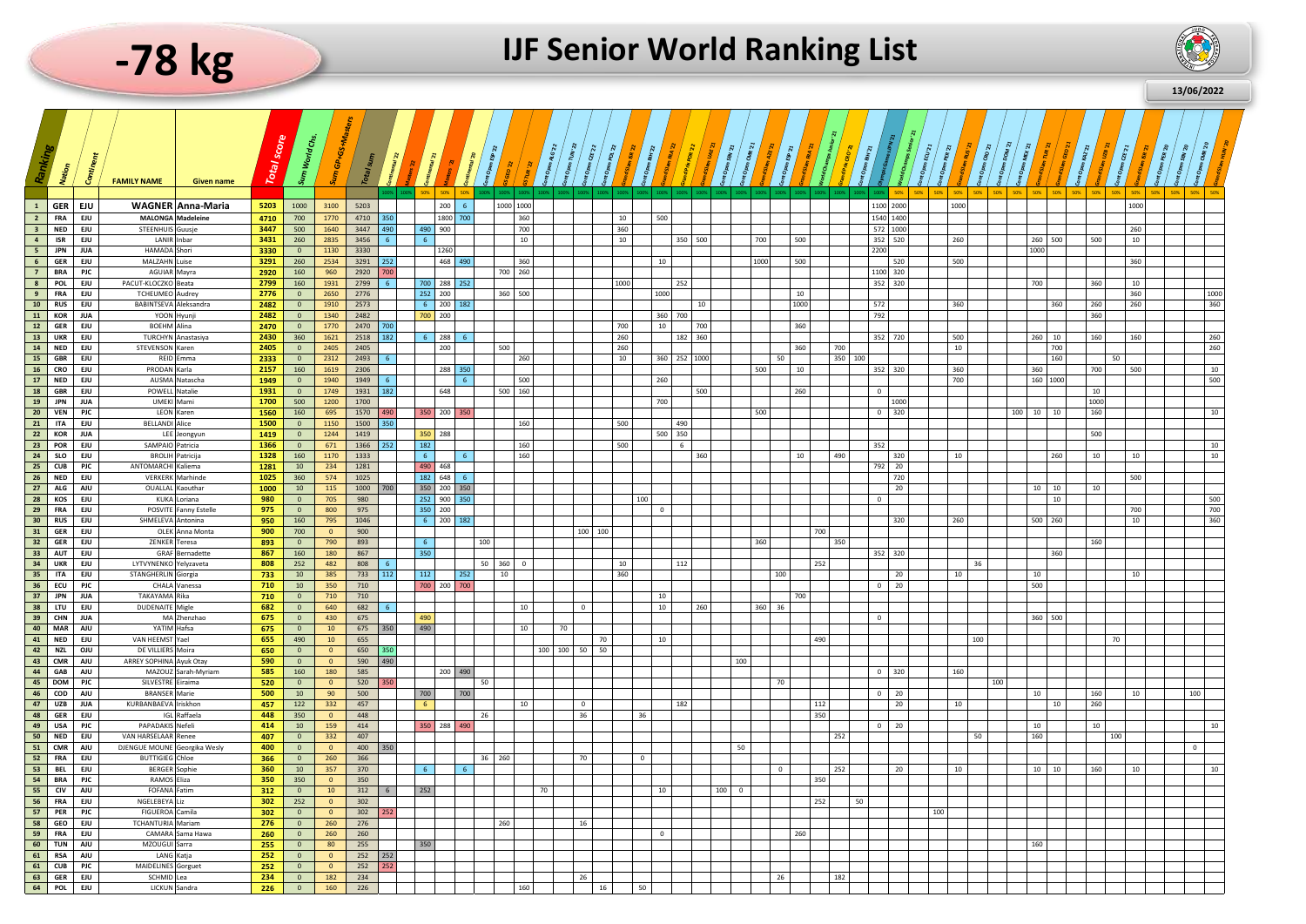# **-78 kg**

#### **IJF Senior World Ranking List**



**13/06/2022**

**Ranking Nation Continent FAMILY NAME Given name** *To***<sub>s</sub>** *To***<sub>n</sub>** *S***<sub>S</sub></del> Sum World Chs. Sum GP+GS+Masters Total sum Continental '22 Masters '22 Continental '21 Masters '21 Continental '20 Cont Open ESP '22 GS GEO '22 GS TUR '22** Cont Open ALG '22 **Cont Open TUN '22 Cont Open CZE '22 Cont Open POL '22 Grand Slam ISR '22 Cont Open BIH '22 Grand Slam FRA '22 Grand Prix POR '22 Grand Slam UAE '21 Cont Open SEN '21 Cont Open CMR '21 Grand Slam AZE '21 Cont Open ESP '21 Grand Slam FRA '21 World Champs Junior '21 Grand Prix CRO '21 Cont Open BIH '21** Olympic Games *PW*<sub>21</sub> **World Champs Senior '21 Cont Open ECU '21 Cont Open PER '21 Grand Slam RUS '21 Cont Open CRO '21 Cont Open DOM '21 Cont Open MEX '21 Grand Slam TUR '21 Grand Slam GEO '21 Cont Open KAZ '21 Grand Slam UZB '21 Cont Open CZE '21 Grand Slam ISR '21 Cont Open PER '20 Cont Open SEN '20 Cont Open CMR '20 Grand Slam HUN '20 0%** 100% 100% 50% 50% 50% 100% 100% 100% 100% 100% 100% 100% 100% 100% 100% 100% 100% 100% 100% 100% 100% 100% 100% 100% 100% 100% 50% 50% 50% 50% 50% 50% 50% 50% 50% 50% 50% 50% 50% 50% 50% 50% 50% **1 GER EJU WAGNER Anna-Maria 5203** 1000 3100 5203 200 6 1000 1000 1100 2000 1000 1000 **2 FRA EJU MALONGA Madeleine 4710** 700 1770 4710 350 1800 700 360 10 500 1540 1400 **3 NED EJU** STEENHUIS Guusje **3447** 500 1640 3447 490 490 900 700 360 572 1000 260 **4 ISR EJU** LANIR Inbar **3431** 260 2835 3456 6 6 10 10 350 500 700 500 352 520 260 260 500 500 10 **5 JPN JUA** HAMADA Shori **3330** 0 1130 3330 1260 2200 1000 **6 GER EJU** MALZAHN Luise **3291** 260 2534 3291 252 468 490 360 10 1000 500 520 500 360 **7 BRA PJC** AGUIAR Mayra **2920** 160 960 2920 700 700 260 1100 320 **8 POL EJU** PACUT-KLOCZKO Beata **2799** 160 1931 2799 6 700 288 252 1000 252 352 320 700 360 10 **9 FRA EJU** TCHEUMEO Audrey **2776** 0 2650 2776 252 200 360 500 1000 10 360 1000 <mark>10 RUS</mark> EJU BABINTSEVA|Aleksandra <mark>2482 0 1910 2573 1 6 200 182 1 1 1 1 1 1 10 1 10 1 1000 1 572 1 360 1 360 1 360 260 1260 1 360</mark> **11 KOR JUA** YOON Hyunji **2482** 0 1340 2482 700 200 360 700 792 360 **12 GER EJU** BOEHM Alina **2470** 0 1770 2470 700 700 10 700 360 **13 UKR EJU** TURCHYN Anastasiya **2430** 360 1621 2518 182 6 288 6 260 182 360 352 720 500 260 10 160 160 260 **14 NED EJU** STEVENSON Karen **2405** 0 2405 2405 200 500 260 360 700 10 700 260 **15 GBR EJU** REID Emma **2333** 0 2312 2493 6 260 10 360 252 1000 50 350 100 160 50 **16 CRO EJU** PRODAN Karla **2157** 160 1619 2306 288 350 500 10 352 320 360 360 700 500 10 **17 NED EJU** AUSMA Natascha **1949** 0 1940 1949 6 6 500 260 700 160 1000 500 **18 GBR EJU** POWELL Natalie **1931** 0 1749 1931 182 648 500 160 500 260 0 10 **19 JPN JUA** UMEKI Mami **1700** 500 1200 1700 700 1000 1000 **20 VEN PJC** LEON Karen **1560** 160 695 1570 490 350 200 350 500 0 320 100 10 10 160 10 **21 ITA EJU** BELLANDI Alice **1500** 0 1150 1500 350 160 500 490 **22 KOR JUA** LEE Jeongyun **1419** 0 1244 1419 350 288 500 350 500 **23 POR EJU** SAMPAIO Patricia **1366** 0 671 1366 252 182 160 500 6 352 10 **24 SLO EJU** BROLIH Patricija **1328** 160 1170 1333 6 6 160 360 10 490 320 10 260 10 10 10 **25 CUB PJC** ANTOMARCHI Kaliema **1281** 10 234 1281 490 468 792 20 **26 NED EJU** VERKERK Marhinde **1025** 360 574 1025 182 648 6 720 500 **27 ALG AJU** OUALLAL Kaouthar **1000** 10 115 1000 700 350 200 350 20 10 10 10 **28 KOS EJU** KUKA Loriana **980** 0 705 980 252 900 350 100 0 10 500 **29 FRA EJU** POSVITE Fanny Estelle **975** 0 800 975 350 200 0 700 700 **30 RUS EJU** SHMELEVA Antonina **950** 160 795 1046 6 200 182 320 260 500 260 10 360 **31 GER EJU** OLEK Anna Monta **900** 700 0 900 100 100 700 **32 GER EJU** ZENKER Teresa **893** 0 790 893 6 100 360 350 160 **33 AUT EJU** GRAF Bernadette **867** 160 180 867 350 352 320 360 **34 UKR EJU** LYTVYNENKO Yelyzaveta **808** 252 482 808 6 50 360 0 10 112 252 36 **35 ITA EJU** STANGHERLIN Giorgia **733** 10 385 733 112 112 252 10 360 100 20 10 10 10 **36 ECU PJC** CHALA Vanessa **710** 10 350 710 700 200 700 0 20 500 **37 JPN JUA** TAKAYAMA Rika **710** 0 710 710 10 700 **38 LTU EJU** DUDENAITE Migle **682** 0 640 682 6 10 0 10 260 360 36 **39 CHN JUA** MA Zhenzhao **675** 0 430 675 490 0 360 500 **40 MAR AJU** YATIM Hafsa **675** 0 10 675 350 490 10 70 **41 NED EJU** VAN HEEMST Yael **655** 490 10 655 70 10 490 100 70 **42 NZL | OJU** DE VILLIERS Moira <mark>650 |</mark> 0 | 0 | 650 | 350 | | | | | | | 100 | 100 | 50 | 50 **43 CMR AJU** ARREY SOPHINA Ayuk Otay **590** 0 0 590 490 100 **44 GAB AJU** MAZOUZ Sarah-Myriam **585** 160 180 585 200 490 0 320 160 **45 DOM PJC** SILVESTRE Eiraima **520** 0 0 520 350 50 70 100 **46 COD AJU** BRANSER Marie **500** 10 90 500 700 700 0 20 10 160 10 100 **47 UZB JUA** KURBANBAEVA Iriskhon **457** 122 332 457 6 10 0 182 112 20 10 10 260 **48 GER EJU** IGL Raffaela **448** 350 0 448 26 36 36 350 **49 USA PJC** PAPADAKIS Nefeli **414** 10 159 414 350 288 490 0 20 10 10 10 **50 NED EJU** VAN HARSELAAR Renee **407** 0 332 407 252 50 160 100 **51 CMR AJU** DJENGUE MOUNE Georgika Wesly **400** 0 0 400 350 50 0 **52 FRA EJU** BUTTIGIEG Chloe **366** 0 260 366 36 260 70 0 **53 BEL EJU** BERGER Sophie **360** 10 357 370 6 6 0 252 20 10 10 10 160 10 10 **54 BRA PJC** RAMOS Eliza **350** 350 0 350 350 **55 CIV AJU** FOFANA Fatim **312** 0 10 312 6 252 70 10 100 0 **56 FRA EJU** NGELEBEYA Liz **302** 252 0 302 252 50 **57 PER PJC** FIGUEROA Camila **302** 0 0 302 252 100 **58 GEO** | EJU | TCHANTURIA Mariam | <mark>276 |</mark> 0 | 260 | 276 | | | | | | | | | | | | | | | 16 **59 FRA EJU** CAMARA Sama Hawa **260** 0 260 260 0 260 **60 TUN AJU** MZOUGUI Sarra **255** 0 80 255 350 160 **61 RSA AJU** LANG Katja **252** 0 0 252<br>**61 CUB PIC** MAIDELINES Gorpuet 252 0 0 252 **61 CUB PJC MAIDELINES** Gorguet **252** 0 0 252<br> **63 GER** EJU SCHMID Lea 234 0 182 234 **63 GER EJU** SCHMID Lea **234** 0 182 234 26 26 182 **64 POL EJU** LICKUN Sandra **226** 0 160 226 1 1 1 1 160 160 160 160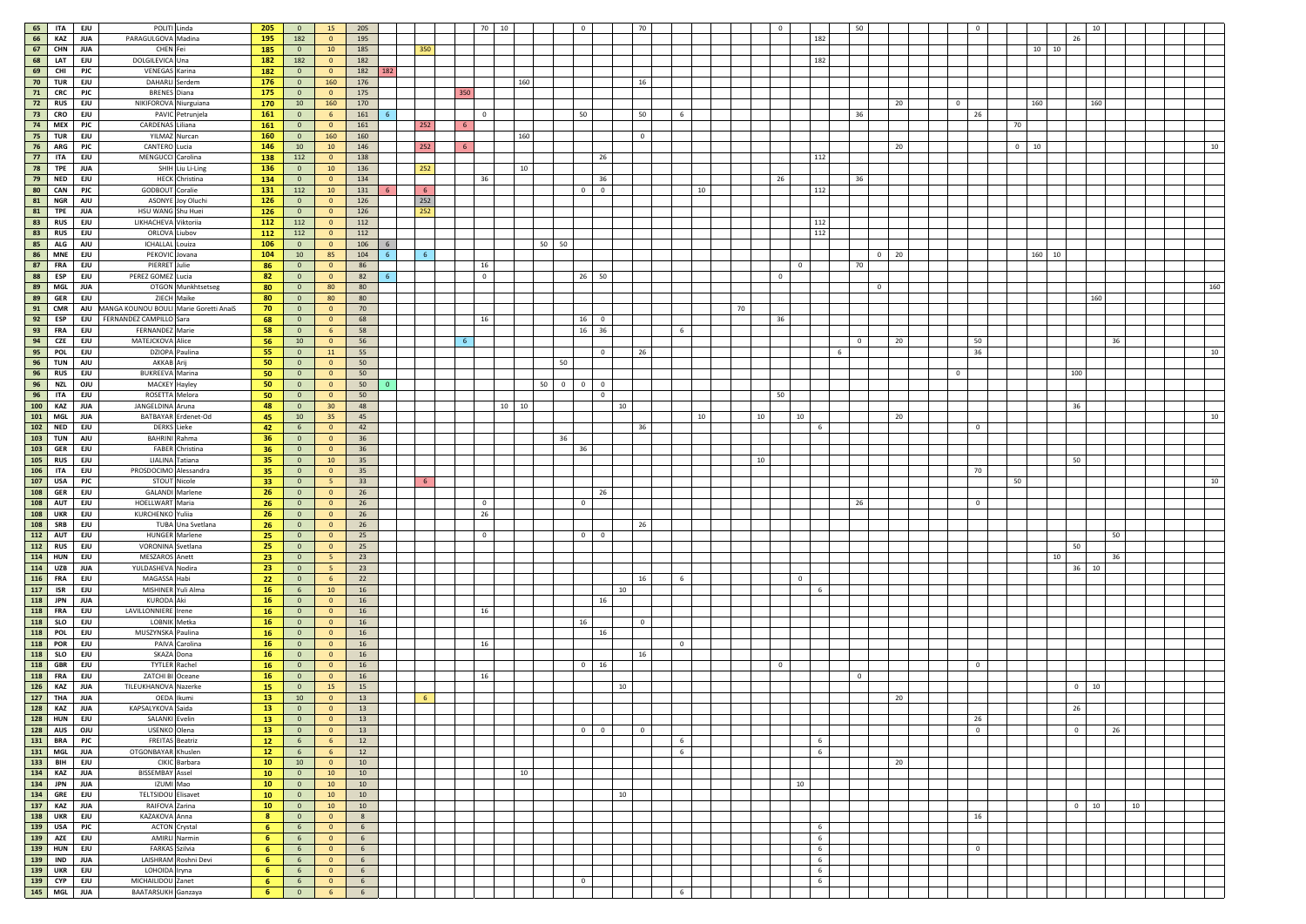| 65         | <b>ITA</b><br>EJU                             | POLITI Linda                               | 205                 | $\overline{0}$                   | 15                               | 205                               |                |                |                | 70 10        |       | $\Omega$                 |                | 70             |                 |    |    | $\Omega$       |     | 50         |              | $\Omega$           |                      |                | 10           |    |     |
|------------|-----------------------------------------------|--------------------------------------------|---------------------|----------------------------------|----------------------------------|-----------------------------------|----------------|----------------|----------------|--------------|-------|--------------------------|----------------|----------------|-----------------|----|----|----------------|-----|------------|--------------|--------------------|----------------------|----------------|--------------|----|-----|
| 66         | KAZ<br><b>JUA</b>                             | PARAGULGOVA Madina                         | 195                 | 182                              | $\overline{0}$                   | 195                               |                |                |                |              |       |                          |                |                |                 |    |    |                | 182 |            |              |                    |                      | 26             |              |    |     |
| 67         | CHN<br><b>JUA</b>                             | CHEN Fei                                   | 185                 | $\overline{0}$                   | 10                               | 185                               |                | 350            |                |              |       |                          |                |                |                 |    |    |                |     |            |              |                    | $10 \mid 10$         |                |              |    |     |
| 68         | LAT<br>EJU                                    | DOLGILEVICA Una                            | 182                 | 182                              | $\overline{0}$                   | 182                               |                |                |                |              |       |                          |                |                |                 |    |    |                | 182 |            |              |                    |                      |                |              |    |     |
| 69         |                                               |                                            | 182                 |                                  |                                  |                                   |                |                |                |              |       |                          |                |                |                 |    |    |                |     |            |              |                    |                      |                |              |    |     |
| 70         | CHI<br>PJC<br><b>TUR</b><br>EJU               | VENEGAS Karina<br>DAHARLI Serdem           | 176                 | $\overline{0}$<br>$\overline{0}$ | $\overline{0}$<br>160            | 182<br>176                        |                |                |                |              | 160   |                          |                | 16             |                 |    |    |                |     |            |              |                    |                      |                |              |    |     |
|            | <b>CRC</b><br><b>PJC</b>                      | <b>BRENES</b> Diana                        |                     | $\overline{0}$                   | $\overline{0}$                   | 175                               |                |                |                |              |       |                          |                |                |                 |    |    |                |     |            |              |                    |                      |                |              |    |     |
| 71         |                                               |                                            | 175                 |                                  |                                  |                                   |                |                | 350            |              |       |                          |                |                |                 |    |    |                |     |            |              |                    |                      |                |              |    |     |
| 72         | <b>RUS</b><br>EJU<br>CRO                      | NIKIFOROVA Niurguiana                      | 170                 | 10<br>$\mathbf 0$                | 160<br>6                         | 170<br>161                        |                |                |                | $\circ$      |       | 50                       |                | 50             | 6               |    |    |                |     | 36         | 20           | $\mathbf{0}$<br>26 | 160                  |                | 160          |    |     |
| 73         | EJU                                           | PAVIC Petrunjela<br>CARDENAS Liliana       | 161                 |                                  |                                  |                                   |                |                |                |              |       |                          |                |                |                 |    |    |                |     |            |              |                    |                      |                |              |    |     |
| 74         | <b>MEX</b><br>PJC                             |                                            | 161                 | $\overline{0}$                   | $\overline{0}$                   | 161                               |                | 252            | 6              |              |       |                          |                |                |                 |    |    |                |     |            |              |                    | 70                   |                |              |    |     |
| 75         | <b>TUR</b><br>EJU                             | YILMAZ Nurcan                              | 160                 | $\overline{0}$                   | 160                              | 160                               |                |                |                |              | 160   |                          |                | $\overline{0}$ |                 |    |    |                |     |            |              |                    |                      |                |              |    |     |
| 76         | ARG<br>PJC                                    | CANTERO Lucia                              | 146                 | $10\,$                           | $10\,$                           | 146                               |                | 252            | 6              |              |       |                          |                |                |                 |    |    |                |     |            | 20           |                    | 10<br>$\overline{0}$ |                |              |    | 10  |
| 77         | <b>ITA</b><br>EJU                             | MENGUCCI Carolina                          | 138                 | 112                              | $\overline{0}$                   | 138                               |                |                |                |              |       |                          | 26             |                |                 |    |    |                | 112 |            |              |                    |                      |                |              |    |     |
| 78         | <b>TPE</b><br><b>JUA</b>                      | SHIH Liu Li-Ling                           | 136                 | $\overline{0}$                   | 10                               | 136                               |                | 252            |                |              | 10    |                          |                |                |                 |    |    |                |     |            |              |                    |                      |                |              |    |     |
| 79         | <b>NED</b><br>EJU                             | <b>HECK</b> Christina                      | 134                 | $\overline{0}$                   | $\overline{0}$                   | 134                               |                |                |                | 36           |       |                          | 36             |                |                 |    |    | 26             |     | 36         |              |                    |                      |                |              |    |     |
| 80         | CAN<br>PJC                                    | GODBOUT Coralie                            | 131                 | 112                              | 10                               | 131                               |                | 6 <sup>5</sup> |                |              |       | $\overline{0}$           | $\circ$        |                |                 | 10 |    |                | 112 |            |              |                    |                      |                |              |    |     |
| 81         | <b>NGR</b><br><b>AJU</b>                      | ASONYE Joy Oluchi                          | 126                 | $\overline{0}$                   | $\overline{0}$                   | 126                               |                | 252            |                |              |       |                          |                |                |                 |    |    |                |     |            |              |                    |                      |                |              |    |     |
| 81         | <b>TPE</b><br><b>JUA</b>                      | HSU WANG Shu Huei                          | 126                 | $\overline{0}$                   | $\overline{0}$                   | 126                               |                | 252            |                |              |       |                          |                |                |                 |    |    |                |     |            |              |                    |                      |                |              |    |     |
| 83         | <b>RUS</b><br>EJU                             | LIKHACHEVA Viktoriia                       | 112                 | 112                              | $\overline{0}$                   | 112                               |                |                |                |              |       |                          |                |                |                 |    |    |                | 112 |            |              |                    |                      |                |              |    |     |
| 83         | <b>RUS</b><br>EJU                             | ORLOVA Liubov                              | 112                 | 112                              | $\overline{0}$                   | 112                               |                |                |                |              |       |                          |                |                |                 |    |    |                | 112 |            |              |                    |                      |                |              |    |     |
| 85         | <b>ALG</b><br><b>AJU</b>                      | ICHALLAL Louiza                            | 106                 | $\overline{0}$                   | $\overline{0}$                   | 106                               |                |                |                |              | 50    | 50                       |                |                |                 |    |    |                |     |            |              |                    |                      |                |              |    |     |
| 86         | <b>MNE</b><br>EJU                             | PEKOVIC Jovana                             | 104                 | 10                               | 85                               | 104                               | 6 <sup>1</sup> | 6              |                |              |       |                          |                |                |                 |    |    |                |     |            | $0 \quad 20$ |                    | 160 10               |                |              |    |     |
| 87         | <b>FRA</b><br>EJU                             | PIERRET Julie                              | 86                  | $\overline{0}$                   | $\mathbf{0}$                     | 86                                |                |                |                | 16           |       |                          |                |                |                 |    |    | $^{\circ}$     |     | 70         |              |                    |                      |                |              |    |     |
| 88         | ESP<br>EJU                                    | PEREZ GOMEZ Lucia                          | 82                  | $\overline{0}$                   | $\overline{0}$                   | 82                                | 6.             |                |                | $\circ$      |       |                          | 26 50          |                |                 |    |    | $\overline{0}$ |     |            |              |                    |                      |                |              |    |     |
| 89         | MGL<br><b>JUA</b>                             | OTGON Munkhtsetseg                         | 80                  | $\overline{0}$                   | 80                               | 80                                |                |                |                |              |       |                          |                |                |                 |    |    |                |     |            | $\mathbf{0}$ |                    |                      |                |              |    | 160 |
| 89         | GER<br>EJU                                    | ZIECH Maike                                | 80                  | $\overline{0}$                   | 80                               | 80                                |                |                |                |              |       |                          |                |                |                 |    |    |                |     |            |              |                    |                      |                | 160          |    |     |
| 91         | <b>CMR</b>                                    | AJU MANGA KOUNOU BOULI Marie Goretti AnaiS | 70                  | $\overline{0}$                   | $\overline{0}$                   | 70                                |                |                |                |              |       |                          |                |                |                 |    | 70 |                |     |            |              |                    |                      |                |              |    |     |
| 92         | ESP<br>EJU                                    | FERNANDEZ CAMPILLO Sara                    | 68                  | $\circ$                          | $\mathbf 0$                      | 68                                |                |                |                | 16           |       | 16                       | $\overline{0}$ |                |                 |    |    | 36             |     |            |              |                    |                      |                |              |    |     |
| 93         | <b>FRA</b><br>EJU                             | FERNANDEZ Marie                            | 58                  | $\overline{0}$                   | 6                                | 58                                |                |                |                |              |       | 16                       | 36             |                | 6               |    |    |                |     |            |              |                    |                      |                |              |    |     |
| 94         | CZE<br>EJU                                    | MATEJCKOVA Alice                           | 56                  | 10                               | $\circ$                          | 56                                |                |                | 6 <sup>1</sup> |              |       |                          |                |                |                 |    |    |                |     | $\circ$    | 20           | 50                 |                      |                |              | 36 |     |
| 95         | POL<br>EJU                                    | DZIOPA Paulina                             | 55                  | $\overline{0}$                   | 11                               | 55                                |                |                |                |              |       |                          | $\mathbf{0}$   | 26             |                 |    |    |                |     | 6          |              | 36                 |                      |                |              |    | 10  |
| 96         | <b>TUN</b><br><b>AJU</b>                      | AKKAB Arij                                 | 50                  | $\overline{0}$                   | $\overline{0}$                   | 50                                |                |                |                |              |       | 50                       |                |                |                 |    |    |                |     |            |              |                    |                      |                |              |    |     |
| 96         | <b>RUS</b><br>EJU                             | <b>BUKREEVA</b> Marina                     | 50                  | $\overline{0}$                   | $\overline{0}$                   | 50                                |                |                |                |              |       |                          |                |                |                 |    |    |                |     |            |              | $\overline{0}$     |                      | 100            |              |    |     |
| 96         | <b>NZL</b><br>OJU                             | MACKEY Hayley                              | 50                  | $\overline{0}$                   | $\mathbf 0$                      | $50\,$                            | $\Omega$       |                |                |              |       | $50$ 0<br>$\overline{0}$ | $\circ$        |                |                 |    |    |                |     |            |              |                    |                      |                |              |    |     |
| 96         | <b>ITA</b><br>EJU                             | ROSETTA Melora                             | 50                  | $\overline{0}$                   | $\mathbf{0}$                     | 50                                |                |                |                |              |       |                          | $\circ$        |                |                 |    |    | 50             |     |            |              |                    |                      |                |              |    |     |
| 100        | KAZ<br><b>JUA</b>                             | JANGELDINA Aruna                           | 48                  | $\overline{0}$                   | 30 <sup>2</sup>                  | 48                                |                |                |                |              | 10 10 |                          | 10             |                |                 |    |    |                |     |            |              |                    |                      | 36             |              |    |     |
| 101        | <b>MGL</b><br><b>JUA</b>                      | BATBAYAR Erdenet-Od                        | 45                  | $10\,$                           | 35                               | 45                                |                |                |                |              |       |                          |                |                |                 | 10 | 10 | 10             |     |            | 20           |                    |                      |                |              |    | 10  |
| 102        | <b>NED</b><br><b>EJU</b>                      | <b>DERKS</b> Lieke                         | 42                  | $6\overline{6}$                  | $\mathbf{0}$                     | 42                                |                |                |                |              |       |                          |                | 36             |                 |    |    |                | 6   |            |              | $\mathbf{0}$       |                      |                |              |    |     |
| 103        | <b>TUN</b><br><b>AJU</b>                      | <b>BAHRINI</b> Rahma                       | 36                  | $\overline{0}$                   | $\overline{0}$                   | 36                                |                |                |                |              |       | 36                       |                |                |                 |    |    |                |     |            |              |                    |                      |                |              |    |     |
| 103        | <b>GER</b><br>EJU                             | FABER Christina                            | 36                  | $\mathbf 0$                      | $\mathbf{0}$                     | 36                                |                |                |                |              |       | 36                       |                |                |                 |    |    |                |     |            |              |                    |                      |                |              |    |     |
| 105        | <b>RUS</b><br>EJU                             | LIALINA Tatiana                            | 35                  | $\overline{0}$                   | 10 <sup>°</sup>                  | 35                                |                |                |                |              |       |                          |                |                |                 |    | 10 |                |     |            |              |                    |                      | 50             |              |    |     |
| 106        | <b>ITA</b><br>EJU                             | PROSDOCIMO Alessandra                      | 35                  | $\overline{0}$                   | $\overline{0}$                   | 35                                |                |                |                |              |       |                          |                |                |                 |    |    |                |     |            |              | 70                 |                      |                |              |    |     |
| 107        | <b>USA</b><br>PJC                             | STOUT Nicole                               | 33                  | $\overline{0}$                   | 5 <sub>1</sub>                   | 33                                |                | 6 <sup>1</sup> |                |              |       |                          |                |                |                 |    |    |                |     |            |              |                    | 50                   |                |              |    | 10  |
| 108        | GER<br>EJU                                    | <b>GALANDI</b> Marlene                     | 26                  | $\overline{0}$                   | $\circ$                          | 26                                |                |                |                |              |       |                          | 26             |                |                 |    |    |                |     |            |              |                    |                      |                |              |    |     |
| 108        | <b>AUT</b><br>EJU                             | HOELLWART Maria                            | 26                  | $\overline{0}$                   | $\overline{0}$                   | 26                                |                |                |                | $\mathbf{0}$ |       | $\mathbf{0}$             |                |                |                 |    |    |                |     | 26         |              | $\mathbf{0}$       |                      |                |              |    |     |
| 108        | <b>UKR</b><br>EJU                             | KURCHENKO Yuliia                           | 26                  | $\overline{0}$                   | $\overline{0}$                   | 26                                |                |                |                | 26           |       |                          |                |                |                 |    |    |                |     |            |              |                    |                      |                |              |    |     |
| 108        | SRB<br>EJU                                    | TUBA Una Svetlana                          | 26                  | $\overline{0}$                   | $\mathbf{0}$                     | 26                                |                |                |                |              |       |                          |                | 26             |                 |    |    |                |     |            |              |                    |                      |                |              |    |     |
| 112        | <b>AUT</b><br>EJU                             | HUNGER Marlene                             | 25                  | $\overline{0}$                   | $\mathbf{0}$                     | 25                                |                |                |                | $\mathbf{0}$ |       | $\circ$                  | $\mathbf{0}$   |                |                 |    |    |                |     |            |              |                    |                      |                |              | 50 |     |
| 112        | <b>RUS</b><br><b>EJU</b>                      | VORONINA Svetlana                          | 25                  | $\overline{\mathbf{0}}$          | $\overline{0}$                   | 25                                |                |                |                |              |       |                          |                |                |                 |    |    |                |     |            |              |                    |                      | 50             |              |    |     |
| 114        | <b>HUN</b><br>EJU                             | MESZAROS Anett                             | 23                  | $\overline{0}$                   |                                  |                                   |                |                |                |              |       |                          |                |                |                 |    |    |                |     |            |              |                    |                      |                |              |    |     |
| 114        | <b>UZB</b><br><b>JUA</b>                      | YULDASHEVA Nodira                          |                     |                                  |                                  |                                   |                |                |                |              |       |                          |                |                |                 |    |    |                |     |            |              |                    |                      |                |              |    |     |
| 116        | <b>FRA</b><br><b>EJU</b>                      |                                            |                     |                                  | 5 <sub>1</sub><br>5              | 23                                |                |                |                |              |       |                          |                |                |                 |    |    |                |     |            |              |                    |                      | 10             |              | 36 |     |
| 117        | <b>ISR</b><br>EJU                             |                                            | 23                  | $\overline{0}$                   |                                  | 23                                |                |                |                |              |       |                          |                |                |                 |    |    |                |     |            |              |                    |                      | 36             | 10           |    |     |
| 118        |                                               | MAGASSA Habi                               | 22                  | $\overline{0}$                   | 6 <sup>1</sup>                   | 22                                |                |                |                |              |       |                          |                | 16             | 6               |    |    | $\circ$        | 6   |            |              |                    |                      |                |              |    |     |
| 118        |                                               | MISHINER Yuli Alma                         | 16                  | $6\overline{6}$<br>$\mathbf{0}$  | 10<br>$\mathbf{0}$               | 16                                |                |                |                |              |       |                          | 10             |                |                 |    |    |                |     |            |              |                    |                      |                |              |    |     |
| 118        | <b>JPN</b><br><b>JUA</b><br><b>FRA</b><br>EJU | KURODA Aki<br>LAVILLONNIERE Irene          | 16<br>16            | $\overline{0}$                   | $\overline{0}$                   | 16<br>16                          |                |                |                | 16           |       |                          | 16             |                |                 |    |    |                |     |            |              |                    |                      |                |              |    |     |
|            | EJU                                           | LOBNIK Metka                               |                     | $\overline{0}$                   | $\overline{0}$                   | 16                                |                |                |                |              |       | 16                       |                | $\overline{0}$ |                 |    |    |                |     |            |              |                    |                      |                |              |    |     |
| 118        | <b>SLO</b><br>POL<br>EJU                      | MUSZYNSKA Paulina                          | 16<br>16            | $\overline{0}$                   | $\overline{0}$                   | 16                                |                |                |                |              |       |                          | 16             |                |                 |    |    |                |     |            |              |                    |                      |                |              |    |     |
| 118        | POR<br>EJU                                    | PAIVA Carolina                             | 16                  | $\overline{0}$                   | $\overline{0}$                   | 16                                |                |                |                | 16           |       |                          |                |                | $\overline{0}$  |    |    |                |     |            |              |                    |                      |                |              |    |     |
|            |                                               |                                            |                     |                                  |                                  |                                   |                |                |                |              |       |                          |                |                |                 |    |    |                |     |            |              |                    |                      |                |              |    |     |
| 118<br>118 | <b>SLO</b><br>EJU<br><b>GBR</b><br>EJU        | SKAZA Dona<br><b>TYTLER</b> Rachel         | 16<br>16            | $\mathbf{0}$<br>$\overline{0}$   | $\mathbf{0}$<br>$\mathbf{0}$     | 16<br>16                          |                |                |                |              |       |                          | $0 \quad 16$   | 16             |                 |    |    | $\circ$        |     |            |              | $\mathbf{0}$       |                      |                |              |    |     |
| 118        | <b>FRA</b><br>EJU                             | ZATCHI BI Oceane                           | 16                  | $\overline{0}$                   | $\mathbf{0}$                     | 16                                |                |                |                | 16           |       |                          |                |                |                 |    |    |                |     | $^{\circ}$ |              |                    |                      |                |              |    |     |
|            | <b>JUA</b>                                    | TILEUKHANOVA Nazerke                       |                     | $\mathbf{0}$                     | 15                               | 15                                |                |                |                |              |       |                          | 10             |                |                 |    |    |                |     |            |              |                    |                      | $\overline{0}$ | 10           |    |     |
| 126<br>127 | KAZ<br>THA<br><b>JUA</b>                      | OEDA Ikumi                                 | 15<br>13            | 10                               | $\mathbf{0}$                     | 13                                |                | 6              |                |              |       |                          |                |                |                 |    |    |                |     |            | 20           |                    |                      |                |              |    |     |
|            |                                               |                                            |                     |                                  |                                  |                                   |                |                |                |              |       |                          |                |                |                 |    |    |                |     |            |              |                    |                      |                |              |    |     |
| 128        | KAZ<br><b>JUA</b>                             | KAPSALYKOVA Saida                          | 13                  | $\mathbf 0$                      | $\overline{0}$                   | 13                                |                |                |                |              |       |                          |                |                |                 |    |    |                |     |            |              |                    |                      | 26             |              |    |     |
|            | <b>128 HUN EJU</b>                            | SALANKI Evelin                             | 13                  | $\overline{\mathbf{0}}$          | $\overline{0}$                   | 13                                |                |                |                |              |       |                          |                |                |                 |    |    |                |     |            |              | 26                 |                      |                |              |    |     |
|            | 128 AUS OJU                                   | USENKO Olena                               | 13                  | $\overline{0}$                   | $\overline{0}$                   | 13                                |                |                |                |              |       | $\overline{0}$           | $\circ$        | $\mathbf 0$    |                 |    |    |                |     |            |              | $\circ$            |                      | $\mathbf{0}$   |              | 26 |     |
| 131        | <b>BRA</b><br><b>PJC</b>                      | <b>FREITAS Beatriz</b>                     | 12                  | $6\overline{6}$                  | 6 <sub>5</sub>                   | 12                                |                |                |                |              |       |                          |                |                | $6\overline{6}$ |    |    |                | 6   |            |              |                    |                      |                |              |    |     |
|            | 131 MGL<br><b>JUA</b>                         | OTGONBAYAR Khuslen                         | $12$                | 6 <sup>1</sup>                   | 6 <sup>5</sup>                   | 12                                |                |                |                |              |       |                          |                |                | $6\overline{6}$ |    |    |                | 6   |            |              |                    |                      |                |              |    |     |
| 133        | BIH<br>EJU                                    | CIKIC Barbara                              | 10                  | 10                               | $\overline{0}$                   | 10                                |                |                |                |              |       |                          |                |                |                 |    |    |                |     |            | 20           |                    |                      |                |              |    |     |
| 134        | <b>KAZ</b><br><b>JUA</b>                      | <b>BISSEMBAY</b> Assel                     | 10                  | $\overline{\mathbf{0}}$          | 10                               | 10                                |                |                |                |              | 10    |                          |                |                |                 |    |    |                |     |            |              |                    |                      |                |              |    |     |
| 134        | <b>JPN</b><br><b>JUA</b>                      | IZUMI Mao                                  | ${\bf 10}$          | $\overline{0}$                   | $10$                             | 10                                |                |                |                |              |       |                          |                |                |                 |    |    | 10             |     |            |              |                    |                      |                |              |    |     |
| 134        | EJU<br>GRE                                    | TELTSIDOU Elisavet                         | 10                  | $\overline{0}$                   | 10                               | 10                                |                |                |                |              |       |                          | 10             |                |                 |    |    |                |     |            |              |                    |                      |                |              |    |     |
| 137        | KAZ JUA                                       | RAIFOVA Zarina                             | 10                  | $\overline{0}$                   | 10                               | 10                                |                |                |                |              |       |                          |                |                |                 |    |    |                |     |            |              |                    |                      |                | $0 \quad 10$ | 10 |     |
| 138        | <b>UKR</b><br>EJU                             | KAZAKOVA Anna                              | $\mathbf{8}$        | $\overline{\mathbf{0}}$          | $\overline{0}$                   | 8                                 |                |                |                |              |       |                          |                |                |                 |    |    |                |     |            |              | 16                 |                      |                |              |    |     |
| 139        | <b>USA</b><br>PJC                             | <b>ACTON</b> Crystal                       | 6                   | 6 <sup>5</sup>                   | $\overline{0}$                   | 6 <sup>1</sup>                    |                |                |                |              |       |                          |                |                |                 |    |    |                | 6   |            |              |                    |                      |                |              |    |     |
| 139        | AZE<br>EJU                                    | <b>AMIRLI Narmin</b>                       | 6                   | $6\overline{6}$                  | $\bullet$                        | 6 <sup>5</sup>                    |                |                |                |              |       |                          |                |                |                 |    |    |                | 6   |            |              |                    |                      |                |              |    |     |
| 139        | <b>HUN</b><br>EJU                             | <b>FARKAS Szilvia</b>                      | 6                   | 6 <sup>5</sup>                   | $\overline{0}$                   | 6                                 |                |                |                |              |       |                          |                |                |                 |    |    |                | 6   |            |              | $\mathbf{0}$       |                      |                |              |    |     |
| 139        | <b>IND</b><br><b>JUA</b>                      | LAISHRAM Roshni Devi                       | 6                   | 6 <sub>6</sub>                   | $\overline{0}$                   | 6                                 |                |                |                |              |       |                          |                |                |                 |    |    |                | 6   |            |              |                    |                      |                |              |    |     |
| 139        | <b>UKR</b><br>EJU                             | LOHOIDA Iryna                              | 6 <sup>1</sup>      | $6\overline{6}$                  | $\mathbf{0}$                     | 6 <sup>1</sup>                    |                |                |                |              |       |                          |                |                |                 |    |    |                | 6   |            |              |                    |                      |                |              |    |     |
| 139<br>145 | <b>CYP</b><br>EJU<br>MGL JUA                  | MICHAILIDOU Zanet<br>BAATARSUKH Ganzaya    | 6<br>6 <sup>1</sup> | 6<br>$\overline{0}$              | $\overline{0}$<br>$6\phantom{1}$ | 6 <sup>5</sup><br>$6\overline{6}$ |                |                |                |              |       | $\mathbf{0}$             |                |                | 6               |    |    |                | 6   |            |              |                    |                      |                |              |    |     |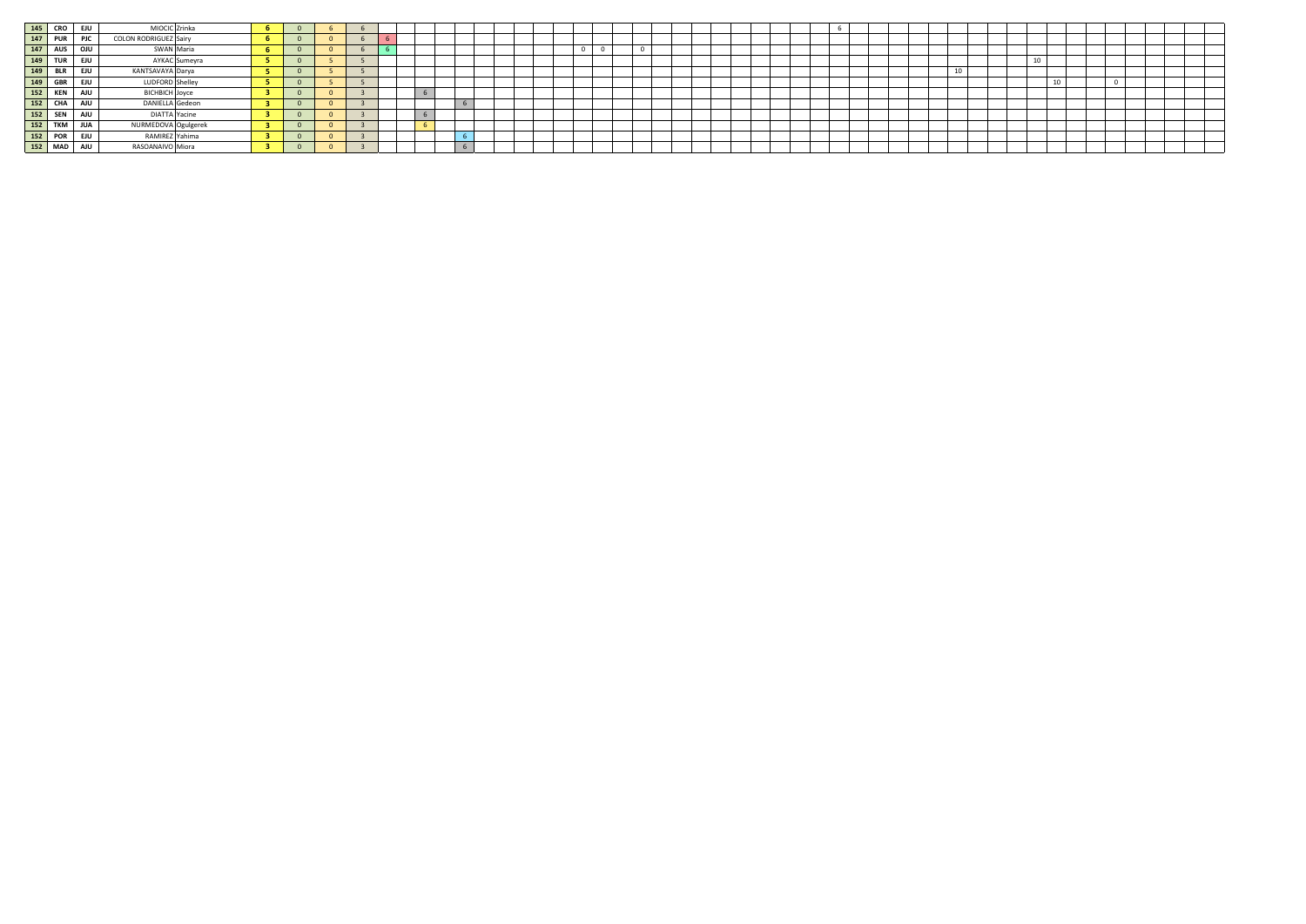|     |                    | EJU        | MIOCIC Zrinka         |            |  |        |  |  |  |  |  |  |  |  |    |  |    |  |  |
|-----|--------------------|------------|-----------------------|------------|--|--------|--|--|--|--|--|--|--|--|----|--|----|--|--|
|     | 145 CRO<br>147 PUR | PJC        | COLON RODRIGUEZ Sairy |            |  |        |  |  |  |  |  |  |  |  |    |  |    |  |  |
| 147 | <b>AUS</b>         | OIU        | SWAN Maria            |            |  |        |  |  |  |  |  |  |  |  |    |  |    |  |  |
| 149 | <b>TUR</b>         | EJU        | AYKAC Sumeyra         |            |  |        |  |  |  |  |  |  |  |  |    |  | 10 |  |  |
| 149 | <b>DID</b><br>יונט | EJU        | KANTSAVAYA Darya      |            |  |        |  |  |  |  |  |  |  |  | 10 |  |    |  |  |
| 149 | <b>GBR</b>         | EJU        | LUDFORD Shelley       |            |  |        |  |  |  |  |  |  |  |  |    |  | 10 |  |  |
| 152 | <b>KEN</b>         | AJU        | BICHBICH Joyce        | $\sqrt{2}$ |  | $\sim$ |  |  |  |  |  |  |  |  |    |  |    |  |  |
| 152 | CHA                | <b>AJU</b> | DANIELLA Gedeon       | $\sqrt{2}$ |  |        |  |  |  |  |  |  |  |  |    |  |    |  |  |
| 152 | SEN                | AJU        | DIATTA Yacine         |            |  |        |  |  |  |  |  |  |  |  |    |  |    |  |  |
| 152 | <b>TKM</b>         | <b>JUA</b> | NURMEDOVA Ogulgerek   |            |  |        |  |  |  |  |  |  |  |  |    |  |    |  |  |
| 152 | POR                | EJU        | RAMIREZ Yahima        |            |  |        |  |  |  |  |  |  |  |  |    |  |    |  |  |
|     | 152 MAD            | AJU        | RASOANAIVO Miora      | $\sim$     |  |        |  |  |  |  |  |  |  |  |    |  |    |  |  |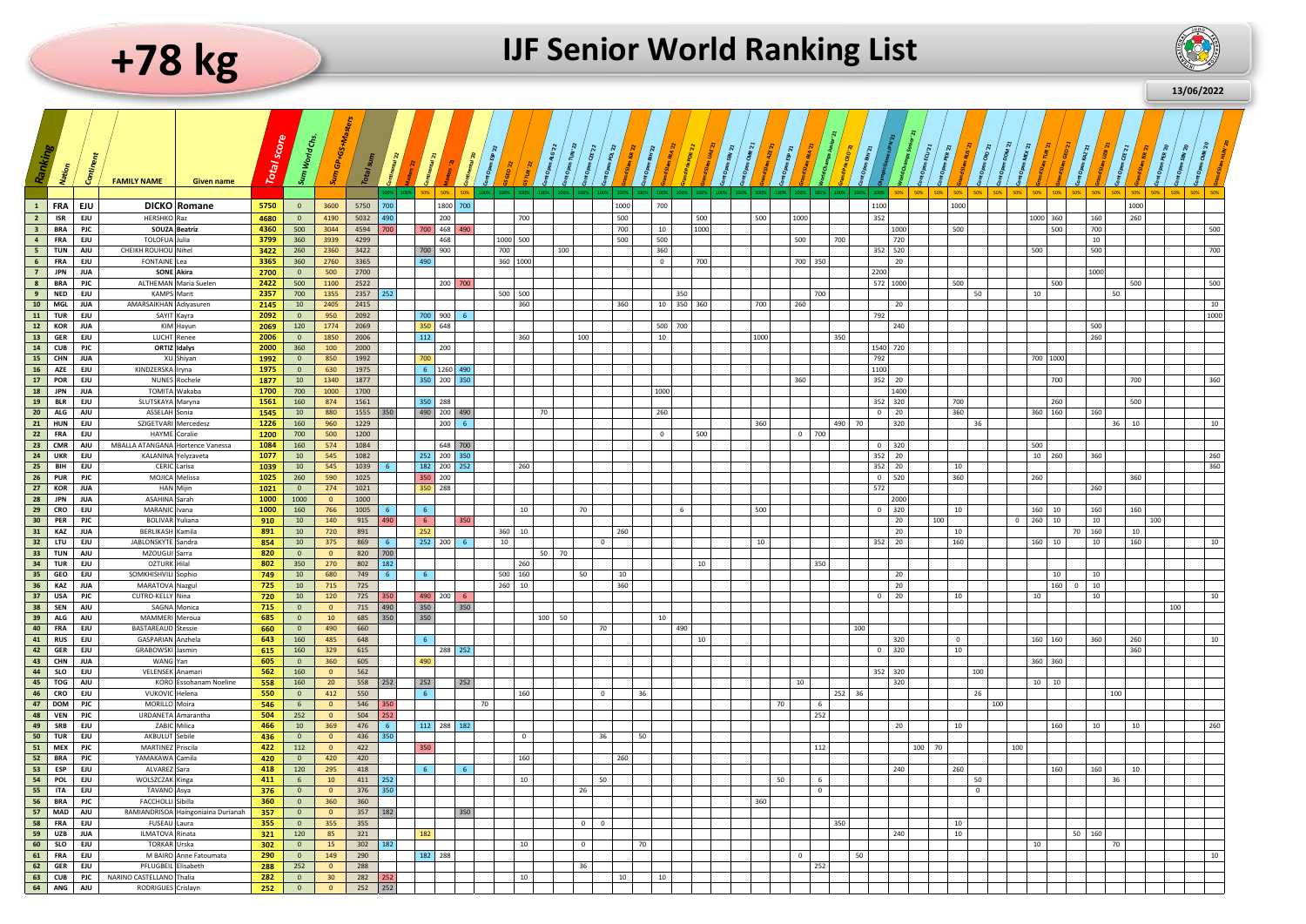# **+78 kg**

### **IJF Senior World Ranking List**



| Ranking                                   | <b>Nation</b>                   | Contin                   | <b>FAMILY NAME</b>                                | <b>Given name</b>                  | otal score        | Sum World Chs.                       | um <sub>GP+GS</sub>                   |                   |                |                       |            | B<br>50%   |                |        | $\alpha$       | $z_{\rm tot}$  | Open Blue   |            | Open Sew 21 | pen CMR '21     | <b>Pen Esp 21</b> |          | <b>Rith</b> 3 |                        | $\frac{1}{2}a$<br>$rac{N}{\sqrt{2}}$<br>50% |                |         | 50%            | Open KAZ 2<br>50% |         |     |     |            |
|-------------------------------------------|---------------------------------|--------------------------|---------------------------------------------------|------------------------------------|-------------------|--------------------------------------|---------------------------------------|-------------------|----------------|-----------------------|------------|------------|----------------|--------|----------------|----------------|-------------|------------|-------------|-----------------|-------------------|----------|---------------|------------------------|---------------------------------------------|----------------|---------|----------------|-------------------|---------|-----|-----|------------|
| $\mathbf{1}$                              | FRA                             | <b>EJU</b>               |                                                   | DICKO Romane                       | 5750              | $\overline{0}$                       | 3600                                  | 5750              | 700            |                       | 1800       | 700        |                |        |                | 1000           | 700         |            |             |                 |                   |          |               | 1100                   | 1000                                        |                |         |                |                   | 1000    |     |     |            |
| $\overline{2}$                            | <b>ISR</b>                      | <b>EJU</b>               | <b>HERSHKO</b> Raz                                |                                    | 4680              | $\overline{0}$                       | 4190                                  | 5032              | 490            |                       | 200        |            | 700            |        |                | 500            |             | 500        |             | 500             | 1000              |          | 352           |                        |                                             |                |         | 360<br>1000    | 160               | 260     |     |     |            |
| 3 <sup>7</sup><br>4                       | <b>BRA</b><br><b>FRA</b>        | PJC<br>EJU               | SOUZA Beatriz<br><b>TOLOFUA</b> Julia             |                                    | 4360<br>3799      | 500<br>360                           | 3044<br>3939                          | 4594<br>4299      | 700            | 700                   | 468<br>468 |            | 1000<br>500    |        |                | 700<br>500     | 10<br>500   | 1000       |             |                 | 500               | 700      |               | 1000<br>720            | 500                                         |                |         | 500            | 700<br>10         |         |     |     | 500        |
| 5 <sub>1</sub>                            | <b>TUN</b>                      | AJU                      | CHEIKH ROUHOU Nihel                               |                                    | 3422              | 260                                  | 2360                                  | 3422              |                | 700 900               |            |            | 700            | 100    |                |                | 360         |            |             |                 |                   |          |               | 352 520                |                                             |                |         | 500            | 500               |         |     |     | 700        |
| 6 <sup>1</sup>                            | <b>FRA</b>                      | EJU                      | FONTAINE Lea                                      |                                    | 3365              | 360                                  | 2760                                  | 3365              |                | 490                   |            |            | 360 1000       |        |                |                | $\mathsf 0$ | 700        |             |                 |                   | 700 350  |               | 20                     |                                             |                |         |                |                   |         |     |     |            |
| 7 <sup>7</sup><br>$\overline{\mathbf{8}}$ | <b>JPN</b><br><b>BRA</b>        | <b>JUA</b><br>PJC        | SONE Akira                                        | <b>ALTHEMAN</b> Maria Suelen       | 2700<br>2422      | $\overline{0}$<br>500                | 500<br>1100                           | 2700<br>2522      |                |                       | 200        | 700        |                |        |                |                |             |            |             |                 |                   |          |               | 2200<br>572 1000       | 500                                         |                |         | 500            | 1000              | 500     |     |     | 500        |
| $\overline{9}$                            | <b>NED</b>                      | EJU                      | KAMPS Marit                                       |                                    | 2357              | 700                                  | 1355                                  | 2357              | 252            |                       |            |            | 500 500        |        |                |                |             | 350        |             |                 |                   | 700      |               |                        |                                             | 50             |         | 10             |                   | 50      |     |     |            |
| 10<br>11                                  | <b>MGL</b><br><b>TUR</b>        | <b>JUA</b><br>EJU        | AMARSAIKHAN Adiyasuren<br>SAYIT Kayra             |                                    | 2145<br>2092      | 10<br>$\overline{0}$                 | 2405<br>950                           | 2415<br>2092      |                | 700 900               |            | 6          | 360            |        |                | 360            |             | 10 350 360 |             | 700             | 260               |          |               | 20<br>792              |                                             |                |         |                |                   |         |     |     | 10<br>1000 |
| 12                                        | KOR                             | <b>JUA</b>               |                                                   | KIM Hayun                          | 2069              | 120                                  | 1774                                  | 2069              |                | 350 648               |            |            |                |        |                |                | 500         | 700        |             |                 |                   |          |               | 240                    |                                             |                |         |                | 500               |         |     |     |            |
| 13                                        | <b>GER</b>                      | <b>EJU</b>               | LUCHT Renee                                       |                                    | 2006              | $\overline{0}$                       | 1850                                  | 2006              |                | 112                   |            |            | 360            |        | 100            |                | 10          |            |             | 1000            |                   | 350      |               |                        |                                             |                |         |                | 260               |         |     |     |            |
| 14<br>15                                  | <b>CUB</b><br>CHN               | PJC<br><b>JUA</b>        | ORTIZ Idalys                                      | XU Shiyan                          | 2000<br>1992      | 360<br>$\overline{0}$                | 100 <sub>1</sub><br>850               | 2000<br>1992      |                | 700                   | 200        |            |                |        |                |                |             |            |             |                 |                   |          | 792           | 1540 720               |                                             |                |         | 700 1000       |                   |         |     |     |            |
| 16                                        | AZE                             | EJU                      | KINDZERSKA Iryna                                  |                                    | 1975              | $\overline{0}$                       | 630                                   | 1975              |                |                       | 6   1260   | 490        |                |        |                |                |             |            |             |                 |                   |          |               | 1100                   |                                             |                |         |                |                   |         |     |     |            |
| 17<br>18                                  | POR<br><b>JPN</b>               | EJU<br><b>JUA</b>        | <b>NUNES</b> Rochele<br><b>TOMITA</b> Wakaba      |                                    | 1877<br>1700      | 10<br>700                            | 1340<br>1000                          | 1877<br>1700      |                | 350 200               |            | 350        |                |        |                |                | 1000        |            |             |                 | 360               |          |               | 352 20<br>1400         |                                             |                |         | 700            |                   | 700     |     |     | 360        |
| 19                                        | <b>BLR</b>                      | EJU                      | SLUTSKAYA Maryna                                  |                                    | 1561              | 160                                  | 874                                   | 1561              |                | 350 288               |            |            |                |        |                |                |             |            |             |                 |                   |          |               | 352 320                | 700                                         |                |         | 260            |                   | 500     |     |     |            |
| 20                                        | <b>ALG</b>                      | AJU                      | ASSELAH Sonia<br>SZIGETVARI Mercedesz             |                                    | 1545<br>1226      | 10                                   | 880                                   | 1555              | 350            | 490 200               | 200        | 490<br>-6  |                | 70     |                |                | 260         |            |             | 360             |                   |          | 490 70        | $\overline{0}$<br>20   | 360                                         | 36             |         | 160<br>360     | 160               | $36$ 10 |     |     | 10         |
| 21<br>22                                  | <b>HUN</b><br><b>FRA</b>        | EJU<br>EJU               | <b>HAYME</b> Coralie                              |                                    | 1200              | 160<br>700                           | 960<br>500                            | 1229<br>1200      |                |                       |            |            |                |        |                |                | $\circ$     | 500        |             |                 | $\overline{0}$    | 700      |               | 320                    |                                             |                |         |                |                   |         |     |     |            |
| 23                                        | CMR                             | AJU                      | MBALLA ATANGANA Hortence Vanessa                  |                                    | 1084              | 160                                  | 574                                   | 1084              |                |                       | 648        | 700        |                |        |                |                |             |            |             |                 |                   |          |               | $0$ 320                |                                             |                |         | 500            |                   |         |     |     |            |
| 24<br>25                                  | <b>UKR</b><br>BIH               | EJU<br>EJU               | KALANINA Yelyzaveta<br>CERIC Larisa               |                                    | 1077<br>1039      | 10<br>10                             | 545<br>545                            | 1082<br>1039      | 6.             | 252 200<br>182 200    |            | 350<br>252 | 260            |        |                |                |             |            |             |                 |                   |          |               | 352<br>20<br>352<br>20 | 10                                          |                |         | $10-10$<br>260 | 360               |         |     |     | 260<br>360 |
| 26                                        | PUR                             | PJC                      | MOJICA Melissa                                    |                                    | 1025              | 260                                  | 590                                   | 1025              |                | 350                   | 200        |            |                |        |                |                |             |            |             |                 |                   |          |               | 520<br>$\overline{0}$  | 360                                         |                |         | 260            |                   | 360     |     |     |            |
| 27<br>28                                  | <b>KOR</b><br><b>JPN</b>        | <b>JUA</b><br><b>JUA</b> | HAN Mijin<br>ASAHINA Sarah                        |                                    | 1021<br>1000      | $\overline{0}$<br>1000               | 274<br>$\bullet$                      | 1021<br>1000      |                | 350 288               |            |            |                |        |                |                |             |            |             |                 |                   |          |               | 572<br>2000            |                                             |                |         |                | 260               |         |     |     |            |
| 29                                        | CRO                             | EJU                      | MARANIC Ivana                                     |                                    | 1000              | 160                                  | 766                                   | 1005              | 6.             | 6                     |            |            | 10             |        | 70             |                |             | 6          |             | 500             |                   |          |               | 320<br>$\circ$         | 10                                          |                |         | 160<br>$10\,$  | 160               | 160     |     |     |            |
| 30<br>31                                  | PER<br><b>KAZ</b>               | PJC<br><b>JUA</b>        | <b>BOLIVAR</b> Yuliana<br><b>BERLIKASH</b> Kamila |                                    | 910<br>891        | 10<br>10                             | 140<br>720                            | 915<br>891        | 490            | 6 <sup>1</sup><br>252 |            | 350        | 360<br>10      |        |                | 260            |             |            |             |                 |                   |          |               | 20<br>20               | 100<br>10                                   |                | $\circ$ | 260<br>$10\,$  | 10<br>70 160      | 10      | 100 |     |            |
| 32                                        | LTU                             | EJU                      | JABLONSKYTE Sandra                                |                                    | 854               | 10                                   | 375                                   | 869               | 6              | 252 200               |            | -6         | 10             |        |                | $\mathbf{0}$   |             |            |             | 10 <sub>1</sub> |                   |          |               | 352 20                 | 160                                         |                |         | 160<br>$10\,$  | 10                | 160     |     |     | 10         |
| 33                                        | <b>TUN</b>                      | <b>AJU</b>               | MZOUGUI Sarra                                     |                                    | 820               | $\overline{0}$                       | $\overline{0}$                        | 820               | 700            |                       |            |            |                | 50 70  |                |                |             |            |             |                 |                   |          |               |                        |                                             |                |         |                |                   |         |     |     |            |
| 34<br>35                                  | <b>TUR</b><br>GEO               | EJU<br>EJU               | OZTURK Hilal<br>SOMKHISHVILI Sophio               |                                    | 802<br>749        | 350<br>10                            | 270<br>680                            | 802<br>749        | 182<br>-6      | -6                    |            |            | 260<br>500 160 |        | 50             | 10             |             | 10         |             |                 |                   | 350      |               | 20                     |                                             |                |         | 10             | 10                |         |     |     |            |
| 36                                        | <b>KAZ</b>                      | <b>JUA</b>               | MARATOVA Nazgul                                   |                                    | 725               | 10                                   | 715                                   | 725               |                |                       |            |            | 260<br>10      |        |                | 360            |             |            |             |                 |                   |          |               | 20                     |                                             |                |         | 160            | 10<br>$\circ$     |         |     |     |            |
| 37<br>38                                  | <b>USA</b><br>SEN               | PJC<br>AJU               | CUTRO-KELLY Nina<br>SAGNA Monica                  |                                    | 720<br>715        | 10<br>$\overline{0}$                 | 120<br>$\overline{0}$                 | 725<br>715        | 350<br>490     | 490 200<br>350        |            | 350        |                |        |                |                |             |            |             |                 |                   |          | $\mathbf 0$   | 20                     | 10                                          |                |         | 10             | 10                |         |     | 100 | 10         |
| 39                                        | <b>ALG</b>                      | <b>AJU</b>               | MAMMERI Meroua                                    |                                    | 685               | $\overline{0}$                       | $10-10$                               | 685               | 350            | 350                   |            |            |                | 100 50 |                |                | 10          |            |             |                 |                   |          |               |                        |                                             |                |         |                |                   |         |     |     |            |
| 40<br>41                                  | <b>FRA</b><br><b>RUS</b>        | <b>EJU</b><br>EJU        | <b>BASTAREAUD</b> Stessie<br>GASPARIAN Anzhela    |                                    | 660<br>643        | $\overline{0}$<br>160                | 490<br>485                            | 660<br>648        |                | 6 <sub>1</sub>        |            |            |                |        |                | 70             |             | 490<br>10  |             |                 |                   |          | 100           | 320                    | $\mathbf 0$                                 |                |         | 160<br>160     | 360               | 260     |     |     | 10         |
| 42                                        | <b>GER</b>                      | EJU                      | GRABOWSKI Jasmin                                  |                                    | 615               | 160                                  | 329                                   | 615               |                |                       | 288 252    |            |                |        |                |                |             |            |             |                 |                   |          |               | $0$ 320                | 10                                          |                |         |                |                   | 360     |     |     |            |
| 43<br>44                                  | <b>CHN</b><br>SLO               | <b>JUA</b>               | WANG Yan<br>VELENSEK Anamari                      |                                    | 605<br>562        | $\overline{0}$<br>160                | 360                                   | 605<br>562        |                | 490                   |            |            |                |        |                |                |             |            |             |                 |                   |          |               | 352 320                |                                             |                |         | 360<br>360     |                   |         |     |     |            |
| 45                                        | TOG                             | EJU<br><b>AJU</b>        |                                                   | <b>KORO</b> Essohanam Noeline      | 558               | 160                                  | $\overline{0}$<br>20 <sup>°</sup>     | 558               | 252            | 252                   |            | 252        |                |        |                |                |             |            |             |                 | 10                |          |               | 320                    |                                             | 100            |         | 10<br>10       |                   |         |     |     |            |
| 46                                        | CRO                             | <b>EJU</b>               | VUKOVIC Helena<br>MORILLO Moira                   |                                    | 550               | $\overline{0}$                       | 412<br>$\overline{0}$                 | 550               |                | 6 <sup>1</sup>        |            | 70         | 160            |        |                | $\Omega$<br>36 |             |            |             |                 |                   | 252      | 36            |                        |                                             | 26<br>100      |         |                |                   | 100     |     |     |            |
| 47<br>48                                  | <b>DOM</b><br><b>VEN</b>        | PJC<br>PJC               | URDANETA Amarantha                                |                                    | 546<br>504        | 6 <sup>5</sup><br>252                | $\overline{0}$                        | 546<br>504        | 350<br>252     |                       |            |            |                |        |                |                |             |            |             |                 | 70                | 6<br>252 |               |                        |                                             |                |         |                |                   |         |     |     |            |
| 49                                        | SRB                             | EJU                      | ZABIC Milica                                      |                                    | 466               | 10                                   | 369                                   | 476               | 6 <sup>1</sup> | 112 288               |            | 182        |                |        |                |                |             |            |             |                 |                   |          |               | 20                     | 10                                          |                |         | 160            | 10                | 10      |     |     | 260        |
| 50<br>51                                  | TUR<br><b>MEX</b>               | EJU<br>PJC               | AKBULUT Sebile<br>MARTINEZ Priscila               |                                    | 436<br>422        | $\mathbf 0$<br>112                   | $\circ$<br>$\overline{0}$             | 436<br>422        | 350            | 350                   |            |            | $\circ$        |        |                | 36<br>50       |             |            |             |                 |                   | 112      |               | 100                    | 70                                          |                | 100     |                |                   |         |     |     |            |
| 52                                        | <b>BRA</b>                      | PJC                      | YAMAKAWA Camila                                   |                                    | 420               | $\overline{0}$                       | 420                                   | 420               |                |                       |            |            | 160            |        |                | 260            |             |            |             |                 |                   |          |               |                        |                                             |                |         |                |                   |         |     |     |            |
| 53<br>54                                  | ESP<br>POL                      | EJU<br>EJU               | ALVAREZ Sara<br>WOLSZCZAK Kinga                   |                                    | 418<br>411        | 120<br>6 <sup>5</sup>                | 295<br>10                             | 418<br>411        | 252            | 6                     |            |            | 10             |        |                | 50             |             |            |             |                 | 50                | 6        |               | 240                    | 260                                         | 50             |         | 160            | 160               | 10      |     |     |            |
| 55                                        | <b>ITA</b>                      | EJU                      | TAVANO Asya                                       |                                    | 376               | $\overline{0}$                       | $\overline{0}$                        | 376               | 350            |                       |            |            |                |        | 26             |                |             |            |             |                 |                   | $\circ$  |               |                        |                                             | $\overline{0}$ |         |                |                   | 36      |     |     |            |
| 56                                        | <b>BRA</b>                      | PJC                      | FACCHOLLI Sibilla                                 |                                    | 360               | $\overline{0}$                       | 360                                   | 360               |                |                       |            |            |                |        |                |                |             |            |             | 360             |                   |          |               |                        |                                             |                |         |                |                   |         |     |     |            |
| 57<br>58                                  | <b>MAD</b><br>FRA               | <b>AJU</b><br>EJU        | FUSEAU Laura                                      | RAMIANDRISOA Haingoniaina Durianah | 357<br>355        | $\overline{0}$<br>$\overline{0}$     | $\overline{0}$<br>355                 | 357<br>355        | 182            |                       |            | 350        |                |        | $\circ$        | $\overline{0}$ |             |            |             |                 |                   | 350      |               |                        | $10\,$                                      |                |         |                |                   |         |     |     |            |
| 59                                        | <b>UZB</b>                      | <b>JUA</b>               | ILMATOVA Rinata                                   |                                    | 321               | 120                                  | 85                                    | 321               |                | 182                   |            |            |                |        |                |                |             |            |             |                 |                   |          |               | 240                    | 10                                          |                |         |                | 50 160            |         |     |     |            |
|                                           |                                 | EJU                      | <b>TORKAR</b> Urska                               |                                    | 302               | $\overline{0}$                       | $15\,$                                | 302               | 182            |                       |            |            | 10             |        | $\overline{0}$ | 70             |             |            |             |                 |                   |          |               |                        |                                             |                |         | $10\,$         |                   | 70      |     |     |            |
| 60                                        | <b>SLO</b>                      |                          |                                                   |                                    |                   |                                      |                                       |                   |                |                       |            |            |                |        |                |                |             |            |             |                 | $\overline{0}$    |          |               |                        |                                             |                |         |                |                   |         |     |     | 10         |
| 61<br>62<br>63                            | <b>FRA</b><br>GER<br><b>CUB</b> | EJU<br>EJU<br>PJC        | PFLUGBEIL Elisabeth<br>NARINO CASTELLANO Thalia   | M BAIRO Anne Fatoumata             | 290<br>288<br>282 | $\overline{0}$<br>252<br>$\mathbf 0$ | 149<br>$\mathbf 0$<br>30 <sub>2</sub> | 290<br>288<br>282 | 252            | 182 288               |            |            | 10             |        | 36             | 10             | $10\,$      |            |             |                 |                   | 252      | 50            |                        |                                             |                |         |                |                   |         |     |     |            |